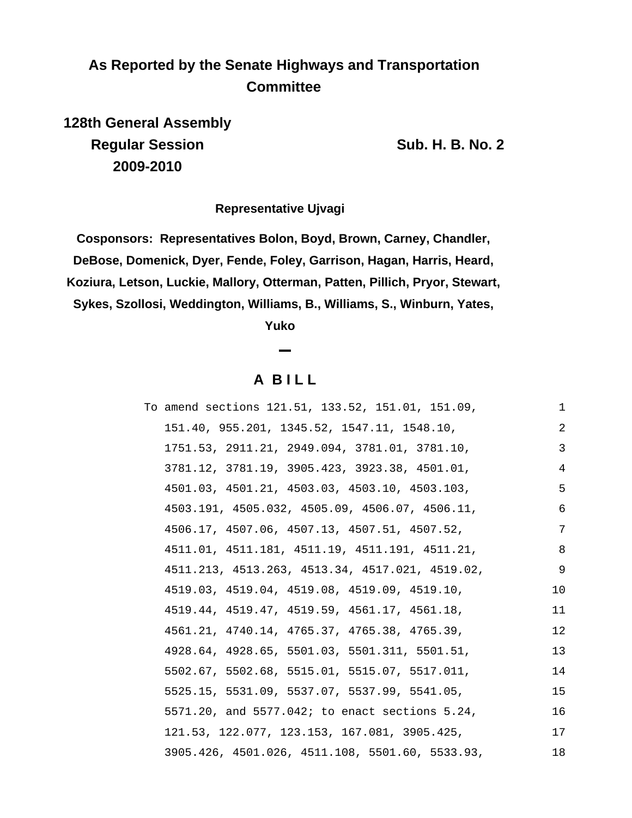# **As Reported by the Senate Highways and Transportation Committee**

**128th General Assembly Regular Session Sub. H. B. No. 2 2009-2010**

**Representative Ujvagi**

**Cosponsors: Representatives Bolon, Boyd, Brown, Carney, Chandler,**

**DeBose, Domenick, Dyer, Fende, Foley, Garrison, Hagan, Harris, Heard,**

**Koziura, Letson, Luckie, Mallory, Otterman, Patten, Pillich, Pryor, Stewart,**

**Sykes, Szollosi, Weddington, Williams, B., Williams, S., Winburn, Yates,**

**Yuko**

# **A B I L L**

| To amend sections 121.51, 133.52, 151.01, 151.09, | 1  |
|---------------------------------------------------|----|
| 151.40, 955.201, 1345.52, 1547.11, 1548.10,       | 2  |
| 1751.53, 2911.21, 2949.094, 3781.01, 3781.10,     | 3  |
| 3781.12, 3781.19, 3905.423, 3923.38, 4501.01,     | 4  |
| 4501.03, 4501.21, 4503.03, 4503.10, 4503.103,     | 5  |
| 4503.191, 4505.032, 4505.09, 4506.07, 4506.11,    | 6  |
| 4506.17, 4507.06, 4507.13, 4507.51, 4507.52,      | 7  |
| 4511.01, 4511.181, 4511.19, 4511.191, 4511.21,    | 8  |
| 4511.213, 4513.263, 4513.34, 4517.021, 4519.02,   | 9  |
| 4519.03, 4519.04, 4519.08, 4519.09, 4519.10,      | 10 |
| 4519.44, 4519.47, 4519.59, 4561.17, 4561.18,      | 11 |
| 4561.21, 4740.14, 4765.37, 4765.38, 4765.39,      | 12 |
| 4928.64, 4928.65, 5501.03, 5501.311, 5501.51,     | 13 |
| 5502.67, 5502.68, 5515.01, 5515.07, 5517.011,     | 14 |
| 5525.15, 5531.09, 5537.07, 5537.99, 5541.05,      | 15 |
| 5571.20, and 5577.042; to enact sections 5.24,    | 16 |
| 121.53, 122.077, 123.153, 167.081, 3905.425,      | 17 |
| 3905.426, 4501.026, 4511.108, 5501.60, 5533.93,   | 18 |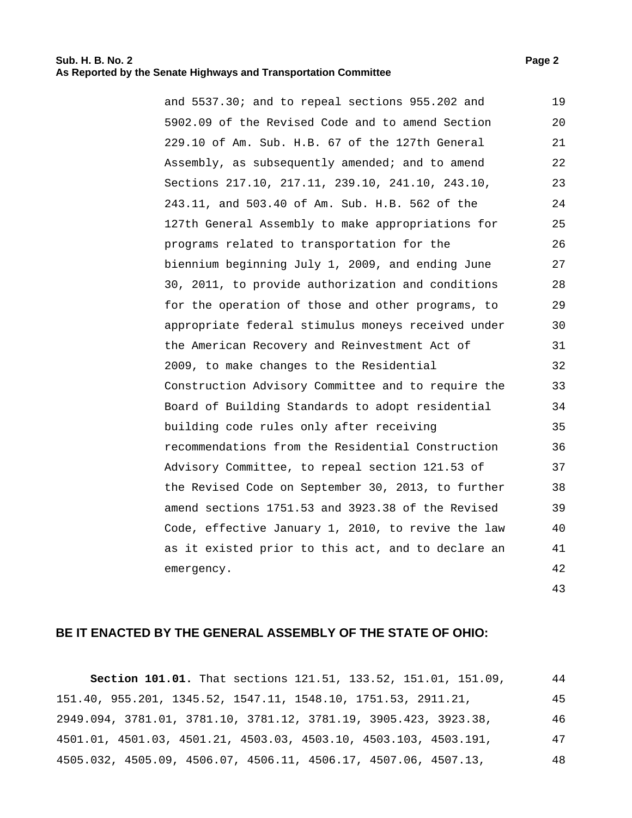43

| and 5537.30; and to repeal sections 955.202 and    | 19 |
|----------------------------------------------------|----|
| 5902.09 of the Revised Code and to amend Section   | 20 |
| 229.10 of Am. Sub. H.B. 67 of the 127th General    | 21 |
| Assembly, as subsequently amended; and to amend    | 22 |
| Sections 217.10, 217.11, 239.10, 241.10, 243.10,   | 23 |
| 243.11, and 503.40 of Am. Sub. H.B. 562 of the     | 24 |
| 127th General Assembly to make appropriations for  | 25 |
| programs related to transportation for the         | 26 |
| biennium beginning July 1, 2009, and ending June   | 27 |
| 30, 2011, to provide authorization and conditions  | 28 |
| for the operation of those and other programs, to  | 29 |
| appropriate federal stimulus moneys received under | 30 |
| the American Recovery and Reinvestment Act of      | 31 |
| 2009, to make changes to the Residential           | 32 |
| Construction Advisory Committee and to require the | 33 |
| Board of Building Standards to adopt residential   | 34 |
| building code rules only after receiving           | 35 |
| recommendations from the Residential Construction  | 36 |
| Advisory Committee, to repeal section 121.53 of    | 37 |
| the Revised Code on September 30, 2013, to further | 38 |
| amend sections 1751.53 and 3923.38 of the Revised  | 39 |
| Code, effective January 1, 2010, to revive the law | 40 |
| as it existed prior to this act, and to declare an | 41 |
| emergency.                                         | 42 |

# **BE IT ENACTED BY THE GENERAL ASSEMBLY OF THE STATE OF OHIO:**

| Section 101.01. That sections 121.51, 133.52, 151.01, 151.09,    | 44 |
|------------------------------------------------------------------|----|
| 151.40, 955.201, 1345.52, 1547.11, 1548.10, 1751.53, 2911.21,    | 45 |
| 2949.094, 3781.01, 3781.10, 3781.12, 3781.19, 3905.423, 3923.38, | 46 |
| 4501.01, 4501.03, 4501.21, 4503.03, 4503.10, 4503.103, 4503.191, | 47 |
| 4505.032, 4505.09, 4506.07, 4506.11, 4506.17, 4507.06, 4507.13,  | 48 |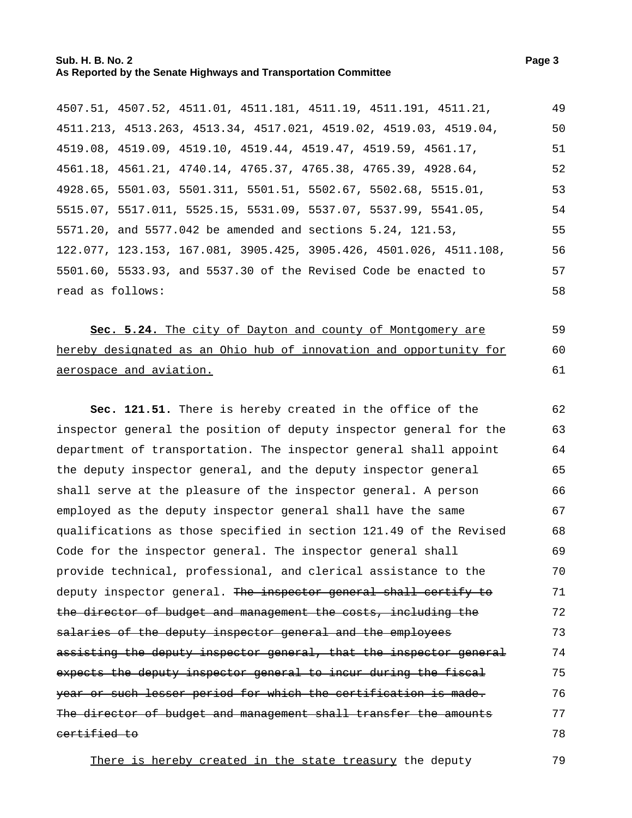4507.51, 4507.52, 4511.01, 4511.181, 4511.19, 4511.191, 4511.21, 4511.213, 4513.263, 4513.34, 4517.021, 4519.02, 4519.03, 4519.04, 4519.08, 4519.09, 4519.10, 4519.44, 4519.47, 4519.59, 4561.17, 4561.18, 4561.21, 4740.14, 4765.37, 4765.38, 4765.39, 4928.64, 4928.65, 5501.03, 5501.311, 5501.51, 5502.67, 5502.68, 5515.01, 5515.07, 5517.011, 5525.15, 5531.09, 5537.07, 5537.99, 5541.05, 5571.20, and 5577.042 be amended and sections 5.24, 121.53, 122.077, 123.153, 167.081, 3905.425, 3905.426, 4501.026, 4511.108, 5501.60, 5533.93, and 5537.30 of the Revised Code be enacted to read as follows: 49 50 51 52 53 54 55 56 57 58

**Sec. 5.24.** The city of Dayton and county of Montgomery are hereby designated as an Ohio hub of innovation and opportunity for aerospace and aviation. 59 60 61

**Sec. 121.51.** There is hereby created in the office of the inspector general the position of deputy inspector general for the department of transportation. The inspector general shall appoint the deputy inspector general, and the deputy inspector general shall serve at the pleasure of the inspector general. A person employed as the deputy inspector general shall have the same qualifications as those specified in section 121.49 of the Revised Code for the inspector general. The inspector general shall provide technical, professional, and clerical assistance to the deputy inspector general. The inspector general shall certify to the director of budget and management the costs, including the salaries of the deputy inspector general and the employees assisting the deputy inspector general, that the inspector general expects the deputy inspector general to incur during the fiscal year or such lesser period for which the certification is made. The director of budget and management shall transfer the amounts certified to 62 63 64 65 66 67 68 69 70 71 72 73 74 75 76 77 78

There is hereby created in the state treasury the deputy  $79$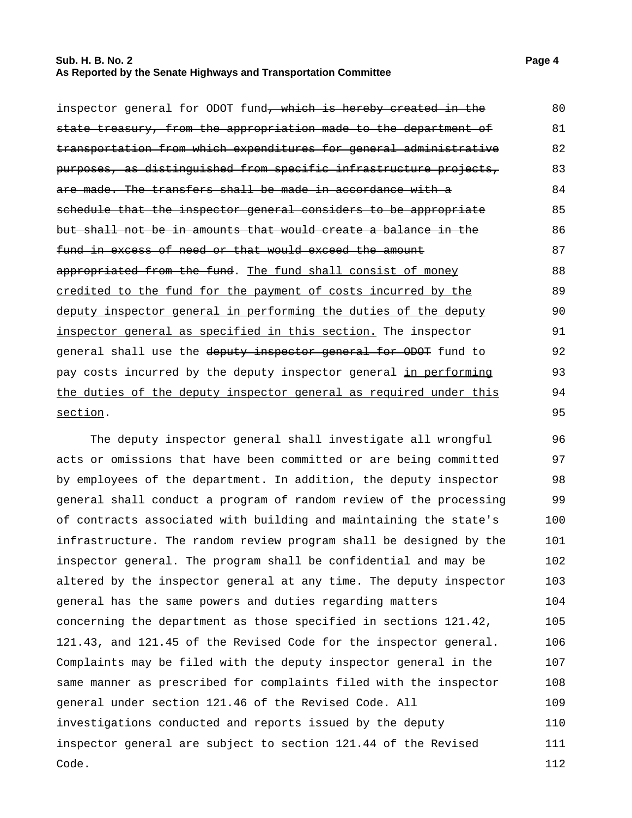#### **Sub. H. B. No. 2 Page 4 As Reported by the Senate Highways and Transportation Committee**

| inspector general for ODOT fund, which is hereby created in the        | 80 |
|------------------------------------------------------------------------|----|
| state treasury, from the appropriation made to the department of       | 81 |
| transportation from which expenditures for general administrative      | 82 |
| purposes, as distinguished from specific infrastructure projects,      | 83 |
| are made. The transfers shall be made in accordance with a             | 84 |
| schedule that the inspector general considers to be appropriate        | 85 |
| but shall not be in amounts that would create a balance in the         | 86 |
| fund in excess of need or that would exceed the amount                 | 87 |
| appropriated from the fund. The fund shall consist of money            | 88 |
| credited to the fund for the payment of costs incurred by the          | 89 |
| <u>deputy inspector general in performing the duties of the deputy</u> | 90 |
| inspector general as specified in this section. The inspector          | 91 |
| general shall use the deputy inspector general for ODOT fund to        | 92 |
| pay costs incurred by the deputy inspector general in performing       | 93 |
| the duties of the deputy inspector general as required under this      | 94 |
| section.                                                               | 95 |

The deputy inspector general shall investigate all wrongful acts or omissions that have been committed or are being committed by employees of the department. In addition, the deputy inspector general shall conduct a program of random review of the processing of contracts associated with building and maintaining the state's infrastructure. The random review program shall be designed by the inspector general. The program shall be confidential and may be altered by the inspector general at any time. The deputy inspector general has the same powers and duties regarding matters concerning the department as those specified in sections 121.42, 121.43, and 121.45 of the Revised Code for the inspector general. Complaints may be filed with the deputy inspector general in the same manner as prescribed for complaints filed with the inspector general under section 121.46 of the Revised Code. All investigations conducted and reports issued by the deputy inspector general are subject to section 121.44 of the Revised Code. 96 97 98 99 100 101 102 103 104 105 106 107 108 109 110 111 112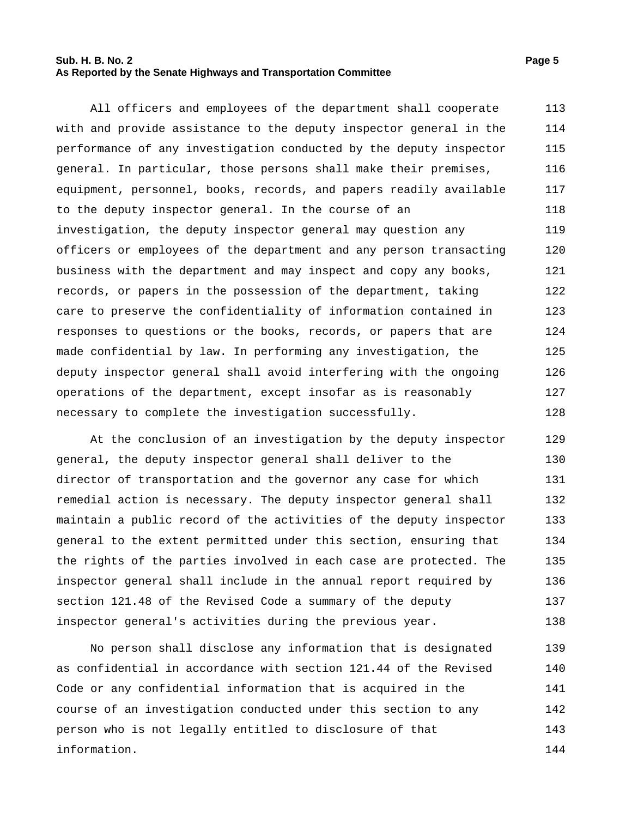#### **Sub. H. B. No. 2 Page 5 As Reported by the Senate Highways and Transportation Committee**

All officers and employees of the department shall cooperate with and provide assistance to the deputy inspector general in the performance of any investigation conducted by the deputy inspector general. In particular, those persons shall make their premises, equipment, personnel, books, records, and papers readily available to the deputy inspector general. In the course of an investigation, the deputy inspector general may question any officers or employees of the department and any person transacting business with the department and may inspect and copy any books, records, or papers in the possession of the department, taking care to preserve the confidentiality of information contained in responses to questions or the books, records, or papers that are made confidential by law. In performing any investigation, the deputy inspector general shall avoid interfering with the ongoing operations of the department, except insofar as is reasonably necessary to complete the investigation successfully. 113 114 115 116 117 118 119 120 121 122 123 124 125 126 127 128

At the conclusion of an investigation by the deputy inspector general, the deputy inspector general shall deliver to the director of transportation and the governor any case for which remedial action is necessary. The deputy inspector general shall maintain a public record of the activities of the deputy inspector general to the extent permitted under this section, ensuring that the rights of the parties involved in each case are protected. The inspector general shall include in the annual report required by section 121.48 of the Revised Code a summary of the deputy inspector general's activities during the previous year. 129 130 131 132 133 134 135 136 137 138

No person shall disclose any information that is designated as confidential in accordance with section 121.44 of the Revised Code or any confidential information that is acquired in the course of an investigation conducted under this section to any person who is not legally entitled to disclosure of that information. 139 140 141 142 143 144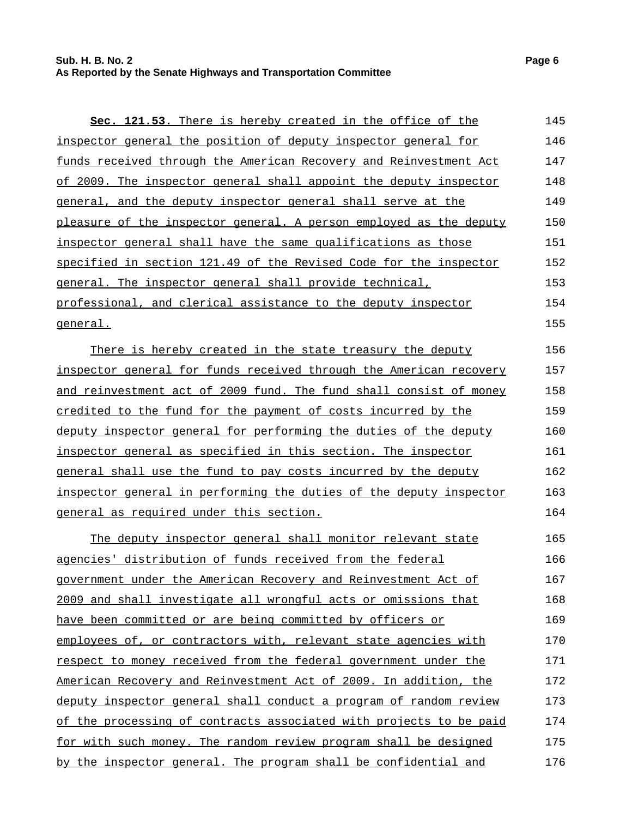| sec. 121.53. There is hereby created in the office of the          | 145 |
|--------------------------------------------------------------------|-----|
| inspector general the position of deputy inspector general for     | 146 |
| funds received through the American Recovery and Reinvestment Act  | 147 |
| of 2009. The inspector general shall appoint the deputy inspector  | 148 |
| general, and the deputy inspector general shall serve at the       | 149 |
| pleasure of the inspector general. A person employed as the deputy | 150 |
| inspector general shall have the same qualifications as those      | 151 |
| specified in section 121.49 of the Revised Code for the inspector  | 152 |
| general. The inspector general shall provide technical,            | 153 |
| professional, and clerical assistance to the deputy inspector      | 154 |
| general.                                                           | 155 |
| There is hereby created in the state treasury the deputy           | 156 |
| inspector general for funds received through the American recovery | 157 |
| and reinvestment act of 2009 fund. The fund shall consist of money | 158 |
| credited to the fund for the payment of costs incurred by the      | 159 |
| deputy inspector general for performing the duties of the deputy   | 160 |
| inspector general as specified in this section. The inspector      | 161 |
| general shall use the fund to pay costs incurred by the deputy     | 162 |
| inspector general in performing the duties of the deputy inspector | 163 |
| general as required under this section.                            | 164 |
| The deputy inspector general shall monitor relevant state          | 165 |
| agencies' distribution of funds received from the federal          | 166 |
| government under the American Recovery and Reinvestment Act of     | 167 |
| 2009 and shall investigate all wrongful acts or omissions that     | 168 |
| have been committed or are being committed by officers or          | 169 |
| employees of, or contractors with, relevant state agencies with    | 170 |
| respect to money received from the federal government under the    | 171 |
| American Recovery and Reinvestment Act of 2009. In addition, the   | 172 |
| deputy inspector general shall conduct a program of random review  | 173 |
| of the processing of contracts associated with projects to be paid | 174 |
| for with such money. The random review program shall be designed   | 175 |
| by the inspector general. The program shall be confidential and    | 176 |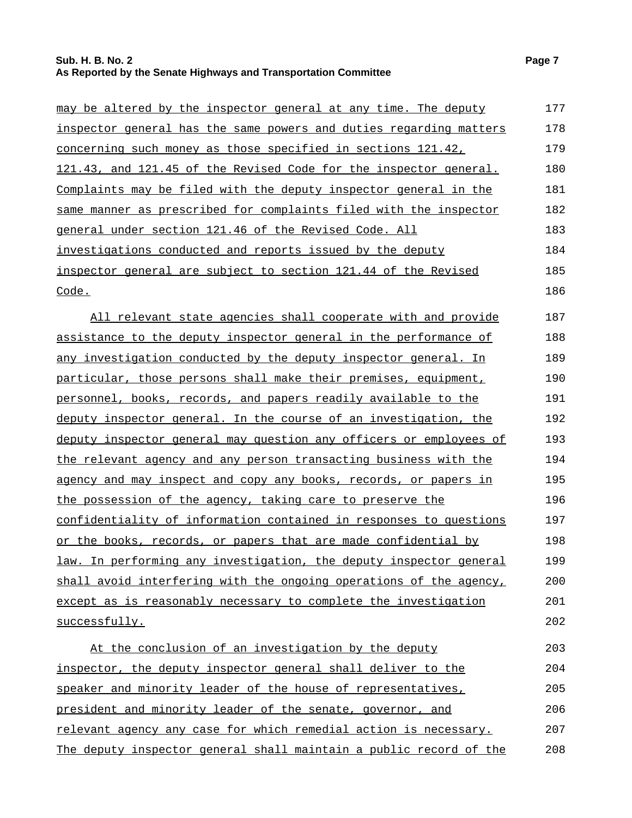### **Sub. H. B. No. 2 Page 7 As Reported by the Senate Highways and Transportation Committee**

| <u>may be altered by the inspector general at any time. The deputy</u>   | 177 |
|--------------------------------------------------------------------------|-----|
| inspector general has the same powers and duties regarding matters       | 178 |
| concerning such money as those specified in sections 121.42,             | 179 |
| 121.43, and 121.45 of the Revised Code for the inspector general.        | 180 |
| Complaints may be filed with the deputy inspector general in the         | 181 |
| same manner as prescribed for complaints filed with the inspector        | 182 |
| general under section 121.46 of the Revised Code. All                    | 183 |
| <u>investigations conducted and reports issued by the deputy</u>         | 184 |
| inspector general are subject to section 121.44 of the Revised           | 185 |
| <u>Code.</u>                                                             | 186 |
| All relevant state agencies shall cooperate with and provide             | 187 |
| <u>assistance to the deputy inspector general in the performance of</u>  | 188 |
| <u>any investigation conducted by the deputy inspector general. In</u>   | 189 |
| particular, those persons shall make their premises, equipment,          | 190 |
| personnel, books, records, and papers readily available to the           | 191 |
| <u>deputy inspector general. In the course of an investigation, the</u>  | 192 |
| deputy inspector general may question any officers or employees of       | 193 |
| <u>the relevant agency and any person transacting business with the </u> | 194 |
| <u>agency and may inspect and copy any books, records, or papers in</u>  | 195 |
| the possession of the agency, taking care to preserve the                | 196 |
| confidentiality of information contained in responses to questions       | 197 |
| or the books, records, or papers that are made confidential by           | 198 |
| law. In performing any investigation, the deputy inspector general       | 199 |
| shall avoid interfering with the ongoing operations of the agency,       | 200 |
| except as is reasonably necessary to complete the investigation          | 201 |
| <u>successfully.</u>                                                     | 202 |
| At the conclusion of an investigation by the deputy                      | 203 |
| inspector, the deputy inspector general shall deliver to the             | 204 |
| speaker and minority leader of the house of representatives,             | 205 |
| president and minority leader of the senate, governor, and               | 206 |
| <u>relevant agency any case for which remedial action is necessary.</u>  | 207 |
|                                                                          |     |

The deputy inspector general shall maintain a public record of the 208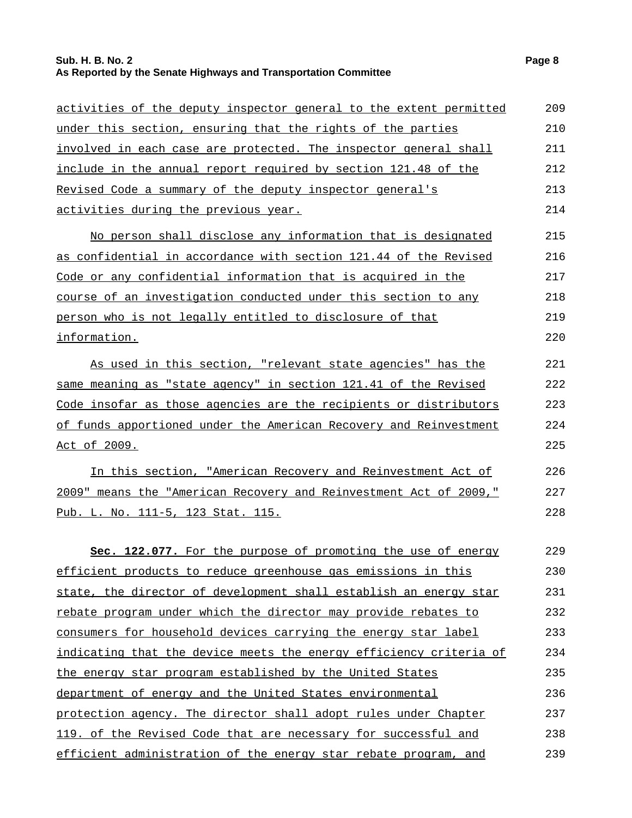# **Sub. H. B. No. 2 Page 8 As Reported by the Senate Highways and Transportation Committee**

| activities of the deputy inspector general to the extent permitted | 209 |
|--------------------------------------------------------------------|-----|
| under this section, ensuring that the rights of the parties        | 210 |
| involved in each case are protected. The inspector general shall   | 211 |
| include in the annual report required by section 121.48 of the     | 212 |
| Revised Code a summary of the deputy inspector general's           | 213 |
| activities during the previous year.                               | 214 |
| No person shall disclose any information that is designated        | 215 |
| as confidential in accordance with section 121.44 of the Revised   | 216 |
| Code or any confidential information that is acquired in the       | 217 |
| course of an investigation conducted under this section to any     | 218 |
| person who is not legally entitled to disclosure of that           | 219 |
| information.                                                       | 220 |
| As used in this section, "relevant state agencies" has the         | 221 |
| same meaning as "state agency" in section 121.41 of the Revised    | 222 |
| Code insofar as those agencies are the recipients or distributors  | 223 |
| of funds apportioned under the American Recovery and Reinvestment  | 224 |
| <u>Act of 2009.</u>                                                | 225 |
| In this section, "American Recovery and Reinvestment Act of        | 226 |
| 2009" means the "American Recovery and Reinvestment Act of 2009,"  | 227 |
| Pub. L. No. 111-5, 123 Stat. 115.                                  | 228 |
| Sec. 122.077. For the purpose of promoting the use of energy       | 229 |
| efficient products to reduce greenhouse gas emissions in this      | 230 |
| state, the director of development shall establish an energy star  | 231 |
| rebate program under which the director may provide rebates to     | 232 |
|                                                                    | 233 |
| consumers for household devices carrying the energy star label     |     |
| indicating that the device meets the energy efficiency criteria of | 234 |
| the energy star program established by the United States           | 235 |
| department of energy and the United States environmental           | 236 |
| protection agency. The director shall adopt rules under Chapter    | 237 |
| 119. of the Revised Code that are necessary for successful and     | 238 |
| efficient administration of the energy star rebate program, and    | 239 |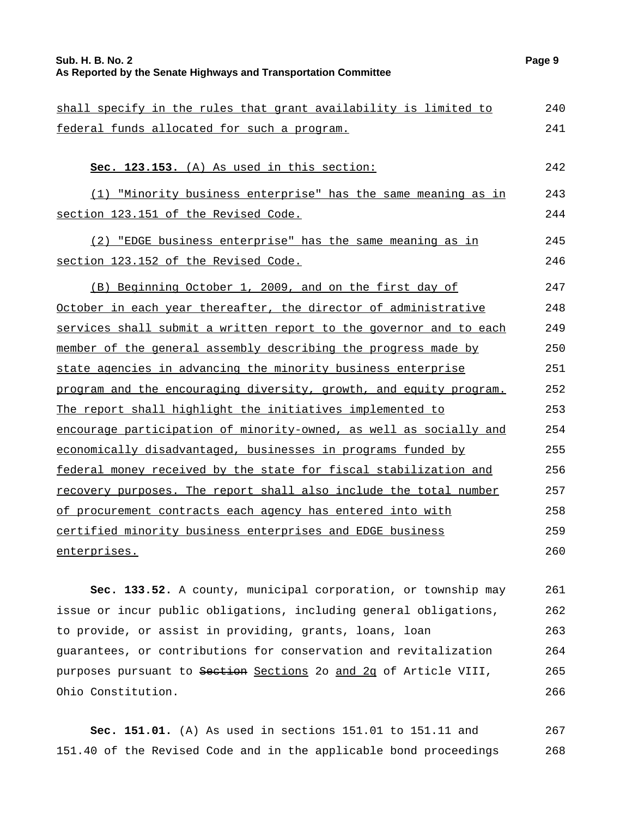| Sub. H. B. No. 2                                                | Page 9 |
|-----------------------------------------------------------------|--------|
| As Reported by the Senate Highways and Transportation Committee |        |

shall specify in the rules that grant availability is limited to federal funds allocated for such a program. 240 241 **Sec. 123.153.** (A) As used in this section: 242 (1) "Minority business enterprise" has the same meaning as in section 123.151 of the Revised Code. 243 244 (2) "EDGE business enterprise" has the same meaning as in section 123.152 of the Revised Code. 245 246 (B) Beginning October 1, 2009, and on the first day of October in each year thereafter, the director of administrative services shall submit a written report to the governor and to each member of the general assembly describing the progress made by state agencies in advancing the minority business enterprise program and the encouraging diversity, growth, and equity program. The report shall highlight the initiatives implemented to encourage participation of minority-owned, as well as socially and economically disadvantaged, businesses in programs funded by federal money received by the state for fiscal stabilization and recovery purposes. The report shall also include the total number of procurement contracts each agency has entered into with certified minority business enterprises and EDGE business enterprises. 247 248 249 250 251 252 253 254 255 256 257 258 259 260

**Sec. 133.52.** A county, municipal corporation, or township may issue or incur public obligations, including general obligations, to provide, or assist in providing, grants, loans, loan guarantees, or contributions for conservation and revitalization purposes pursuant to Section Sections 2o and 2q of Article VIII, Ohio Constitution. 261 262 263 264 265 266

**Sec. 151.01.** (A) As used in sections 151.01 to 151.11 and 151.40 of the Revised Code and in the applicable bond proceedings 267 268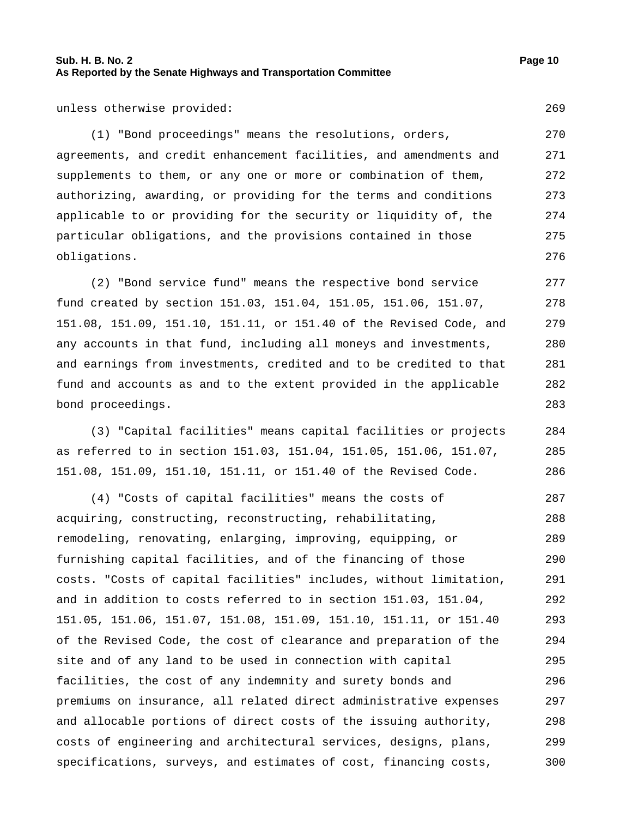#### **Sub. H. B. No. 2 Page 10 As Reported by the Senate Highways and Transportation Committee**

unless otherwise provided: 269

(1) "Bond proceedings" means the resolutions, orders, agreements, and credit enhancement facilities, and amendments and supplements to them, or any one or more or combination of them, authorizing, awarding, or providing for the terms and conditions applicable to or providing for the security or liquidity of, the particular obligations, and the provisions contained in those obligations. 270 271 272 273 274 275 276

(2) "Bond service fund" means the respective bond service fund created by section 151.03, 151.04, 151.05, 151.06, 151.07, 151.08, 151.09, 151.10, 151.11, or 151.40 of the Revised Code, and any accounts in that fund, including all moneys and investments, and earnings from investments, credited and to be credited to that fund and accounts as and to the extent provided in the applicable bond proceedings. 277 278 279 280 281 282 283

(3) "Capital facilities" means capital facilities or projects as referred to in section 151.03, 151.04, 151.05, 151.06, 151.07, 151.08, 151.09, 151.10, 151.11, or 151.40 of the Revised Code. 284 285 286

(4) "Costs of capital facilities" means the costs of acquiring, constructing, reconstructing, rehabilitating, remodeling, renovating, enlarging, improving, equipping, or furnishing capital facilities, and of the financing of those costs. "Costs of capital facilities" includes, without limitation, and in addition to costs referred to in section 151.03, 151.04, 151.05, 151.06, 151.07, 151.08, 151.09, 151.10, 151.11, or 151.40 of the Revised Code, the cost of clearance and preparation of the site and of any land to be used in connection with capital facilities, the cost of any indemnity and surety bonds and premiums on insurance, all related direct administrative expenses and allocable portions of direct costs of the issuing authority, costs of engineering and architectural services, designs, plans, specifications, surveys, and estimates of cost, financing costs, 287 288 289 290 291 292 293 294 295 296 297 298 299 300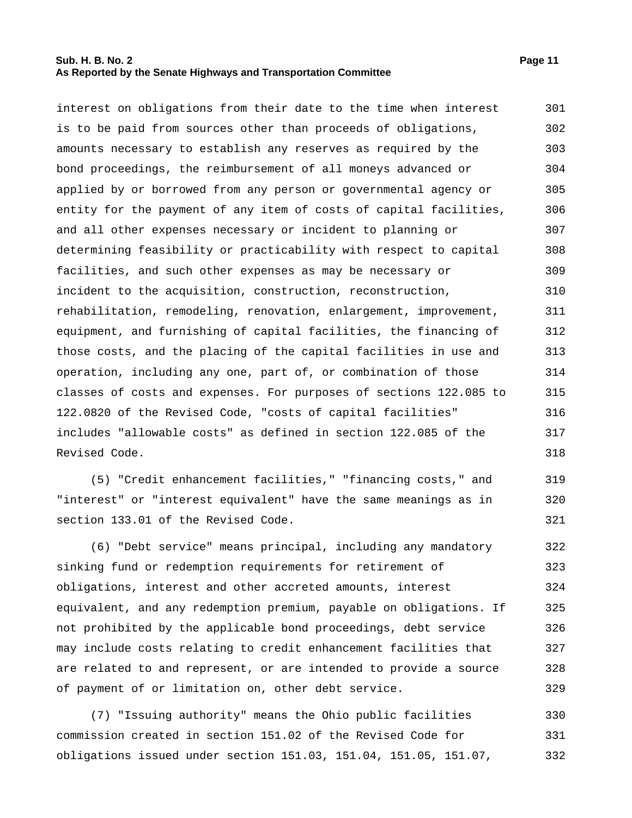#### **Sub. H. B. No. 2 Page 11 As Reported by the Senate Highways and Transportation Committee**

interest on obligations from their date to the time when interest is to be paid from sources other than proceeds of obligations, amounts necessary to establish any reserves as required by the bond proceedings, the reimbursement of all moneys advanced or applied by or borrowed from any person or governmental agency or entity for the payment of any item of costs of capital facilities, and all other expenses necessary or incident to planning or determining feasibility or practicability with respect to capital facilities, and such other expenses as may be necessary or incident to the acquisition, construction, reconstruction, rehabilitation, remodeling, renovation, enlargement, improvement, equipment, and furnishing of capital facilities, the financing of those costs, and the placing of the capital facilities in use and operation, including any one, part of, or combination of those classes of costs and expenses. For purposes of sections 122.085 to 122.0820 of the Revised Code, "costs of capital facilities" includes "allowable costs" as defined in section 122.085 of the Revised Code. 301 302 303 304 305 306 307 308 309 310 311 312 313 314 315 316 317 318

(5) "Credit enhancement facilities," "financing costs," and "interest" or "interest equivalent" have the same meanings as in section 133.01 of the Revised Code. 319 320 321

(6) "Debt service" means principal, including any mandatory sinking fund or redemption requirements for retirement of obligations, interest and other accreted amounts, interest equivalent, and any redemption premium, payable on obligations. If not prohibited by the applicable bond proceedings, debt service may include costs relating to credit enhancement facilities that are related to and represent, or are intended to provide a source of payment of or limitation on, other debt service. 322 323 324 325 326 327 328 329

(7) "Issuing authority" means the Ohio public facilities commission created in section 151.02 of the Revised Code for obligations issued under section 151.03, 151.04, 151.05, 151.07, 330 331 332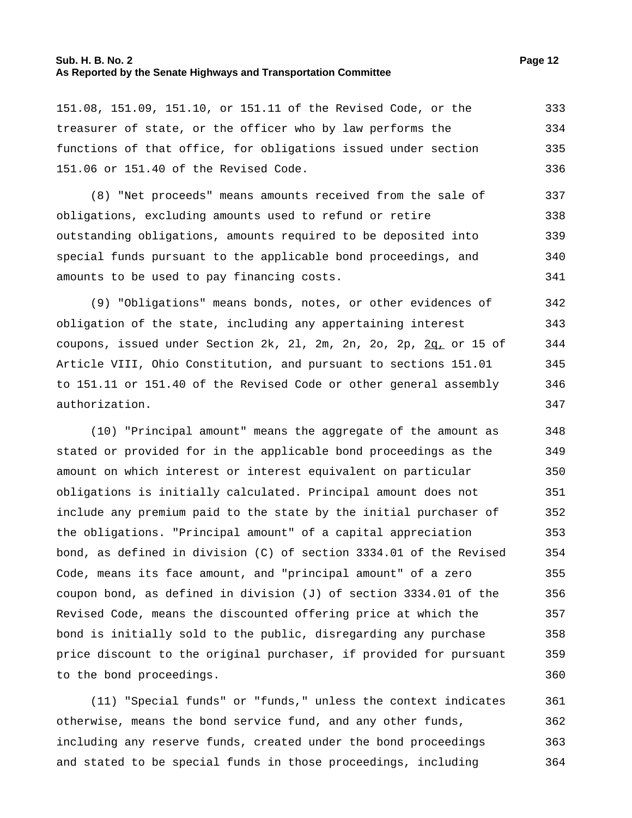#### **Sub. H. B. No. 2 Page 12 As Reported by the Senate Highways and Transportation Committee**

151.08, 151.09, 151.10, or 151.11 of the Revised Code, or the treasurer of state, or the officer who by law performs the functions of that office, for obligations issued under section 151.06 or 151.40 of the Revised Code. 333 334 335 336

(8) "Net proceeds" means amounts received from the sale of obligations, excluding amounts used to refund or retire outstanding obligations, amounts required to be deposited into special funds pursuant to the applicable bond proceedings, and amounts to be used to pay financing costs. 337 338 339 340 341

(9) "Obligations" means bonds, notes, or other evidences of obligation of the state, including any appertaining interest coupons, issued under Section 2k, 2l, 2m, 2n, 2o, 2p, 2q, or 15 of Article VIII, Ohio Constitution, and pursuant to sections 151.01 to 151.11 or 151.40 of the Revised Code or other general assembly authorization. 342 343 344 345 346 347

(10) "Principal amount" means the aggregate of the amount as stated or provided for in the applicable bond proceedings as the amount on which interest or interest equivalent on particular obligations is initially calculated. Principal amount does not include any premium paid to the state by the initial purchaser of the obligations. "Principal amount" of a capital appreciation bond, as defined in division (C) of section 3334.01 of the Revised Code, means its face amount, and "principal amount" of a zero coupon bond, as defined in division (J) of section 3334.01 of the Revised Code, means the discounted offering price at which the bond is initially sold to the public, disregarding any purchase price discount to the original purchaser, if provided for pursuant to the bond proceedings. 348 349 350 351 352 353 354 355 356 357 358 359 360

(11) "Special funds" or "funds," unless the context indicates otherwise, means the bond service fund, and any other funds, including any reserve funds, created under the bond proceedings and stated to be special funds in those proceedings, including 361 362 363 364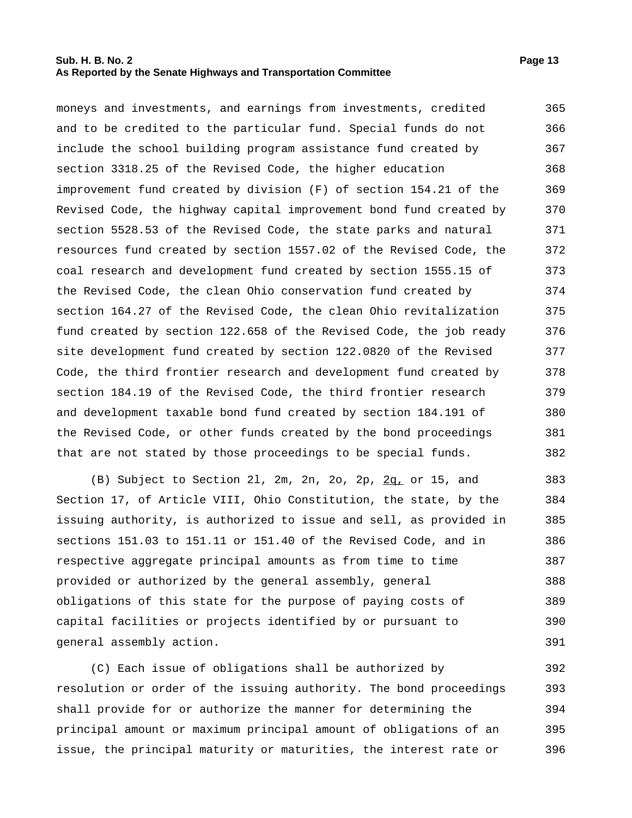#### **Sub. H. B. No. 2 Page 13 As Reported by the Senate Highways and Transportation Committee**

moneys and investments, and earnings from investments, credited and to be credited to the particular fund. Special funds do not include the school building program assistance fund created by section 3318.25 of the Revised Code, the higher education improvement fund created by division (F) of section 154.21 of the Revised Code, the highway capital improvement bond fund created by section 5528.53 of the Revised Code, the state parks and natural resources fund created by section 1557.02 of the Revised Code, the coal research and development fund created by section 1555.15 of the Revised Code, the clean Ohio conservation fund created by section 164.27 of the Revised Code, the clean Ohio revitalization fund created by section 122.658 of the Revised Code, the job ready site development fund created by section 122.0820 of the Revised Code, the third frontier research and development fund created by section 184.19 of the Revised Code, the third frontier research and development taxable bond fund created by section 184.191 of the Revised Code, or other funds created by the bond proceedings that are not stated by those proceedings to be special funds. 365 366 367 368 369 370 371 372 373 374 375 376 377 378 379 380 381 382

(B) Subject to Section 2l, 2m, 2n, 2o, 2p, 2q, or 15, and Section 17, of Article VIII, Ohio Constitution, the state, by the issuing authority, is authorized to issue and sell, as provided in sections 151.03 to 151.11 or 151.40 of the Revised Code, and in respective aggregate principal amounts as from time to time provided or authorized by the general assembly, general obligations of this state for the purpose of paying costs of capital facilities or projects identified by or pursuant to general assembly action. 383 384 385 386 387 388 389 390 391

(C) Each issue of obligations shall be authorized by resolution or order of the issuing authority. The bond proceedings shall provide for or authorize the manner for determining the principal amount or maximum principal amount of obligations of an issue, the principal maturity or maturities, the interest rate or 392 393 394 395 396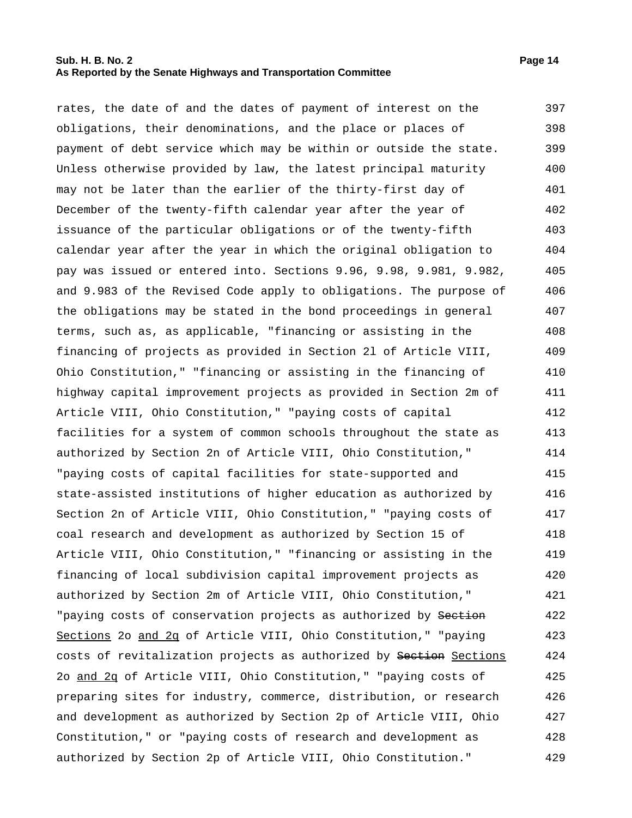#### **Sub. H. B. No. 2 Page 14 As Reported by the Senate Highways and Transportation Committee**

rates, the date of and the dates of payment of interest on the obligations, their denominations, and the place or places of payment of debt service which may be within or outside the state. Unless otherwise provided by law, the latest principal maturity may not be later than the earlier of the thirty-first day of December of the twenty-fifth calendar year after the year of issuance of the particular obligations or of the twenty-fifth calendar year after the year in which the original obligation to pay was issued or entered into. Sections 9.96, 9.98, 9.981, 9.982, and 9.983 of the Revised Code apply to obligations. The purpose of 397 398 399 400 401 402 403 404 405 406 407 408 409

the obligations may be stated in the bond proceedings in general terms, such as, as applicable, "financing or assisting in the financing of projects as provided in Section 2l of Article VIII, Ohio Constitution," "financing or assisting in the financing of highway capital improvement projects as provided in Section 2m of Article VIII, Ohio Constitution," "paying costs of capital facilities for a system of common schools throughout the state as authorized by Section 2n of Article VIII, Ohio Constitution," "paying costs of capital facilities for state-supported and state-assisted institutions of higher education as authorized by Section 2n of Article VIII, Ohio Constitution," "paying costs of coal research and development as authorized by Section 15 of Article VIII, Ohio Constitution," "financing or assisting in the financing of local subdivision capital improvement projects as authorized by Section 2m of Article VIII, Ohio Constitution," "paying costs of conservation projects as authorized by Seetion Sections 2o and 2q of Article VIII, Ohio Constitution," "paying costs of revitalization projects as authorized by Section Sections 2o and 2q of Article VIII, Ohio Constitution," "paying costs of preparing sites for industry, commerce, distribution, or research and development as authorized by Section 2p of Article VIII, Ohio Constitution," or "paying costs of research and development as authorized by Section 2p of Article VIII, Ohio Constitution." 410 411 412 413 414 415 416 417 418 419 420 421 422 423 424 425 426 427 428 429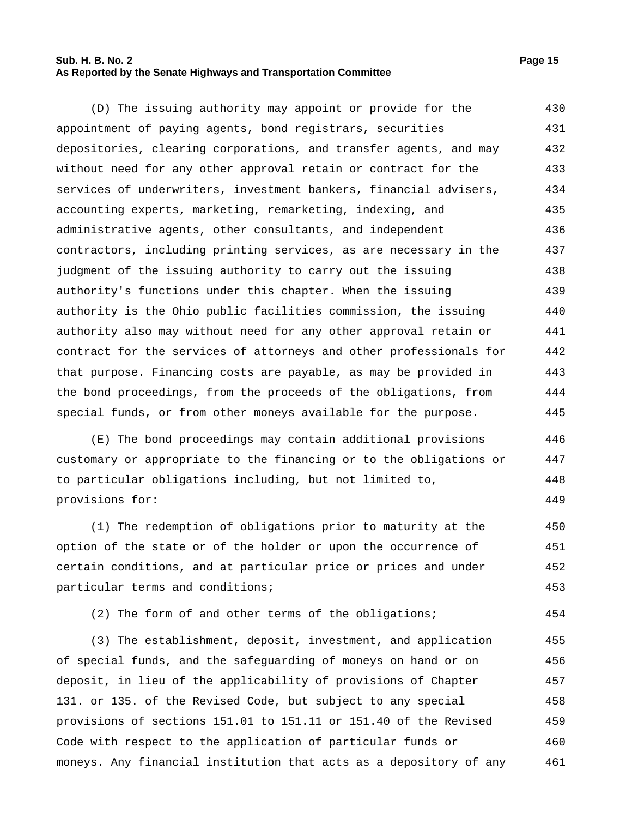#### **Sub. H. B. No. 2 Page 15 As Reported by the Senate Highways and Transportation Committee**

(D) The issuing authority may appoint or provide for the appointment of paying agents, bond registrars, securities depositories, clearing corporations, and transfer agents, and may without need for any other approval retain or contract for the services of underwriters, investment bankers, financial advisers, accounting experts, marketing, remarketing, indexing, and administrative agents, other consultants, and independent contractors, including printing services, as are necessary in the judgment of the issuing authority to carry out the issuing authority's functions under this chapter. When the issuing authority is the Ohio public facilities commission, the issuing authority also may without need for any other approval retain or contract for the services of attorneys and other professionals for that purpose. Financing costs are payable, as may be provided in the bond proceedings, from the proceeds of the obligations, from special funds, or from other moneys available for the purpose. 430 431 432 433 434 435 436 437 438 439 440 441 442 443 444 445

(E) The bond proceedings may contain additional provisions customary or appropriate to the financing or to the obligations or to particular obligations including, but not limited to, provisions for: 446 447 448 449

(1) The redemption of obligations prior to maturity at the option of the state or of the holder or upon the occurrence of certain conditions, and at particular price or prices and under particular terms and conditions; 450 451 452 453

(2) The form of and other terms of the obligations; 454

(3) The establishment, deposit, investment, and application of special funds, and the safeguarding of moneys on hand or on deposit, in lieu of the applicability of provisions of Chapter 131. or 135. of the Revised Code, but subject to any special provisions of sections 151.01 to 151.11 or 151.40 of the Revised Code with respect to the application of particular funds or moneys. Any financial institution that acts as a depository of any 455 456 457 458 459 460 461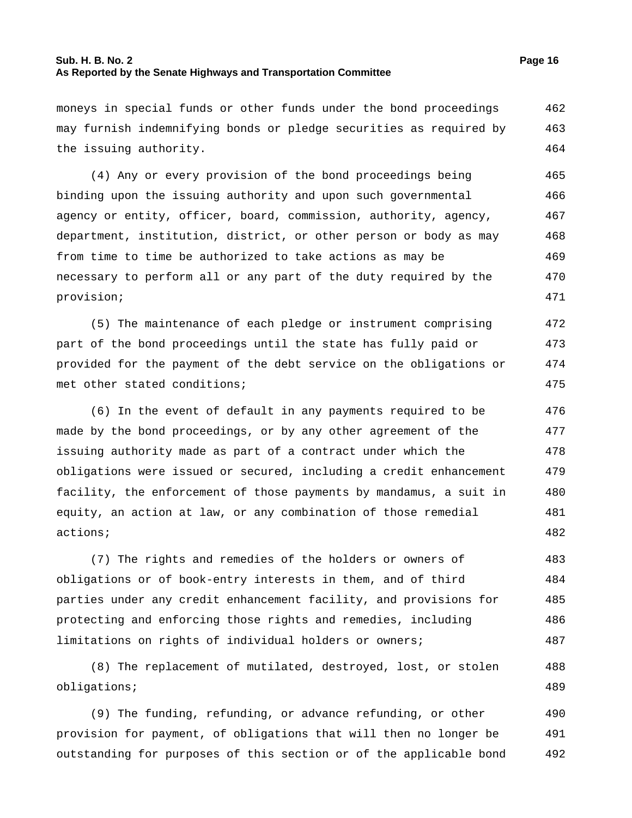#### **Sub. H. B. No. 2 Page 16 As Reported by the Senate Highways and Transportation Committee**

moneys in special funds or other funds under the bond proceedings may furnish indemnifying bonds or pledge securities as required by the issuing authority. 462 463 464

(4) Any or every provision of the bond proceedings being binding upon the issuing authority and upon such governmental agency or entity, officer, board, commission, authority, agency, department, institution, district, or other person or body as may from time to time be authorized to take actions as may be necessary to perform all or any part of the duty required by the provision; 465 466 467 468 469 470 471

(5) The maintenance of each pledge or instrument comprising part of the bond proceedings until the state has fully paid or provided for the payment of the debt service on the obligations or met other stated conditions; 472 473 474 475

(6) In the event of default in any payments required to be made by the bond proceedings, or by any other agreement of the issuing authority made as part of a contract under which the obligations were issued or secured, including a credit enhancement facility, the enforcement of those payments by mandamus, a suit in equity, an action at law, or any combination of those remedial actions; 476 477 478 479 480 481 482

(7) The rights and remedies of the holders or owners of obligations or of book-entry interests in them, and of third parties under any credit enhancement facility, and provisions for protecting and enforcing those rights and remedies, including limitations on rights of individual holders or owners; 483 484 485 486 487

(8) The replacement of mutilated, destroyed, lost, or stolen obligations; 488 489

(9) The funding, refunding, or advance refunding, or other provision for payment, of obligations that will then no longer be outstanding for purposes of this section or of the applicable bond 490 491 492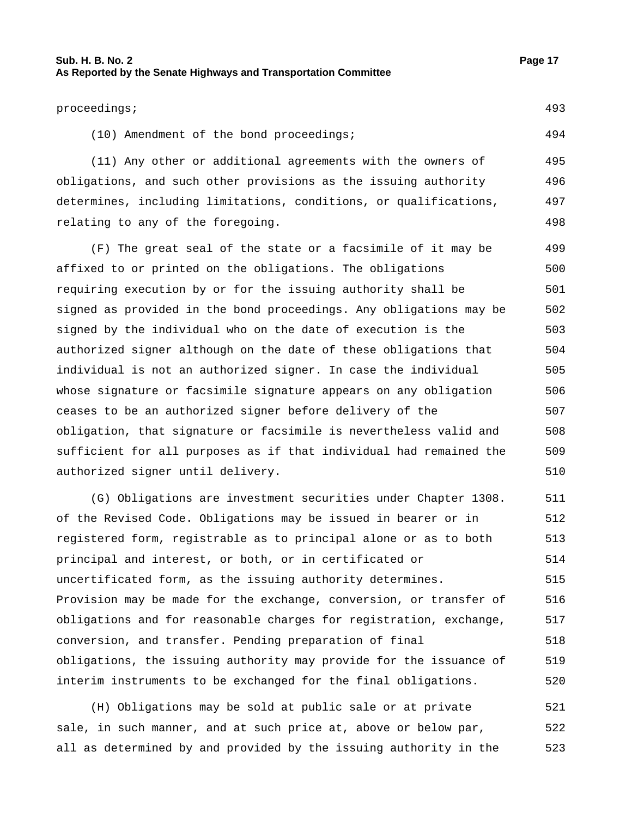#### **Sub. H. B. No. 2 Page 17 As Reported by the Senate Highways and Transportation Committee**

| obligations, and such other provisions as the issuing authority    | 496 |
|--------------------------------------------------------------------|-----|
| determines, including limitations, conditions, or qualifications,  | 497 |
| relating to any of the foregoing.                                  | 498 |
| (F) The great seal of the state or a facsimile of it may be        | 499 |
| affixed to or printed on the obligations. The obligations          | 500 |
| requiring execution by or for the issuing authority shall be       | 501 |
| signed as provided in the bond proceedings. Any obligations may be | 502 |
| signed by the individual who on the date of execution is the       | 503 |
| authorized signer although on the date of these obligations that   | 504 |
| individual is not an authorized signer. In case the individual     | 505 |
| whose signature or facsimile signature appears on any obligation   | 506 |
| ceases to be an authorized signer before delivery of the           | 507 |
| obligation, that signature or facsimile is nevertheless valid and  | 508 |
| sufficient for all purposes as if that individual had remained the | 509 |
| authorized signer until delivery.                                  | 510 |
| (G) Obligations are investment securities under Chapter 1308.      | 511 |
| of the Revised Code. Obligations may be issued in bearer or in     | 512 |
| registered form, registrable as to principal alone or as to both   | 513 |
| principal and interest, or both, or in certificated or             | 514 |
| uncertificated form, as the issuing authority determines.          | 515 |
| Provision may be made for the exchange, conversion, or transfer of | 516 |
| obligations and for reasonable charges for registration, exchange, | 517 |
| conversion, and transfer. Pending preparation of final             | 518 |
| obligations, the issuing authority may provide for the issuance of | 519 |
| interim instruments to be exchanged for the final obligations.     | 520 |
|                                                                    |     |

(10) Amendment of the bond proceedings; 494

(11) Any other or additional agreements with the owners of

(H) Obligations may be sold at public sale or at private sale, in such manner, and at such price at, above or below par, all as determined by and provided by the issuing authority in the 521 522 523

proceedings; 493

495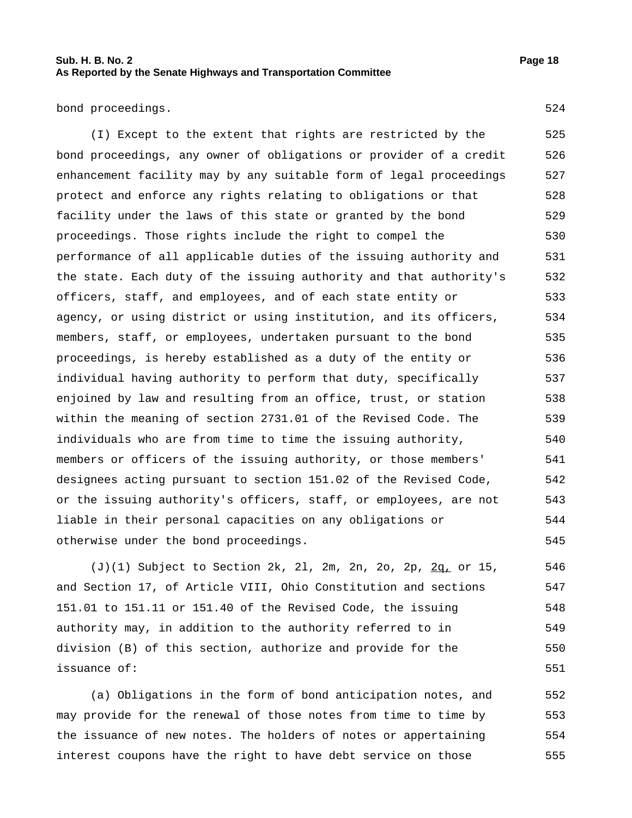#### **Sub. H. B. No. 2 Page 18 As Reported by the Senate Highways and Transportation Committee**

bond proceedings. 524

(I) Except to the extent that rights are restricted by the bond proceedings, any owner of obligations or provider of a credit enhancement facility may by any suitable form of legal proceedings protect and enforce any rights relating to obligations or that facility under the laws of this state or granted by the bond proceedings. Those rights include the right to compel the performance of all applicable duties of the issuing authority and the state. Each duty of the issuing authority and that authority's officers, staff, and employees, and of each state entity or agency, or using district or using institution, and its officers, members, staff, or employees, undertaken pursuant to the bond proceedings, is hereby established as a duty of the entity or individual having authority to perform that duty, specifically enjoined by law and resulting from an office, trust, or station within the meaning of section 2731.01 of the Revised Code. The individuals who are from time to time the issuing authority, members or officers of the issuing authority, or those members' designees acting pursuant to section 151.02 of the Revised Code, or the issuing authority's officers, staff, or employees, are not liable in their personal capacities on any obligations or otherwise under the bond proceedings. 525 526 527 528 529 530 531 532 533 534 535 536 537 538 539 540 541 542 543 544 545

 $(J)(1)$  Subject to Section 2k, 21, 2m, 2n, 2o, 2p, 2q, or 15, and Section 17, of Article VIII, Ohio Constitution and sections 151.01 to 151.11 or 151.40 of the Revised Code, the issuing authority may, in addition to the authority referred to in division (B) of this section, authorize and provide for the issuance of: 546 547 548 549 550 551

(a) Obligations in the form of bond anticipation notes, and may provide for the renewal of those notes from time to time by the issuance of new notes. The holders of notes or appertaining interest coupons have the right to have debt service on those 552 553 554 555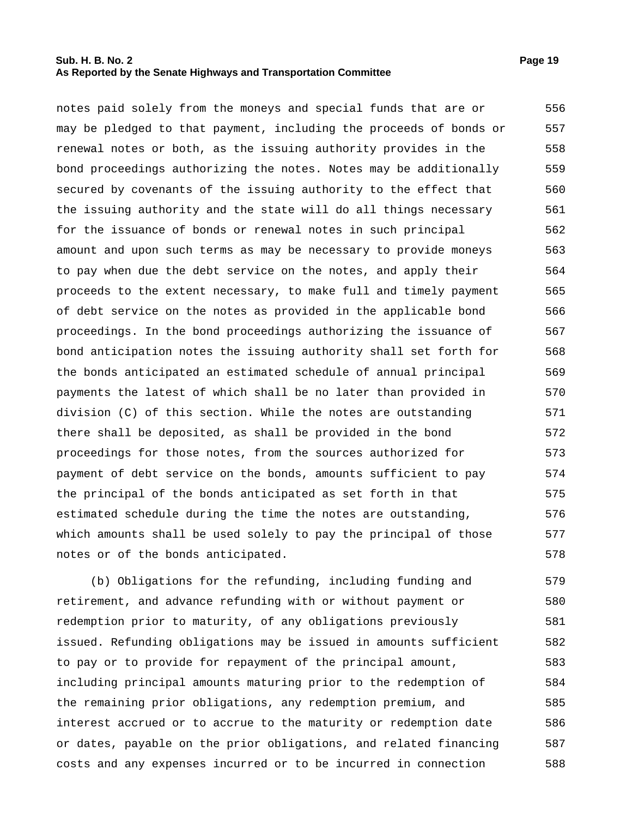#### **Sub. H. B. No. 2 Page 19 As Reported by the Senate Highways and Transportation Committee**

notes paid solely from the moneys and special funds that are or may be pledged to that payment, including the proceeds of bonds or renewal notes or both, as the issuing authority provides in the bond proceedings authorizing the notes. Notes may be additionally secured by covenants of the issuing authority to the effect that the issuing authority and the state will do all things necessary for the issuance of bonds or renewal notes in such principal amount and upon such terms as may be necessary to provide moneys to pay when due the debt service on the notes, and apply their proceeds to the extent necessary, to make full and timely payment of debt service on the notes as provided in the applicable bond proceedings. In the bond proceedings authorizing the issuance of bond anticipation notes the issuing authority shall set forth for the bonds anticipated an estimated schedule of annual principal payments the latest of which shall be no later than provided in division (C) of this section. While the notes are outstanding there shall be deposited, as shall be provided in the bond proceedings for those notes, from the sources authorized for payment of debt service on the bonds, amounts sufficient to pay the principal of the bonds anticipated as set forth in that estimated schedule during the time the notes are outstanding, which amounts shall be used solely to pay the principal of those notes or of the bonds anticipated. 556 557 558 559 560 561 562 563 564 565 566 567 568 569 570 571 572 573 574 575 576 577 578

(b) Obligations for the refunding, including funding and retirement, and advance refunding with or without payment or redemption prior to maturity, of any obligations previously issued. Refunding obligations may be issued in amounts sufficient to pay or to provide for repayment of the principal amount, including principal amounts maturing prior to the redemption of the remaining prior obligations, any redemption premium, and interest accrued or to accrue to the maturity or redemption date or dates, payable on the prior obligations, and related financing costs and any expenses incurred or to be incurred in connection 579 580 581 582 583 584 585 586 587 588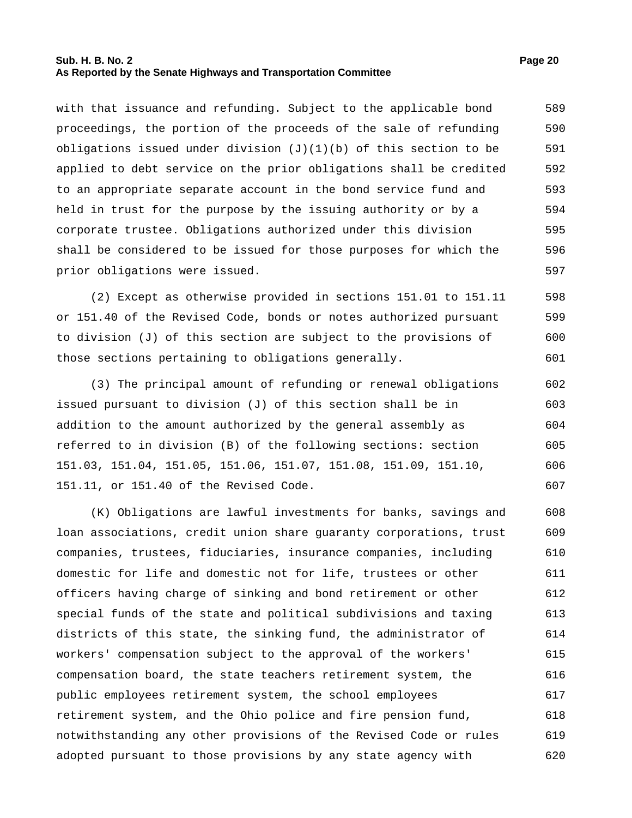#### **Sub. H. B. No. 2 Page 20 As Reported by the Senate Highways and Transportation Committee**

with that issuance and refunding. Subject to the applicable bond proceedings, the portion of the proceeds of the sale of refunding obligations issued under division  $(J)(1)(b)$  of this section to be applied to debt service on the prior obligations shall be credited to an appropriate separate account in the bond service fund and held in trust for the purpose by the issuing authority or by a corporate trustee. Obligations authorized under this division shall be considered to be issued for those purposes for which the prior obligations were issued. 589 590 591 592 593 594 595 596 597

(2) Except as otherwise provided in sections 151.01 to 151.11 or 151.40 of the Revised Code, bonds or notes authorized pursuant to division (J) of this section are subject to the provisions of those sections pertaining to obligations generally. 598 599 600 601

(3) The principal amount of refunding or renewal obligations issued pursuant to division (J) of this section shall be in addition to the amount authorized by the general assembly as referred to in division (B) of the following sections: section 151.03, 151.04, 151.05, 151.06, 151.07, 151.08, 151.09, 151.10, 151.11, or 151.40 of the Revised Code. 602 603 604 605 606 607

(K) Obligations are lawful investments for banks, savings and loan associations, credit union share guaranty corporations, trust companies, trustees, fiduciaries, insurance companies, including domestic for life and domestic not for life, trustees or other officers having charge of sinking and bond retirement or other special funds of the state and political subdivisions and taxing districts of this state, the sinking fund, the administrator of workers' compensation subject to the approval of the workers' compensation board, the state teachers retirement system, the public employees retirement system, the school employees retirement system, and the Ohio police and fire pension fund, notwithstanding any other provisions of the Revised Code or rules adopted pursuant to those provisions by any state agency with 608 609 610 611 612 613 614 615 616 617 618 619 620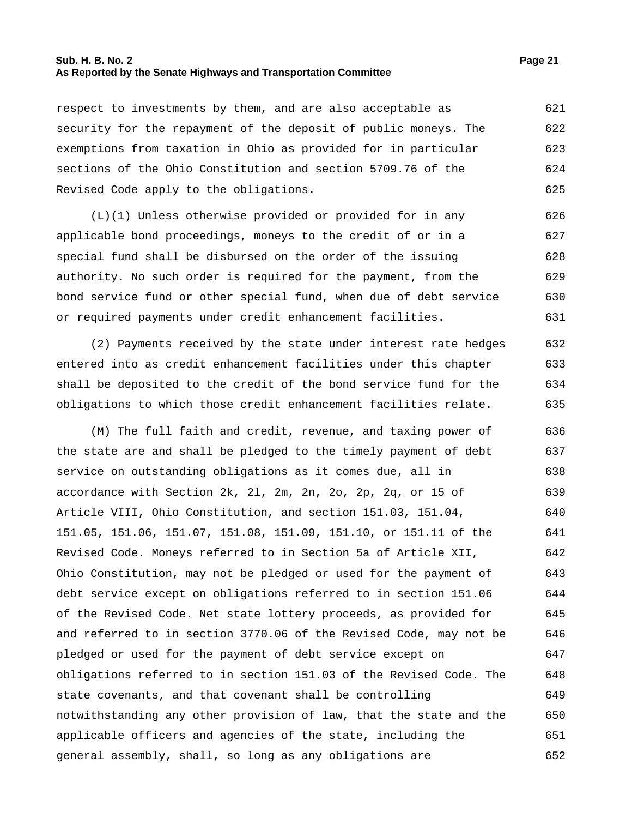#### **Sub. H. B. No. 2 Page 21 As Reported by the Senate Highways and Transportation Committee**

respect to investments by them, and are also acceptable as security for the repayment of the deposit of public moneys. The exemptions from taxation in Ohio as provided for in particular sections of the Ohio Constitution and section 5709.76 of the Revised Code apply to the obligations. 621 622 623 624 625

(L)(1) Unless otherwise provided or provided for in any applicable bond proceedings, moneys to the credit of or in a special fund shall be disbursed on the order of the issuing authority. No such order is required for the payment, from the bond service fund or other special fund, when due of debt service or required payments under credit enhancement facilities. 626 627 628 629 630 631

(2) Payments received by the state under interest rate hedges entered into as credit enhancement facilities under this chapter shall be deposited to the credit of the bond service fund for the obligations to which those credit enhancement facilities relate. 632 633 634 635

(M) The full faith and credit, revenue, and taxing power of the state are and shall be pledged to the timely payment of debt service on outstanding obligations as it comes due, all in accordance with Section 2k, 21, 2m, 2n, 2o, 2p,  $2q$ , or 15 of Article VIII, Ohio Constitution, and section 151.03, 151.04, 151.05, 151.06, 151.07, 151.08, 151.09, 151.10, or 151.11 of the Revised Code. Moneys referred to in Section 5a of Article XII, Ohio Constitution, may not be pledged or used for the payment of debt service except on obligations referred to in section 151.06 of the Revised Code. Net state lottery proceeds, as provided for and referred to in section 3770.06 of the Revised Code, may not be pledged or used for the payment of debt service except on obligations referred to in section 151.03 of the Revised Code. The state covenants, and that covenant shall be controlling notwithstanding any other provision of law, that the state and the applicable officers and agencies of the state, including the general assembly, shall, so long as any obligations are 636 637 638 639 640 641 642 643 644 645 646 647 648 649 650 651 652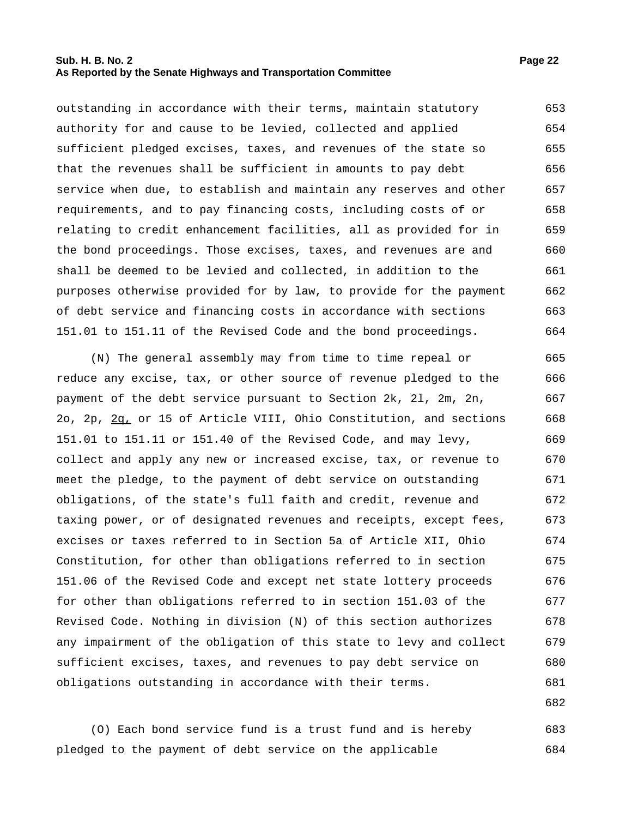#### **Sub. H. B. No. 2 Page 22 As Reported by the Senate Highways and Transportation Committee**

outstanding in accordance with their terms, maintain statutory authority for and cause to be levied, collected and applied sufficient pledged excises, taxes, and revenues of the state so that the revenues shall be sufficient in amounts to pay debt service when due, to establish and maintain any reserves and other requirements, and to pay financing costs, including costs of or relating to credit enhancement facilities, all as provided for in the bond proceedings. Those excises, taxes, and revenues are and shall be deemed to be levied and collected, in addition to the purposes otherwise provided for by law, to provide for the payment of debt service and financing costs in accordance with sections 151.01 to 151.11 of the Revised Code and the bond proceedings. 653 654 655 656 657 658 659 660 661 662 663 664

(N) The general assembly may from time to time repeal or reduce any excise, tax, or other source of revenue pledged to the payment of the debt service pursuant to Section 2k, 2l, 2m, 2n, 2o, 2p, 2q, or 15 of Article VIII, Ohio Constitution, and sections 151.01 to 151.11 or 151.40 of the Revised Code, and may levy, collect and apply any new or increased excise, tax, or revenue to meet the pledge, to the payment of debt service on outstanding obligations, of the state's full faith and credit, revenue and taxing power, or of designated revenues and receipts, except fees, excises or taxes referred to in Section 5a of Article XII, Ohio Constitution, for other than obligations referred to in section 151.06 of the Revised Code and except net state lottery proceeds for other than obligations referred to in section 151.03 of the Revised Code. Nothing in division (N) of this section authorizes any impairment of the obligation of this state to levy and collect sufficient excises, taxes, and revenues to pay debt service on obligations outstanding in accordance with their terms. 665 666 667 668 669 670 671 672 673 674 675 676 677 678 679 680 681

682

(O) Each bond service fund is a trust fund and is hereby pledged to the payment of debt service on the applicable 683 684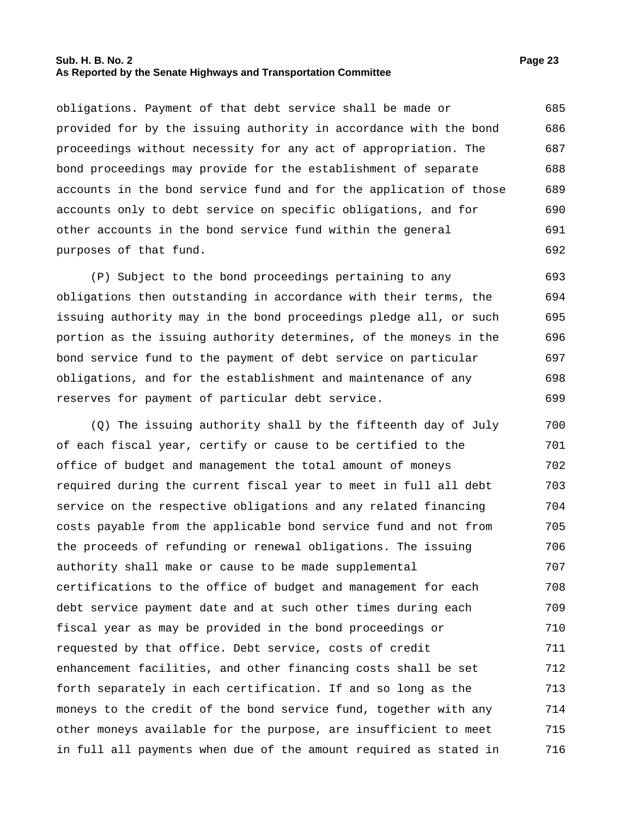#### **Sub. H. B. No. 2 Page 23 As Reported by the Senate Highways and Transportation Committee**

obligations. Payment of that debt service shall be made or provided for by the issuing authority in accordance with the bond proceedings without necessity for any act of appropriation. The bond proceedings may provide for the establishment of separate accounts in the bond service fund and for the application of those accounts only to debt service on specific obligations, and for other accounts in the bond service fund within the general purposes of that fund. 685 686 687 688 689 690 691 692

(P) Subject to the bond proceedings pertaining to any obligations then outstanding in accordance with their terms, the issuing authority may in the bond proceedings pledge all, or such portion as the issuing authority determines, of the moneys in the bond service fund to the payment of debt service on particular obligations, and for the establishment and maintenance of any reserves for payment of particular debt service. 693 694 695 696 697 698 699

(Q) The issuing authority shall by the fifteenth day of July of each fiscal year, certify or cause to be certified to the office of budget and management the total amount of moneys required during the current fiscal year to meet in full all debt service on the respective obligations and any related financing costs payable from the applicable bond service fund and not from the proceeds of refunding or renewal obligations. The issuing authority shall make or cause to be made supplemental certifications to the office of budget and management for each debt service payment date and at such other times during each fiscal year as may be provided in the bond proceedings or requested by that office. Debt service, costs of credit enhancement facilities, and other financing costs shall be set forth separately in each certification. If and so long as the moneys to the credit of the bond service fund, together with any other moneys available for the purpose, are insufficient to meet in full all payments when due of the amount required as stated in 700 701 702 703 704 705 706 707 708 709 710 711 712 713 714 715 716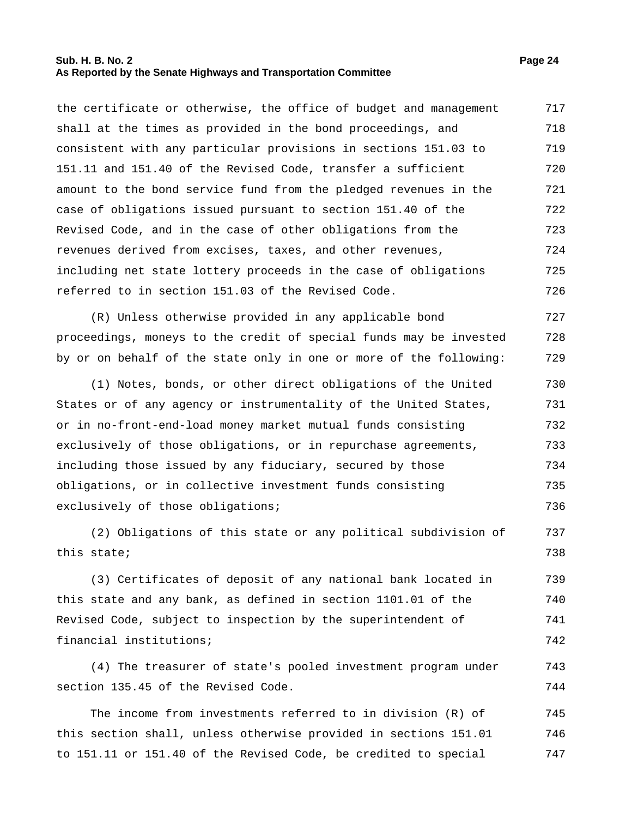#### **Sub. H. B. No. 2 Page 24 As Reported by the Senate Highways and Transportation Committee**

the certificate or otherwise, the office of budget and management shall at the times as provided in the bond proceedings, and consistent with any particular provisions in sections 151.03 to 151.11 and 151.40 of the Revised Code, transfer a sufficient amount to the bond service fund from the pledged revenues in the case of obligations issued pursuant to section 151.40 of the Revised Code, and in the case of other obligations from the revenues derived from excises, taxes, and other revenues, including net state lottery proceeds in the case of obligations referred to in section 151.03 of the Revised Code. 717 718 719 720 721 722 723 724 725 726

(R) Unless otherwise provided in any applicable bond proceedings, moneys to the credit of special funds may be invested by or on behalf of the state only in one or more of the following: 727 728 729

(1) Notes, bonds, or other direct obligations of the United States or of any agency or instrumentality of the United States, or in no-front-end-load money market mutual funds consisting exclusively of those obligations, or in repurchase agreements, including those issued by any fiduciary, secured by those obligations, or in collective investment funds consisting exclusively of those obligations; 730 731 732 733 734 735 736

(2) Obligations of this state or any political subdivision of this state;

(3) Certificates of deposit of any national bank located in this state and any bank, as defined in section 1101.01 of the Revised Code, subject to inspection by the superintendent of financial institutions; 740 741 742

(4) The treasurer of state's pooled investment program under section 135.45 of the Revised Code. 743 744

The income from investments referred to in division (R) of this section shall, unless otherwise provided in sections 151.01 to 151.11 or 151.40 of the Revised Code, be credited to special 745 746 747

739

737

738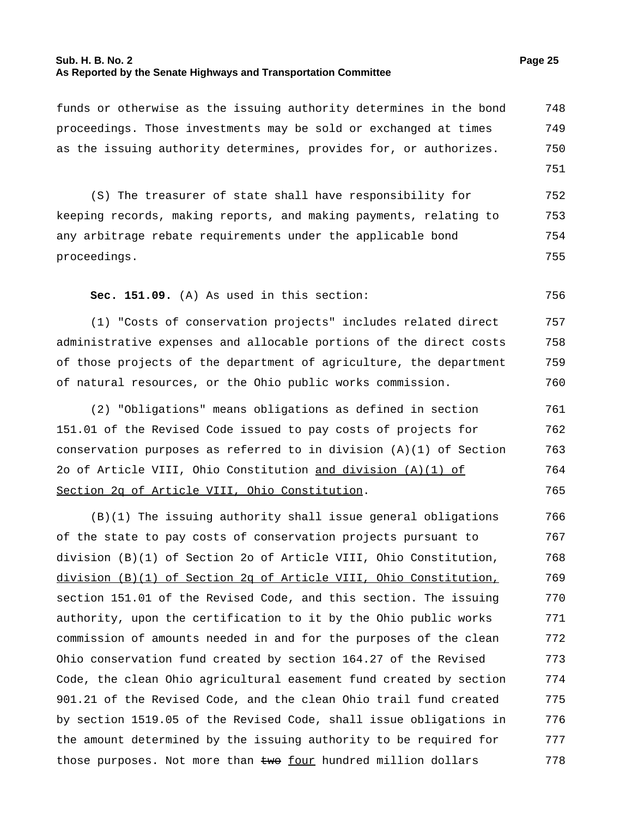#### **Sub. H. B. No. 2 Page 25 As Reported by the Senate Highways and Transportation Committee**

proceedings. Those investments may be sold or exchanged at times as the issuing authority determines, provides for, or authorizes. 749 750 751 (S) The treasurer of state shall have responsibility for keeping records, making reports, and making payments, relating to any arbitrage rebate requirements under the applicable bond proceedings. 752 753 754 755 **Sec. 151.09.** (A) As used in this section: 756 (1) "Costs of conservation projects" includes related direct administrative expenses and allocable portions of the direct costs of those projects of the department of agriculture, the department of natural resources, or the Ohio public works commission. 757 758 759 760 (2) "Obligations" means obligations as defined in section 151.01 of the Revised Code issued to pay costs of projects for conservation purposes as referred to in division (A)(1) of Section 761 762 763

funds or otherwise as the issuing authority determines in the bond

2o of Article VIII, Ohio Constitution and division  $(A)(1)$  of Section 2q of Article VIII, Ohio Constitution. 764 765

(B)(1) The issuing authority shall issue general obligations of the state to pay costs of conservation projects pursuant to division (B)(1) of Section 2o of Article VIII, Ohio Constitution, division (B)(1) of Section 2q of Article VIII, Ohio Constitution, section 151.01 of the Revised Code, and this section. The issuing authority, upon the certification to it by the Ohio public works commission of amounts needed in and for the purposes of the clean Ohio conservation fund created by section 164.27 of the Revised Code, the clean Ohio agricultural easement fund created by section 901.21 of the Revised Code, and the clean Ohio trail fund created by section 1519.05 of the Revised Code, shall issue obligations in the amount determined by the issuing authority to be required for those purposes. Not more than  $\frac{1}{2}$  four hundred million dollars 766 767 768 769 770 771 772 773 774 775 776 777 778

748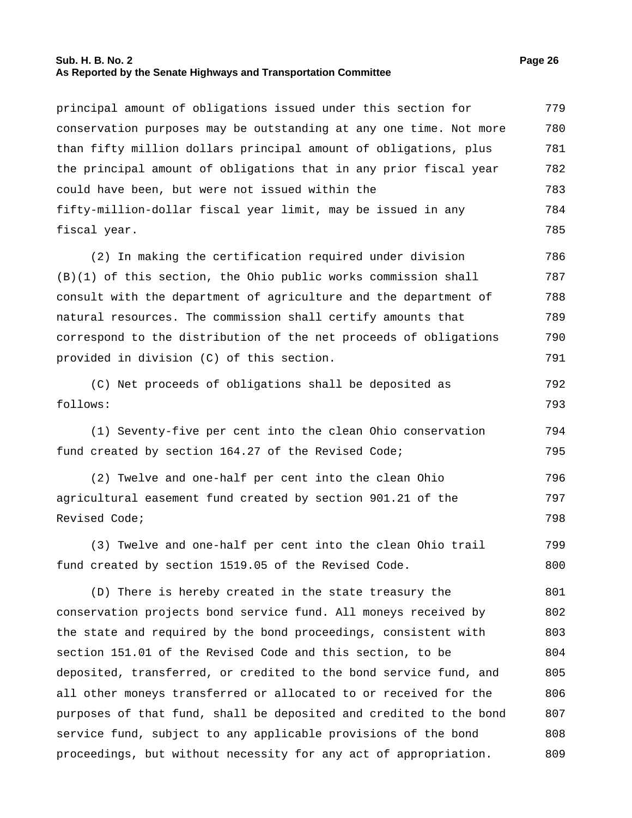#### **Sub. H. B. No. 2 Page 26 As Reported by the Senate Highways and Transportation Committee**

principal amount of obligations issued under this section for conservation purposes may be outstanding at any one time. Not more than fifty million dollars principal amount of obligations, plus the principal amount of obligations that in any prior fiscal year could have been, but were not issued within the fifty-million-dollar fiscal year limit, may be issued in any fiscal year. 779 780 781 782 783 784 785

(2) In making the certification required under division (B)(1) of this section, the Ohio public works commission shall consult with the department of agriculture and the department of natural resources. The commission shall certify amounts that correspond to the distribution of the net proceeds of obligations provided in division (C) of this section. 786 787 788 789 790 791

(C) Net proceeds of obligations shall be deposited as follows: 792 793

(1) Seventy-five per cent into the clean Ohio conservation fund created by section 164.27 of the Revised Code; 794 795

(2) Twelve and one-half per cent into the clean Ohio agricultural easement fund created by section 901.21 of the Revised Code; 796 797 798

(3) Twelve and one-half per cent into the clean Ohio trail fund created by section 1519.05 of the Revised Code. 799 800

(D) There is hereby created in the state treasury the conservation projects bond service fund. All moneys received by the state and required by the bond proceedings, consistent with section 151.01 of the Revised Code and this section, to be deposited, transferred, or credited to the bond service fund, and all other moneys transferred or allocated to or received for the purposes of that fund, shall be deposited and credited to the bond service fund, subject to any applicable provisions of the bond proceedings, but without necessity for any act of appropriation. 801 802 803 804 805 806 807 808 809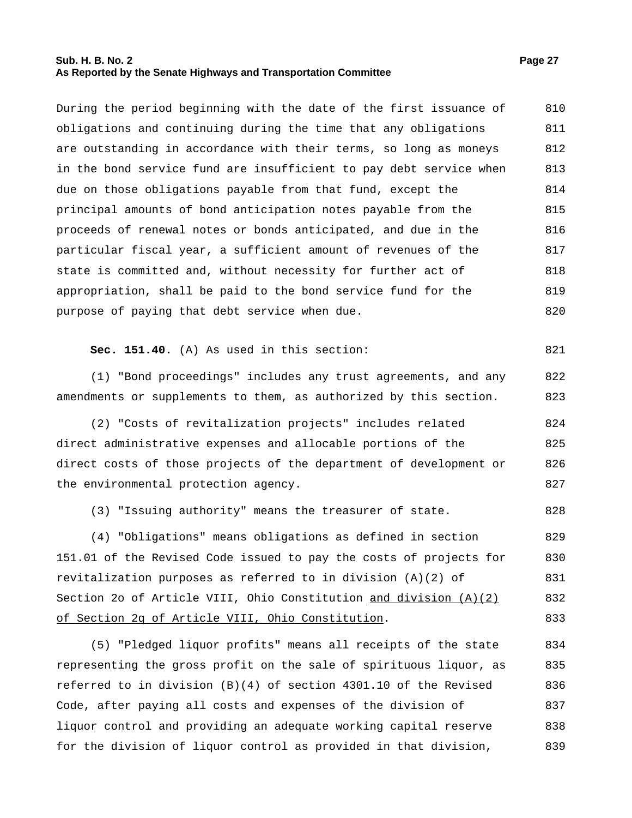## **Sub. H. B. No. 2 Page 27 As Reported by the Senate Highways and Transportation Committee**

| During the period beginning with the date of the first issuance of  | 810 |
|---------------------------------------------------------------------|-----|
| obligations and continuing during the time that any obligations     | 811 |
| are outstanding in accordance with their terms, so long as moneys   | 812 |
| in the bond service fund are insufficient to pay debt service when  | 813 |
| due on those obligations payable from that fund, except the         | 814 |
| principal amounts of bond anticipation notes payable from the       | 815 |
| proceeds of renewal notes or bonds anticipated, and due in the      | 816 |
| particular fiscal year, a sufficient amount of revenues of the      | 817 |
| state is committed and, without necessity for further act of        | 818 |
| appropriation, shall be paid to the bond service fund for the       | 819 |
| purpose of paying that debt service when due.                       | 820 |
|                                                                     |     |
| Sec. 151.40. (A) As used in this section:                           | 821 |
| (1) "Bond proceedings" includes any trust agreements, and any       | 822 |
| amendments or supplements to them, as authorized by this section.   | 823 |
| (2) "Costs of revitalization projects" includes related             | 824 |
| direct administrative expenses and allocable portions of the        | 825 |
| direct costs of those projects of the department of development or  | 826 |
| the environmental protection agency.                                | 827 |
| (3) "Issuing authority" means the treasurer of state.               | 828 |
| (4) "Obligations" means obligations as defined in section           | 829 |
| 151.01 of the Revised Code issued to pay the costs of projects for  | 830 |
| revitalization purposes as referred to in division $(A)(2)$ of      | 831 |
| Section 20 of Article VIII, Ohio Constitution and division $(A)(2)$ | 832 |
| of Section 2q of Article VIII, Ohio Constitution.                   | 833 |
| (5) "Pledged liquor profits" means all receipts of the state        | 834 |
| representing the gross profit on the sale of spirituous liquor, as  | 835 |
| referred to in division $(B)(4)$ of section 4301.10 of the Revised  | 836 |
| Code, after paying all costs and expenses of the division of        | 837 |
| liquor control and providing an adequate working capital reserve    | 838 |
| for the division of liquor control as provided in that division,    | 839 |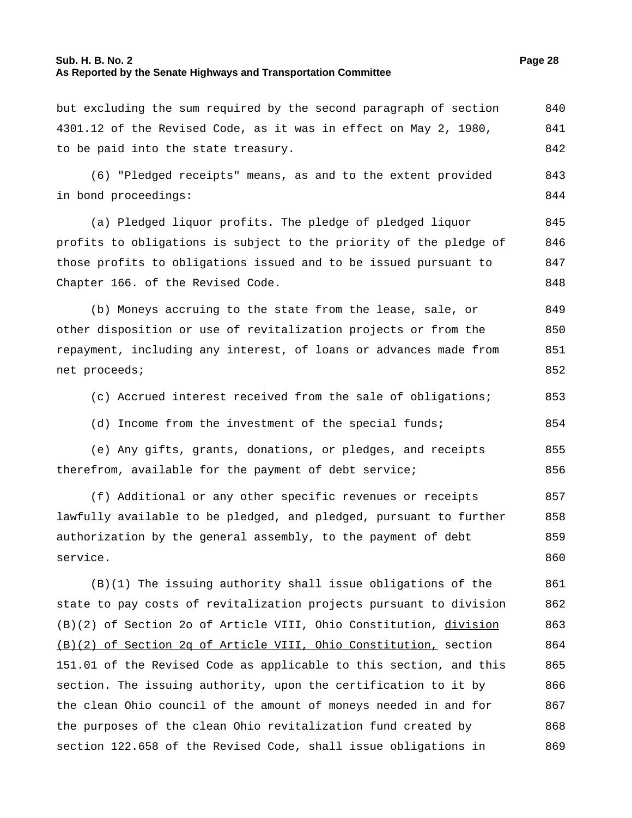#### **Sub. H. B. No. 2 Page 28 As Reported by the Senate Highways and Transportation Committee**

but excluding the sum required by the second paragraph of section 4301.12 of the Revised Code, as it was in effect on May 2, 1980, to be paid into the state treasury. 840 841 842 (6) "Pledged receipts" means, as and to the extent provided in bond proceedings: 843 844 (a) Pledged liquor profits. The pledge of pledged liquor profits to obligations is subject to the priority of the pledge of those profits to obligations issued and to be issued pursuant to Chapter 166. of the Revised Code. 845 846 847 848 (b) Moneys accruing to the state from the lease, sale, or other disposition or use of revitalization projects or from the repayment, including any interest, of loans or advances made from net proceeds; 849 850 851 852 (c) Accrued interest received from the sale of obligations; 853 (d) Income from the investment of the special funds; 854

(e) Any gifts, grants, donations, or pledges, and receipts therefrom, available for the payment of debt service; 855 856

(f) Additional or any other specific revenues or receipts lawfully available to be pledged, and pledged, pursuant to further authorization by the general assembly, to the payment of debt service. 857 858 859 860

(B)(1) The issuing authority shall issue obligations of the state to pay costs of revitalization projects pursuant to division (B)(2) of Section 2o of Article VIII, Ohio Constitution, division (B)(2) of Section 2q of Article VIII, Ohio Constitution, section 151.01 of the Revised Code as applicable to this section, and this section. The issuing authority, upon the certification to it by the clean Ohio council of the amount of moneys needed in and for the purposes of the clean Ohio revitalization fund created by section 122.658 of the Revised Code, shall issue obligations in 861 862 863 864 865 866 867 868 869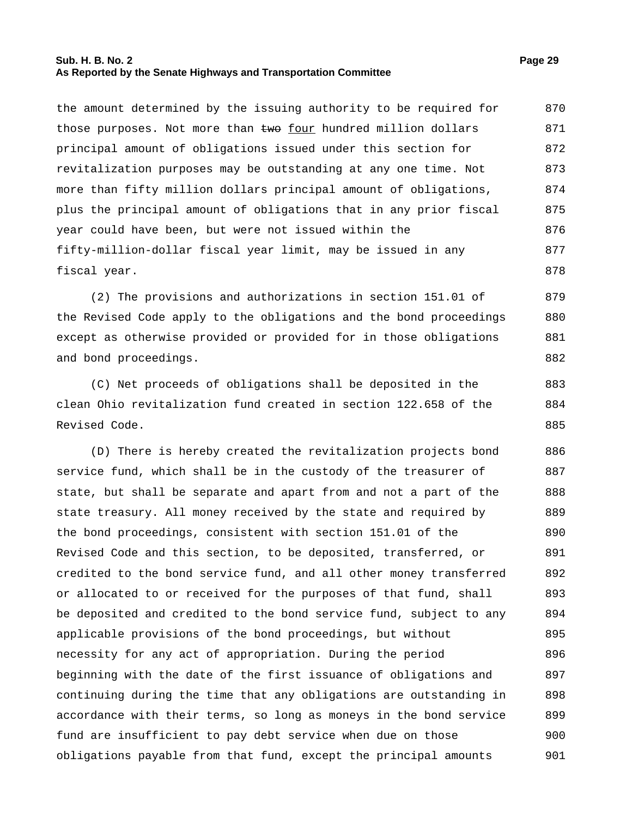#### **Sub. H. B. No. 2 Page 29 As Reported by the Senate Highways and Transportation Committee**

the amount determined by the issuing authority to be required for those purposes. Not more than  $t$ we four hundred million dollars principal amount of obligations issued under this section for revitalization purposes may be outstanding at any one time. Not more than fifty million dollars principal amount of obligations, plus the principal amount of obligations that in any prior fiscal year could have been, but were not issued within the fifty-million-dollar fiscal year limit, may be issued in any fiscal year. 870 871 872 873 874 875 876 877 878

(2) The provisions and authorizations in section 151.01 of the Revised Code apply to the obligations and the bond proceedings except as otherwise provided or provided for in those obligations and bond proceedings. 879 880 881 882

(C) Net proceeds of obligations shall be deposited in the clean Ohio revitalization fund created in section 122.658 of the Revised Code. 883 884 885

(D) There is hereby created the revitalization projects bond service fund, which shall be in the custody of the treasurer of state, but shall be separate and apart from and not a part of the state treasury. All money received by the state and required by the bond proceedings, consistent with section 151.01 of the Revised Code and this section, to be deposited, transferred, or credited to the bond service fund, and all other money transferred or allocated to or received for the purposes of that fund, shall be deposited and credited to the bond service fund, subject to any applicable provisions of the bond proceedings, but without necessity for any act of appropriation. During the period beginning with the date of the first issuance of obligations and continuing during the time that any obligations are outstanding in accordance with their terms, so long as moneys in the bond service fund are insufficient to pay debt service when due on those obligations payable from that fund, except the principal amounts 886 887 888 889 890 891 892 893 894 895 896 897 898 899 900 901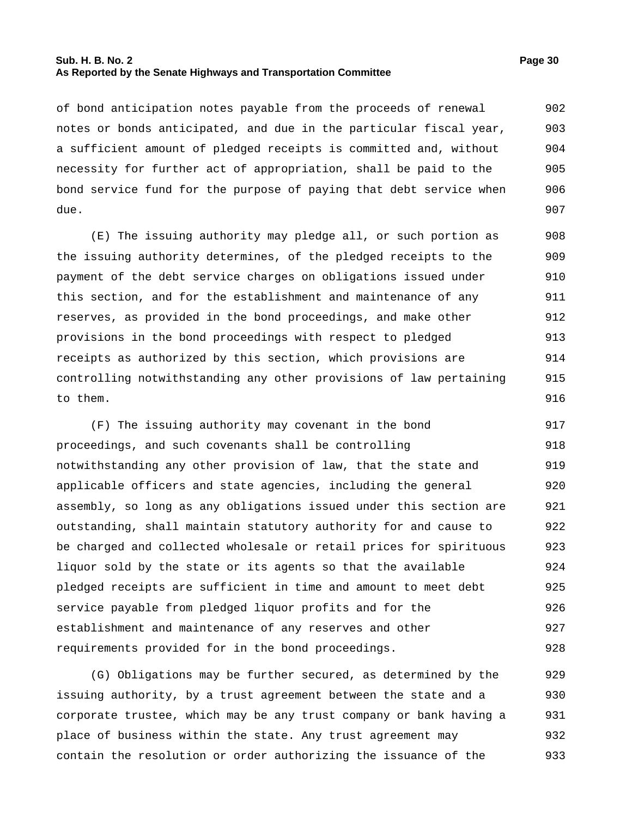#### **Sub. H. B. No. 2 Page 30 As Reported by the Senate Highways and Transportation Committee**

of bond anticipation notes payable from the proceeds of renewal notes or bonds anticipated, and due in the particular fiscal year, a sufficient amount of pledged receipts is committed and, without necessity for further act of appropriation, shall be paid to the bond service fund for the purpose of paying that debt service when due. 902 903 904 905 906 907

(E) The issuing authority may pledge all, or such portion as the issuing authority determines, of the pledged receipts to the payment of the debt service charges on obligations issued under this section, and for the establishment and maintenance of any reserves, as provided in the bond proceedings, and make other provisions in the bond proceedings with respect to pledged receipts as authorized by this section, which provisions are controlling notwithstanding any other provisions of law pertaining to them. 908 909 910 911 912 913 914 915 916

(F) The issuing authority may covenant in the bond proceedings, and such covenants shall be controlling notwithstanding any other provision of law, that the state and applicable officers and state agencies, including the general assembly, so long as any obligations issued under this section are outstanding, shall maintain statutory authority for and cause to be charged and collected wholesale or retail prices for spirituous liquor sold by the state or its agents so that the available pledged receipts are sufficient in time and amount to meet debt service payable from pledged liquor profits and for the establishment and maintenance of any reserves and other requirements provided for in the bond proceedings. 917 918 919 920 921 922 923 924 925 926 927 928

(G) Obligations may be further secured, as determined by the issuing authority, by a trust agreement between the state and a corporate trustee, which may be any trust company or bank having a place of business within the state. Any trust agreement may contain the resolution or order authorizing the issuance of the 929 930 931 932 933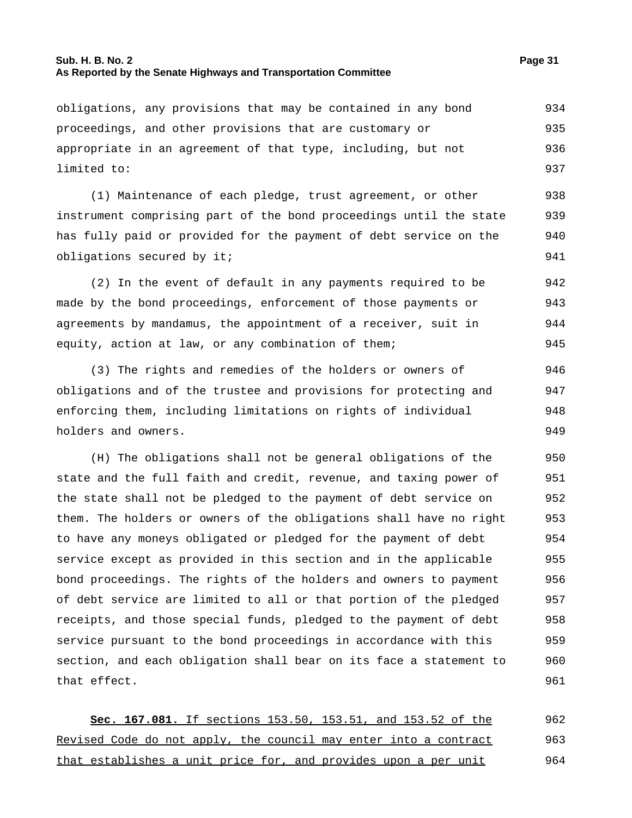#### **Sub. H. B. No. 2 Page 31 As Reported by the Senate Highways and Transportation Committee**

obligations, any provisions that may be contained in any bond proceedings, and other provisions that are customary or appropriate in an agreement of that type, including, but not limited to: 934 935 936 937

(1) Maintenance of each pledge, trust agreement, or other instrument comprising part of the bond proceedings until the state has fully paid or provided for the payment of debt service on the obligations secured by it; 938 939 940 941

(2) In the event of default in any payments required to be made by the bond proceedings, enforcement of those payments or agreements by mandamus, the appointment of a receiver, suit in equity, action at law, or any combination of them; 942 943 944 945

(3) The rights and remedies of the holders or owners of obligations and of the trustee and provisions for protecting and enforcing them, including limitations on rights of individual holders and owners. 946 947 948 949

(H) The obligations shall not be general obligations of the state and the full faith and credit, revenue, and taxing power of the state shall not be pledged to the payment of debt service on them. The holders or owners of the obligations shall have no right to have any moneys obligated or pledged for the payment of debt service except as provided in this section and in the applicable bond proceedings. The rights of the holders and owners to payment of debt service are limited to all or that portion of the pledged receipts, and those special funds, pledged to the payment of debt service pursuant to the bond proceedings in accordance with this section, and each obligation shall bear on its face a statement to that effect. 950 951 952 953 954 955 956 957 958 959 960 961

**Sec. 167.081.** If sections 153.50, 153.51, and 153.52 of the Revised Code do not apply, the council may enter into a contract that establishes a unit price for, and provides upon a per unit 962 963 964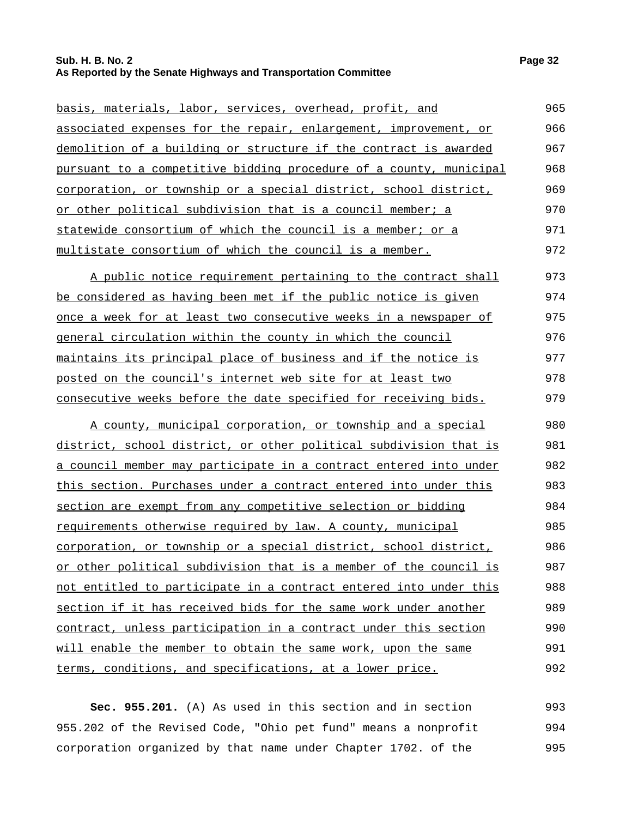### **Sub. H. B. No. 2 Page 32 As Reported by the Senate Highways and Transportation Committee**

| basis, materials, labor, services, overhead, profit, and                | 965 |
|-------------------------------------------------------------------------|-----|
| associated expenses for the repair, enlargement, improvement, or        | 966 |
| demolition of a building or structure if the contract is awarded        | 967 |
| pursuant to a competitive bidding procedure of a county, municipal      | 968 |
| corporation, or township or a special district, school district,        | 969 |
| or other political subdivision that is a council member; a              | 970 |
| statewide consortium of which the council is a member; or a             | 971 |
| multistate consortium of which the council is a member.                 | 972 |
| A public notice requirement pertaining to the contract shall            | 973 |
| be considered as having been met if the public notice is given          | 974 |
| <u>once a week for at least two consecutive weeks in a newspaper of</u> | 975 |
| <u>general circulation within the county in which the council</u>       | 976 |
| maintains its principal place of business and if the notice is          | 977 |
| posted on the council's internet web site for at least two              | 978 |
| consecutive weeks before the date specified for receiving bids.         | 979 |
| A county, municipal corporation, or township and a special              | 980 |
| district, school district, or other political subdivision that is       | 981 |
| a council member may participate in a contract entered into under       | 982 |
| this section. Purchases under a contract entered into under this        | 983 |
| section are exempt from any competitive selection or bidding            | 984 |
| requirements otherwise required by law. A county, municipal             | 985 |
| corporation, or township or a special district, school district,        | 986 |
| or other political subdivision that is a member of the council is       | 987 |
| not entitled to participate in a contract entered into under this       | 988 |
| section if it has received bids for the same work under another         | 989 |
| contract, unless participation in a contract under this section         | 990 |
| will enable the member to obtain the same work, upon the same           | 991 |
| terms, conditions, and specifications, at a lower price.                | 992 |

**Sec. 955.201.** (A) As used in this section and in section 955.202 of the Revised Code, "Ohio pet fund" means a nonprofit corporation organized by that name under Chapter 1702. of the 993 994 995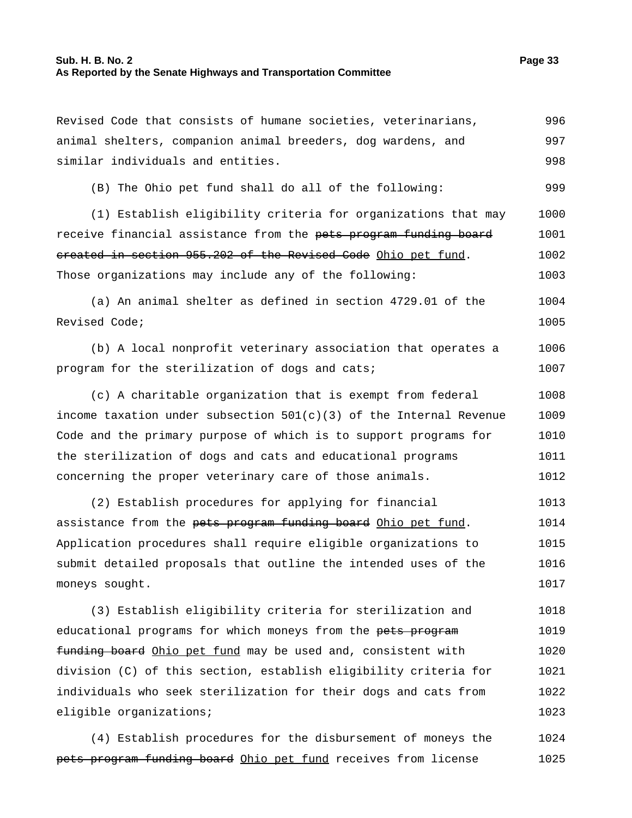| Revised Code that consists of humane societies, veterinarians,       | 996  |
|----------------------------------------------------------------------|------|
| animal shelters, companion animal breeders, dog wardens, and         | 997  |
| similar individuals and entities.                                    | 998  |
| (B) The Ohio pet fund shall do all of the following:                 | 999  |
| (1) Establish eligibility criteria for organizations that may        | 1000 |
| receive financial assistance from the pets program funding board     | 1001 |
| ereated in section 955.202 of the Revised Code Ohio pet fund.        | 1002 |
| Those organizations may include any of the following:                | 1003 |
| (a) An animal shelter as defined in section 4729.01 of the           | 1004 |
| Revised Code;                                                        | 1005 |
| (b) A local nonprofit veterinary association that operates a         | 1006 |
| program for the sterilization of dogs and cats;                      | 1007 |
| (c) A charitable organization that is exempt from federal            | 1008 |
| income taxation under subsection $501(c)(3)$ of the Internal Revenue | 1009 |
| Code and the primary purpose of which is to support programs for     | 1010 |
| the sterilization of dogs and cats and educational programs          | 1011 |
| concerning the proper veterinary care of those animals.              | 1012 |
| (2) Establish procedures for applying for financial                  | 1013 |
| assistance from the pets program funding board Ohio pet fund.        | 1014 |
| Application procedures shall require eligible organizations to       | 1015 |
| submit detailed proposals that outline the intended uses of the      | 1016 |
| moneys sought.                                                       | 1017 |
| (3) Establish eligibility criteria for sterilization and             | 1018 |
| educational programs for which moneys from the pets program          | 1019 |
| funding board Ohio pet fund may be used and, consistent with         | 1020 |
| division (C) of this section, establish eligibility criteria for     | 1021 |
| individuals who seek sterilization for their dogs and cats from      | 1022 |
| eligible organizations;                                              | 1023 |
|                                                                      |      |

(4) Establish procedures for the disbursement of moneys the pets program funding board Ohio pet fund receives from license 1024 1025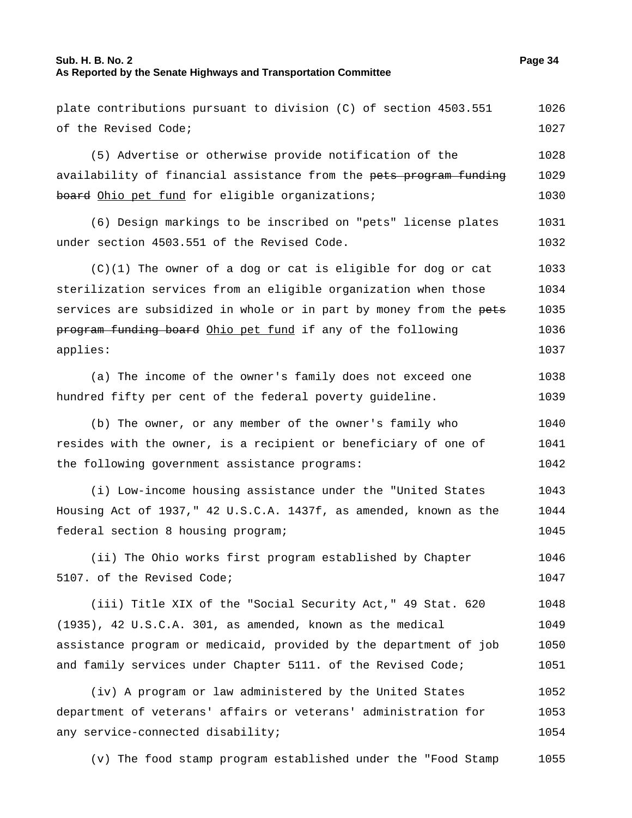#### **Sub. H. B. No. 2 Page 34 As Reported by the Senate Highways and Transportation Committee**

plate contributions pursuant to division (C) of section 4503.551

of the Revised Code; 1027 (5) Advertise or otherwise provide notification of the availability of financial assistance from the pets program funding board Ohio pet fund for eligible organizations; 1028 1029 1030 (6) Design markings to be inscribed on "pets" license plates under section 4503.551 of the Revised Code. 1031 1032  $(C)(1)$  The owner of a dog or cat is eligible for dog or cat sterilization services from an eligible organization when those services are subsidized in whole or in part by money from the pets program funding board Ohio pet fund if any of the following applies: 1033 1034 1035 1036 1037 (a) The income of the owner's family does not exceed one hundred fifty per cent of the federal poverty guideline. 1038 1039 (b) The owner, or any member of the owner's family who (i) Low-income housing assistance under the "United States (ii) The Ohio works first program established by Chapter (iii) Title XIX of the "Social Security Act," 49 Stat. 620 1048 (iv) A program or law administered by the United States department of veterans' affairs or veterans' administration for any service-connected disability; 1052 1053 1054

(v) The food stamp program established under the "Food Stamp 1055

1026

resides with the owner, is a recipient or beneficiary of one of the following government assistance programs: 1040 1041 1042

Housing Act of 1937," 42 U.S.C.A. 1437f, as amended, known as the federal section 8 housing program; 1043 1044 1045

5107. of the Revised Code; 1046 1047

(1935), 42 U.S.C.A. 301, as amended, known as the medical assistance program or medicaid, provided by the department of job and family services under Chapter 5111. of the Revised Code; 1049 1050 1051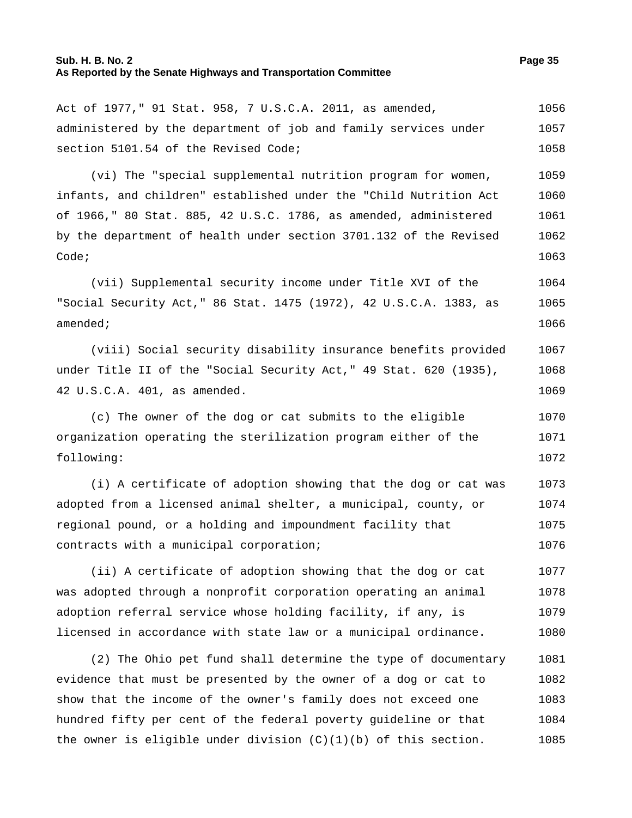#### **Sub. H. B. No. 2 Page 35 As Reported by the Senate Highways and Transportation Committee**

Act of 1977," 91 Stat. 958, 7 U.S.C.A. 2011, as amended, administered by the department of job and family services under section 5101.54 of the Revised Code; 1056 1057 1058

(vi) The "special supplemental nutrition program for women, infants, and children" established under the "Child Nutrition Act of 1966," 80 Stat. 885, 42 U.S.C. 1786, as amended, administered by the department of health under section 3701.132 of the Revised Code; 1059 1060 1061 1062 1063

(vii) Supplemental security income under Title XVI of the "Social Security Act," 86 Stat. 1475 (1972), 42 U.S.C.A. 1383, as amended; 1064 1065 1066

(viii) Social security disability insurance benefits provided under Title II of the "Social Security Act," 49 Stat. 620 (1935), 42 U.S.C.A. 401, as amended. 1067 1068 1069

(c) The owner of the dog or cat submits to the eligible organization operating the sterilization program either of the following: 1070 1071 1072

(i) A certificate of adoption showing that the dog or cat was adopted from a licensed animal shelter, a municipal, county, or regional pound, or a holding and impoundment facility that contracts with a municipal corporation; 1073 1074 1075 1076

(ii) A certificate of adoption showing that the dog or cat was adopted through a nonprofit corporation operating an animal adoption referral service whose holding facility, if any, is licensed in accordance with state law or a municipal ordinance. 1077 1078 1079 1080

(2) The Ohio pet fund shall determine the type of documentary evidence that must be presented by the owner of a dog or cat to show that the income of the owner's family does not exceed one hundred fifty per cent of the federal poverty guideline or that the owner is eligible under division  $(C)(1)(b)$  of this section. 1081 1082 1083 1084 1085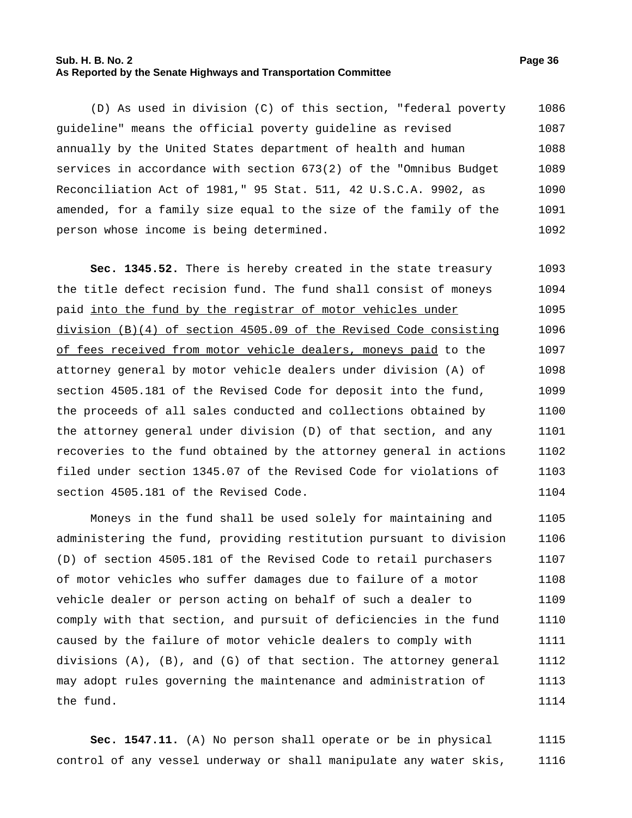#### **Sub. H. B. No. 2 Page 36 As Reported by the Senate Highways and Transportation Committee**

(D) As used in division (C) of this section, "federal poverty guideline" means the official poverty guideline as revised annually by the United States department of health and human services in accordance with section 673(2) of the "Omnibus Budget Reconciliation Act of 1981," 95 Stat. 511, 42 U.S.C.A. 9902, as amended, for a family size equal to the size of the family of the person whose income is being determined. 1086 1087 1088 1089 1090 1091 1092

**Sec. 1345.52.** There is hereby created in the state treasury the title defect recision fund. The fund shall consist of moneys paid into the fund by the registrar of motor vehicles under division (B)(4) of section 4505.09 of the Revised Code consisting of fees received from motor vehicle dealers, moneys paid to the attorney general by motor vehicle dealers under division (A) of section 4505.181 of the Revised Code for deposit into the fund, the proceeds of all sales conducted and collections obtained by the attorney general under division (D) of that section, and any recoveries to the fund obtained by the attorney general in actions filed under section 1345.07 of the Revised Code for violations of section 4505.181 of the Revised Code. 1093 1094 1095 1096 1097 1098 1099 1100 1101 1102 1103 1104

Moneys in the fund shall be used solely for maintaining and administering the fund, providing restitution pursuant to division (D) of section 4505.181 of the Revised Code to retail purchasers of motor vehicles who suffer damages due to failure of a motor vehicle dealer or person acting on behalf of such a dealer to comply with that section, and pursuit of deficiencies in the fund caused by the failure of motor vehicle dealers to comply with divisions (A), (B), and (G) of that section. The attorney general may adopt rules governing the maintenance and administration of the fund. 1105 1106 1107 1108 1109 1110 1111 1112 1113 1114

**Sec. 1547.11.** (A) No person shall operate or be in physical control of any vessel underway or shall manipulate any water skis, 1115 1116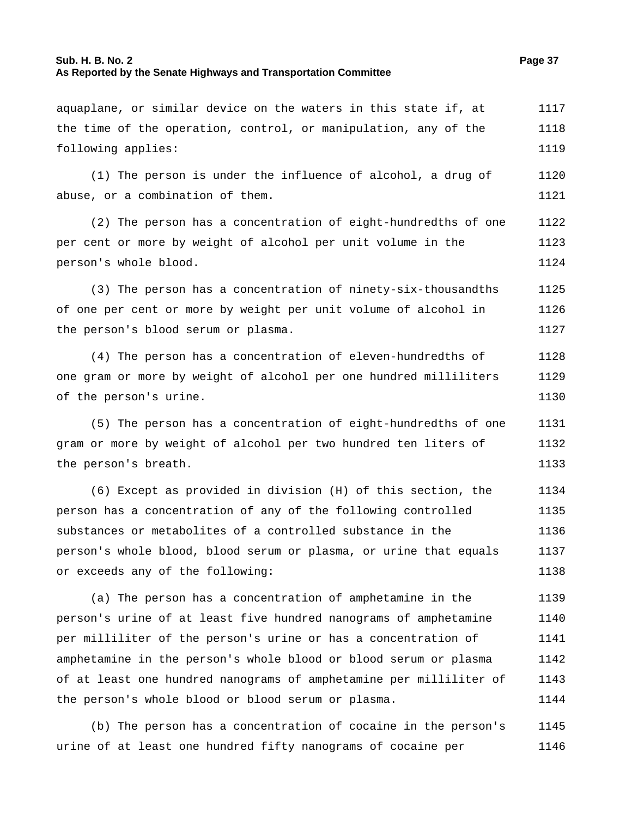# **Sub. H. B. No. 2 Page 37 As Reported by the Senate Highways and Transportation Committee**

aquaplane, or similar device on the waters in this state if, at

the time of the operation, control, or manipulation, any of the following applies: 1118 1119 (1) The person is under the influence of alcohol, a drug of abuse, or a combination of them. 1120 1121 (2) The person has a concentration of eight-hundredths of one per cent or more by weight of alcohol per unit volume in the person's whole blood. 1122 1123 1124 (3) The person has a concentration of ninety-six-thousandths of one per cent or more by weight per unit volume of alcohol in the person's blood serum or plasma. 1125 1126 1127 (4) The person has a concentration of eleven-hundredths of one gram or more by weight of alcohol per one hundred milliliters of the person's urine. 1128 1129 1130 (5) The person has a concentration of eight-hundredths of one gram or more by weight of alcohol per two hundred ten liters of the person's breath. 1131 1132 1133 (6) Except as provided in division (H) of this section, the person has a concentration of any of the following controlled substances or metabolites of a controlled substance in the person's whole blood, blood serum or plasma, or urine that equals or exceeds any of the following: 1134 1135 1136 1137 1138 (a) The person has a concentration of amphetamine in the person's urine of at least five hundred nanograms of amphetamine per milliliter of the person's urine or has a concentration of amphetamine in the person's whole blood or blood serum or plasma of at least one hundred nanograms of amphetamine per milliliter of the person's whole blood or blood serum or plasma. 1139 1140 1141 1142 1143 1144

(b) The person has a concentration of cocaine in the person's urine of at least one hundred fifty nanograms of cocaine per 1145 1146

1117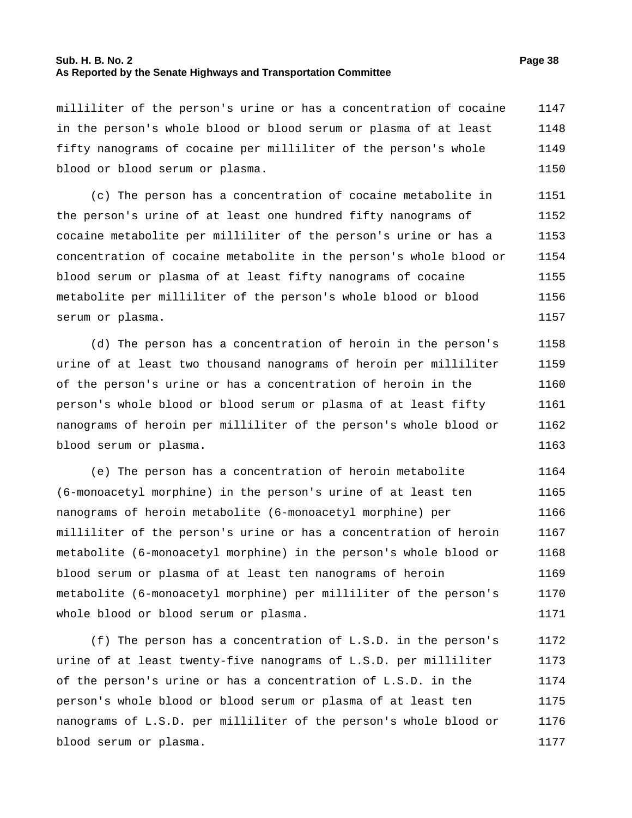# **Sub. H. B. No. 2 Page 38 As Reported by the Senate Highways and Transportation Committee**

milliliter of the person's urine or has a concentration of cocaine in the person's whole blood or blood serum or plasma of at least fifty nanograms of cocaine per milliliter of the person's whole blood or blood serum or plasma. 1147 1148 1149 1150

(c) The person has a concentration of cocaine metabolite in the person's urine of at least one hundred fifty nanograms of cocaine metabolite per milliliter of the person's urine or has a concentration of cocaine metabolite in the person's whole blood or blood serum or plasma of at least fifty nanograms of cocaine metabolite per milliliter of the person's whole blood or blood serum or plasma. 1151 1152 1153 1154 1155 1156 1157

(d) The person has a concentration of heroin in the person's urine of at least two thousand nanograms of heroin per milliliter of the person's urine or has a concentration of heroin in the person's whole blood or blood serum or plasma of at least fifty nanograms of heroin per milliliter of the person's whole blood or blood serum or plasma. 1158 1159 1160 1161 1162 1163

(e) The person has a concentration of heroin metabolite (6-monoacetyl morphine) in the person's urine of at least ten nanograms of heroin metabolite (6-monoacetyl morphine) per milliliter of the person's urine or has a concentration of heroin metabolite (6-monoacetyl morphine) in the person's whole blood or blood serum or plasma of at least ten nanograms of heroin metabolite (6-monoacetyl morphine) per milliliter of the person's whole blood or blood serum or plasma. 1164 1165 1166 1167 1168 1169 1170 1171

(f) The person has a concentration of L.S.D. in the person's urine of at least twenty-five nanograms of L.S.D. per milliliter of the person's urine or has a concentration of L.S.D. in the person's whole blood or blood serum or plasma of at least ten nanograms of L.S.D. per milliliter of the person's whole blood or blood serum or plasma. 1172 1173 1174 1175 1176 1177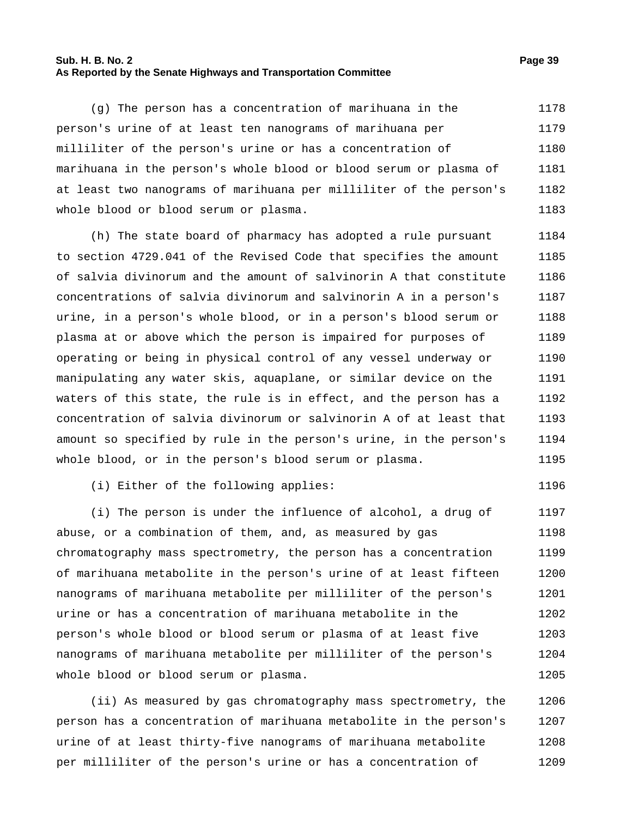#### **Sub. H. B. No. 2 Page 39 As Reported by the Senate Highways and Transportation Committee**

(g) The person has a concentration of marihuana in the person's urine of at least ten nanograms of marihuana per milliliter of the person's urine or has a concentration of marihuana in the person's whole blood or blood serum or plasma of at least two nanograms of marihuana per milliliter of the person's whole blood or blood serum or plasma. 1178 1179 1180 1181 1182 1183

(h) The state board of pharmacy has adopted a rule pursuant to section 4729.041 of the Revised Code that specifies the amount of salvia divinorum and the amount of salvinorin A that constitute concentrations of salvia divinorum and salvinorin A in a person's urine, in a person's whole blood, or in a person's blood serum or plasma at or above which the person is impaired for purposes of operating or being in physical control of any vessel underway or manipulating any water skis, aquaplane, or similar device on the waters of this state, the rule is in effect, and the person has a concentration of salvia divinorum or salvinorin A of at least that amount so specified by rule in the person's urine, in the person's whole blood, or in the person's blood serum or plasma. 1184 1185 1186 1187 1188 1189 1190 1191 1192 1193 1194 1195

(i) Either of the following applies: 1196

(i) The person is under the influence of alcohol, a drug of abuse, or a combination of them, and, as measured by gas chromatography mass spectrometry, the person has a concentration of marihuana metabolite in the person's urine of at least fifteen nanograms of marihuana metabolite per milliliter of the person's urine or has a concentration of marihuana metabolite in the person's whole blood or blood serum or plasma of at least five nanograms of marihuana metabolite per milliliter of the person's whole blood or blood serum or plasma. 1197 1198 1199 1200 1201 1202 1203 1204 1205

(ii) As measured by gas chromatography mass spectrometry, the person has a concentration of marihuana metabolite in the person's urine of at least thirty-five nanograms of marihuana metabolite per milliliter of the person's urine or has a concentration of 1206 1207 1208 1209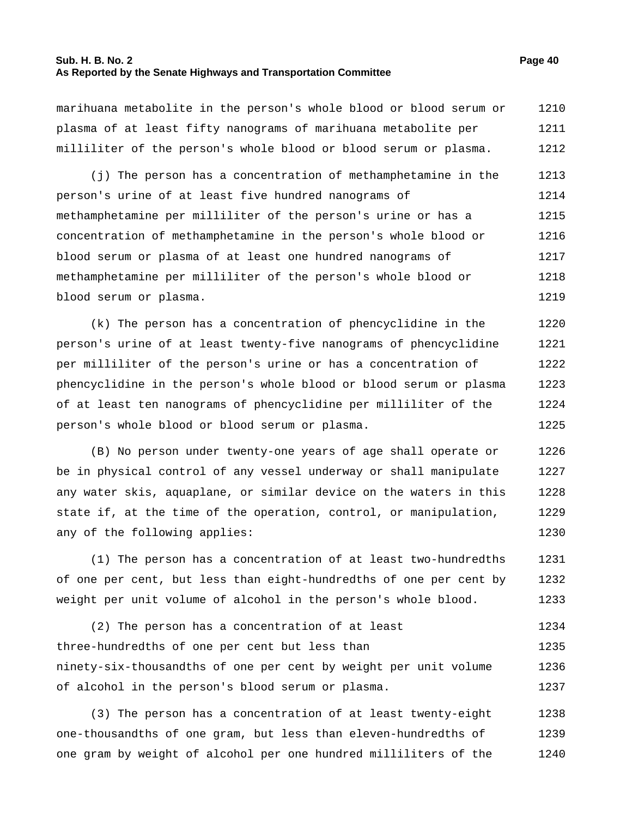#### **Sub. H. B. No. 2 Page 40 As Reported by the Senate Highways and Transportation Committee**

marihuana metabolite in the person's whole blood or blood serum or plasma of at least fifty nanograms of marihuana metabolite per milliliter of the person's whole blood or blood serum or plasma. 1210 1211 1212

(j) The person has a concentration of methamphetamine in the person's urine of at least five hundred nanograms of methamphetamine per milliliter of the person's urine or has a concentration of methamphetamine in the person's whole blood or blood serum or plasma of at least one hundred nanograms of methamphetamine per milliliter of the person's whole blood or blood serum or plasma. 1213 1214 1215 1216 1217 1218 1219

(k) The person has a concentration of phencyclidine in the person's urine of at least twenty-five nanograms of phencyclidine per milliliter of the person's urine or has a concentration of phencyclidine in the person's whole blood or blood serum or plasma of at least ten nanograms of phencyclidine per milliliter of the person's whole blood or blood serum or plasma. 1220 1221 1222 1223 1224 1225

(B) No person under twenty-one years of age shall operate or be in physical control of any vessel underway or shall manipulate any water skis, aquaplane, or similar device on the waters in this state if, at the time of the operation, control, or manipulation, any of the following applies: 1226 1227 1228 1229 1230

(1) The person has a concentration of at least two-hundredths of one per cent, but less than eight-hundredths of one per cent by weight per unit volume of alcohol in the person's whole blood. 1231 1232 1233

(2) The person has a concentration of at least three-hundredths of one per cent but less than ninety-six-thousandths of one per cent by weight per unit volume of alcohol in the person's blood serum or plasma. 1234 1235 1236 1237

(3) The person has a concentration of at least twenty-eight one-thousandths of one gram, but less than eleven-hundredths of one gram by weight of alcohol per one hundred milliliters of the 1238 1239 1240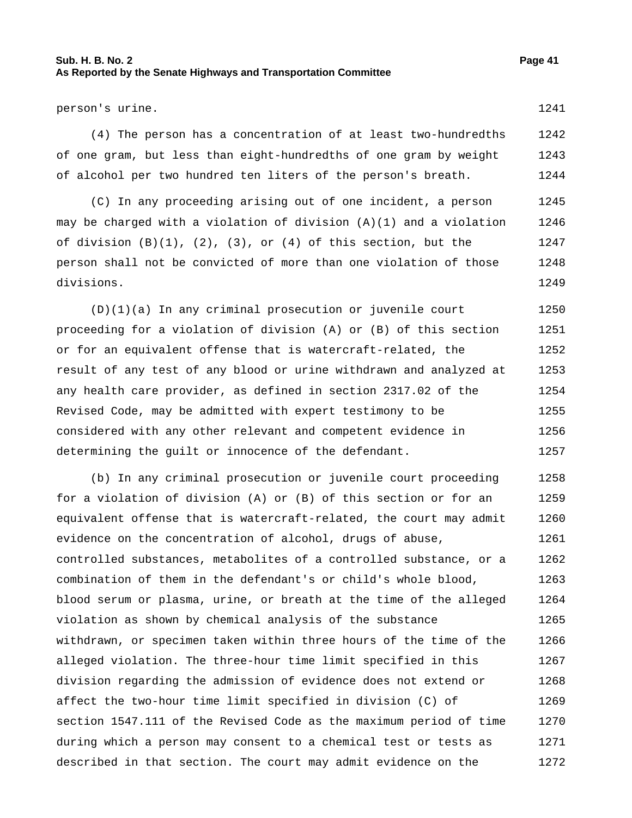# **Sub. H. B. No. 2 Page 41 As Reported by the Senate Highways and Transportation Committee**

person's urine. 1241

(4) The person has a concentration of at least two-hundredths of one gram, but less than eight-hundredths of one gram by weight of alcohol per two hundred ten liters of the person's breath. 1242 1243 1244

(C) In any proceeding arising out of one incident, a person may be charged with a violation of division  $(A)(1)$  and a violation of division  $(B)(1)$ ,  $(2)$ ,  $(3)$ , or  $(4)$  of this section, but the person shall not be convicted of more than one violation of those divisions. 1245 1246 1247 1248 1249

(D)(1)(a) In any criminal prosecution or juvenile court proceeding for a violation of division (A) or (B) of this section or for an equivalent offense that is watercraft-related, the result of any test of any blood or urine withdrawn and analyzed at any health care provider, as defined in section 2317.02 of the Revised Code, may be admitted with expert testimony to be considered with any other relevant and competent evidence in determining the guilt or innocence of the defendant. 1250 1251 1252 1253 1254 1255 1256 1257

(b) In any criminal prosecution or juvenile court proceeding for a violation of division (A) or (B) of this section or for an equivalent offense that is watercraft-related, the court may admit evidence on the concentration of alcohol, drugs of abuse, controlled substances, metabolites of a controlled substance, or a combination of them in the defendant's or child's whole blood, blood serum or plasma, urine, or breath at the time of the alleged violation as shown by chemical analysis of the substance withdrawn, or specimen taken within three hours of the time of the alleged violation. The three-hour time limit specified in this division regarding the admission of evidence does not extend or affect the two-hour time limit specified in division (C) of section 1547.111 of the Revised Code as the maximum period of time during which a person may consent to a chemical test or tests as described in that section. The court may admit evidence on the 1258 1259 1260 1261 1262 1263 1264 1265 1266 1267 1268 1269 1270 1271 1272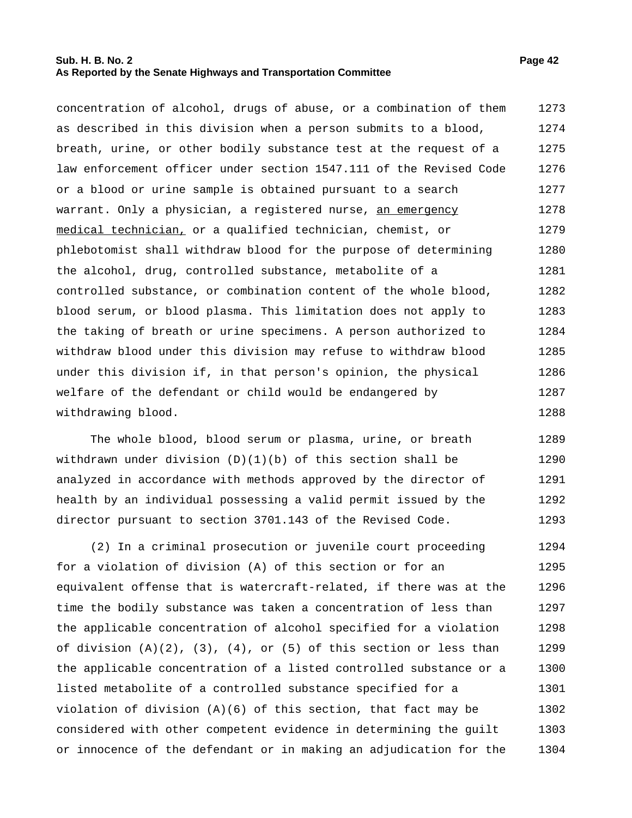# **Sub. H. B. No. 2 Page 42 As Reported by the Senate Highways and Transportation Committee**

concentration of alcohol, drugs of abuse, or a combination of them as described in this division when a person submits to a blood, breath, urine, or other bodily substance test at the request of a law enforcement officer under section 1547.111 of the Revised Code or a blood or urine sample is obtained pursuant to a search warrant. Only a physician, a registered nurse, an emergency medical technician, or a qualified technician, chemist, or phlebotomist shall withdraw blood for the purpose of determining the alcohol, drug, controlled substance, metabolite of a controlled substance, or combination content of the whole blood, blood serum, or blood plasma. This limitation does not apply to the taking of breath or urine specimens. A person authorized to withdraw blood under this division may refuse to withdraw blood under this division if, in that person's opinion, the physical welfare of the defendant or child would be endangered by withdrawing blood. 1273 1274 1275 1276 1277 1278 1279 1280 1281 1282 1283 1284 1285 1286 1287 1288

The whole blood, blood serum or plasma, urine, or breath withdrawn under division  $(D)(1)(b)$  of this section shall be analyzed in accordance with methods approved by the director of health by an individual possessing a valid permit issued by the director pursuant to section 3701.143 of the Revised Code. 1289 1290 1291 1292 1293

(2) In a criminal prosecution or juvenile court proceeding for a violation of division (A) of this section or for an equivalent offense that is watercraft-related, if there was at the time the bodily substance was taken a concentration of less than the applicable concentration of alcohol specified for a violation of division  $(A)(2)$ ,  $(3)$ ,  $(4)$ , or  $(5)$  of this section or less than the applicable concentration of a listed controlled substance or a listed metabolite of a controlled substance specified for a violation of division (A)(6) of this section, that fact may be considered with other competent evidence in determining the guilt or innocence of the defendant or in making an adjudication for the 1294 1295 1296 1297 1298 1299 1300 1301 1302 1303 1304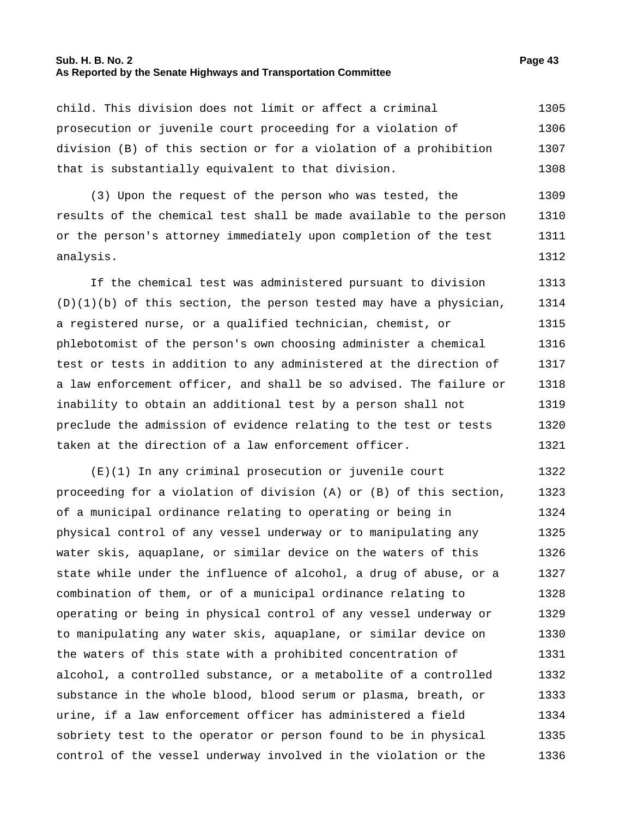## **Sub. H. B. No. 2 Page 43 As Reported by the Senate Highways and Transportation Committee**

child. This division does not limit or affect a criminal prosecution or juvenile court proceeding for a violation of division (B) of this section or for a violation of a prohibition that is substantially equivalent to that division. 1305 1306 1307 1308

(3) Upon the request of the person who was tested, the results of the chemical test shall be made available to the person or the person's attorney immediately upon completion of the test analysis. 1309 1310 1311 1312

If the chemical test was administered pursuant to division  $(D)(1)(b)$  of this section, the person tested may have a physician, a registered nurse, or a qualified technician, chemist, or phlebotomist of the person's own choosing administer a chemical test or tests in addition to any administered at the direction of a law enforcement officer, and shall be so advised. The failure or inability to obtain an additional test by a person shall not preclude the admission of evidence relating to the test or tests taken at the direction of a law enforcement officer. 1313 1314 1315 1316 1317 1318 1319 1320 1321

(E)(1) In any criminal prosecution or juvenile court proceeding for a violation of division (A) or (B) of this section, of a municipal ordinance relating to operating or being in physical control of any vessel underway or to manipulating any water skis, aquaplane, or similar device on the waters of this state while under the influence of alcohol, a drug of abuse, or a combination of them, or of a municipal ordinance relating to operating or being in physical control of any vessel underway or to manipulating any water skis, aquaplane, or similar device on the waters of this state with a prohibited concentration of alcohol, a controlled substance, or a metabolite of a controlled substance in the whole blood, blood serum or plasma, breath, or urine, if a law enforcement officer has administered a field sobriety test to the operator or person found to be in physical control of the vessel underway involved in the violation or the 1322 1323 1324 1325 1326 1327 1328 1329 1330 1331 1332 1333 1334 1335 1336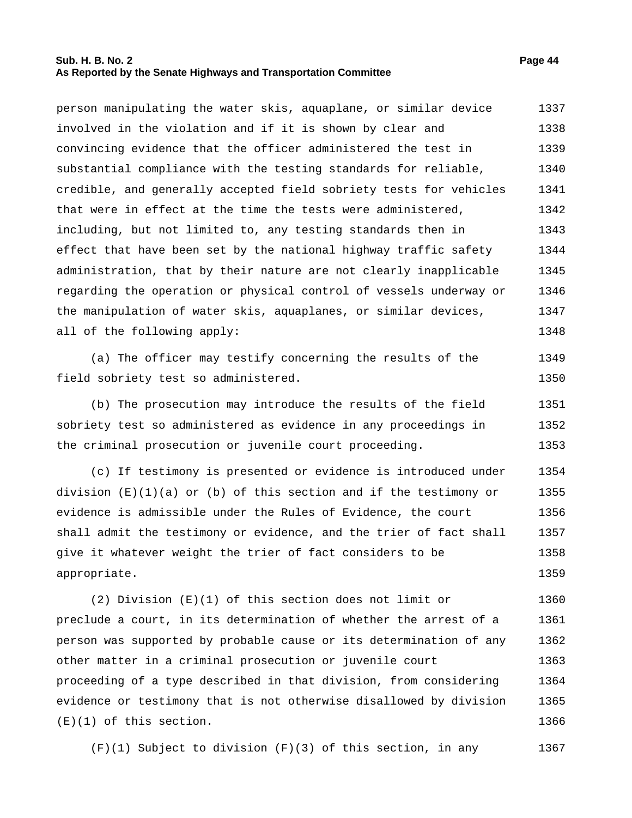# **Sub. H. B. No. 2 Page 44 As Reported by the Senate Highways and Transportation Committee**

person manipulating the water skis, aquaplane, or similar device involved in the violation and if it is shown by clear and convincing evidence that the officer administered the test in substantial compliance with the testing standards for reliable, credible, and generally accepted field sobriety tests for vehicles that were in effect at the time the tests were administered, including, but not limited to, any testing standards then in effect that have been set by the national highway traffic safety administration, that by their nature are not clearly inapplicable regarding the operation or physical control of vessels underway or the manipulation of water skis, aquaplanes, or similar devices, all of the following apply: 1337 1338 1339 1340 1341 1342 1343 1344 1345 1346 1347 1348

(a) The officer may testify concerning the results of the field sobriety test so administered. 1349 1350

(b) The prosecution may introduce the results of the field sobriety test so administered as evidence in any proceedings in the criminal prosecution or juvenile court proceeding. 1351 1352 1353

(c) If testimony is presented or evidence is introduced under division  $(E)(1)(a)$  or (b) of this section and if the testimony or evidence is admissible under the Rules of Evidence, the court shall admit the testimony or evidence, and the trier of fact shall give it whatever weight the trier of fact considers to be appropriate. 1354 1355 1356 1357 1358 1359

(2) Division (E)(1) of this section does not limit or preclude a court, in its determination of whether the arrest of a person was supported by probable cause or its determination of any other matter in a criminal prosecution or juvenile court proceeding of a type described in that division, from considering evidence or testimony that is not otherwise disallowed by division (E)(1) of this section. 1360 1361 1362 1363 1364 1365 1366

 $(F)(1)$  Subject to division  $(F)(3)$  of this section, in any 1367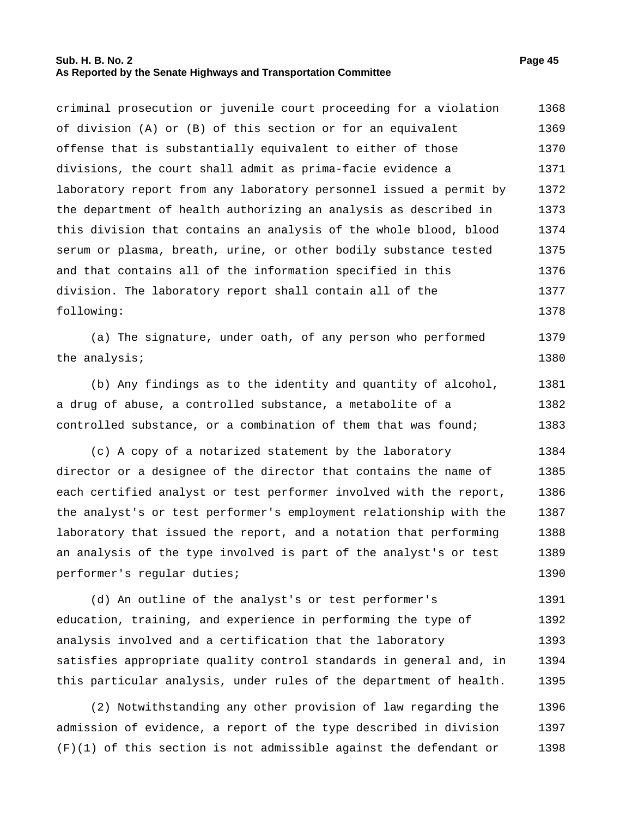### **Sub. H. B. No. 2 Page 45 As Reported by the Senate Highways and Transportation Committee**

| criminal prosecution or juvenile court proceeding for a violation | 1368 |
|-------------------------------------------------------------------|------|
| of division (A) or (B) of this section or for an equivalent       | 1369 |
| offense that is substantially equivalent to either of those       | 1370 |
| divisions, the court shall admit as prima-facie evidence a        | 1371 |
|                                                                   |      |

divisions, the court shall admit as primalaboratory report from any laboratory personnel issued a permit by the department of health authorizing an analysis as described in this division that contains an analysis of the whole blood, blood serum or plasma, breath, urine, or other bodily substance tested and that contains all of the information specified in this division. The laboratory report shall contain all of the following: 1371 1372 1373 1374 1375 1376 1377 1378

(a) The signature, under oath, of any person who performed the analysis; 1379 1380

(b) Any findings as to the identity and quantity of alcohol, a drug of abuse, a controlled substance, a metabolite of a controlled substance, or a combination of them that was found; 1381 1382 1383

(c) A copy of a notarized statement by the laboratory director or a designee of the director that contains the name of each certified analyst or test performer involved with the report, the analyst's or test performer's employment relationship with the laboratory that issued the report, and a notation that performing an analysis of the type involved is part of the analyst's or test performer's regular duties; 1384 1385 1386 1387 1388 1389 1390

(d) An outline of the analyst's or test performer's education, training, and experience in performing the type of analysis involved and a certification that the laboratory satisfies appropriate quality control standards in general and, in this particular analysis, under rules of the department of health. 1391 1392 1393 1394 1395

(2) Notwithstanding any other provision of law regarding the admission of evidence, a report of the type described in division (F)(1) of this section is not admissible against the defendant or 1396 1397 1398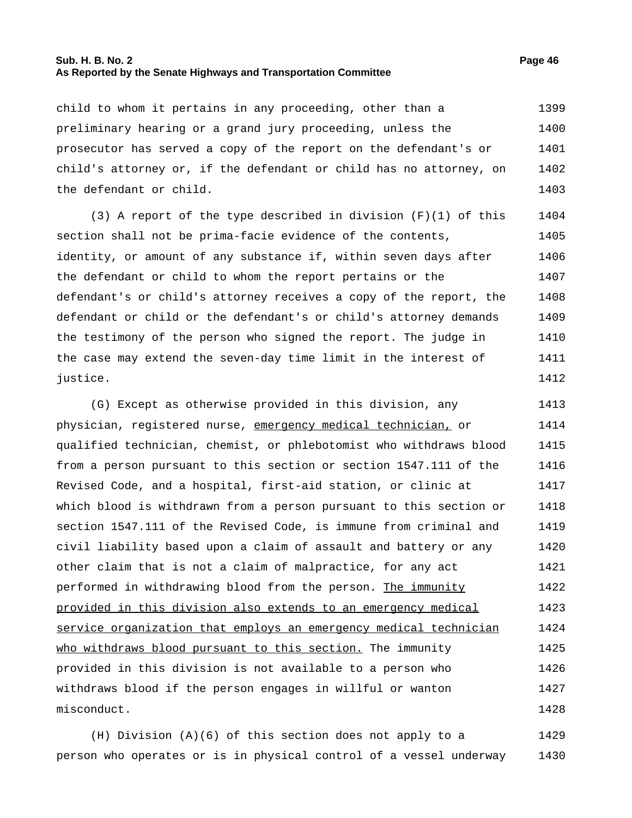# **Sub. H. B. No. 2 Page 46 As Reported by the Senate Highways and Transportation Committee**

child to whom it pertains in any proceeding, other than a preliminary hearing or a grand jury proceeding, unless the prosecutor has served a copy of the report on the defendant's or child's attorney or, if the defendant or child has no attorney, on the defendant or child. 1399 1400 1401 1402 1403

(3) A report of the type described in division  $(F)(1)$  of this section shall not be prima-facie evidence of the contents, identity, or amount of any substance if, within seven days after the defendant or child to whom the report pertains or the defendant's or child's attorney receives a copy of the report, the defendant or child or the defendant's or child's attorney demands the testimony of the person who signed the report. The judge in the case may extend the seven-day time limit in the interest of justice. 1404 1405 1406 1407 1408 1409 1410 1411 1412

(G) Except as otherwise provided in this division, any physician, registered nurse, emergency medical technician, or qualified technician, chemist, or phlebotomist who withdraws blood from a person pursuant to this section or section 1547.111 of the Revised Code, and a hospital, first-aid station, or clinic at which blood is withdrawn from a person pursuant to this section or section 1547.111 of the Revised Code, is immune from criminal and civil liability based upon a claim of assault and battery or any other claim that is not a claim of malpractice, for any act performed in withdrawing blood from the person. The immunity provided in this division also extends to an emergency medical service organization that employs an emergency medical technician who withdraws blood pursuant to this section. The immunity provided in this division is not available to a person who withdraws blood if the person engages in willful or wanton misconduct. 1413 1414 1415 1416 1417 1418 1419 1420 1421 1422 1423 1424 1425 1426 1427 1428

(H) Division (A)(6) of this section does not apply to a person who operates or is in physical control of a vessel underway 1429 1430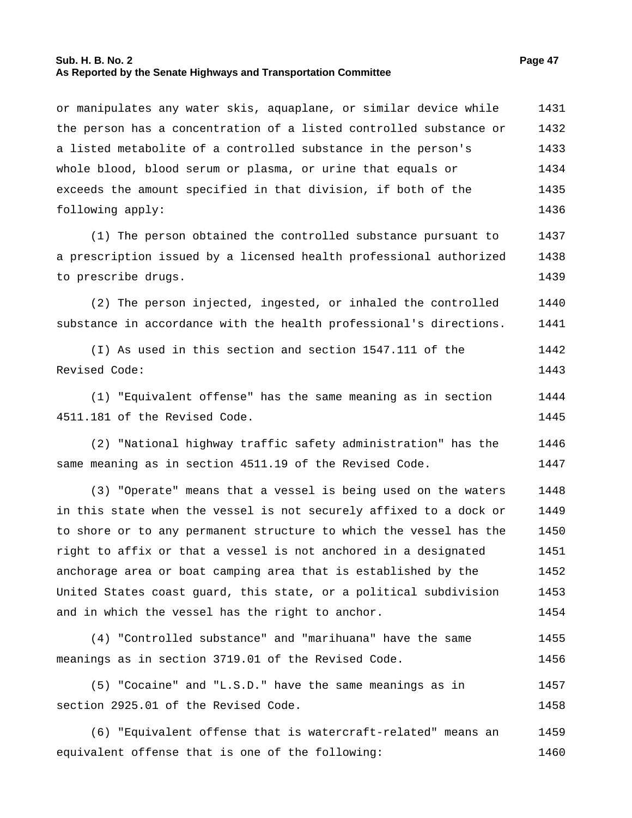#### **Sub. H. B. No. 2 Page 47 As Reported by the Senate Highways and Transportation Committee**

or manipulates any water skis, aquaplane, or similar device while the person has a concentration of a listed controlled substance or a listed metabolite of a controlled substance in the person's whole blood, blood serum or plasma, or urine that equals or exceeds the amount specified in that division, if both of the following apply: 1431 1432 1433 1434 1435 1436 (1) The person obtained the controlled substance pursuant to a prescription issued by a licensed health professional authorized to prescribe drugs. 1437 1438 1439 (2) The person injected, ingested, or inhaled the controlled substance in accordance with the health professional's directions. 1440 1441 (I) As used in this section and section 1547.111 of the Revised Code: 1442 1443 (1) "Equivalent offense" has the same meaning as in section 4511.181 of the Revised Code. 1444 1445

(2) "National highway traffic safety administration" has the same meaning as in section 4511.19 of the Revised Code. 1446 1447

(3) "Operate" means that a vessel is being used on the waters in this state when the vessel is not securely affixed to a dock or to shore or to any permanent structure to which the vessel has the right to affix or that a vessel is not anchored in a designated anchorage area or boat camping area that is established by the United States coast guard, this state, or a political subdivision and in which the vessel has the right to anchor. 1448 1449 1450 1451 1452 1453 1454

(4) "Controlled substance" and "marihuana" have the same meanings as in section 3719.01 of the Revised Code. 1455 1456

(5) "Cocaine" and "L.S.D." have the same meanings as in section 2925.01 of the Revised Code. 1457 1458

(6) "Equivalent offense that is watercraft-related" means an equivalent offense that is one of the following: 1459 1460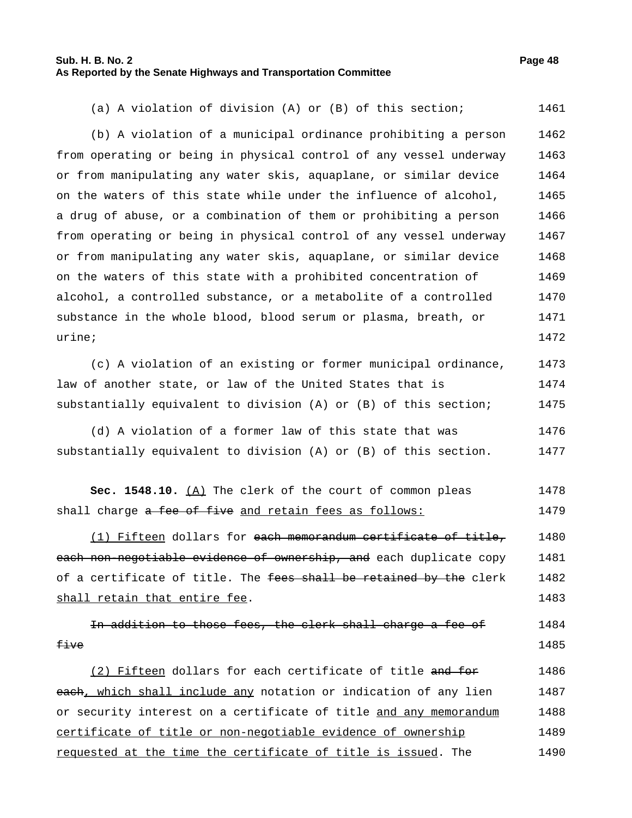(b) A violation of a municipal ordinance prohibiting a person from operating or being in physical control of any vessel underway or from manipulating any water skis, aquaplane, or similar device on the waters of this state while under the influence of alcohol, a drug of abuse, or a combination of them or prohibiting a person from operating or being in physical control of any vessel underway or from manipulating any water skis, aquaplane, or similar device on the waters of this state with a prohibited concentration of alcohol, a controlled substance, or a metabolite of a controlled substance in the whole blood, blood serum or plasma, breath, or urine; 1462 1463 1464 1465 1466 1467 1468 1469 1470 1471 1472

(a) A violation of division (A) or (B) of this section; 1461

(c) A violation of an existing or former municipal ordinance, law of another state, or law of the United States that is substantially equivalent to division (A) or (B) of this section; 1473 1474 1475

(d) A violation of a former law of this state that was substantially equivalent to division (A) or (B) of this section. 1476 1477

**Sec. 1548.10.** (A) The clerk of the court of common pleas shall charge a fee of five and retain fees as follows: 1478 1479

(1) Fifteen dollars for each memorandum certificate of title, each non-negotiable evidence of ownership, and each duplicate copy of a certificate of title. The fees shall be retained by the clerk shall retain that entire fee. 1480 1481 1482 1483

In addition to those fees, the clerk shall charge a fee of five 1484 1485

(2) Fifteen dollars for each certificate of title and for each, which shall include any notation or indication of any lien or security interest on a certificate of title and any memorandum certificate of title or non-negotiable evidence of ownership requested at the time the certificate of title is issued. The 1486 1487 1488 1489 1490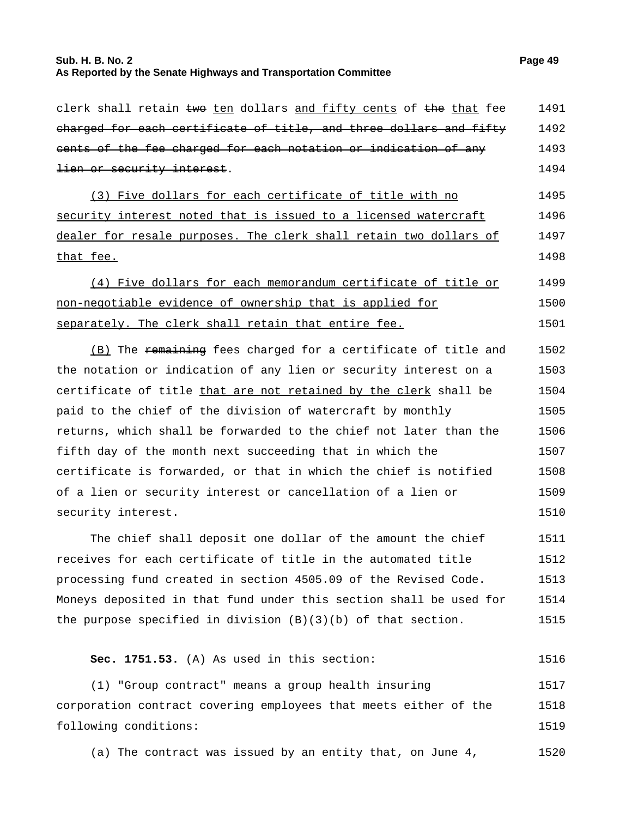# **Sub. H. B. No. 2 Page 49 As Reported by the Senate Highways and Transportation Committee**

| clerk shall retain two ten dollars and fifty cents of the that fee | 1491 |
|--------------------------------------------------------------------|------|
| charged for each certificate of title, and three dollars and fifty | 1492 |
| eents of the fee charged for each notation or indication of any    | 1493 |
| lien or security interest.                                         | 1494 |
| (3) Five dollars for each certificate of title with no             | 1495 |
| security interest noted that is issued to a licensed watercraft    | 1496 |
| dealer for resale purposes. The clerk shall retain two dollars of  | 1497 |
| <u>that fee.</u>                                                   | 1498 |
| (4) Five dollars for each memorandum certificate of title or       | 1499 |
| non-negotiable evidence of ownership that is applied for           | 1500 |
| separately. The clerk shall retain that entire fee.                | 1501 |
| (B) The remaining fees charged for a certificate of title and      | 1502 |
| the notation or indication of any lien or security interest on a   | 1503 |
| certificate of title that are not retained by the clerk shall be   | 1504 |
| paid to the chief of the division of watercraft by monthly         | 1505 |
| returns, which shall be forwarded to the chief not later than the  | 1506 |
| fifth day of the month next succeeding that in which the           | 1507 |
| certificate is forwarded, or that in which the chief is notified   | 1508 |
| of a lien or security interest or cancellation of a lien or        | 1509 |
| security interest.                                                 | 1510 |
| The chief shall deposit one dollar of the amount the chief         | 1511 |
| receives for each certificate of title in the automated title      | 1512 |
| processing fund created in section 4505.09 of the Revised Code.    | 1513 |
| Moneys deposited in that fund under this section shall be used for | 1514 |
| the purpose specified in division $(B)(3)(b)$ of that section.     | 1515 |
| Sec. 1751.53. (A) As used in this section:                         | 1516 |
| (1) "Group contract" means a group health insuring                 | 1517 |
| corporation contract covering employees that meets either of the   | 1518 |
| following conditions:                                              | 1519 |

(a) The contract was issued by an entity that, on June 4, 1520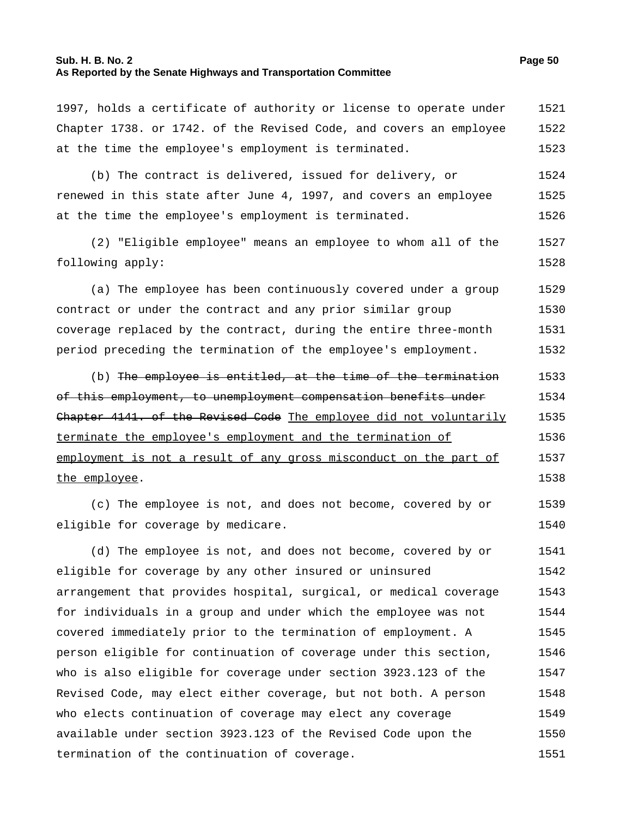## **Sub. H. B. No. 2 Page 50 As Reported by the Senate Highways and Transportation Committee**

1997, holds a certificate of authority or license to operate under Chapter 1738. or 1742. of the Revised Code, and covers an employee at the time the employee's employment is terminated. 1521 1522 1523 (b) The contract is delivered, issued for delivery, or renewed in this state after June 4, 1997, and covers an employee at the time the employee's employment is terminated. 1524 1525 1526

(2) "Eligible employee" means an employee to whom all of the following apply: 1527 1528

(a) The employee has been continuously covered under a group contract or under the contract and any prior similar group coverage replaced by the contract, during the entire three-month period preceding the termination of the employee's employment. 1529 1530 1531 1532

(b) The employee is entitled, at the time of the termination of this employment, to unemployment compensation benefits under Chapter 4141. of the Revised Code The employee did not voluntarily terminate the employee's employment and the termination of employment is not a result of any gross misconduct on the part of the employee. 1533 1534 1535 1536 1537 1538

(c) The employee is not, and does not become, covered by or eligible for coverage by medicare. 1539 1540

(d) The employee is not, and does not become, covered by or eligible for coverage by any other insured or uninsured arrangement that provides hospital, surgical, or medical coverage for individuals in a group and under which the employee was not covered immediately prior to the termination of employment. A person eligible for continuation of coverage under this section, who is also eligible for coverage under section 3923.123 of the Revised Code, may elect either coverage, but not both. A person who elects continuation of coverage may elect any coverage available under section 3923.123 of the Revised Code upon the termination of the continuation of coverage. 1541 1542 1543 1544 1545 1546 1547 1548 1549 1550 1551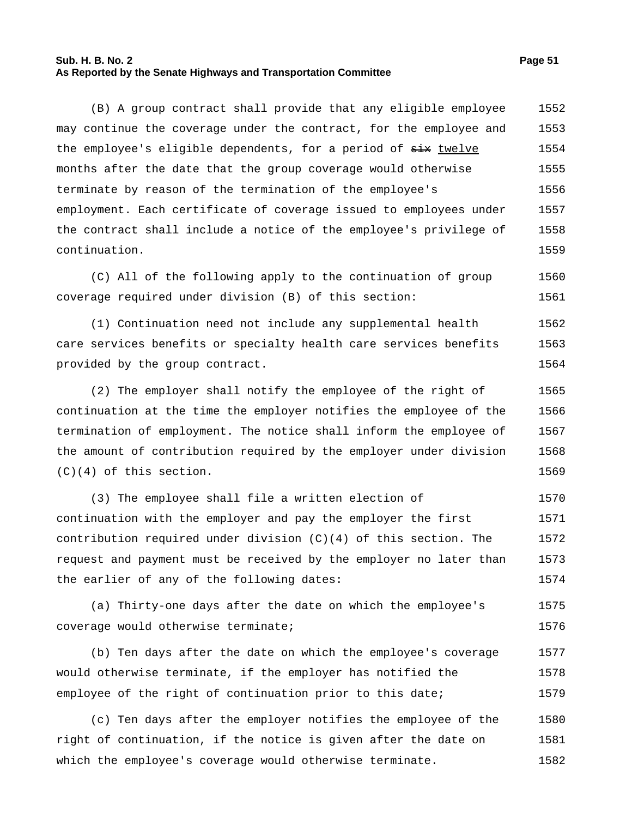#### **Sub. H. B. No. 2 Page 51 As Reported by the Senate Highways and Transportation Committee**

(B) A group contract shall provide that any eligible employee may continue the coverage under the contract, for the employee and the employee's eligible dependents, for a period of  $\frac{1}{2}$  twelve months after the date that the group coverage would otherwise terminate by reason of the termination of the employee's employment. Each certificate of coverage issued to employees under the contract shall include a notice of the employee's privilege of continuation. 1552 1553 1554 1555 1556 1557 1558 1559

(C) All of the following apply to the continuation of group coverage required under division (B) of this section: 1560 1561

(1) Continuation need not include any supplemental health care services benefits or specialty health care services benefits provided by the group contract. 1562 1563 1564

(2) The employer shall notify the employee of the right of continuation at the time the employer notifies the employee of the termination of employment. The notice shall inform the employee of the amount of contribution required by the employer under division (C)(4) of this section. 1565 1566 1567 1568 1569

(3) The employee shall file a written election of continuation with the employer and pay the employer the first contribution required under division  $(C)(4)$  of this section. The request and payment must be received by the employer no later than the earlier of any of the following dates: 1570 1571 1572 1573 1574

(a) Thirty-one days after the date on which the employee's coverage would otherwise terminate; 1575 1576

(b) Ten days after the date on which the employee's coverage would otherwise terminate, if the employer has notified the employee of the right of continuation prior to this date; 1577 1578 1579

(c) Ten days after the employer notifies the employee of the right of continuation, if the notice is given after the date on which the employee's coverage would otherwise terminate. 1580 1581 1582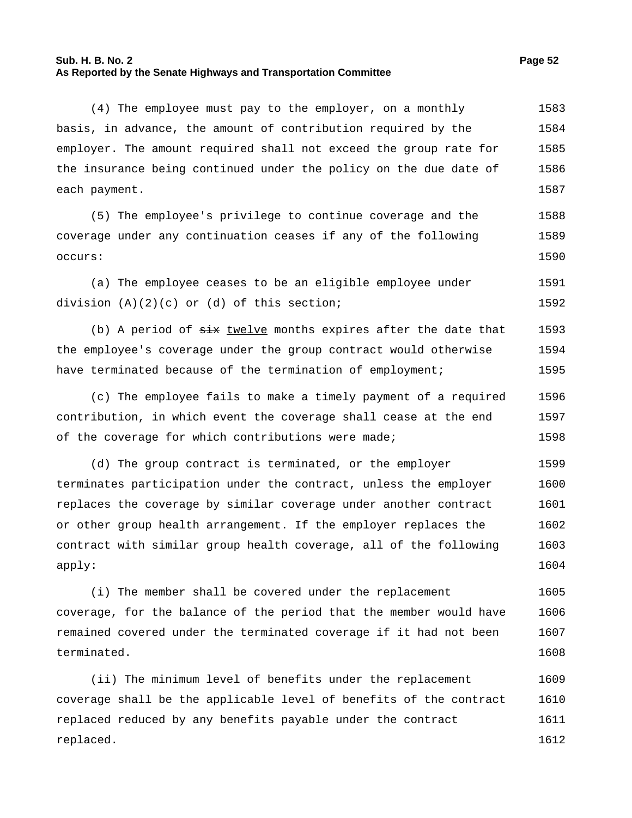# **Sub. H. B. No. 2 Page 52 As Reported by the Senate Highways and Transportation Committee**

(4) The employee must pay to the employer, on a monthly basis, in advance, the amount of contribution required by the employer. The amount required shall not exceed the group rate for the insurance being continued under the policy on the due date of each payment. 1583 1584 1585 1586 1587

(5) The employee's privilege to continue coverage and the coverage under any continuation ceases if any of the following occurs: 1588 1589 1590

(a) The employee ceases to be an eligible employee under division (A)(2)(c) or (d) of this section; 1591 1592

(b) A period of  $six$  twelve months expires after the date that the employee's coverage under the group contract would otherwise have terminated because of the termination of employment; 1593 1594 1595

(c) The employee fails to make a timely payment of a required contribution, in which event the coverage shall cease at the end of the coverage for which contributions were made; 1596 1597 1598

(d) The group contract is terminated, or the employer terminates participation under the contract, unless the employer replaces the coverage by similar coverage under another contract or other group health arrangement. If the employer replaces the contract with similar group health coverage, all of the following apply: 1599 1600 1601 1602 1603 1604

(i) The member shall be covered under the replacement coverage, for the balance of the period that the member would have remained covered under the terminated coverage if it had not been terminated. 1605 1606 1607 1608

(ii) The minimum level of benefits under the replacement coverage shall be the applicable level of benefits of the contract replaced reduced by any benefits payable under the contract replaced. 1609 1610 1611 1612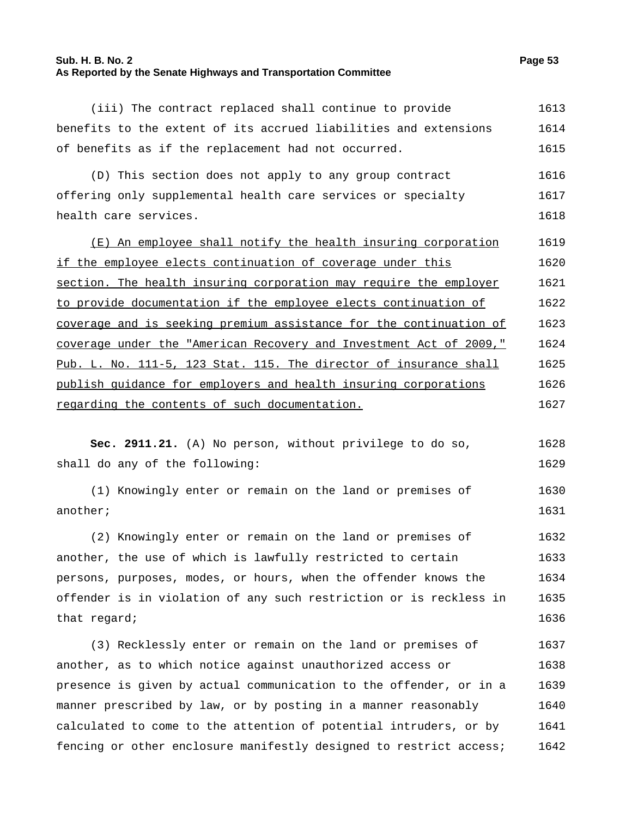# **Sub. H. B. No. 2 Page 53 As Reported by the Senate Highways and Transportation Committee**

(iii) The contract replaced shall continue to provide benefits to the extent of its accrued liabilities and extensions of benefits as if the replacement had not occurred. 1613 1614 1615 (D) This section does not apply to any group contract offering only supplemental health care services or specialty health care services. 1616 1617 1618 (E) An employee shall notify the health insuring corporation if the employee elects continuation of coverage under this section. The health insuring corporation may require the employer to provide documentation if the employee elects continuation of coverage and is seeking premium assistance for the continuation of coverage under the "American Recovery and Investment Act of 2009," Pub. L. No. 111-5, 123 Stat. 115. The director of insurance shall publish guidance for employers and health insuring corporations regarding the contents of such documentation. 1619 1620 1621 1622 1623 1624 1625 1626 1627 **Sec. 2911.21.** (A) No person, without privilege to do so, shall do any of the following: 1628 1629 (1) Knowingly enter or remain on the land or premises of another; 1630 1631 (2) Knowingly enter or remain on the land or premises of another, the use of which is lawfully restricted to certain persons, purposes, modes, or hours, when the offender knows the offender is in violation of any such restriction or is reckless in that regard; 1632 1633 1634 1635 1636 (3) Recklessly enter or remain on the land or premises of another, as to which notice against unauthorized access or presence is given by actual communication to the offender, or in a 1637 1638 1639

manner prescribed by law, or by posting in a manner reasonably calculated to come to the attention of potential intruders, or by fencing or other enclosure manifestly designed to restrict access; 1640 1641 1642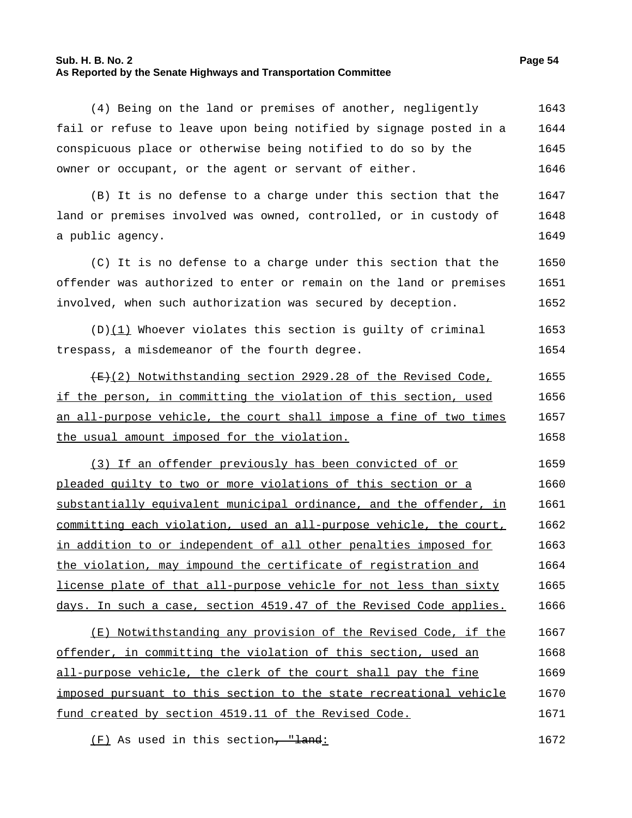# **Sub. H. B. No. 2 Page 54 As Reported by the Senate Highways and Transportation Committee**

(4) Being on the land or premises of another, negligently fail or refuse to leave upon being notified by signage posted in a conspicuous place or otherwise being notified to do so by the owner or occupant, or the agent or servant of either. 1643 1644 1645 1646 (B) It is no defense to a charge under this section that the land or premises involved was owned, controlled, or in custody of a public agency. 1647 1648 1649 (C) It is no defense to a charge under this section that the offender was authorized to enter or remain on the land or premises involved, when such authorization was secured by deception. 1650 1651 1652  $(D)(1)$  Whoever violates this section is guilty of criminal trespass, a misdemeanor of the fourth degree. 1653 1654  $(E+(2))$  Notwithstanding section 2929.28 of the Revised Code, if the person, in committing the violation of this section, used an all-purpose vehicle, the court shall impose a fine of two times the usual amount imposed for the violation. 1655 1656 1657 1658 (3) If an offender previously has been convicted of or pleaded guilty to two or more violations of this section or a substantially equivalent municipal ordinance, and the offender, in committing each violation, used an all-purpose vehicle, the court, in addition to or independent of all other penalties imposed for the violation, may impound the certificate of registration and license plate of that all-purpose vehicle for not less than sixty days. In such a case, section 4519.47 of the Revised Code applies. 1659 1660 1661 1662 1663 1664 1665 1666 (E) Notwithstanding any provision of the Revised Code, if the offender, in committing the violation of this section, used an all-purpose vehicle, the clerk of the court shall pay the fine imposed pursuant to this section to the state recreational vehicle fund created by section 4519.11 of the Revised Code. 1667 1668 1669 1670 1671

(F) As used in this section, "land: 1672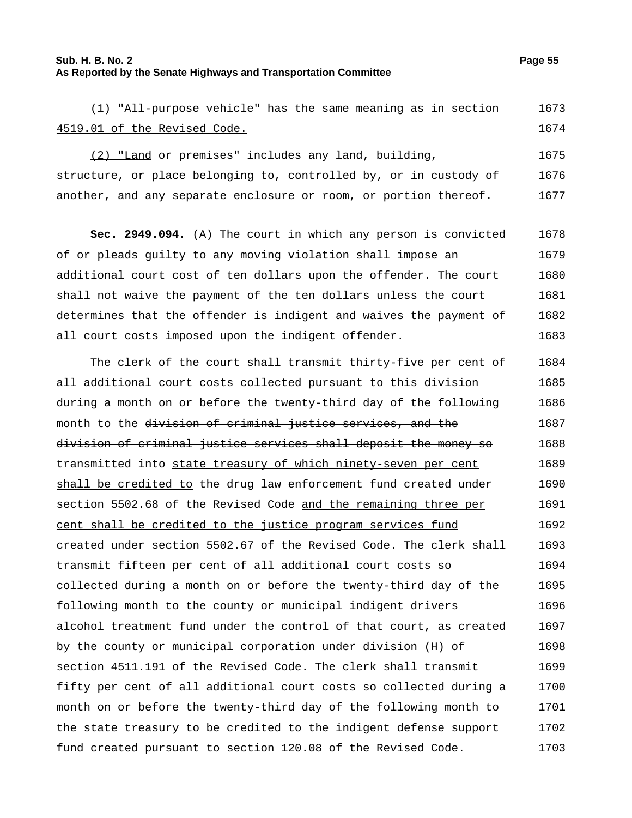# **Sub. H. B. No. 2 Page 55 As Reported by the Senate Highways and Transportation Committee**

| (1) "All-purpose vehicle" has the same meaning as in section      | 1673 |
|-------------------------------------------------------------------|------|
| 4519.01 of the Revised Code.                                      | 1674 |
| (2) "Land or premises" includes any land, building,               | 1675 |
| structure, or place belonging to, controlled by, or in custody of | 1676 |
| another, and any separate enclosure or room, or portion thereof.  | 1677 |

**Sec. 2949.094.** (A) The court in which any person is convicted of or pleads guilty to any moving violation shall impose an additional court cost of ten dollars upon the offender. The court shall not waive the payment of the ten dollars unless the court determines that the offender is indigent and waives the payment of all court costs imposed upon the indigent offender. 1678 1679 1680 1681 1682 1683

The clerk of the court shall transmit thirty-five per cent of all additional court costs collected pursuant to this division during a month on or before the twenty-third day of the following month to the division of criminal justice services, and the division of criminal justice services shall deposit the money so transmitted into state treasury of which ninety-seven per cent shall be credited to the drug law enforcement fund created under section 5502.68 of the Revised Code and the remaining three per cent shall be credited to the justice program services fund created under section 5502.67 of the Revised Code. The clerk shall transmit fifteen per cent of all additional court costs so collected during a month on or before the twenty-third day of the following month to the county or municipal indigent drivers alcohol treatment fund under the control of that court, as created by the county or municipal corporation under division (H) of section 4511.191 of the Revised Code. The clerk shall transmit fifty per cent of all additional court costs so collected during a month on or before the twenty-third day of the following month to the state treasury to be credited to the indigent defense support fund created pursuant to section 120.08 of the Revised Code. 1684 1685 1686 1687 1688 1689 1690 1691 1692 1693 1694 1695 1696 1697 1698 1699 1700 1701 1702 1703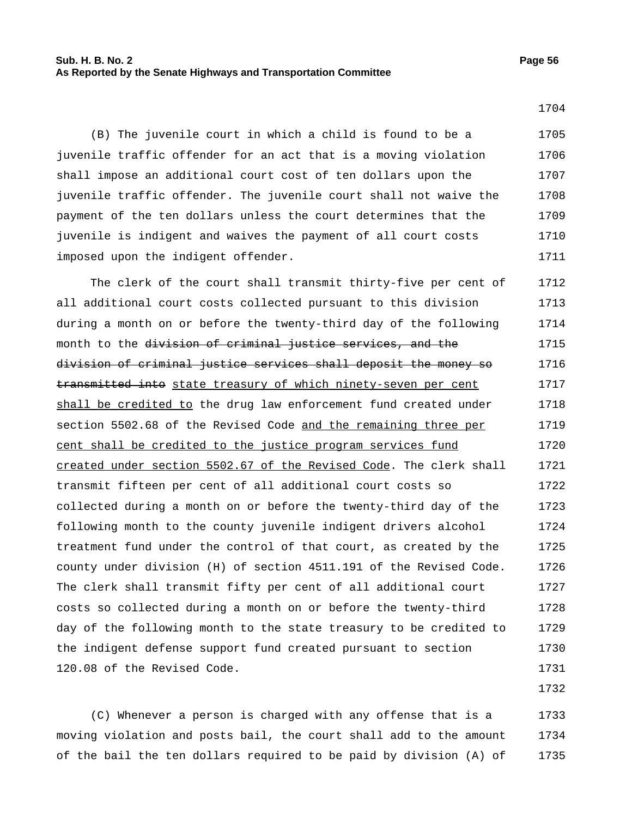(B) The juvenile court in which a child is found to be a juvenile traffic offender for an act that is a moving violation shall impose an additional court cost of ten dollars upon the juvenile traffic offender. The juvenile court shall not waive the payment of the ten dollars unless the court determines that the juvenile is indigent and waives the payment of all court costs imposed upon the indigent offender. 1705 1706 1707 1708 1709 1710 1711

The clerk of the court shall transmit thirty-five per cent of all additional court costs collected pursuant to this division during a month on or before the twenty-third day of the following month to the division of criminal justice services, and the division of criminal justice services shall deposit the money so transmitted into state treasury of which ninety-seven per cent shall be credited to the drug law enforcement fund created under section 5502.68 of the Revised Code and the remaining three per cent shall be credited to the justice program services fund created under section 5502.67 of the Revised Code. The clerk shall transmit fifteen per cent of all additional court costs so collected during a month on or before the twenty-third day of the following month to the county juvenile indigent drivers alcohol treatment fund under the control of that court, as created by the county under division (H) of section 4511.191 of the Revised Code. The clerk shall transmit fifty per cent of all additional court costs so collected during a month on or before the twenty-third day of the following month to the state treasury to be credited to the indigent defense support fund created pursuant to section 120.08 of the Revised Code. 1712 1713 1714 1715 1716 1717 1718 1719 1720 1721 1722 1723 1724 1725 1726 1727 1728 1729 1730 1731

1732

(C) Whenever a person is charged with any offense that is a moving violation and posts bail, the court shall add to the amount of the bail the ten dollars required to be paid by division (A) of 1733 1734 1735

1704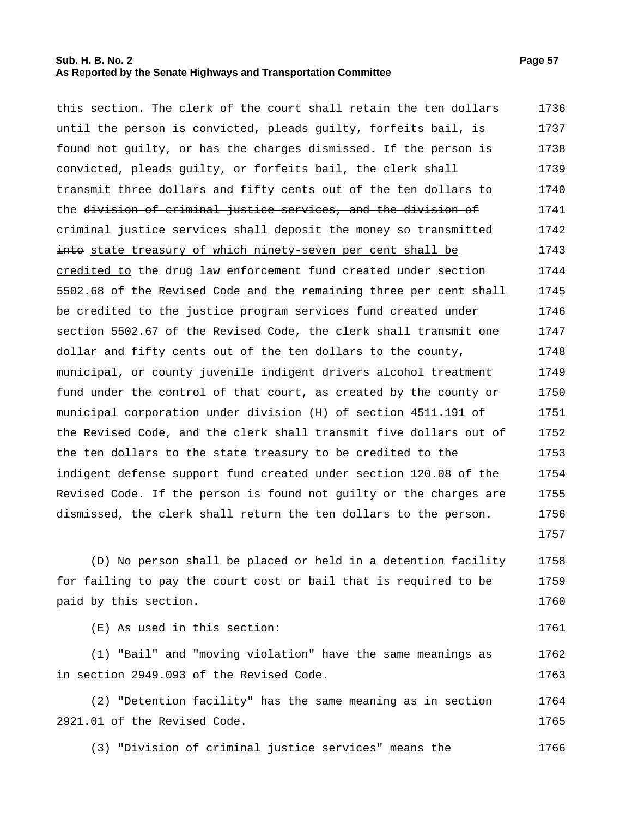#### **Sub. H. B. No. 2 Page 57 As Reported by the Senate Highways and Transportation Committee**

this section. The clerk of the court shall retain the ten dollars until the person is convicted, pleads guilty, forfeits bail, is found not guilty, or has the charges dismissed. If the person is convicted, pleads guilty, or forfeits bail, the clerk shall transmit three dollars and fifty cents out of the ten dollars to the division of criminal justice services, and the division of criminal justice services shall deposit the money so transmitted into state treasury of which ninety-seven per cent shall be credited to the drug law enforcement fund created under section 5502.68 of the Revised Code and the remaining three per cent shall be credited to the justice program services fund created under section 5502.67 of the Revised Code, the clerk shall transmit one dollar and fifty cents out of the ten dollars to the county, municipal, or county juvenile indigent drivers alcohol treatment fund under the control of that court, as created by the county or municipal corporation under division (H) of section 4511.191 of the Revised Code, and the clerk shall transmit five dollars out of the ten dollars to the state treasury to be credited to the indigent defense support fund created under section 120.08 of the Revised Code. If the person is found not guilty or the charges are dismissed, the clerk shall return the ten dollars to the person. 1736 1737 1738 1739 1740 1741 1742 1743 1744 1745 1746 1747 1748 1749 1750 1751 1752 1753 1754 1755 1756 1757

(D) No person shall be placed or held in a detention facility for failing to pay the court cost or bail that is required to be paid by this section. 1758 1759 1760

(E) As used in this section: 1761

(1) "Bail" and "moving violation" have the same meanings as in section 2949.093 of the Revised Code. 1762 1763

(2) "Detention facility" has the same meaning as in section 2921.01 of the Revised Code. 1764 1765

(3) "Division of criminal justice services" means the 1766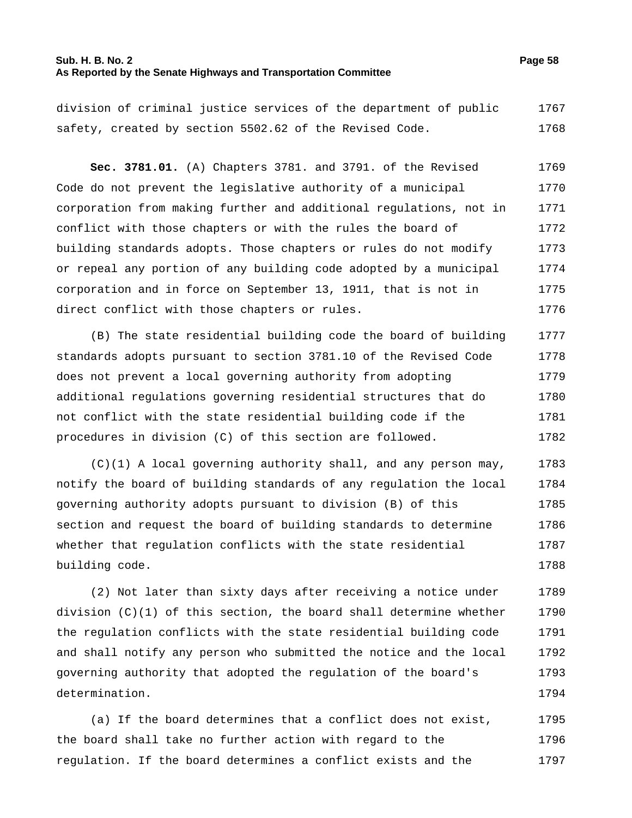#### **Sub. H. B. No. 2 Page 58 As Reported by the Senate Highways and Transportation Committee**

division of criminal justice services of the department of public safety, created by section 5502.62 of the Revised Code. 1767 1768

**Sec. 3781.01.** (A) Chapters 3781. and 3791. of the Revised Code do not prevent the legislative authority of a municipal corporation from making further and additional regulations, not in conflict with those chapters or with the rules the board of building standards adopts. Those chapters or rules do not modify or repeal any portion of any building code adopted by a municipal corporation and in force on September 13, 1911, that is not in direct conflict with those chapters or rules. 1769 1770 1771 1772 1773 1774 1775 1776

(B) The state residential building code the board of building standards adopts pursuant to section 3781.10 of the Revised Code does not prevent a local governing authority from adopting additional regulations governing residential structures that do not conflict with the state residential building code if the procedures in division (C) of this section are followed. 1777 1778 1779 1780 1781 1782

 $(C)(1)$  A local governing authority shall, and any person may, notify the board of building standards of any regulation the local governing authority adopts pursuant to division (B) of this section and request the board of building standards to determine whether that regulation conflicts with the state residential building code. 1783 1784 1785 1786 1787 1788

(2) Not later than sixty days after receiving a notice under division  $(C)(1)$  of this section, the board shall determine whether the regulation conflicts with the state residential building code and shall notify any person who submitted the notice and the local governing authority that adopted the regulation of the board's determination. 1789 1790 1791 1792 1793 1794

(a) If the board determines that a conflict does not exist, the board shall take no further action with regard to the regulation. If the board determines a conflict exists and the 1795 1796 1797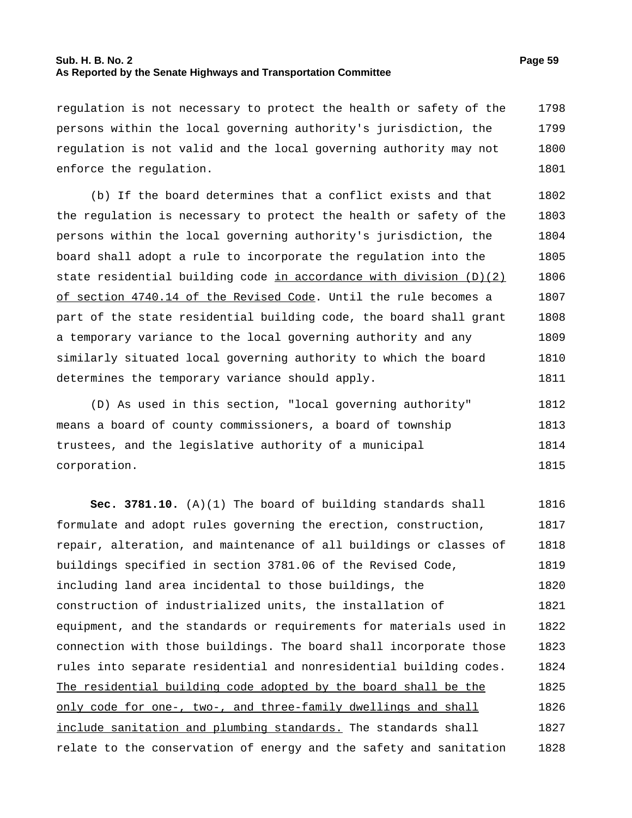# **Sub. H. B. No. 2 Page 59 As Reported by the Senate Highways and Transportation Committee**

regulation is not necessary to protect the health or safety of the persons within the local governing authority's jurisdiction, the regulation is not valid and the local governing authority may not enforce the regulation. 1798 1799 1800 1801

(b) If the board determines that a conflict exists and that the regulation is necessary to protect the health or safety of the persons within the local governing authority's jurisdiction, the board shall adopt a rule to incorporate the regulation into the state residential building code in accordance with division  $(D)(2)$ of section 4740.14 of the Revised Code. Until the rule becomes a part of the state residential building code, the board shall grant a temporary variance to the local governing authority and any similarly situated local governing authority to which the board determines the temporary variance should apply. 1802 1803 1804 1805 1806 1807 1808 1809 1810 1811

(D) As used in this section, "local governing authority" means a board of county commissioners, a board of township trustees, and the legislative authority of a municipal corporation. 1812 1813 1814 1815

**Sec. 3781.10.** (A)(1) The board of building standards shall formulate and adopt rules governing the erection, construction, repair, alteration, and maintenance of all buildings or classes of buildings specified in section 3781.06 of the Revised Code, including land area incidental to those buildings, the construction of industrialized units, the installation of equipment, and the standards or requirements for materials used in connection with those buildings. The board shall incorporate those rules into separate residential and nonresidential building codes. The residential building code adopted by the board shall be the only code for one-, two-, and three-family dwellings and shall include sanitation and plumbing standards. The standards shall relate to the conservation of energy and the safety and sanitation 1816 1817 1818 1819 1820 1821 1822 1823 1824 1825 1826 1827 1828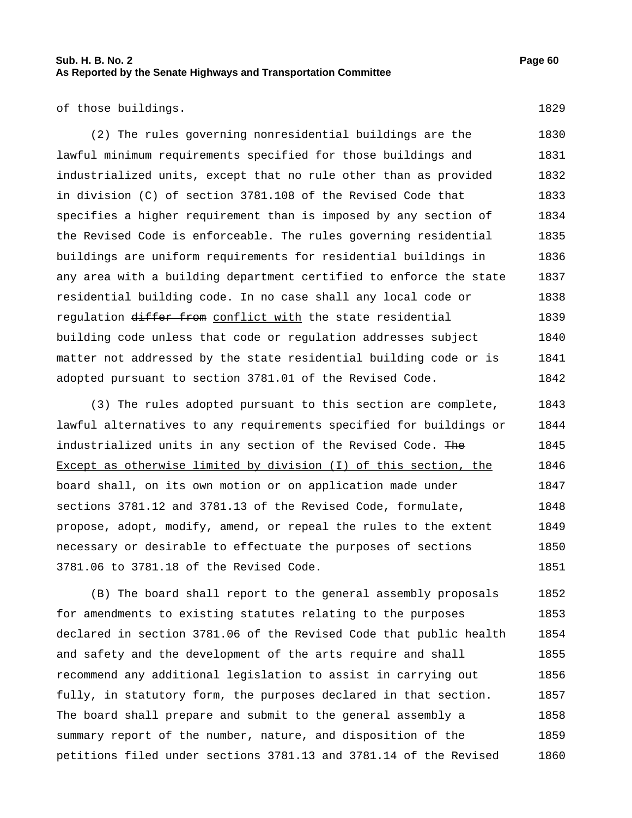of those buildings. 1829

(2) The rules governing nonresidential buildings are the lawful minimum requirements specified for those buildings and industrialized units, except that no rule other than as provided in division (C) of section 3781.108 of the Revised Code that specifies a higher requirement than is imposed by any section of the Revised Code is enforceable. The rules governing residential buildings are uniform requirements for residential buildings in any area with a building department certified to enforce the state residential building code. In no case shall any local code or regulation differ from conflict with the state residential building code unless that code or regulation addresses subject matter not addressed by the state residential building code or is adopted pursuant to section 3781.01 of the Revised Code. 1830 1831 1832 1833 1834 1835 1836 1837 1838 1839 1840 1841 1842

(3) The rules adopted pursuant to this section are complete, lawful alternatives to any requirements specified for buildings or industrialized units in any section of the Revised Code. The Except as otherwise limited by division (I) of this section, the board shall, on its own motion or on application made under sections 3781.12 and 3781.13 of the Revised Code, formulate, propose, adopt, modify, amend, or repeal the rules to the extent necessary or desirable to effectuate the purposes of sections 3781.06 to 3781.18 of the Revised Code. 1843 1844 1845 1846 1847 1848 1849 1850 1851

(B) The board shall report to the general assembly proposals for amendments to existing statutes relating to the purposes declared in section 3781.06 of the Revised Code that public health and safety and the development of the arts require and shall recommend any additional legislation to assist in carrying out fully, in statutory form, the purposes declared in that section. The board shall prepare and submit to the general assembly a summary report of the number, nature, and disposition of the petitions filed under sections 3781.13 and 3781.14 of the Revised 1852 1853 1854 1855 1856 1857 1858 1859 1860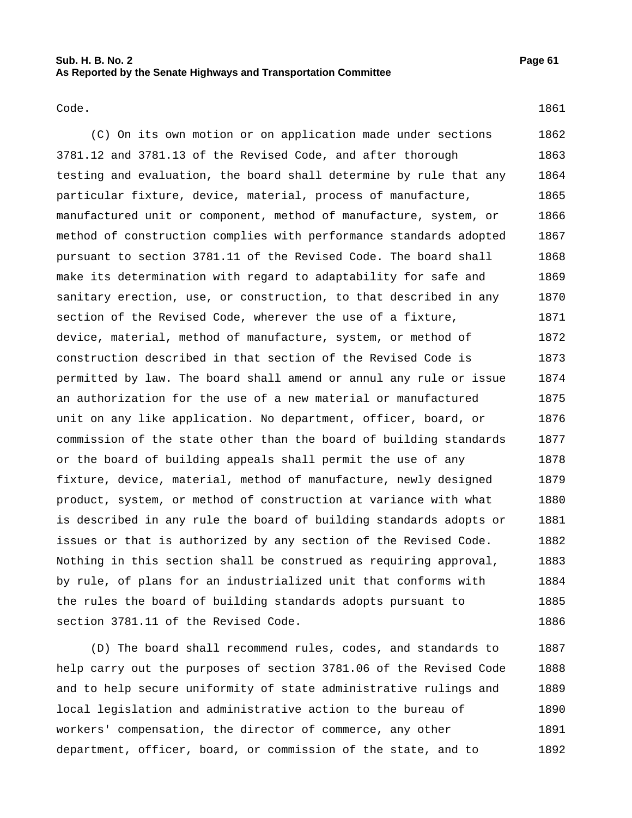# **Sub. H. B. No. 2 Page 61 As Reported by the Senate Highways and Transportation Committee**

Code. 1861

(C) On its own motion or on application made under sections 3781.12 and 3781.13 of the Revised Code, and after thorough testing and evaluation, the board shall determine by rule that any particular fixture, device, material, process of manufacture, manufactured unit or component, method of manufacture, system, or method of construction complies with performance standards adopted pursuant to section 3781.11 of the Revised Code. The board shall make its determination with regard to adaptability for safe and sanitary erection, use, or construction, to that described in any section of the Revised Code, wherever the use of a fixture, device, material, method of manufacture, system, or method of construction described in that section of the Revised Code is permitted by law. The board shall amend or annul any rule or issue an authorization for the use of a new material or manufactured unit on any like application. No department, officer, board, or commission of the state other than the board of building standards or the board of building appeals shall permit the use of any fixture, device, material, method of manufacture, newly designed product, system, or method of construction at variance with what is described in any rule the board of building standards adopts or issues or that is authorized by any section of the Revised Code. Nothing in this section shall be construed as requiring approval, by rule, of plans for an industrialized unit that conforms with the rules the board of building standards adopts pursuant to section 3781.11 of the Revised Code. 1862 1863 1864 1865 1866 1867 1868 1869 1870 1871 1872 1873 1874 1875 1876 1877 1878 1879 1880 1881 1882 1883 1884 1885 1886

(D) The board shall recommend rules, codes, and standards to help carry out the purposes of section 3781.06 of the Revised Code and to help secure uniformity of state administrative rulings and local legislation and administrative action to the bureau of workers' compensation, the director of commerce, any other department, officer, board, or commission of the state, and to 1887 1888 1889 1890 1891 1892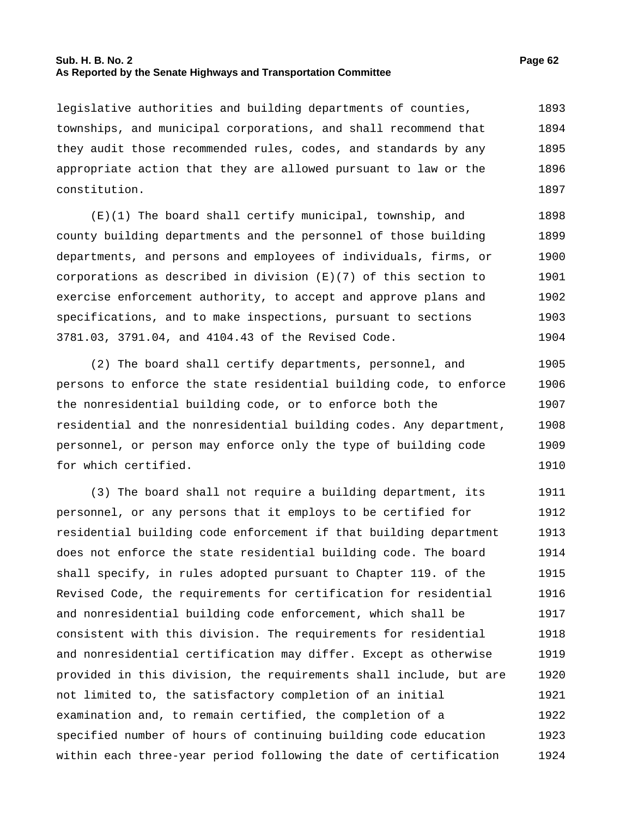# **Sub. H. B. No. 2 Page 62 As Reported by the Senate Highways and Transportation Committee**

legislative authorities and building departments of counties, townships, and municipal corporations, and shall recommend that they audit those recommended rules, codes, and standards by any appropriate action that they are allowed pursuant to law or the constitution. 1893 1894 1895 1896 1897

(E)(1) The board shall certify municipal, township, and county building departments and the personnel of those building departments, and persons and employees of individuals, firms, or corporations as described in division  $(E)(7)$  of this section to exercise enforcement authority, to accept and approve plans and specifications, and to make inspections, pursuant to sections 3781.03, 3791.04, and 4104.43 of the Revised Code. 1898 1899 1900 1901 1902 1903 1904

(2) The board shall certify departments, personnel, and persons to enforce the state residential building code, to enforce the nonresidential building code, or to enforce both the residential and the nonresidential building codes. Any department, personnel, or person may enforce only the type of building code for which certified. 1905 1906 1907 1908 1909 1910

(3) The board shall not require a building department, its personnel, or any persons that it employs to be certified for residential building code enforcement if that building department does not enforce the state residential building code. The board shall specify, in rules adopted pursuant to Chapter 119. of the Revised Code, the requirements for certification for residential and nonresidential building code enforcement, which shall be consistent with this division. The requirements for residential and nonresidential certification may differ. Except as otherwise provided in this division, the requirements shall include, but are not limited to, the satisfactory completion of an initial examination and, to remain certified, the completion of a specified number of hours of continuing building code education within each three-year period following the date of certification 1911 1912 1913 1914 1915 1916 1917 1918 1919 1920 1921 1922 1923 1924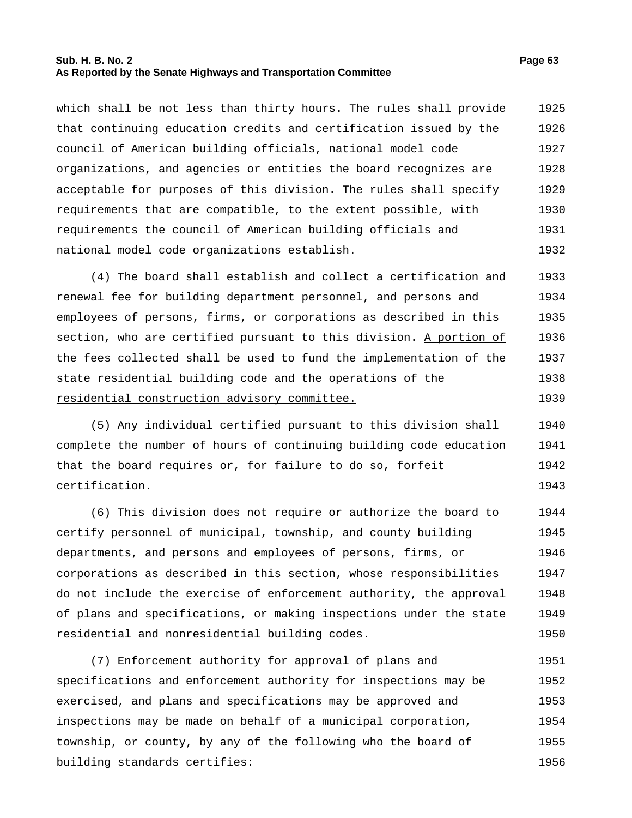## **Sub. H. B. No. 2 Page 63 As Reported by the Senate Highways and Transportation Committee**

that continuing education credits and certification issued by the council of American building officials, national model code organizations, and agencies or entities the board recognizes are acceptable for purposes of this division. The rules shall specify requirements that are compatible, to the extent possible, with requirements the council of American building officials and national model code organizations establish. 1926 1927 1928 1929 1930 1931 1932

(4) The board shall establish and collect a certification and renewal fee for building department personnel, and persons and employees of persons, firms, or corporations as described in this section, who are certified pursuant to this division. A portion of the fees collected shall be used to fund the implementation of the state residential building code and the operations of the residential construction advisory committee. 1933 1934 1935 1936 1937 1938 1939

(5) Any individual certified pursuant to this division shall complete the number of hours of continuing building code education that the board requires or, for failure to do so, forfeit certification. 1940 1941 1942 1943

(6) This division does not require or authorize the board to certify personnel of municipal, township, and county building departments, and persons and employees of persons, firms, or corporations as described in this section, whose responsibilities do not include the exercise of enforcement authority, the approval of plans and specifications, or making inspections under the state residential and nonresidential building codes. 1944 1945 1946 1947 1948 1949 1950

(7) Enforcement authority for approval of plans and specifications and enforcement authority for inspections may be exercised, and plans and specifications may be approved and inspections may be made on behalf of a municipal corporation, township, or county, by any of the following who the board of building standards certifies: 1951 1952 1953 1954 1955 1956

1925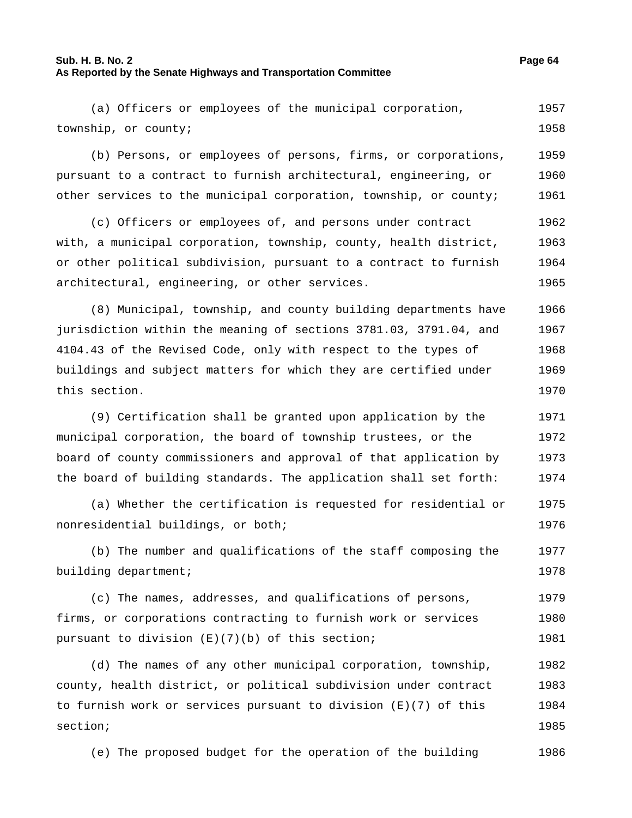## **Sub. H. B. No. 2 Page 64 As Reported by the Senate Highways and Transportation Committee**

(a) Officers or employees of the municipal corporation, township, or county; 1957 1958

(b) Persons, or employees of persons, firms, or corporations, pursuant to a contract to furnish architectural, engineering, or other services to the municipal corporation, township, or county; 1959 1960 1961

(c) Officers or employees of, and persons under contract with, a municipal corporation, township, county, health district, or other political subdivision, pursuant to a contract to furnish architectural, engineering, or other services. 1962 1963 1964 1965

(8) Municipal, township, and county building departments have jurisdiction within the meaning of sections 3781.03, 3791.04, and 4104.43 of the Revised Code, only with respect to the types of buildings and subject matters for which they are certified under this section. 1966 1967 1968 1969 1970

(9) Certification shall be granted upon application by the municipal corporation, the board of township trustees, or the board of county commissioners and approval of that application by the board of building standards. The application shall set forth: 1971 1972 1973 1974

(a) Whether the certification is requested for residential or nonresidential buildings, or both; 1975 1976

(b) The number and qualifications of the staff composing the building department; 1977 1978

(c) The names, addresses, and qualifications of persons, firms, or corporations contracting to furnish work or services pursuant to division (E)(7)(b) of this section; 1979 1980 1981

(d) The names of any other municipal corporation, township, county, health district, or political subdivision under contract to furnish work or services pursuant to division (E)(7) of this section; 1982 1983 1984 1985

(e) The proposed budget for the operation of the building 1986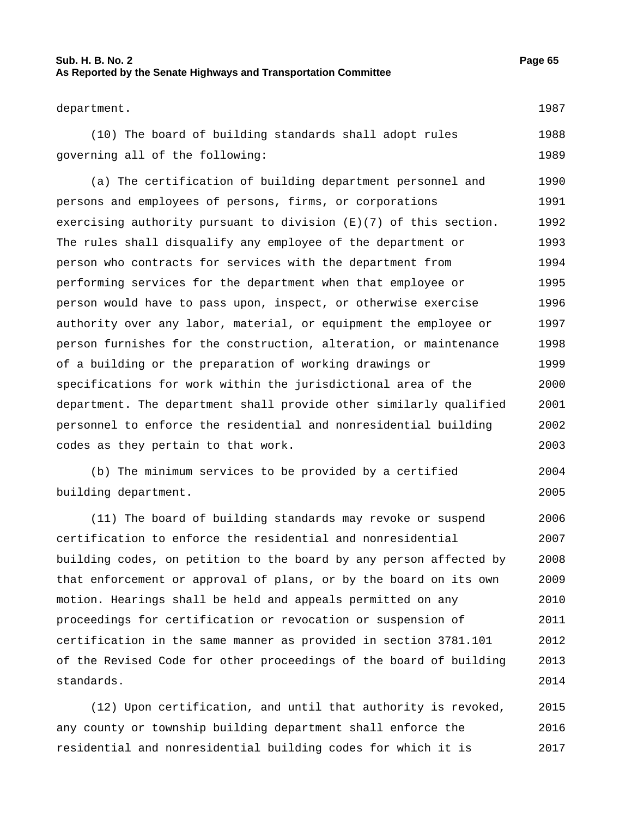# **Sub. H. B. No. 2 Page 65 As Reported by the Senate Highways and Transportation Committee**

department. 1987 (10) The board of building standards shall adopt rules governing all of the following: 1988 1989 (a) The certification of building department personnel and persons and employees of persons, firms, or corporations exercising authority pursuant to division (E)(7) of this section. The rules shall disqualify any employee of the department or person who contracts for services with the department from performing services for the department when that employee or person would have to pass upon, inspect, or otherwise exercise authority over any labor, material, or equipment the employee or person furnishes for the construction, alteration, or maintenance of a building or the preparation of working drawings or specifications for work within the jurisdictional area of the department. The department shall provide other similarly qualified personnel to enforce the residential and nonresidential building codes as they pertain to that work. 1990 1991 1992 1993 1994 1995 1996 1997 1998 1999 2000 2001 2002 2003

(b) The minimum services to be provided by a certified building department. 2004 2005

(11) The board of building standards may revoke or suspend certification to enforce the residential and nonresidential building codes, on petition to the board by any person affected by that enforcement or approval of plans, or by the board on its own motion. Hearings shall be held and appeals permitted on any proceedings for certification or revocation or suspension of certification in the same manner as provided in section 3781.101 of the Revised Code for other proceedings of the board of building standards. 2006 2007 2008 2009 2010 2011 2012 2013 2014

(12) Upon certification, and until that authority is revoked, any county or township building department shall enforce the residential and nonresidential building codes for which it is 2015 2016 2017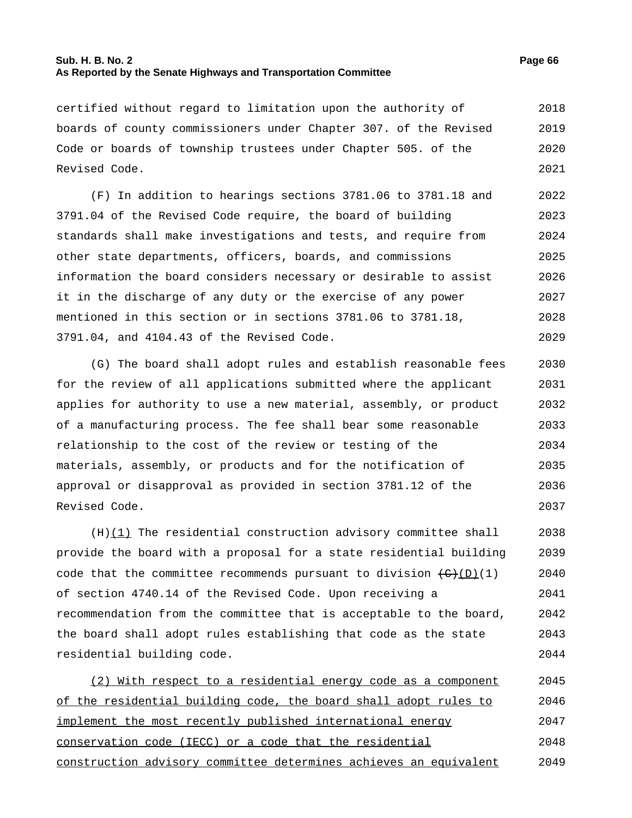#### **Sub. H. B. No. 2 Page 66 As Reported by the Senate Highways and Transportation Committee**

certified without regard to limitation upon the authority of boards of county commissioners under Chapter 307. of the Revised Code or boards of township trustees under Chapter 505. of the Revised Code. 2018 2019 2020 2021

(F) In addition to hearings sections 3781.06 to 3781.18 and 3791.04 of the Revised Code require, the board of building standards shall make investigations and tests, and require from other state departments, officers, boards, and commissions information the board considers necessary or desirable to assist it in the discharge of any duty or the exercise of any power mentioned in this section or in sections 3781.06 to 3781.18, 3791.04, and 4104.43 of the Revised Code. 2022 2023 2024 2025 2026 2027 2028 2029

(G) The board shall adopt rules and establish reasonable fees for the review of all applications submitted where the applicant applies for authority to use a new material, assembly, or product of a manufacturing process. The fee shall bear some reasonable relationship to the cost of the review or testing of the materials, assembly, or products and for the notification of approval or disapproval as provided in section 3781.12 of the Revised Code. 2030 2031 2032 2033 2034 2035 2036 2037

 $(H)(1)$  The residential construction advisory committee shall provide the board with a proposal for a state residential building code that the committee recommends pursuant to division  $(\theta)(D)(1)$ of section 4740.14 of the Revised Code. Upon receiving a recommendation from the committee that is acceptable to the board, the board shall adopt rules establishing that code as the state residential building code. 2038 2039 2040 2041 2042 2043 2044

(2) With respect to a residential energy code as a component of the residential building code, the board shall adopt rules to implement the most recently published international energy conservation code (IECC) or a code that the residential construction advisory committee determines achieves an equivalent 2045 2046 2047 2048 2049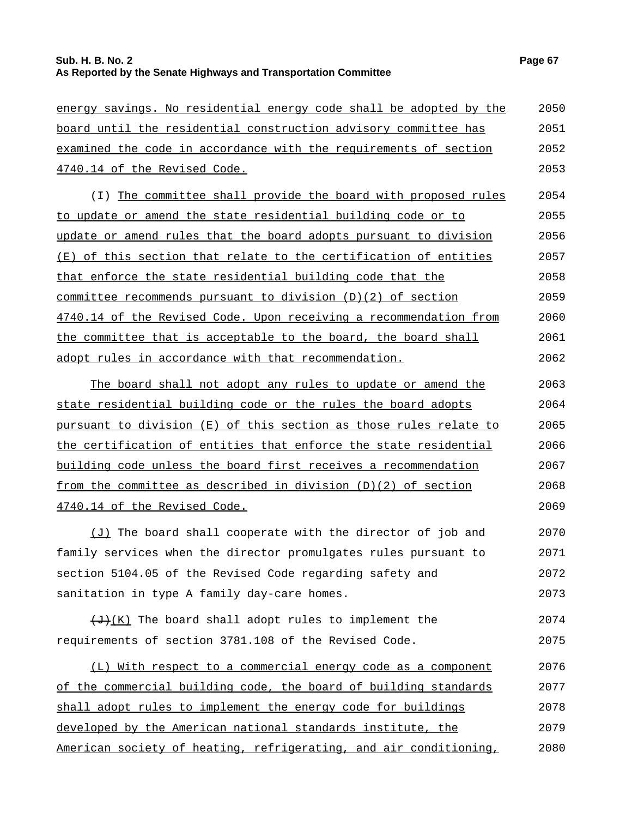# **Sub. H. B. No. 2 Page 67 As Reported by the Senate Highways and Transportation Committee**

| energy savings. No residential energy code shall be adopted by the | 2050 |
|--------------------------------------------------------------------|------|
| board until the residential construction advisory committee has    | 2051 |
| examined the code in accordance with the requirements of section   | 2052 |
| 4740.14 of the Revised Code.                                       | 2053 |

(I) The committee shall provide the board with proposed rules to update or amend the state residential building code or to update or amend rules that the board adopts pursuant to division (E) of this section that relate to the certification of entities that enforce the state residential building code that the committee recommends pursuant to division (D)(2) of section 4740.14 of the Revised Code. Upon receiving a recommendation from the committee that is acceptable to the board, the board shall adopt rules in accordance with that recommendation. 2054 2055 2056 2057 2058 2059 2060 2061 2062

The board shall not adopt any rules to update or amend the state residential building code or the rules the board adopts pursuant to division (E) of this section as those rules relate to the certification of entities that enforce the state residential building code unless the board first receives a recommendation from the committee as described in division  $(D)(2)$  of section 4740.14 of the Revised Code. 2063 2064 2065 2066 2067 2068 2069

(J) The board shall cooperate with the director of job and family services when the director promulgates rules pursuant to section 5104.05 of the Revised Code regarding safety and sanitation in type A family day-care homes. 2070 2071 2072 2073

 $(J+(K))$  The board shall adopt rules to implement the requirements of section 3781.108 of the Revised Code. 2074 2075

(L) With respect to a commercial energy code as a component of the commercial building code, the board of building standards shall adopt rules to implement the energy code for buildings developed by the American national standards institute, the American society of heating, refrigerating, and air conditioning, 2076 2077 2078 2079 2080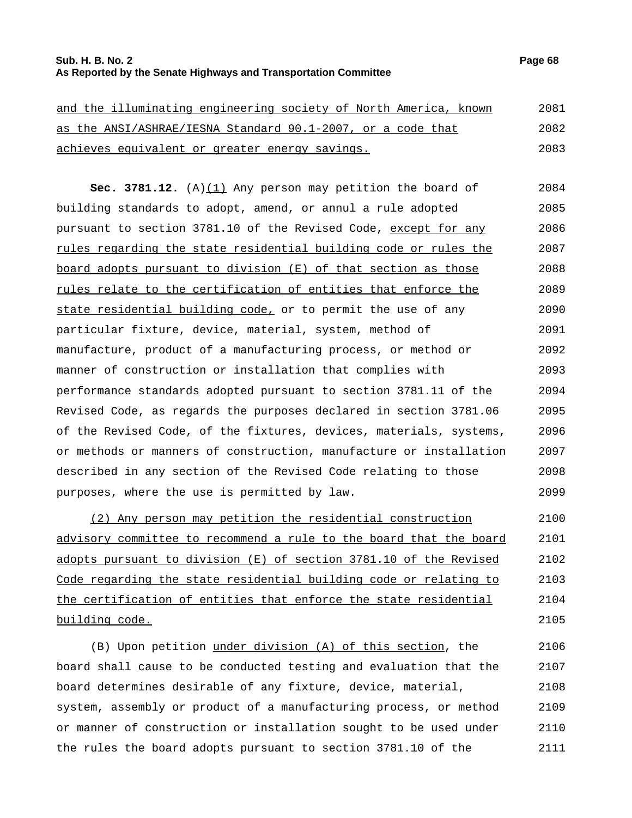# **Sub. H. B. No. 2 Page 68 As Reported by the Senate Highways and Transportation Committee**

| and the illuminating engineering society of North America, known | 2081 |
|------------------------------------------------------------------|------|
| as the ANSI/ASHRAE/IESNA Standard 90.1-2007, or a code that      | 2082 |
| achieves equivalent or greater energy savings.                   | 2083 |

**Sec. 3781.12.** (A)(1) Any person may petition the board of building standards to adopt, amend, or annul a rule adopted pursuant to section 3781.10 of the Revised Code, except for any rules regarding the state residential building code or rules the board adopts pursuant to division (E) of that section as those rules relate to the certification of entities that enforce the state residential building code, or to permit the use of any particular fixture, device, material, system, method of manufacture, product of a manufacturing process, or method or manner of construction or installation that complies with performance standards adopted pursuant to section 3781.11 of the Revised Code, as regards the purposes declared in section 3781.06 of the Revised Code, of the fixtures, devices, materials, systems, or methods or manners of construction, manufacture or installation described in any section of the Revised Code relating to those purposes, where the use is permitted by law. 2084 2085 2086 2087 2088 2089 2090 2091 2092 2093 2094 2095 2096 2097 2098 2099

(2) Any person may petition the residential construction advisory committee to recommend a rule to the board that the board adopts pursuant to division (E) of section 3781.10 of the Revised Code regarding the state residential building code or relating to the certification of entities that enforce the state residential building code. 2100 2101 2102 2103 2104 2105

(B) Upon petition under division (A) of this section, the board shall cause to be conducted testing and evaluation that the board determines desirable of any fixture, device, material, system, assembly or product of a manufacturing process, or method or manner of construction or installation sought to be used under the rules the board adopts pursuant to section 3781.10 of the 2106 2107 2108 2109 2110 2111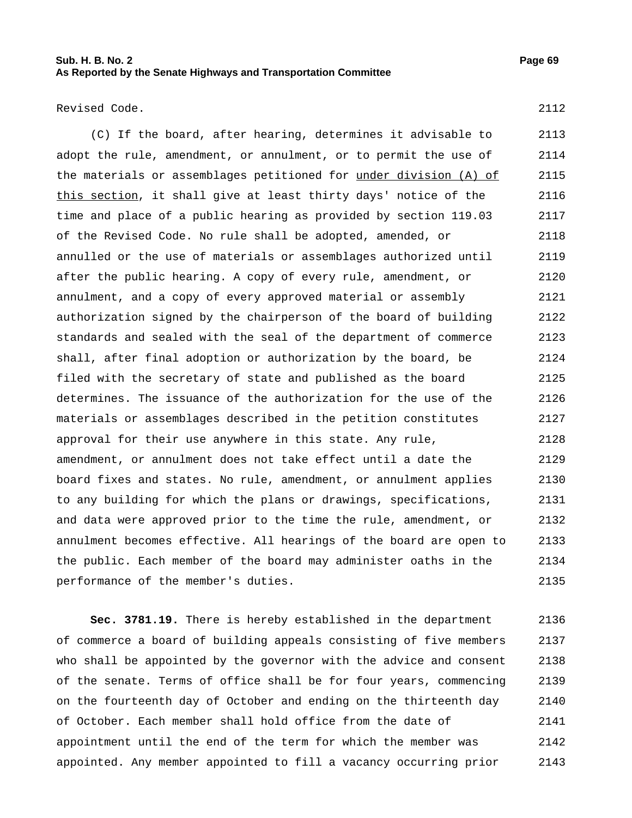# **Sub. H. B. No. 2 Page 69 As Reported by the Senate Highways and Transportation Committee**

Revised Code. 2112

(C) If the board, after hearing, determines it advisable to adopt the rule, amendment, or annulment, or to permit the use of the materials or assemblages petitioned for under division (A) of this section, it shall give at least thirty days' notice of the time and place of a public hearing as provided by section 119.03 of the Revised Code. No rule shall be adopted, amended, or annulled or the use of materials or assemblages authorized until after the public hearing. A copy of every rule, amendment, or annulment, and a copy of every approved material or assembly authorization signed by the chairperson of the board of building standards and sealed with the seal of the department of commerce shall, after final adoption or authorization by the board, be filed with the secretary of state and published as the board determines. The issuance of the authorization for the use of the materials or assemblages described in the petition constitutes approval for their use anywhere in this state. Any rule, amendment, or annulment does not take effect until a date the board fixes and states. No rule, amendment, or annulment applies to any building for which the plans or drawings, specifications, and data were approved prior to the time the rule, amendment, or annulment becomes effective. All hearings of the board are open to the public. Each member of the board may administer oaths in the performance of the member's duties. 2113 2114 2115 2116 2117 2118 2119 2120 2121 2122 2123 2124 2125 2126 2127 2128 2129 2130 2131 2132 2133 2134 2135

**Sec. 3781.19.** There is hereby established in the department of commerce a board of building appeals consisting of five members who shall be appointed by the governor with the advice and consent of the senate. Terms of office shall be for four years, commencing on the fourteenth day of October and ending on the thirteenth day of October. Each member shall hold office from the date of appointment until the end of the term for which the member was appointed. Any member appointed to fill a vacancy occurring prior 2136 2137 2138 2139 2140 2141 2142 2143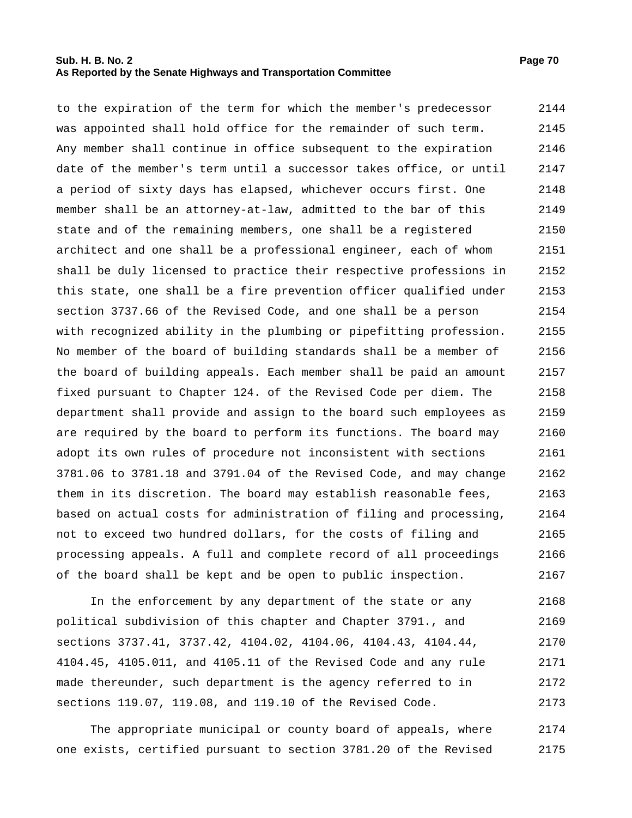# **Sub. H. B. No. 2 Page 70 As Reported by the Senate Highways and Transportation Committee**

to the expiration of the term for which the member's predecessor was appointed shall hold office for the remainder of such term. Any member shall continue in office subsequent to the expiration date of the member's term until a successor takes office, or until a period of sixty days has elapsed, whichever occurs first. One member shall be an attorney-at-law, admitted to the bar of this state and of the remaining members, one shall be a registered architect and one shall be a professional engineer, each of whom shall be duly licensed to practice their respective professions in this state, one shall be a fire prevention officer qualified under section 3737.66 of the Revised Code, and one shall be a person with recognized ability in the plumbing or pipefitting profession. No member of the board of building standards shall be a member of the board of building appeals. Each member shall be paid an amount fixed pursuant to Chapter 124. of the Revised Code per diem. The department shall provide and assign to the board such employees as are required by the board to perform its functions. The board may adopt its own rules of procedure not inconsistent with sections 3781.06 to 3781.18 and 3791.04 of the Revised Code, and may change them in its discretion. The board may establish reasonable fees, based on actual costs for administration of filing and processing, not to exceed two hundred dollars, for the costs of filing and processing appeals. A full and complete record of all proceedings of the board shall be kept and be open to public inspection. 2144 2145 2146 2147 2148 2149 2150 2151 2152 2153 2154 2155 2156 2157 2158 2159 2160 2161 2162 2163 2164 2165 2166 2167

In the enforcement by any department of the state or any political subdivision of this chapter and Chapter 3791., and sections 3737.41, 3737.42, 4104.02, 4104.06, 4104.43, 4104.44, 4104.45, 4105.011, and 4105.11 of the Revised Code and any rule made thereunder, such department is the agency referred to in sections 119.07, 119.08, and 119.10 of the Revised Code. 2168 2169 2170 2171 2172 2173

The appropriate municipal or county board of appeals, where one exists, certified pursuant to section 3781.20 of the Revised 2174 2175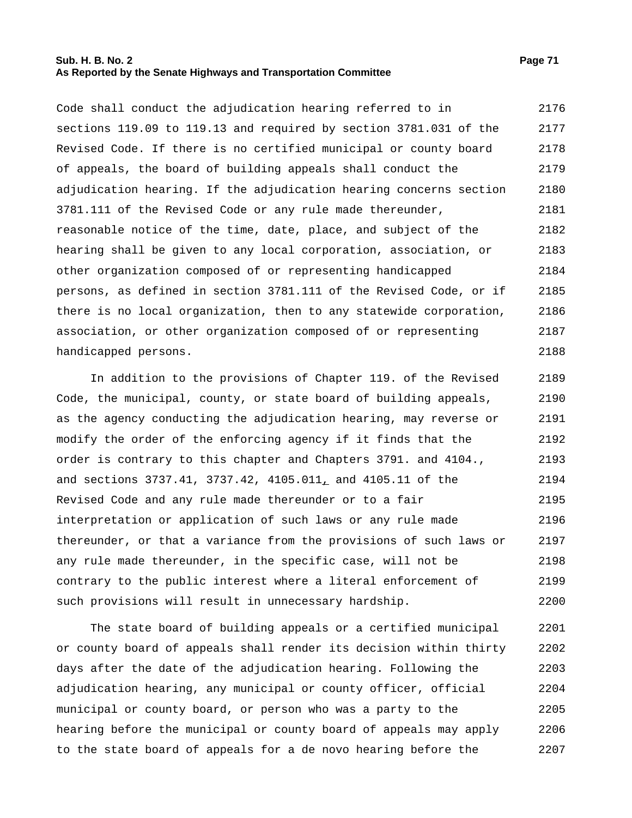# **Sub. H. B. No. 2 Page 71 As Reported by the Senate Highways and Transportation Committee**

Code shall conduct the adjudication hearing referred to in sections 119.09 to 119.13 and required by section 3781.031 of the Revised Code. If there is no certified municipal or county board of appeals, the board of building appeals shall conduct the adjudication hearing. If the adjudication hearing concerns section 3781.111 of the Revised Code or any rule made thereunder, reasonable notice of the time, date, place, and subject of the hearing shall be given to any local corporation, association, or other organization composed of or representing handicapped persons, as defined in section 3781.111 of the Revised Code, or if there is no local organization, then to any statewide corporation, association, or other organization composed of or representing handicapped persons. 2176 2177 2178 2179 2180 2181 2182 2183 2184 2185 2186 2187 2188

In addition to the provisions of Chapter 119. of the Revised Code, the municipal, county, or state board of building appeals, as the agency conducting the adjudication hearing, may reverse or modify the order of the enforcing agency if it finds that the order is contrary to this chapter and Chapters 3791. and 4104., and sections 3737.41, 3737.42, 4105.011, and 4105.11 of the Revised Code and any rule made thereunder or to a fair interpretation or application of such laws or any rule made thereunder, or that a variance from the provisions of such laws or any rule made thereunder, in the specific case, will not be contrary to the public interest where a literal enforcement of such provisions will result in unnecessary hardship. 2189 2190 2191 2192 2193 2194 2195 2196 2197 2198 2199 2200

The state board of building appeals or a certified municipal or county board of appeals shall render its decision within thirty days after the date of the adjudication hearing. Following the adjudication hearing, any municipal or county officer, official municipal or county board, or person who was a party to the hearing before the municipal or county board of appeals may apply to the state board of appeals for a de novo hearing before the 2201 2202 2203 2204 2205 2206 2207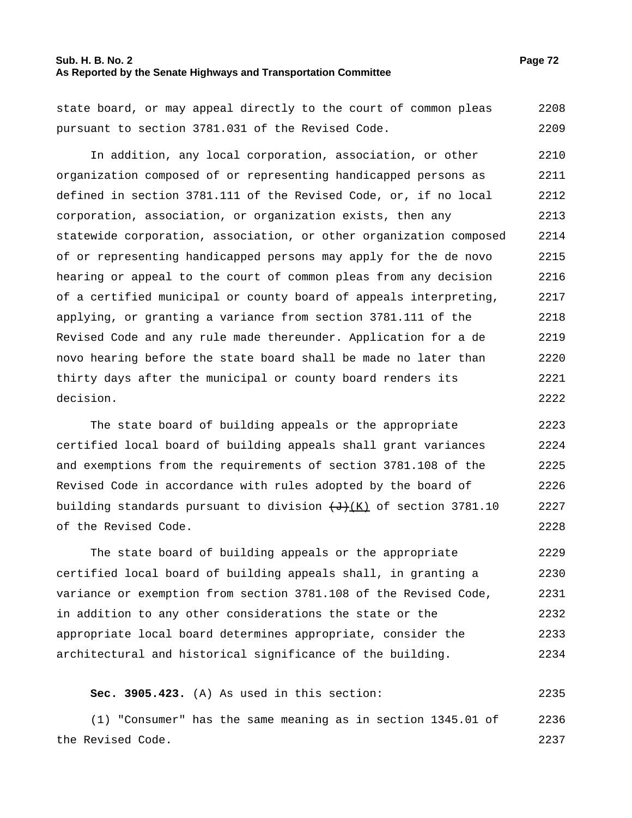#### **Sub. H. B. No. 2 Page 72 As Reported by the Senate Highways and Transportation Committee**

state board, or may appeal directly to the court of common pleas pursuant to section 3781.031 of the Revised Code. 2208 2209

In addition, any local corporation, association, or other organization composed of or representing handicapped persons as defined in section 3781.111 of the Revised Code, or, if no local corporation, association, or organization exists, then any statewide corporation, association, or other organization composed of or representing handicapped persons may apply for the de novo hearing or appeal to the court of common pleas from any decision of a certified municipal or county board of appeals interpreting, applying, or granting a variance from section 3781.111 of the Revised Code and any rule made thereunder. Application for a de novo hearing before the state board shall be made no later than thirty days after the municipal or county board renders its decision. 2210 2211 2212 2213 2214 2215 2216 2217 2218 2219 2220 2221 2222

The state board of building appeals or the appropriate certified local board of building appeals shall grant variances and exemptions from the requirements of section 3781.108 of the Revised Code in accordance with rules adopted by the board of building standards pursuant to division  $\overline{(J+K)}$  of section 3781.10 of the Revised Code. 2223 2224 2225 2226 2227 2228

The state board of building appeals or the appropriate certified local board of building appeals shall, in granting a variance or exemption from section 3781.108 of the Revised Code, in addition to any other considerations the state or the appropriate local board determines appropriate, consider the architectural and historical significance of the building. 2229 2230 2231 2232 2233 2234

**Sec. 3905.423.** (A) As used in this section: 2235

(1) "Consumer" has the same meaning as in section 1345.01 of the Revised Code. 2236 2237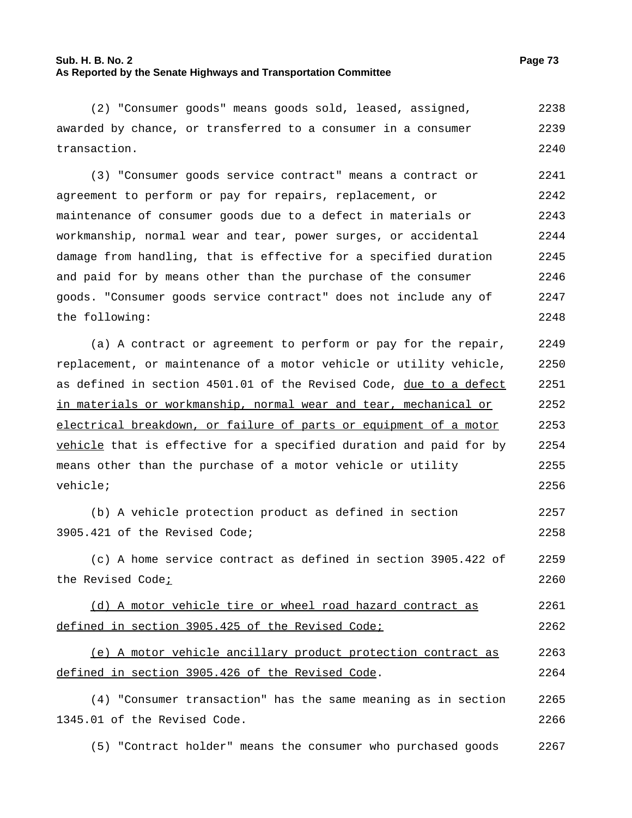#### **Sub. H. B. No. 2 Page 73 As Reported by the Senate Highways and Transportation Committee**

(2) "Consumer goods" means goods sold, leased, assigned, awarded by chance, or transferred to a consumer in a consumer transaction. 2238 2239 2240

(3) "Consumer goods service contract" means a contract or agreement to perform or pay for repairs, replacement, or maintenance of consumer goods due to a defect in materials or workmanship, normal wear and tear, power surges, or accidental damage from handling, that is effective for a specified duration and paid for by means other than the purchase of the consumer goods. "Consumer goods service contract" does not include any of the following: 2241 2242 2243 2244 2245 2246 2247 2248

(a) A contract or agreement to perform or pay for the repair, replacement, or maintenance of a motor vehicle or utility vehicle, as defined in section 4501.01 of the Revised Code, due to a defect in materials or workmanship, normal wear and tear, mechanical or electrical breakdown, or failure of parts or equipment of a motor vehicle that is effective for a specified duration and paid for by means other than the purchase of a motor vehicle or utility vehicle; 2249 2250 2251 2252 2253 2254 2255 2256

(b) A vehicle protection product as defined in section 3905.421 of the Revised Code; 2257 2258

(c) A home service contract as defined in section 3905.422 of the Revised Code<sub>i</sub> 2259 2260

(d) A motor vehicle tire or wheel road hazard contract as defined in section 3905.425 of the Revised Code; 2261 2262

(e) A motor vehicle ancillary product protection contract as defined in section 3905.426 of the Revised Code. 2263 2264

(4) "Consumer transaction" has the same meaning as in section 1345.01 of the Revised Code. 2265 2266

(5) "Contract holder" means the consumer who purchased goods 2267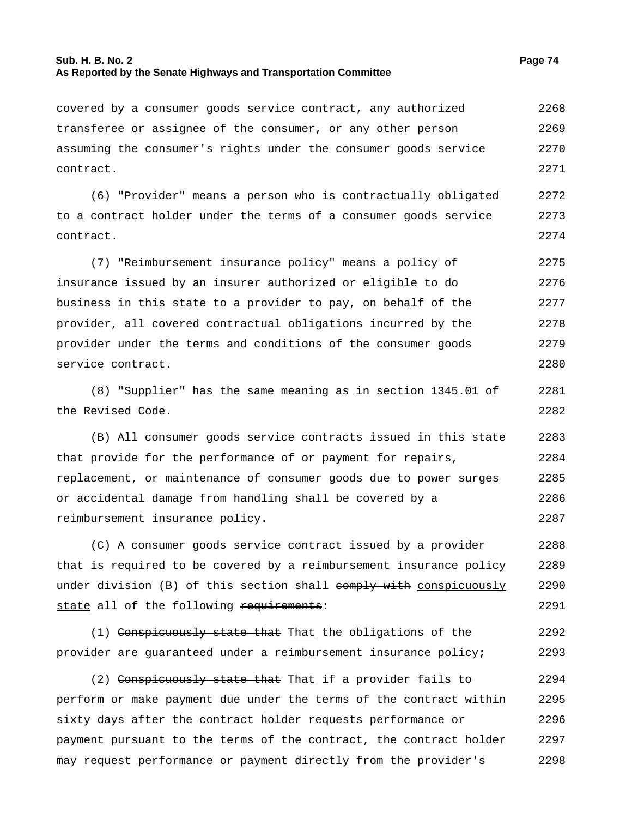#### **Sub. H. B. No. 2 Page 74 As Reported by the Senate Highways and Transportation Committee**

covered by a consumer goods service contract, any authorized transferee or assignee of the consumer, or any other person assuming the consumer's rights under the consumer goods service contract. 2268 2269 2270 2271 (6) "Provider" means a person who is contractually obligated 2272

to a contract holder under the terms of a consumer goods service contract. 2273 2274

(7) "Reimbursement insurance policy" means a policy of insurance issued by an insurer authorized or eligible to do business in this state to a provider to pay, on behalf of the provider, all covered contractual obligations incurred by the provider under the terms and conditions of the consumer goods service contract. 2275 2276 2277 2278 2279 2280

(8) "Supplier" has the same meaning as in section 1345.01 of the Revised Code. 2281 2282

(B) All consumer goods service contracts issued in this state that provide for the performance of or payment for repairs, replacement, or maintenance of consumer goods due to power surges or accidental damage from handling shall be covered by a reimbursement insurance policy. 2283 2284 2285 2286 2287

(C) A consumer goods service contract issued by a provider that is required to be covered by a reimbursement insurance policy under division (B) of this section shall comply with conspicuously state all of the following requirements: 2288 2289 2290 2291

(1) Conspicuously state that That the obligations of the provider are guaranteed under a reimbursement insurance policy; 2292 2293

(2) Conspicuously state that That if a provider fails to perform or make payment due under the terms of the contract within sixty days after the contract holder requests performance or payment pursuant to the terms of the contract, the contract holder may request performance or payment directly from the provider's 2294 2295 2296 2297 2298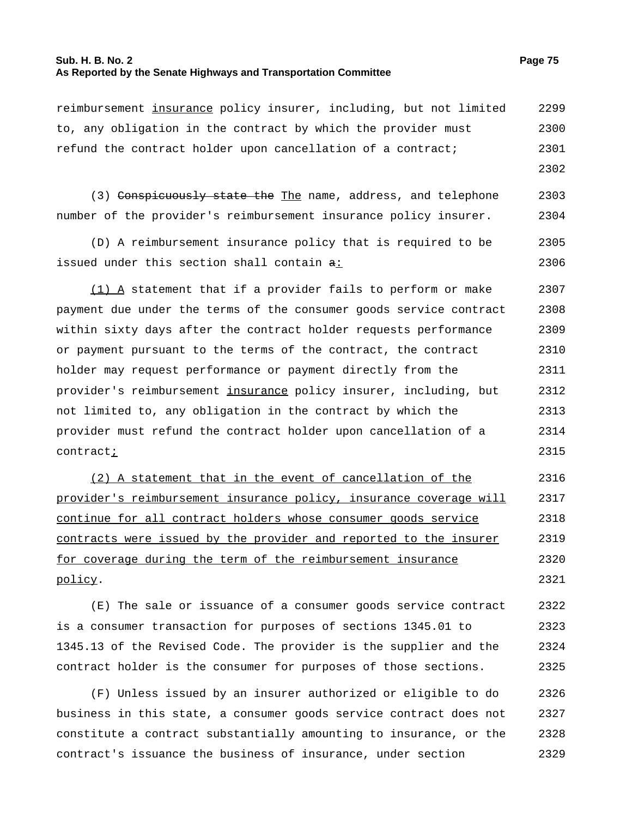#### **Sub. H. B. No. 2 Page 75 As Reported by the Senate Highways and Transportation Committee**

reimbursement insurance policy insurer, including, but not limited to, any obligation in the contract by which the provider must refund the contract holder upon cancellation of a contract; 2299 2300 2301 2302 (3) Conspicuously state the The name, address, and telephone number of the provider's reimbursement insurance policy insurer. 2303 2304 (D) A reimbursement insurance policy that is required to be issued under this section shall contain a: 2305 2306 (1) A statement that if a provider fails to perform or make payment due under the terms of the consumer goods service contract within sixty days after the contract holder requests performance or payment pursuant to the terms of the contract, the contract holder may request performance or payment directly from the provider's reimbursement insurance policy insurer, including, but not limited to, any obligation in the contract by which the provider must refund the contract holder upon cancellation of a contracti 2307 2308 2309 2310 2311 2312 2313 2314 2315 (2) A statement that in the event of cancellation of the provider's reimbursement insurance policy, insurance coverage will continue for all contract holders whose consumer goods service contracts were issued by the provider and reported to the insurer 2316 2317 2318 2319

for coverage during the term of the reimbursement insurance policy. 2320 2321

(E) The sale or issuance of a consumer goods service contract is a consumer transaction for purposes of sections 1345.01 to 1345.13 of the Revised Code. The provider is the supplier and the contract holder is the consumer for purposes of those sections. 2322 2323 2324 2325

(F) Unless issued by an insurer authorized or eligible to do business in this state, a consumer goods service contract does not constitute a contract substantially amounting to insurance, or the contract's issuance the business of insurance, under section 2326 2327 2328 2329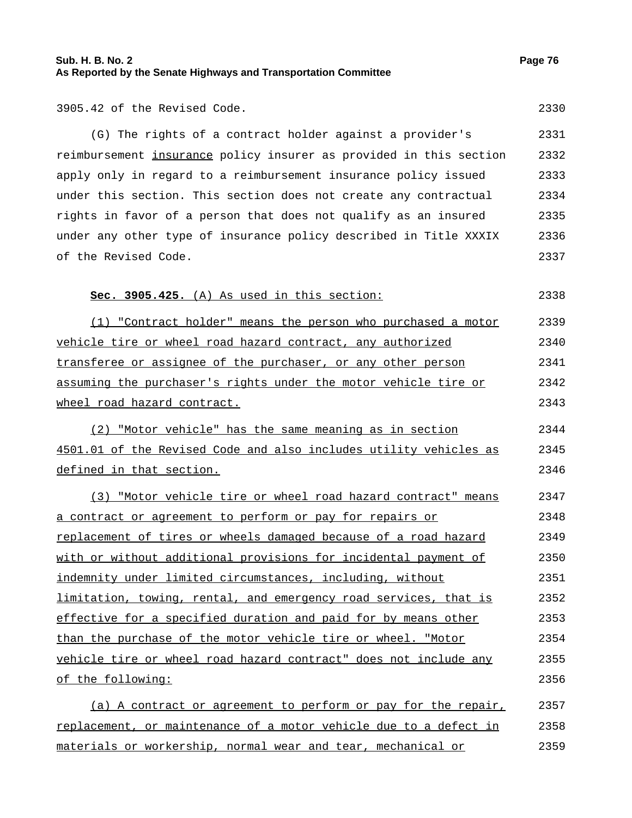### **Sub. H. B. No. 2 Page 76 As Reported by the Senate Highways and Transportation Committee**

3905.42 of the Revised Code. 2330

(G) The rights of a contract holder against a provider's reimbursement insurance policy insurer as provided in this section apply only in regard to a reimbursement insurance policy issued under this section. This section does not create any contractual rights in favor of a person that does not qualify as an insured under any other type of insurance policy described in Title XXXIX of the Revised Code. 2331 2332 2333 2334 2335 2336 2337

|  |  | Sec. 3905.425. (A) As used in this section: |  |  |  |  |  |  |  | 2338 |
|--|--|---------------------------------------------|--|--|--|--|--|--|--|------|
|--|--|---------------------------------------------|--|--|--|--|--|--|--|------|

| (1) "Contract holder" means the person who purchased a motor    | 2339 |
|-----------------------------------------------------------------|------|
| vehicle tire or wheel road hazard contract, any authorized      | 2340 |
| transferee or assignee of the purchaser, or any other person    | 2341 |
| assuming the purchaser's rights under the motor vehicle tire or | 2342 |
| wheel road hazard contract.                                     | 2343 |
|                                                                 |      |

(2) "Motor vehicle" has the same meaning as in section 4501.01 of the Revised Code and also includes utility vehicles as defined in that section. 2344 2345 2346

(3) "Motor vehicle tire or wheel road hazard contract" means a contract or agreement to perform or pay for repairs or replacement of tires or wheels damaged because of a road hazard with or without additional provisions for incidental payment of indemnity under limited circumstances, including, without limitation, towing, rental, and emergency road services, that is effective for a specified duration and paid for by means other than the purchase of the motor vehicle tire or wheel. "Motor vehicle tire or wheel road hazard contract" does not include any of the following: 2347 2348 2349 2350 2351 2352 2353 2354 2355 2356

(a) A contract or agreement to perform or pay for the repair, replacement, or maintenance of a motor vehicle due to a defect in materials or workership, normal wear and tear, mechanical or 2357 2358 2359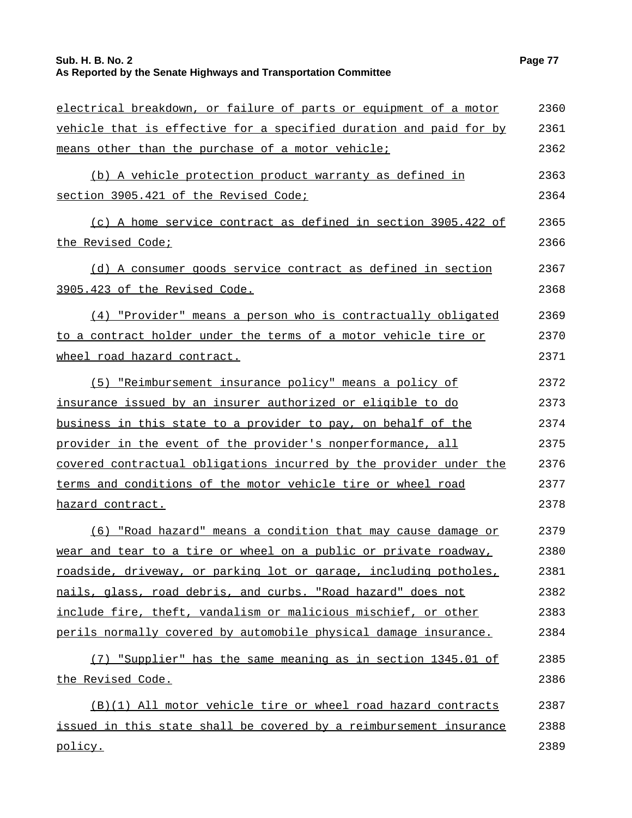# **Sub. H. B. No. 2 Page 77 As Reported by the Senate Highways and Transportation Committee**

| electrical breakdown, or failure of parts or equipment of a motor  | 2360 |
|--------------------------------------------------------------------|------|
| vehicle that is effective for a specified duration and paid for by | 2361 |
| means other than the purchase of a motor vehicle;                  | 2362 |
| (b) A vehicle protection product warranty as defined in            | 2363 |
| section 3905.421 of the Revised Code;                              | 2364 |
| (c) A home service contract as defined in section 3905.422 of      | 2365 |
| the Revised Code;                                                  | 2366 |
| (d) A consumer goods service contract as defined in section        | 2367 |
| 3905.423 of the Revised Code.                                      | 2368 |
| (4) "Provider" means a person who is contractually obligated       | 2369 |
| to a contract holder under the terms of a motor vehicle tire or    | 2370 |
| wheel road hazard contract.                                        | 2371 |
| (5) "Reimbursement insurance policy" means a policy of             | 2372 |
| insurance issued by an insurer authorized or eligible to do        | 2373 |
| business in this state to a provider to pay, on behalf of the      | 2374 |
| provider in the event of the provider's nonperformance, all        | 2375 |
| covered contractual obligations incurred by the provider under the | 2376 |
| terms and conditions of the motor vehicle tire or wheel road       | 2377 |
| hazard contract.                                                   | 2378 |
| (6) "Road hazard" means a condition that may cause damage or       | 2379 |
| wear and tear to a tire or wheel on a public or private roadway,   | 2380 |
| roadside, driveway, or parking lot or garage, including potholes,  | 2381 |
| nails, glass, road debris, and curbs. "Road hazard" does not       | 2382 |
| include fire, theft, vandalism or malicious mischief, or other     | 2383 |
| perils normally covered by automobile physical damage insurance.   | 2384 |
| (7) "Supplier" has the same meaning as in section 1345.01 of       | 2385 |
| the Revised Code.                                                  | 2386 |
| (B)(1) All motor vehicle tire or wheel road hazard contracts       | 2387 |
| issued in this state shall be covered by a reimbursement insurance | 2388 |
| policy.                                                            | 2389 |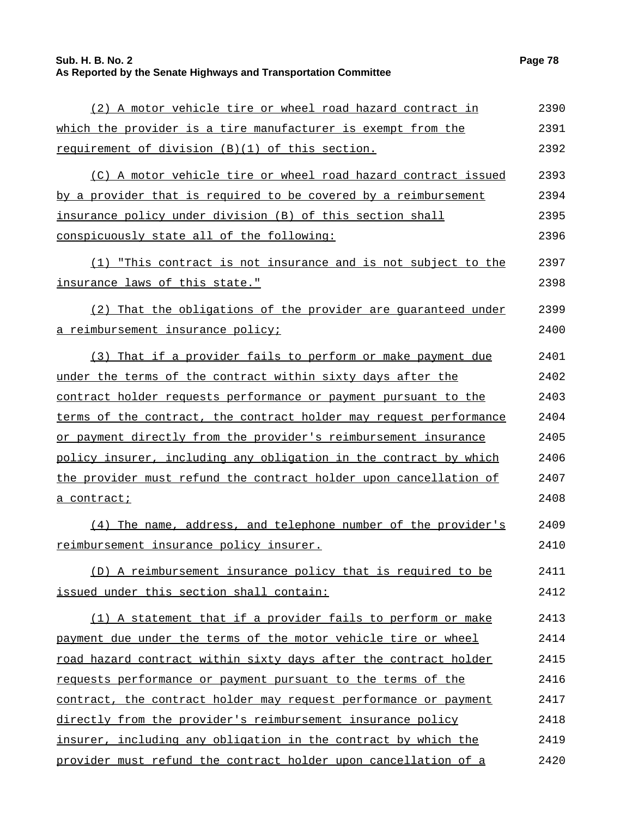# **Sub. H. B. No. 2 Page 78 As Reported by the Senate Highways and Transportation Committee**

| (2) A motor vehicle tire or wheel road hazard contract in          | 2390 |
|--------------------------------------------------------------------|------|
| which the provider is a tire manufacturer is exempt from the       | 2391 |
| requirement of division (B)(1) of this section.                    | 2392 |
| (C) A motor vehicle tire or wheel road hazard contract issued      | 2393 |
| by a provider that is required to be covered by a reimbursement    | 2394 |
| insurance policy under division (B) of this section shall          | 2395 |
| conspicuously state all of the following:                          | 2396 |
| (1) "This contract is not insurance and is not subject to the      | 2397 |
| insurance laws of this state."                                     | 2398 |
| (2) That the obligations of the provider are quaranteed under      | 2399 |
| a reimbursement insurance policy;                                  | 2400 |
| (3) That if a provider fails to perform or make payment due        | 2401 |
| under the terms of the contract within sixty days after the        | 2402 |
| contract holder requests performance or payment pursuant to the    | 2403 |
| terms of the contract, the contract holder may request performance | 2404 |
| or payment directly from the provider's reimbursement insurance    | 2405 |
| policy insurer, including any obligation in the contract by which  | 2406 |
| the provider must refund the contract holder upon cancellation of  | 2407 |
| a contract;                                                        | 2408 |
| (4) The name, address, and telephone number of the provider's      | 2409 |
| reimbursement insurance policy insurer.                            | 2410 |
| (D) A reimbursement insurance policy that is required to be        | 2411 |
| issued under this section shall contain:                           | 2412 |
| (1) A statement that if a provider fails to perform or make        | 2413 |
| payment due under the terms of the motor vehicle tire or wheel     | 2414 |
| road hazard contract within sixty days after the contract holder   | 2415 |
| requests performance or payment pursuant to the terms of the       | 2416 |
| contract, the contract holder may request performance or payment   | 2417 |
| directly from the provider's reimbursement insurance policy        | 2418 |
| insurer, including any obligation in the contract by which the     | 2419 |
| provider must refund the contract holder upon cancellation of a    | 2420 |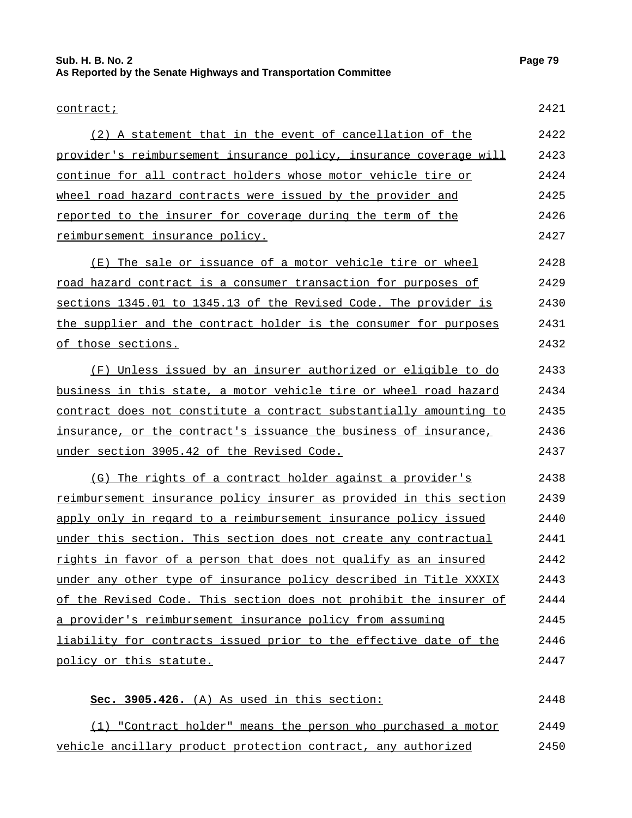## **Sub. H. B. No. 2 Page 79 As Reported by the Senate Highways and Transportation Committee**

| contract;                                                          | 2421 |
|--------------------------------------------------------------------|------|
| (2) A statement that in the event of cancellation of the           | 2422 |
| provider's reimbursement insurance policy, insurance coverage will | 2423 |
| continue for all contract holders whose motor vehicle tire or      | 2424 |
| wheel road hazard contracts were issued by the provider and        | 2425 |
| reported to the insurer for coverage during the term of the        | 2426 |
| reimbursement insurance policy.                                    | 2427 |
| (E) The sale or issuance of a motor vehicle tire or wheel          | 2428 |
| road hazard contract is a consumer transaction for purposes of     | 2429 |
| sections 1345.01 to 1345.13 of the Revised Code. The provider is   | 2430 |
| the supplier and the contract holder is the consumer for purposes  | 2431 |
| of those sections.                                                 | 2432 |
| (F) Unless issued by an insurer authorized or eligible to do       | 2433 |
| business in this state, a motor vehicle tire or wheel road hazard  | 2434 |
| contract does not constitute a contract substantially amounting to | 2435 |
| insurance, or the contract's issuance the business of insurance,   | 2436 |
| under section 3905.42 of the Revised Code.                         | 2437 |
| (G) The rights of a contract holder against a provider's           | 2438 |
| reimbursement insurance policy insurer as provided in this section | 2439 |
| apply only in regard to a reimbursement insurance policy issued    | 2440 |
| under this section. This section does not create any contractual   | 2441 |
| rights in favor of a person that does not qualify as an insured    | 2442 |
| under any other type of insurance policy described in Title XXXIX  | 2443 |
| of the Revised Code. This section does not prohibit the insurer of | 2444 |
| a provider's reimbursement insurance policy from assuming          | 2445 |
| liability for contracts issued prior to the effective date of the  | 2446 |
| policy or this statute.                                            | 2447 |
| Sec. 3905.426. (A) As used in this section:                        | 2448 |

(1) "Contract holder" means the person who purchased a motor vehicle ancillary product protection contract, any authorized 2449 2450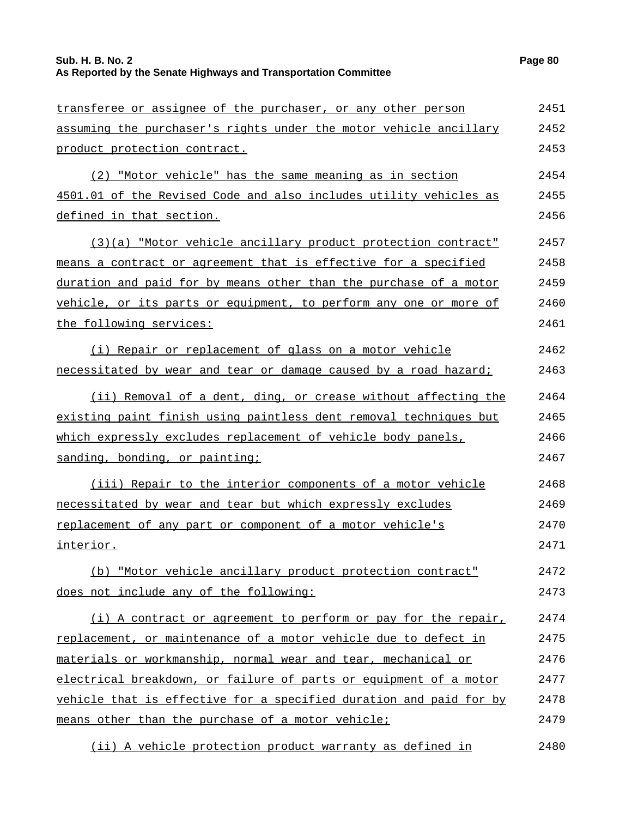# **Sub. H. B. No. 2 Page 80 As Reported by the Senate Highways and Transportation Committee**

| transferee or assignee of the purchaser, or any other person       | 2451 |
|--------------------------------------------------------------------|------|
| assuming the purchaser's rights under the motor vehicle ancillary  | 2452 |
| product protection contract.                                       | 2453 |
| (2) "Motor vehicle" has the same meaning as in section             | 2454 |
| 4501.01 of the Revised Code and also includes utility vehicles as  | 2455 |
| defined in that section.                                           | 2456 |
| (3)(a) "Motor vehicle ancillary product protection contract"       | 2457 |
| means a contract or agreement that is effective for a specified    | 2458 |
| duration and paid for by means other than the purchase of a motor  | 2459 |
| vehicle, or its parts or equipment, to perform any one or more of  | 2460 |
| the following services:                                            | 2461 |
| (i) Repair or replacement of glass on a motor vehicle              | 2462 |
| necessitated by wear and tear or damage caused by a road hazard;   | 2463 |
| (ii) Removal of a dent, ding, or crease without affecting the      | 2464 |
| existing paint finish using paintless dent removal techniques but  | 2465 |
| which expressly excludes replacement of vehicle body panels,       | 2466 |
| sanding, bonding, or painting;                                     | 2467 |
| (iii) Repair to the interior components of a motor vehicle         | 2468 |
| necessitated by wear and tear but which expressly excludes         | 2469 |
| replacement of any part or component of a motor vehicle's          | 2470 |
| interior.                                                          | 2471 |
| (b) "Motor vehicle ancillary product protection contract"          | 2472 |
| does not include any of the following:                             | 2473 |
| (i) A contract or agreement to perform or pay for the repair,      | 2474 |
| replacement, or maintenance of a motor vehicle due to defect in    | 2475 |
| materials or workmanship, normal wear and tear, mechanical or      | 2476 |
| electrical breakdown, or failure of parts or equipment of a motor  | 2477 |
| vehicle that is effective for a specified duration and paid for by | 2478 |
| means other than the purchase of a motor vehicle;                  | 2479 |
| (ii) A vehicle protection product warranty as defined in           | 2480 |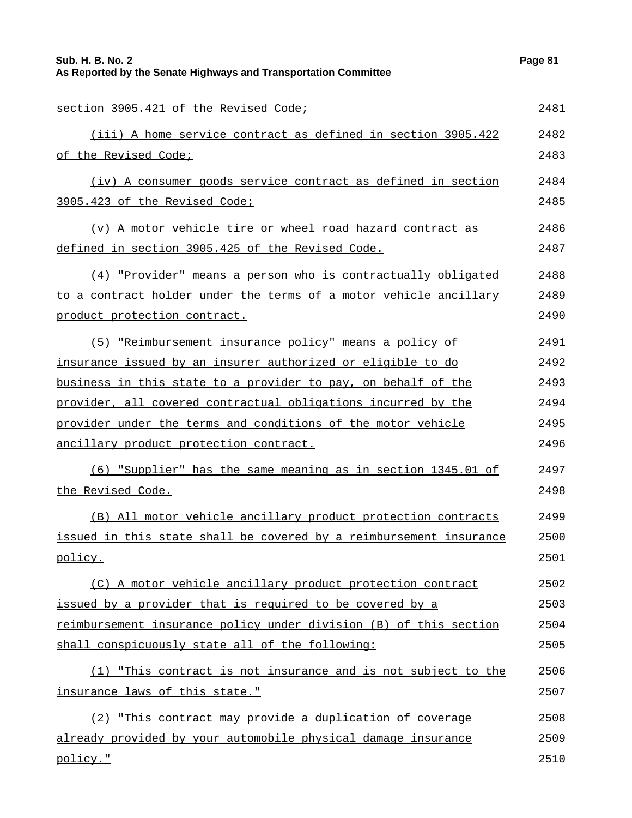| <b>Sub. H. B. No. 2</b><br>As Reported by the Senate Highways and Transportation Committee | Page 81 |
|--------------------------------------------------------------------------------------------|---------|
| section 3905.421 of the Revised Code;                                                      | 2481    |
| (iii) A home service contract as defined in section 3905.422                               | 2482    |
| of the Revised Code;                                                                       | 2483    |
| (iv) A consumer goods service contract as defined in section                               | 2484    |
| 3905.423 of the Revised Code;                                                              | 2485    |
| (v) A motor vehicle tire or wheel road hazard contract as                                  | 2486    |
| defined in section 3905.425 of the Revised Code.                                           | 2487    |
| (4) "Provider" means a person who is contractually obligated                               | 2488    |
| to a contract holder under the terms of a motor vehicle ancillary                          | 2489    |
| product protection contract.                                                               | 2490    |
| (5) "Reimbursement insurance policy" means a policy of                                     | 2491    |
| insurance issued by an insurer authorized or eligible to do                                | 2492    |
| business in this state to a provider to pay, on behalf of the                              | 2493    |
| provider, all covered contractual obligations incurred by the                              | 2494    |
| provider under the terms and conditions of the motor vehicle                               | 2495    |
| ancillary product protection contract.                                                     | 2496    |
| (6) "Supplier" has the same meaning as in section 1345.01 of                               | 2497    |
| the Revised Code.                                                                          | 2498    |
| (B) All motor vehicle ancillary product protection contracts                               | 2499    |
| issued in this state shall be covered by a reimbursement insurance                         | 2500    |
| policy.                                                                                    | 2501    |
| (C) A motor vehicle ancillary product protection contract                                  | 2502    |
| issued by a provider that is required to be covered by a                                   | 2503    |
| reimbursement insurance policy under division (B) of this section                          | 2504    |
| shall conspicuously state all of the following:                                            | 2505    |
| (1) "This contract is not insurance and is not subject to the                              | 2506    |
| insurance laws of this state."                                                             | 2507    |
| (2) "This contract may provide a duplication of coverage                                   | 2508    |
| already provided by your automobile physical damage insurance                              | 2509    |
| policy."                                                                                   | 2510    |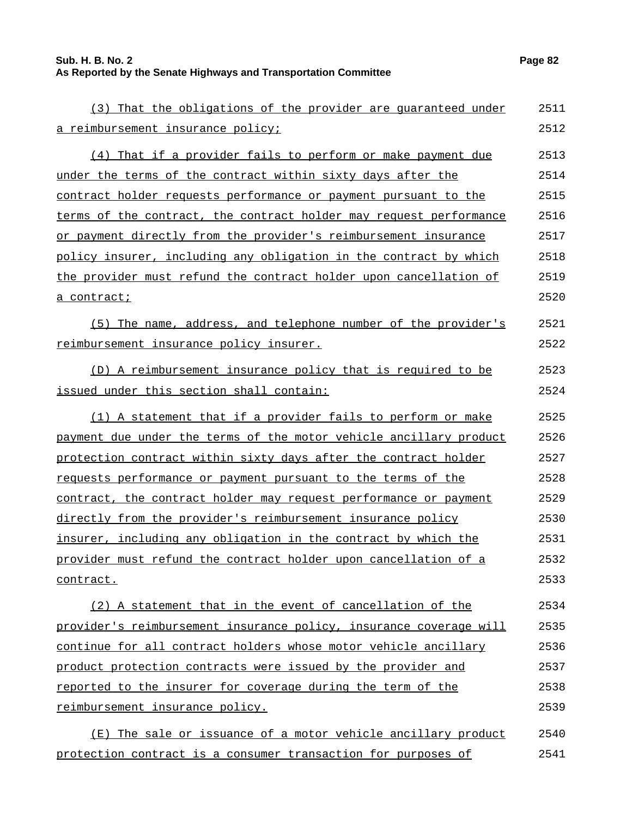#### **Sub. H. B. No. 2 Page 82 As Reported by the Senate Highways and Transportation Committee**

(3) That the obligations of the provider are guaranteed under a reimbursement insurance policy; 2511 2512 (4) That if a provider fails to perform or make payment due under the terms of the contract within sixty days after the contract holder requests performance or payment pursuant to the terms of the contract, the contract holder may request performance or payment directly from the provider's reimbursement insurance policy insurer, including any obligation in the contract by which the provider must refund the contract holder upon cancellation of a contract; 2513 2514 2515 2516 2517 2518 2519 2520 (5) The name, address, and telephone number of the provider's reimbursement insurance policy insurer. 2521 2522 (D) A reimbursement insurance policy that is required to be issued under this section shall contain: 2523 2524 (1) A statement that if a provider fails to perform or make payment due under the terms of the motor vehicle ancillary product protection contract within sixty days after the contract holder requests performance or payment pursuant to the terms of the contract, the contract holder may request performance or payment directly from the provider's reimbursement insurance policy insurer, including any obligation in the contract by which the provider must refund the contract holder upon cancellation of a contract. 2525 2526 2527 2528 2529 2530 2531 2532 2533 (2) A statement that in the event of cancellation of the provider's reimbursement insurance policy, insurance coverage will continue for all contract holders whose motor vehicle ancillary product protection contracts were issued by the provider and reported to the insurer for coverage during the term of the 2534 2535 2536 2537 2538

reimbursement insurance policy.

(E) The sale or issuance of a motor vehicle ancillary product protection contract is a consumer transaction for purposes of 2540 2541

2539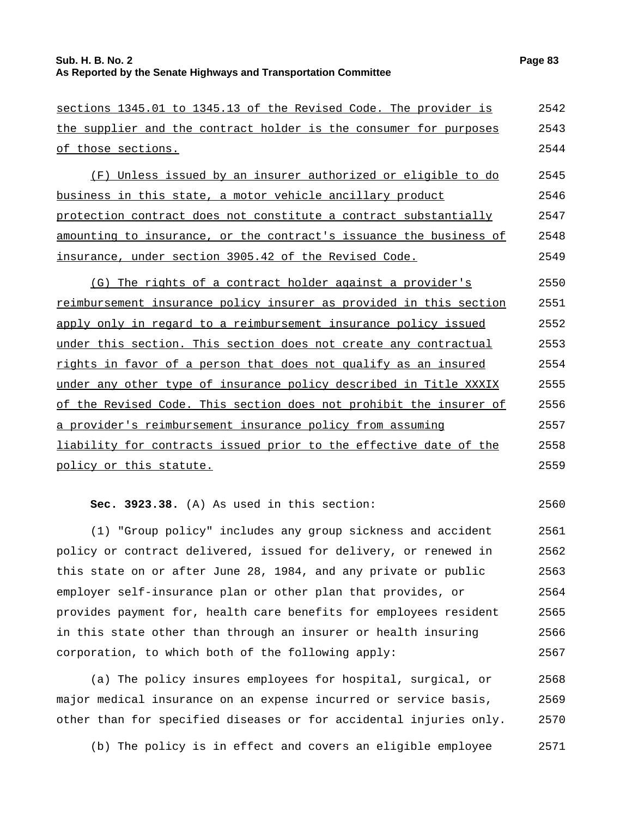**Sub. H. B. No. 2 Page 83 As Reported by the Senate Highways and Transportation Committee**

| sections 1345.01 to 1345.13 of the Revised Code. The provider is   | 2542 |
|--------------------------------------------------------------------|------|
| the supplier and the contract holder is the consumer for purposes  | 2543 |
| of those sections.                                                 | 2544 |
| (F) Unless issued by an insurer authorized or eligible to do       | 2545 |
| business in this state, a motor vehicle ancillary product          | 2546 |
| protection contract does not constitute a contract substantially   | 2547 |
| amounting to insurance, or the contract's issuance the business of | 2548 |
| insurance, under section 3905.42 of the Revised Code.              | 2549 |
| (G) The rights of a contract holder against a provider's           | 2550 |
| reimbursement insurance policy insurer as provided in this section | 2551 |
| apply only in regard to a reimbursement insurance policy issued    | 2552 |
| under this section. This section does not create any contractual   | 2553 |
| rights in favor of a person that does not qualify as an insured    | 2554 |
| under any other type of insurance policy described in Title XXXIX  | 2555 |
| of the Revised Code. This section does not prohibit the insurer of | 2556 |
| a provider's reimbursement insurance policy from assuming          | 2557 |
| liability for contracts issued prior to the effective date of the  | 2558 |
| policy or this statute.                                            | 2559 |
|                                                                    |      |

## **Sec. 3923.38.** (A) As used in this section: 2560

(1) "Group policy" includes any group sickness and accident policy or contract delivered, issued for delivery, or renewed in this state on or after June 28, 1984, and any private or public employer self-insurance plan or other plan that provides, or provides payment for, health care benefits for employees resident in this state other than through an insurer or health insuring corporation, to which both of the following apply: 2561 2562 2563 2564 2565 2566 2567

(a) The policy insures employees for hospital, surgical, or major medical insurance on an expense incurred or service basis, other than for specified diseases or for accidental injuries only. 2568 2569 2570

(b) The policy is in effect and covers an eligible employee 2571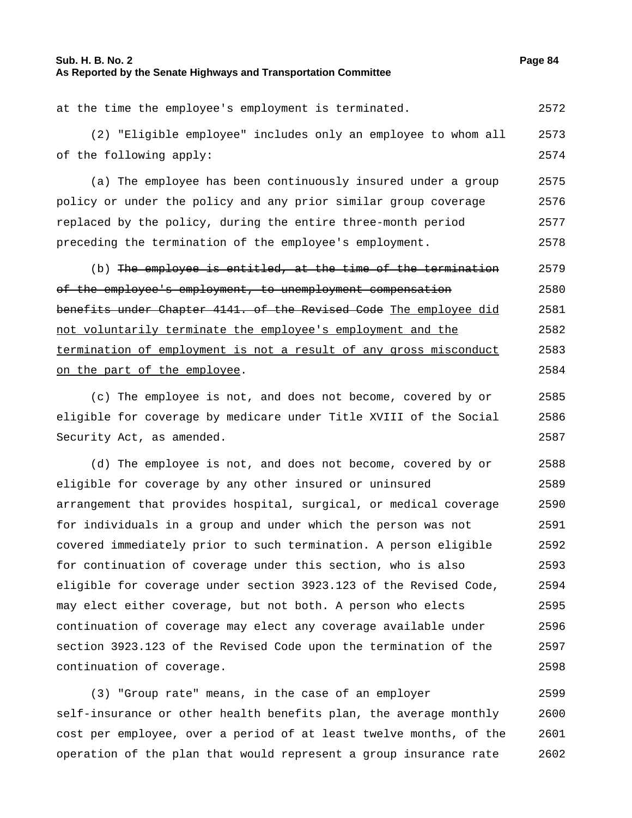#### **Sub. H. B. No. 2 Page 84 As Reported by the Senate Highways and Transportation Committee**

at the time the employee's employment is terminated. 2572

(2) "Eligible employee" includes only an employee to whom all of the following apply: 2573 2574

(a) The employee has been continuously insured under a group policy or under the policy and any prior similar group coverage replaced by the policy, during the entire three-month period preceding the termination of the employee's employment. 2575 2576 2577 2578

(b) The employee is entitled, at the time of the termination of the employee's employment, to unemployment compensation benefits under Chapter 4141. of the Revised Code The employee did not voluntarily terminate the employee's employment and the termination of employment is not a result of any gross misconduct on the part of the employee. 2579 2580 2581 2582 2583 2584

(c) The employee is not, and does not become, covered by or eligible for coverage by medicare under Title XVIII of the Social Security Act, as amended. 2585 2586 2587

(d) The employee is not, and does not become, covered by or eligible for coverage by any other insured or uninsured arrangement that provides hospital, surgical, or medical coverage for individuals in a group and under which the person was not covered immediately prior to such termination. A person eligible for continuation of coverage under this section, who is also eligible for coverage under section 3923.123 of the Revised Code, may elect either coverage, but not both. A person who elects continuation of coverage may elect any coverage available under section 3923.123 of the Revised Code upon the termination of the continuation of coverage. 2588 2589 2590 2591 2592 2593 2594 2595 2596 2597 2598

(3) "Group rate" means, in the case of an employer self-insurance or other health benefits plan, the average monthly cost per employee, over a period of at least twelve months, of the operation of the plan that would represent a group insurance rate 2599 2600 2601 2602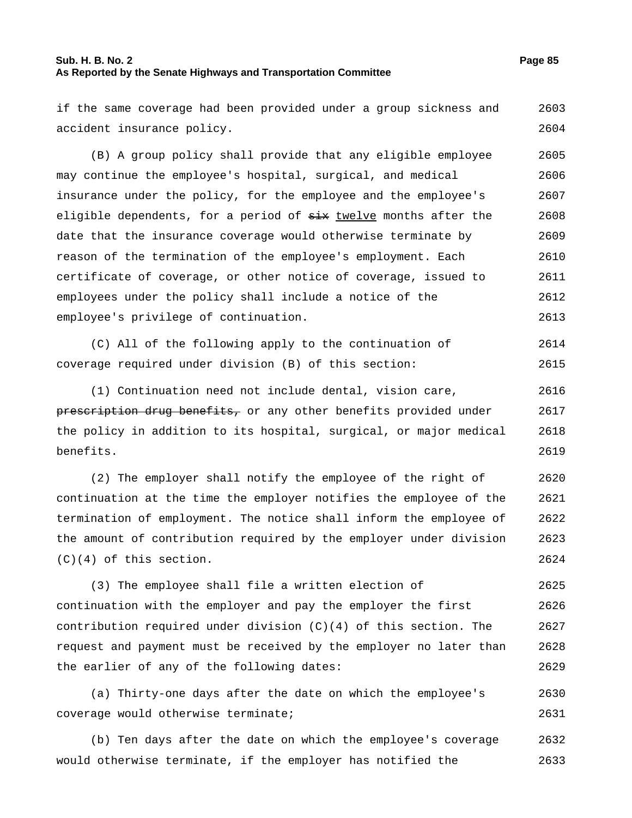#### **Sub. H. B. No. 2 Page 85 As Reported by the Senate Highways and Transportation Committee**

if the same coverage had been provided under a group sickness and accident insurance policy. 2603 2604

(B) A group policy shall provide that any eligible employee may continue the employee's hospital, surgical, and medical insurance under the policy, for the employee and the employee's eligible dependents, for a period of  $\frac{1}{x}$  twelve months after the date that the insurance coverage would otherwise terminate by reason of the termination of the employee's employment. Each certificate of coverage, or other notice of coverage, issued to employees under the policy shall include a notice of the employee's privilege of continuation. 2605 2606 2607 2608 2609 2610 2611 2612 2613

(C) All of the following apply to the continuation of coverage required under division (B) of this section: 2614 2615

(1) Continuation need not include dental, vision care, prescription drug benefits, or any other benefits provided under the policy in addition to its hospital, surgical, or major medical benefits. 2616 2617 2618 2619

(2) The employer shall notify the employee of the right of continuation at the time the employer notifies the employee of the termination of employment. The notice shall inform the employee of the amount of contribution required by the employer under division (C)(4) of this section. 2620 2621 2622 2623 2624

(3) The employee shall file a written election of continuation with the employer and pay the employer the first contribution required under division (C)(4) of this section. The request and payment must be received by the employer no later than the earlier of any of the following dates: 2625 2626 2627 2628 2629

(a) Thirty-one days after the date on which the employee's coverage would otherwise terminate; 2630 2631

(b) Ten days after the date on which the employee's coverage would otherwise terminate, if the employer has notified the 2632 2633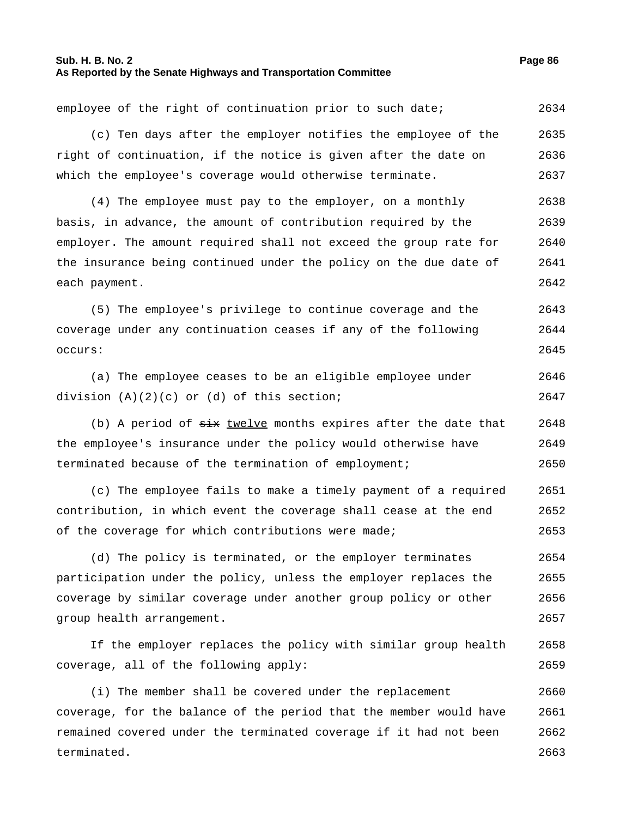#### **Sub. H. B. No. 2 Page 86 As Reported by the Senate Highways and Transportation Committee**

employee of the right of continuation prior to such date; 2634

(c) Ten days after the employer notifies the employee of the right of continuation, if the notice is given after the date on which the employee's coverage would otherwise terminate. 2635 2636 2637

(4) The employee must pay to the employer, on a monthly basis, in advance, the amount of contribution required by the employer. The amount required shall not exceed the group rate for the insurance being continued under the policy on the due date of each payment. 2638 2639 2640 2641 2642

(5) The employee's privilege to continue coverage and the coverage under any continuation ceases if any of the following occurs: 2643 2644 2645

(a) The employee ceases to be an eligible employee under division (A)(2)(c) or (d) of this section; 2646 2647

(b) A period of  $six$  twelve months expires after the date that the employee's insurance under the policy would otherwise have terminated because of the termination of employment; 2648 2649 2650

(c) The employee fails to make a timely payment of a required contribution, in which event the coverage shall cease at the end of the coverage for which contributions were made; 2651 2652 2653

(d) The policy is terminated, or the employer terminates participation under the policy, unless the employer replaces the coverage by similar coverage under another group policy or other group health arrangement. 2654 2655 2656 2657

If the employer replaces the policy with similar group health coverage, all of the following apply: 2658 2659

(i) The member shall be covered under the replacement coverage, for the balance of the period that the member would have remained covered under the terminated coverage if it had not been terminated. 2660 2661 2662 2663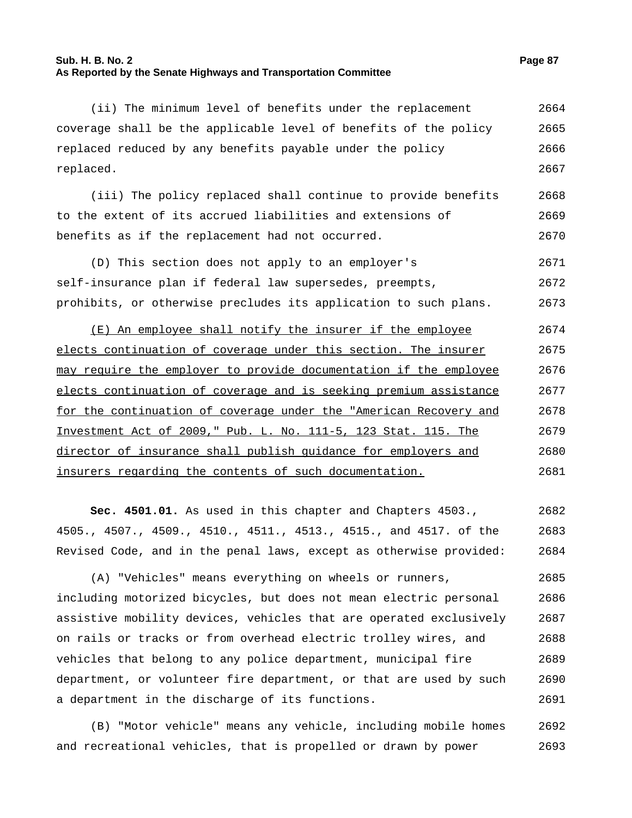#### **Sub. H. B. No. 2 Page 87 As Reported by the Senate Highways and Transportation Committee**

(ii) The minimum level of benefits under the replacement coverage shall be the applicable level of benefits of the policy replaced reduced by any benefits payable under the policy replaced. 2664 2665 2666 2667

(iii) The policy replaced shall continue to provide benefits to the extent of its accrued liabilities and extensions of benefits as if the replacement had not occurred. 2668 2669 2670

(D) This section does not apply to an employer's self-insurance plan if federal law supersedes, preempts, prohibits, or otherwise precludes its application to such plans. 2671 2672 2673

(E) An employee shall notify the insurer if the employee elects continuation of coverage under this section. The insurer may require the employer to provide documentation if the employee elects continuation of coverage and is seeking premium assistance for the continuation of coverage under the "American Recovery and Investment Act of 2009," Pub. L. No. 111-5, 123 Stat. 115. The director of insurance shall publish guidance for employers and insurers regarding the contents of such documentation. 2674 2675 2676 2677 2678 2679 2680 2681

**Sec. 4501.01.** As used in this chapter and Chapters 4503., 4505., 4507., 4509., 4510., 4511., 4513., 4515., and 4517. of the Revised Code, and in the penal laws, except as otherwise provided: 2682 2683 2684

(A) "Vehicles" means everything on wheels or runners, including motorized bicycles, but does not mean electric personal assistive mobility devices, vehicles that are operated exclusively on rails or tracks or from overhead electric trolley wires, and vehicles that belong to any police department, municipal fire department, or volunteer fire department, or that are used by such a department in the discharge of its functions. 2685 2686 2687 2688 2689 2690 2691

(B) "Motor vehicle" means any vehicle, including mobile homes and recreational vehicles, that is propelled or drawn by power 2692 2693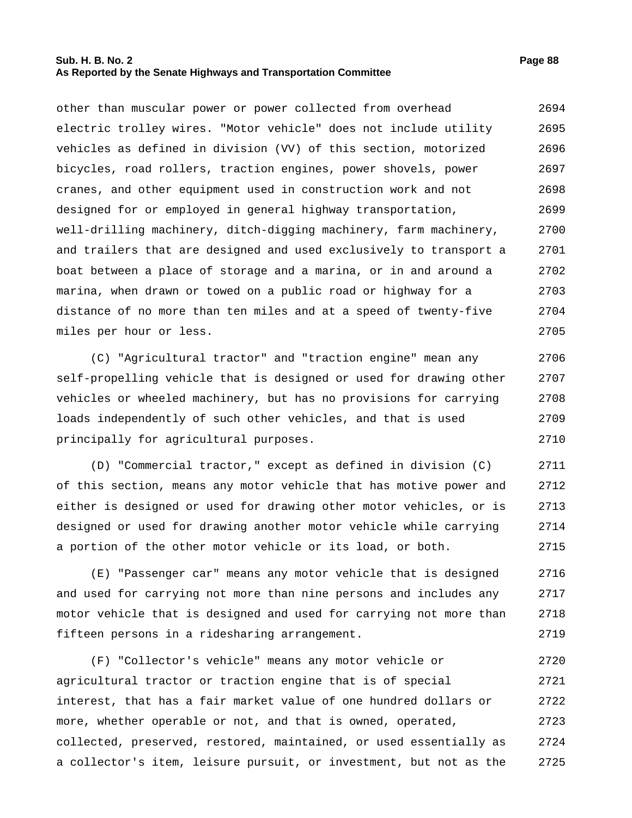#### **Sub. H. B. No. 2 Page 88 As Reported by the Senate Highways and Transportation Committee**

other than muscular power or power collected from overhead electric trolley wires. "Motor vehicle" does not include utility vehicles as defined in division (VV) of this section, motorized bicycles, road rollers, traction engines, power shovels, power cranes, and other equipment used in construction work and not designed for or employed in general highway transportation, well-drilling machinery, ditch-digging machinery, farm machinery, and trailers that are designed and used exclusively to transport a boat between a place of storage and a marina, or in and around a marina, when drawn or towed on a public road or highway for a distance of no more than ten miles and at a speed of twenty-five miles per hour or less. 2694 2695 2696 2697 2698 2699 2700 2701 2702 2703 2704 2705

(C) "Agricultural tractor" and "traction engine" mean any self-propelling vehicle that is designed or used for drawing other vehicles or wheeled machinery, but has no provisions for carrying loads independently of such other vehicles, and that is used principally for agricultural purposes. 2706 2707 2708 2709 2710

(D) "Commercial tractor," except as defined in division (C) of this section, means any motor vehicle that has motive power and either is designed or used for drawing other motor vehicles, or is designed or used for drawing another motor vehicle while carrying a portion of the other motor vehicle or its load, or both. 2711 2712 2713 2714 2715

(E) "Passenger car" means any motor vehicle that is designed and used for carrying not more than nine persons and includes any motor vehicle that is designed and used for carrying not more than fifteen persons in a ridesharing arrangement. 2716 2717 2718 2719

(F) "Collector's vehicle" means any motor vehicle or agricultural tractor or traction engine that is of special interest, that has a fair market value of one hundred dollars or more, whether operable or not, and that is owned, operated, collected, preserved, restored, maintained, or used essentially as a collector's item, leisure pursuit, or investment, but not as the 2720 2721 2722 2723 2724 2725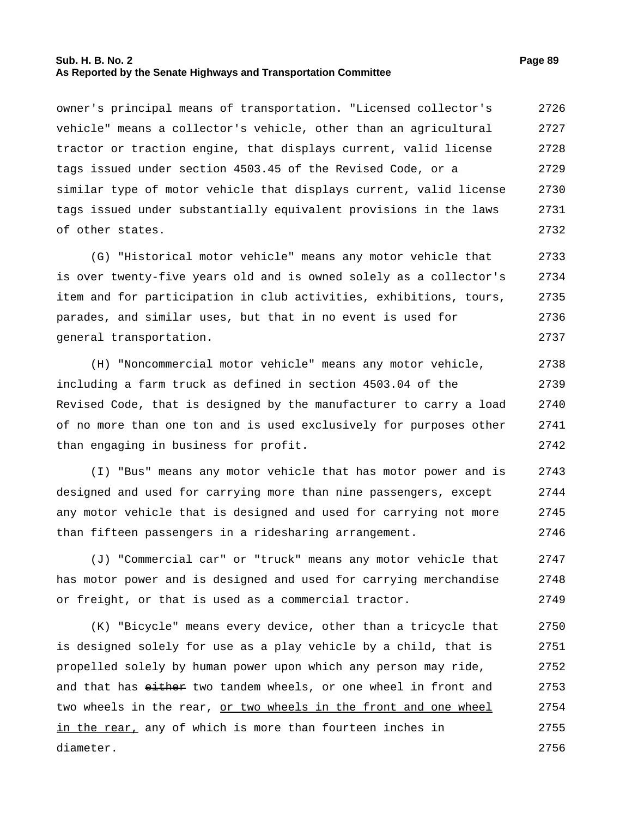#### **Sub. H. B. No. 2 Page 89 As Reported by the Senate Highways and Transportation Committee**

owner's principal means of transportation. "Licensed collector's vehicle" means a collector's vehicle, other than an agricultural tractor or traction engine, that displays current, valid license tags issued under section 4503.45 of the Revised Code, or a similar type of motor vehicle that displays current, valid license tags issued under substantially equivalent provisions in the laws of other states. 2726 2727 2728 2729 2730 2731 2732

(G) "Historical motor vehicle" means any motor vehicle that is over twenty-five years old and is owned solely as a collector's item and for participation in club activities, exhibitions, tours, parades, and similar uses, but that in no event is used for general transportation. 2733 2734 2735 2736 2737

(H) "Noncommercial motor vehicle" means any motor vehicle, including a farm truck as defined in section 4503.04 of the Revised Code, that is designed by the manufacturer to carry a load of no more than one ton and is used exclusively for purposes other than engaging in business for profit. 2738 2739 2740 2741 2742

(I) "Bus" means any motor vehicle that has motor power and is designed and used for carrying more than nine passengers, except any motor vehicle that is designed and used for carrying not more than fifteen passengers in a ridesharing arrangement. 2743 2744 2745 2746

(J) "Commercial car" or "truck" means any motor vehicle that has motor power and is designed and used for carrying merchandise or freight, or that is used as a commercial tractor. 2747 2748 2749

(K) "Bicycle" means every device, other than a tricycle that is designed solely for use as a play vehicle by a child, that is propelled solely by human power upon which any person may ride, and that has either two tandem wheels, or one wheel in front and two wheels in the rear, or two wheels in the front and one wheel in the rear, any of which is more than fourteen inches in diameter. 2750 2751 2752 2753 2754 2755 2756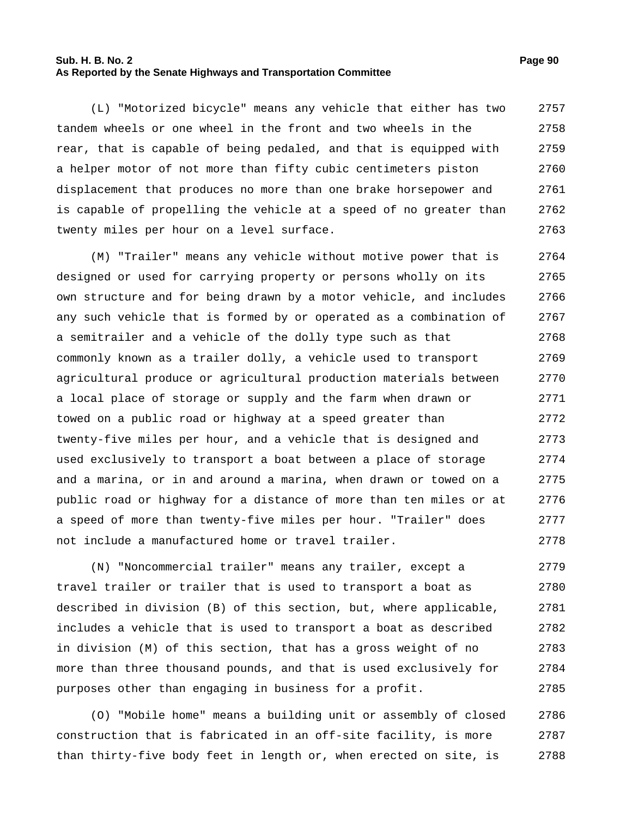#### **Sub. H. B. No. 2 Page 90 As Reported by the Senate Highways and Transportation Committee**

(L) "Motorized bicycle" means any vehicle that either has two tandem wheels or one wheel in the front and two wheels in the rear, that is capable of being pedaled, and that is equipped with a helper motor of not more than fifty cubic centimeters piston displacement that produces no more than one brake horsepower and is capable of propelling the vehicle at a speed of no greater than twenty miles per hour on a level surface. 2757 2758 2759 2760 2761 2762 2763

(M) "Trailer" means any vehicle without motive power that is designed or used for carrying property or persons wholly on its own structure and for being drawn by a motor vehicle, and includes any such vehicle that is formed by or operated as a combination of a semitrailer and a vehicle of the dolly type such as that commonly known as a trailer dolly, a vehicle used to transport agricultural produce or agricultural production materials between a local place of storage or supply and the farm when drawn or towed on a public road or highway at a speed greater than twenty-five miles per hour, and a vehicle that is designed and used exclusively to transport a boat between a place of storage and a marina, or in and around a marina, when drawn or towed on a public road or highway for a distance of more than ten miles or at a speed of more than twenty-five miles per hour. "Trailer" does not include a manufactured home or travel trailer. 2764 2765 2766 2767 2768 2769 2770 2771 2772 2773 2774 2775 2776 2777 2778

(N) "Noncommercial trailer" means any trailer, except a travel trailer or trailer that is used to transport a boat as described in division (B) of this section, but, where applicable, includes a vehicle that is used to transport a boat as described in division (M) of this section, that has a gross weight of no more than three thousand pounds, and that is used exclusively for purposes other than engaging in business for a profit. 2779 2780 2781 2782 2783 2784 2785

(O) "Mobile home" means a building unit or assembly of closed construction that is fabricated in an off-site facility, is more than thirty-five body feet in length or, when erected on site, is 2786 2787 2788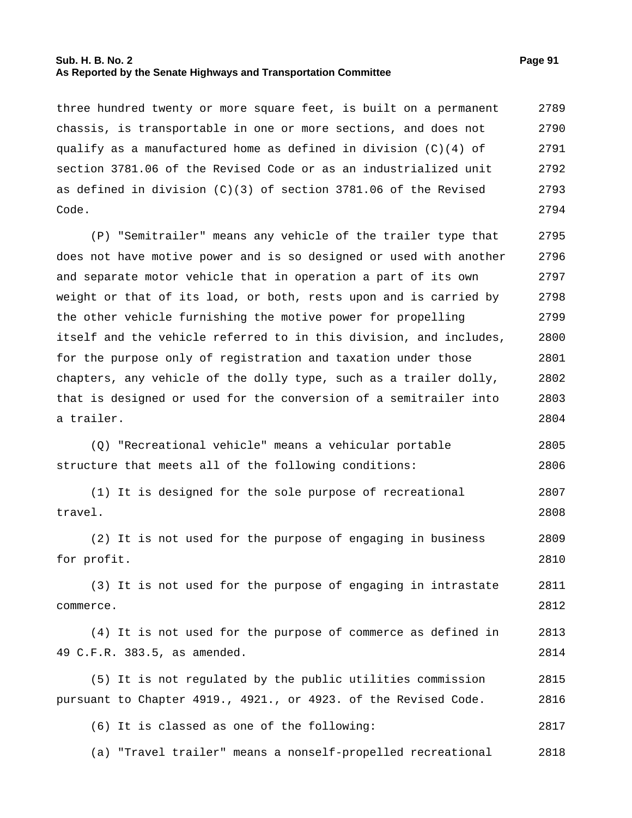#### **Sub. H. B. No. 2 Page 91 As Reported by the Senate Highways and Transportation Committee**

three hundred twenty or more square feet, is built on a permanent chassis, is transportable in one or more sections, and does not qualify as a manufactured home as defined in division  $(C)(4)$  of section 3781.06 of the Revised Code or as an industrialized unit as defined in division  $(C)(3)$  of section 3781.06 of the Revised Code. 2789 2790 2791 2792 2793 2794

(P) "Semitrailer" means any vehicle of the trailer type that does not have motive power and is so designed or used with another and separate motor vehicle that in operation a part of its own weight or that of its load, or both, rests upon and is carried by the other vehicle furnishing the motive power for propelling itself and the vehicle referred to in this division, and includes, for the purpose only of registration and taxation under those chapters, any vehicle of the dolly type, such as a trailer dolly, that is designed or used for the conversion of a semitrailer into a trailer. 2795 2796 2797 2798 2799 2800 2801 2802 2803 2804

(Q) "Recreational vehicle" means a vehicular portable structure that meets all of the following conditions: 2805 2806

|         |  |  |  |  | (1) It is designed for the sole purpose of recreational | 2807 |
|---------|--|--|--|--|---------------------------------------------------------|------|
| travel. |  |  |  |  |                                                         | 2808 |

(2) It is not used for the purpose of engaging in business for profit. 2809 2810

(3) It is not used for the purpose of engaging in intrastate commerce. 2811 2812

(4) It is not used for the purpose of commerce as defined in 49 C.F.R. 383.5, as amended. 2813 2814

(5) It is not regulated by the public utilities commission pursuant to Chapter 4919., 4921., or 4923. of the Revised Code. 2815 2816

(6) It is classed as one of the following: 2817

(a) "Travel trailer" means a nonself-propelled recreational 2818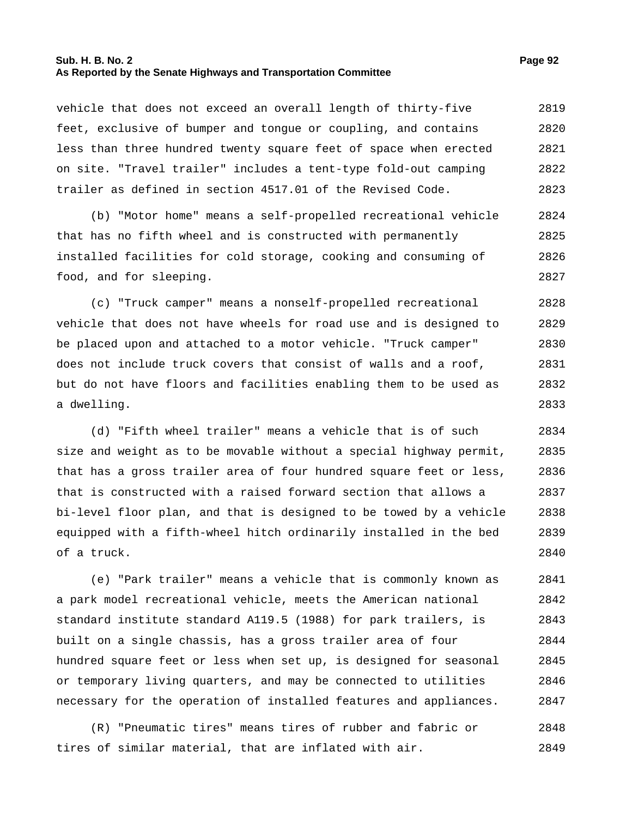#### **Sub. H. B. No. 2 Page 92 As Reported by the Senate Highways and Transportation Committee**

vehicle that does not exceed an overall length of thirty-five feet, exclusive of bumper and tongue or coupling, and contains less than three hundred twenty square feet of space when erected on site. "Travel trailer" includes a tent-type fold-out camping trailer as defined in section 4517.01 of the Revised Code. 2819 2820 2821 2822 2823

(b) "Motor home" means a self-propelled recreational vehicle that has no fifth wheel and is constructed with permanently installed facilities for cold storage, cooking and consuming of food, and for sleeping. 2824 2825 2826 2827

(c) "Truck camper" means a nonself-propelled recreational vehicle that does not have wheels for road use and is designed to be placed upon and attached to a motor vehicle. "Truck camper" does not include truck covers that consist of walls and a roof, but do not have floors and facilities enabling them to be used as a dwelling. 2828 2829 2830 2831 2832 2833

(d) "Fifth wheel trailer" means a vehicle that is of such size and weight as to be movable without a special highway permit, that has a gross trailer area of four hundred square feet or less, that is constructed with a raised forward section that allows a bi-level floor plan, and that is designed to be towed by a vehicle equipped with a fifth-wheel hitch ordinarily installed in the bed of a truck. 2834 2835 2836 2837 2838 2839 2840

(e) "Park trailer" means a vehicle that is commonly known as a park model recreational vehicle, meets the American national standard institute standard A119.5 (1988) for park trailers, is built on a single chassis, has a gross trailer area of four hundred square feet or less when set up, is designed for seasonal or temporary living quarters, and may be connected to utilities necessary for the operation of installed features and appliances. 2841 2842 2843 2844 2845 2846 2847

(R) "Pneumatic tires" means tires of rubber and fabric or tires of similar material, that are inflated with air. 2848 2849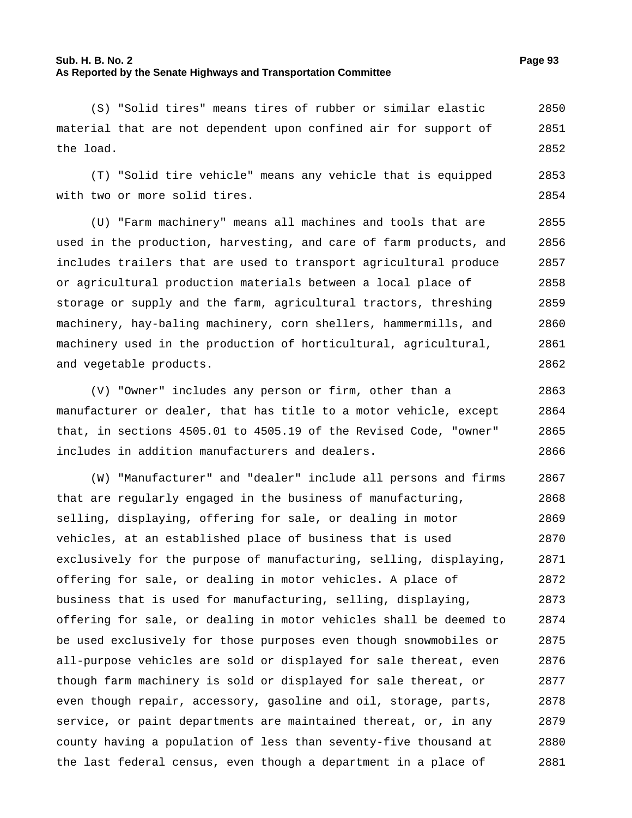#### **Sub. H. B. No. 2 Page 93 As Reported by the Senate Highways and Transportation Committee**

(S) "Solid tires" means tires of rubber or similar elastic material that are not dependent upon confined air for support of the load. 2850 2851 2852

(T) "Solid tire vehicle" means any vehicle that is equipped with two or more solid tires. 2853 2854

(U) "Farm machinery" means all machines and tools that are used in the production, harvesting, and care of farm products, and includes trailers that are used to transport agricultural produce or agricultural production materials between a local place of storage or supply and the farm, agricultural tractors, threshing machinery, hay-baling machinery, corn shellers, hammermills, and machinery used in the production of horticultural, agricultural, and vegetable products. 2855 2856 2857 2858 2859 2860 2861 2862

(V) "Owner" includes any person or firm, other than a manufacturer or dealer, that has title to a motor vehicle, except that, in sections 4505.01 to 4505.19 of the Revised Code, "owner" includes in addition manufacturers and dealers. 2863 2864 2865 2866

(W) "Manufacturer" and "dealer" include all persons and firms that are regularly engaged in the business of manufacturing, selling, displaying, offering for sale, or dealing in motor vehicles, at an established place of business that is used exclusively for the purpose of manufacturing, selling, displaying, offering for sale, or dealing in motor vehicles. A place of business that is used for manufacturing, selling, displaying, offering for sale, or dealing in motor vehicles shall be deemed to be used exclusively for those purposes even though snowmobiles or all-purpose vehicles are sold or displayed for sale thereat, even though farm machinery is sold or displayed for sale thereat, or even though repair, accessory, gasoline and oil, storage, parts, service, or paint departments are maintained thereat, or, in any county having a population of less than seventy-five thousand at the last federal census, even though a department in a place of 2867 2868 2869 2870 2871 2872 2873 2874 2875 2876 2877 2878 2879 2880 2881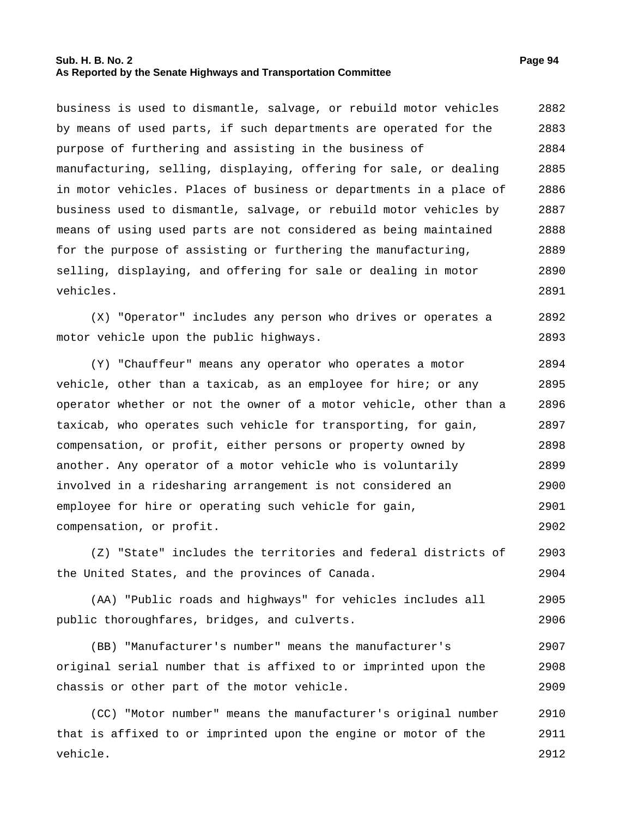#### **Sub. H. B. No. 2 Page 94 As Reported by the Senate Highways and Transportation Committee**

|  |  | business is used to dismantle, salvage, or rebuild motor vehicles |  |  |  |
|--|--|-------------------------------------------------------------------|--|--|--|

by means of used parts, if such departments are operated for the purpose of furthering and assisting in the business of manufacturing, selling, displaying, offering for sale, or dealing in motor vehicles. Places of business or departments in a place of business used to dismantle, salvage, or rebuild motor vehicles by means of using used parts are not considered as being maintained for the purpose of assisting or furthering the manufacturing, selling, displaying, and offering for sale or dealing in motor vehicles. 2883 2884 2885 2886 2887 2888 2889 2890 2891

(X) "Operator" includes any person who drives or operates a motor vehicle upon the public highways. 2892 2893

(Y) "Chauffeur" means any operator who operates a motor vehicle, other than a taxicab, as an employee for hire; or any operator whether or not the owner of a motor vehicle, other than a taxicab, who operates such vehicle for transporting, for gain, compensation, or profit, either persons or property owned by another. Any operator of a motor vehicle who is voluntarily involved in a ridesharing arrangement is not considered an employee for hire or operating such vehicle for gain, compensation, or profit. 2894 2895 2896 2897 2898 2899 2900 2901 2902

(Z) "State" includes the territories and federal districts of the United States, and the provinces of Canada. 2903 2904

(AA) "Public roads and highways" for vehicles includes all public thoroughfares, bridges, and culverts. 2905 2906

(BB) "Manufacturer's number" means the manufacturer's original serial number that is affixed to or imprinted upon the chassis or other part of the motor vehicle. 2907 2908 2909

(CC) "Motor number" means the manufacturer's original number that is affixed to or imprinted upon the engine or motor of the vehicle. 2910 2911 2912

2882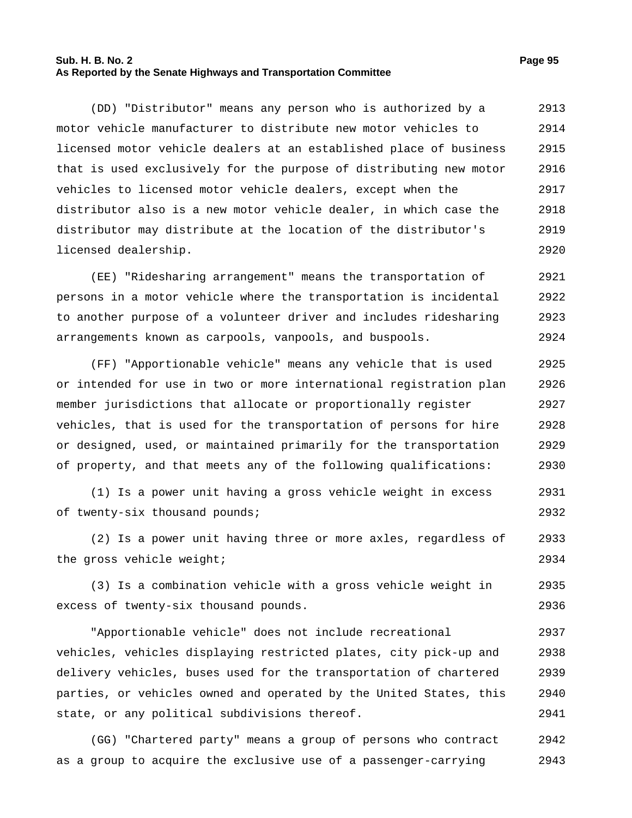#### **Sub. H. B. No. 2 Page 95 As Reported by the Senate Highways and Transportation Committee**

(DD) "Distributor" means any person who is authorized by a motor vehicle manufacturer to distribute new motor vehicles to licensed motor vehicle dealers at an established place of business that is used exclusively for the purpose of distributing new motor vehicles to licensed motor vehicle dealers, except when the distributor also is a new motor vehicle dealer, in which case the distributor may distribute at the location of the distributor's licensed dealership. 2913 2914 2915 2916 2917 2918 2919 2920

(EE) "Ridesharing arrangement" means the transportation of persons in a motor vehicle where the transportation is incidental to another purpose of a volunteer driver and includes ridesharing arrangements known as carpools, vanpools, and buspools. 2921 2922 2923 2924

(FF) "Apportionable vehicle" means any vehicle that is used or intended for use in two or more international registration plan member jurisdictions that allocate or proportionally register vehicles, that is used for the transportation of persons for hire or designed, used, or maintained primarily for the transportation of property, and that meets any of the following qualifications: 2925 2926 2927 2928 2929 2930

(1) Is a power unit having a gross vehicle weight in excess of twenty-six thousand pounds; 2931 2932

(2) Is a power unit having three or more axles, regardless of the gross vehicle weight; 2933 2934

(3) Is a combination vehicle with a gross vehicle weight in excess of twenty-six thousand pounds. 2935 2936

"Apportionable vehicle" does not include recreational vehicles, vehicles displaying restricted plates, city pick-up and delivery vehicles, buses used for the transportation of chartered parties, or vehicles owned and operated by the United States, this state, or any political subdivisions thereof. 2937 2938 2939 2940 2941

(GG) "Chartered party" means a group of persons who contract as a group to acquire the exclusive use of a passenger-carrying 2942 2943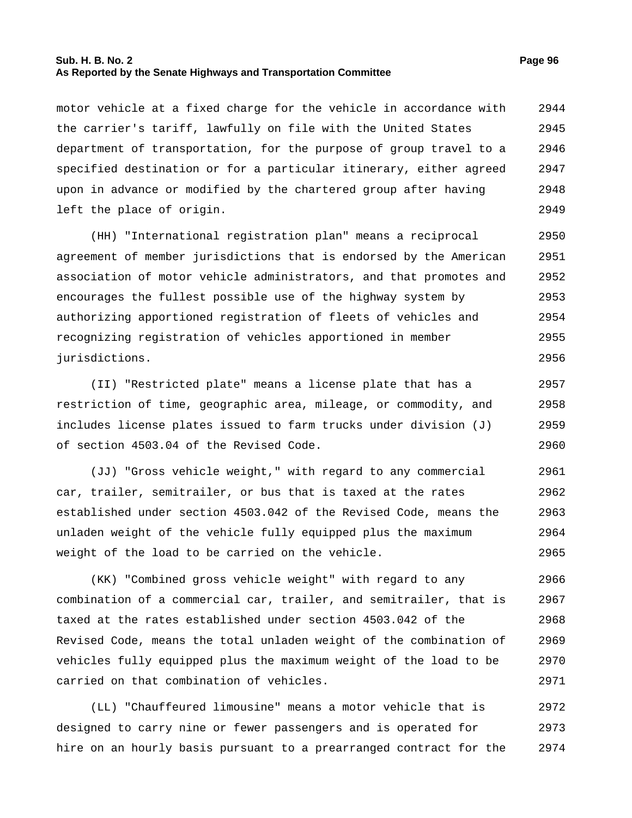#### **Sub. H. B. No. 2 Page 96 As Reported by the Senate Highways and Transportation Committee**

motor vehicle at a fixed charge for the vehicle in accordance with the carrier's tariff, lawfully on file with the United States department of transportation, for the purpose of group travel to a specified destination or for a particular itinerary, either agreed 2944 2945 2946 2947

upon in advance or modified by the chartered group after having left the place of origin. 2948 2949

(HH) "International registration plan" means a reciprocal agreement of member jurisdictions that is endorsed by the American association of motor vehicle administrators, and that promotes and encourages the fullest possible use of the highway system by authorizing apportioned registration of fleets of vehicles and recognizing registration of vehicles apportioned in member jurisdictions. 2950 2951 2952 2953 2954 2955 2956

(II) "Restricted plate" means a license plate that has a restriction of time, geographic area, mileage, or commodity, and includes license plates issued to farm trucks under division (J) of section 4503.04 of the Revised Code. 2957 2958 2959 2960

(JJ) "Gross vehicle weight," with regard to any commercial car, trailer, semitrailer, or bus that is taxed at the rates established under section 4503.042 of the Revised Code, means the unladen weight of the vehicle fully equipped plus the maximum weight of the load to be carried on the vehicle. 2961 2962 2963 2964 2965

(KK) "Combined gross vehicle weight" with regard to any combination of a commercial car, trailer, and semitrailer, that is taxed at the rates established under section 4503.042 of the Revised Code, means the total unladen weight of the combination of vehicles fully equipped plus the maximum weight of the load to be carried on that combination of vehicles. 2966 2967 2968 2969 2970 2971

(LL) "Chauffeured limousine" means a motor vehicle that is designed to carry nine or fewer passengers and is operated for hire on an hourly basis pursuant to a prearranged contract for the 2972 2973 2974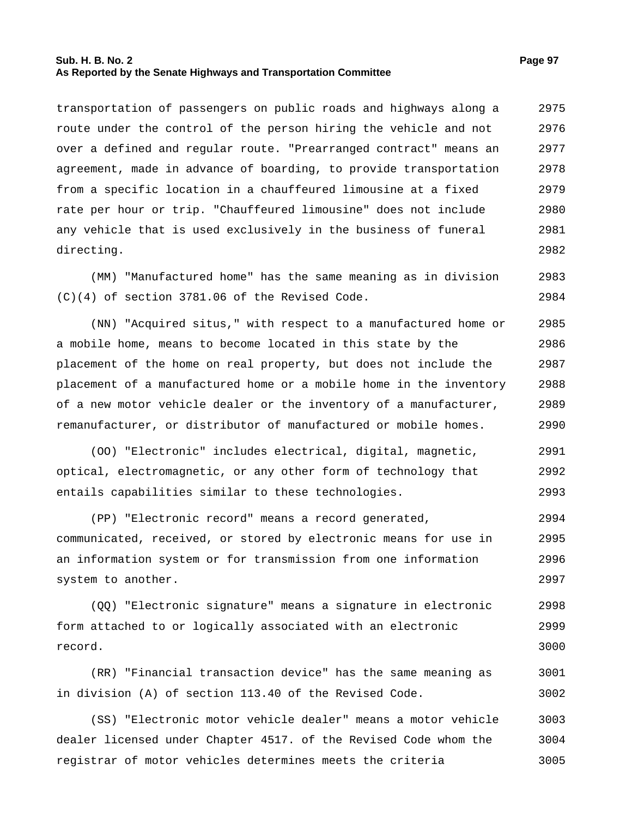#### **Sub. H. B. No. 2 Page 97 As Reported by the Senate Highways and Transportation Committee**

transportation of passengers on public roads and highways along a route under the control of the person hiring the vehicle and not over a defined and regular route. "Prearranged contract" means an agreement, made in advance of boarding, to provide transportation from a specific location in a chauffeured limousine at a fixed rate per hour or trip. "Chauffeured limousine" does not include any vehicle that is used exclusively in the business of funeral directing. 2975 2976 2977 2978 2979 2980 2981 2982

(MM) "Manufactured home" has the same meaning as in division (C)(4) of section 3781.06 of the Revised Code. 2983 2984

(NN) "Acquired situs," with respect to a manufactured home or a mobile home, means to become located in this state by the placement of the home on real property, but does not include the placement of a manufactured home or a mobile home in the inventory of a new motor vehicle dealer or the inventory of a manufacturer, remanufacturer, or distributor of manufactured or mobile homes. 2985 2986 2987 2988 2989 2990

(OO) "Electronic" includes electrical, digital, magnetic, optical, electromagnetic, or any other form of technology that entails capabilities similar to these technologies. 2991 2992 2993

(PP) "Electronic record" means a record generated, communicated, received, or stored by electronic means for use in an information system or for transmission from one information system to another. 2994 2995 2996 2997

(QQ) "Electronic signature" means a signature in electronic form attached to or logically associated with an electronic record. 2998 2999 3000

(RR) "Financial transaction device" has the same meaning as in division (A) of section 113.40 of the Revised Code. 3001 3002

(SS) "Electronic motor vehicle dealer" means a motor vehicle dealer licensed under Chapter 4517. of the Revised Code whom the registrar of motor vehicles determines meets the criteria 3003 3004 3005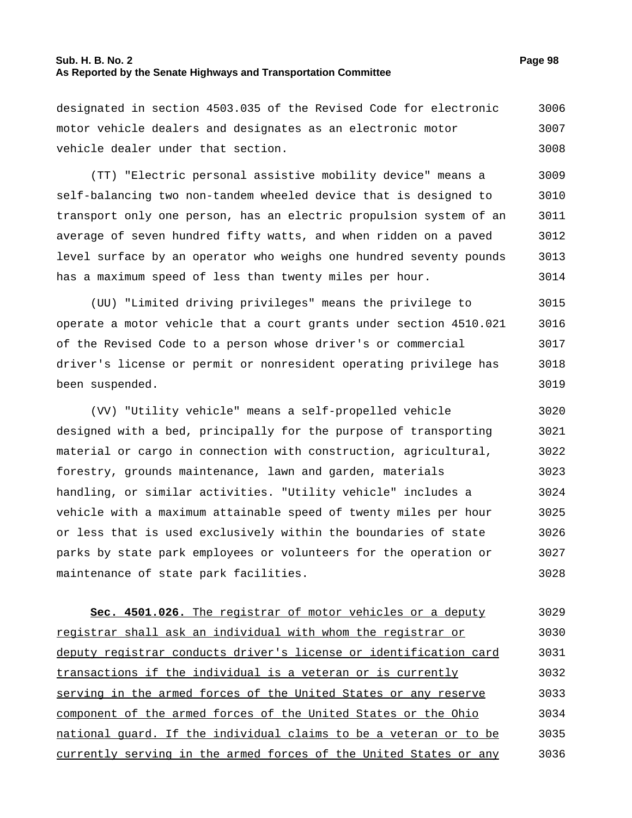#### **Sub. H. B. No. 2 Page 98 As Reported by the Senate Highways and Transportation Committee**

designated in section 4503.035 of the Revised Code for electronic motor vehicle dealers and designates as an electronic motor vehicle dealer under that section. 3006 3007 3008

(TT) "Electric personal assistive mobility device" means a self-balancing two non-tandem wheeled device that is designed to transport only one person, has an electric propulsion system of an average of seven hundred fifty watts, and when ridden on a paved level surface by an operator who weighs one hundred seventy pounds has a maximum speed of less than twenty miles per hour. 3009 3010 3011 3012 3013 3014

(UU) "Limited driving privileges" means the privilege to operate a motor vehicle that a court grants under section 4510.021 of the Revised Code to a person whose driver's or commercial driver's license or permit or nonresident operating privilege has been suspended. 3015 3016 3017 3018 3019

(VV) "Utility vehicle" means a self-propelled vehicle designed with a bed, principally for the purpose of transporting material or cargo in connection with construction, agricultural, forestry, grounds maintenance, lawn and garden, materials handling, or similar activities. "Utility vehicle" includes a vehicle with a maximum attainable speed of twenty miles per hour or less that is used exclusively within the boundaries of state parks by state park employees or volunteers for the operation or maintenance of state park facilities. 3020 3021 3022 3023 3024 3025 3026 3027 3028

**Sec. 4501.026.** The registrar of motor vehicles or a deputy registrar shall ask an individual with whom the registrar or deputy registrar conducts driver's license or identification card transactions if the individual is a veteran or is currently serving in the armed forces of the United States or any reserve component of the armed forces of the United States or the Ohio national guard. If the individual claims to be a veteran or to be currently serving in the armed forces of the United States or any 3029 3030 3031 3032 3033 3034 3035 3036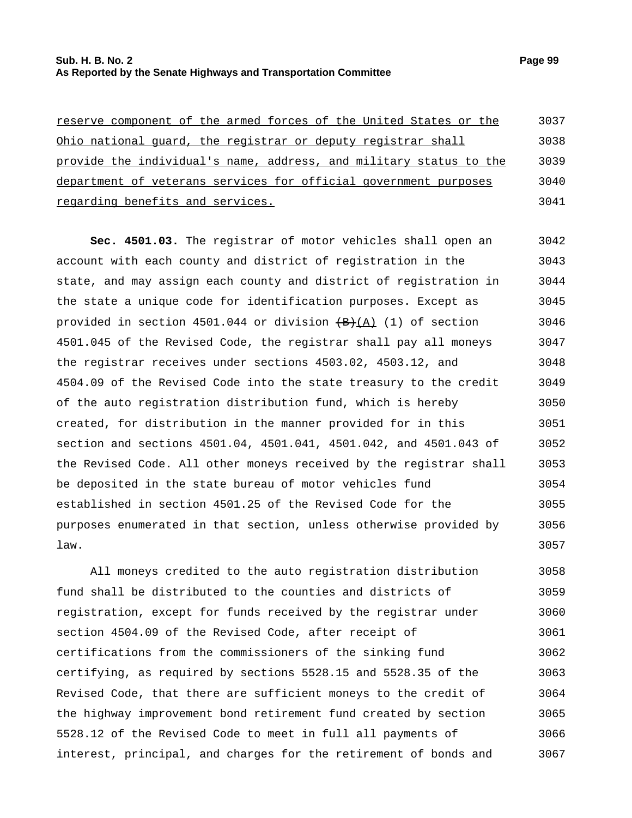| reserve component of the armed forces of the United States or the  | 3037 |
|--------------------------------------------------------------------|------|
| Ohio national quard, the registrar or deputy registrar shall       | 3038 |
| provide the individual's name, address, and military status to the | 3039 |
| department of veterans services for official government purposes   | 3040 |
| regarding benefits and services.                                   | 3041 |

**Sec. 4501.03.** The registrar of motor vehicles shall open an account with each county and district of registration in the state, and may assign each county and district of registration in the state a unique code for identification purposes. Except as provided in section 4501.044 or division  $\overline{(B)(A)}$  (1) of section 4501.045 of the Revised Code, the registrar shall pay all moneys the registrar receives under sections 4503.02, 4503.12, and 4504.09 of the Revised Code into the state treasury to the credit of the auto registration distribution fund, which is hereby created, for distribution in the manner provided for in this section and sections 4501.04, 4501.041, 4501.042, and 4501.043 of the Revised Code. All other moneys received by the registrar shall be deposited in the state bureau of motor vehicles fund established in section 4501.25 of the Revised Code for the purposes enumerated in that section, unless otherwise provided by law. 3042 3043 3044 3045 3046 3047 3048 3049 3050 3051 3052 3053 3054 3055 3056 3057

All moneys credited to the auto registration distribution fund shall be distributed to the counties and districts of registration, except for funds received by the registrar under section 4504.09 of the Revised Code, after receipt of certifications from the commissioners of the sinking fund certifying, as required by sections 5528.15 and 5528.35 of the Revised Code, that there are sufficient moneys to the credit of the highway improvement bond retirement fund created by section 5528.12 of the Revised Code to meet in full all payments of interest, principal, and charges for the retirement of bonds and 3058 3059 3060 3061 3062 3063 3064 3065 3066 3067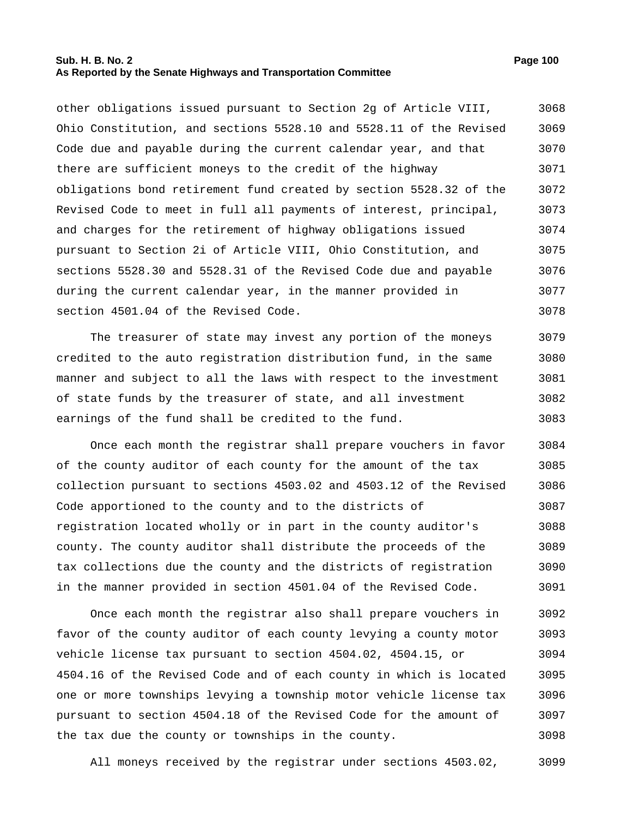#### **Sub. H. B. No. 2 Page 100 As Reported by the Senate Highways and Transportation Committee**

other obligations issued pursuant to Section 2g of Article VIII, Ohio Constitution, and sections 5528.10 and 5528.11 of the Revised Code due and payable during the current calendar year, and that there are sufficient moneys to the credit of the highway obligations bond retirement fund created by section 5528.32 of the Revised Code to meet in full all payments of interest, principal, and charges for the retirement of highway obligations issued pursuant to Section 2i of Article VIII, Ohio Constitution, and sections 5528.30 and 5528.31 of the Revised Code due and payable during the current calendar year, in the manner provided in section 4501.04 of the Revised Code. 3068 3069 3070 3071 3072 3073 3074 3075 3076 3077 3078

The treasurer of state may invest any portion of the moneys credited to the auto registration distribution fund, in the same manner and subject to all the laws with respect to the investment of state funds by the treasurer of state, and all investment earnings of the fund shall be credited to the fund. 3079 3080 3081 3082 3083

Once each month the registrar shall prepare vouchers in favor of the county auditor of each county for the amount of the tax collection pursuant to sections 4503.02 and 4503.12 of the Revised Code apportioned to the county and to the districts of registration located wholly or in part in the county auditor's county. The county auditor shall distribute the proceeds of the tax collections due the county and the districts of registration in the manner provided in section 4501.04 of the Revised Code. 3084 3085 3086 3087 3088 3089 3090 3091

Once each month the registrar also shall prepare vouchers in favor of the county auditor of each county levying a county motor vehicle license tax pursuant to section 4504.02, 4504.15, or 4504.16 of the Revised Code and of each county in which is located one or more townships levying a township motor vehicle license tax pursuant to section 4504.18 of the Revised Code for the amount of the tax due the county or townships in the county. 3092 3093 3094 3095 3096 3097 3098

All moneys received by the registrar under sections 4503.02, 3099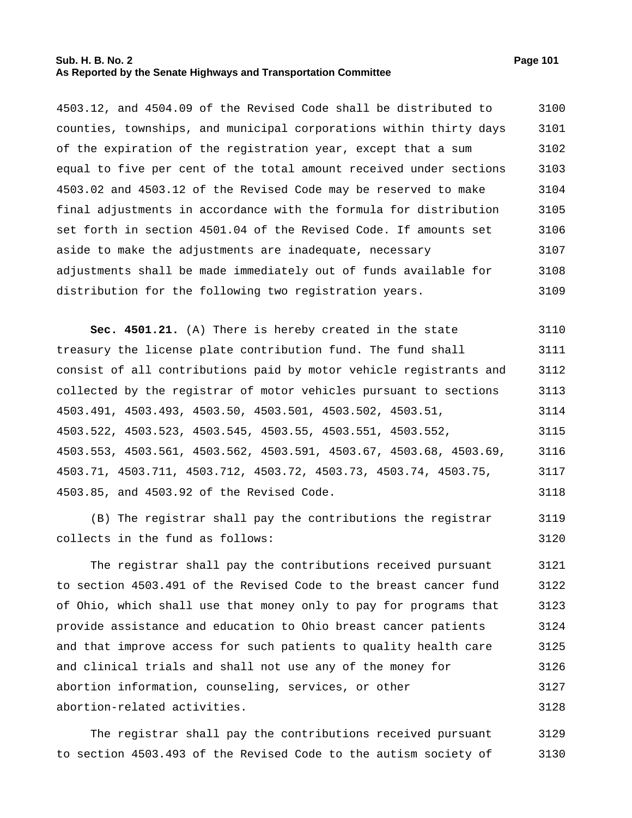#### **Sub. H. B. No. 2 Page 101 As Reported by the Senate Highways and Transportation Committee**

4503.12, and 4504.09 of the Revised Code shall be distributed to counties, townships, and municipal corporations within thirty days of the expiration of the registration year, except that a sum equal to five per cent of the total amount received under sections 4503.02 and 4503.12 of the Revised Code may be reserved to make final adjustments in accordance with the formula for distribution set forth in section 4501.04 of the Revised Code. If amounts set aside to make the adjustments are inadequate, necessary adjustments shall be made immediately out of funds available for distribution for the following two registration years. 3100 3101 3102 3103 3104 3105 3106 3107 3108 3109

**Sec. 4501.21.** (A) There is hereby created in the state treasury the license plate contribution fund. The fund shall consist of all contributions paid by motor vehicle registrants and collected by the registrar of motor vehicles pursuant to sections 4503.491, 4503.493, 4503.50, 4503.501, 4503.502, 4503.51, 4503.522, 4503.523, 4503.545, 4503.55, 4503.551, 4503.552, 4503.553, 4503.561, 4503.562, 4503.591, 4503.67, 4503.68, 4503.69, 4503.71, 4503.711, 4503.712, 4503.72, 4503.73, 4503.74, 4503.75, 4503.85, and 4503.92 of the Revised Code. 3110 3111 3112 3113 3114 3115 3116 3117 3118

(B) The registrar shall pay the contributions the registrar collects in the fund as follows: 3119 3120

The registrar shall pay the contributions received pursuant to section 4503.491 of the Revised Code to the breast cancer fund of Ohio, which shall use that money only to pay for programs that provide assistance and education to Ohio breast cancer patients and that improve access for such patients to quality health care and clinical trials and shall not use any of the money for abortion information, counseling, services, or other abortion-related activities. 3121 3122 3123 3124 3125 3126 3127 3128

The registrar shall pay the contributions received pursuant to section 4503.493 of the Revised Code to the autism society of 3129 3130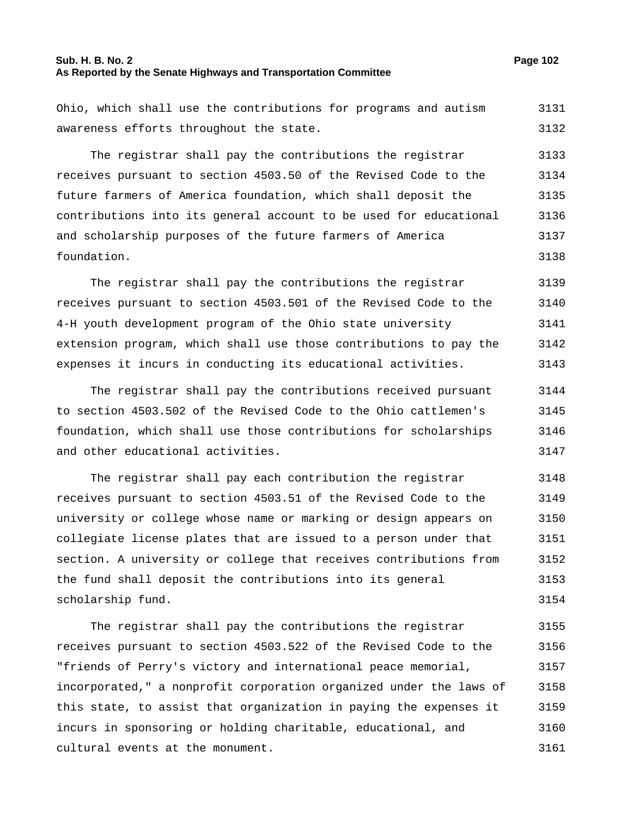#### **Sub. H. B. No. 2 Page 102 As Reported by the Senate Highways and Transportation Committee**

Ohio, which shall use the contributions for programs and autism awareness efforts throughout the state. 3131 3132

The registrar shall pay the contributions the registrar receives pursuant to section 4503.50 of the Revised Code to the future farmers of America foundation, which shall deposit the contributions into its general account to be used for educational and scholarship purposes of the future farmers of America foundation. 3133 3134 3135 3136 3137 3138

The registrar shall pay the contributions the registrar receives pursuant to section 4503.501 of the Revised Code to the 4-H youth development program of the Ohio state university extension program, which shall use those contributions to pay the expenses it incurs in conducting its educational activities. 3139 3140 3141 3142 3143

The registrar shall pay the contributions received pursuant to section 4503.502 of the Revised Code to the Ohio cattlemen's foundation, which shall use those contributions for scholarships and other educational activities. 3144 3145 3146 3147

The registrar shall pay each contribution the registrar receives pursuant to section 4503.51 of the Revised Code to the university or college whose name or marking or design appears on collegiate license plates that are issued to a person under that section. A university or college that receives contributions from the fund shall deposit the contributions into its general scholarship fund. 3148 3149 3150 3151 3152 3153 3154

The registrar shall pay the contributions the registrar receives pursuant to section 4503.522 of the Revised Code to the "friends of Perry's victory and international peace memorial, incorporated," a nonprofit corporation organized under the laws of this state, to assist that organization in paying the expenses it incurs in sponsoring or holding charitable, educational, and cultural events at the monument. 3155 3156 3157 3158 3159 3160 3161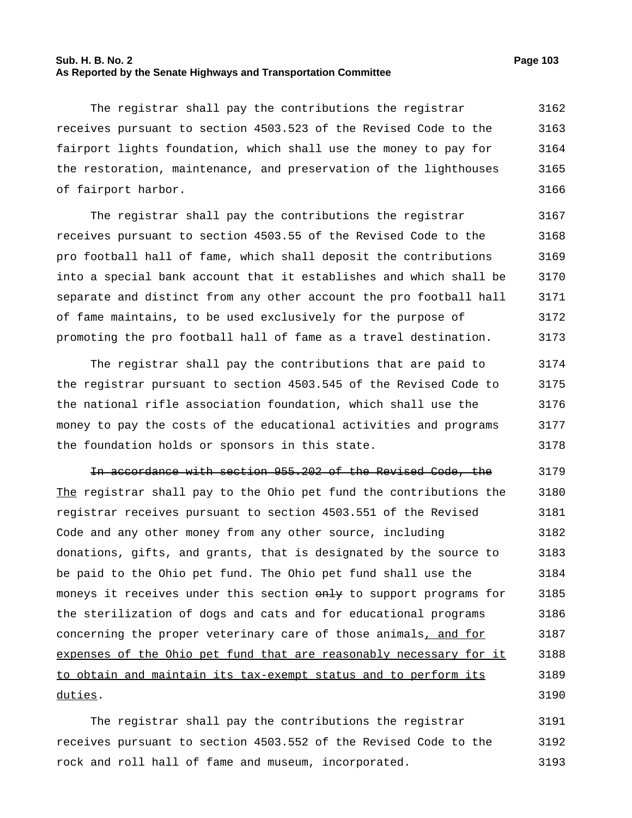#### **Sub. H. B. No. 2 Page 103 As Reported by the Senate Highways and Transportation Committee**

The registrar shall pay the contributions the registrar receives pursuant to section 4503.523 of the Revised Code to the fairport lights foundation, which shall use the money to pay for the restoration, maintenance, and preservation of the lighthouses of fairport harbor. 3162 3163 3164 3165 3166

The registrar shall pay the contributions the registrar receives pursuant to section 4503.55 of the Revised Code to the pro football hall of fame, which shall deposit the contributions into a special bank account that it establishes and which shall be separate and distinct from any other account the pro football hall of fame maintains, to be used exclusively for the purpose of promoting the pro football hall of fame as a travel destination. 3167 3168 3169 3170 3171 3172 3173

The registrar shall pay the contributions that are paid to the registrar pursuant to section 4503.545 of the Revised Code to the national rifle association foundation, which shall use the money to pay the costs of the educational activities and programs the foundation holds or sponsors in this state. 3174 3175 3176 3177 3178

In accordance with section 955.202 of the Revised Code, the The registrar shall pay to the Ohio pet fund the contributions the registrar receives pursuant to section 4503.551 of the Revised Code and any other money from any other source, including donations, gifts, and grants, that is designated by the source to be paid to the Ohio pet fund. The Ohio pet fund shall use the moneys it receives under this section  $\theta$ <sup>1</sup>y to support programs for the sterilization of dogs and cats and for educational programs concerning the proper veterinary care of those animals, and for expenses of the Ohio pet fund that are reasonably necessary for it to obtain and maintain its tax-exempt status and to perform its duties. 3179 3180 3181 3182 3183 3184 3185 3186 3187 3188 3189 3190

The registrar shall pay the contributions the registrar receives pursuant to section 4503.552 of the Revised Code to the rock and roll hall of fame and museum, incorporated. 3191 3192 3193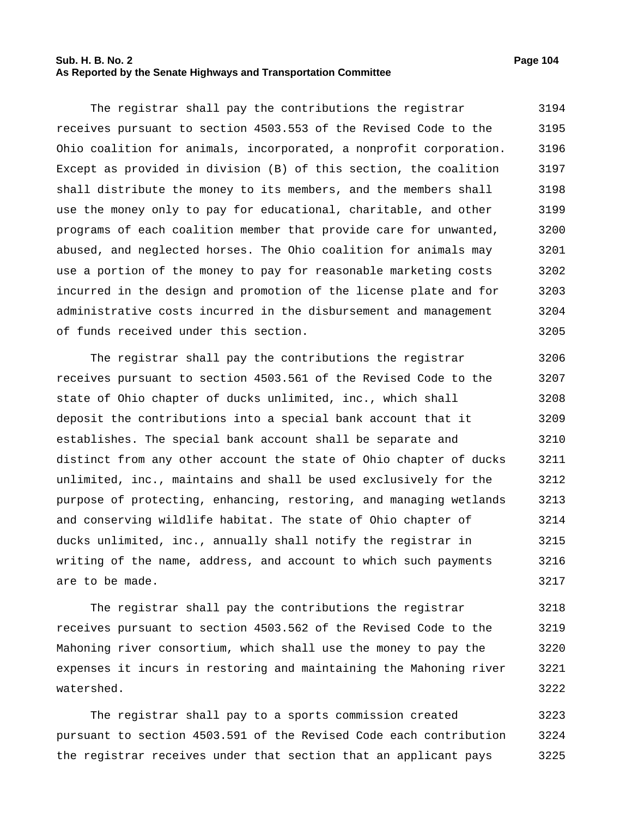#### **Sub. H. B. No. 2 Page 104 As Reported by the Senate Highways and Transportation Committee**

The registrar shall pay the contributions the registrar receives pursuant to section 4503.553 of the Revised Code to the Ohio coalition for animals, incorporated, a nonprofit corporation. Except as provided in division (B) of this section, the coalition shall distribute the money to its members, and the members shall use the money only to pay for educational, charitable, and other programs of each coalition member that provide care for unwanted, abused, and neglected horses. The Ohio coalition for animals may use a portion of the money to pay for reasonable marketing costs incurred in the design and promotion of the license plate and for administrative costs incurred in the disbursement and management of funds received under this section. 3194 3195 3196 3197 3198 3199 3200 3201 3202 3203 3204 3205

The registrar shall pay the contributions the registrar receives pursuant to section 4503.561 of the Revised Code to the state of Ohio chapter of ducks unlimited, inc., which shall deposit the contributions into a special bank account that it establishes. The special bank account shall be separate and distinct from any other account the state of Ohio chapter of ducks unlimited, inc., maintains and shall be used exclusively for the purpose of protecting, enhancing, restoring, and managing wetlands and conserving wildlife habitat. The state of Ohio chapter of ducks unlimited, inc., annually shall notify the registrar in writing of the name, address, and account to which such payments are to be made. 3206 3207 3208 3209 3210 3211 3212 3213 3214 3215 3216 3217

The registrar shall pay the contributions the registrar receives pursuant to section 4503.562 of the Revised Code to the Mahoning river consortium, which shall use the money to pay the expenses it incurs in restoring and maintaining the Mahoning river watershed. 3218 3219 3220 3221 3222

The registrar shall pay to a sports commission created pursuant to section 4503.591 of the Revised Code each contribution the registrar receives under that section that an applicant pays 3223 3224 3225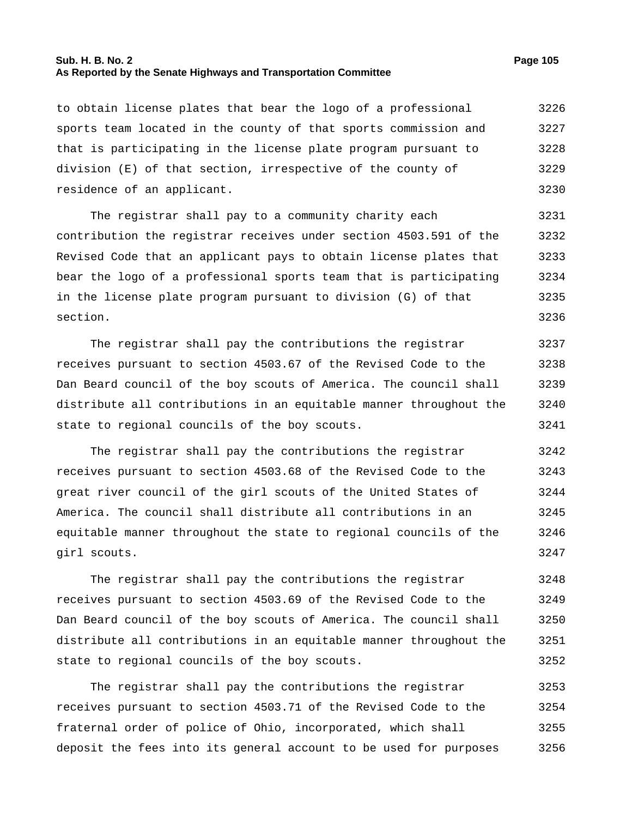#### **Sub. H. B. No. 2 Page 105 As Reported by the Senate Highways and Transportation Committee**

to obtain license plates that bear the logo of a professional sports team located in the county of that sports commission and that is participating in the license plate program pursuant to division (E) of that section, irrespective of the county of residence of an applicant. 3226 3227 3228 3229 3230

The registrar shall pay to a community charity each contribution the registrar receives under section 4503.591 of the Revised Code that an applicant pays to obtain license plates that bear the logo of a professional sports team that is participating in the license plate program pursuant to division (G) of that section. 3231 3232 3233 3234 3235 3236

The registrar shall pay the contributions the registrar receives pursuant to section 4503.67 of the Revised Code to the Dan Beard council of the boy scouts of America. The council shall distribute all contributions in an equitable manner throughout the state to regional councils of the boy scouts. 3237 3238 3239 3240 3241

The registrar shall pay the contributions the registrar receives pursuant to section 4503.68 of the Revised Code to the great river council of the girl scouts of the United States of America. The council shall distribute all contributions in an equitable manner throughout the state to regional councils of the girl scouts. 3242 3243 3244 3245 3246 3247

The registrar shall pay the contributions the registrar receives pursuant to section 4503.69 of the Revised Code to the Dan Beard council of the boy scouts of America. The council shall distribute all contributions in an equitable manner throughout the state to regional councils of the boy scouts. 3248 3249 3250 3251 3252

The registrar shall pay the contributions the registrar receives pursuant to section 4503.71 of the Revised Code to the fraternal order of police of Ohio, incorporated, which shall deposit the fees into its general account to be used for purposes 3253 3254 3255 3256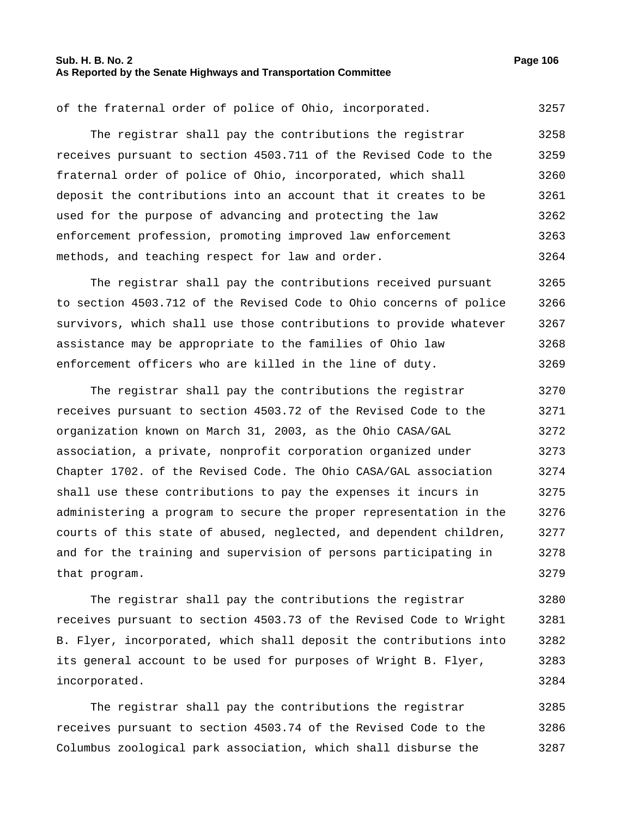of the fraternal order of police of Ohio, incorporated. 3257

The registrar shall pay the contributions the registrar receives pursuant to section 4503.711 of the Revised Code to the fraternal order of police of Ohio, incorporated, which shall deposit the contributions into an account that it creates to be used for the purpose of advancing and protecting the law enforcement profession, promoting improved law enforcement methods, and teaching respect for law and order. 3258 3259 3260 3261 3262 3263 3264

The registrar shall pay the contributions received pursuant to section 4503.712 of the Revised Code to Ohio concerns of police survivors, which shall use those contributions to provide whatever assistance may be appropriate to the families of Ohio law enforcement officers who are killed in the line of duty. 3265 3266 3267 3268 3269

The registrar shall pay the contributions the registrar receives pursuant to section 4503.72 of the Revised Code to the organization known on March 31, 2003, as the Ohio CASA/GAL association, a private, nonprofit corporation organized under Chapter 1702. of the Revised Code. The Ohio CASA/GAL association shall use these contributions to pay the expenses it incurs in administering a program to secure the proper representation in the courts of this state of abused, neglected, and dependent children, and for the training and supervision of persons participating in that program. 3270 3271 3272 3273 3274 3275 3276 3277 3278 3279

The registrar shall pay the contributions the registrar receives pursuant to section 4503.73 of the Revised Code to Wright B. Flyer, incorporated, which shall deposit the contributions into its general account to be used for purposes of Wright B. Flyer, incorporated. 3280 3281 3282 3283 3284

The registrar shall pay the contributions the registrar receives pursuant to section 4503.74 of the Revised Code to the Columbus zoological park association, which shall disburse the 3285 3286 3287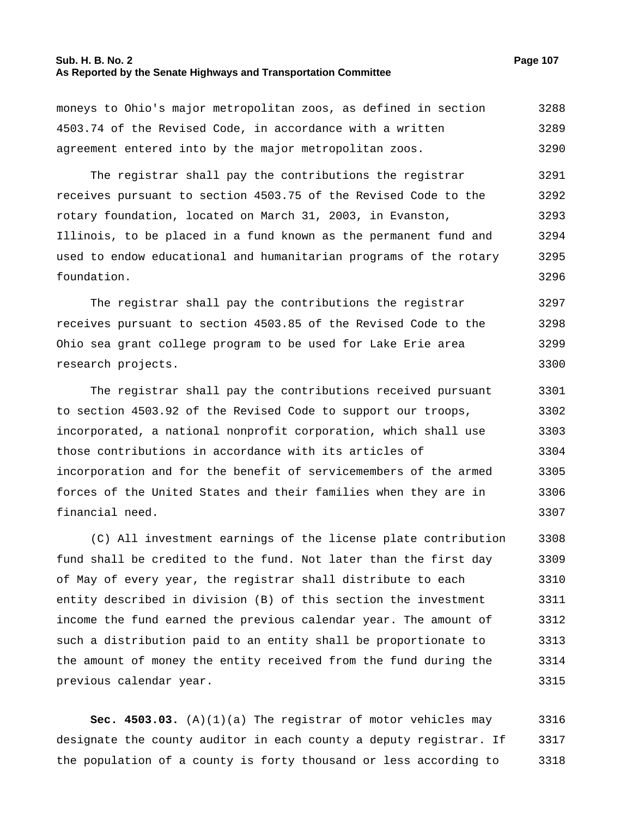#### **Sub. H. B. No. 2 Page 107 As Reported by the Senate Highways and Transportation Committee**

moneys to Ohio's major metropolitan zoos, as defined in section 4503.74 of the Revised Code, in accordance with a written agreement entered into by the major metropolitan zoos. 3288 3289 3290 The registrar shall pay the contributions the registrar 3291

receives pursuant to section 4503.75 of the Revised Code to the rotary foundation, located on March 31, 2003, in Evanston, Illinois, to be placed in a fund known as the permanent fund and used to endow educational and humanitarian programs of the rotary foundation. 3292 3293 3294 3295 3296

The registrar shall pay the contributions the registrar receives pursuant to section 4503.85 of the Revised Code to the Ohio sea grant college program to be used for Lake Erie area research projects. 3297 3298 3299 3300

The registrar shall pay the contributions received pursuant to section 4503.92 of the Revised Code to support our troops, incorporated, a national nonprofit corporation, which shall use those contributions in accordance with its articles of incorporation and for the benefit of servicemembers of the armed forces of the United States and their families when they are in financial need. 3301 3302 3303 3304 3305 3306 3307

(C) All investment earnings of the license plate contribution fund shall be credited to the fund. Not later than the first day of May of every year, the registrar shall distribute to each entity described in division (B) of this section the investment income the fund earned the previous calendar year. The amount of such a distribution paid to an entity shall be proportionate to the amount of money the entity received from the fund during the previous calendar year. 3308 3309 3310 3311 3312 3313 3314 3315

**Sec. 4503.03.** (A)(1)(a) The registrar of motor vehicles may designate the county auditor in each county a deputy registrar. If the population of a county is forty thousand or less according to 3316 3317 3318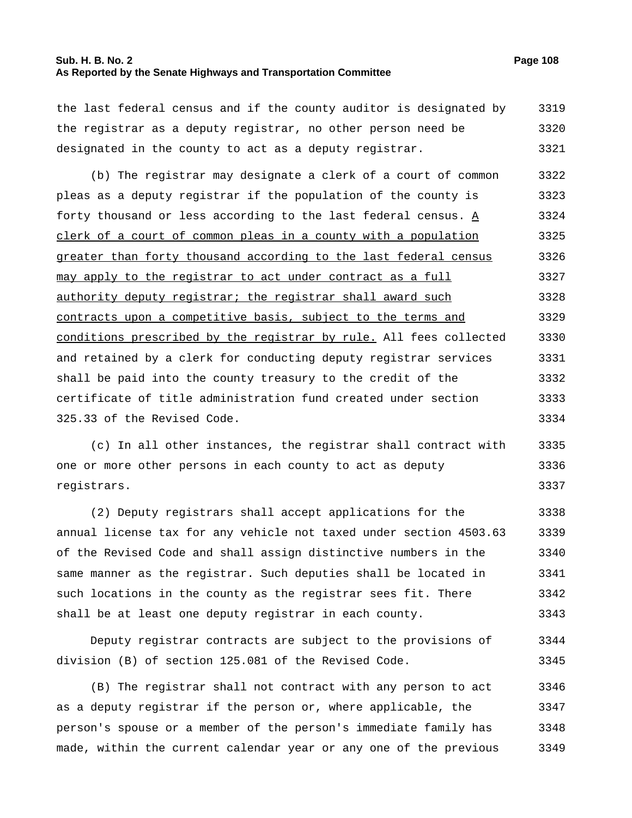#### **Sub. H. B. No. 2 Page 108 As Reported by the Senate Highways and Transportation Committee**

the last federal census and if the county auditor is designated by the registrar as a deputy registrar, no other person need be designated in the county to act as a deputy registrar. 3319 3320 3321

(b) The registrar may designate a clerk of a court of common pleas as a deputy registrar if the population of the county is forty thousand or less according to the last federal census.  $\underline{A}$ clerk of a court of common pleas in a county with a population greater than forty thousand according to the last federal census may apply to the registrar to act under contract as a full authority deputy registrar; the registrar shall award such contracts upon a competitive basis, subject to the terms and conditions prescribed by the registrar by rule. All fees collected and retained by a clerk for conducting deputy registrar services shall be paid into the county treasury to the credit of the certificate of title administration fund created under section 325.33 of the Revised Code. 3322 3323 3324 3325 3326 3327 3328 3329 3330 3331 3332 3333 3334

(c) In all other instances, the registrar shall contract with one or more other persons in each county to act as deputy registrars. 3335 3336 3337

(2) Deputy registrars shall accept applications for the annual license tax for any vehicle not taxed under section 4503.63 of the Revised Code and shall assign distinctive numbers in the same manner as the registrar. Such deputies shall be located in such locations in the county as the registrar sees fit. There shall be at least one deputy registrar in each county. 3338 3339 3340 3341 3342 3343

Deputy registrar contracts are subject to the provisions of division (B) of section 125.081 of the Revised Code. 3344 3345

(B) The registrar shall not contract with any person to act as a deputy registrar if the person or, where applicable, the person's spouse or a member of the person's immediate family has made, within the current calendar year or any one of the previous 3346 3347 3348 3349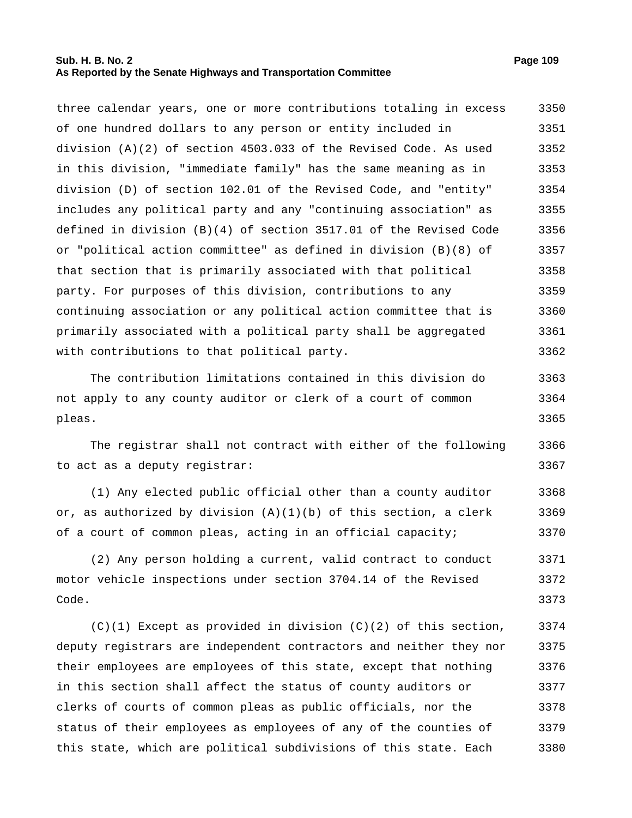### **Sub. H. B. No. 2 Page 109 As Reported by the Senate Highways and Transportation Committee**

three calendar years, one or more contributions totaling in excess of one hundred dollars to any person or entity included in division (A)(2) of section 4503.033 of the Revised Code. As used in this division, "immediate family" has the same meaning as in division (D) of section 102.01 of the Revised Code, and "entity" includes any political party and any "continuing association" as defined in division (B)(4) of section 3517.01 of the Revised Code or "political action committee" as defined in division (B)(8) of that section that is primarily associated with that political party. For purposes of this division, contributions to any continuing association or any political action committee that is primarily associated with a political party shall be aggregated with contributions to that political party. 3350 3351 3352 3353 3354 3355 3356 3357 3358 3359 3360 3361 3362

The contribution limitations contained in this division do not apply to any county auditor or clerk of a court of common pleas. 3363 3364 3365

The registrar shall not contract with either of the following to act as a deputy registrar: 3366 3367

(1) Any elected public official other than a county auditor or, as authorized by division  $(A)(1)(b)$  of this section, a clerk of a court of common pleas, acting in an official capacity; 3368 3369 3370

(2) Any person holding a current, valid contract to conduct motor vehicle inspections under section 3704.14 of the Revised Code. 3371 3372 3373

 $(C)(1)$  Except as provided in division  $(C)(2)$  of this section, deputy registrars are independent contractors and neither they nor their employees are employees of this state, except that nothing in this section shall affect the status of county auditors or clerks of courts of common pleas as public officials, nor the status of their employees as employees of any of the counties of this state, which are political subdivisions of this state. Each 3374 3375 3376 3377 3378 3379 3380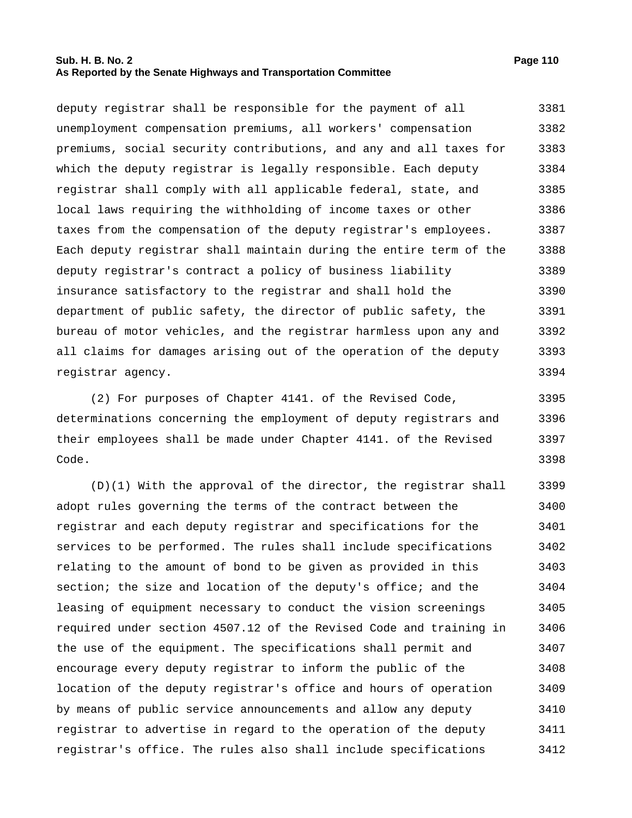## **Sub. H. B. No. 2 Page 110 As Reported by the Senate Highways and Transportation Committee**

deputy registrar shall be responsible for the payment of all unemployment compensation premiums, all workers' compensation premiums, social security contributions, and any and all taxes for which the deputy registrar is legally responsible. Each deputy registrar shall comply with all applicable federal, state, and local laws requiring the withholding of income taxes or other taxes from the compensation of the deputy registrar's employees. Each deputy registrar shall maintain during the entire term of the deputy registrar's contract a policy of business liability insurance satisfactory to the registrar and shall hold the department of public safety, the director of public safety, the bureau of motor vehicles, and the registrar harmless upon any and all claims for damages arising out of the operation of the deputy registrar agency. 3381 3382 3383 3384 3385 3386 3387 3388 3389 3390 3391 3392 3393 3394

(2) For purposes of Chapter 4141. of the Revised Code, determinations concerning the employment of deputy registrars and their employees shall be made under Chapter 4141. of the Revised Code. 3395 3396 3397 3398

(D)(1) With the approval of the director, the registrar shall adopt rules governing the terms of the contract between the registrar and each deputy registrar and specifications for the services to be performed. The rules shall include specifications relating to the amount of bond to be given as provided in this section; the size and location of the deputy's office; and the leasing of equipment necessary to conduct the vision screenings required under section 4507.12 of the Revised Code and training in the use of the equipment. The specifications shall permit and encourage every deputy registrar to inform the public of the location of the deputy registrar's office and hours of operation by means of public service announcements and allow any deputy registrar to advertise in regard to the operation of the deputy registrar's office. The rules also shall include specifications 3399 3400 3401 3402 3403 3404 3405 3406 3407 3408 3409 3410 3411 3412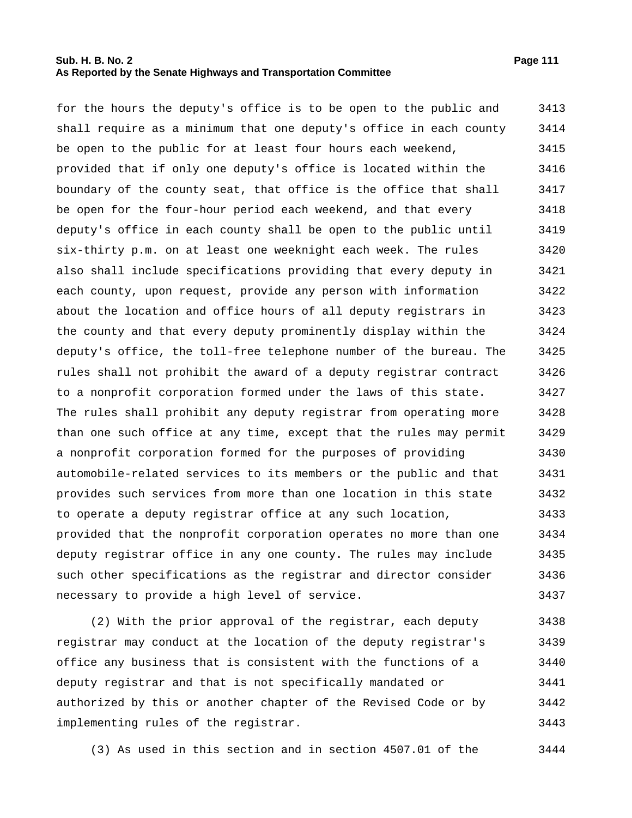# **Sub. H. B. No. 2 Page 111 As Reported by the Senate Highways and Transportation Committee**

for the hours the deputy's office is to be open to the public and shall require as a minimum that one deputy's office in each county be open to the public for at least four hours each weekend, provided that if only one deputy's office is located within the boundary of the county seat, that office is the office that shall be open for the four-hour period each weekend, and that every deputy's office in each county shall be open to the public until six-thirty p.m. on at least one weeknight each week. The rules also shall include specifications providing that every deputy in each county, upon request, provide any person with information about the location and office hours of all deputy registrars in the county and that every deputy prominently display within the deputy's office, the toll-free telephone number of the bureau. The rules shall not prohibit the award of a deputy registrar contract to a nonprofit corporation formed under the laws of this state. The rules shall prohibit any deputy registrar from operating more than one such office at any time, except that the rules may permit a nonprofit corporation formed for the purposes of providing automobile-related services to its members or the public and that provides such services from more than one location in this state to operate a deputy registrar office at any such location, provided that the nonprofit corporation operates no more than one deputy registrar office in any one county. The rules may include such other specifications as the registrar and director consider necessary to provide a high level of service. 3413 3414 3415 3416 3417 3418 3419 3420 3421 3422 3423 3424 3425 3426 3427 3428 3429 3430 3431 3432 3433 3434 3435 3436 3437

(2) With the prior approval of the registrar, each deputy registrar may conduct at the location of the deputy registrar's office any business that is consistent with the functions of a deputy registrar and that is not specifically mandated or authorized by this or another chapter of the Revised Code or by implementing rules of the registrar. 3438 3439 3440 3441 3442 3443

(3) As used in this section and in section 4507.01 of the 3444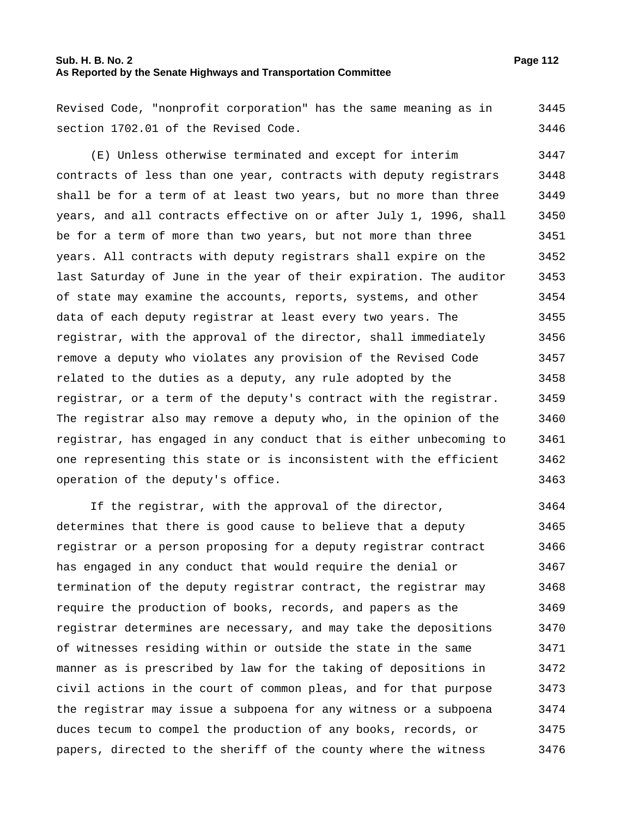### **Sub. H. B. No. 2 Page 112 As Reported by the Senate Highways and Transportation Committee**

Revised Code, "nonprofit corporation" has the same meaning as in section 1702.01 of the Revised Code. 3445 3446

(E) Unless otherwise terminated and except for interim contracts of less than one year, contracts with deputy registrars shall be for a term of at least two years, but no more than three years, and all contracts effective on or after July 1, 1996, shall be for a term of more than two years, but not more than three years. All contracts with deputy registrars shall expire on the last Saturday of June in the year of their expiration. The auditor of state may examine the accounts, reports, systems, and other data of each deputy registrar at least every two years. The registrar, with the approval of the director, shall immediately remove a deputy who violates any provision of the Revised Code related to the duties as a deputy, any rule adopted by the registrar, or a term of the deputy's contract with the registrar. The registrar also may remove a deputy who, in the opinion of the registrar, has engaged in any conduct that is either unbecoming to one representing this state or is inconsistent with the efficient operation of the deputy's office. 3447 3448 3449 3450 3451 3452 3453 3454 3455 3456 3457 3458 3459 3460 3461 3462 3463

If the registrar, with the approval of the director, determines that there is good cause to believe that a deputy registrar or a person proposing for a deputy registrar contract has engaged in any conduct that would require the denial or termination of the deputy registrar contract, the registrar may require the production of books, records, and papers as the registrar determines are necessary, and may take the depositions of witnesses residing within or outside the state in the same manner as is prescribed by law for the taking of depositions in civil actions in the court of common pleas, and for that purpose the registrar may issue a subpoena for any witness or a subpoena duces tecum to compel the production of any books, records, or papers, directed to the sheriff of the county where the witness 3464 3465 3466 3467 3468 3469 3470 3471 3472 3473 3474 3475 3476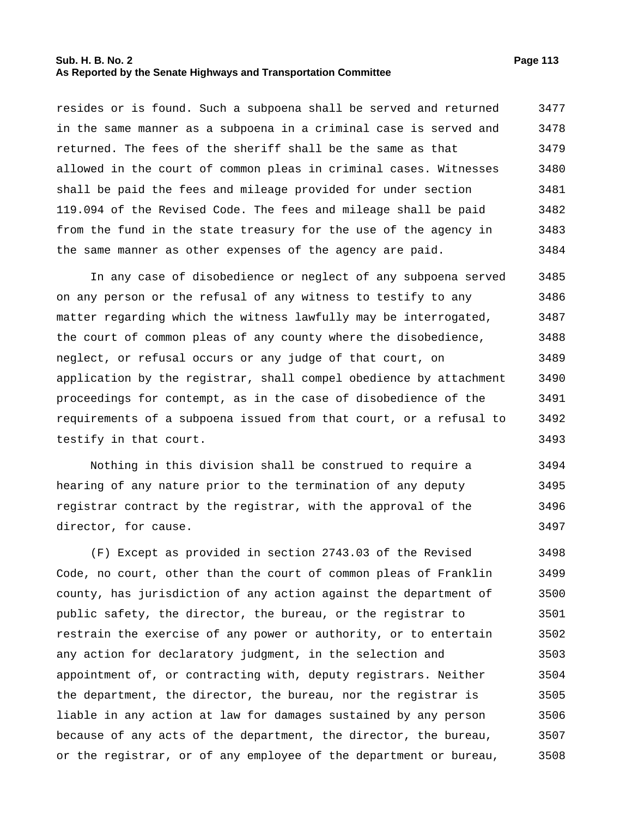#### **Sub. H. B. No. 2 Page 113 As Reported by the Senate Highways and Transportation Committee**

resides or is found. Such a subpoena shall be served and returned in the same manner as a subpoena in a criminal case is served and returned. The fees of the sheriff shall be the same as that allowed in the court of common pleas in criminal cases. Witnesses shall be paid the fees and mileage provided for under section 119.094 of the Revised Code. The fees and mileage shall be paid from the fund in the state treasury for the use of the agency in the same manner as other expenses of the agency are paid. 3477 3478 3479 3480 3481 3482 3483 3484

In any case of disobedience or neglect of any subpoena served on any person or the refusal of any witness to testify to any matter regarding which the witness lawfully may be interrogated, the court of common pleas of any county where the disobedience, neglect, or refusal occurs or any judge of that court, on application by the registrar, shall compel obedience by attachment proceedings for contempt, as in the case of disobedience of the requirements of a subpoena issued from that court, or a refusal to testify in that court. 3485 3486 3487 3488 3489 3490 3491 3492 3493

Nothing in this division shall be construed to require a hearing of any nature prior to the termination of any deputy registrar contract by the registrar, with the approval of the director, for cause. 3494 3495 3496 3497

(F) Except as provided in section 2743.03 of the Revised Code, no court, other than the court of common pleas of Franklin county, has jurisdiction of any action against the department of public safety, the director, the bureau, or the registrar to restrain the exercise of any power or authority, or to entertain any action for declaratory judgment, in the selection and appointment of, or contracting with, deputy registrars. Neither the department, the director, the bureau, nor the registrar is liable in any action at law for damages sustained by any person because of any acts of the department, the director, the bureau, or the registrar, or of any employee of the department or bureau, 3498 3499 3500 3501 3502 3503 3504 3505 3506 3507 3508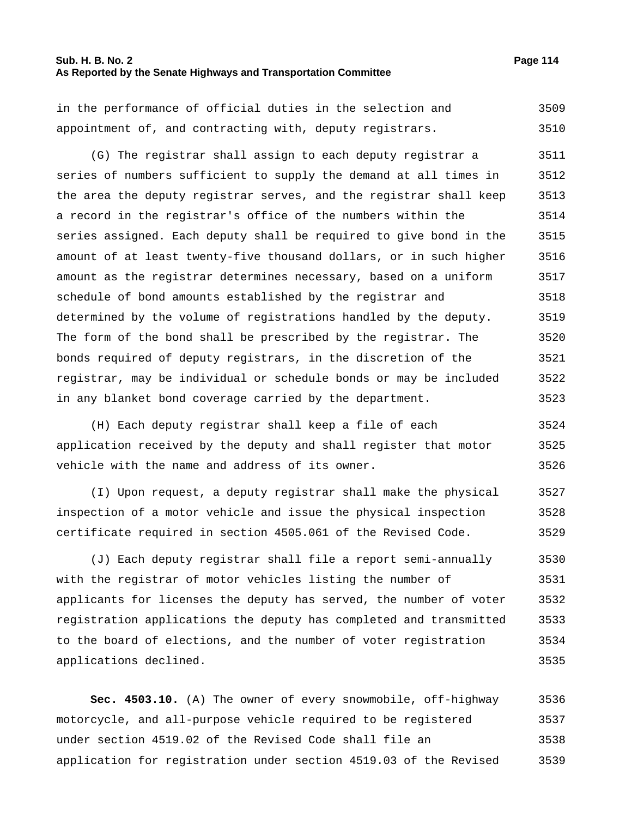#### **Sub. H. B. No. 2 Page 114 As Reported by the Senate Highways and Transportation Committee**

in the performance of official duties in the selection and appointment of, and contracting with, deputy registrars. 3509 3510

(G) The registrar shall assign to each deputy registrar a series of numbers sufficient to supply the demand at all times in the area the deputy registrar serves, and the registrar shall keep a record in the registrar's office of the numbers within the series assigned. Each deputy shall be required to give bond in the amount of at least twenty-five thousand dollars, or in such higher amount as the registrar determines necessary, based on a uniform schedule of bond amounts established by the registrar and determined by the volume of registrations handled by the deputy. The form of the bond shall be prescribed by the registrar. The bonds required of deputy registrars, in the discretion of the registrar, may be individual or schedule bonds or may be included in any blanket bond coverage carried by the department. 3511 3512 3513 3514 3515 3516 3517 3518 3519 3520 3521 3522 3523

(H) Each deputy registrar shall keep a file of each application received by the deputy and shall register that motor vehicle with the name and address of its owner. 3524 3525 3526

(I) Upon request, a deputy registrar shall make the physical inspection of a motor vehicle and issue the physical inspection certificate required in section 4505.061 of the Revised Code. 3527 3528 3529

(J) Each deputy registrar shall file a report semi-annually with the registrar of motor vehicles listing the number of applicants for licenses the deputy has served, the number of voter registration applications the deputy has completed and transmitted to the board of elections, and the number of voter registration applications declined. 3530 3531 3532 3533 3534 3535

**Sec. 4503.10.** (A) The owner of every snowmobile, off-highway motorcycle, and all-purpose vehicle required to be registered under section 4519.02 of the Revised Code shall file an application for registration under section 4519.03 of the Revised 3536 3537 3538 3539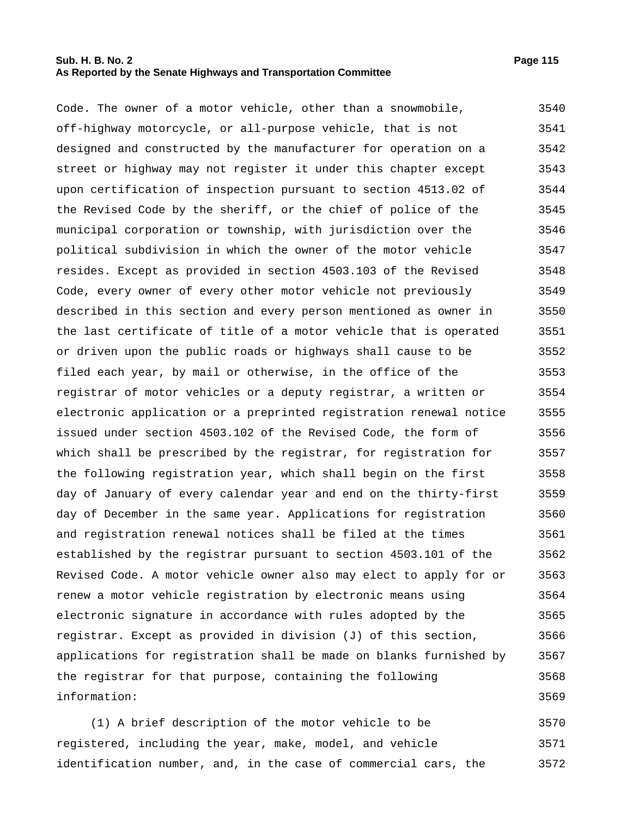# **Sub. H. B. No. 2 Page 115 As Reported by the Senate Highways and Transportation Committee**

Code. The owner of a motor vehicle, other than a snowmobile, off-highway motorcycle, or all-purpose vehicle, that is not designed and constructed by the manufacturer for operation on a street or highway may not register it under this chapter except upon certification of inspection pursuant to section 4513.02 of the Revised Code by the sheriff, or the chief of police of the municipal corporation or township, with jurisdiction over the political subdivision in which the owner of the motor vehicle resides. Except as provided in section 4503.103 of the Revised Code, every owner of every other motor vehicle not previously described in this section and every person mentioned as owner in the last certificate of title of a motor vehicle that is operated or driven upon the public roads or highways shall cause to be filed each year, by mail or otherwise, in the office of the registrar of motor vehicles or a deputy registrar, a written or electronic application or a preprinted registration renewal notice issued under section 4503.102 of the Revised Code, the form of which shall be prescribed by the registrar, for registration for the following registration year, which shall begin on the first day of January of every calendar year and end on the thirty-first day of December in the same year. Applications for registration and registration renewal notices shall be filed at the times established by the registrar pursuant to section 4503.101 of the Revised Code. A motor vehicle owner also may elect to apply for or renew a motor vehicle registration by electronic means using electronic signature in accordance with rules adopted by the registrar. Except as provided in division (J) of this section, applications for registration shall be made on blanks furnished by the registrar for that purpose, containing the following information: 3540 3541 3542 3543 3544 3545 3546 3547 3548 3549 3550 3551 3552 3553 3554 3555 3556 3557 3558 3559 3560 3561 3562 3563 3564 3565 3566 3567 3568 3569

(1) A brief description of the motor vehicle to be registered, including the year, make, model, and vehicle identification number, and, in the case of commercial cars, the 3570 3571 3572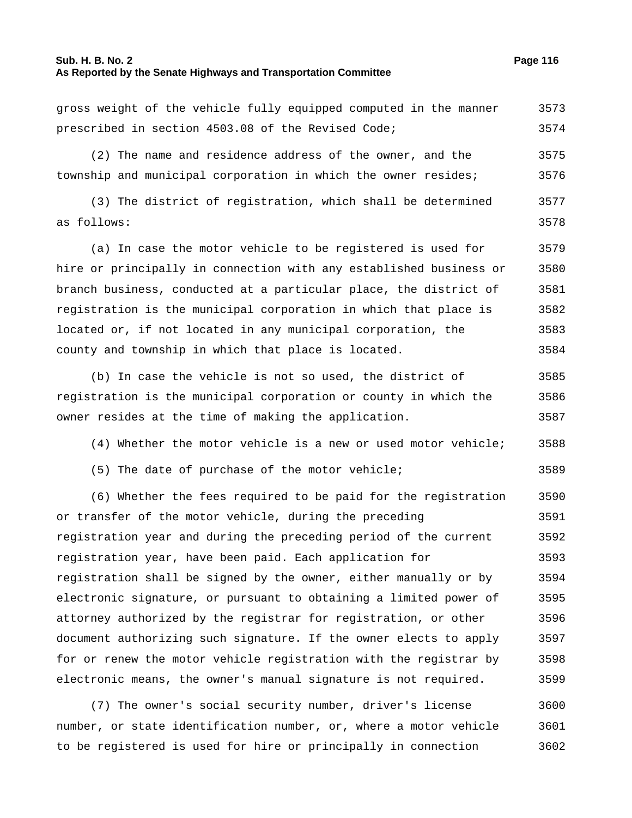#### **Sub. H. B. No. 2 Page 116 As Reported by the Senate Highways and Transportation Committee**

gross weight of the vehicle fully equipped computed in the manner prescribed in section 4503.08 of the Revised Code; 3573 3574

(2) The name and residence address of the owner, and the township and municipal corporation in which the owner resides; 3575 3576

(3) The district of registration, which shall be determined as follows: 3577 3578

(a) In case the motor vehicle to be registered is used for hire or principally in connection with any established business or branch business, conducted at a particular place, the district of registration is the municipal corporation in which that place is located or, if not located in any municipal corporation, the county and township in which that place is located. 3579 3580 3581 3582 3583 3584

(b) In case the vehicle is not so used, the district of registration is the municipal corporation or county in which the owner resides at the time of making the application. 3585 3586 3587

(4) Whether the motor vehicle is a new or used motor vehicle; 3588

(5) The date of purchase of the motor vehicle; 3589

(6) Whether the fees required to be paid for the registration or transfer of the motor vehicle, during the preceding registration year and during the preceding period of the current registration year, have been paid. Each application for registration shall be signed by the owner, either manually or by electronic signature, or pursuant to obtaining a limited power of attorney authorized by the registrar for registration, or other document authorizing such signature. If the owner elects to apply for or renew the motor vehicle registration with the registrar by electronic means, the owner's manual signature is not required. 3590 3591 3592 3593 3594 3595 3596 3597 3598 3599

(7) The owner's social security number, driver's license number, or state identification number, or, where a motor vehicle to be registered is used for hire or principally in connection 3600 3601 3602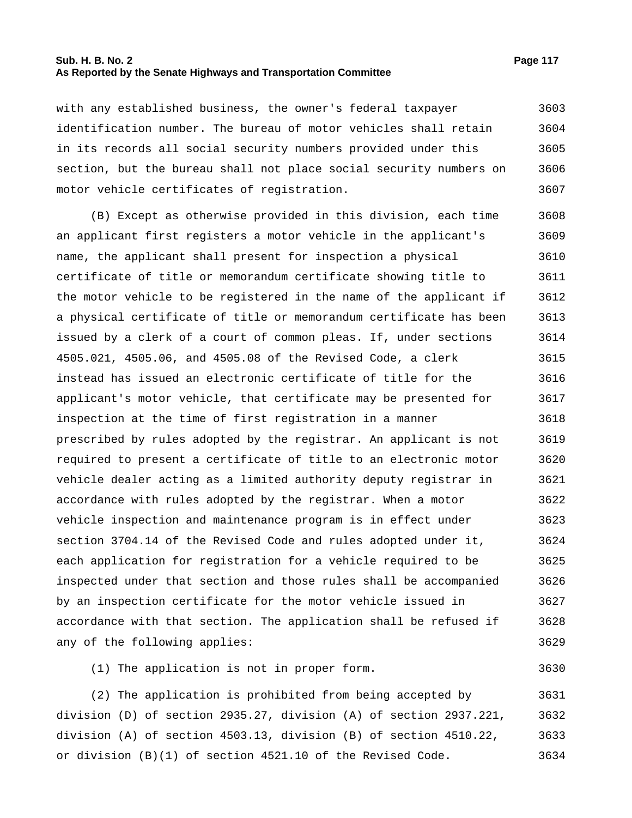### **Sub. H. B. No. 2 Page 117 As Reported by the Senate Highways and Transportation Committee**

with any established business, the owner's federal taxpayer identification number. The bureau of motor vehicles shall retain in its records all social security numbers provided under this section, but the bureau shall not place social security numbers on motor vehicle certificates of registration. 3603 3604 3605 3606 3607

(B) Except as otherwise provided in this division, each time an applicant first registers a motor vehicle in the applicant's name, the applicant shall present for inspection a physical certificate of title or memorandum certificate showing title to the motor vehicle to be registered in the name of the applicant if a physical certificate of title or memorandum certificate has been issued by a clerk of a court of common pleas. If, under sections 4505.021, 4505.06, and 4505.08 of the Revised Code, a clerk instead has issued an electronic certificate of title for the applicant's motor vehicle, that certificate may be presented for inspection at the time of first registration in a manner prescribed by rules adopted by the registrar. An applicant is not required to present a certificate of title to an electronic motor vehicle dealer acting as a limited authority deputy registrar in accordance with rules adopted by the registrar. When a motor vehicle inspection and maintenance program is in effect under section 3704.14 of the Revised Code and rules adopted under it, each application for registration for a vehicle required to be inspected under that section and those rules shall be accompanied by an inspection certificate for the motor vehicle issued in accordance with that section. The application shall be refused if any of the following applies: 3608 3609 3610 3611 3612 3613 3614 3615 3616 3617 3618 3619 3620 3621 3622 3623 3624 3625 3626 3627 3628 3629

(1) The application is not in proper form. 3630

(2) The application is prohibited from being accepted by division (D) of section 2935.27, division (A) of section 2937.221, division (A) of section 4503.13, division (B) of section 4510.22, or division (B)(1) of section 4521.10 of the Revised Code. 3631 3632 3633 3634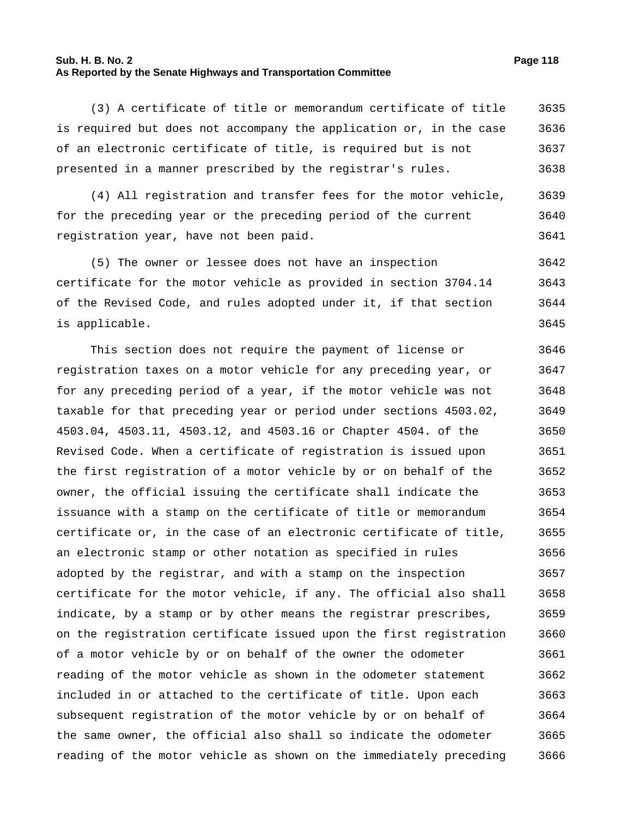#### **Sub. H. B. No. 2 Page 118 As Reported by the Senate Highways and Transportation Committee**

(3) A certificate of title or memorandum certificate of title is required but does not accompany the application or, in the case of an electronic certificate of title, is required but is not presented in a manner prescribed by the registrar's rules. 3635 3636 3637 3638

(4) All registration and transfer fees for the motor vehicle, for the preceding year or the preceding period of the current registration year, have not been paid. 3639 3640 3641

(5) The owner or lessee does not have an inspection certificate for the motor vehicle as provided in section 3704.14 of the Revised Code, and rules adopted under it, if that section is applicable. 3642 3643 3644 3645

This section does not require the payment of license or registration taxes on a motor vehicle for any preceding year, or for any preceding period of a year, if the motor vehicle was not taxable for that preceding year or period under sections 4503.02, 4503.04, 4503.11, 4503.12, and 4503.16 or Chapter 4504. of the Revised Code. When a certificate of registration is issued upon the first registration of a motor vehicle by or on behalf of the owner, the official issuing the certificate shall indicate the issuance with a stamp on the certificate of title or memorandum certificate or, in the case of an electronic certificate of title, an electronic stamp or other notation as specified in rules adopted by the registrar, and with a stamp on the inspection certificate for the motor vehicle, if any. The official also shall indicate, by a stamp or by other means the registrar prescribes, on the registration certificate issued upon the first registration of a motor vehicle by or on behalf of the owner the odometer reading of the motor vehicle as shown in the odometer statement included in or attached to the certificate of title. Upon each subsequent registration of the motor vehicle by or on behalf of the same owner, the official also shall so indicate the odometer reading of the motor vehicle as shown on the immediately preceding 3646 3647 3648 3649 3650 3651 3652 3653 3654 3655 3656 3657 3658 3659 3660 3661 3662 3663 3664 3665 3666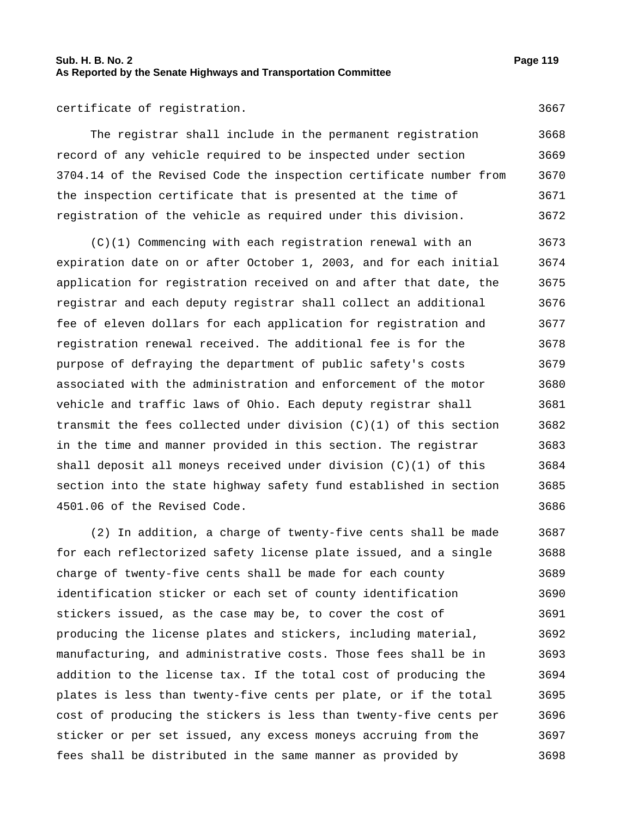certificate of registration.  $3667$ 

The registrar shall include in the permanent registration record of any vehicle required to be inspected under section 3704.14 of the Revised Code the inspection certificate number from the inspection certificate that is presented at the time of registration of the vehicle as required under this division. 3668 3669 3670 3671 3672

(C)(1) Commencing with each registration renewal with an expiration date on or after October 1, 2003, and for each initial application for registration received on and after that date, the registrar and each deputy registrar shall collect an additional fee of eleven dollars for each application for registration and registration renewal received. The additional fee is for the purpose of defraying the department of public safety's costs associated with the administration and enforcement of the motor vehicle and traffic laws of Ohio. Each deputy registrar shall transmit the fees collected under division (C)(1) of this section in the time and manner provided in this section. The registrar shall deposit all moneys received under division  $(C)(1)$  of this section into the state highway safety fund established in section 4501.06 of the Revised Code. 3673 3674 3675 3676 3677 3678 3679 3680 3681 3682 3683 3684 3685 3686

(2) In addition, a charge of twenty-five cents shall be made for each reflectorized safety license plate issued, and a single charge of twenty-five cents shall be made for each county identification sticker or each set of county identification stickers issued, as the case may be, to cover the cost of producing the license plates and stickers, including material, manufacturing, and administrative costs. Those fees shall be in addition to the license tax. If the total cost of producing the plates is less than twenty-five cents per plate, or if the total cost of producing the stickers is less than twenty-five cents per sticker or per set issued, any excess moneys accruing from the fees shall be distributed in the same manner as provided by 3687 3688 3689 3690 3691 3692 3693 3694 3695 3696 3697 3698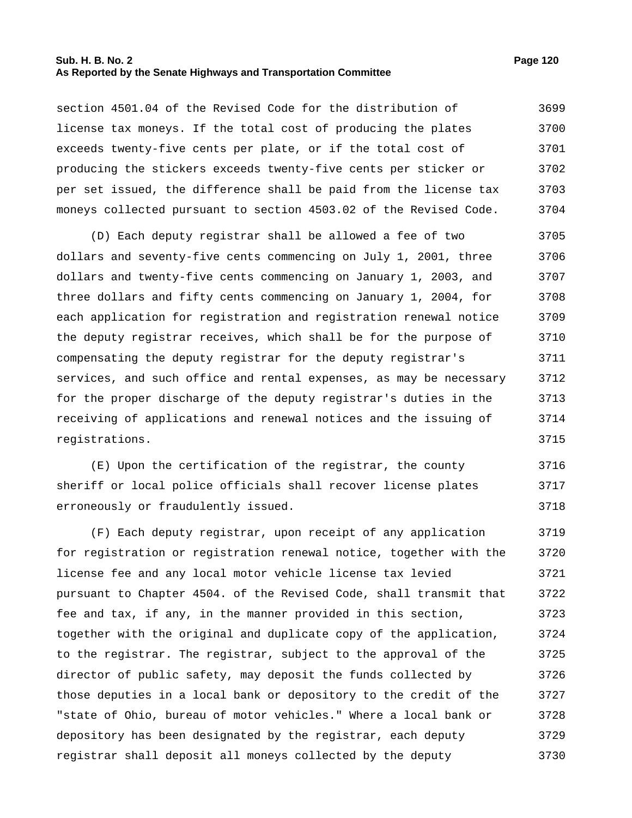### **Sub. H. B. No. 2 Page 120 As Reported by the Senate Highways and Transportation Committee**

section 4501.04 of the Revised Code for the distribution of license tax moneys. If the total cost of producing the plates exceeds twenty-five cents per plate, or if the total cost of producing the stickers exceeds twenty-five cents per sticker or per set issued, the difference shall be paid from the license tax moneys collected pursuant to section 4503.02 of the Revised Code. 3699 3700 3701 3702 3703 3704

(D) Each deputy registrar shall be allowed a fee of two dollars and seventy-five cents commencing on July 1, 2001, three dollars and twenty-five cents commencing on January 1, 2003, and three dollars and fifty cents commencing on January 1, 2004, for each application for registration and registration renewal notice the deputy registrar receives, which shall be for the purpose of compensating the deputy registrar for the deputy registrar's services, and such office and rental expenses, as may be necessary for the proper discharge of the deputy registrar's duties in the receiving of applications and renewal notices and the issuing of registrations. 3705 3706 3707 3708 3709 3710 3711 3712 3713 3714 3715

(E) Upon the certification of the registrar, the county sheriff or local police officials shall recover license plates erroneously or fraudulently issued. 3716 3717 3718

(F) Each deputy registrar, upon receipt of any application for registration or registration renewal notice, together with the license fee and any local motor vehicle license tax levied pursuant to Chapter 4504. of the Revised Code, shall transmit that fee and tax, if any, in the manner provided in this section, together with the original and duplicate copy of the application, to the registrar. The registrar, subject to the approval of the director of public safety, may deposit the funds collected by those deputies in a local bank or depository to the credit of the "state of Ohio, bureau of motor vehicles." Where a local bank or depository has been designated by the registrar, each deputy registrar shall deposit all moneys collected by the deputy 3719 3720 3721 3722 3723 3724 3725 3726 3727 3728 3729 3730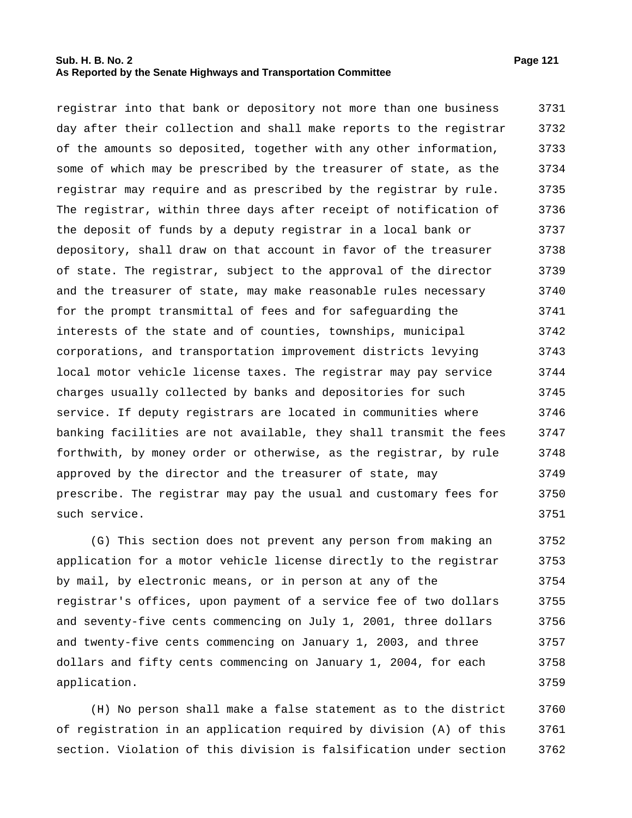# **Sub. H. B. No. 2 Page 121 As Reported by the Senate Highways and Transportation Committee**

registrar into that bank or depository not more than one business day after their collection and shall make reports to the registrar of the amounts so deposited, together with any other information, some of which may be prescribed by the treasurer of state, as the registrar may require and as prescribed by the registrar by rule. The registrar, within three days after receipt of notification of 3731 3732 3733 3734 3735 3736 3737

the deposit of funds by a deputy registrar in a local bank or depository, shall draw on that account in favor of the treasurer of state. The registrar, subject to the approval of the director and the treasurer of state, may make reasonable rules necessary for the prompt transmittal of fees and for safeguarding the interests of the state and of counties, townships, municipal corporations, and transportation improvement districts levying local motor vehicle license taxes. The registrar may pay service charges usually collected by banks and depositories for such service. If deputy registrars are located in communities where banking facilities are not available, they shall transmit the fees forthwith, by money order or otherwise, as the registrar, by rule approved by the director and the treasurer of state, may prescribe. The registrar may pay the usual and customary fees for such service. 3738 3739 3740 3741 3742 3743 3744 3745 3746 3747 3748 3749 3750 3751

(G) This section does not prevent any person from making an application for a motor vehicle license directly to the registrar by mail, by electronic means, or in person at any of the registrar's offices, upon payment of a service fee of two dollars and seventy-five cents commencing on July 1, 2001, three dollars and twenty-five cents commencing on January 1, 2003, and three dollars and fifty cents commencing on January 1, 2004, for each application. 3752 3753 3754 3755 3756 3757 3758 3759

(H) No person shall make a false statement as to the district of registration in an application required by division (A) of this section. Violation of this division is falsification under section 3760 3761 3762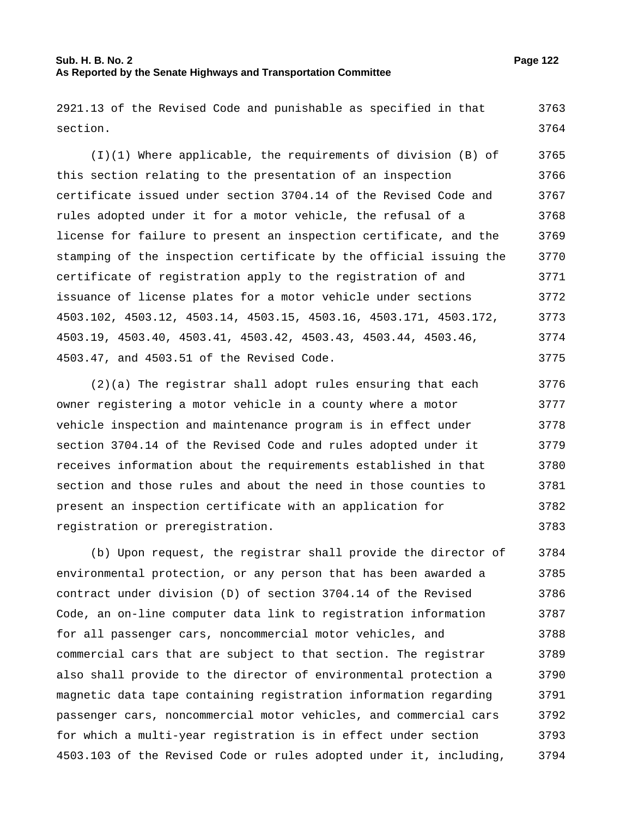# **Sub. H. B. No. 2 Page 122 As Reported by the Senate Highways and Transportation Committee**

2921.13 of the Revised Code and punishable as specified in that section. 3763 3764

(I)(1) Where applicable, the requirements of division (B) of this section relating to the presentation of an inspection certificate issued under section 3704.14 of the Revised Code and rules adopted under it for a motor vehicle, the refusal of a license for failure to present an inspection certificate, and the stamping of the inspection certificate by the official issuing the certificate of registration apply to the registration of and issuance of license plates for a motor vehicle under sections 4503.102, 4503.12, 4503.14, 4503.15, 4503.16, 4503.171, 4503.172, 4503.19, 4503.40, 4503.41, 4503.42, 4503.43, 4503.44, 4503.46, 4503.47, and 4503.51 of the Revised Code. 3765 3766 3767 3768 3769 3770 3771 3772 3773 3774 3775

(2)(a) The registrar shall adopt rules ensuring that each owner registering a motor vehicle in a county where a motor vehicle inspection and maintenance program is in effect under section 3704.14 of the Revised Code and rules adopted under it receives information about the requirements established in that section and those rules and about the need in those counties to present an inspection certificate with an application for registration or preregistration. 3776 3777 3778 3779 3780 3781 3782 3783

(b) Upon request, the registrar shall provide the director of environmental protection, or any person that has been awarded a contract under division (D) of section 3704.14 of the Revised Code, an on-line computer data link to registration information for all passenger cars, noncommercial motor vehicles, and commercial cars that are subject to that section. The registrar also shall provide to the director of environmental protection a magnetic data tape containing registration information regarding passenger cars, noncommercial motor vehicles, and commercial cars for which a multi-year registration is in effect under section 4503.103 of the Revised Code or rules adopted under it, including, 3784 3785 3786 3787 3788 3789 3790 3791 3792 3793 3794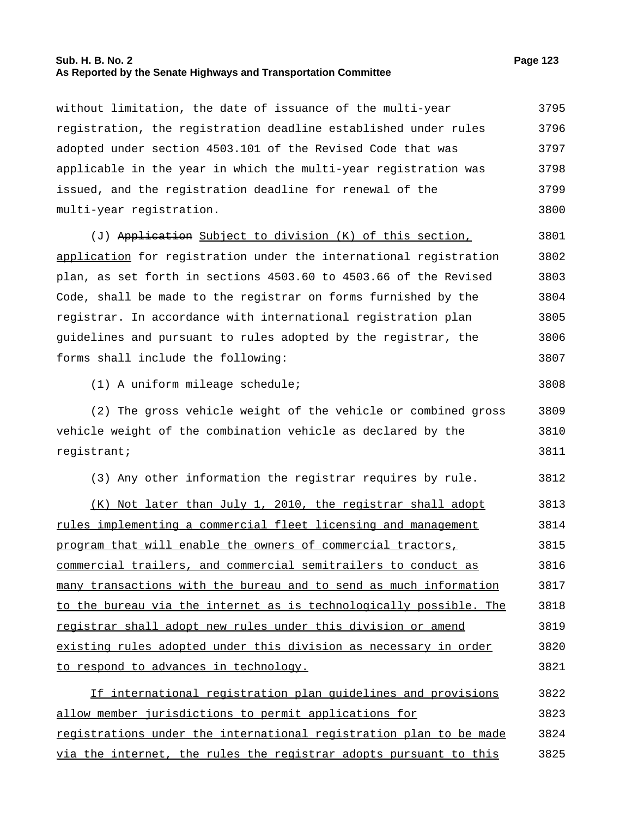# **Sub. H. B. No. 2 Page 123 As Reported by the Senate Highways and Transportation Committee**

| without limitation, the date of issuance of the multi-year            | 3795 |
|-----------------------------------------------------------------------|------|
| registration, the registration deadline established under rules       | 3796 |
| adopted under section 4503.101 of the Revised Code that was           | 3797 |
| applicable in the year in which the multi-year registration was       | 3798 |
| issued, and the registration deadline for renewal of the              | 3799 |
| multi-year registration.                                              | 3800 |
| (J) Application Subject to division (K) of this section,              | 3801 |
| application for registration under the international registration     | 3802 |
| plan, as set forth in sections 4503.60 to 4503.66 of the Revised      | 3803 |
| Code, shall be made to the registrar on forms furnished by the        | 3804 |
| registrar. In accordance with international registration plan         | 3805 |
| guidelines and pursuant to rules adopted by the registrar, the        | 3806 |
| forms shall include the following:                                    | 3807 |
| (1) A uniform mileage schedule;                                       | 3808 |
| (2) The gross vehicle weight of the vehicle or combined gross         | 3809 |
| vehicle weight of the combination vehicle as declared by the          | 3810 |
| registrant;                                                           | 3811 |
| (3) Any other information the registrar requires by rule.             | 3812 |
| (K) Not later than July 1, 2010, the registrar shall adopt            | 3813 |
| rules implementing a commercial fleet licensing and management        | 3814 |
| program that will enable the owners of commercial tractors,           | 3815 |
| <u>commercial trailers, and commercial semitrailers to conduct as</u> | 3816 |
| many transactions with the bureau and to send as much information     | 3817 |
| to the bureau via the internet as is technologically possible. The    | 3818 |
| registrar shall adopt new rules under this division or amend          | 3819 |
| existing rules adopted under this division as necessary in order      | 3820 |
| to respond to advances in technology.                                 | 3821 |
| If international registration plan guidelines and provisions          | 3822 |
| allow member jurisdictions to permit applications for                 | 3823 |
| registrations under the international registration plan to be made    | 3824 |
| via the internet, the rules the registrar adopts pursuant to this     | 3825 |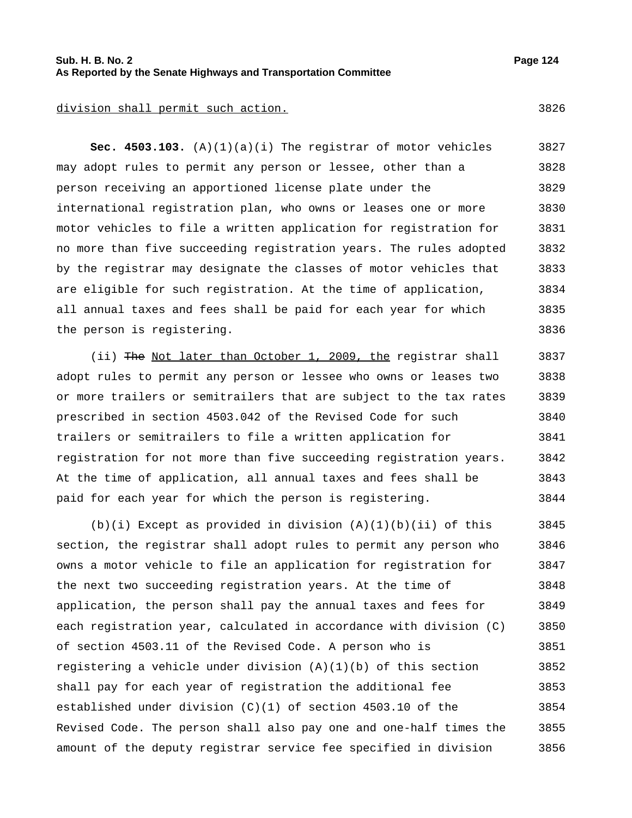# **Sub. H. B. No. 2 Page 124 As Reported by the Senate Highways and Transportation Committee**

## division shall permit such action. **3826** 3826

**Sec. 4503.103.** (A)(1)(a)(i) The registrar of motor vehicles may adopt rules to permit any person or lessee, other than a person receiving an apportioned license plate under the international registration plan, who owns or leases one or more motor vehicles to file a written application for registration for no more than five succeeding registration years. The rules adopted by the registrar may designate the classes of motor vehicles that are eligible for such registration. At the time of application, all annual taxes and fees shall be paid for each year for which the person is registering. 3827 3828 3829 3830 3831 3832 3833 3834 3835 3836

(ii) The Not later than October 1, 2009, the registrar shall adopt rules to permit any person or lessee who owns or leases two or more trailers or semitrailers that are subject to the tax rates prescribed in section 4503.042 of the Revised Code for such trailers or semitrailers to file a written application for registration for not more than five succeeding registration years. At the time of application, all annual taxes and fees shall be paid for each year for which the person is registering. 3837 3838 3839 3840 3841 3842 3843 3844

 $(b)(i)$  Except as provided in division  $(A)(1)(b)(ii)$  of this section, the registrar shall adopt rules to permit any person who owns a motor vehicle to file an application for registration for the next two succeeding registration years. At the time of application, the person shall pay the annual taxes and fees for each registration year, calculated in accordance with division (C) of section 4503.11 of the Revised Code. A person who is registering a vehicle under division (A)(1)(b) of this section shall pay for each year of registration the additional fee established under division (C)(1) of section 4503.10 of the Revised Code. The person shall also pay one and one-half times the amount of the deputy registrar service fee specified in division 3845 3846 3847 3848 3849 3850 3851 3852 3853 3854 3855 3856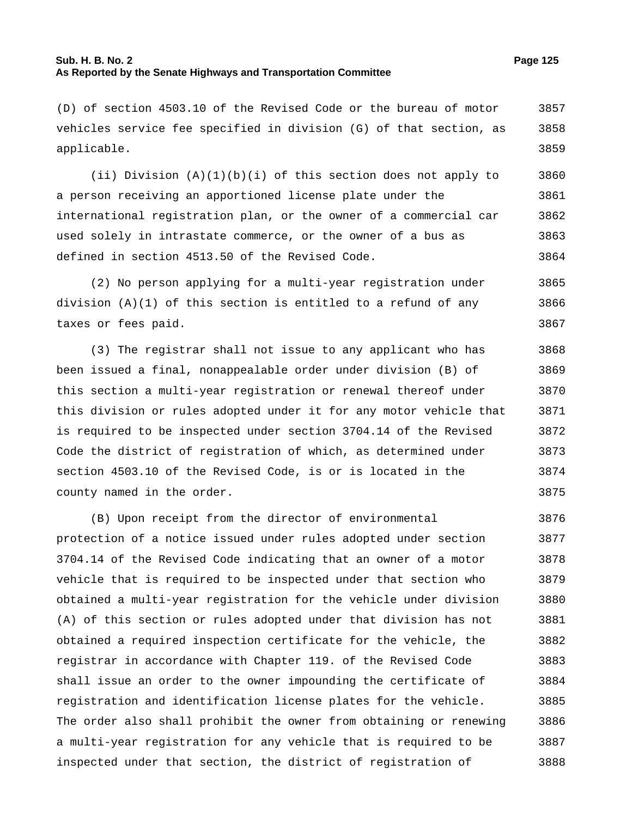#### **Sub. H. B. No. 2 Page 125 As Reported by the Senate Highways and Transportation Committee**

(D) of section 4503.10 of the Revised Code or the bureau of motor vehicles service fee specified in division (G) of that section, as applicable. 3857 3858 3859

(ii) Division  $(A)(1)(b)(i)$  of this section does not apply to a person receiving an apportioned license plate under the international registration plan, or the owner of a commercial car used solely in intrastate commerce, or the owner of a bus as defined in section 4513.50 of the Revised Code. 3860 3861 3862 3863 3864

(2) No person applying for a multi-year registration under division  $(A)(1)$  of this section is entitled to a refund of any taxes or fees paid. 3865 3866 3867

(3) The registrar shall not issue to any applicant who has been issued a final, nonappealable order under division (B) of this section a multi-year registration or renewal thereof under this division or rules adopted under it for any motor vehicle that is required to be inspected under section 3704.14 of the Revised Code the district of registration of which, as determined under section 4503.10 of the Revised Code, is or is located in the county named in the order. 3868 3869 3870 3871 3872 3873 3874 3875

(B) Upon receipt from the director of environmental protection of a notice issued under rules adopted under section 3704.14 of the Revised Code indicating that an owner of a motor vehicle that is required to be inspected under that section who obtained a multi-year registration for the vehicle under division (A) of this section or rules adopted under that division has not obtained a required inspection certificate for the vehicle, the registrar in accordance with Chapter 119. of the Revised Code shall issue an order to the owner impounding the certificate of registration and identification license plates for the vehicle. The order also shall prohibit the owner from obtaining or renewing a multi-year registration for any vehicle that is required to be inspected under that section, the district of registration of 3876 3877 3878 3879 3880 3881 3882 3883 3884 3885 3886 3887 3888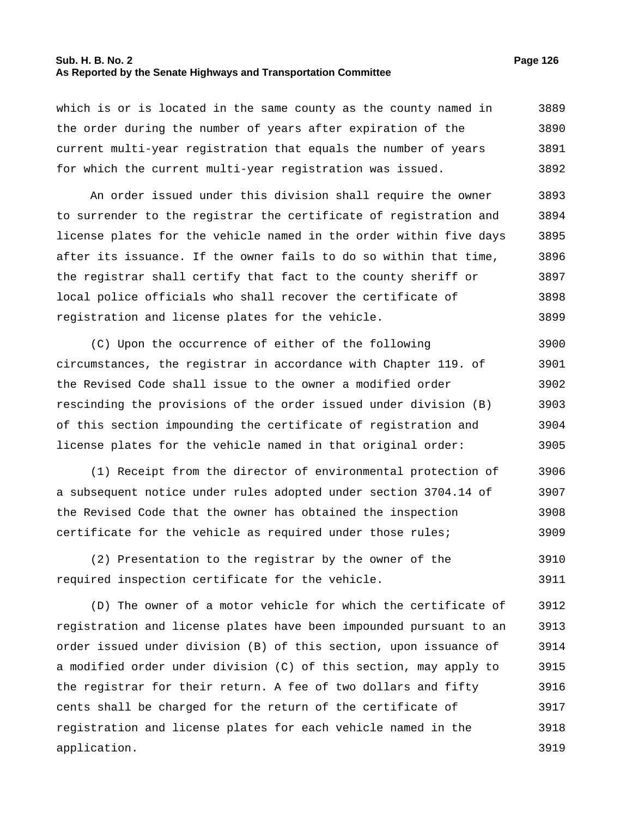# **Sub. H. B. No. 2 Page 126 As Reported by the Senate Highways and Transportation Committee**

which is or is located in the same county as the county named in the order during the number of years after expiration of the current multi-year registration that equals the number of years for which the current multi-year registration was issued. 3889 3890 3891 3892

An order issued under this division shall require the owner to surrender to the registrar the certificate of registration and license plates for the vehicle named in the order within five days after its issuance. If the owner fails to do so within that time, the registrar shall certify that fact to the county sheriff or local police officials who shall recover the certificate of registration and license plates for the vehicle. 3893 3894 3895 3896 3897 3898 3899

(C) Upon the occurrence of either of the following circumstances, the registrar in accordance with Chapter 119. of the Revised Code shall issue to the owner a modified order rescinding the provisions of the order issued under division (B) of this section impounding the certificate of registration and license plates for the vehicle named in that original order: 3900 3901 3902 3903 3904 3905

(1) Receipt from the director of environmental protection of a subsequent notice under rules adopted under section 3704.14 of the Revised Code that the owner has obtained the inspection certificate for the vehicle as required under those rules; 3906 3907 3908 3909

(2) Presentation to the registrar by the owner of the required inspection certificate for the vehicle. 3910 3911

(D) The owner of a motor vehicle for which the certificate of registration and license plates have been impounded pursuant to an order issued under division (B) of this section, upon issuance of a modified order under division (C) of this section, may apply to the registrar for their return. A fee of two dollars and fifty cents shall be charged for the return of the certificate of registration and license plates for each vehicle named in the application. 3912 3913 3914 3915 3916 3917 3918 3919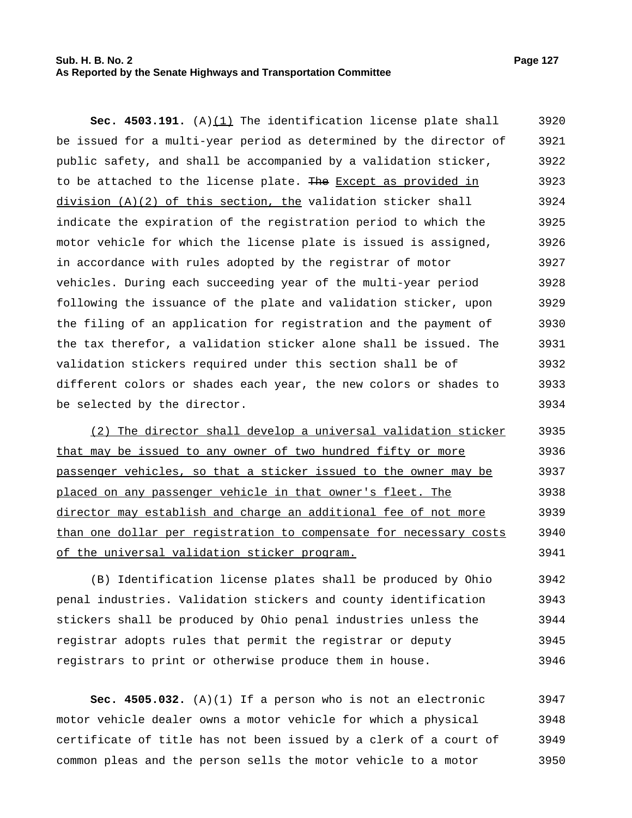**Sec. 4503.191.** (A)(1) The identification license plate shall be issued for a multi-year period as determined by the director of public safety, and shall be accompanied by a validation sticker, to be attached to the license plate. The Except as provided in  $division (A)(2) of this section, the validation sticker shall$ indicate the expiration of the registration period to which the motor vehicle for which the license plate is issued is assigned, in accordance with rules adopted by the registrar of motor vehicles. During each succeeding year of the multi-year period following the issuance of the plate and validation sticker, upon the filing of an application for registration and the payment of the tax therefor, a validation sticker alone shall be issued. The validation stickers required under this section shall be of different colors or shades each year, the new colors or shades to be selected by the director. 3920 3921 3922 3923 3924 3925 3926 3927 3928 3929 3930 3931 3932 3933 3934

(2) The director shall develop a universal validation sticker that may be issued to any owner of two hundred fifty or more passenger vehicles, so that a sticker issued to the owner may be placed on any passenger vehicle in that owner's fleet. The director may establish and charge an additional fee of not more than one dollar per registration to compensate for necessary costs of the universal validation sticker program. 3935 3936 3937 3938 3939 3940 3941

(B) Identification license plates shall be produced by Ohio penal industries. Validation stickers and county identification stickers shall be produced by Ohio penal industries unless the registrar adopts rules that permit the registrar or deputy registrars to print or otherwise produce them in house. 3942 3943 3944 3945 3946

**Sec. 4505.032.** (A)(1) If a person who is not an electronic motor vehicle dealer owns a motor vehicle for which a physical certificate of title has not been issued by a clerk of a court of common pleas and the person sells the motor vehicle to a motor 3947 3948 3949 3950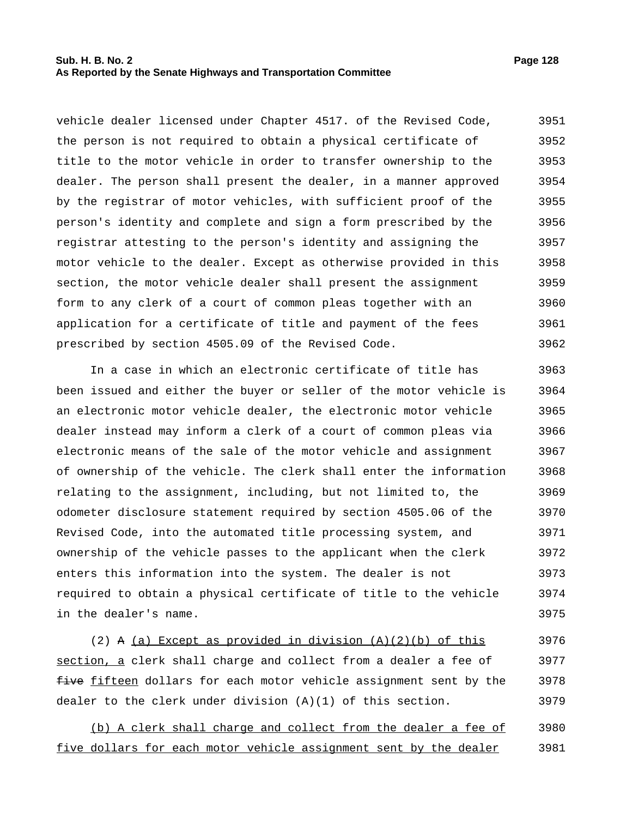vehicle dealer licensed under Chapter 4517. of the Revised Code, the person is not required to obtain a physical certificate of title to the motor vehicle in order to transfer ownership to the dealer. The person shall present the dealer, in a manner approved by the registrar of motor vehicles, with sufficient proof of the person's identity and complete and sign a form prescribed by the registrar attesting to the person's identity and assigning the motor vehicle to the dealer. Except as otherwise provided in this section, the motor vehicle dealer shall present the assignment form to any clerk of a court of common pleas together with an application for a certificate of title and payment of the fees prescribed by section 4505.09 of the Revised Code. 3951 3952 3953 3954 3955 3956 3957 3958 3959 3960 3961 3962

In a case in which an electronic certificate of title has been issued and either the buyer or seller of the motor vehicle is an electronic motor vehicle dealer, the electronic motor vehicle dealer instead may inform a clerk of a court of common pleas via electronic means of the sale of the motor vehicle and assignment of ownership of the vehicle. The clerk shall enter the information relating to the assignment, including, but not limited to, the odometer disclosure statement required by section 4505.06 of the Revised Code, into the automated title processing system, and ownership of the vehicle passes to the applicant when the clerk enters this information into the system. The dealer is not required to obtain a physical certificate of title to the vehicle in the dealer's name. 3963 3964 3965 3966 3967 3968 3969 3970 3971 3972 3973 3974 3975

 $(2)$  A (a) Except as provided in division  $(A)(2)(b)$  of this section, a clerk shall charge and collect from a dealer a fee of five fifteen dollars for each motor vehicle assignment sent by the dealer to the clerk under division  $(A)(1)$  of this section. 3976 3977 3978 3979

(b) A clerk shall charge and collect from the dealer a fee of five dollars for each motor vehicle assignment sent by the dealer 3980 3981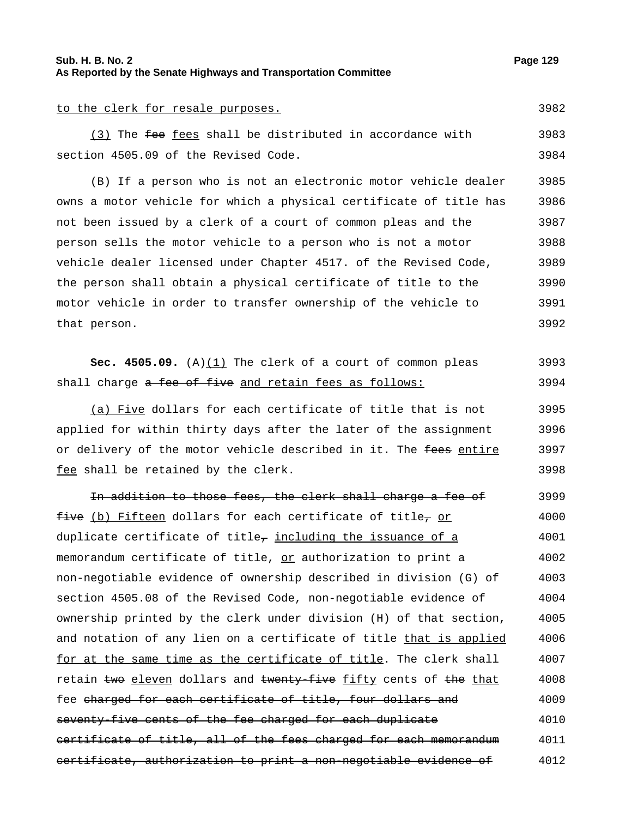# **Sub. H. B. No. 2 Page 129 As Reported by the Senate Highways and Transportation Committee**

#### to the clerk for resale purposes. 3982

(3) The fee fees shall be distributed in accordance with section 4505.09 of the Revised Code. 3983 3984

(B) If a person who is not an electronic motor vehicle dealer owns a motor vehicle for which a physical certificate of title has not been issued by a clerk of a court of common pleas and the person sells the motor vehicle to a person who is not a motor vehicle dealer licensed under Chapter 4517. of the Revised Code, the person shall obtain a physical certificate of title to the motor vehicle in order to transfer ownership of the vehicle to that person. 3985 3986 3987 3988 3989 3990 3991 3992

**Sec. 4505.09.** (A) $(1)$  The clerk of a court of common pleas shall charge a fee of five and retain fees as follows: 3993 3994

(a) Five dollars for each certificate of title that is not applied for within thirty days after the later of the assignment or delivery of the motor vehicle described in it. The fees entire fee shall be retained by the clerk. 3995 3996 3997 3998

In addition to those fees, the clerk shall charge a fee of  $five (b)$  Fifteen dollars for each certificate of title<sub>7</sub> or duplicate certificate of title<sub>7</sub> including the issuance of a memorandum certificate of title, or authorization to print a non-negotiable evidence of ownership described in division (G) of section 4505.08 of the Revised Code, non-negotiable evidence of ownership printed by the clerk under division (H) of that section, and notation of any lien on a certificate of title that is applied for at the same time as the certificate of title. The clerk shall retain two eleven dollars and twenty-five fifty cents of the that fee charged for each certificate of title, four dollars and seventy-five cents of the fee charged for each duplicate certificate of title, all of the fees charged for each memorandum certificate, authorization to print a non-negotiable evidence of 3999 4000 4001 4002 4003 4004 4005 4006 4007 4008 4009 4010 4011 4012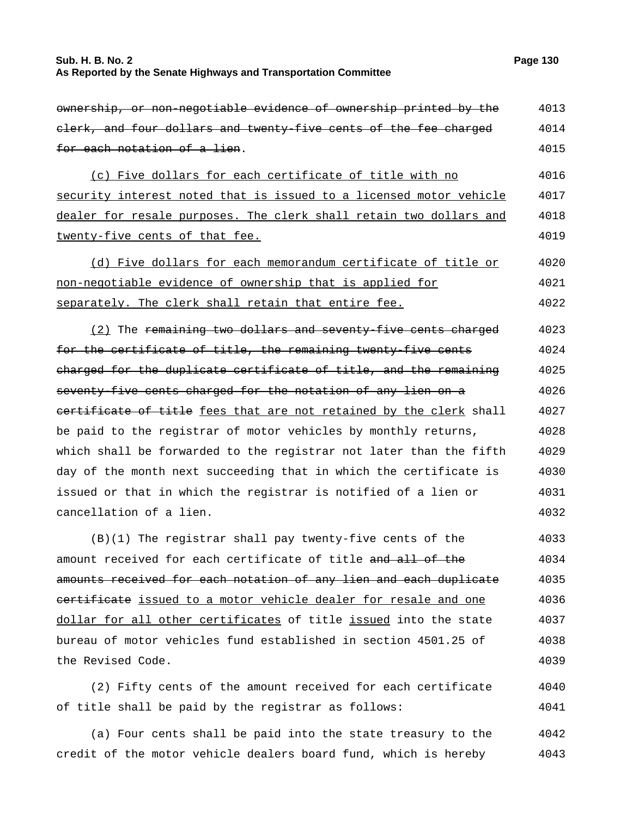# **Sub. H. B. No. 2 Page 130 As Reported by the Senate Highways and Transportation Committee**

| ownership, or non-negotiable evidence of ownership printed by the  | 4013 |
|--------------------------------------------------------------------|------|
| elerk, and four dollars and twenty five cents of the fee charged   | 4014 |
| for each notation of a lien.                                       | 4015 |
| (c) Five dollars for each certificate of title with no             | 4016 |
| security interest noted that is issued to a licensed motor vehicle | 4017 |
| dealer for resale purposes. The clerk shall retain two dollars and | 4018 |
| twenty-five cents of that fee.                                     | 4019 |
| (d) Five dollars for each memorandum certificate of title or       | 4020 |
| non-negotiable evidence of ownership that is applied for           | 4021 |
| separately. The clerk shall retain that entire fee.                | 4022 |
| (2) The remaining two dollars and seventy five cents charged       | 4023 |
| for the certificate of title, the remaining twenty-five cents      | 4024 |
| charged for the duplicate certificate of title, and the remaining  | 4025 |
| seventy-five cents charged for the notation of any lien on a       | 4026 |
| eertificate of title fees that are not retained by the clerk shall | 4027 |
| be paid to the registrar of motor vehicles by monthly returns,     | 4028 |
| which shall be forwarded to the registrar not later than the fifth | 4029 |
| day of the month next succeeding that in which the certificate is  | 4030 |
| issued or that in which the registrar is notified of a lien or     | 4031 |
| cancellation of a lien.                                            | 4032 |
| $(B)(1)$ The registrar shall pay twenty-five cents of the          | 4033 |
| amount received for each certificate of title and all of the       | 4034 |
| amounts received for each notation of any lien and each duplicate  | 4035 |
| eertificate issued to a motor vehicle dealer for resale and one    | 4036 |
| dollar for all other certificates of title issued into the state   | 4037 |
| bureau of motor vehicles fund established in section 4501.25 of    | 4038 |
| the Revised Code.                                                  | 4039 |

(2) Fifty cents of the amount received for each certificate of title shall be paid by the registrar as follows: 4040 4041

(a) Four cents shall be paid into the state treasury to the credit of the motor vehicle dealers board fund, which is hereby 4042 4043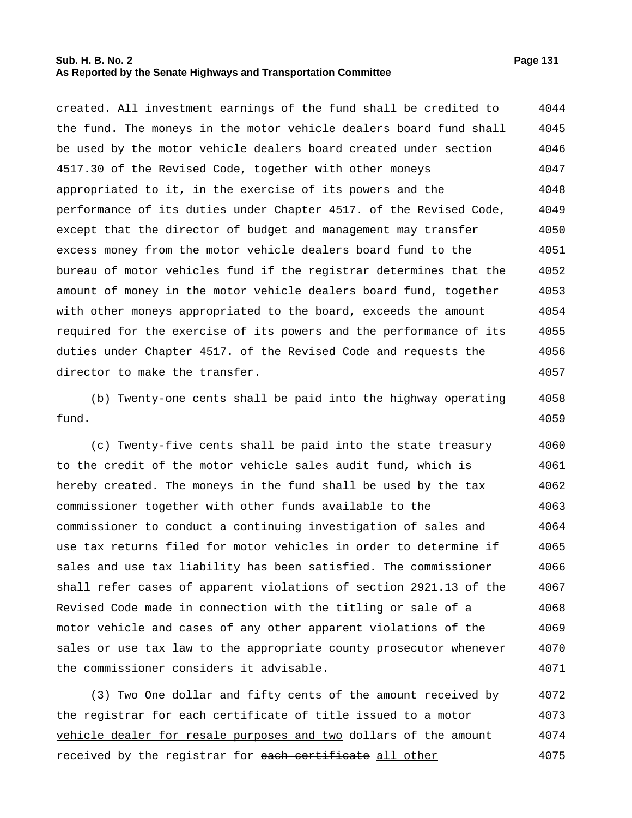#### **Sub. H. B. No. 2 Page 131 As Reported by the Senate Highways and Transportation Committee**

created. All investment earnings of the fund shall be credited to the fund. The moneys in the motor vehicle dealers board fund shall be used by the motor vehicle dealers board created under section 4517.30 of the Revised Code, together with other moneys appropriated to it, in the exercise of its powers and the performance of its duties under Chapter 4517. of the Revised Code, except that the director of budget and management may transfer excess money from the motor vehicle dealers board fund to the bureau of motor vehicles fund if the registrar determines that the amount of money in the motor vehicle dealers board fund, together with other moneys appropriated to the board, exceeds the amount required for the exercise of its powers and the performance of its duties under Chapter 4517. of the Revised Code and requests the director to make the transfer. 4044 4045 4046 4047 4048 4049 4050 4051 4052 4053 4054 4055 4056 4057

(b) Twenty-one cents shall be paid into the highway operating fund. 4058 4059

(c) Twenty-five cents shall be paid into the state treasury to the credit of the motor vehicle sales audit fund, which is hereby created. The moneys in the fund shall be used by the tax commissioner together with other funds available to the commissioner to conduct a continuing investigation of sales and use tax returns filed for motor vehicles in order to determine if sales and use tax liability has been satisfied. The commissioner shall refer cases of apparent violations of section 2921.13 of the Revised Code made in connection with the titling or sale of a motor vehicle and cases of any other apparent violations of the sales or use tax law to the appropriate county prosecutor whenever the commissioner considers it advisable. 4060 4061 4062 4063 4064 4065 4066 4067 4068 4069 4070 4071

(3)  $\frac{m}{2}$  One dollar and fifty cents of the amount received by the registrar for each certificate of title issued to a motor vehicle dealer for resale purposes and two dollars of the amount received by the registrar for each certificate all other 4072 4073 4074 4075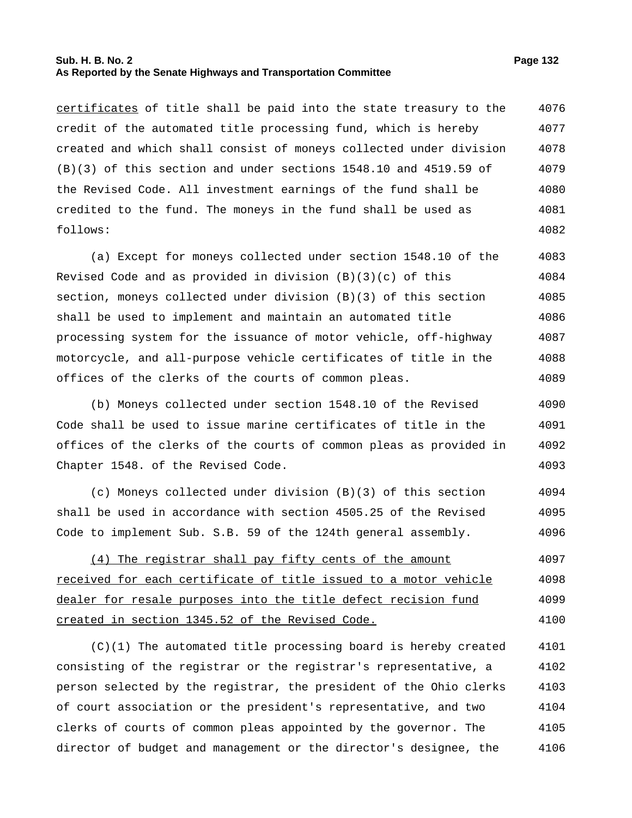#### **Sub. H. B. No. 2 Page 132 As Reported by the Senate Highways and Transportation Committee**

certificates of title shall be paid into the state treasury to the credit of the automated title processing fund, which is hereby created and which shall consist of moneys collected under division (B)(3) of this section and under sections 1548.10 and 4519.59 of the Revised Code. All investment earnings of the fund shall be credited to the fund. The moneys in the fund shall be used as follows: 4076 4077 4078 4079 4080 4081 4082

(a) Except for moneys collected under section 1548.10 of the Revised Code and as provided in division  $(B)(3)(c)$  of this section, moneys collected under division (B)(3) of this section shall be used to implement and maintain an automated title processing system for the issuance of motor vehicle, off-highway motorcycle, and all-purpose vehicle certificates of title in the offices of the clerks of the courts of common pleas. 4083 4084 4085 4086 4087 4088 4089

(b) Moneys collected under section 1548.10 of the Revised Code shall be used to issue marine certificates of title in the offices of the clerks of the courts of common pleas as provided in Chapter 1548. of the Revised Code. 4090 4091 4092 4093

(c) Moneys collected under division (B)(3) of this section shall be used in accordance with section 4505.25 of the Revised Code to implement Sub. S.B. 59 of the 124th general assembly. 4094 4095 4096

(4) The registrar shall pay fifty cents of the amount received for each certificate of title issued to a motor vehicle dealer for resale purposes into the title defect recision fund created in section 1345.52 of the Revised Code. 4097 4098 4099 4100

(C)(1) The automated title processing board is hereby created consisting of the registrar or the registrar's representative, a person selected by the registrar, the president of the Ohio clerks of court association or the president's representative, and two clerks of courts of common pleas appointed by the governor. The director of budget and management or the director's designee, the 4101 4102 4103 4104 4105 4106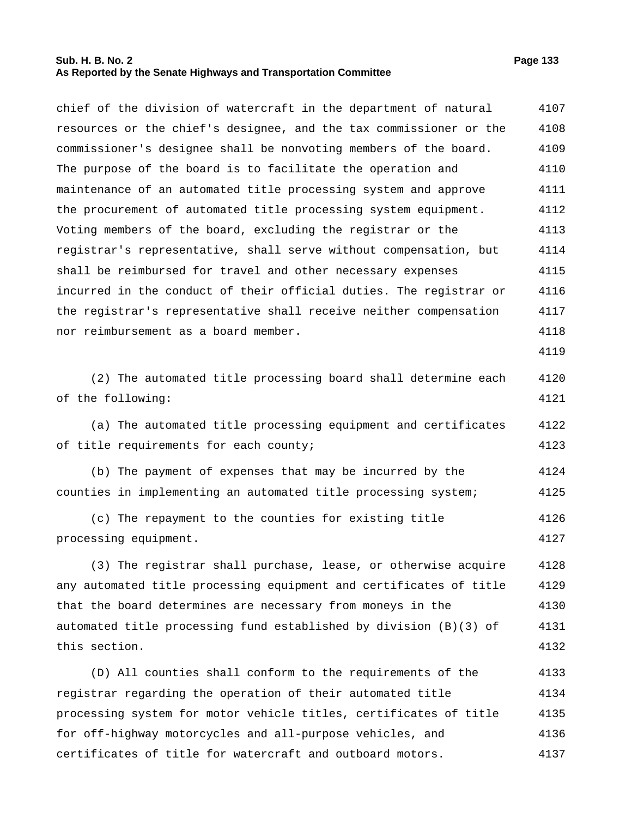# **Sub. H. B. No. 2 Page 133 As Reported by the Senate Highways and Transportation Committee**

chief of the division of watercraft in the department of natural

| resources or the chief's designee, and the tax commissioner or the | 4108 |
|--------------------------------------------------------------------|------|
| commissioner's designee shall be nonvoting members of the board.   | 4109 |
| The purpose of the board is to facilitate the operation and        | 4110 |
| maintenance of an automated title processing system and approve    | 4111 |
| the procurement of automated title processing system equipment.    | 4112 |
| Voting members of the board, excluding the registrar or the        | 4113 |
| registrar's representative, shall serve without compensation, but  | 4114 |
| shall be reimbursed for travel and other necessary expenses        | 4115 |
| incurred in the conduct of their official duties. The registrar or | 4116 |
| the registrar's representative shall receive neither compensation  | 4117 |
| nor reimbursement as a board member.                               | 4118 |
|                                                                    | 4119 |
| (2) The automated title processing board shall determine each      | 4120 |
| of the following:                                                  | 4121 |
| (a) The automated title processing equipment and certificates      | 4122 |
| of title requirements for each county;                             | 4123 |
| (b) The payment of expenses that may be incurred by the            | 4124 |
| counties in implementing an automated title processing system;     | 4125 |
| (c) The repayment to the counties for existing title               | 4126 |
| processing equipment.                                              | 4127 |
| (3) The registrar shall purchase, lease, or otherwise acquire      | 4128 |
| any automated title processing equipment and certificates of title | 4129 |
| that the board determines are necessary from moneys in the         | 4130 |
| automated title processing fund established by division (B)(3) of  | 4131 |
| this section.                                                      | 4132 |
| (D) All counties shall conform to the requirements of the          | 4133 |
| registrar regarding the operation of their automated title         | 4134 |
| processing system for motor vehicle titles, certificates of title  | 4135 |
| for off-highway motorcycles and all-purpose vehicles, and          | 4136 |
| certificates of title for watercraft and outboard motors.          | 4137 |

4107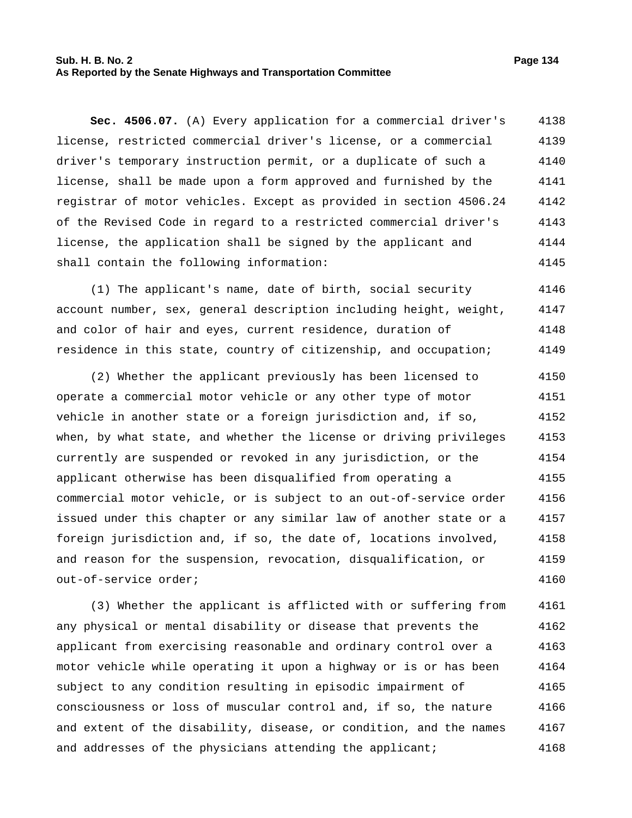### **Sub. H. B. No. 2 Page 134 As Reported by the Senate Highways and Transportation Committee**

**Sec. 4506.07.** (A) Every application for a commercial driver's license, restricted commercial driver's license, or a commercial driver's temporary instruction permit, or a duplicate of such a license, shall be made upon a form approved and furnished by the registrar of motor vehicles. Except as provided in section 4506.24 of the Revised Code in regard to a restricted commercial driver's license, the application shall be signed by the applicant and shall contain the following information: 4138 4139 4140 4141 4142 4143 4144 4145

(1) The applicant's name, date of birth, social security account number, sex, general description including height, weight, and color of hair and eyes, current residence, duration of residence in this state, country of citizenship, and occupation; 4146 4147 4148 4149

(2) Whether the applicant previously has been licensed to operate a commercial motor vehicle or any other type of motor vehicle in another state or a foreign jurisdiction and, if so, when, by what state, and whether the license or driving privileges currently are suspended or revoked in any jurisdiction, or the applicant otherwise has been disqualified from operating a commercial motor vehicle, or is subject to an out-of-service order issued under this chapter or any similar law of another state or a foreign jurisdiction and, if so, the date of, locations involved, and reason for the suspension, revocation, disqualification, or out-of-service order; 4150 4151 4152 4153 4154 4155 4156 4157 4158 4159 4160

(3) Whether the applicant is afflicted with or suffering from any physical or mental disability or disease that prevents the applicant from exercising reasonable and ordinary control over a motor vehicle while operating it upon a highway or is or has been subject to any condition resulting in episodic impairment of consciousness or loss of muscular control and, if so, the nature and extent of the disability, disease, or condition, and the names and addresses of the physicians attending the applicant; 4161 4162 4163 4164 4165 4166 4167 4168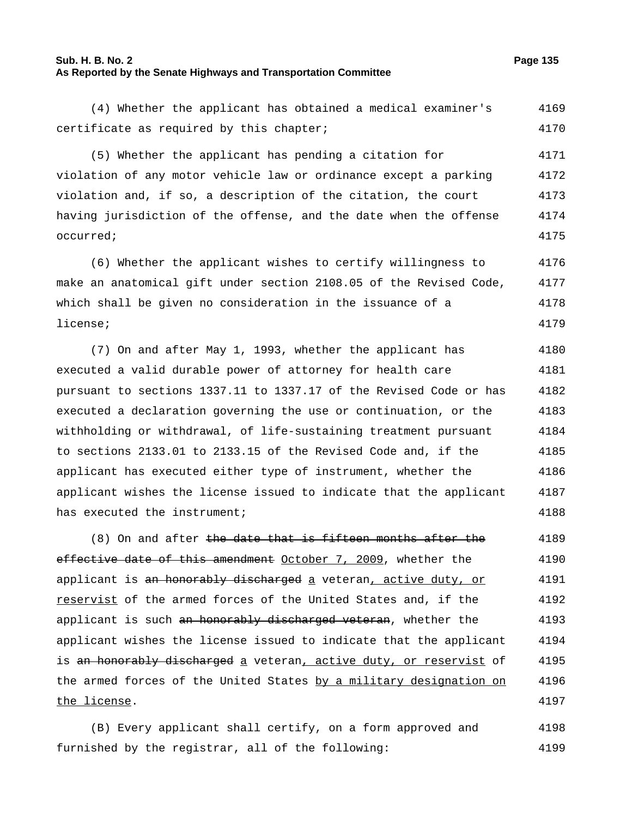#### **Sub. H. B. No. 2 Page 135 As Reported by the Senate Highways and Transportation Committee**

(4) Whether the applicant has obtained a medical examiner's certificate as required by this chapter; 4169 4170 (5) Whether the applicant has pending a citation for violation of any motor vehicle law or ordinance except a parking 4171 4172

violation and, if so, a description of the citation, the court having jurisdiction of the offense, and the date when the offense occurred; 4173 4174 4175

(6) Whether the applicant wishes to certify willingness to make an anatomical gift under section 2108.05 of the Revised Code, which shall be given no consideration in the issuance of a license; 4176 4177 4178 4179

(7) On and after May 1, 1993, whether the applicant has executed a valid durable power of attorney for health care pursuant to sections 1337.11 to 1337.17 of the Revised Code or has executed a declaration governing the use or continuation, or the withholding or withdrawal, of life-sustaining treatment pursuant to sections 2133.01 to 2133.15 of the Revised Code and, if the applicant has executed either type of instrument, whether the applicant wishes the license issued to indicate that the applicant has executed the instrument; 4180 4181 4182 4183 4184 4185 4186 4187 4188

 $(8)$  On and after the date that is fifteen months after the effective date of this amendment October 7, 2009, whether the applicant is an honorably discharged a veteran, active duty, or reservist of the armed forces of the United States and, if the applicant is such an honorably discharged veteran, whether the applicant wishes the license issued to indicate that the applicant is an honorably discharged a veteran, active duty, or reservist of the armed forces of the United States by a military designation on the license. 4189 4190 4191 4192 4193 4194 4195 4196 4197

(B) Every applicant shall certify, on a form approved and furnished by the registrar, all of the following: 4198 4199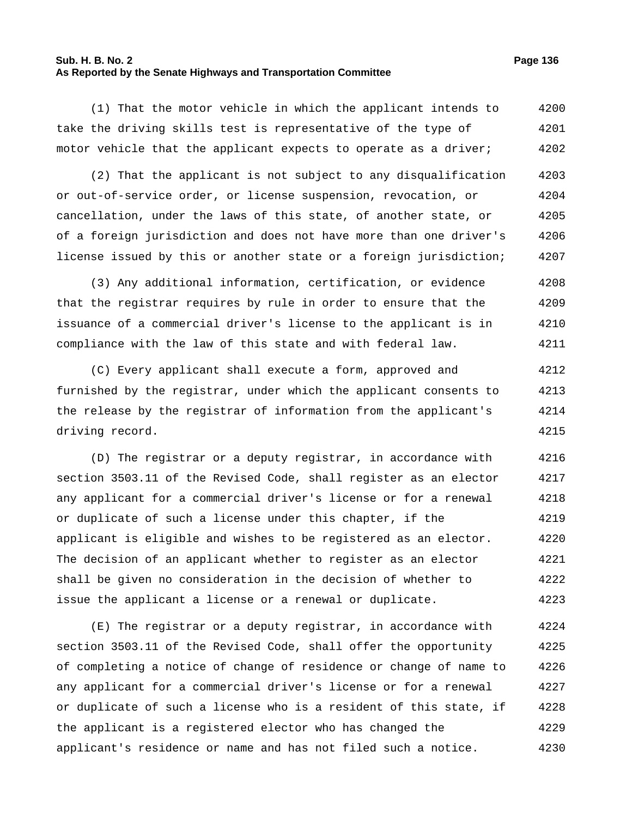#### **Sub. H. B. No. 2 Page 136 As Reported by the Senate Highways and Transportation Committee**

(1) That the motor vehicle in which the applicant intends to take the driving skills test is representative of the type of motor vehicle that the applicant expects to operate as a driver; 4200 4201 4202

(2) That the applicant is not subject to any disqualification or out-of-service order, or license suspension, revocation, or cancellation, under the laws of this state, of another state, or of a foreign jurisdiction and does not have more than one driver's license issued by this or another state or a foreign jurisdiction; 4203 4204 4205 4206 4207

(3) Any additional information, certification, or evidence that the registrar requires by rule in order to ensure that the issuance of a commercial driver's license to the applicant is in compliance with the law of this state and with federal law. 4208 4209 4210 4211

(C) Every applicant shall execute a form, approved and furnished by the registrar, under which the applicant consents to the release by the registrar of information from the applicant's driving record. 4212 4213 4214 4215

(D) The registrar or a deputy registrar, in accordance with section 3503.11 of the Revised Code, shall register as an elector any applicant for a commercial driver's license or for a renewal or duplicate of such a license under this chapter, if the applicant is eligible and wishes to be registered as an elector. The decision of an applicant whether to register as an elector shall be given no consideration in the decision of whether to issue the applicant a license or a renewal or duplicate. 4216 4217 4218 4219 4220 4221 4222 4223

(E) The registrar or a deputy registrar, in accordance with section 3503.11 of the Revised Code, shall offer the opportunity of completing a notice of change of residence or change of name to any applicant for a commercial driver's license or for a renewal or duplicate of such a license who is a resident of this state, if the applicant is a registered elector who has changed the applicant's residence or name and has not filed such a notice. 4224 4225 4226 4227 4228 4229 4230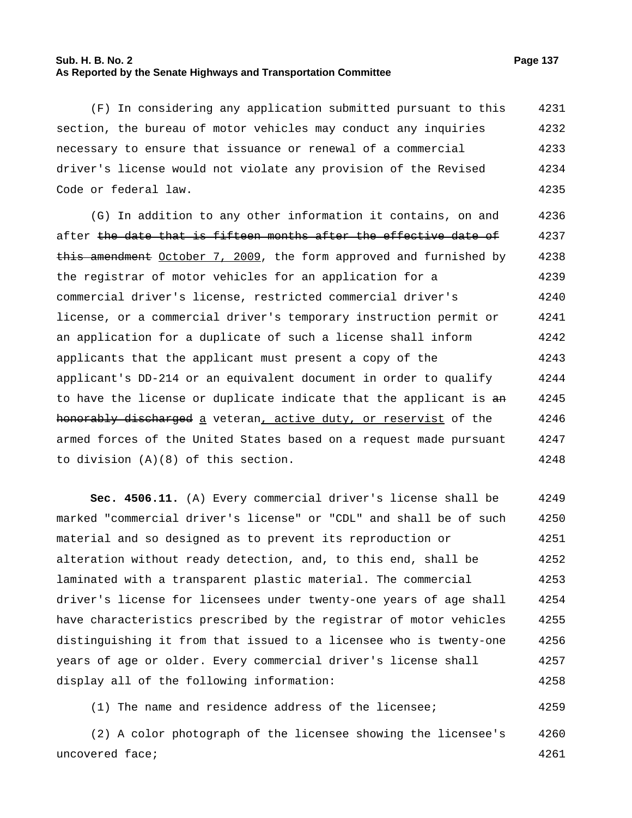#### **Sub. H. B. No. 2 Page 137 As Reported by the Senate Highways and Transportation Committee**

(F) In considering any application submitted pursuant to this section, the bureau of motor vehicles may conduct any inquiries necessary to ensure that issuance or renewal of a commercial driver's license would not violate any provision of the Revised Code or federal law. 4231 4232 4233 4234 4235

(G) In addition to any other information it contains, on and after the date that is fifteen months after the effective date of this amendment October 7, 2009, the form approved and furnished by the registrar of motor vehicles for an application for a commercial driver's license, restricted commercial driver's license, or a commercial driver's temporary instruction permit or an application for a duplicate of such a license shall inform applicants that the applicant must present a copy of the applicant's DD-214 or an equivalent document in order to qualify to have the license or duplicate indicate that the applicant is an honorably discharged a veteran, active duty, or reservist of the armed forces of the United States based on a request made pursuant to division (A)(8) of this section. 4236 4237 4238 4239 4240 4241 4242 4243 4244 4245 4246 4247 4248

**Sec. 4506.11.** (A) Every commercial driver's license shall be marked "commercial driver's license" or "CDL" and shall be of such material and so designed as to prevent its reproduction or alteration without ready detection, and, to this end, shall be laminated with a transparent plastic material. The commercial driver's license for licensees under twenty-one years of age shall have characteristics prescribed by the registrar of motor vehicles distinguishing it from that issued to a licensee who is twenty-one years of age or older. Every commercial driver's license shall display all of the following information: 4249 4250 4251 4252 4253 4254 4255 4256 4257 4258

(1) The name and residence address of the licensee; 4259

(2) A color photograph of the licensee showing the licensee's uncovered face; 4260 4261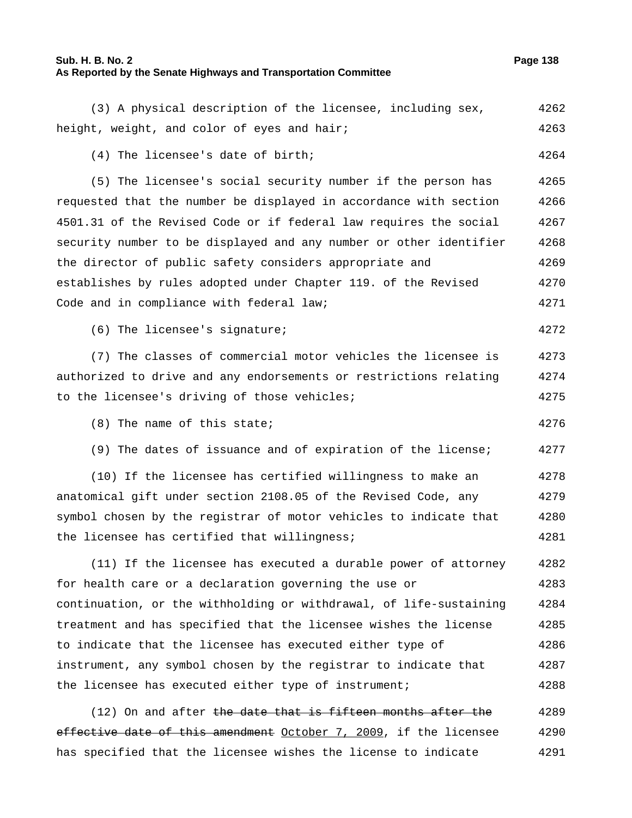# **Sub. H. B. No. 2 Page 138 As Reported by the Senate Highways and Transportation Committee**

| (3) A physical description of the licensee, including sex,         | 4262 |
|--------------------------------------------------------------------|------|
| height, weight, and color of eyes and hair;                        | 4263 |
| (4) The licensee's date of birth;                                  | 4264 |
| (5) The licensee's social security number if the person has        | 4265 |
| requested that the number be displayed in accordance with section  | 4266 |
| 4501.31 of the Revised Code or if federal law requires the social  | 4267 |
| security number to be displayed and any number or other identifier | 4268 |
| the director of public safety considers appropriate and            | 4269 |
| establishes by rules adopted under Chapter 119. of the Revised     | 4270 |
| Code and in compliance with federal law;                           | 4271 |
| (6) The licensee's signature;                                      | 4272 |
| (7) The classes of commercial motor vehicles the licensee is       | 4273 |
| authorized to drive and any endorsements or restrictions relating  | 4274 |
| to the licensee's driving of those vehicles;                       | 4275 |
| (8) The name of this state;                                        | 4276 |
| (9) The dates of issuance and of expiration of the license;        | 4277 |
| (10) If the licensee has certified willingness to make an          | 4278 |
| anatomical gift under section 2108.05 of the Revised Code, any     | 4279 |
| symbol chosen by the registrar of motor vehicles to indicate that  | 4280 |
| the licensee has certified that willingness;                       | 4281 |
| (11) If the licensee has executed a durable power of attorney      | 4282 |
| for health care or a declaration governing the use or              | 4283 |
| continuation, or the withholding or withdrawal, of life-sustaining | 4284 |
|                                                                    |      |
| treatment and has specified that the licensee wishes the license   | 4285 |
| to indicate that the licensee has executed either type of          | 4286 |
| instrument, any symbol chosen by the registrar to indicate that    | 4287 |
| the licensee has executed either type of instrument;               | 4288 |

effective date of this amendment October 7, 2009, if the licensee has specified that the licensee wishes the license to indicate 4290 4291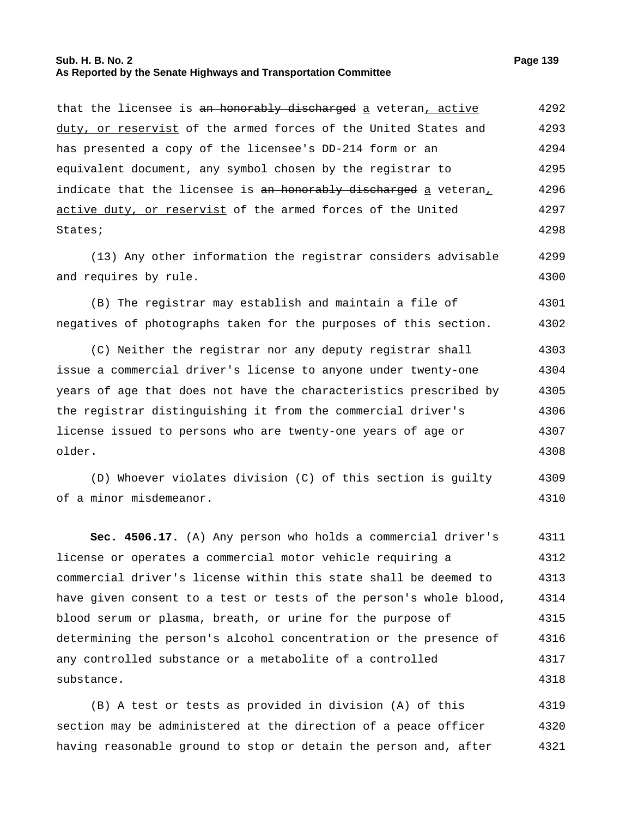#### **Sub. H. B. No. 2 Page 139 As Reported by the Senate Highways and Transportation Committee**

| that the licensee is an honorably discharged a veteran, active    | 4292 |
|-------------------------------------------------------------------|------|
| duty, or reservist of the armed forces of the United States and   | 4293 |
| has presented a copy of the licensee's DD-214 form or an          | 4294 |
| equivalent document, any symbol chosen by the registrar to        | 4295 |
| indicate that the licensee is an honorably discharged a veteran,  | 4296 |
| active duty, or reservist of the armed forces of the United       | 4297 |
| States;                                                           | 4298 |
| (13) Any other information the registrar considers advisable      | 4299 |
| and requires by rule.                                             | 4300 |
| (B) The registrar may establish and maintain a file of            | 4301 |
| negatives of photographs taken for the purposes of this section.  | 4302 |
| (C) Neither the registrar nor any deputy registrar shall          | 4303 |
| issue a commercial driver's license to anyone under twenty-one    | 4304 |
| years of age that does not have the characteristics prescribed by | 4305 |
| the registrar distinguishing it from the commercial driver's      | 4306 |
| license issued to persons who are twenty-one years of age or      | 4307 |
| older.                                                            | 4308 |
| (D) Whoever violates division (C) of this section is guilty       | 4309 |
| of a minor misdemeanor.                                           | 4310 |
| Sec. 4506.17. (A) Any person who holds a commercial driver's      | 4311 |
| license or operates a commercial motor vehicle requiring a        | 4312 |
| commercial driver's license within this state shall be deemed to  | 4313 |

commercial driver's license within this state shall be deemed to have given consent to a test or tests of the person's whole blood, blood serum or plasma, breath, or urine for the purpose of determining the person's alcohol concentration or the presence of any controlled substance or a metabolite of a controlled substance. 4313 4314 4315 4316 4317 4318

(B) A test or tests as provided in division (A) of this section may be administered at the direction of a peace officer having reasonable ground to stop or detain the person and, after 4319 4320 4321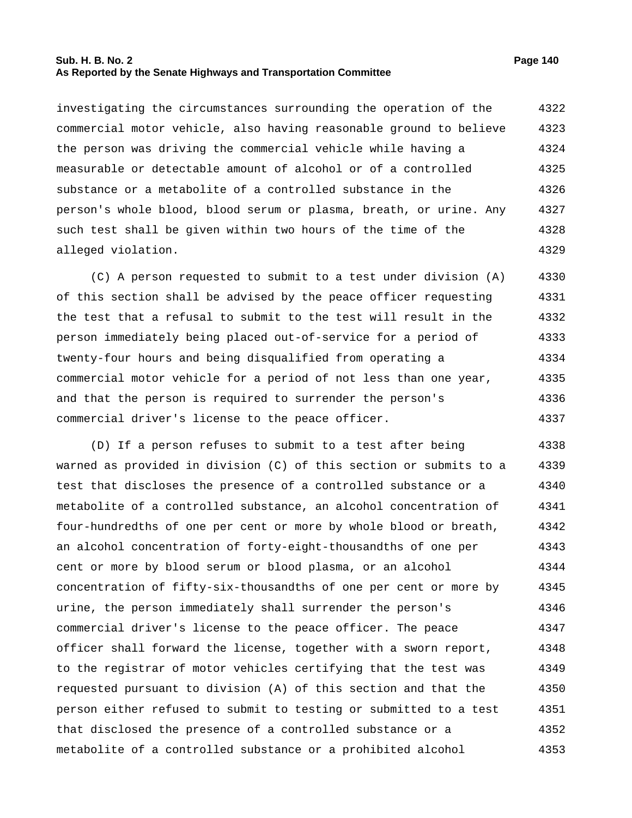## **Sub. H. B. No. 2 Page 140 As Reported by the Senate Highways and Transportation Committee**

investigating the circumstances surrounding the operation of the commercial motor vehicle, also having reasonable ground to believe the person was driving the commercial vehicle while having a measurable or detectable amount of alcohol or of a controlled substance or a metabolite of a controlled substance in the person's whole blood, blood serum or plasma, breath, or urine. Any such test shall be given within two hours of the time of the alleged violation. 4322 4323 4324 4325 4326 4327 4328 4329

(C) A person requested to submit to a test under division (A) of this section shall be advised by the peace officer requesting the test that a refusal to submit to the test will result in the person immediately being placed out-of-service for a period of twenty-four hours and being disqualified from operating a commercial motor vehicle for a period of not less than one year, and that the person is required to surrender the person's commercial driver's license to the peace officer. 4330 4331 4332 4333 4334 4335 4336 4337

(D) If a person refuses to submit to a test after being warned as provided in division (C) of this section or submits to a test that discloses the presence of a controlled substance or a metabolite of a controlled substance, an alcohol concentration of four-hundredths of one per cent or more by whole blood or breath, an alcohol concentration of forty-eight-thousandths of one per cent or more by blood serum or blood plasma, or an alcohol concentration of fifty-six-thousandths of one per cent or more by urine, the person immediately shall surrender the person's commercial driver's license to the peace officer. The peace officer shall forward the license, together with a sworn report, to the registrar of motor vehicles certifying that the test was requested pursuant to division (A) of this section and that the person either refused to submit to testing or submitted to a test that disclosed the presence of a controlled substance or a metabolite of a controlled substance or a prohibited alcohol 4338 4339 4340 4341 4342 4343 4344 4345 4346 4347 4348 4349 4350 4351 4352 4353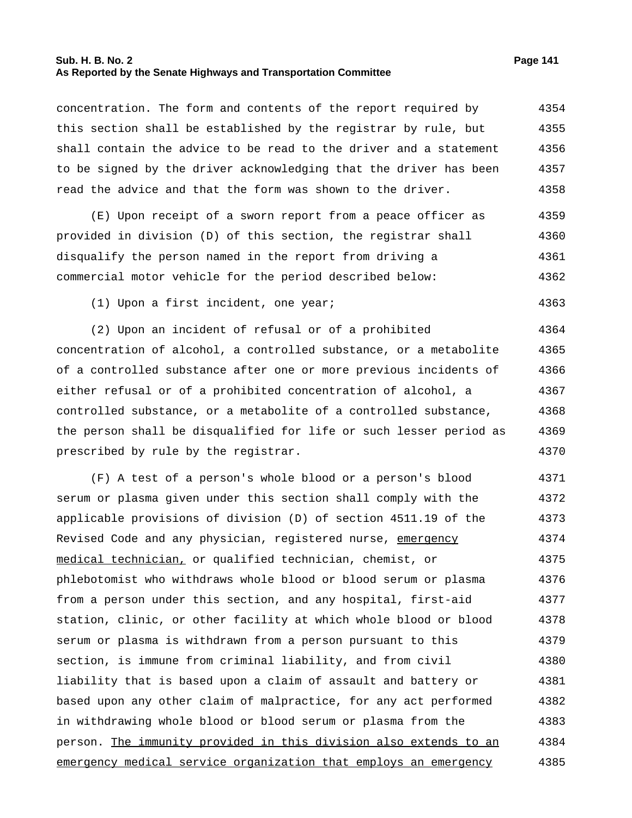### **Sub. H. B. No. 2 Page 141 As Reported by the Senate Highways and Transportation Committee**

concentration. The form and contents of the report required by this section shall be established by the registrar by rule, but shall contain the advice to be read to the driver and a statement to be signed by the driver acknowledging that the driver has been read the advice and that the form was shown to the driver. 4354 4355 4356 4357 4358

(E) Upon receipt of a sworn report from a peace officer as provided in division (D) of this section, the registrar shall disqualify the person named in the report from driving a commercial motor vehicle for the period described below: 4359 4360 4361 4362

(1) Upon a first incident, one year; 4363

(2) Upon an incident of refusal or of a prohibited concentration of alcohol, a controlled substance, or a metabolite of a controlled substance after one or more previous incidents of either refusal or of a prohibited concentration of alcohol, a controlled substance, or a metabolite of a controlled substance, the person shall be disqualified for life or such lesser period as prescribed by rule by the registrar. 4364 4365 4366 4367 4368 4369 4370

(F) A test of a person's whole blood or a person's blood serum or plasma given under this section shall comply with the applicable provisions of division (D) of section 4511.19 of the Revised Code and any physician, registered nurse, emergency medical technician, or qualified technician, chemist, or phlebotomist who withdraws whole blood or blood serum or plasma from a person under this section, and any hospital, first-aid station, clinic, or other facility at which whole blood or blood serum or plasma is withdrawn from a person pursuant to this section, is immune from criminal liability, and from civil liability that is based upon a claim of assault and battery or based upon any other claim of malpractice, for any act performed in withdrawing whole blood or blood serum or plasma from the person. The immunity provided in this division also extends to an emergency medical service organization that employs an emergency 4371 4372 4373 4374 4375 4376 4377 4378 4379 4380 4381 4382 4383 4384 4385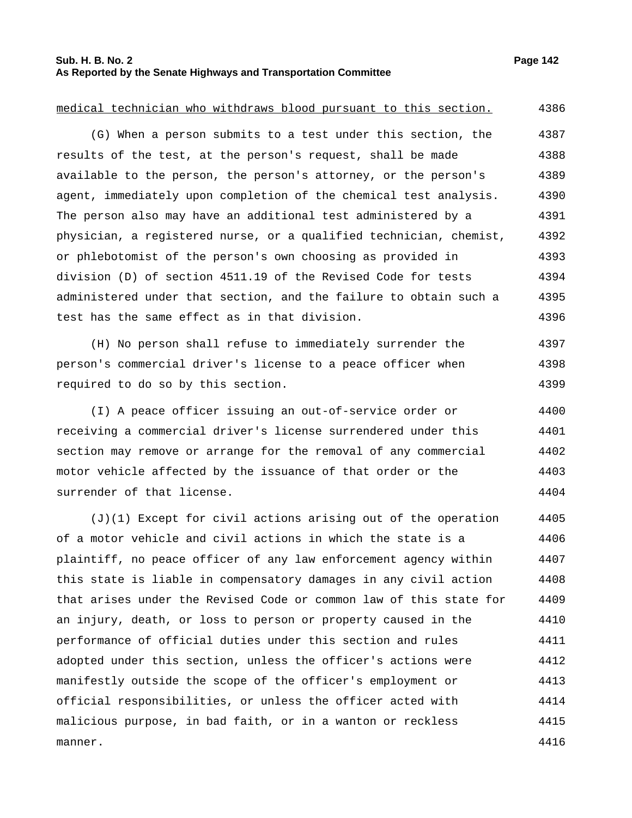# **Sub. H. B. No. 2 Page 142 As Reported by the Senate Highways and Transportation Committee**

#### medical technician who withdraws blood pursuant to this section. 4386

(G) When a person submits to a test under this section, the results of the test, at the person's request, shall be made available to the person, the person's attorney, or the person's agent, immediately upon completion of the chemical test analysis. The person also may have an additional test administered by a physician, a registered nurse, or a qualified technician, chemist, or phlebotomist of the person's own choosing as provided in division (D) of section 4511.19 of the Revised Code for tests administered under that section, and the failure to obtain such a test has the same effect as in that division. 4387 4388 4389 4390 4391 4392 4393 4394 4395 4396

(H) No person shall refuse to immediately surrender the person's commercial driver's license to a peace officer when required to do so by this section. 4397 4398 4399

(I) A peace officer issuing an out-of-service order or receiving a commercial driver's license surrendered under this section may remove or arrange for the removal of any commercial motor vehicle affected by the issuance of that order or the surrender of that license. 4400 4401 4402 4403 4404

(J)(1) Except for civil actions arising out of the operation of a motor vehicle and civil actions in which the state is a plaintiff, no peace officer of any law enforcement agency within this state is liable in compensatory damages in any civil action that arises under the Revised Code or common law of this state for an injury, death, or loss to person or property caused in the performance of official duties under this section and rules adopted under this section, unless the officer's actions were manifestly outside the scope of the officer's employment or official responsibilities, or unless the officer acted with malicious purpose, in bad faith, or in a wanton or reckless manner. 4405 4406 4407 4408 4409 4410 4411 4412 4413 4414 4415 4416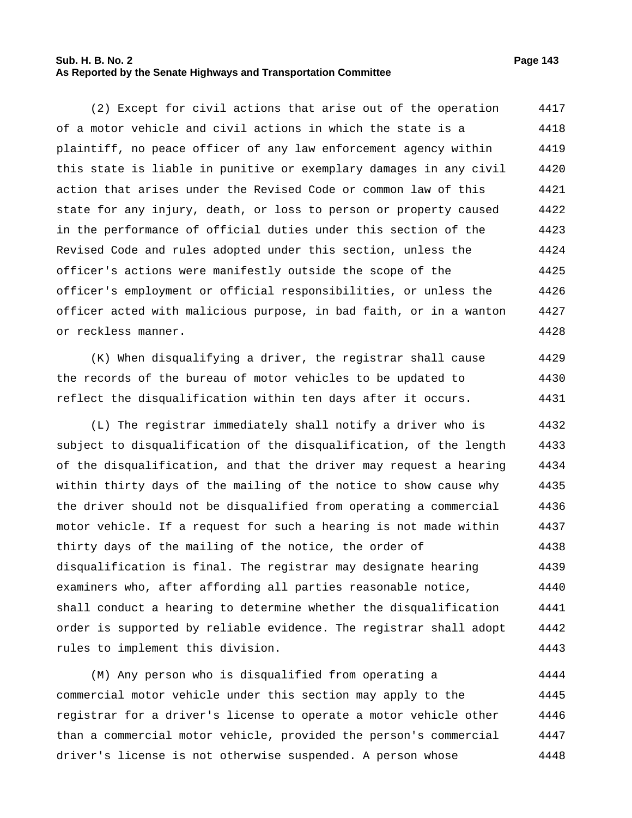#### **Sub. H. B. No. 2 Page 143 As Reported by the Senate Highways and Transportation Committee**

(2) Except for civil actions that arise out of the operation of a motor vehicle and civil actions in which the state is a plaintiff, no peace officer of any law enforcement agency within this state is liable in punitive or exemplary damages in any civil action that arises under the Revised Code or common law of this state for any injury, death, or loss to person or property caused in the performance of official duties under this section of the Revised Code and rules adopted under this section, unless the officer's actions were manifestly outside the scope of the officer's employment or official responsibilities, or unless the officer acted with malicious purpose, in bad faith, or in a wanton or reckless manner. 4417 4418 4419 4420 4421 4422 4423 4424 4425 4426 4427 4428

(K) When disqualifying a driver, the registrar shall cause the records of the bureau of motor vehicles to be updated to reflect the disqualification within ten days after it occurs. 4429 4430 4431

(L) The registrar immediately shall notify a driver who is subject to disqualification of the disqualification, of the length of the disqualification, and that the driver may request a hearing within thirty days of the mailing of the notice to show cause why the driver should not be disqualified from operating a commercial motor vehicle. If a request for such a hearing is not made within thirty days of the mailing of the notice, the order of disqualification is final. The registrar may designate hearing examiners who, after affording all parties reasonable notice, shall conduct a hearing to determine whether the disqualification order is supported by reliable evidence. The registrar shall adopt rules to implement this division. 4432 4433 4434 4435 4436 4437 4438 4439 4440 4441 4442 4443

(M) Any person who is disqualified from operating a commercial motor vehicle under this section may apply to the registrar for a driver's license to operate a motor vehicle other than a commercial motor vehicle, provided the person's commercial driver's license is not otherwise suspended. A person whose 4444 4445 4446 4447 4448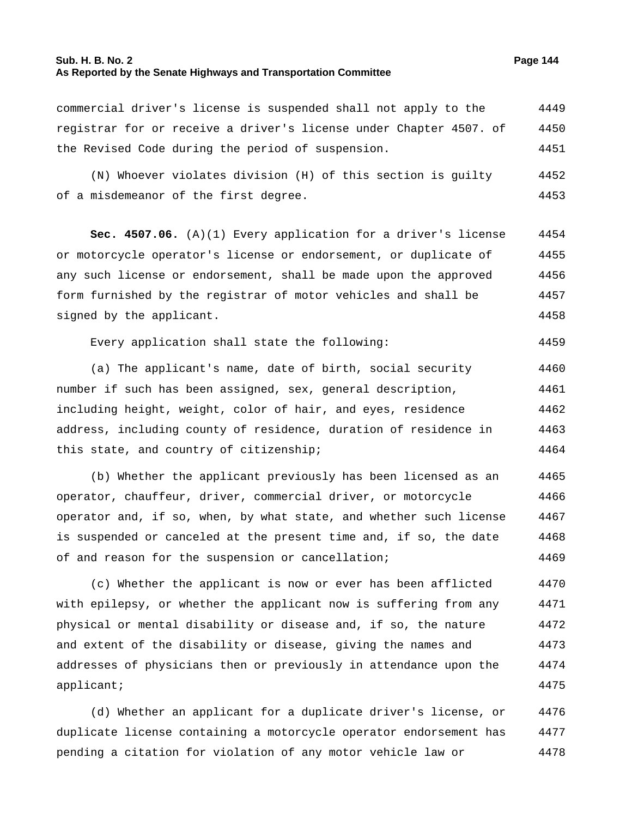#### **Sub. H. B. No. 2 Page 144 As Reported by the Senate Highways and Transportation Committee**

commercial driver's license is suspended shall not apply to the registrar for or receive a driver's license under Chapter 4507. of the Revised Code during the period of suspension. 4449 4450 4451

(N) Whoever violates division (H) of this section is guilty of a misdemeanor of the first degree. 4452 4453

**Sec. 4507.06.** (A)(1) Every application for a driver's license or motorcycle operator's license or endorsement, or duplicate of any such license or endorsement, shall be made upon the approved form furnished by the registrar of motor vehicles and shall be signed by the applicant. 4454 4455 4456 4457 4458

Every application shall state the following: 4459

(a) The applicant's name, date of birth, social security number if such has been assigned, sex, general description, including height, weight, color of hair, and eyes, residence address, including county of residence, duration of residence in this state, and country of citizenship; 4460 4461 4462 4463 4464

(b) Whether the applicant previously has been licensed as an operator, chauffeur, driver, commercial driver, or motorcycle operator and, if so, when, by what state, and whether such license is suspended or canceled at the present time and, if so, the date of and reason for the suspension or cancellation; 4465 4466 4467 4468 4469

(c) Whether the applicant is now or ever has been afflicted with epilepsy, or whether the applicant now is suffering from any physical or mental disability or disease and, if so, the nature and extent of the disability or disease, giving the names and addresses of physicians then or previously in attendance upon the applicant; 4470 4471 4472 4473 4474 4475

(d) Whether an applicant for a duplicate driver's license, or duplicate license containing a motorcycle operator endorsement has pending a citation for violation of any motor vehicle law or 4476 4477 4478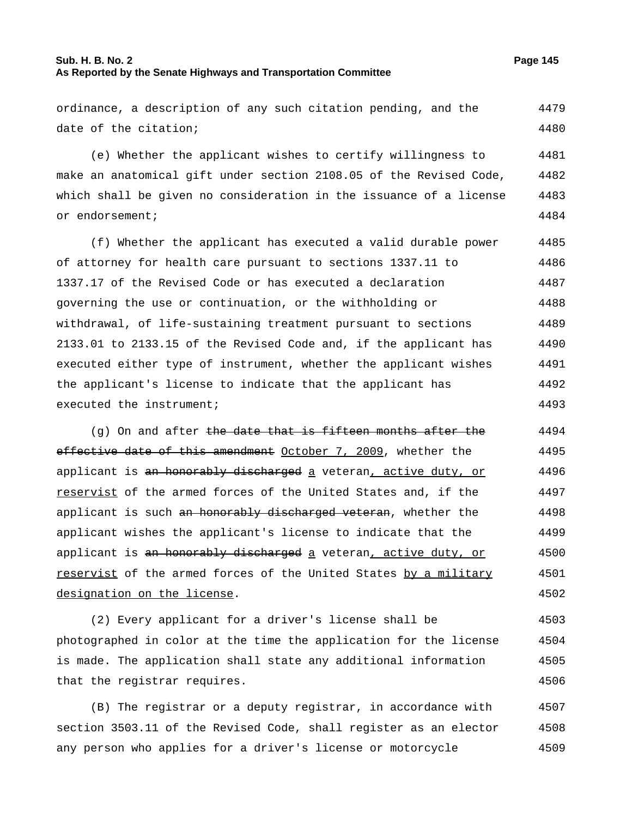# **Sub. H. B. No. 2 Page 145 As Reported by the Senate Highways and Transportation Committee**

ordinance, a description of any such citation pending, and the date of the citation; 4479 4480 (e) Whether the applicant wishes to certify willingness to make an anatomical gift under section 2108.05 of the Revised Code, which shall be given no consideration in the issuance of a license or endorsement; 4481 4482 4483 4484 (f) Whether the applicant has executed a valid durable power of attorney for health care pursuant to sections 1337.11 to 1337.17 of the Revised Code or has executed a declaration governing the use or continuation, or the withholding or withdrawal, of life-sustaining treatment pursuant to sections 2133.01 to 2133.15 of the Revised Code and, if the applicant has executed either type of instrument, whether the applicant wishes the applicant's license to indicate that the applicant has executed the instrument; 4485 4486 4487 4488 4489 4490 4491 4492 4493  $(g)$  On and after the date that is fifteen months after the 4494

effective date of this amendment October 7, 2009, whether the applicant is an honorably discharged a veteran, active duty, or reservist of the armed forces of the United States and, if the applicant is such an honorably discharged veteran, whether the applicant wishes the applicant's license to indicate that the applicant is an honorably discharged a veteran, active duty, or reservist of the armed forces of the United States by a military designation on the license. 4495 4496 4497 4498 4499 4500 4501 4502

(2) Every applicant for a driver's license shall be photographed in color at the time the application for the license is made. The application shall state any additional information that the registrar requires. 4503 4504 4505 4506

(B) The registrar or a deputy registrar, in accordance with section 3503.11 of the Revised Code, shall register as an elector any person who applies for a driver's license or motorcycle 4507 4508 4509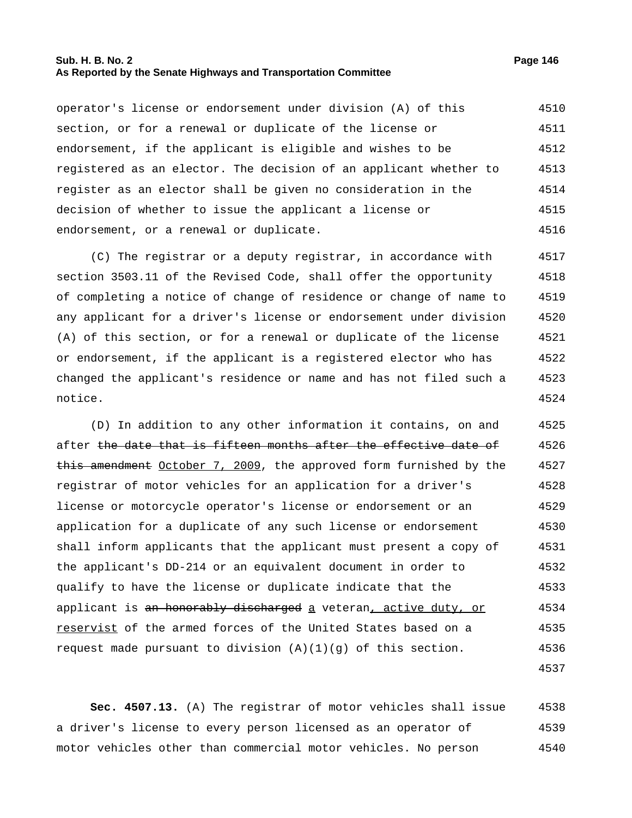#### **Sub. H. B. No. 2 Page 146 As Reported by the Senate Highways and Transportation Committee**

operator's license or endorsement under division (A) of this section, or for a renewal or duplicate of the license or endorsement, if the applicant is eligible and wishes to be registered as an elector. The decision of an applicant whether to register as an elector shall be given no consideration in the decision of whether to issue the applicant a license or endorsement, or a renewal or duplicate. 4510 4511 4512 4513 4514 4515 4516

(C) The registrar or a deputy registrar, in accordance with section 3503.11 of the Revised Code, shall offer the opportunity of completing a notice of change of residence or change of name to any applicant for a driver's license or endorsement under division (A) of this section, or for a renewal or duplicate of the license or endorsement, if the applicant is a registered elector who has changed the applicant's residence or name and has not filed such a notice. 4517 4518 4519 4520 4521 4522 4523 4524

(D) In addition to any other information it contains, on and after the date that is fifteen months after the effective date of this amendment October 7, 2009, the approved form furnished by the registrar of motor vehicles for an application for a driver's license or motorcycle operator's license or endorsement or an application for a duplicate of any such license or endorsement shall inform applicants that the applicant must present a copy of the applicant's DD-214 or an equivalent document in order to qualify to have the license or duplicate indicate that the applicant is an honorably discharged a veteran, active duty, or reservist of the armed forces of the United States based on a request made pursuant to division  $(A)(1)(g)$  of this section. 4525 4526 4527 4528 4529 4530 4531 4532 4533 4534 4535 4536

4537

**Sec. 4507.13.** (A) The registrar of motor vehicles shall issue a driver's license to every person licensed as an operator of motor vehicles other than commercial motor vehicles. No person 4538 4539 4540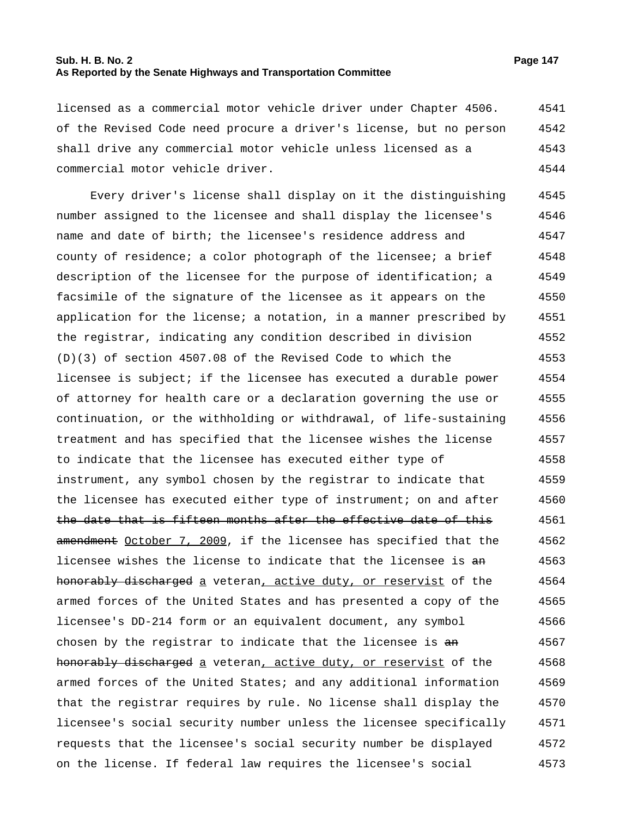# **Sub. H. B. No. 2 Page 147 As Reported by the Senate Highways and Transportation Committee**

licensed as a commercial motor vehicle driver under Chapter 4506. of the Revised Code need procure a driver's license, but no person shall drive any commercial motor vehicle unless licensed as a commercial motor vehicle driver. 4541 4542 4543 4544

Every driver's license shall display on it the distinguishing number assigned to the licensee and shall display the licensee's name and date of birth; the licensee's residence address and county of residence; a color photograph of the licensee; a brief description of the licensee for the purpose of identification; a facsimile of the signature of the licensee as it appears on the application for the license; a notation, in a manner prescribed by the registrar, indicating any condition described in division (D)(3) of section 4507.08 of the Revised Code to which the licensee is subject; if the licensee has executed a durable power of attorney for health care or a declaration governing the use or continuation, or the withholding or withdrawal, of life-sustaining treatment and has specified that the licensee wishes the license to indicate that the licensee has executed either type of instrument, any symbol chosen by the registrar to indicate that the licensee has executed either type of instrument; on and after the date that is fifteen months after the effective date of this amendment October 7, 2009, if the licensee has specified that the licensee wishes the license to indicate that the licensee is an honorably discharged a veteran, active duty, or reservist of the armed forces of the United States and has presented a copy of the licensee's DD-214 form or an equivalent document, any symbol chosen by the registrar to indicate that the licensee is an honorably discharged a veteran, active duty, or reservist of the armed forces of the United States; and any additional information that the registrar requires by rule. No license shall display the licensee's social security number unless the licensee specifically requests that the licensee's social security number be displayed on the license. If federal law requires the licensee's social 4545 4546 4547 4548 4549 4550 4551 4552 4553 4554 4555 4556 4557 4558 4559 4560 4561 4562 4563 4564 4565 4566 4567 4568 4569 4570 4571 4572 4573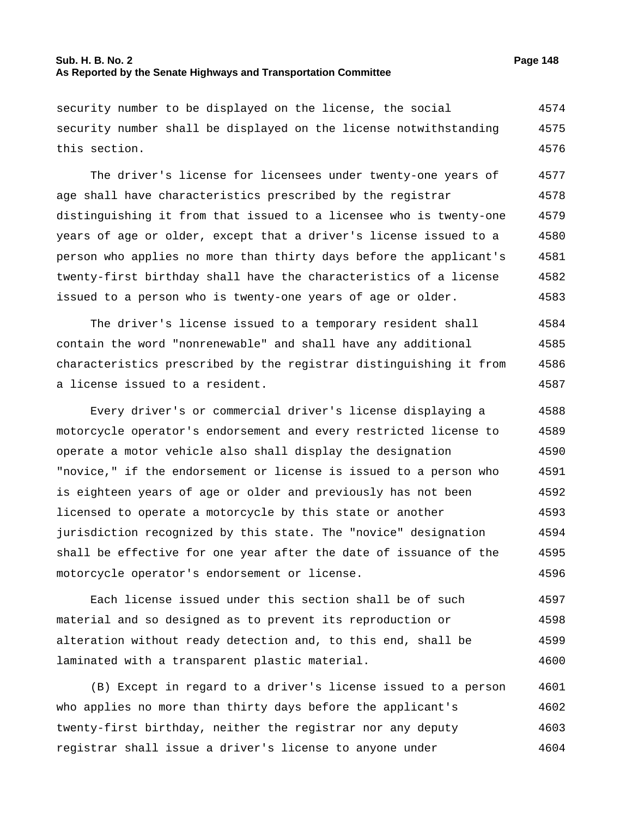# **Sub. H. B. No. 2 Page 148 As Reported by the Senate Highways and Transportation Committee**

security number to be displayed on the license, the social security number shall be displayed on the license notwithstanding this section. 4574 4575 4576

The driver's license for licensees under twenty-one years of age shall have characteristics prescribed by the registrar distinguishing it from that issued to a licensee who is twenty-one years of age or older, except that a driver's license issued to a person who applies no more than thirty days before the applicant's twenty-first birthday shall have the characteristics of a license issued to a person who is twenty-one years of age or older. 4577 4578 4579 4580 4581 4582 4583

The driver's license issued to a temporary resident shall contain the word "nonrenewable" and shall have any additional characteristics prescribed by the registrar distinguishing it from a license issued to a resident. 4584 4585 4586 4587

Every driver's or commercial driver's license displaying a motorcycle operator's endorsement and every restricted license to operate a motor vehicle also shall display the designation "novice," if the endorsement or license is issued to a person who is eighteen years of age or older and previously has not been licensed to operate a motorcycle by this state or another jurisdiction recognized by this state. The "novice" designation shall be effective for one year after the date of issuance of the motorcycle operator's endorsement or license. 4588 4589 4590 4591 4592 4593 4594 4595 4596

Each license issued under this section shall be of such material and so designed as to prevent its reproduction or alteration without ready detection and, to this end, shall be laminated with a transparent plastic material. 4597 4598 4599 4600

(B) Except in regard to a driver's license issued to a person who applies no more than thirty days before the applicant's twenty-first birthday, neither the registrar nor any deputy registrar shall issue a driver's license to anyone under 4601 4602 4603 4604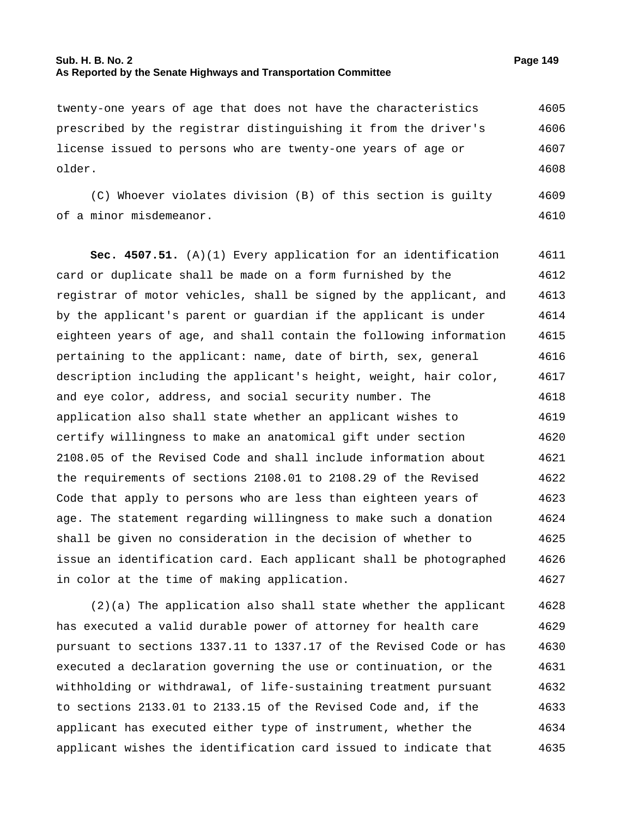# **Sub. H. B. No. 2 Page 149 As Reported by the Senate Highways and Transportation Committee**

twenty-one years of age that does not have the characteristics prescribed by the registrar distinguishing it from the driver's license issued to persons who are twenty-one years of age or older. 4605 4606 4607 4608

(C) Whoever violates division (B) of this section is guilty of a minor misdemeanor. 4609 4610

**Sec. 4507.51.** (A)(1) Every application for an identification card or duplicate shall be made on a form furnished by the registrar of motor vehicles, shall be signed by the applicant, and by the applicant's parent or guardian if the applicant is under eighteen years of age, and shall contain the following information pertaining to the applicant: name, date of birth, sex, general description including the applicant's height, weight, hair color, and eye color, address, and social security number. The application also shall state whether an applicant wishes to certify willingness to make an anatomical gift under section 2108.05 of the Revised Code and shall include information about the requirements of sections 2108.01 to 2108.29 of the Revised Code that apply to persons who are less than eighteen years of age. The statement regarding willingness to make such a donation shall be given no consideration in the decision of whether to issue an identification card. Each applicant shall be photographed in color at the time of making application. 4611 4612 4613 4614 4615 4616 4617 4618 4619 4620 4621 4622 4623 4624 4625 4626 4627

(2)(a) The application also shall state whether the applicant has executed a valid durable power of attorney for health care pursuant to sections 1337.11 to 1337.17 of the Revised Code or has executed a declaration governing the use or continuation, or the withholding or withdrawal, of life-sustaining treatment pursuant to sections 2133.01 to 2133.15 of the Revised Code and, if the applicant has executed either type of instrument, whether the applicant wishes the identification card issued to indicate that 4628 4629 4630 4631 4632 4633 4634 4635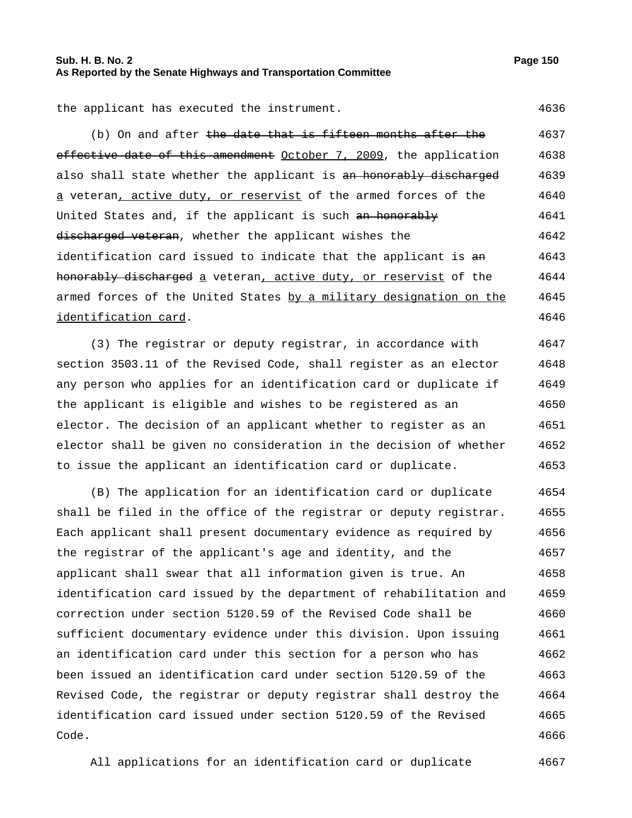# **Sub. H. B. No. 2 Page 150 As Reported by the Senate Highways and Transportation Committee**

the applicant has executed the instrument. 4636

(b) On and after the date that is fifteen months after the effective date of this amendment October 7, 2009, the application also shall state whether the applicant is an honorably discharged a veteran, active duty, or reservist of the armed forces of the United States and, if the applicant is such an honorably discharged veteran, whether the applicant wishes the identification card issued to indicate that the applicant is an honorably discharged a veteran, active duty, or reservist of the armed forces of the United States by a military designation on the identification card. 4637 4638 4639 4640 4641 4642 4643 4644 4645 4646

(3) The registrar or deputy registrar, in accordance with section 3503.11 of the Revised Code, shall register as an elector any person who applies for an identification card or duplicate if the applicant is eligible and wishes to be registered as an elector. The decision of an applicant whether to register as an elector shall be given no consideration in the decision of whether to issue the applicant an identification card or duplicate. 4647 4648 4649 4650 4651 4652 4653

(B) The application for an identification card or duplicate shall be filed in the office of the registrar or deputy registrar. Each applicant shall present documentary evidence as required by the registrar of the applicant's age and identity, and the applicant shall swear that all information given is true. An identification card issued by the department of rehabilitation and correction under section 5120.59 of the Revised Code shall be sufficient documentary evidence under this division. Upon issuing an identification card under this section for a person who has been issued an identification card under section 5120.59 of the Revised Code, the registrar or deputy registrar shall destroy the identification card issued under section 5120.59 of the Revised Code. 4654 4655 4656 4657 4658 4659 4660 4661 4662 4663 4664 4665 4666

All applications for an identification card or duplicate 4667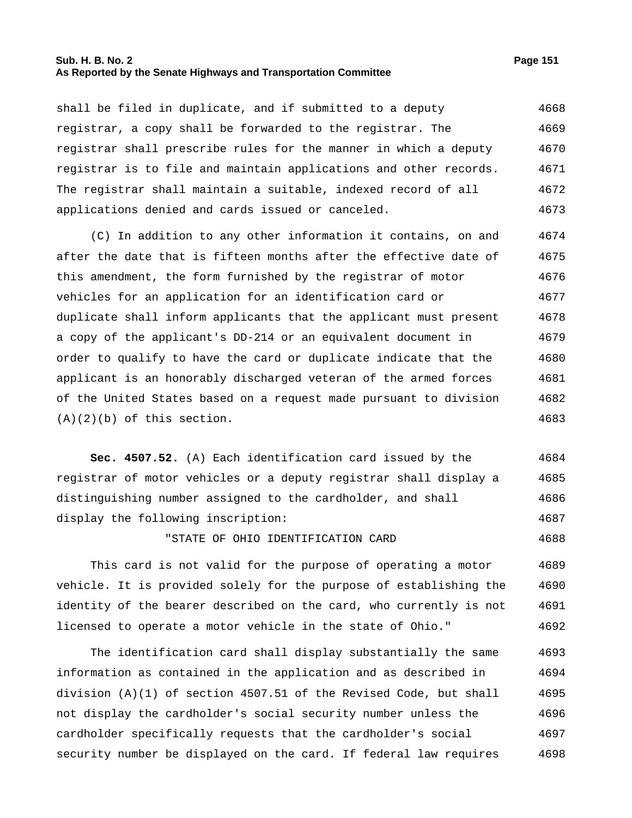# **Sub. H. B. No. 2 Page 151 As Reported by the Senate Highways and Transportation Committee**

shall be filed in duplicate, and if submitted to a deputy registrar, a copy shall be forwarded to the registrar. The registrar shall prescribe rules for the manner in which a deputy registrar is to file and maintain applications and other records. The registrar shall maintain a suitable, indexed record of all applications denied and cards issued or canceled. 4668 4669 4670 4671 4672 4673

(C) In addition to any other information it contains, on and after the date that is fifteen months after the effective date of this amendment, the form furnished by the registrar of motor vehicles for an application for an identification card or duplicate shall inform applicants that the applicant must present a copy of the applicant's DD-214 or an equivalent document in order to qualify to have the card or duplicate indicate that the applicant is an honorably discharged veteran of the armed forces of the United States based on a request made pursuant to division  $(A)(2)(b)$  of this section. 4674 4675 4676 4677 4678 4679 4680 4681 4682 4683

**Sec. 4507.52.** (A) Each identification card issued by the registrar of motor vehicles or a deputy registrar shall display a distinguishing number assigned to the cardholder, and shall display the following inscription: 4684 4685 4686 4687 "STATE OF OHIO IDENTIFICATION CARD 4688

This card is not valid for the purpose of operating a motor vehicle. It is provided solely for the purpose of establishing the identity of the bearer described on the card, who currently is not licensed to operate a motor vehicle in the state of Ohio." 4689 4690 4691 4692

The identification card shall display substantially the same information as contained in the application and as described in division (A)(1) of section 4507.51 of the Revised Code, but shall not display the cardholder's social security number unless the cardholder specifically requests that the cardholder's social security number be displayed on the card. If federal law requires 4693 4694 4695 4696 4697 4698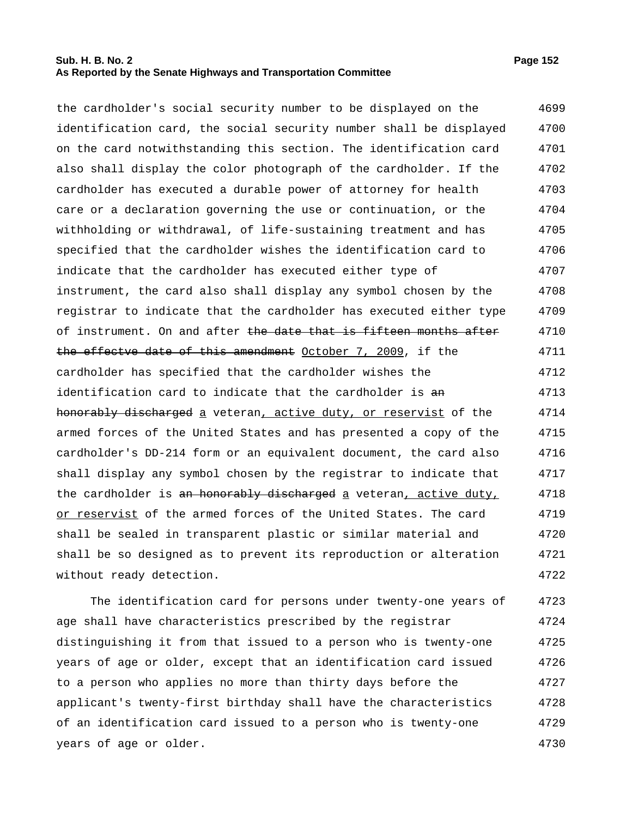# **Sub. H. B. No. 2 Page 152 As Reported by the Senate Highways and Transportation Committee**

the cardholder's social security number to be displayed on the identification card, the social security number shall be displayed on the card notwithstanding this section. The identification card also shall display the color photograph of the cardholder. If the cardholder has executed a durable power of attorney for health care or a declaration governing the use or continuation, or the withholding or withdrawal, of life-sustaining treatment and has specified that the cardholder wishes the identification card to indicate that the cardholder has executed either type of instrument, the card also shall display any symbol chosen by the registrar to indicate that the cardholder has executed either type of instrument. On and after the date that is fifteen months after the effectve date of this amendment October 7, 2009, if the cardholder has specified that the cardholder wishes the identification card to indicate that the cardholder is an honorably discharged a veteran, active duty, or reservist of the armed forces of the United States and has presented a copy of the cardholder's DD-214 form or an equivalent document, the card also shall display any symbol chosen by the registrar to indicate that the cardholder is an honorably discharged a veteran, active duty, or reservist of the armed forces of the United States. The card 4699 4700 4701 4702 4703 4704 4705 4706 4707 4708 4709 4710 4711 4712 4713 4714 4715 4716 4717 4718 4719

shall be sealed in transparent plastic or similar material and shall be so designed as to prevent its reproduction or alteration without ready detection. 4720 4721 4722

The identification card for persons under twenty-one years of age shall have characteristics prescribed by the registrar distinguishing it from that issued to a person who is twenty-one years of age or older, except that an identification card issued to a person who applies no more than thirty days before the applicant's twenty-first birthday shall have the characteristics of an identification card issued to a person who is twenty-one years of age or older. 4723 4724 4725 4726 4727 4728 4729 4730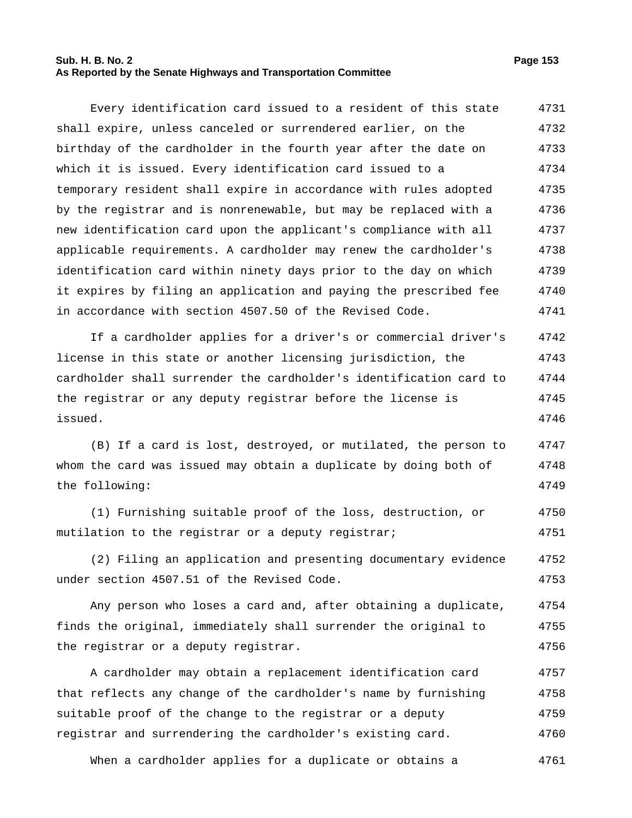### **Sub. H. B. No. 2 Page 153 As Reported by the Senate Highways and Transportation Committee**

Every identification card issued to a resident of this state shall expire, unless canceled or surrendered earlier, on the birthday of the cardholder in the fourth year after the date on which it is issued. Every identification card issued to a temporary resident shall expire in accordance with rules adopted by the registrar and is nonrenewable, but may be replaced with a new identification card upon the applicant's compliance with all applicable requirements. A cardholder may renew the cardholder's identification card within ninety days prior to the day on which it expires by filing an application and paying the prescribed fee in accordance with section 4507.50 of the Revised Code. 4731 4732 4733 4734 4735 4736 4737 4738 4739 4740 4741

If a cardholder applies for a driver's or commercial driver's license in this state or another licensing jurisdiction, the cardholder shall surrender the cardholder's identification card to the registrar or any deputy registrar before the license is issued. 4742 4743 4744 4745 4746

(B) If a card is lost, destroyed, or mutilated, the person to whom the card was issued may obtain a duplicate by doing both of the following: 4747 4748 4749

(1) Furnishing suitable proof of the loss, destruction, or mutilation to the registrar or a deputy registrar; 4750 4751

(2) Filing an application and presenting documentary evidence under section 4507.51 of the Revised Code. 4752 4753

Any person who loses a card and, after obtaining a duplicate, finds the original, immediately shall surrender the original to the registrar or a deputy registrar. 4754 4755 4756

A cardholder may obtain a replacement identification card that reflects any change of the cardholder's name by furnishing suitable proof of the change to the registrar or a deputy registrar and surrendering the cardholder's existing card. 4757 4758 4759 4760

When a cardholder applies for a duplicate or obtains a  $4761$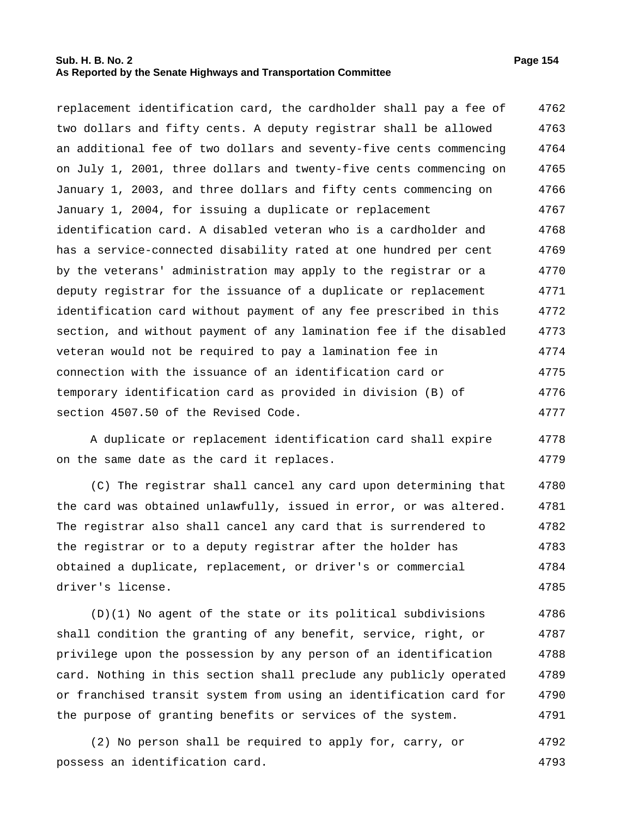# **Sub. H. B. No. 2 Page 154 As Reported by the Senate Highways and Transportation Committee**

replacement identification card, the cardholder shall pay a fee of two dollars and fifty cents. A deputy registrar shall be allowed an additional fee of two dollars and seventy-five cents commencing on July 1, 2001, three dollars and twenty-five cents commencing on January 1, 2003, and three dollars and fifty cents commencing on January 1, 2004, for issuing a duplicate or replacement identification card. A disabled veteran who is a cardholder and has a service-connected disability rated at one hundred per cent by the veterans' administration may apply to the registrar or a deputy registrar for the issuance of a duplicate or replacement identification card without payment of any fee prescribed in this section, and without payment of any lamination fee if the disabled veteran would not be required to pay a lamination fee in connection with the issuance of an identification card or 4762 4763 4764 4765 4766 4767 4768 4769 4770 4771 4772 4773 4774 4775

temporary identification card as provided in division (B) of section 4507.50 of the Revised Code. 4776 4777

A duplicate or replacement identification card shall expire on the same date as the card it replaces. 4778 4779

(C) The registrar shall cancel any card upon determining that the card was obtained unlawfully, issued in error, or was altered. The registrar also shall cancel any card that is surrendered to the registrar or to a deputy registrar after the holder has obtained a duplicate, replacement, or driver's or commercial driver's license. 4780 4781 4782 4783 4784 4785

(D)(1) No agent of the state or its political subdivisions shall condition the granting of any benefit, service, right, or privilege upon the possession by any person of an identification card. Nothing in this section shall preclude any publicly operated or franchised transit system from using an identification card for the purpose of granting benefits or services of the system. 4786 4787 4788 4789 4790 4791

(2) No person shall be required to apply for, carry, or possess an identification card. 4792 4793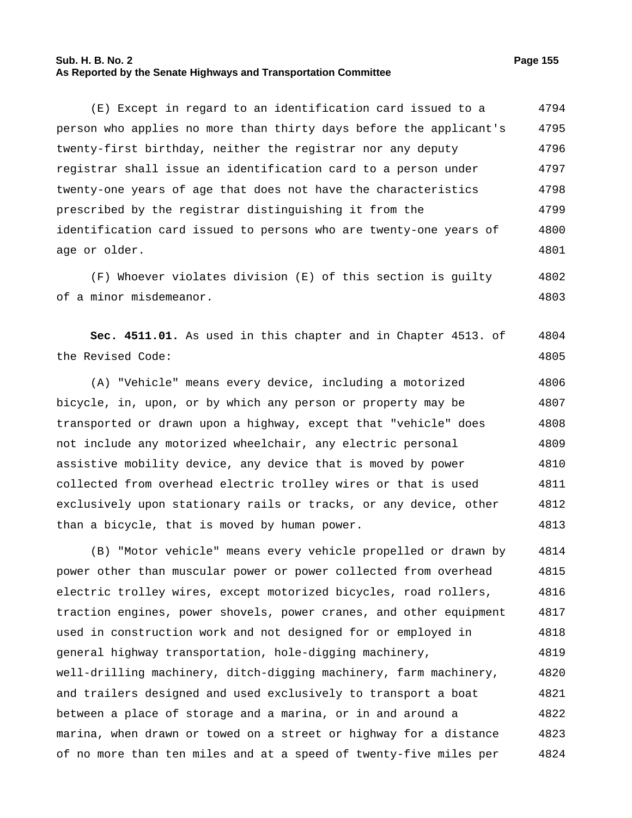#### **Sub. H. B. No. 2 Page 155 As Reported by the Senate Highways and Transportation Committee**

(E) Except in regard to an identification card issued to a person who applies no more than thirty days before the applicant's twenty-first birthday, neither the registrar nor any deputy registrar shall issue an identification card to a person under twenty-one years of age that does not have the characteristics prescribed by the registrar distinguishing it from the identification card issued to persons who are twenty-one years of age or older. 4794 4795 4796 4797 4798 4799 4800 4801

(F) Whoever violates division (E) of this section is guilty of a minor misdemeanor. 4802 4803

**Sec. 4511.01.** As used in this chapter and in Chapter 4513. of the Revised Code: 4804 4805

(A) "Vehicle" means every device, including a motorized bicycle, in, upon, or by which any person or property may be transported or drawn upon a highway, except that "vehicle" does not include any motorized wheelchair, any electric personal assistive mobility device, any device that is moved by power collected from overhead electric trolley wires or that is used exclusively upon stationary rails or tracks, or any device, other than a bicycle, that is moved by human power. 4806 4807 4808 4809 4810 4811 4812 4813

(B) "Motor vehicle" means every vehicle propelled or drawn by power other than muscular power or power collected from overhead electric trolley wires, except motorized bicycles, road rollers, traction engines, power shovels, power cranes, and other equipment used in construction work and not designed for or employed in general highway transportation, hole-digging machinery, well-drilling machinery, ditch-digging machinery, farm machinery, and trailers designed and used exclusively to transport a boat between a place of storage and a marina, or in and around a marina, when drawn or towed on a street or highway for a distance of no more than ten miles and at a speed of twenty-five miles per 4814 4815 4816 4817 4818 4819 4820 4821 4822 4823 4824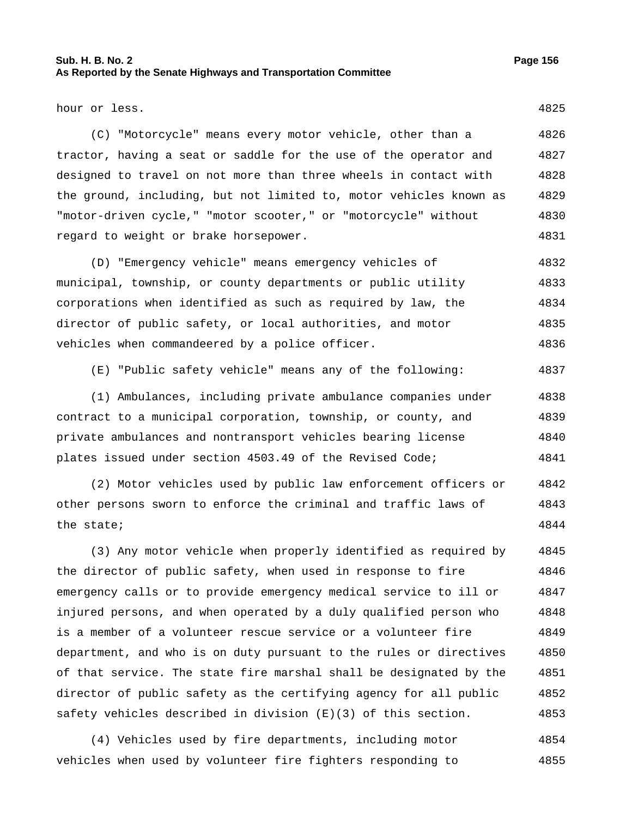# **Sub. H. B. No. 2 Page 156 As Reported by the Senate Highways and Transportation Committee**

hour or less. 4825

(C) "Motorcycle" means every motor vehicle, other than a tractor, having a seat or saddle for the use of the operator and designed to travel on not more than three wheels in contact with the ground, including, but not limited to, motor vehicles known as "motor-driven cycle," "motor scooter," or "motorcycle" without regard to weight or brake horsepower. 4826 4827 4828 4829 4830 4831

(D) "Emergency vehicle" means emergency vehicles of municipal, township, or county departments or public utility corporations when identified as such as required by law, the director of public safety, or local authorities, and motor vehicles when commandeered by a police officer. 4832 4833 4834 4835 4836

(E) "Public safety vehicle" means any of the following: 4837

(1) Ambulances, including private ambulance companies under contract to a municipal corporation, township, or county, and private ambulances and nontransport vehicles bearing license plates issued under section 4503.49 of the Revised Code; 4838 4839 4840 4841

(2) Motor vehicles used by public law enforcement officers or other persons sworn to enforce the criminal and traffic laws of the state; 4842 4843 4844

(3) Any motor vehicle when properly identified as required by the director of public safety, when used in response to fire emergency calls or to provide emergency medical service to ill or injured persons, and when operated by a duly qualified person who is a member of a volunteer rescue service or a volunteer fire department, and who is on duty pursuant to the rules or directives of that service. The state fire marshal shall be designated by the director of public safety as the certifying agency for all public safety vehicles described in division (E)(3) of this section. 4845 4846 4847 4848 4849 4850 4851 4852 4853

(4) Vehicles used by fire departments, including motor vehicles when used by volunteer fire fighters responding to 4854 4855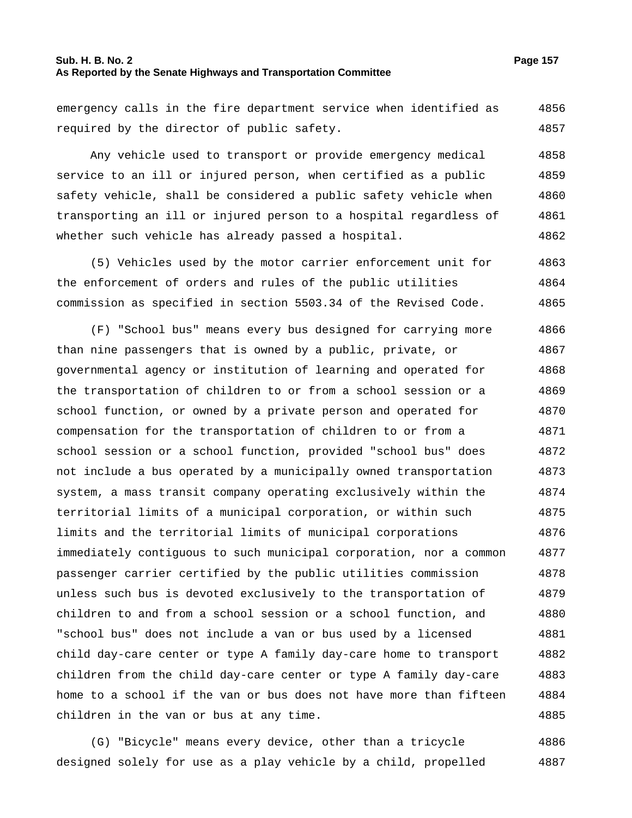# **Sub. H. B. No. 2 Page 157 As Reported by the Senate Highways and Transportation Committee**

emergency calls in the fire department service when identified as required by the director of public safety. 4856 4857

Any vehicle used to transport or provide emergency medical service to an ill or injured person, when certified as a public safety vehicle, shall be considered a public safety vehicle when transporting an ill or injured person to a hospital regardless of whether such vehicle has already passed a hospital. 4858 4859 4860 4861 4862

(5) Vehicles used by the motor carrier enforcement unit for the enforcement of orders and rules of the public utilities commission as specified in section 5503.34 of the Revised Code. 4863 4864 4865

(F) "School bus" means every bus designed for carrying more than nine passengers that is owned by a public, private, or governmental agency or institution of learning and operated for the transportation of children to or from a school session or a school function, or owned by a private person and operated for compensation for the transportation of children to or from a school session or a school function, provided "school bus" does not include a bus operated by a municipally owned transportation system, a mass transit company operating exclusively within the territorial limits of a municipal corporation, or within such limits and the territorial limits of municipal corporations immediately contiguous to such municipal corporation, nor a common passenger carrier certified by the public utilities commission unless such bus is devoted exclusively to the transportation of children to and from a school session or a school function, and "school bus" does not include a van or bus used by a licensed child day-care center or type A family day-care home to transport children from the child day-care center or type A family day-care home to a school if the van or bus does not have more than fifteen children in the van or bus at any time. 4866 4867 4868 4869 4870 4871 4872 4873 4874 4875 4876 4877 4878 4879 4880 4881 4882 4883 4884 4885

(G) "Bicycle" means every device, other than a tricycle designed solely for use as a play vehicle by a child, propelled 4886 4887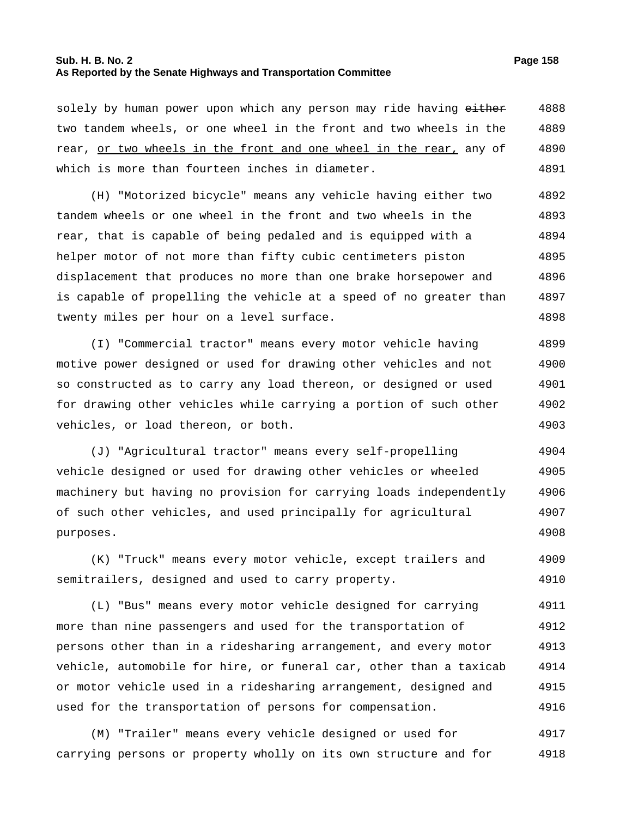# **Sub. H. B. No. 2 Page 158 As Reported by the Senate Highways and Transportation Committee**

solely by human power upon which any person may ride having either two tandem wheels, or one wheel in the front and two wheels in the rear, or two wheels in the front and one wheel in the rear, any of which is more than fourteen inches in diameter. 4888 4889 4890 4891

(H) "Motorized bicycle" means any vehicle having either two tandem wheels or one wheel in the front and two wheels in the rear, that is capable of being pedaled and is equipped with a helper motor of not more than fifty cubic centimeters piston displacement that produces no more than one brake horsepower and is capable of propelling the vehicle at a speed of no greater than twenty miles per hour on a level surface. 4892 4893 4894 4895 4896 4897 4898

(I) "Commercial tractor" means every motor vehicle having motive power designed or used for drawing other vehicles and not so constructed as to carry any load thereon, or designed or used for drawing other vehicles while carrying a portion of such other vehicles, or load thereon, or both. 4899 4900 4901 4902 4903

(J) "Agricultural tractor" means every self-propelling vehicle designed or used for drawing other vehicles or wheeled machinery but having no provision for carrying loads independently of such other vehicles, and used principally for agricultural purposes. 4904 4905 4906 4907 4908

(K) "Truck" means every motor vehicle, except trailers and semitrailers, designed and used to carry property. 4909 4910

(L) "Bus" means every motor vehicle designed for carrying more than nine passengers and used for the transportation of persons other than in a ridesharing arrangement, and every motor vehicle, automobile for hire, or funeral car, other than a taxicab or motor vehicle used in a ridesharing arrangement, designed and used for the transportation of persons for compensation. 4911 4912 4913 4914 4915 4916

(M) "Trailer" means every vehicle designed or used for carrying persons or property wholly on its own structure and for 4917 4918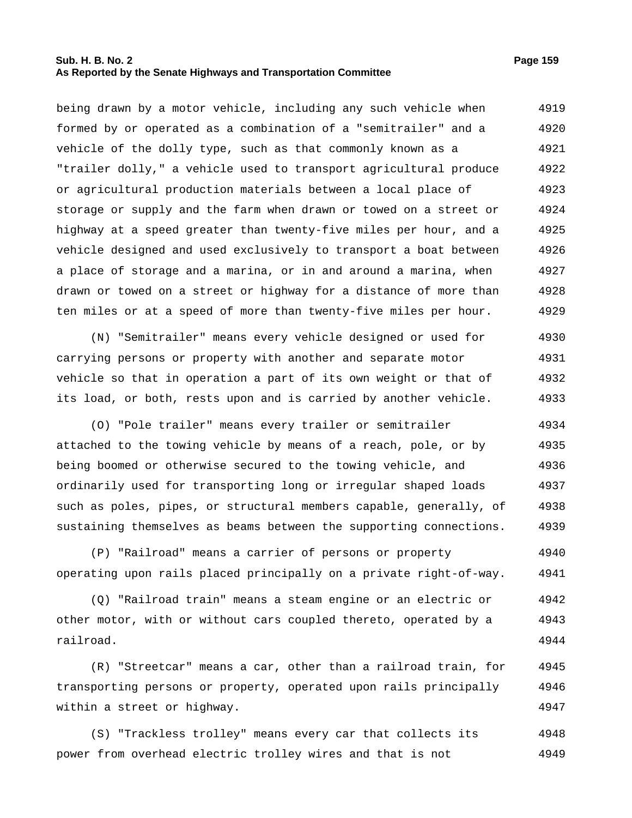# **Sub. H. B. No. 2 Page 159 As Reported by the Senate Highways and Transportation Committee**

being drawn by a motor vehicle, including any such vehicle when formed by or operated as a combination of a "semitrailer" and a vehicle of the dolly type, such as that commonly known as a "trailer dolly," a vehicle used to transport agricultural produce or agricultural production materials between a local place of storage or supply and the farm when drawn or towed on a street or highway at a speed greater than twenty-five miles per hour, and a vehicle designed and used exclusively to transport a boat between a place of storage and a marina, or in and around a marina, when drawn or towed on a street or highway for a distance of more than ten miles or at a speed of more than twenty-five miles per hour. 4919 4920 4921 4922 4923 4924 4925 4926 4927 4928 4929

(N) "Semitrailer" means every vehicle designed or used for carrying persons or property with another and separate motor vehicle so that in operation a part of its own weight or that of its load, or both, rests upon and is carried by another vehicle. 4930 4931 4932 4933

(O) "Pole trailer" means every trailer or semitrailer attached to the towing vehicle by means of a reach, pole, or by being boomed or otherwise secured to the towing vehicle, and ordinarily used for transporting long or irregular shaped loads such as poles, pipes, or structural members capable, generally, of sustaining themselves as beams between the supporting connections. 4934 4935 4936 4937 4938 4939

(P) "Railroad" means a carrier of persons or property operating upon rails placed principally on a private right-of-way. 4940 4941

(Q) "Railroad train" means a steam engine or an electric or other motor, with or without cars coupled thereto, operated by a railroad. 4942 4943 4944

(R) "Streetcar" means a car, other than a railroad train, for transporting persons or property, operated upon rails principally within a street or highway. 4945 4946 4947

(S) "Trackless trolley" means every car that collects its power from overhead electric trolley wires and that is not 4948 4949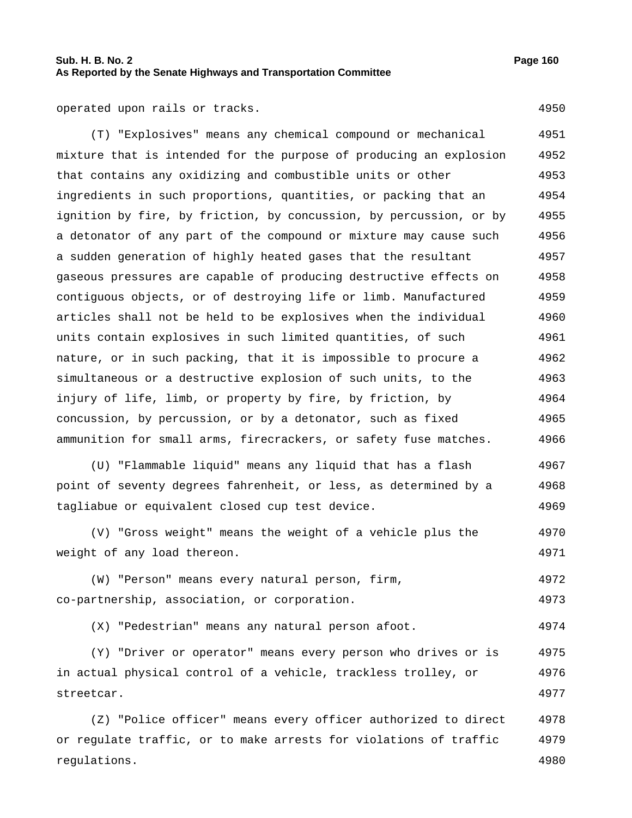operated upon rails or tracks. 4950

(T) "Explosives" means any chemical compound or mechanical mixture that is intended for the purpose of producing an explosion that contains any oxidizing and combustible units or other ingredients in such proportions, quantities, or packing that an ignition by fire, by friction, by concussion, by percussion, or by a detonator of any part of the compound or mixture may cause such a sudden generation of highly heated gases that the resultant gaseous pressures are capable of producing destructive effects on contiguous objects, or of destroying life or limb. Manufactured articles shall not be held to be explosives when the individual units contain explosives in such limited quantities, of such nature, or in such packing, that it is impossible to procure a simultaneous or a destructive explosion of such units, to the injury of life, limb, or property by fire, by friction, by concussion, by percussion, or by a detonator, such as fixed ammunition for small arms, firecrackers, or safety fuse matches. 4951 4952 4953 4954 4955 4956 4957 4958 4959 4960 4961 4962 4963 4964 4965 4966

(U) "Flammable liquid" means any liquid that has a flash point of seventy degrees fahrenheit, or less, as determined by a tagliabue or equivalent closed cup test device. 4967 4968 4969

(V) "Gross weight" means the weight of a vehicle plus the weight of any load thereon. 4970 4971

(W) "Person" means every natural person, firm, co-partnership, association, or corporation. 4972 4973

(X) "Pedestrian" means any natural person afoot. 4974

(Y) "Driver or operator" means every person who drives or is in actual physical control of a vehicle, trackless trolley, or streetcar. 4975 4976 4977

(Z) "Police officer" means every officer authorized to direct or regulate traffic, or to make arrests for violations of traffic regulations. 4978 4979 4980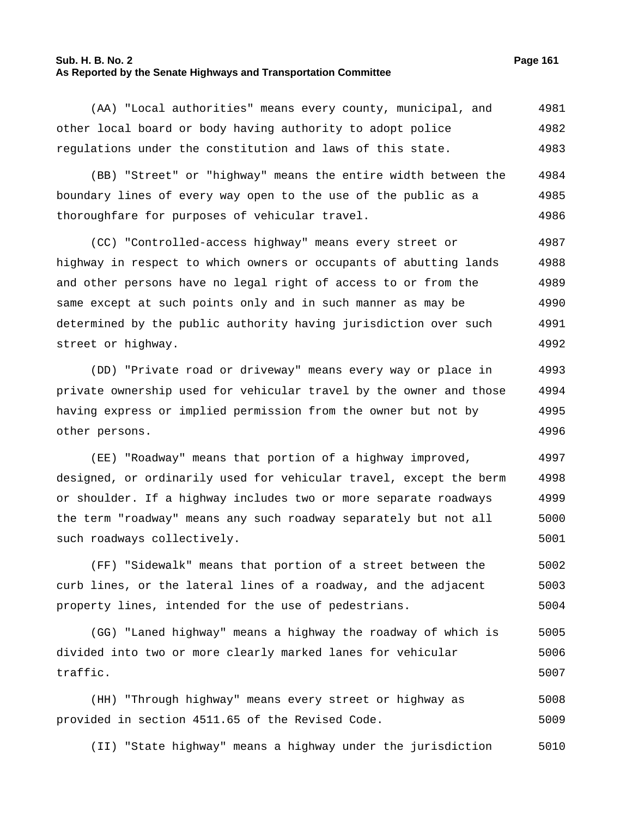#### **Sub. H. B. No. 2 Page 161 As Reported by the Senate Highways and Transportation Committee**

(AA) "Local authorities" means every county, municipal, and other local board or body having authority to adopt police regulations under the constitution and laws of this state. 4981 4982 4983

(BB) "Street" or "highway" means the entire width between the boundary lines of every way open to the use of the public as a thoroughfare for purposes of vehicular travel. 4984 4985 4986

(CC) "Controlled-access highway" means every street or highway in respect to which owners or occupants of abutting lands and other persons have no legal right of access to or from the same except at such points only and in such manner as may be determined by the public authority having jurisdiction over such street or highway. 4987 4988 4989 4990 4991 4992

(DD) "Private road or driveway" means every way or place in private ownership used for vehicular travel by the owner and those having express or implied permission from the owner but not by other persons. 4993 4994 4995 4996

(EE) "Roadway" means that portion of a highway improved, designed, or ordinarily used for vehicular travel, except the berm or shoulder. If a highway includes two or more separate roadways the term "roadway" means any such roadway separately but not all such roadways collectively. 4997 4998 4999 5000 5001

(FF) "Sidewalk" means that portion of a street between the curb lines, or the lateral lines of a roadway, and the adjacent property lines, intended for the use of pedestrians. 5002 5003 5004

(GG) "Laned highway" means a highway the roadway of which is divided into two or more clearly marked lanes for vehicular traffic. 5005 5006 5007

(HH) "Through highway" means every street or highway as provided in section 4511.65 of the Revised Code. 5008 5009

(II) "State highway" means a highway under the jurisdiction 5010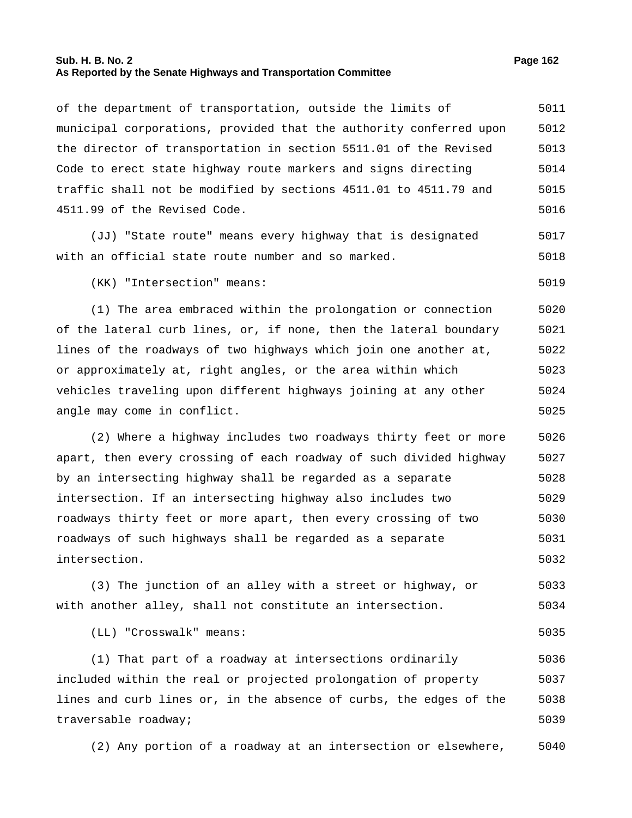### **Sub. H. B. No. 2 Page 162 As Reported by the Senate Highways and Transportation Committee**

of the department of transportation, outside the limits of municipal corporations, provided that the authority conferred upon the director of transportation in section 5511.01 of the Revised Code to erect state highway route markers and signs directing traffic shall not be modified by sections 4511.01 to 4511.79 and 4511.99 of the Revised Code. 5011 5012 5013 5014 5015 5016 (JJ) "State route" means every highway that is designated with an official state route number and so marked. 5017 5018 (KK) "Intersection" means: 5019 (1) The area embraced within the prolongation or connection of the lateral curb lines, or, if none, then the lateral boundary lines of the roadways of two highways which join one another at, or approximately at, right angles, or the area within which vehicles traveling upon different highways joining at any other angle may come in conflict. 5020 5021 5022 5023 5024 5025 (2) Where a highway includes two roadways thirty feet or more apart, then every crossing of each roadway of such divided highway by an intersecting highway shall be regarded as a separate intersection. If an intersecting highway also includes two roadways thirty feet or more apart, then every crossing of two roadways of such highways shall be regarded as a separate intersection. 5026 5027 5028 5029 5030 5031 5032 (3) The junction of an alley with a street or highway, or 5033

with another alley, shall not constitute an intersection. 5034

(LL) "Crosswalk" means: 5035

(1) That part of a roadway at intersections ordinarily included within the real or projected prolongation of property lines and curb lines or, in the absence of curbs, the edges of the traversable roadway; 5036 5037 5038 5039

(2) Any portion of a roadway at an intersection or elsewhere, 5040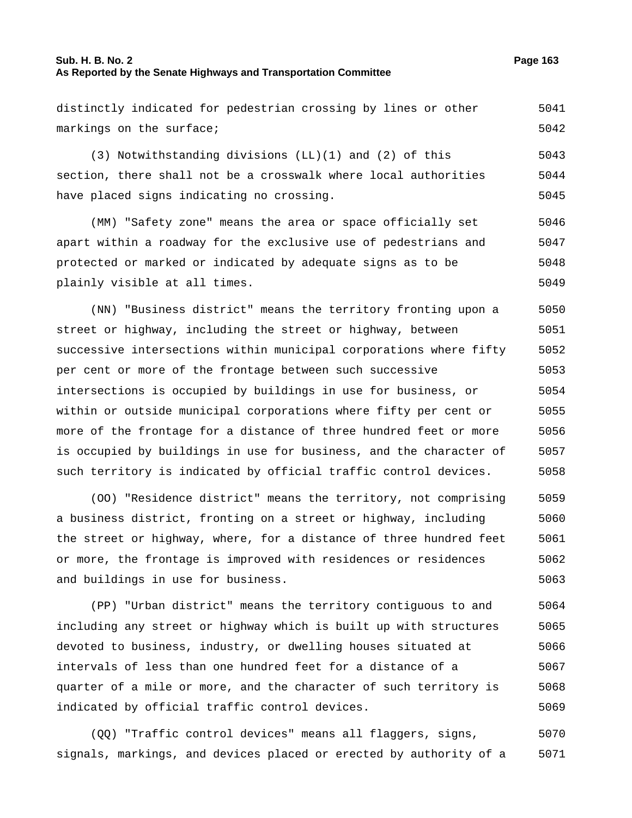### **Sub. H. B. No. 2 Page 163 As Reported by the Senate Highways and Transportation Committee**

distinctly indicated for pedestrian crossing by lines or other markings on the surface; 5041 5042

(3) Notwithstanding divisions (LL)(1) and (2) of this section, there shall not be a crosswalk where local authorities have placed signs indicating no crossing. 5043 5044 5045

(MM) "Safety zone" means the area or space officially set apart within a roadway for the exclusive use of pedestrians and protected or marked or indicated by adequate signs as to be plainly visible at all times. 5046 5047 5048 5049

(NN) "Business district" means the territory fronting upon a street or highway, including the street or highway, between successive intersections within municipal corporations where fifty per cent or more of the frontage between such successive intersections is occupied by buildings in use for business, or within or outside municipal corporations where fifty per cent or more of the frontage for a distance of three hundred feet or more is occupied by buildings in use for business, and the character of such territory is indicated by official traffic control devices. 5050 5051 5052 5053 5054 5055 5056 5057 5058

(OO) "Residence district" means the territory, not comprising a business district, fronting on a street or highway, including the street or highway, where, for a distance of three hundred feet or more, the frontage is improved with residences or residences and buildings in use for business. 5059 5060 5061 5062 5063

(PP) "Urban district" means the territory contiguous to and including any street or highway which is built up with structures devoted to business, industry, or dwelling houses situated at intervals of less than one hundred feet for a distance of a quarter of a mile or more, and the character of such territory is indicated by official traffic control devices. 5064 5065 5066 5067 5068 5069

(QQ) "Traffic control devices" means all flaggers, signs, signals, markings, and devices placed or erected by authority of a 5070 5071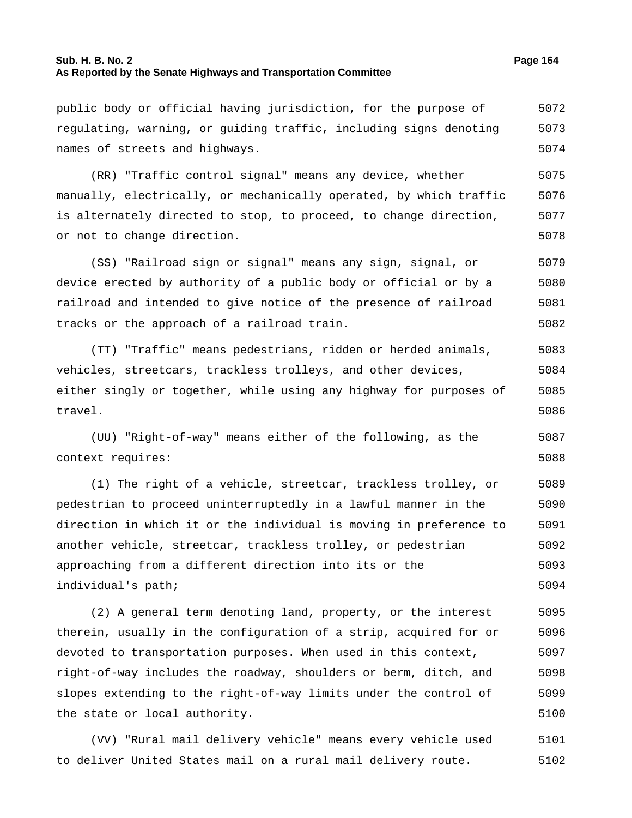### **Sub. H. B. No. 2 Page 164 As Reported by the Senate Highways and Transportation Committee**

public body or official having jurisdiction, for the purpose of regulating, warning, or guiding traffic, including signs denoting names of streets and highways. 5072 5073 5074

(RR) "Traffic control signal" means any device, whether manually, electrically, or mechanically operated, by which traffic is alternately directed to stop, to proceed, to change direction, or not to change direction. 5075 5076 5077 5078

(SS) "Railroad sign or signal" means any sign, signal, or device erected by authority of a public body or official or by a railroad and intended to give notice of the presence of railroad tracks or the approach of a railroad train. 5079 5080 5081 5082

(TT) "Traffic" means pedestrians, ridden or herded animals, vehicles, streetcars, trackless trolleys, and other devices, either singly or together, while using any highway for purposes of travel. 5083 5084 5085 5086

(UU) "Right-of-way" means either of the following, as the context requires: 5087 5088

(1) The right of a vehicle, streetcar, trackless trolley, or pedestrian to proceed uninterruptedly in a lawful manner in the direction in which it or the individual is moving in preference to another vehicle, streetcar, trackless trolley, or pedestrian approaching from a different direction into its or the individual's path; 5089 5090 5091 5092 5093 5094

(2) A general term denoting land, property, or the interest therein, usually in the configuration of a strip, acquired for or devoted to transportation purposes. When used in this context, right-of-way includes the roadway, shoulders or berm, ditch, and slopes extending to the right-of-way limits under the control of the state or local authority. 5095 5096 5097 5098 5099 5100

(VV) "Rural mail delivery vehicle" means every vehicle used to deliver United States mail on a rural mail delivery route. 5101 5102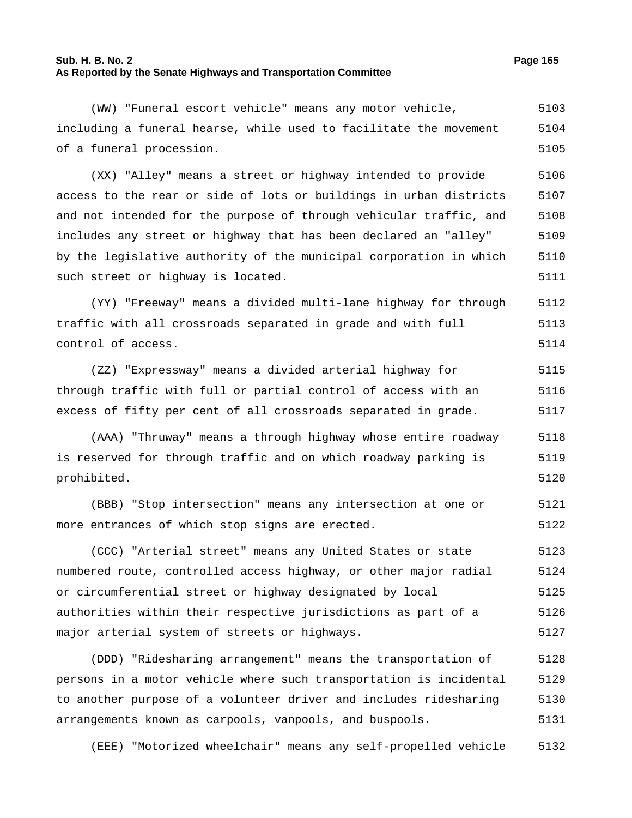# **Sub. H. B. No. 2 Page 165 As Reported by the Senate Highways and Transportation Committee**

prohibited.

5120

(WW) "Funeral escort vehicle" means any motor vehicle, including a funeral hearse, while used to facilitate the movement of a funeral procession. 5103 5104 5105 (XX) "Alley" means a street or highway intended to provide access to the rear or side of lots or buildings in urban districts and not intended for the purpose of through vehicular traffic, and includes any street or highway that has been declared an "alley" by the legislative authority of the municipal corporation in which such street or highway is located. 5106 5107 5108 5109 5110 5111 (YY) "Freeway" means a divided multi-lane highway for through traffic with all crossroads separated in grade and with full control of access. 5112 5113 5114 (ZZ) "Expressway" means a divided arterial highway for through traffic with full or partial control of access with an excess of fifty per cent of all crossroads separated in grade. 5115 5116 5117 (AAA) "Thruway" means a through highway whose entire roadway is reserved for through traffic and on which roadway parking is 5118 5119

(BBB) "Stop intersection" means any intersection at one or more entrances of which stop signs are erected. 5121 5122

(CCC) "Arterial street" means any United States or state numbered route, controlled access highway, or other major radial or circumferential street or highway designated by local authorities within their respective jurisdictions as part of a major arterial system of streets or highways. 5123 5124 5125 5126 5127

(DDD) "Ridesharing arrangement" means the transportation of persons in a motor vehicle where such transportation is incidental to another purpose of a volunteer driver and includes ridesharing arrangements known as carpools, vanpools, and buspools. 5128 5129 5130 5131

(EEE) "Motorized wheelchair" means any self-propelled vehicle 5132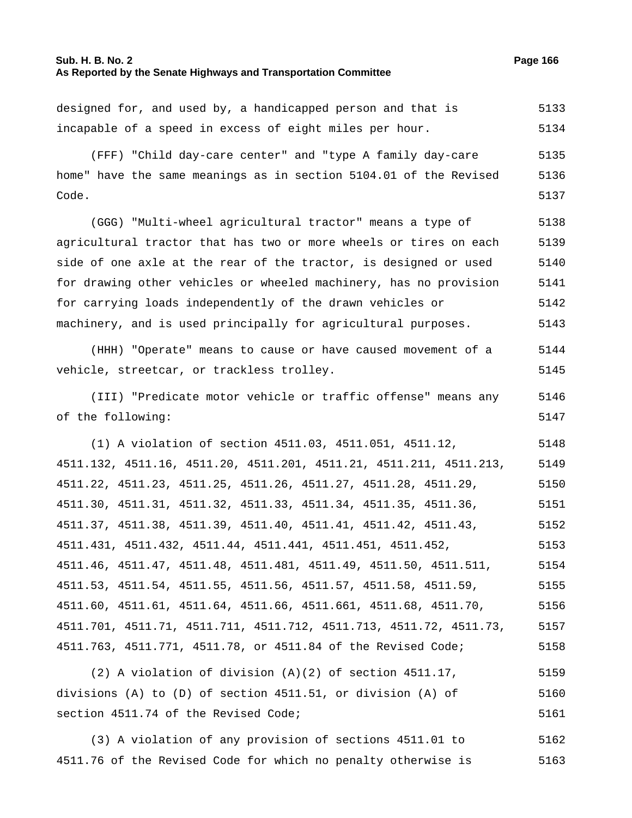# **Sub. H. B. No. 2 Page 166 As Reported by the Senate Highways and Transportation Committee**

designed for, and used by, a handicapped person and that is incapable of a speed in excess of eight miles per hour. 5133 5134 (FFF) "Child day-care center" and "type A family day-care 5135

home" have the same meanings as in section 5104.01 of the Revised Code. 5136 5137

(GGG) "Multi-wheel agricultural tractor" means a type of agricultural tractor that has two or more wheels or tires on each side of one axle at the rear of the tractor, is designed or used for drawing other vehicles or wheeled machinery, has no provision for carrying loads independently of the drawn vehicles or machinery, and is used principally for agricultural purposes. 5138 5139 5140 5141 5142 5143

(HHH) "Operate" means to cause or have caused movement of a vehicle, streetcar, or trackless trolley. 5144 5145

(III) "Predicate motor vehicle or traffic offense" means any of the following: 5146 5147

(1) A violation of section 4511.03, 4511.051, 4511.12, 4511.132, 4511.16, 4511.20, 4511.201, 4511.21, 4511.211, 4511.213, 4511.22, 4511.23, 4511.25, 4511.26, 4511.27, 4511.28, 4511.29, 4511.30, 4511.31, 4511.32, 4511.33, 4511.34, 4511.35, 4511.36, 4511.37, 4511.38, 4511.39, 4511.40, 4511.41, 4511.42, 4511.43, 4511.431, 4511.432, 4511.44, 4511.441, 4511.451, 4511.452, 4511.46, 4511.47, 4511.48, 4511.481, 4511.49, 4511.50, 4511.511, 4511.53, 4511.54, 4511.55, 4511.56, 4511.57, 4511.58, 4511.59, 4511.60, 4511.61, 4511.64, 4511.66, 4511.661, 4511.68, 4511.70, 4511.701, 4511.71, 4511.711, 4511.712, 4511.713, 4511.72, 4511.73, 4511.763, 4511.771, 4511.78, or 4511.84 of the Revised Code; 5148 5149 5150 5151 5152 5153 5154 5155 5156 5157 5158

(2) A violation of division (A)(2) of section 4511.17, divisions (A) to (D) of section 4511.51, or division (A) of section 4511.74 of the Revised Code; 5159 5160 5161

(3) A violation of any provision of sections 4511.01 to 4511.76 of the Revised Code for which no penalty otherwise is 5162 5163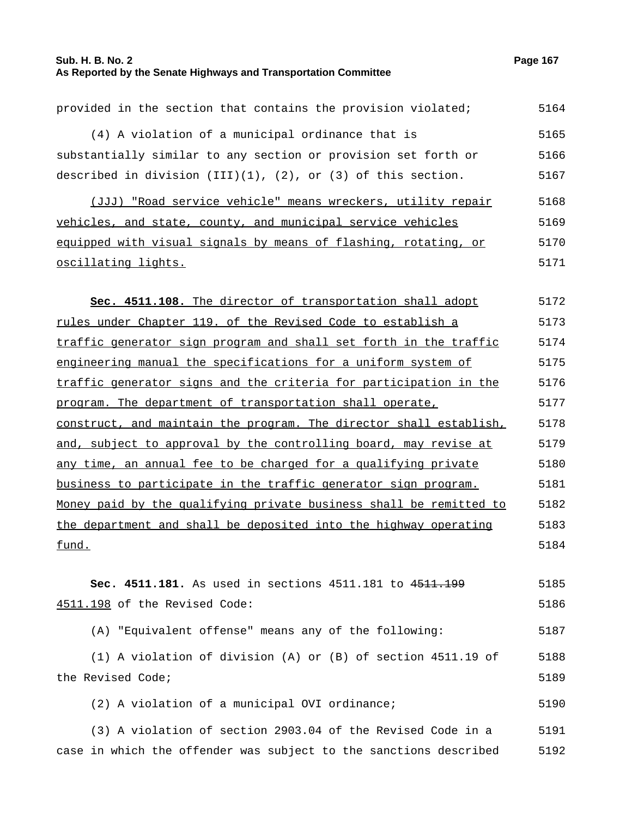# **Sub. H. B. No. 2 Page 167 As Reported by the Senate Highways and Transportation Committee**

provided in the section that contains the provision violated; 5164 (4) A violation of a municipal ordinance that is substantially similar to any section or provision set forth or described in division (III)(1), (2), or (3) of this section. 5165 5166 5167 (JJJ) "Road service vehicle" means wreckers, utility repair vehicles, and state, county, and municipal service vehicles equipped with visual signals by means of flashing, rotating, or 5168 5169 5170

oscillating lights. 5171 **Sec. 4511.108.** The director of transportation shall adopt 5172

rules under Chapter 119. of the Revised Code to establish a traffic generator sign program and shall set forth in the traffic engineering manual the specifications for a uniform system of traffic generator signs and the criteria for participation in the program. The department of transportation shall operate, construct, and maintain the program. The director shall establish, and, subject to approval by the controlling board, may revise at any time, an annual fee to be charged for a qualifying private business to participate in the traffic generator sign program. Money paid by the qualifying private business shall be remitted to the department and shall be deposited into the highway operating fund. 5173 5174 5175 5176 5177 5178 5179 5180 5181 5182 5183 5184

**Sec. 4511.181.** As used in sections 4511.181 to 4511.199 4511.198 of the Revised Code: 5185 5186

(A) "Equivalent offense" means any of the following: 5187

(1) A violation of division (A) or (B) of section 4511.19 of the Revised Code; 5188 5189

(2) A violation of a municipal OVI ordinance; 5190

(3) A violation of section 2903.04 of the Revised Code in a case in which the offender was subject to the sanctions described 5191 5192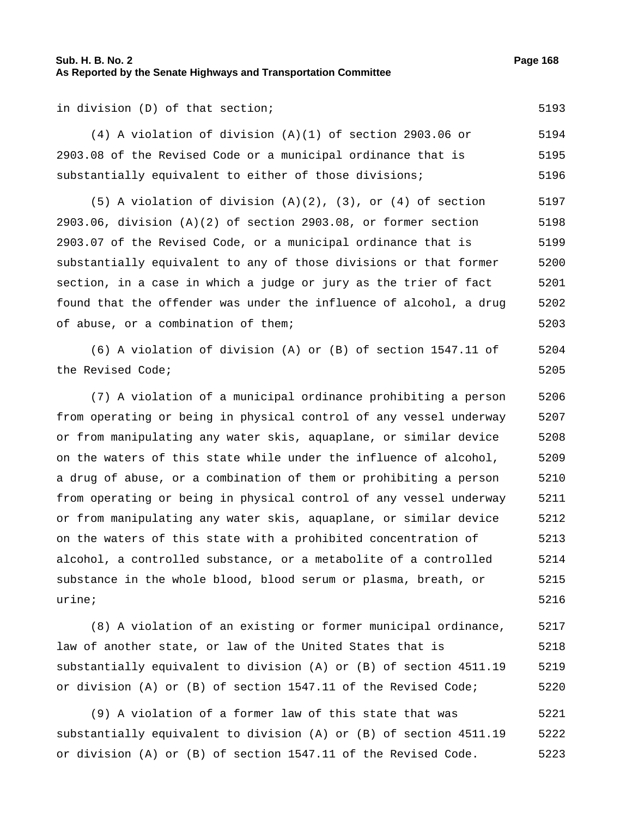### **Sub. H. B. No. 2 Page 168 As Reported by the Senate Highways and Transportation Committee**

in division (D) of that section; 5193

(4) A violation of division (A)(1) of section 2903.06 or 2903.08 of the Revised Code or a municipal ordinance that is substantially equivalent to either of those divisions; 5194 5195 5196

 $(5)$  A violation of division  $(A)(2)$ ,  $(3)$ , or  $(4)$  of section 2903.06, division (A)(2) of section 2903.08, or former section 2903.07 of the Revised Code, or a municipal ordinance that is substantially equivalent to any of those divisions or that former section, in a case in which a judge or jury as the trier of fact found that the offender was under the influence of alcohol, a drug of abuse, or a combination of them; 5197 5198 5199 5200 5201 5202 5203

(6) A violation of division (A) or (B) of section 1547.11 of the Revised Code; 5204 5205

(7) A violation of a municipal ordinance prohibiting a person from operating or being in physical control of any vessel underway or from manipulating any water skis, aquaplane, or similar device on the waters of this state while under the influence of alcohol, a drug of abuse, or a combination of them or prohibiting a person from operating or being in physical control of any vessel underway or from manipulating any water skis, aquaplane, or similar device on the waters of this state with a prohibited concentration of alcohol, a controlled substance, or a metabolite of a controlled substance in the whole blood, blood serum or plasma, breath, or urine; 5206 5207 5208 5209 5210 5211 5212 5213 5214 5215 5216

(8) A violation of an existing or former municipal ordinance, law of another state, or law of the United States that is substantially equivalent to division (A) or (B) of section 4511.19 or division (A) or (B) of section 1547.11 of the Revised Code; 5217 5218 5219 5220

(9) A violation of a former law of this state that was substantially equivalent to division (A) or (B) of section 4511.19 or division (A) or (B) of section 1547.11 of the Revised Code. 5221 5222 5223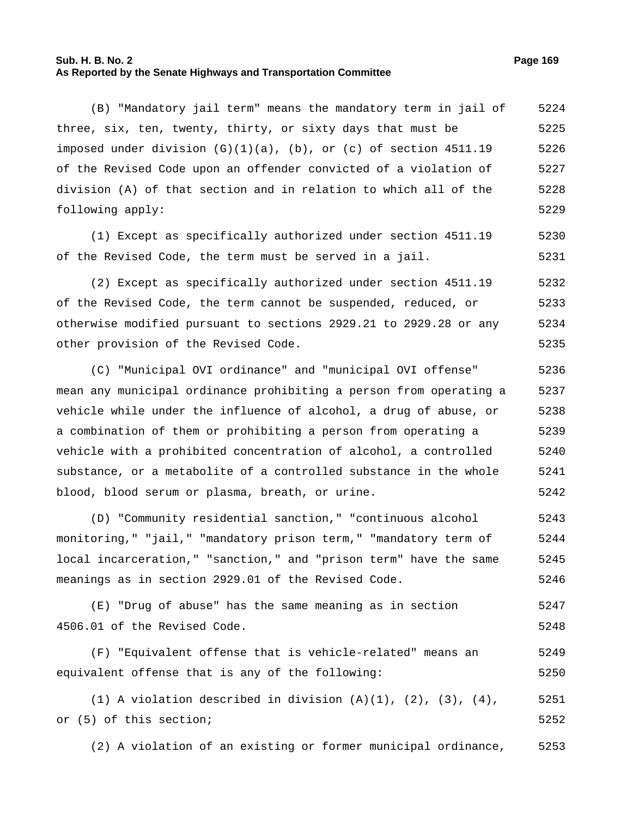#### **Sub. H. B. No. 2 Page 169 As Reported by the Senate Highways and Transportation Committee**

(B) "Mandatory jail term" means the mandatory term in jail of three, six, ten, twenty, thirty, or sixty days that must be imposed under division  $(G)(1)(a)$ ,  $(b)$ , or  $(c)$  of section 4511.19 of the Revised Code upon an offender convicted of a violation of division (A) of that section and in relation to which all of the following apply: 5224 5225 5226 5227 5228 5229

(1) Except as specifically authorized under section 4511.19 of the Revised Code, the term must be served in a jail. 5230 5231

(2) Except as specifically authorized under section 4511.19 of the Revised Code, the term cannot be suspended, reduced, or otherwise modified pursuant to sections 2929.21 to 2929.28 or any other provision of the Revised Code. 5232 5233 5234 5235

(C) "Municipal OVI ordinance" and "municipal OVI offense" mean any municipal ordinance prohibiting a person from operating a vehicle while under the influence of alcohol, a drug of abuse, or a combination of them or prohibiting a person from operating a vehicle with a prohibited concentration of alcohol, a controlled substance, or a metabolite of a controlled substance in the whole blood, blood serum or plasma, breath, or urine. 5236 5237 5238 5239 5240 5241 5242

(D) "Community residential sanction," "continuous alcohol monitoring," "jail," "mandatory prison term," "mandatory term of local incarceration," "sanction," and "prison term" have the same meanings as in section 2929.01 of the Revised Code. 5243 5244 5245 5246

(E) "Drug of abuse" has the same meaning as in section 4506.01 of the Revised Code. 5247 5248

(F) "Equivalent offense that is vehicle-related" means an equivalent offense that is any of the following: 5249 5250

(1) A violation described in division  $(A)(1)$ ,  $(2)$ ,  $(3)$ ,  $(4)$ , or (5) of this section; 5251 5252

(2) A violation of an existing or former municipal ordinance, 5253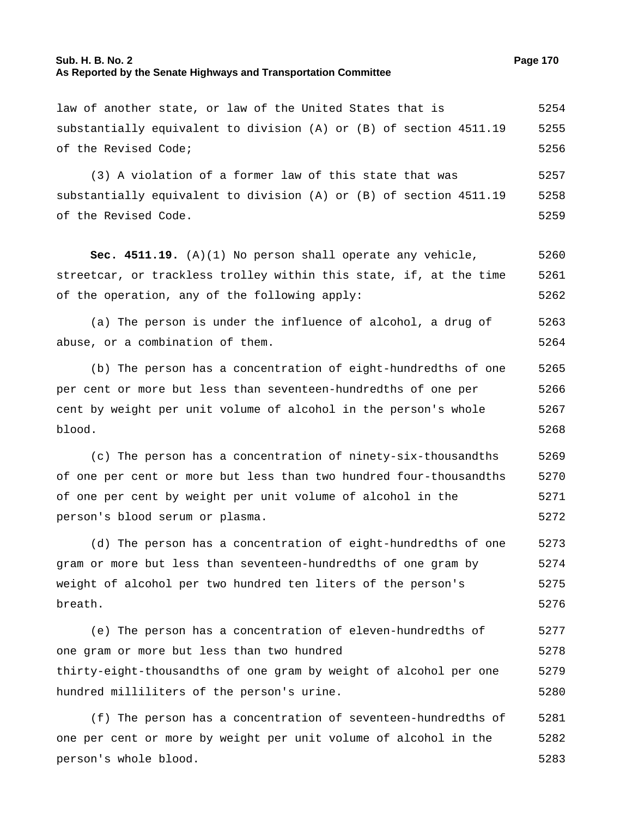### **Sub. H. B. No. 2 Page 170 As Reported by the Senate Highways and Transportation Committee**

law of another state, or law of the United States that is substantially equivalent to division (A) or (B) of section 4511.19 of the Revised Code; 5254 5255 5256 (3) A violation of a former law of this state that was substantially equivalent to division (A) or (B) of section 4511.19 of the Revised Code. 5257 5258 5259 **Sec. 4511.19.** (A)(1) No person shall operate any vehicle, streetcar, or trackless trolley within this state, if, at the time of the operation, any of the following apply: 5260 5261 5262 (a) The person is under the influence of alcohol, a drug of abuse, or a combination of them. 5263 5264 (b) The person has a concentration of eight-hundredths of one per cent or more but less than seventeen-hundredths of one per cent by weight per unit volume of alcohol in the person's whole blood. 5265 5266 5267 5268 (c) The person has a concentration of ninety-six-thousandths of one per cent or more but less than two hundred four-thousandths of one per cent by weight per unit volume of alcohol in the person's blood serum or plasma. 5269 5270 5271 5272 (d) The person has a concentration of eight-hundredths of one gram or more but less than seventeen-hundredths of one gram by weight of alcohol per two hundred ten liters of the person's breath. 5273 5274 5275 5276 (e) The person has a concentration of eleven-hundredths of one gram or more but less than two hundred thirty-eight-thousandths of one gram by weight of alcohol per one hundred milliliters of the person's urine. 5277 5278 5279 5280 (f) The person has a concentration of seventeen-hundredths of 5281

one per cent or more by weight per unit volume of alcohol in the person's whole blood. 5282 5283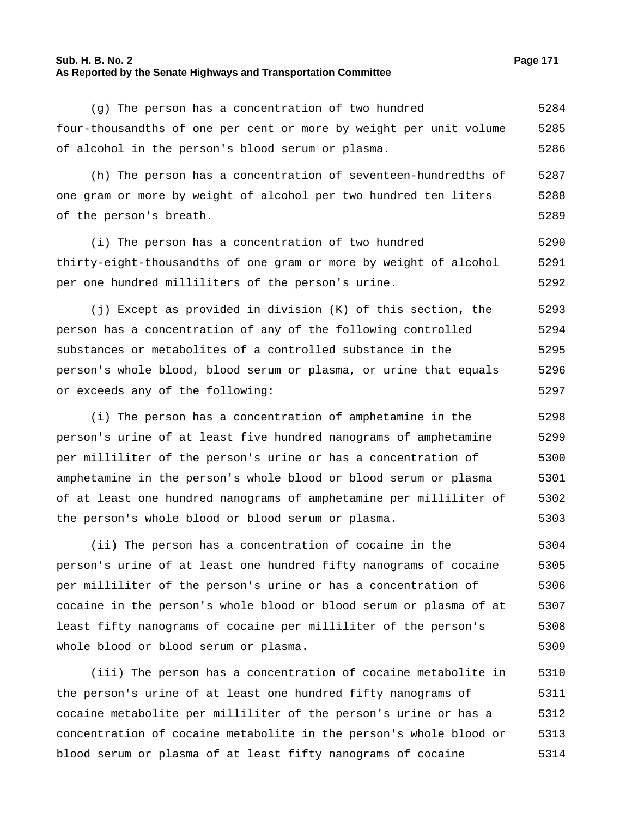### **Sub. H. B. No. 2 Page 171 As Reported by the Senate Highways and Transportation Committee**

(g) The person has a concentration of two hundred four-thousandths of one per cent or more by weight per unit volume of alcohol in the person's blood serum or plasma. 5284 5285 5286

(h) The person has a concentration of seventeen-hundredths of one gram or more by weight of alcohol per two hundred ten liters of the person's breath. 5287 5288 5289

(i) The person has a concentration of two hundred thirty-eight-thousandths of one gram or more by weight of alcohol per one hundred milliliters of the person's urine. 5290 5291 5292

(j) Except as provided in division (K) of this section, the person has a concentration of any of the following controlled substances or metabolites of a controlled substance in the person's whole blood, blood serum or plasma, or urine that equals or exceeds any of the following: 5293 5294 5295 5296 5297

(i) The person has a concentration of amphetamine in the person's urine of at least five hundred nanograms of amphetamine per milliliter of the person's urine or has a concentration of amphetamine in the person's whole blood or blood serum or plasma of at least one hundred nanograms of amphetamine per milliliter of the person's whole blood or blood serum or plasma. 5298 5299 5300 5301 5302 5303

(ii) The person has a concentration of cocaine in the person's urine of at least one hundred fifty nanograms of cocaine per milliliter of the person's urine or has a concentration of cocaine in the person's whole blood or blood serum or plasma of at least fifty nanograms of cocaine per milliliter of the person's whole blood or blood serum or plasma. 5304 5305 5306 5307 5308 5309

(iii) The person has a concentration of cocaine metabolite in the person's urine of at least one hundred fifty nanograms of cocaine metabolite per milliliter of the person's urine or has a concentration of cocaine metabolite in the person's whole blood or blood serum or plasma of at least fifty nanograms of cocaine 5310 5311 5312 5313 5314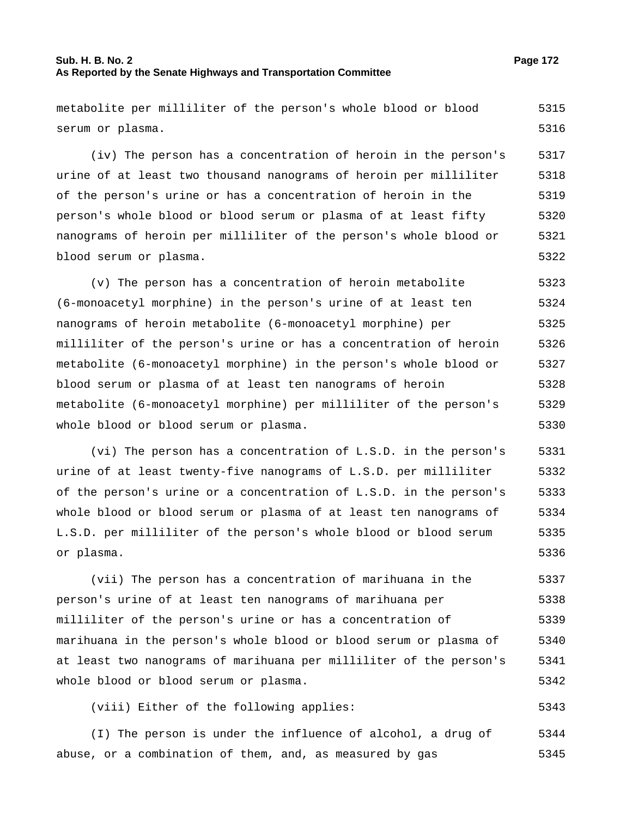### **Sub. H. B. No. 2 Page 172 As Reported by the Senate Highways and Transportation Committee**

metabolite per milliliter of the person's whole blood or blood serum or plasma. 5315 5316

(iv) The person has a concentration of heroin in the person's urine of at least two thousand nanograms of heroin per milliliter of the person's urine or has a concentration of heroin in the person's whole blood or blood serum or plasma of at least fifty nanograms of heroin per milliliter of the person's whole blood or blood serum or plasma. 5317 5318 5319 5320 5321 5322

(v) The person has a concentration of heroin metabolite (6-monoacetyl morphine) in the person's urine of at least ten nanograms of heroin metabolite (6-monoacetyl morphine) per milliliter of the person's urine or has a concentration of heroin metabolite (6-monoacetyl morphine) in the person's whole blood or blood serum or plasma of at least ten nanograms of heroin metabolite (6-monoacetyl morphine) per milliliter of the person's whole blood or blood serum or plasma. 5323 5324 5325 5326 5327 5328 5329 5330

(vi) The person has a concentration of L.S.D. in the person's urine of at least twenty-five nanograms of L.S.D. per milliliter of the person's urine or a concentration of L.S.D. in the person's whole blood or blood serum or plasma of at least ten nanograms of L.S.D. per milliliter of the person's whole blood or blood serum or plasma. 5331 5332 5333 5334 5335 5336

(vii) The person has a concentration of marihuana in the person's urine of at least ten nanograms of marihuana per milliliter of the person's urine or has a concentration of marihuana in the person's whole blood or blood serum or plasma of at least two nanograms of marihuana per milliliter of the person's whole blood or blood serum or plasma. 5337 5338 5339 5340 5341 5342

(viii) Either of the following applies: 5343

(I) The person is under the influence of alcohol, a drug of abuse, or a combination of them, and, as measured by gas 5344 5345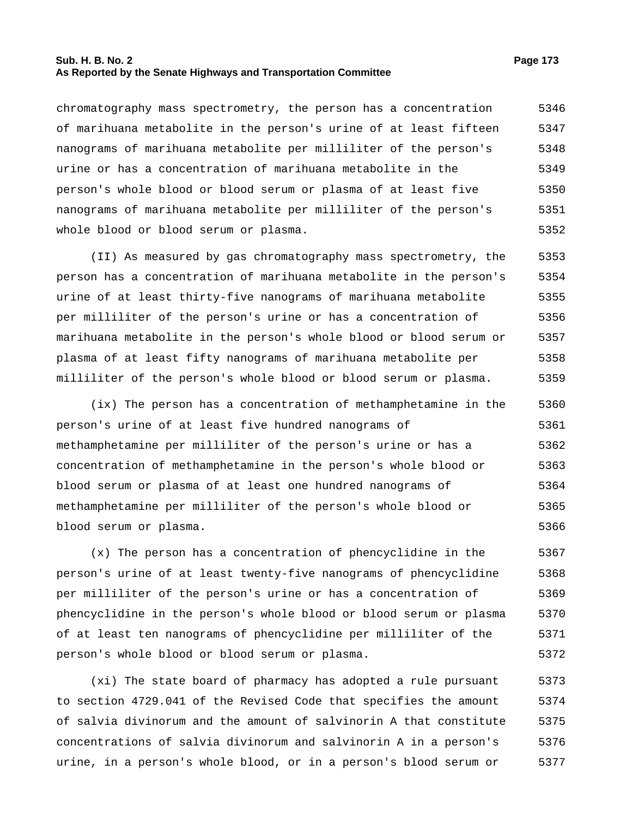### **Sub. H. B. No. 2 Page 173 As Reported by the Senate Highways and Transportation Committee**

chromatography mass spectrometry, the person has a concentration of marihuana metabolite in the person's urine of at least fifteen nanograms of marihuana metabolite per milliliter of the person's urine or has a concentration of marihuana metabolite in the person's whole blood or blood serum or plasma of at least five nanograms of marihuana metabolite per milliliter of the person's whole blood or blood serum or plasma. 5346 5347 5348 5349 5350 5351 5352

(II) As measured by gas chromatography mass spectrometry, the person has a concentration of marihuana metabolite in the person's urine of at least thirty-five nanograms of marihuana metabolite per milliliter of the person's urine or has a concentration of marihuana metabolite in the person's whole blood or blood serum or plasma of at least fifty nanograms of marihuana metabolite per milliliter of the person's whole blood or blood serum or plasma. 5353 5354 5355 5356 5357 5358 5359

(ix) The person has a concentration of methamphetamine in the person's urine of at least five hundred nanograms of methamphetamine per milliliter of the person's urine or has a concentration of methamphetamine in the person's whole blood or blood serum or plasma of at least one hundred nanograms of methamphetamine per milliliter of the person's whole blood or blood serum or plasma. 5360 5361 5362 5363 5364 5365 5366

(x) The person has a concentration of phencyclidine in the person's urine of at least twenty-five nanograms of phencyclidine per milliliter of the person's urine or has a concentration of phencyclidine in the person's whole blood or blood serum or plasma of at least ten nanograms of phencyclidine per milliliter of the person's whole blood or blood serum or plasma. 5367 5368 5369 5370 5371 5372

(xi) The state board of pharmacy has adopted a rule pursuant to section 4729.041 of the Revised Code that specifies the amount of salvia divinorum and the amount of salvinorin A that constitute concentrations of salvia divinorum and salvinorin A in a person's urine, in a person's whole blood, or in a person's blood serum or 5373 5374 5375 5376 5377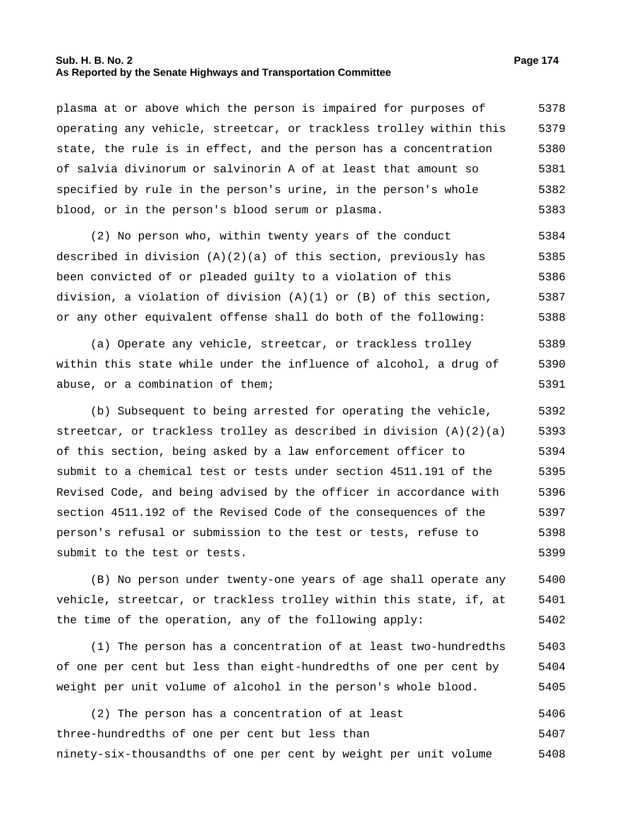### **Sub. H. B. No. 2 Page 174 As Reported by the Senate Highways and Transportation Committee**

plasma at or above which the person is impaired for purposes of operating any vehicle, streetcar, or trackless trolley within this state, the rule is in effect, and the person has a concentration of salvia divinorum or salvinorin A of at least that amount so specified by rule in the person's urine, in the person's whole blood, or in the person's blood serum or plasma. 5378 5379 5380 5381 5382 5383

(2) No person who, within twenty years of the conduct described in division  $(A)(2)(a)$  of this section, previously has been convicted of or pleaded guilty to a violation of this division, a violation of division (A)(1) or (B) of this section, or any other equivalent offense shall do both of the following: 5384 5385 5386 5387 5388

(a) Operate any vehicle, streetcar, or trackless trolley within this state while under the influence of alcohol, a drug of abuse, or a combination of them; 5389 5390 5391

(b) Subsequent to being arrested for operating the vehicle, streetcar, or trackless trolley as described in division (A)(2)(a) of this section, being asked by a law enforcement officer to submit to a chemical test or tests under section 4511.191 of the Revised Code, and being advised by the officer in accordance with section 4511.192 of the Revised Code of the consequences of the person's refusal or submission to the test or tests, refuse to submit to the test or tests. 5392 5393 5394 5395 5396 5397 5398 5399

(B) No person under twenty-one years of age shall operate any vehicle, streetcar, or trackless trolley within this state, if, at the time of the operation, any of the following apply: 5400 5401 5402

(1) The person has a concentration of at least two-hundredths of one per cent but less than eight-hundredths of one per cent by weight per unit volume of alcohol in the person's whole blood. 5403 5404 5405

(2) The person has a concentration of at least three-hundredths of one per cent but less than ninety-six-thousandths of one per cent by weight per unit volume 5406 5407 5408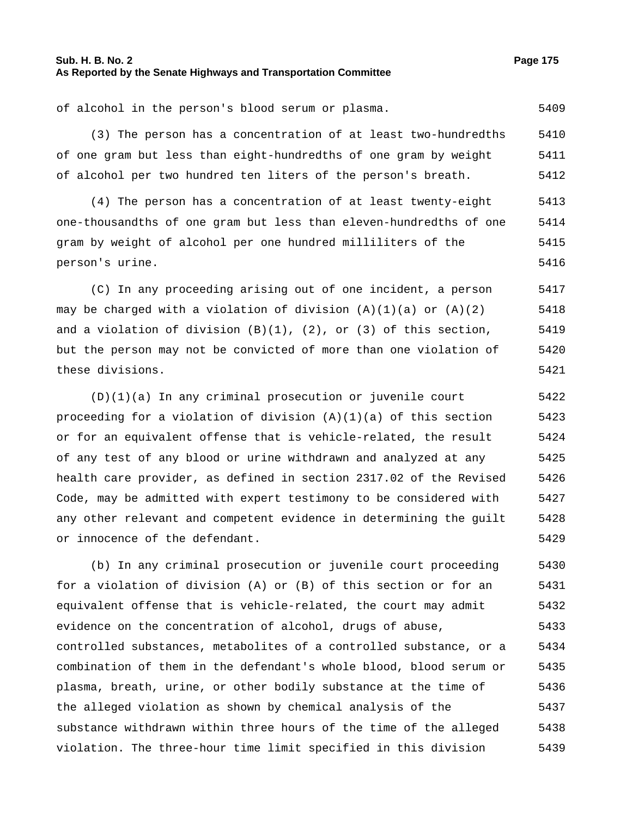# **Sub. H. B. No. 2 Page 175 As Reported by the Senate Highways and Transportation Committee**

of alcohol in the person's blood serum or plasma. 5409

(3) The person has a concentration of at least two-hundredths of one gram but less than eight-hundredths of one gram by weight of alcohol per two hundred ten liters of the person's breath. 5410 5411 5412

(4) The person has a concentration of at least twenty-eight one-thousandths of one gram but less than eleven-hundredths of one gram by weight of alcohol per one hundred milliliters of the person's urine. 5413 5414 5415 5416

(C) In any proceeding arising out of one incident, a person may be charged with a violation of division  $(A)(1)(a)$  or  $(A)(2)$ and a violation of division  $(B)(1)$ ,  $(2)$ , or  $(3)$  of this section, but the person may not be convicted of more than one violation of these divisions. 5417 5418 5419 5420 5421

(D)(1)(a) In any criminal prosecution or juvenile court proceeding for a violation of division  $(A)(1)(a)$  of this section or for an equivalent offense that is vehicle-related, the result of any test of any blood or urine withdrawn and analyzed at any health care provider, as defined in section 2317.02 of the Revised Code, may be admitted with expert testimony to be considered with any other relevant and competent evidence in determining the guilt or innocence of the defendant. 5422 5423 5424 5425 5426 5427 5428 5429

(b) In any criminal prosecution or juvenile court proceeding for a violation of division (A) or (B) of this section or for an equivalent offense that is vehicle-related, the court may admit evidence on the concentration of alcohol, drugs of abuse, controlled substances, metabolites of a controlled substance, or a combination of them in the defendant's whole blood, blood serum or plasma, breath, urine, or other bodily substance at the time of the alleged violation as shown by chemical analysis of the substance withdrawn within three hours of the time of the alleged violation. The three-hour time limit specified in this division 5430 5431 5432 5433 5434 5435 5436 5437 5438 5439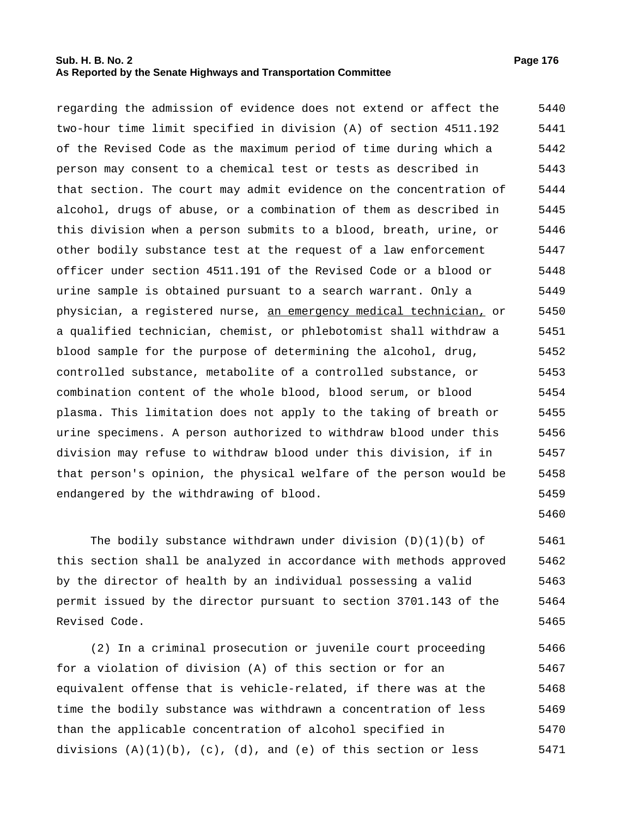# **Sub. H. B. No. 2 Page 176 As Reported by the Senate Highways and Transportation Committee**

regarding the admission of evidence does not extend or affect the two-hour time limit specified in division (A) of section 4511.192 of the Revised Code as the maximum period of time during which a person may consent to a chemical test or tests as described in that section. The court may admit evidence on the concentration of alcohol, drugs of abuse, or a combination of them as described in this division when a person submits to a blood, breath, urine, or other bodily substance test at the request of a law enforcement officer under section 4511.191 of the Revised Code or a blood or urine sample is obtained pursuant to a search warrant. Only a physician, a registered nurse, an emergency medical technician, or a qualified technician, chemist, or phlebotomist shall withdraw a blood sample for the purpose of determining the alcohol, drug, controlled substance, metabolite of a controlled substance, or combination content of the whole blood, blood serum, or blood plasma. This limitation does not apply to the taking of breath or urine specimens. A person authorized to withdraw blood under this division may refuse to withdraw blood under this division, if in that person's opinion, the physical welfare of the person would be endangered by the withdrawing of blood. 5440 5441 5442 5443 5444 5445 5446 5447 5448 5449 5450 5451 5452 5453 5454 5455 5456 5457 5458 5459

5460

The bodily substance withdrawn under division  $(D)(1)(b)$  of this section shall be analyzed in accordance with methods approved by the director of health by an individual possessing a valid permit issued by the director pursuant to section 3701.143 of the Revised Code. 5461 5462 5463 5464 5465

(2) In a criminal prosecution or juvenile court proceeding for a violation of division (A) of this section or for an equivalent offense that is vehicle-related, if there was at the time the bodily substance was withdrawn a concentration of less than the applicable concentration of alcohol specified in divisions  $(A)(1)(b)$ ,  $(c)$ ,  $(d)$ , and  $(e)$  of this section or less 5466 5467 5468 5469 5470 5471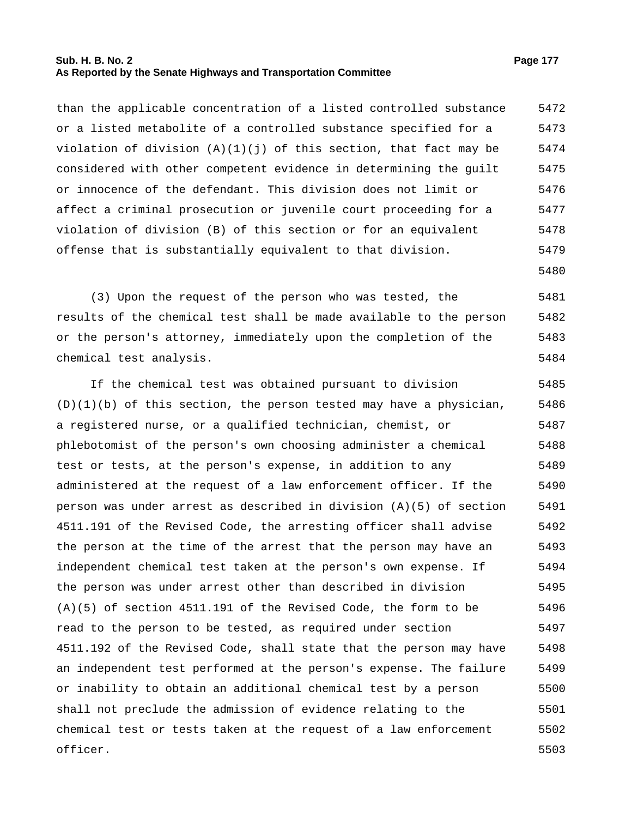#### **Sub. H. B. No. 2 Page 177 As Reported by the Senate Highways and Transportation Committee**

than the applicable concentration of a listed controlled substance or a listed metabolite of a controlled substance specified for a violation of division  $(A)(1)(j)$  of this section, that fact may be considered with other competent evidence in determining the guilt or innocence of the defendant. This division does not limit or affect a criminal prosecution or juvenile court proceeding for a violation of division (B) of this section or for an equivalent offense that is substantially equivalent to that division. 5472 5473 5474 5475 5476 5477 5478 5479

5480

(3) Upon the request of the person who was tested, the results of the chemical test shall be made available to the person or the person's attorney, immediately upon the completion of the chemical test analysis. 5481 5482 5483 5484

If the chemical test was obtained pursuant to division  $(D)(1)(b)$  of this section, the person tested may have a physician, a registered nurse, or a qualified technician, chemist, or phlebotomist of the person's own choosing administer a chemical test or tests, at the person's expense, in addition to any administered at the request of a law enforcement officer. If the person was under arrest as described in division  $(A)(5)$  of section 4511.191 of the Revised Code, the arresting officer shall advise the person at the time of the arrest that the person may have an independent chemical test taken at the person's own expense. If the person was under arrest other than described in division (A)(5) of section 4511.191 of the Revised Code, the form to be read to the person to be tested, as required under section 4511.192 of the Revised Code, shall state that the person may have an independent test performed at the person's expense. The failure or inability to obtain an additional chemical test by a person shall not preclude the admission of evidence relating to the chemical test or tests taken at the request of a law enforcement officer. 5485 5486 5487 5488 5489 5490 5491 5492 5493 5494 5495 5496 5497 5498 5499 5500 5501 5502 5503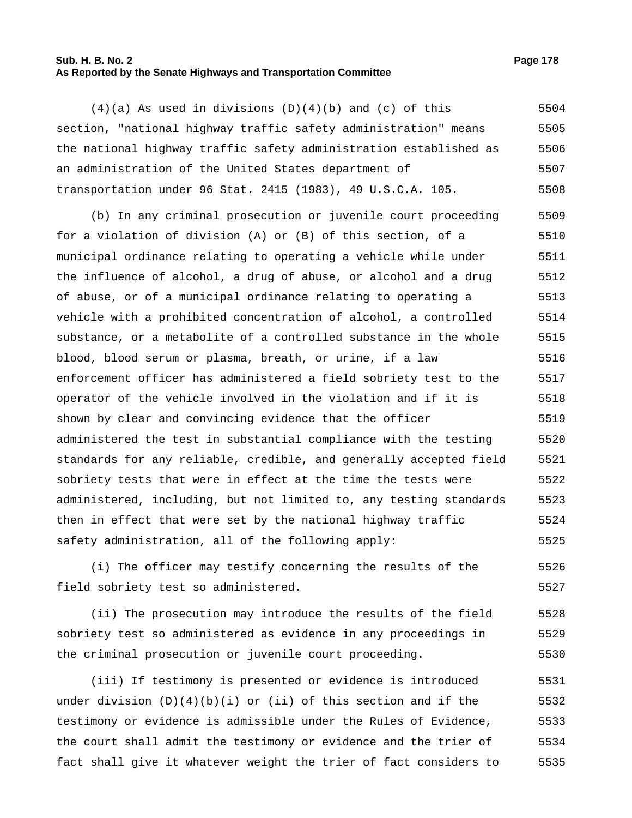### **Sub. H. B. No. 2 Page 178 As Reported by the Senate Highways and Transportation Committee**

 $(4)(a)$  As used in divisions  $(D)(4)(b)$  and  $(c)$  of this section, "national highway traffic safety administration" means the national highway traffic safety administration established as an administration of the United States department of transportation under 96 Stat. 2415 (1983), 49 U.S.C.A. 105. 5504 5505 5506 5507 5508

(b) In any criminal prosecution or juvenile court proceeding for a violation of division (A) or (B) of this section, of a municipal ordinance relating to operating a vehicle while under the influence of alcohol, a drug of abuse, or alcohol and a drug of abuse, or of a municipal ordinance relating to operating a vehicle with a prohibited concentration of alcohol, a controlled substance, or a metabolite of a controlled substance in the whole blood, blood serum or plasma, breath, or urine, if a law enforcement officer has administered a field sobriety test to the operator of the vehicle involved in the violation and if it is shown by clear and convincing evidence that the officer administered the test in substantial compliance with the testing standards for any reliable, credible, and generally accepted field sobriety tests that were in effect at the time the tests were administered, including, but not limited to, any testing standards then in effect that were set by the national highway traffic safety administration, all of the following apply: 5509 5510 5511 5512 5513 5514 5515 5516 5517 5518 5519 5520 5521 5522 5523 5524 5525

(i) The officer may testify concerning the results of the field sobriety test so administered. 5526 5527

(ii) The prosecution may introduce the results of the field sobriety test so administered as evidence in any proceedings in the criminal prosecution or juvenile court proceeding. 5528 5529 5530

(iii) If testimony is presented or evidence is introduced under division  $(D)(4)(b)(i)$  or (ii) of this section and if the testimony or evidence is admissible under the Rules of Evidence, the court shall admit the testimony or evidence and the trier of fact shall give it whatever weight the trier of fact considers to 5531 5532 5533 5534 5535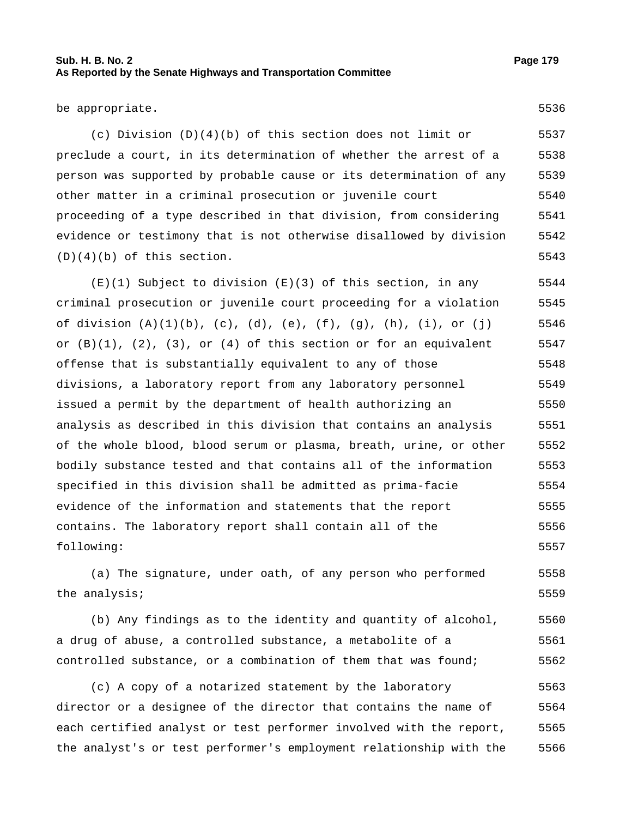# **Sub. H. B. No. 2 Page 179 As Reported by the Senate Highways and Transportation Committee**

be appropriate. 5536

(c) Division  $(D)(4)(b)$  of this section does not limit or preclude a court, in its determination of whether the arrest of a person was supported by probable cause or its determination of any other matter in a criminal prosecution or juvenile court proceeding of a type described in that division, from considering evidence or testimony that is not otherwise disallowed by division (D)(4)(b) of this section. 5537 5538 5539 5540 5541 5542 5543

(E)(1) Subject to division (E)(3) of this section, in any criminal prosecution or juvenile court proceeding for a violation of division  $(A)(1)(b)$ ,  $(c)$ ,  $(d)$ ,  $(e)$ ,  $(f)$ ,  $(g)$ ,  $(h)$ ,  $(i)$ , or  $(j)$ or  $(B)(1)$ ,  $(2)$ ,  $(3)$ , or  $(4)$  of this section or for an equivalent offense that is substantially equivalent to any of those divisions, a laboratory report from any laboratory personnel issued a permit by the department of health authorizing an analysis as described in this division that contains an analysis of the whole blood, blood serum or plasma, breath, urine, or other bodily substance tested and that contains all of the information specified in this division shall be admitted as prima-facie evidence of the information and statements that the report contains. The laboratory report shall contain all of the following: 5544 5545 5546 5547 5548 5549 5550 5551 5552 5553 5554 5555 5556 5557

(a) The signature, under oath, of any person who performed the analysis; 5558 5559

(b) Any findings as to the identity and quantity of alcohol, a drug of abuse, a controlled substance, a metabolite of a controlled substance, or a combination of them that was found; 5560 5561 5562

(c) A copy of a notarized statement by the laboratory director or a designee of the director that contains the name of each certified analyst or test performer involved with the report, the analyst's or test performer's employment relationship with the 5563 5564 5565 5566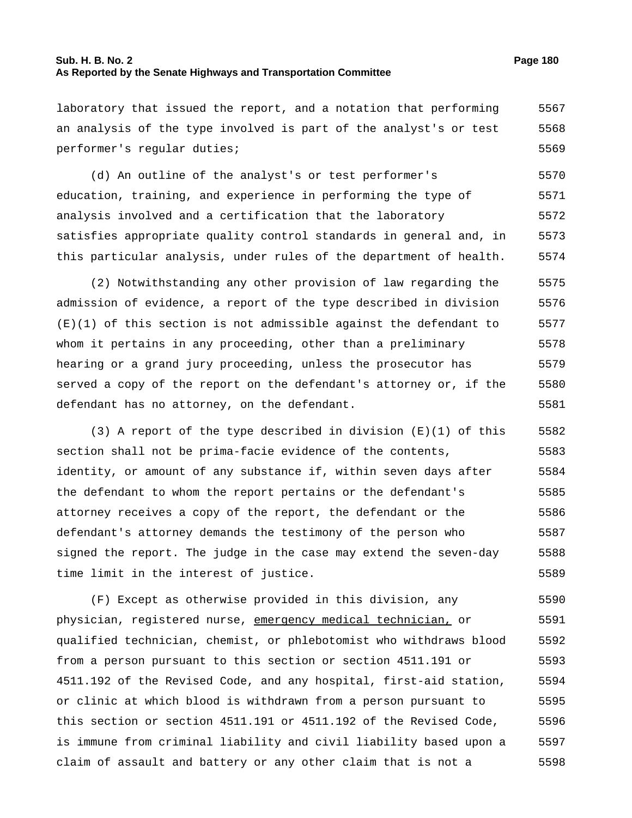# **Sub. H. B. No. 2 Page 180 As Reported by the Senate Highways and Transportation Committee**

laboratory that issued the report, and a notation that performing an analysis of the type involved is part of the analyst's or test performer's regular duties; 5567 5568 5569

(d) An outline of the analyst's or test performer's education, training, and experience in performing the type of analysis involved and a certification that the laboratory satisfies appropriate quality control standards in general and, in this particular analysis, under rules of the department of health. 5570 5571 5572 5573 5574

(2) Notwithstanding any other provision of law regarding the admission of evidence, a report of the type described in division (E)(1) of this section is not admissible against the defendant to whom it pertains in any proceeding, other than a preliminary hearing or a grand jury proceeding, unless the prosecutor has served a copy of the report on the defendant's attorney or, if the defendant has no attorney, on the defendant. 5575 5576 5577 5578 5579 5580 5581

(3) A report of the type described in division  $(E)(1)$  of this section shall not be prima-facie evidence of the contents, identity, or amount of any substance if, within seven days after the defendant to whom the report pertains or the defendant's attorney receives a copy of the report, the defendant or the defendant's attorney demands the testimony of the person who signed the report. The judge in the case may extend the seven-day time limit in the interest of justice. 5582 5583 5584 5585 5586 5587 5588 5589

(F) Except as otherwise provided in this division, any physician, registered nurse, emergency medical technician, or qualified technician, chemist, or phlebotomist who withdraws blood from a person pursuant to this section or section 4511.191 or 4511.192 of the Revised Code, and any hospital, first-aid station, or clinic at which blood is withdrawn from a person pursuant to this section or section 4511.191 or 4511.192 of the Revised Code, is immune from criminal liability and civil liability based upon a claim of assault and battery or any other claim that is not a 5590 5591 5592 5593 5594 5595 5596 5597 5598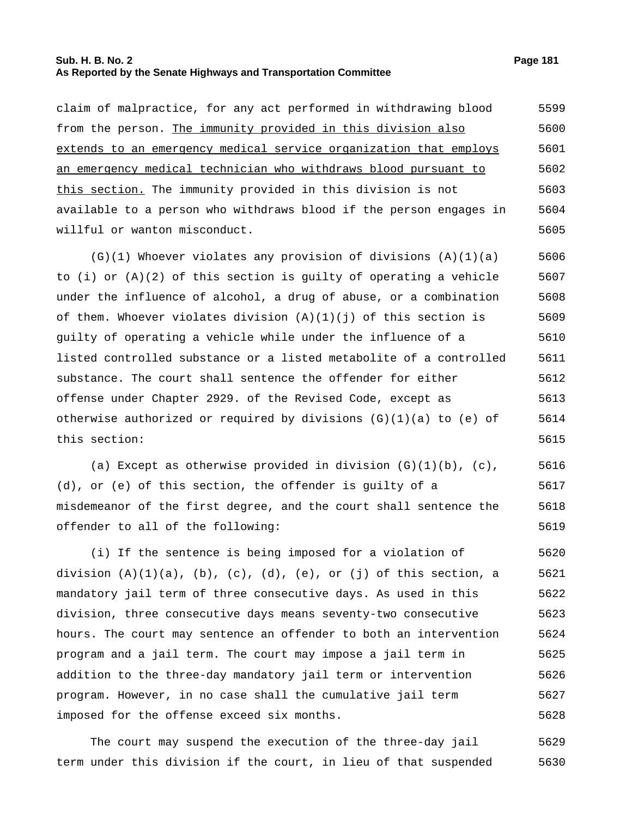## **Sub. H. B. No. 2 Page 181 As Reported by the Senate Highways and Transportation Committee**

claim of malpractice, for any act performed in withdrawing blood from the person. The immunity provided in this division also extends to an emergency medical service organization that employs an emergency medical technician who withdraws blood pursuant to this section. The immunity provided in this division is not available to a person who withdraws blood if the person engages in willful or wanton misconduct. 5599 5600 5601 5602 5603 5604 5605

 $(G)(1)$  Whoever violates any provision of divisions  $(A)(1)(a)$ to (i) or (A)(2) of this section is guilty of operating a vehicle under the influence of alcohol, a drug of abuse, or a combination of them. Whoever violates division  $(A)(1)(j)$  of this section is guilty of operating a vehicle while under the influence of a listed controlled substance or a listed metabolite of a controlled substance. The court shall sentence the offender for either offense under Chapter 2929. of the Revised Code, except as otherwise authorized or required by divisions  $(G)(1)(a)$  to  $(e)$  of this section: 5606 5607 5608 5609 5610 5611 5612 5613 5614 5615

(a) Except as otherwise provided in division  $(G)(1)(b)$ ,  $(c)$ , (d), or (e) of this section, the offender is guilty of a misdemeanor of the first degree, and the court shall sentence the offender to all of the following: 5616 5617 5618 5619

(i) If the sentence is being imposed for a violation of division  $(A)(1)(a)$ ,  $(b)$ ,  $(c)$ ,  $(d)$ ,  $(e)$ , or  $(j)$  of this section, a mandatory jail term of three consecutive days. As used in this division, three consecutive days means seventy-two consecutive hours. The court may sentence an offender to both an intervention program and a jail term. The court may impose a jail term in addition to the three-day mandatory jail term or intervention program. However, in no case shall the cumulative jail term imposed for the offense exceed six months. 5620 5621 5622 5623 5624 5625 5626 5627 5628

The court may suspend the execution of the three-day jail term under this division if the court, in lieu of that suspended 5629 5630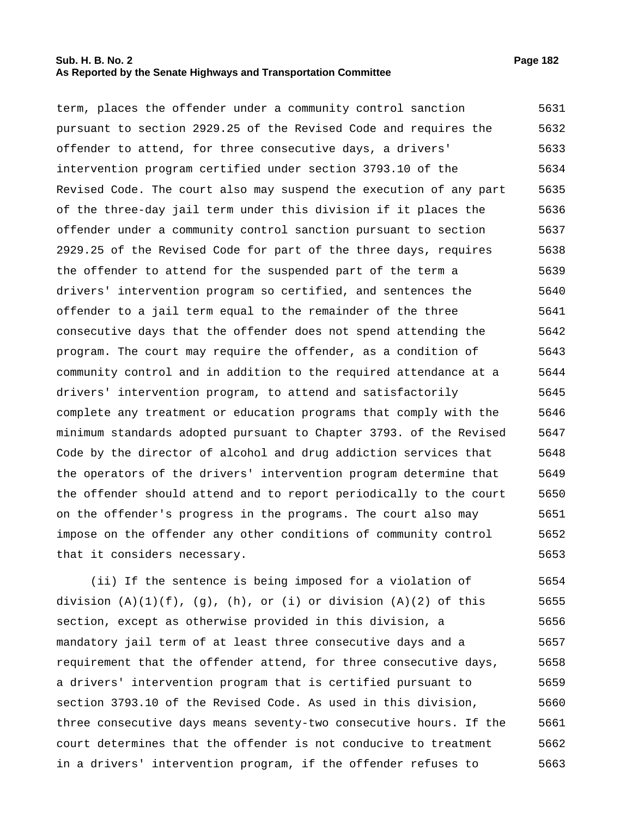# **Sub. H. B. No. 2 Page 182 As Reported by the Senate Highways and Transportation Committee**

term, places the offender under a community control sanction pursuant to section 2929.25 of the Revised Code and requires the offender to attend, for three consecutive days, a drivers' intervention program certified under section 3793.10 of the Revised Code. The court also may suspend the execution of any part of the three-day jail term under this division if it places the offender under a community control sanction pursuant to section 2929.25 of the Revised Code for part of the three days, requires the offender to attend for the suspended part of the term a drivers' intervention program so certified, and sentences the offender to a jail term equal to the remainder of the three consecutive days that the offender does not spend attending the program. The court may require the offender, as a condition of community control and in addition to the required attendance at a drivers' intervention program, to attend and satisfactorily complete any treatment or education programs that comply with the minimum standards adopted pursuant to Chapter 3793. of the Revised Code by the director of alcohol and drug addiction services that the operators of the drivers' intervention program determine that the offender should attend and to report periodically to the court on the offender's progress in the programs. The court also may impose on the offender any other conditions of community control that it considers necessary. 5631 5632 5633 5634 5635 5636 5637 5638 5639 5640 5641 5642 5643 5644 5645 5646 5647 5648 5649 5650 5651 5652 5653

(ii) If the sentence is being imposed for a violation of division  $(A)(1)(f)$ ,  $(g)$ ,  $(h)$ , or  $(i)$  or division  $(A)(2)$  of this section, except as otherwise provided in this division, a mandatory jail term of at least three consecutive days and a requirement that the offender attend, for three consecutive days, a drivers' intervention program that is certified pursuant to section 3793.10 of the Revised Code. As used in this division, three consecutive days means seventy-two consecutive hours. If the court determines that the offender is not conducive to treatment in a drivers' intervention program, if the offender refuses to 5654 5655 5656 5657 5658 5659 5660 5661 5662 5663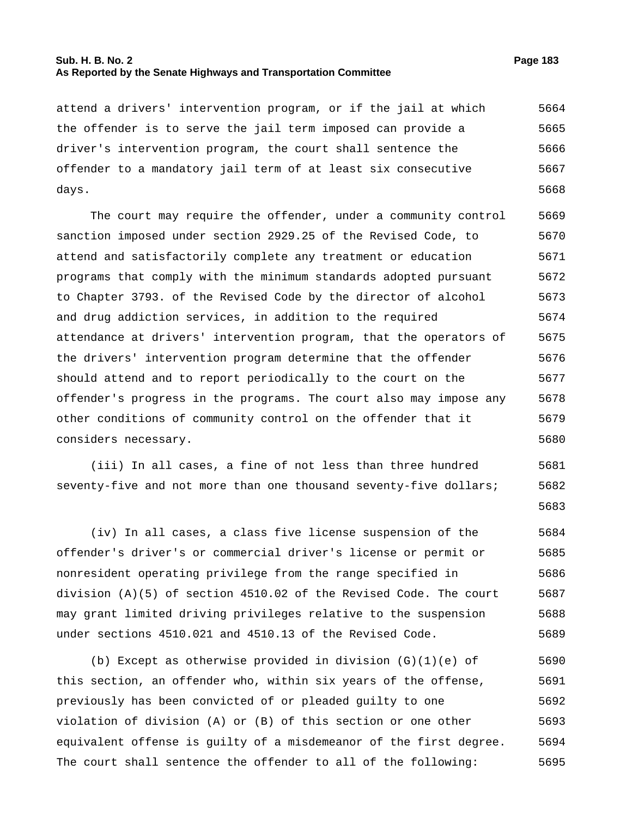# **Sub. H. B. No. 2 Page 183 As Reported by the Senate Highways and Transportation Committee**

attend a drivers' intervention program, or if the jail at which the offender is to serve the jail term imposed can provide a driver's intervention program, the court shall sentence the offender to a mandatory jail term of at least six consecutive days. 5664 5665 5666 5667 5668

The court may require the offender, under a community control sanction imposed under section 2929.25 of the Revised Code, to attend and satisfactorily complete any treatment or education programs that comply with the minimum standards adopted pursuant to Chapter 3793. of the Revised Code by the director of alcohol and drug addiction services, in addition to the required attendance at drivers' intervention program, that the operators of the drivers' intervention program determine that the offender should attend and to report periodically to the court on the offender's progress in the programs. The court also may impose any other conditions of community control on the offender that it considers necessary. 5669 5670 5671 5672 5673 5674 5675 5676 5677 5678 5679 5680

(iii) In all cases, a fine of not less than three hundred seventy-five and not more than one thousand seventy-five dollars; 5681 5682

(iv) In all cases, a class five license suspension of the offender's driver's or commercial driver's license or permit or nonresident operating privilege from the range specified in division (A)(5) of section 4510.02 of the Revised Code. The court may grant limited driving privileges relative to the suspension under sections 4510.021 and 4510.13 of the Revised Code. 5684 5685 5686 5687 5688 5689

(b) Except as otherwise provided in division  $(G)(1)(e)$  of this section, an offender who, within six years of the offense, previously has been convicted of or pleaded guilty to one violation of division (A) or (B) of this section or one other equivalent offense is guilty of a misdemeanor of the first degree. The court shall sentence the offender to all of the following: 5690 5691 5692 5693 5694 5695

5683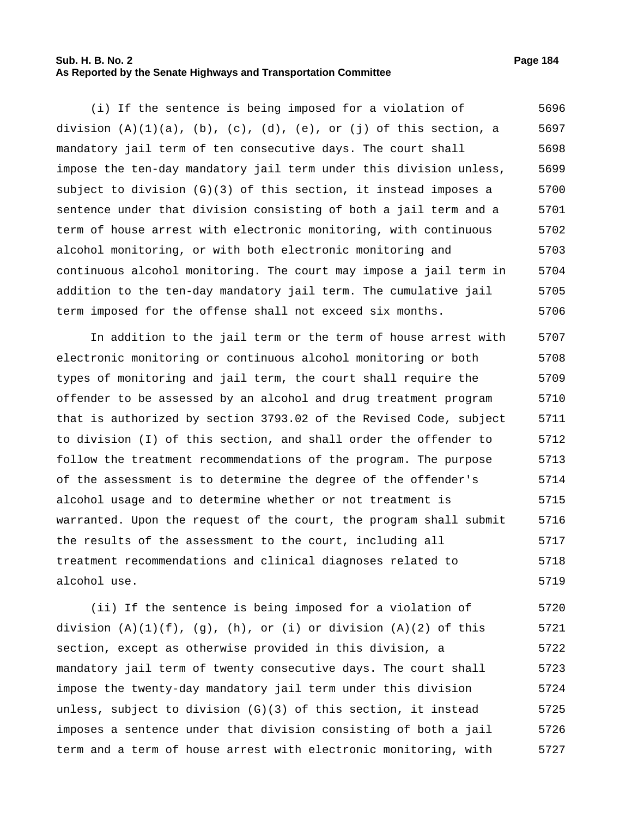### **Sub. H. B. No. 2 Page 184 As Reported by the Senate Highways and Transportation Committee**

(i) If the sentence is being imposed for a violation of division  $(A)(1)(a)$ ,  $(b)$ ,  $(c)$ ,  $(d)$ ,  $(e)$ , or  $(j)$  of this section, a mandatory jail term of ten consecutive days. The court shall impose the ten-day mandatory jail term under this division unless, subject to division  $(G)(3)$  of this section, it instead imposes a sentence under that division consisting of both a jail term and a term of house arrest with electronic monitoring, with continuous alcohol monitoring, or with both electronic monitoring and continuous alcohol monitoring. The court may impose a jail term in addition to the ten-day mandatory jail term. The cumulative jail term imposed for the offense shall not exceed six months. 5696 5697 5698 5699 5700 5701 5702 5703 5704 5705 5706

In addition to the jail term or the term of house arrest with electronic monitoring or continuous alcohol monitoring or both types of monitoring and jail term, the court shall require the offender to be assessed by an alcohol and drug treatment program that is authorized by section 3793.02 of the Revised Code, subject to division (I) of this section, and shall order the offender to follow the treatment recommendations of the program. The purpose of the assessment is to determine the degree of the offender's alcohol usage and to determine whether or not treatment is warranted. Upon the request of the court, the program shall submit the results of the assessment to the court, including all treatment recommendations and clinical diagnoses related to alcohol use. 5707 5708 5709 5710 5711 5712 5713 5714 5715 5716 5717 5718 5719

(ii) If the sentence is being imposed for a violation of division  $(A)(1)(f)$ ,  $(g)$ ,  $(h)$ , or  $(i)$  or division  $(A)(2)$  of this section, except as otherwise provided in this division, a mandatory jail term of twenty consecutive days. The court shall impose the twenty-day mandatory jail term under this division unless, subject to division  $(G)(3)$  of this section, it instead imposes a sentence under that division consisting of both a jail term and a term of house arrest with electronic monitoring, with 5720 5721 5722 5723 5724 5725 5726 5727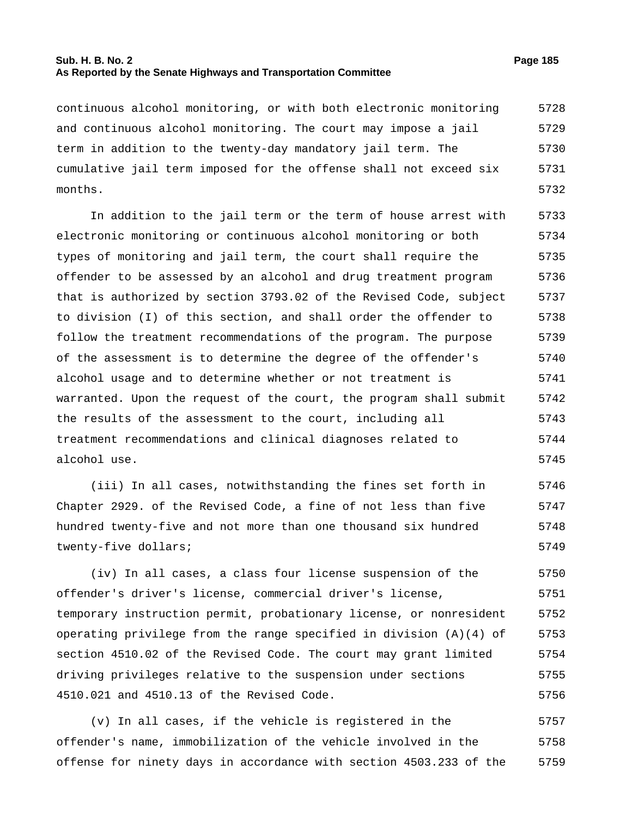### **Sub. H. B. No. 2 Page 185 As Reported by the Senate Highways and Transportation Committee**

continuous alcohol monitoring, or with both electronic monitoring and continuous alcohol monitoring. The court may impose a jail term in addition to the twenty-day mandatory jail term. The cumulative jail term imposed for the offense shall not exceed six months. 5728 5729 5730 5731 5732

In addition to the jail term or the term of house arrest with electronic monitoring or continuous alcohol monitoring or both types of monitoring and jail term, the court shall require the offender to be assessed by an alcohol and drug treatment program that is authorized by section 3793.02 of the Revised Code, subject to division (I) of this section, and shall order the offender to follow the treatment recommendations of the program. The purpose of the assessment is to determine the degree of the offender's alcohol usage and to determine whether or not treatment is warranted. Upon the request of the court, the program shall submit the results of the assessment to the court, including all treatment recommendations and clinical diagnoses related to alcohol use. 5733 5734 5735 5736 5737 5738 5739 5740 5741 5742 5743 5744 5745

(iii) In all cases, notwithstanding the fines set forth in Chapter 2929. of the Revised Code, a fine of not less than five hundred twenty-five and not more than one thousand six hundred twenty-five dollars; 5746 5747 5748 5749

(iv) In all cases, a class four license suspension of the offender's driver's license, commercial driver's license, temporary instruction permit, probationary license, or nonresident operating privilege from the range specified in division  $(A)(4)$  of section 4510.02 of the Revised Code. The court may grant limited driving privileges relative to the suspension under sections 4510.021 and 4510.13 of the Revised Code. 5750 5751 5752 5753 5754 5755 5756

(v) In all cases, if the vehicle is registered in the offender's name, immobilization of the vehicle involved in the offense for ninety days in accordance with section 4503.233 of the 5757 5758 5759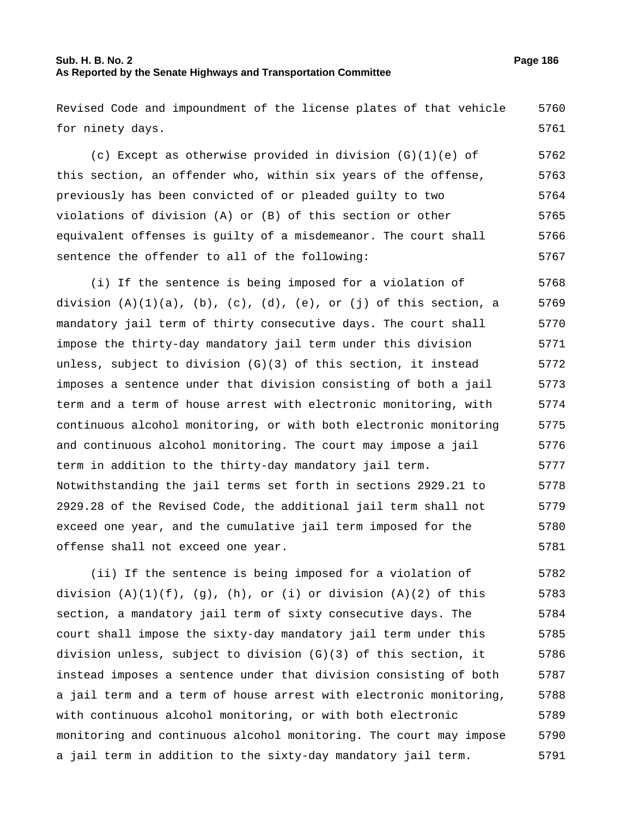# **Sub. H. B. No. 2 Page 186 As Reported by the Senate Highways and Transportation Committee**

Revised Code and impoundment of the license plates of that vehicle for ninety days. 5760 5761

(c) Except as otherwise provided in division  $(G)(1)(e)$  of this section, an offender who, within six years of the offense, previously has been convicted of or pleaded guilty to two violations of division (A) or (B) of this section or other equivalent offenses is guilty of a misdemeanor. The court shall sentence the offender to all of the following: 5762 5763 5764 5765 5766 5767

(i) If the sentence is being imposed for a violation of division  $(A)(1)(a)$ ,  $(b)$ ,  $(c)$ ,  $(d)$ ,  $(e)$ , or  $(j)$  of this section, a mandatory jail term of thirty consecutive days. The court shall impose the thirty-day mandatory jail term under this division unless, subject to division (G)(3) of this section, it instead imposes a sentence under that division consisting of both a jail term and a term of house arrest with electronic monitoring, with continuous alcohol monitoring, or with both electronic monitoring and continuous alcohol monitoring. The court may impose a jail term in addition to the thirty-day mandatory jail term. Notwithstanding the jail terms set forth in sections 2929.21 to 2929.28 of the Revised Code, the additional jail term shall not exceed one year, and the cumulative jail term imposed for the offense shall not exceed one year. 5768 5769 5770 5771 5772 5773 5774 5775 5776 5777 5778 5779 5780 5781

(ii) If the sentence is being imposed for a violation of division  $(A)(1)(f)$ ,  $(g)$ ,  $(h)$ , or  $(i)$  or division  $(A)(2)$  of this section, a mandatory jail term of sixty consecutive days. The court shall impose the sixty-day mandatory jail term under this division unless, subject to division (G)(3) of this section, it instead imposes a sentence under that division consisting of both a jail term and a term of house arrest with electronic monitoring, with continuous alcohol monitoring, or with both electronic monitoring and continuous alcohol monitoring. The court may impose a jail term in addition to the sixty-day mandatory jail term. 5782 5783 5784 5785 5786 5787 5788 5789 5790 5791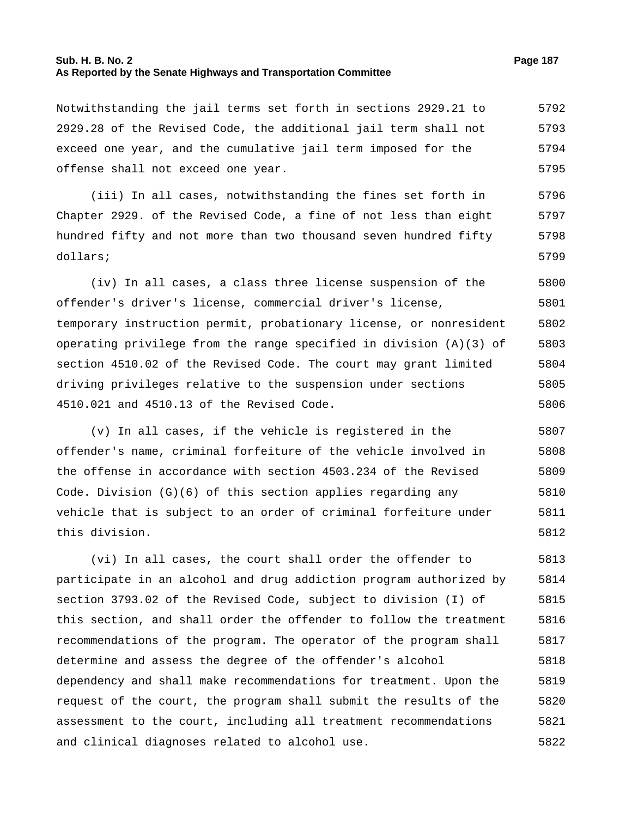# **Sub. H. B. No. 2 Page 187 As Reported by the Senate Highways and Transportation Committee**

Notwithstanding the jail terms set forth in sections 2929.21 to 2929.28 of the Revised Code, the additional jail term shall not exceed one year, and the cumulative jail term imposed for the offense shall not exceed one year. 5792 5793 5794 5795

(iii) In all cases, notwithstanding the fines set forth in Chapter 2929. of the Revised Code, a fine of not less than eight hundred fifty and not more than two thousand seven hundred fifty dollars; 5796 5797 5798 5799

(iv) In all cases, a class three license suspension of the offender's driver's license, commercial driver's license, temporary instruction permit, probationary license, or nonresident operating privilege from the range specified in division (A)(3) of section 4510.02 of the Revised Code. The court may grant limited driving privileges relative to the suspension under sections 4510.021 and 4510.13 of the Revised Code. 5800 5801 5802 5803 5804 5805 5806

(v) In all cases, if the vehicle is registered in the offender's name, criminal forfeiture of the vehicle involved in the offense in accordance with section 4503.234 of the Revised Code. Division (G)(6) of this section applies regarding any vehicle that is subject to an order of criminal forfeiture under this division. 5807 5808 5809 5810 5811 5812

(vi) In all cases, the court shall order the offender to participate in an alcohol and drug addiction program authorized by section 3793.02 of the Revised Code, subject to division (I) of this section, and shall order the offender to follow the treatment recommendations of the program. The operator of the program shall determine and assess the degree of the offender's alcohol dependency and shall make recommendations for treatment. Upon the request of the court, the program shall submit the results of the assessment to the court, including all treatment recommendations and clinical diagnoses related to alcohol use. 5813 5814 5815 5816 5817 5818 5819 5820 5821 5822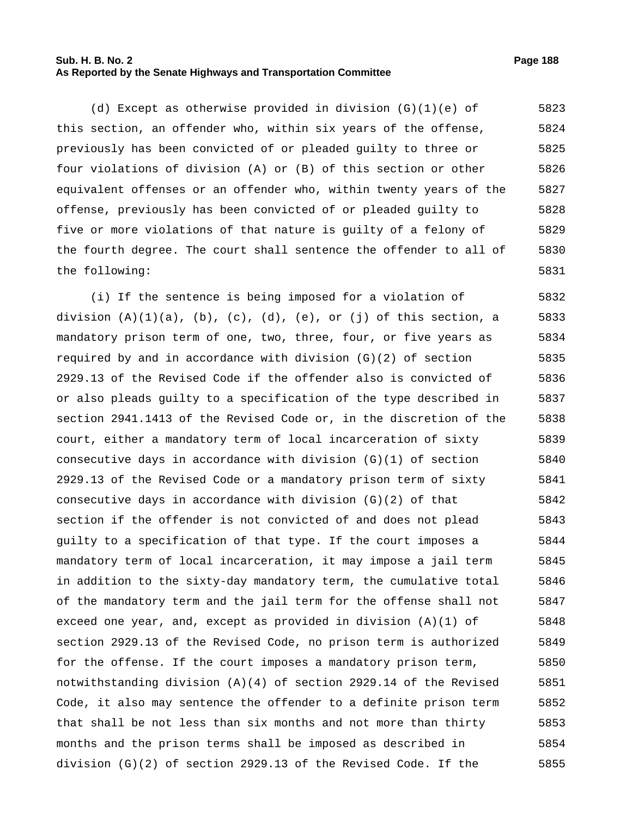#### **Sub. H. B. No. 2 Page 188 As Reported by the Senate Highways and Transportation Committee**

(d) Except as otherwise provided in division  $(G)(1)(e)$  of this section, an offender who, within six years of the offense, previously has been convicted of or pleaded guilty to three or four violations of division (A) or (B) of this section or other equivalent offenses or an offender who, within twenty years of the offense, previously has been convicted of or pleaded guilty to five or more violations of that nature is guilty of a felony of the fourth degree. The court shall sentence the offender to all of the following: 5823 5824 5825 5826 5827 5828 5829 5830 5831

(i) If the sentence is being imposed for a violation of division  $(A)(1)(a)$ ,  $(b)$ ,  $(c)$ ,  $(d)$ ,  $(e)$ , or  $(j)$  of this section, a mandatory prison term of one, two, three, four, or five years as required by and in accordance with division  $(G)(2)$  of section 2929.13 of the Revised Code if the offender also is convicted of or also pleads guilty to a specification of the type described in section 2941.1413 of the Revised Code or, in the discretion of the court, either a mandatory term of local incarceration of sixty consecutive days in accordance with division  $(G)(1)$  of section 2929.13 of the Revised Code or a mandatory prison term of sixty consecutive days in accordance with division  $(G)(2)$  of that section if the offender is not convicted of and does not plead guilty to a specification of that type. If the court imposes a mandatory term of local incarceration, it may impose a jail term in addition to the sixty-day mandatory term, the cumulative total of the mandatory term and the jail term for the offense shall not exceed one year, and, except as provided in division  $(A)(1)$  of section 2929.13 of the Revised Code, no prison term is authorized for the offense. If the court imposes a mandatory prison term, notwithstanding division (A)(4) of section 2929.14 of the Revised Code, it also may sentence the offender to a definite prison term that shall be not less than six months and not more than thirty months and the prison terms shall be imposed as described in division (G)(2) of section 2929.13 of the Revised Code. If the 5832 5833 5834 5835 5836 5837 5838 5839 5840 5841 5842 5843 5844 5845 5846 5847 5848 5849 5850 5851 5852 5853 5854 5855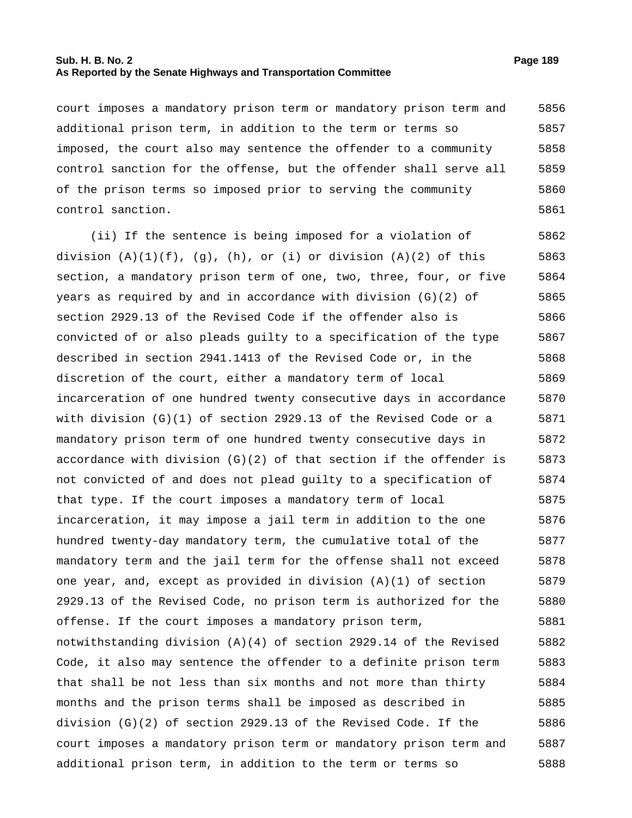### **Sub. H. B. No. 2 Page 189 As Reported by the Senate Highways and Transportation Committee**

court imposes a mandatory prison term or mandatory prison term and additional prison term, in addition to the term or terms so imposed, the court also may sentence the offender to a community control sanction for the offense, but the offender shall serve all of the prison terms so imposed prior to serving the community control sanction. 5856 5857 5858 5859 5860 5861

(ii) If the sentence is being imposed for a violation of division  $(A)(1)(f)$ ,  $(g)$ ,  $(h)$ , or  $(i)$  or division  $(A)(2)$  of this section, a mandatory prison term of one, two, three, four, or five years as required by and in accordance with division  $(G)(2)$  of section 2929.13 of the Revised Code if the offender also is convicted of or also pleads guilty to a specification of the type described in section 2941.1413 of the Revised Code or, in the discretion of the court, either a mandatory term of local incarceration of one hundred twenty consecutive days in accordance with division (G)(1) of section 2929.13 of the Revised Code or a mandatory prison term of one hundred twenty consecutive days in accordance with division  $(G)(2)$  of that section if the offender is not convicted of and does not plead guilty to a specification of that type. If the court imposes a mandatory term of local incarceration, it may impose a jail term in addition to the one hundred twenty-day mandatory term, the cumulative total of the mandatory term and the jail term for the offense shall not exceed one year, and, except as provided in division  $(A)(1)$  of section 2929.13 of the Revised Code, no prison term is authorized for the offense. If the court imposes a mandatory prison term, notwithstanding division (A)(4) of section 2929.14 of the Revised Code, it also may sentence the offender to a definite prison term that shall be not less than six months and not more than thirty months and the prison terms shall be imposed as described in division (G)(2) of section 2929.13 of the Revised Code. If the court imposes a mandatory prison term or mandatory prison term and additional prison term, in addition to the term or terms so 5862 5863 5864 5865 5866 5867 5868 5869 5870 5871 5872 5873 5874 5875 5876 5877 5878 5879 5880 5881 5882 5883 5884 5885 5886 5887 5888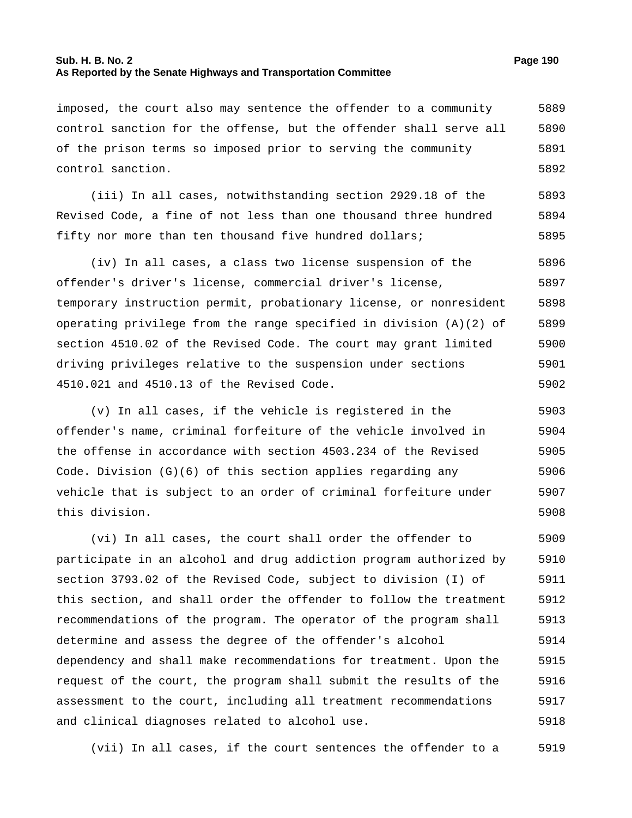# **Sub. H. B. No. 2 Page 190 As Reported by the Senate Highways and Transportation Committee**

imposed, the court also may sentence the offender to a community control sanction for the offense, but the offender shall serve all of the prison terms so imposed prior to serving the community 5889 5890 5891

control sanction.

(iii) In all cases, notwithstanding section 2929.18 of the Revised Code, a fine of not less than one thousand three hundred fifty nor more than ten thousand five hundred dollars; 5893 5894 5895

(iv) In all cases, a class two license suspension of the offender's driver's license, commercial driver's license, temporary instruction permit, probationary license, or nonresident operating privilege from the range specified in division (A)(2) of section 4510.02 of the Revised Code. The court may grant limited driving privileges relative to the suspension under sections 4510.021 and 4510.13 of the Revised Code. 5896 5897 5898 5899 5900 5901 5902

(v) In all cases, if the vehicle is registered in the offender's name, criminal forfeiture of the vehicle involved in the offense in accordance with section 4503.234 of the Revised Code. Division (G)(6) of this section applies regarding any vehicle that is subject to an order of criminal forfeiture under this division. 5903 5904 5905 5906 5907 5908

(vi) In all cases, the court shall order the offender to participate in an alcohol and drug addiction program authorized by section 3793.02 of the Revised Code, subject to division (I) of this section, and shall order the offender to follow the treatment recommendations of the program. The operator of the program shall determine and assess the degree of the offender's alcohol dependency and shall make recommendations for treatment. Upon the request of the court, the program shall submit the results of the assessment to the court, including all treatment recommendations and clinical diagnoses related to alcohol use. 5909 5910 5911 5912 5913 5914 5915 5916 5917 5918

(vii) In all cases, if the court sentences the offender to a 5919

5892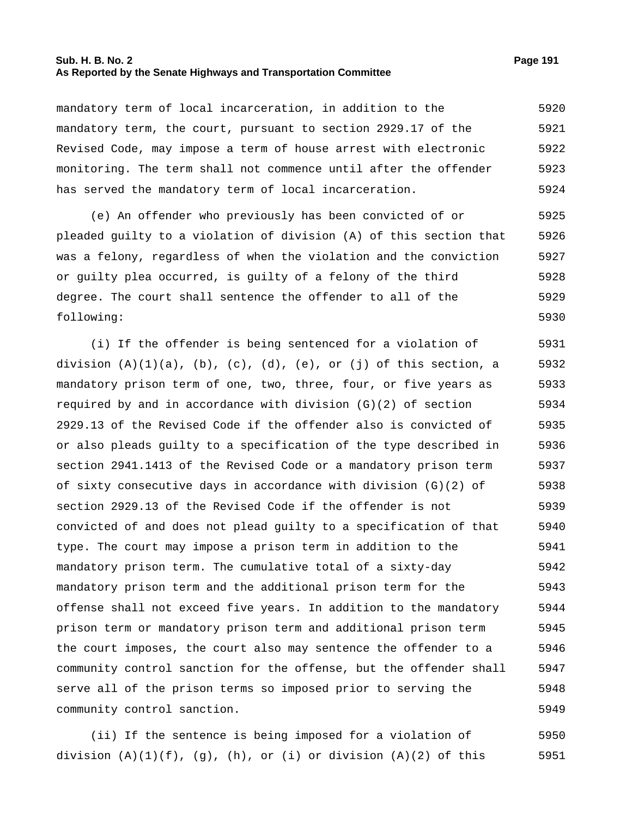### **Sub. H. B. No. 2 Page 191 As Reported by the Senate Highways and Transportation Committee**

mandatory term of local incarceration, in addition to the mandatory term, the court, pursuant to section 2929.17 of the Revised Code, may impose a term of house arrest with electronic monitoring. The term shall not commence until after the offender has served the mandatory term of local incarceration. 5920 5921 5922 5923 5924

(e) An offender who previously has been convicted of or pleaded guilty to a violation of division (A) of this section that was a felony, regardless of when the violation and the conviction or guilty plea occurred, is guilty of a felony of the third degree. The court shall sentence the offender to all of the following: 5925 5926 5927 5928 5929 5930

(i) If the offender is being sentenced for a violation of division  $(A)(1)(a)$ ,  $(b)$ ,  $(c)$ ,  $(d)$ ,  $(e)$ , or  $(j)$  of this section, a mandatory prison term of one, two, three, four, or five years as required by and in accordance with division  $(G)(2)$  of section 2929.13 of the Revised Code if the offender also is convicted of or also pleads guilty to a specification of the type described in section 2941.1413 of the Revised Code or a mandatory prison term of sixty consecutive days in accordance with division  $(G)(2)$  of section 2929.13 of the Revised Code if the offender is not convicted of and does not plead guilty to a specification of that type. The court may impose a prison term in addition to the mandatory prison term. The cumulative total of a sixty-day mandatory prison term and the additional prison term for the offense shall not exceed five years. In addition to the mandatory prison term or mandatory prison term and additional prison term the court imposes, the court also may sentence the offender to a community control sanction for the offense, but the offender shall serve all of the prison terms so imposed prior to serving the community control sanction. 5931 5932 5933 5934 5935 5936 5937 5938 5939 5940 5941 5942 5943 5944 5945 5946 5947 5948 5949

(ii) If the sentence is being imposed for a violation of division  $(A)(1)(f)$ ,  $(g)$ ,  $(h)$ , or  $(i)$  or division  $(A)(2)$  of this 5950 5951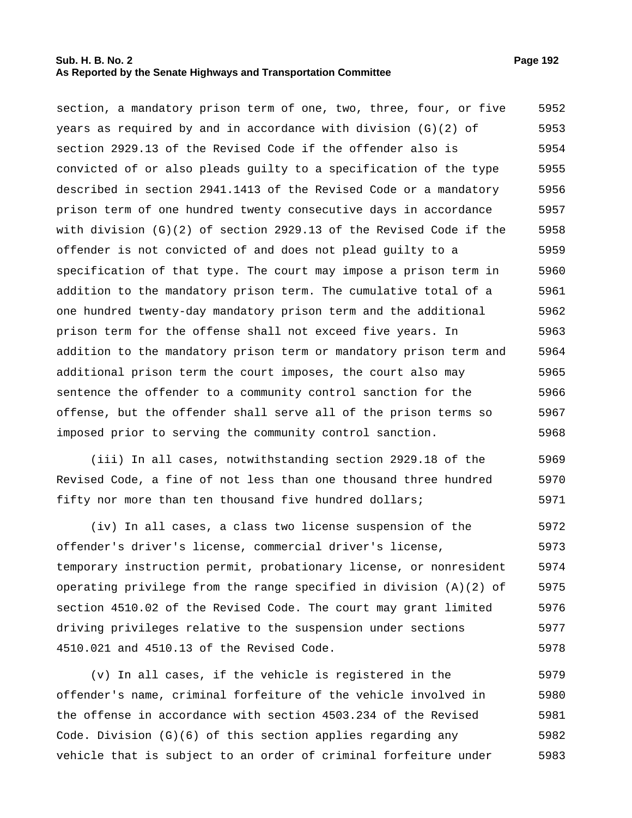# **Sub. H. B. No. 2 Page 192 As Reported by the Senate Highways and Transportation Committee**

section, a mandatory prison term of one, two, three, four, or five years as required by and in accordance with division (G)(2) of section 2929.13 of the Revised Code if the offender also is convicted of or also pleads guilty to a specification of the type described in section 2941.1413 of the Revised Code or a mandatory prison term of one hundred twenty consecutive days in accordance with division  $(G)(2)$  of section 2929.13 of the Revised Code if the offender is not convicted of and does not plead guilty to a specification of that type. The court may impose a prison term in addition to the mandatory prison term. The cumulative total of a one hundred twenty-day mandatory prison term and the additional prison term for the offense shall not exceed five years. In addition to the mandatory prison term or mandatory prison term and additional prison term the court imposes, the court also may sentence the offender to a community control sanction for the offense, but the offender shall serve all of the prison terms so imposed prior to serving the community control sanction. 5952 5953 5954 5955 5956 5957 5958 5959 5960 5961 5962 5963 5964 5965 5966 5967 5968

(iii) In all cases, notwithstanding section 2929.18 of the Revised Code, a fine of not less than one thousand three hundred fifty nor more than ten thousand five hundred dollars; 5969 5970 5971

(iv) In all cases, a class two license suspension of the offender's driver's license, commercial driver's license, temporary instruction permit, probationary license, or nonresident operating privilege from the range specified in division (A)(2) of section 4510.02 of the Revised Code. The court may grant limited driving privileges relative to the suspension under sections 4510.021 and 4510.13 of the Revised Code. 5972 5973 5974 5975 5976 5977 5978

(v) In all cases, if the vehicle is registered in the offender's name, criminal forfeiture of the vehicle involved in the offense in accordance with section 4503.234 of the Revised Code. Division (G)(6) of this section applies regarding any vehicle that is subject to an order of criminal forfeiture under 5979 5980 5981 5982 5983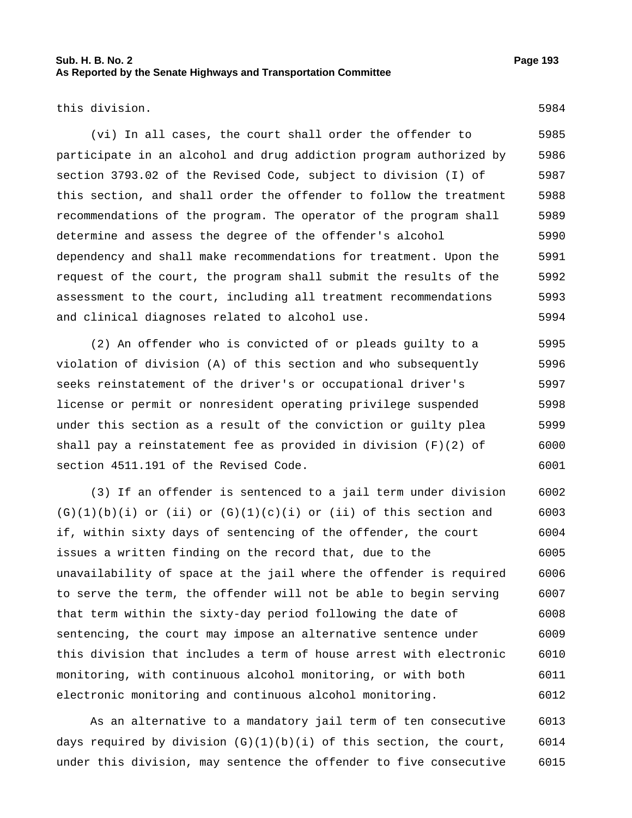# **Sub. H. B. No. 2 Page 193 As Reported by the Senate Highways and Transportation Committee**

this division. 5984

(vi) In all cases, the court shall order the offender to participate in an alcohol and drug addiction program authorized by section 3793.02 of the Revised Code, subject to division (I) of this section, and shall order the offender to follow the treatment recommendations of the program. The operator of the program shall determine and assess the degree of the offender's alcohol dependency and shall make recommendations for treatment. Upon the request of the court, the program shall submit the results of the assessment to the court, including all treatment recommendations and clinical diagnoses related to alcohol use. 5985 5986 5987 5988 5989 5990 5991 5992 5993 5994

(2) An offender who is convicted of or pleads guilty to a violation of division (A) of this section and who subsequently seeks reinstatement of the driver's or occupational driver's license or permit or nonresident operating privilege suspended under this section as a result of the conviction or guilty plea shall pay a reinstatement fee as provided in division  $(F)(2)$  of section 4511.191 of the Revised Code. 5995 5996 5997 5998 5999 6000 6001

(3) If an offender is sentenced to a jail term under division  $(G)(1)(b)(i)$  or  $(ii)$  or  $(G)(1)(c)(i)$  or  $(ii)$  of this section and if, within sixty days of sentencing of the offender, the court issues a written finding on the record that, due to the unavailability of space at the jail where the offender is required to serve the term, the offender will not be able to begin serving that term within the sixty-day period following the date of sentencing, the court may impose an alternative sentence under this division that includes a term of house arrest with electronic monitoring, with continuous alcohol monitoring, or with both electronic monitoring and continuous alcohol monitoring. 6002 6003 6004 6005 6006 6007 6008 6009 6010 6011 6012

As an alternative to a mandatory jail term of ten consecutive days required by division  $(G)(1)(b)(i)$  of this section, the court, under this division, may sentence the offender to five consecutive 6013 6014 6015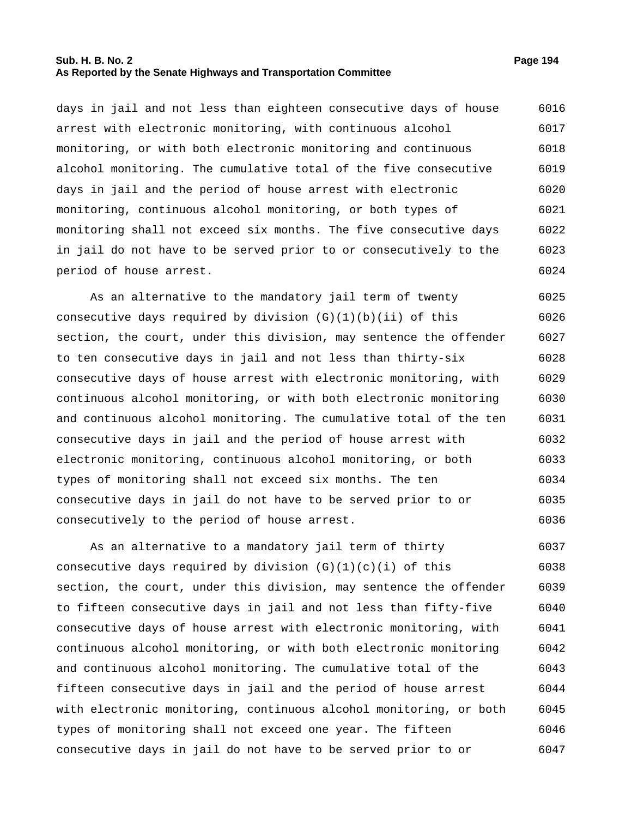#### **Sub. H. B. No. 2 Page 194 As Reported by the Senate Highways and Transportation Committee**

days in jail and not less than eighteen consecutive days of house arrest with electronic monitoring, with continuous alcohol monitoring, or with both electronic monitoring and continuous alcohol monitoring. The cumulative total of the five consecutive days in jail and the period of house arrest with electronic monitoring, continuous alcohol monitoring, or both types of monitoring shall not exceed six months. The five consecutive days in jail do not have to be served prior to or consecutively to the period of house arrest. 6016 6017 6018 6019 6020 6021 6022 6023 6024

As an alternative to the mandatory jail term of twenty consecutive days required by division  $(G)(1)(b)(ii)$  of this section, the court, under this division, may sentence the offender to ten consecutive days in jail and not less than thirty-six consecutive days of house arrest with electronic monitoring, with continuous alcohol monitoring, or with both electronic monitoring and continuous alcohol monitoring. The cumulative total of the ten consecutive days in jail and the period of house arrest with electronic monitoring, continuous alcohol monitoring, or both types of monitoring shall not exceed six months. The ten consecutive days in jail do not have to be served prior to or consecutively to the period of house arrest. 6025 6026 6027 6028 6029 6030 6031 6032 6033 6034 6035 6036

As an alternative to a mandatory jail term of thirty consecutive days required by division  $(G)(1)(c)(i)$  of this section, the court, under this division, may sentence the offender to fifteen consecutive days in jail and not less than fifty-five consecutive days of house arrest with electronic monitoring, with continuous alcohol monitoring, or with both electronic monitoring and continuous alcohol monitoring. The cumulative total of the fifteen consecutive days in jail and the period of house arrest with electronic monitoring, continuous alcohol monitoring, or both types of monitoring shall not exceed one year. The fifteen consecutive days in jail do not have to be served prior to or 6037 6038 6039 6040 6041 6042 6043 6044 6045 6046 6047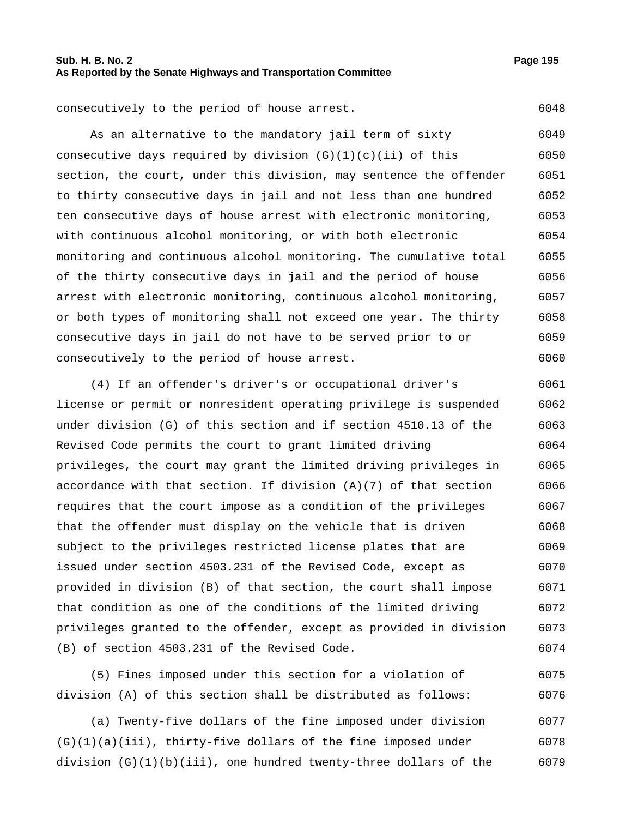consecutively to the period of house arrest. 6048

As an alternative to the mandatory jail term of sixty consecutive days required by division  $(G)(1)(c)(ii)$  of this section, the court, under this division, may sentence the offender to thirty consecutive days in jail and not less than one hundred ten consecutive days of house arrest with electronic monitoring, with continuous alcohol monitoring, or with both electronic monitoring and continuous alcohol monitoring. The cumulative total of the thirty consecutive days in jail and the period of house arrest with electronic monitoring, continuous alcohol monitoring, or both types of monitoring shall not exceed one year. The thirty consecutive days in jail do not have to be served prior to or consecutively to the period of house arrest. 6049 6050 6051 6052 6053 6054 6055 6056 6057 6058 6059 6060

(4) If an offender's driver's or occupational driver's license or permit or nonresident operating privilege is suspended under division (G) of this section and if section 4510.13 of the Revised Code permits the court to grant limited driving privileges, the court may grant the limited driving privileges in accordance with that section. If division (A)(7) of that section requires that the court impose as a condition of the privileges that the offender must display on the vehicle that is driven subject to the privileges restricted license plates that are issued under section 4503.231 of the Revised Code, except as provided in division (B) of that section, the court shall impose that condition as one of the conditions of the limited driving privileges granted to the offender, except as provided in division (B) of section 4503.231 of the Revised Code. 6061 6062 6063 6064 6065 6066 6067 6068 6069 6070 6071 6072 6073 6074

(5) Fines imposed under this section for a violation of division (A) of this section shall be distributed as follows: 6075 6076

(a) Twenty-five dollars of the fine imposed under division  $(G)(1)(a)(iii)$ , thirty-five dollars of the fine imposed under division (G)(1)(b)(iii), one hundred twenty-three dollars of the 6077 6078 6079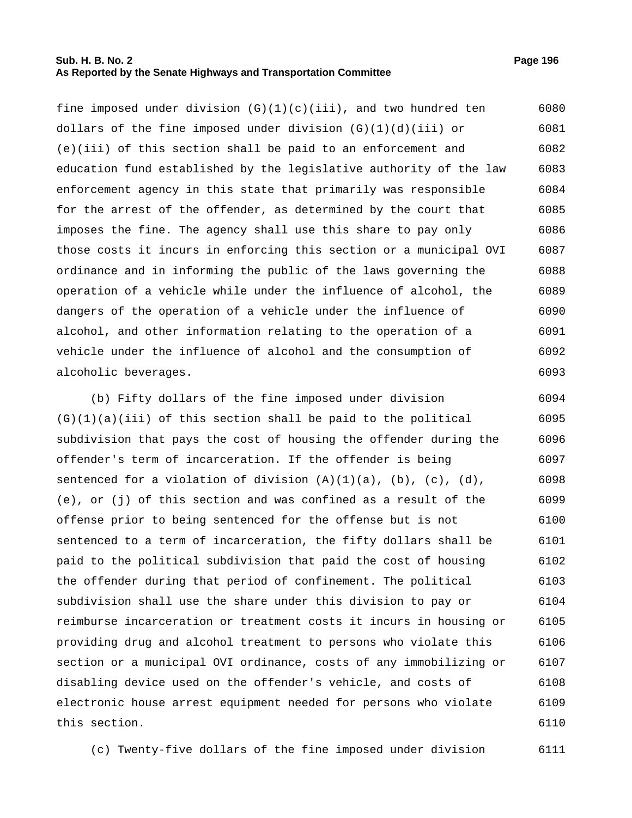### **Sub. H. B. No. 2 Page 196 As Reported by the Senate Highways and Transportation Committee**

fine imposed under division  $(G)(1)(c)(iii)$ , and two hundred ten dollars of the fine imposed under division  $(G)(1)(d)(iii)$  or (e)(iii) of this section shall be paid to an enforcement and education fund established by the legislative authority of the law enforcement agency in this state that primarily was responsible for the arrest of the offender, as determined by the court that imposes the fine. The agency shall use this share to pay only those costs it incurs in enforcing this section or a municipal OVI ordinance and in informing the public of the laws governing the operation of a vehicle while under the influence of alcohol, the dangers of the operation of a vehicle under the influence of alcohol, and other information relating to the operation of a vehicle under the influence of alcohol and the consumption of alcoholic beverages. 6080 6081 6082 6083 6084 6085 6086 6087 6088 6089 6090 6091 6092 6093

(b) Fifty dollars of the fine imposed under division  $(G)(1)(a)(iii)$  of this section shall be paid to the political subdivision that pays the cost of housing the offender during the offender's term of incarceration. If the offender is being sentenced for a violation of division  $(A)(1)(a)$ ,  $(b)$ ,  $(c)$ ,  $(d)$ , (e), or (j) of this section and was confined as a result of the offense prior to being sentenced for the offense but is not sentenced to a term of incarceration, the fifty dollars shall be paid to the political subdivision that paid the cost of housing the offender during that period of confinement. The political subdivision shall use the share under this division to pay or reimburse incarceration or treatment costs it incurs in housing or providing drug and alcohol treatment to persons who violate this section or a municipal OVI ordinance, costs of any immobilizing or disabling device used on the offender's vehicle, and costs of electronic house arrest equipment needed for persons who violate this section. 6094 6095 6096 6097 6098 6099 6100 6101 6102 6103 6104 6105 6106 6107 6108 6109 6110

(c) Twenty-five dollars of the fine imposed under division 6111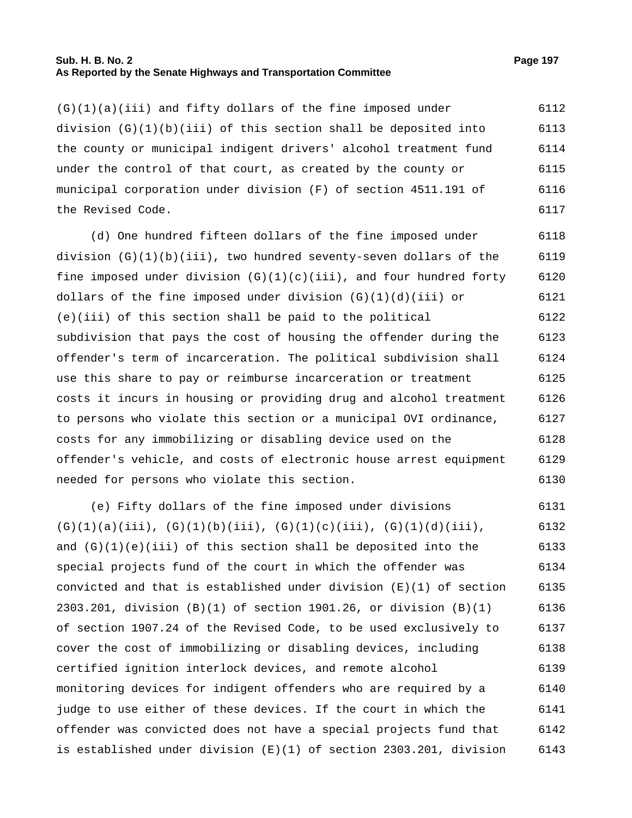### **Sub. H. B. No. 2 Page 197 As Reported by the Senate Highways and Transportation Committee**

 $(G)(1)(a)(iii)$  and fifty dollars of the fine imposed under division  $(G)(1)(b)(iii)$  of this section shall be deposited into the county or municipal indigent drivers' alcohol treatment fund under the control of that court, as created by the county or municipal corporation under division (F) of section 4511.191 of the Revised Code. 6112 6113 6114 6115 6116 6117

(d) One hundred fifteen dollars of the fine imposed under division  $(G)(1)(b)(iii)$ , two hundred seventy-seven dollars of the fine imposed under division  $(G)(1)(c)(iii)$ , and four hundred forty dollars of the fine imposed under division  $(G)(1)(d)(iii)$  or (e)(iii) of this section shall be paid to the political subdivision that pays the cost of housing the offender during the offender's term of incarceration. The political subdivision shall use this share to pay or reimburse incarceration or treatment costs it incurs in housing or providing drug and alcohol treatment to persons who violate this section or a municipal OVI ordinance, costs for any immobilizing or disabling device used on the offender's vehicle, and costs of electronic house arrest equipment needed for persons who violate this section. 6118 6119 6120 6121 6122 6123 6124 6125 6126 6127 6128 6129 6130

(e) Fifty dollars of the fine imposed under divisions  $(G)(1)(a)(iii), (G)(1)(b)(iii), (G)(1)(c)(iii), (G)(1)(d)(iii),$ and  $(G)(1)(e)(iii)$  of this section shall be deposited into the special projects fund of the court in which the offender was convicted and that is established under division  $(E)(1)$  of section 2303.201, division (B)(1) of section 1901.26, or division (B)(1) of section 1907.24 of the Revised Code, to be used exclusively to cover the cost of immobilizing or disabling devices, including certified ignition interlock devices, and remote alcohol monitoring devices for indigent offenders who are required by a judge to use either of these devices. If the court in which the offender was convicted does not have a special projects fund that is established under division (E)(1) of section 2303.201, division 6131 6132 6133 6134 6135 6136 6137 6138 6139 6140 6141 6142 6143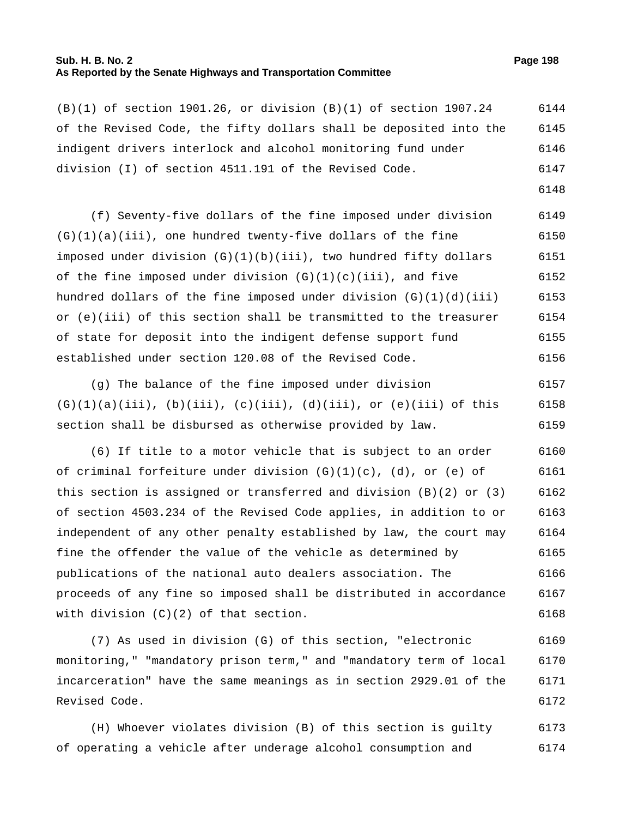### **Sub. H. B. No. 2 Page 198 As Reported by the Senate Highways and Transportation Committee**

(B)(1) of section 1901.26, or division (B)(1) of section 1907.24 of the Revised Code, the fifty dollars shall be deposited into the indigent drivers interlock and alcohol monitoring fund under division (I) of section 4511.191 of the Revised Code. 6144 6145 6146 6147

6148

(f) Seventy-five dollars of the fine imposed under division  $(G)(1)(a)(iii)$ , one hundred twenty-five dollars of the fine imposed under division (G)(1)(b)(iii), two hundred fifty dollars of the fine imposed under division  $(G)(1)(c)(iii)$ , and five hundred dollars of the fine imposed under division  $(G)(1)(d)(iii)$ or (e)(iii) of this section shall be transmitted to the treasurer of state for deposit into the indigent defense support fund established under section 120.08 of the Revised Code. 6149 6150 6151 6152 6153 6154 6155 6156

(g) The balance of the fine imposed under division  $(G)(1)(a)(iii)$ ,  $(b)(iii)$ ,  $(c)(iii)$ ,  $(d)(iii)$ , or  $(e)(iii)$  of this section shall be disbursed as otherwise provided by law. 6157 6158 6159

(6) If title to a motor vehicle that is subject to an order of criminal forfeiture under division  $(G)(1)(c)$ ,  $(d)$ , or  $(e)$  of this section is assigned or transferred and division (B)(2) or (3) of section 4503.234 of the Revised Code applies, in addition to or independent of any other penalty established by law, the court may fine the offender the value of the vehicle as determined by publications of the national auto dealers association. The proceeds of any fine so imposed shall be distributed in accordance with division (C)(2) of that section. 6160 6161 6162 6163 6164 6165 6166 6167 6168

(7) As used in division (G) of this section, "electronic monitoring," "mandatory prison term," and "mandatory term of local incarceration" have the same meanings as in section 2929.01 of the Revised Code. 6169 6170 6171 6172

(H) Whoever violates division (B) of this section is guilty of operating a vehicle after underage alcohol consumption and 6173 6174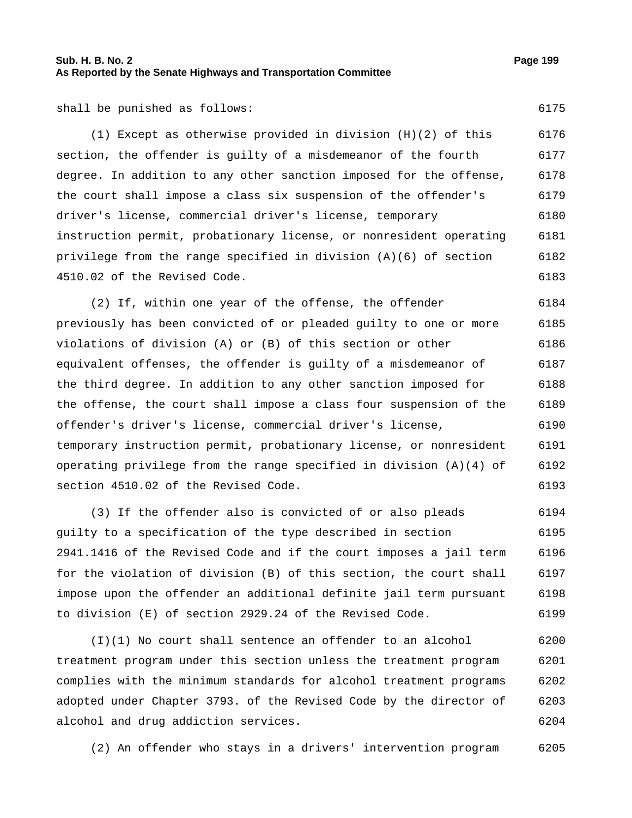### **Sub. H. B. No. 2 Page 199 As Reported by the Senate Highways and Transportation Committee**

shall be punished as follows: 6175

(1) Except as otherwise provided in division (H)(2) of this section, the offender is guilty of a misdemeanor of the fourth degree. In addition to any other sanction imposed for the offense, the court shall impose a class six suspension of the offender's driver's license, commercial driver's license, temporary instruction permit, probationary license, or nonresident operating privilege from the range specified in division (A)(6) of section 4510.02 of the Revised Code. 6176 6177 6178 6179 6180 6181 6182 6183

(2) If, within one year of the offense, the offender previously has been convicted of or pleaded guilty to one or more violations of division (A) or (B) of this section or other equivalent offenses, the offender is guilty of a misdemeanor of the third degree. In addition to any other sanction imposed for the offense, the court shall impose a class four suspension of the offender's driver's license, commercial driver's license, temporary instruction permit, probationary license, or nonresident operating privilege from the range specified in division (A)(4) of section 4510.02 of the Revised Code. 6184 6185 6186 6187 6188 6189 6190 6191 6192 6193

(3) If the offender also is convicted of or also pleads guilty to a specification of the type described in section 2941.1416 of the Revised Code and if the court imposes a jail term for the violation of division (B) of this section, the court shall impose upon the offender an additional definite jail term pursuant to division (E) of section 2929.24 of the Revised Code. 6194 6195 6196 6197 6198 6199

(I)(1) No court shall sentence an offender to an alcohol treatment program under this section unless the treatment program complies with the minimum standards for alcohol treatment programs adopted under Chapter 3793. of the Revised Code by the director of alcohol and drug addiction services. 6200 6201 6202 6203 6204

(2) An offender who stays in a drivers' intervention program 6205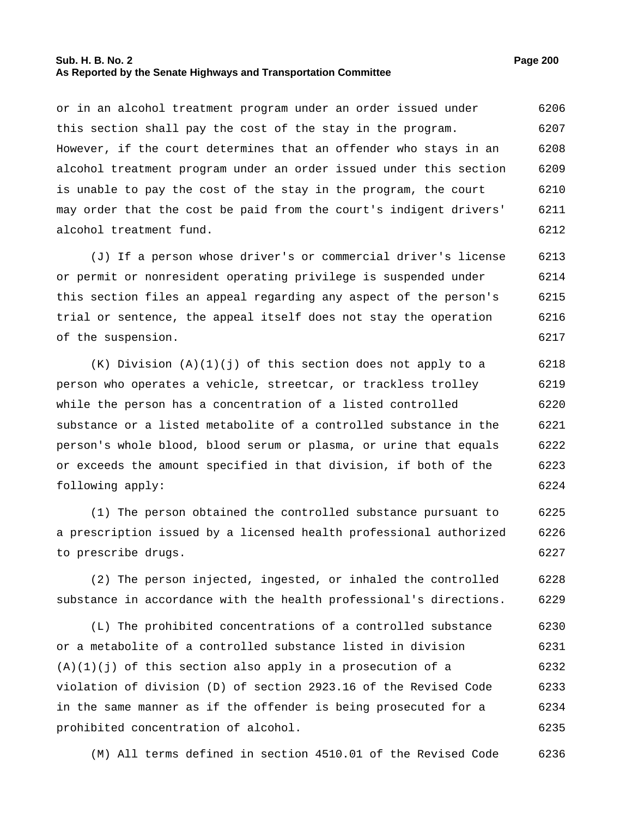### **Sub. H. B. No. 2 Page 200 As Reported by the Senate Highways and Transportation Committee**

or in an alcohol treatment program under an order issued under this section shall pay the cost of the stay in the program. However, if the court determines that an offender who stays in an alcohol treatment program under an order issued under this section is unable to pay the cost of the stay in the program, the court may order that the cost be paid from the court's indigent drivers' alcohol treatment fund. 6206 6207 6208 6209 6210 6211 6212

(J) If a person whose driver's or commercial driver's license or permit or nonresident operating privilege is suspended under this section files an appeal regarding any aspect of the person's trial or sentence, the appeal itself does not stay the operation of the suspension. 6213 6214 6215 6216 6217

 $(K)$  Division  $(A)(1)(i)$  of this section does not apply to a person who operates a vehicle, streetcar, or trackless trolley while the person has a concentration of a listed controlled substance or a listed metabolite of a controlled substance in the person's whole blood, blood serum or plasma, or urine that equals or exceeds the amount specified in that division, if both of the following apply: 6218 6219 6220 6221 6222 6223 6224

(1) The person obtained the controlled substance pursuant to a prescription issued by a licensed health professional authorized to prescribe drugs. 6225 6226 6227

(2) The person injected, ingested, or inhaled the controlled substance in accordance with the health professional's directions. 6228 6229

(L) The prohibited concentrations of a controlled substance or a metabolite of a controlled substance listed in division  $(A)(1)(j)$  of this section also apply in a prosecution of a violation of division (D) of section 2923.16 of the Revised Code in the same manner as if the offender is being prosecuted for a prohibited concentration of alcohol. 6230 6231 6232 6233 6234 6235

(M) All terms defined in section 4510.01 of the Revised Code 6236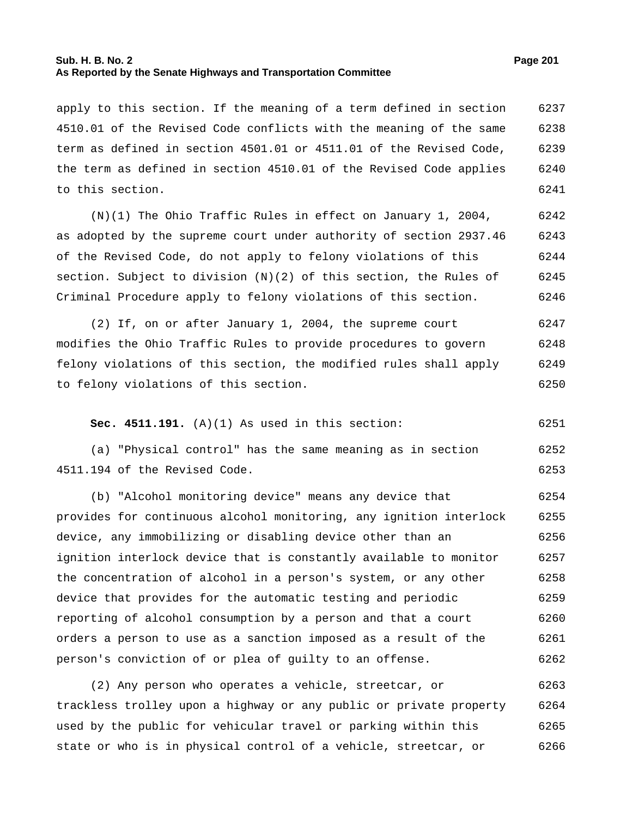### **Sub. H. B. No. 2 Page 201 As Reported by the Senate Highways and Transportation Committee**

apply to this section. If the meaning of a term defined in section 4510.01 of the Revised Code conflicts with the meaning of the same term as defined in section 4501.01 or 4511.01 of the Revised Code, the term as defined in section 4510.01 of the Revised Code applies to this section. 6237 6238 6239 6240 6241

(N)(1) The Ohio Traffic Rules in effect on January 1, 2004, as adopted by the supreme court under authority of section 2937.46 of the Revised Code, do not apply to felony violations of this section. Subject to division (N)(2) of this section, the Rules of Criminal Procedure apply to felony violations of this section. 6242 6243 6244 6245 6246

(2) If, on or after January 1, 2004, the supreme court modifies the Ohio Traffic Rules to provide procedures to govern felony violations of this section, the modified rules shall apply to felony violations of this section. 6247 6248 6249 6250

#### **Sec. 4511.191.** (A)(1) As used in this section: 6251

(a) "Physical control" has the same meaning as in section 4511.194 of the Revised Code. 6252 6253

(b) "Alcohol monitoring device" means any device that provides for continuous alcohol monitoring, any ignition interlock device, any immobilizing or disabling device other than an ignition interlock device that is constantly available to monitor the concentration of alcohol in a person's system, or any other device that provides for the automatic testing and periodic reporting of alcohol consumption by a person and that a court orders a person to use as a sanction imposed as a result of the person's conviction of or plea of guilty to an offense. 6254 6255 6256 6257 6258 6259 6260 6261 6262

(2) Any person who operates a vehicle, streetcar, or trackless trolley upon a highway or any public or private property used by the public for vehicular travel or parking within this state or who is in physical control of a vehicle, streetcar, or 6263 6264 6265 6266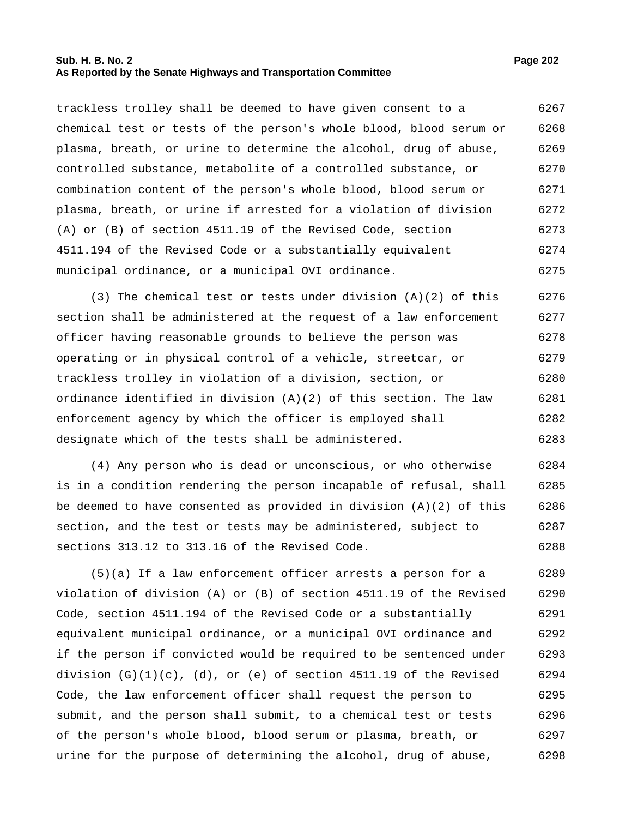### **Sub. H. B. No. 2 Page 202 As Reported by the Senate Highways and Transportation Committee**

trackless trolley shall be deemed to have given consent to a chemical test or tests of the person's whole blood, blood serum or plasma, breath, or urine to determine the alcohol, drug of abuse, controlled substance, metabolite of a controlled substance, or combination content of the person's whole blood, blood serum or plasma, breath, or urine if arrested for a violation of division (A) or (B) of section 4511.19 of the Revised Code, section 4511.194 of the Revised Code or a substantially equivalent municipal ordinance, or a municipal OVI ordinance. 6267 6268 6269 6270 6271 6272 6273 6274 6275

(3) The chemical test or tests under division (A)(2) of this section shall be administered at the request of a law enforcement officer having reasonable grounds to believe the person was operating or in physical control of a vehicle, streetcar, or trackless trolley in violation of a division, section, or ordinance identified in division  $(A)(2)$  of this section. The law enforcement agency by which the officer is employed shall designate which of the tests shall be administered. 6276 6277 6278 6279 6280 6281 6282 6283

(4) Any person who is dead or unconscious, or who otherwise is in a condition rendering the person incapable of refusal, shall be deemed to have consented as provided in division  $(A)(2)$  of this section, and the test or tests may be administered, subject to sections 313.12 to 313.16 of the Revised Code. 6284 6285 6286 6287 6288

(5)(a) If a law enforcement officer arrests a person for a violation of division (A) or (B) of section 4511.19 of the Revised Code, section 4511.194 of the Revised Code or a substantially equivalent municipal ordinance, or a municipal OVI ordinance and if the person if convicted would be required to be sentenced under division  $(G)(1)(c)$ ,  $(d)$ , or  $(e)$  of section 4511.19 of the Revised Code, the law enforcement officer shall request the person to submit, and the person shall submit, to a chemical test or tests of the person's whole blood, blood serum or plasma, breath, or urine for the purpose of determining the alcohol, drug of abuse, 6289 6290 6291 6292 6293 6294 6295 6296 6297 6298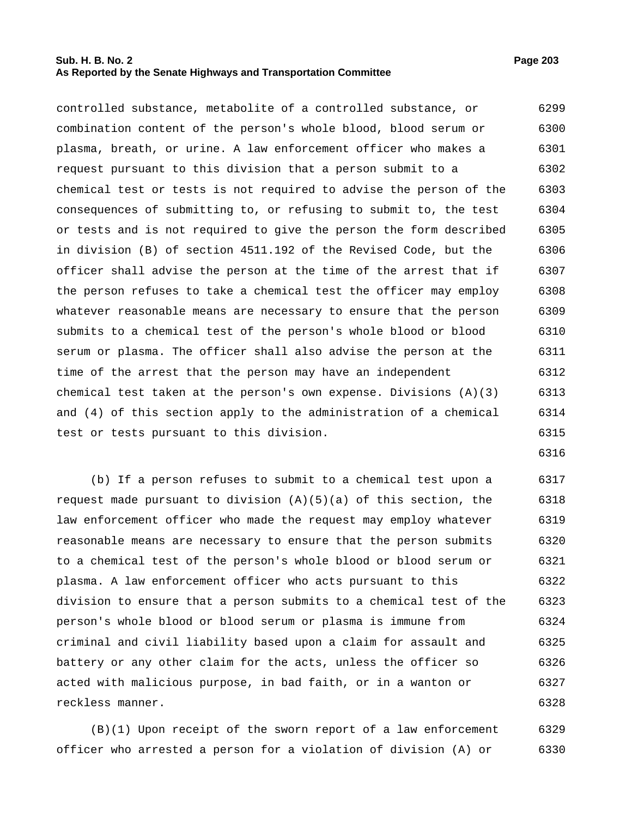# **Sub. H. B. No. 2 Page 203 As Reported by the Senate Highways and Transportation Committee**

controlled substance, metabolite of a controlled substance, or combination content of the person's whole blood, blood serum or plasma, breath, or urine. A law enforcement officer who makes a request pursuant to this division that a person submit to a chemical test or tests is not required to advise the person of the consequences of submitting to, or refusing to submit to, the test or tests and is not required to give the person the form described in division (B) of section 4511.192 of the Revised Code, but the officer shall advise the person at the time of the arrest that if the person refuses to take a chemical test the officer may employ whatever reasonable means are necessary to ensure that the person submits to a chemical test of the person's whole blood or blood serum or plasma. The officer shall also advise the person at the time of the arrest that the person may have an independent chemical test taken at the person's own expense. Divisions  $(A)(3)$ and (4) of this section apply to the administration of a chemical test or tests pursuant to this division. 6299 6300 6301 6302 6303 6304 6305 6306 6307 6308 6309 6310 6311 6312 6313 6314 6315

6316

(b) If a person refuses to submit to a chemical test upon a request made pursuant to division  $(A)(5)(a)$  of this section, the law enforcement officer who made the request may employ whatever reasonable means are necessary to ensure that the person submits to a chemical test of the person's whole blood or blood serum or plasma. A law enforcement officer who acts pursuant to this division to ensure that a person submits to a chemical test of the person's whole blood or blood serum or plasma is immune from criminal and civil liability based upon a claim for assault and battery or any other claim for the acts, unless the officer so acted with malicious purpose, in bad faith, or in a wanton or reckless manner. 6317 6318 6319 6320 6321 6322 6323 6324 6325 6326 6327 6328

(B)(1) Upon receipt of the sworn report of a law enforcement officer who arrested a person for a violation of division (A) or 6329 6330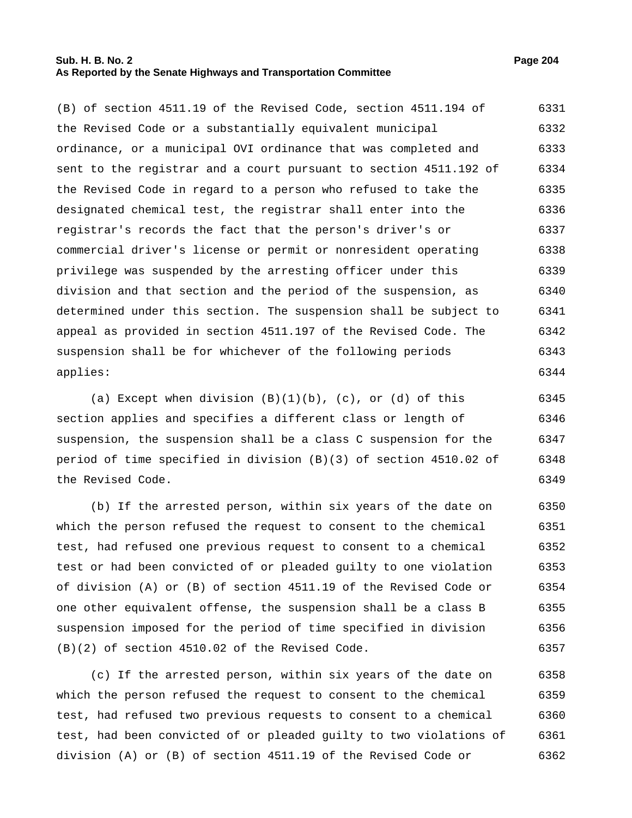#### **Sub. H. B. No. 2 Page 204 As Reported by the Senate Highways and Transportation Committee**

(B) of section 4511.19 of the Revised Code, section 4511.194 of the Revised Code or a substantially equivalent municipal ordinance, or a municipal OVI ordinance that was completed and sent to the registrar and a court pursuant to section 4511.192 of the Revised Code in regard to a person who refused to take the designated chemical test, the registrar shall enter into the registrar's records the fact that the person's driver's or commercial driver's license or permit or nonresident operating privilege was suspended by the arresting officer under this division and that section and the period of the suspension, as determined under this section. The suspension shall be subject to appeal as provided in section 4511.197 of the Revised Code. The suspension shall be for whichever of the following periods applies: 6331 6332 6333 6334 6335 6336 6337 6338 6339 6340 6341 6342 6343 6344

(a) Except when division  $(B)(1)(b)$ ,  $(c)$ , or  $(d)$  of this section applies and specifies a different class or length of suspension, the suspension shall be a class C suspension for the period of time specified in division (B)(3) of section 4510.02 of the Revised Code. 6345 6346 6347 6348 6349

(b) If the arrested person, within six years of the date on which the person refused the request to consent to the chemical test, had refused one previous request to consent to a chemical test or had been convicted of or pleaded guilty to one violation of division (A) or (B) of section 4511.19 of the Revised Code or one other equivalent offense, the suspension shall be a class B suspension imposed for the period of time specified in division (B)(2) of section 4510.02 of the Revised Code. 6350 6351 6352 6353 6354 6355 6356 6357

(c) If the arrested person, within six years of the date on which the person refused the request to consent to the chemical test, had refused two previous requests to consent to a chemical test, had been convicted of or pleaded guilty to two violations of division (A) or (B) of section 4511.19 of the Revised Code or 6358 6359 6360 6361 6362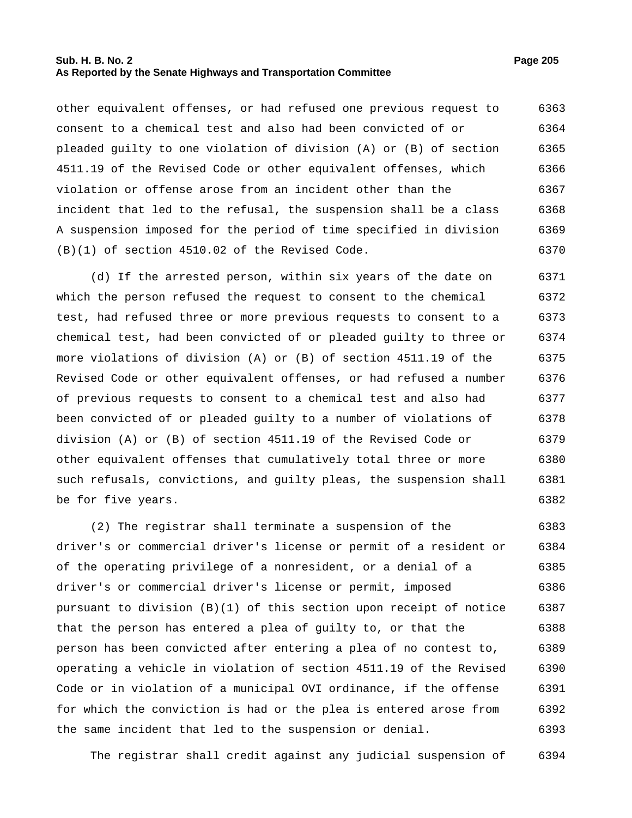### **Sub. H. B. No. 2 Page 205 As Reported by the Senate Highways and Transportation Committee**

other equivalent offenses, or had refused one previous request to consent to a chemical test and also had been convicted of or pleaded guilty to one violation of division (A) or (B) of section 4511.19 of the Revised Code or other equivalent offenses, which violation or offense arose from an incident other than the incident that led to the refusal, the suspension shall be a class A suspension imposed for the period of time specified in division (B)(1) of section 4510.02 of the Revised Code. 6363 6364 6365 6366 6367 6368 6369 6370

(d) If the arrested person, within six years of the date on which the person refused the request to consent to the chemical test, had refused three or more previous requests to consent to a chemical test, had been convicted of or pleaded guilty to three or more violations of division (A) or (B) of section 4511.19 of the Revised Code or other equivalent offenses, or had refused a number of previous requests to consent to a chemical test and also had been convicted of or pleaded guilty to a number of violations of division (A) or (B) of section 4511.19 of the Revised Code or other equivalent offenses that cumulatively total three or more such refusals, convictions, and guilty pleas, the suspension shall be for five years. 6371 6372 6373 6374 6375 6376 6377 6378 6379 6380 6381 6382

(2) The registrar shall terminate a suspension of the driver's or commercial driver's license or permit of a resident or of the operating privilege of a nonresident, or a denial of a driver's or commercial driver's license or permit, imposed pursuant to division (B)(1) of this section upon receipt of notice that the person has entered a plea of guilty to, or that the person has been convicted after entering a plea of no contest to, operating a vehicle in violation of section 4511.19 of the Revised Code or in violation of a municipal OVI ordinance, if the offense for which the conviction is had or the plea is entered arose from the same incident that led to the suspension or denial. 6383 6384 6385 6386 6387 6388 6389 6390 6391 6392 6393

The registrar shall credit against any judicial suspension of 6394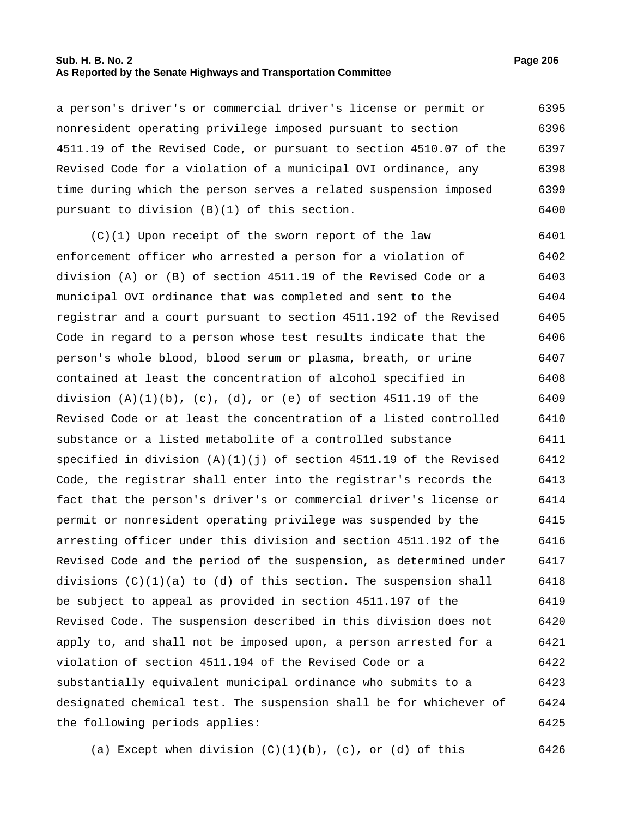### **Sub. H. B. No. 2 Page 206 As Reported by the Senate Highways and Transportation Committee**

a person's driver's or commercial driver's license or permit or nonresident operating privilege imposed pursuant to section 4511.19 of the Revised Code, or pursuant to section 4510.07 of the Revised Code for a violation of a municipal OVI ordinance, any time during which the person serves a related suspension imposed pursuant to division (B)(1) of this section. 6395 6396 6397 6398 6399 6400

(C)(1) Upon receipt of the sworn report of the law enforcement officer who arrested a person for a violation of division (A) or (B) of section 4511.19 of the Revised Code or a municipal OVI ordinance that was completed and sent to the registrar and a court pursuant to section 4511.192 of the Revised Code in regard to a person whose test results indicate that the person's whole blood, blood serum or plasma, breath, or urine contained at least the concentration of alcohol specified in division  $(A)(1)(b)$ ,  $(c)$ ,  $(d)$ , or  $(e)$  of section 4511.19 of the Revised Code or at least the concentration of a listed controlled substance or a listed metabolite of a controlled substance specified in division  $(A)(1)(j)$  of section 4511.19 of the Revised Code, the registrar shall enter into the registrar's records the fact that the person's driver's or commercial driver's license or permit or nonresident operating privilege was suspended by the arresting officer under this division and section 4511.192 of the Revised Code and the period of the suspension, as determined under divisions  $(C)(1)(a)$  to  $(d)$  of this section. The suspension shall be subject to appeal as provided in section 4511.197 of the Revised Code. The suspension described in this division does not apply to, and shall not be imposed upon, a person arrested for a violation of section 4511.194 of the Revised Code or a substantially equivalent municipal ordinance who submits to a designated chemical test. The suspension shall be for whichever of the following periods applies: 6401 6402 6403 6404 6405 6406 6407 6408 6409 6410 6411 6412 6413 6414 6415 6416 6417 6418 6419 6420 6421 6422 6423 6424 6425

(a) Except when division  $(C)(1)(b)$ ,  $(c)$ , or  $(d)$  of this 6426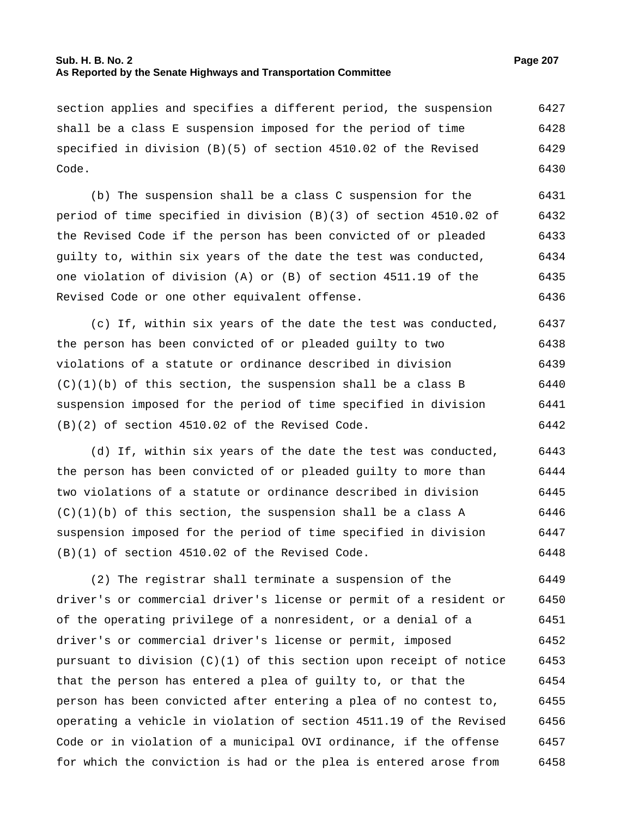# **Sub. H. B. No. 2 Page 207 As Reported by the Senate Highways and Transportation Committee**

section applies and specifies a different period, the suspension shall be a class E suspension imposed for the period of time specified in division (B)(5) of section 4510.02 of the Revised Code. 6427 6428 6429 6430

(b) The suspension shall be a class C suspension for the period of time specified in division (B)(3) of section 4510.02 of the Revised Code if the person has been convicted of or pleaded guilty to, within six years of the date the test was conducted, one violation of division (A) or (B) of section 4511.19 of the Revised Code or one other equivalent offense. 6431 6432 6433 6434 6435 6436

(c) If, within six years of the date the test was conducted, the person has been convicted of or pleaded guilty to two violations of a statute or ordinance described in division  $(C)(1)(b)$  of this section, the suspension shall be a class B suspension imposed for the period of time specified in division (B)(2) of section 4510.02 of the Revised Code. 6437 6438 6439 6440 6441 6442

(d) If, within six years of the date the test was conducted, the person has been convicted of or pleaded guilty to more than two violations of a statute or ordinance described in division  $(C)(1)(b)$  of this section, the suspension shall be a class A suspension imposed for the period of time specified in division (B)(1) of section 4510.02 of the Revised Code. 6443 6444 6445 6446 6447 6448

(2) The registrar shall terminate a suspension of the driver's or commercial driver's license or permit of a resident or of the operating privilege of a nonresident, or a denial of a driver's or commercial driver's license or permit, imposed pursuant to division (C)(1) of this section upon receipt of notice that the person has entered a plea of guilty to, or that the person has been convicted after entering a plea of no contest to, operating a vehicle in violation of section 4511.19 of the Revised Code or in violation of a municipal OVI ordinance, if the offense for which the conviction is had or the plea is entered arose from 6449 6450 6451 6452 6453 6454 6455 6456 6457 6458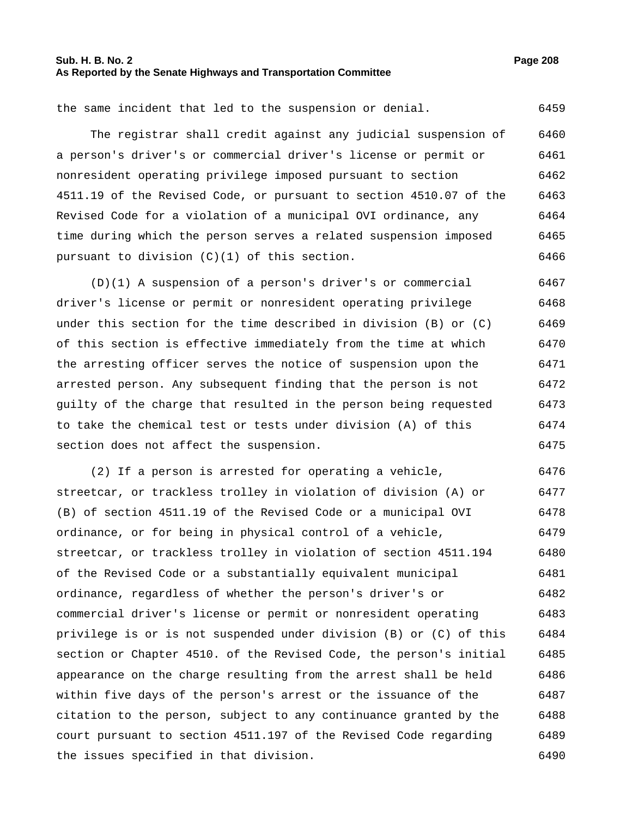## **Sub. H. B. No. 2 Page 208 As Reported by the Senate Highways and Transportation Committee**

the same incident that led to the suspension or denial. 6459

The registrar shall credit against any judicial suspension of a person's driver's or commercial driver's license or permit or nonresident operating privilege imposed pursuant to section 4511.19 of the Revised Code, or pursuant to section 4510.07 of the Revised Code for a violation of a municipal OVI ordinance, any time during which the person serves a related suspension imposed pursuant to division (C)(1) of this section. 6460 6461 6462 6463 6464 6465 6466

(D)(1) A suspension of a person's driver's or commercial driver's license or permit or nonresident operating privilege under this section for the time described in division (B) or (C) of this section is effective immediately from the time at which the arresting officer serves the notice of suspension upon the arrested person. Any subsequent finding that the person is not guilty of the charge that resulted in the person being requested to take the chemical test or tests under division (A) of this section does not affect the suspension. 6467 6468 6469 6470 6471 6472 6473 6474 6475

(2) If a person is arrested for operating a vehicle, streetcar, or trackless trolley in violation of division (A) or (B) of section 4511.19 of the Revised Code or a municipal OVI ordinance, or for being in physical control of a vehicle, streetcar, or trackless trolley in violation of section 4511.194 of the Revised Code or a substantially equivalent municipal ordinance, regardless of whether the person's driver's or commercial driver's license or permit or nonresident operating privilege is or is not suspended under division (B) or (C) of this section or Chapter 4510. of the Revised Code, the person's initial appearance on the charge resulting from the arrest shall be held within five days of the person's arrest or the issuance of the citation to the person, subject to any continuance granted by the court pursuant to section 4511.197 of the Revised Code regarding the issues specified in that division. 6476 6477 6478 6479 6480 6481 6482 6483 6484 6485 6486 6487 6488 6489 6490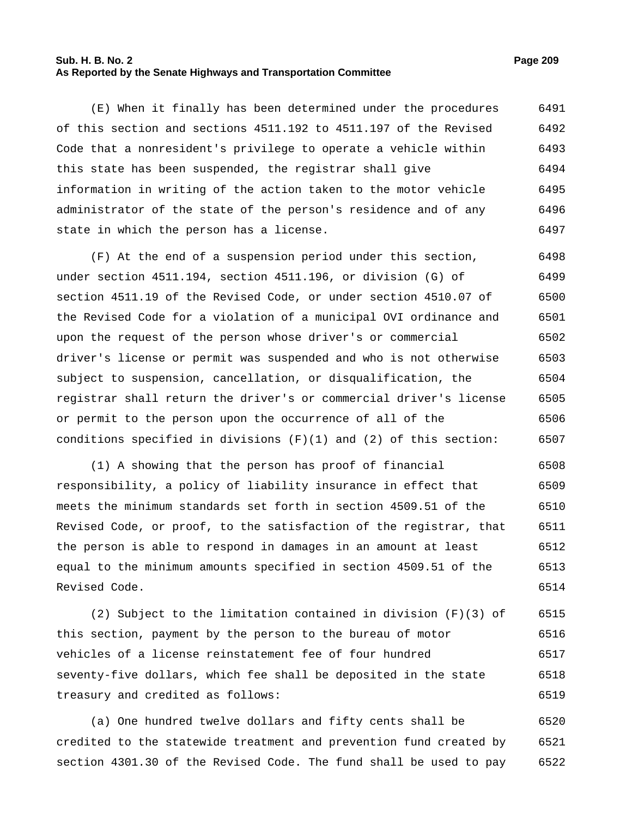#### **Sub. H. B. No. 2 Page 209 As Reported by the Senate Highways and Transportation Committee**

(E) When it finally has been determined under the procedures of this section and sections 4511.192 to 4511.197 of the Revised Code that a nonresident's privilege to operate a vehicle within this state has been suspended, the registrar shall give information in writing of the action taken to the motor vehicle administrator of the state of the person's residence and of any state in which the person has a license. 6491 6492 6493 6494 6495 6496 6497

(F) At the end of a suspension period under this section, under section 4511.194, section 4511.196, or division (G) of section 4511.19 of the Revised Code, or under section 4510.07 of the Revised Code for a violation of a municipal OVI ordinance and upon the request of the person whose driver's or commercial driver's license or permit was suspended and who is not otherwise subject to suspension, cancellation, or disqualification, the registrar shall return the driver's or commercial driver's license or permit to the person upon the occurrence of all of the conditions specified in divisions  $(F)(1)$  and  $(2)$  of this section: 6498 6499 6500 6501 6502 6503 6504 6505 6506 6507

(1) A showing that the person has proof of financial responsibility, a policy of liability insurance in effect that meets the minimum standards set forth in section 4509.51 of the Revised Code, or proof, to the satisfaction of the registrar, that the person is able to respond in damages in an amount at least equal to the minimum amounts specified in section 4509.51 of the Revised Code. 6508 6509 6510 6511 6512 6513 6514

(2) Subject to the limitation contained in division (F)(3) of this section, payment by the person to the bureau of motor vehicles of a license reinstatement fee of four hundred seventy-five dollars, which fee shall be deposited in the state treasury and credited as follows: 6515 6516 6517 6518 6519

(a) One hundred twelve dollars and fifty cents shall be credited to the statewide treatment and prevention fund created by section 4301.30 of the Revised Code. The fund shall be used to pay 6520 6521 6522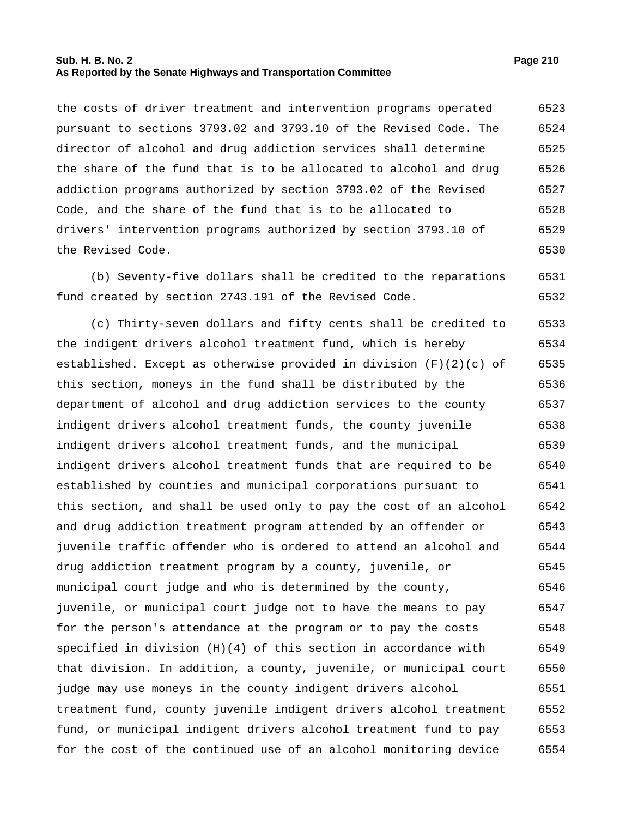### **Sub. H. B. No. 2 Page 210 As Reported by the Senate Highways and Transportation Committee**

the costs of driver treatment and intervention programs operated pursuant to sections 3793.02 and 3793.10 of the Revised Code. The director of alcohol and drug addiction services shall determine the share of the fund that is to be allocated to alcohol and drug addiction programs authorized by section 3793.02 of the Revised Code, and the share of the fund that is to be allocated to drivers' intervention programs authorized by section 3793.10 of the Revised Code. 6523 6524 6525 6526 6527 6528 6529 6530

(b) Seventy-five dollars shall be credited to the reparations fund created by section 2743.191 of the Revised Code. 6531 6532

(c) Thirty-seven dollars and fifty cents shall be credited to the indigent drivers alcohol treatment fund, which is hereby established. Except as otherwise provided in division (F)(2)(c) of this section, moneys in the fund shall be distributed by the department of alcohol and drug addiction services to the county indigent drivers alcohol treatment funds, the county juvenile indigent drivers alcohol treatment funds, and the municipal indigent drivers alcohol treatment funds that are required to be established by counties and municipal corporations pursuant to this section, and shall be used only to pay the cost of an alcohol and drug addiction treatment program attended by an offender or juvenile traffic offender who is ordered to attend an alcohol and drug addiction treatment program by a county, juvenile, or municipal court judge and who is determined by the county, juvenile, or municipal court judge not to have the means to pay for the person's attendance at the program or to pay the costs specified in division  $(H)(4)$  of this section in accordance with that division. In addition, a county, juvenile, or municipal court judge may use moneys in the county indigent drivers alcohol treatment fund, county juvenile indigent drivers alcohol treatment fund, or municipal indigent drivers alcohol treatment fund to pay for the cost of the continued use of an alcohol monitoring device 6533 6534 6535 6536 6537 6538 6539 6540 6541 6542 6543 6544 6545 6546 6547 6548 6549 6550 6551 6552 6553 6554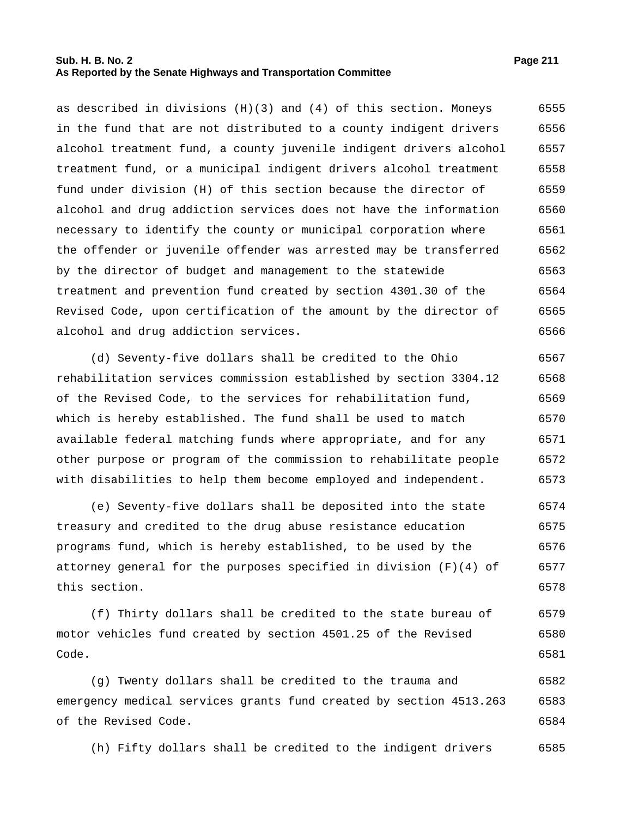### **Sub. H. B. No. 2 Page 211 As Reported by the Senate Highways and Transportation Committee**

as described in divisions  $(H)(3)$  and  $(4)$  of this section. Moneys in the fund that are not distributed to a county indigent drivers alcohol treatment fund, a county juvenile indigent drivers alcohol treatment fund, or a municipal indigent drivers alcohol treatment fund under division (H) of this section because the director of alcohol and drug addiction services does not have the information necessary to identify the county or municipal corporation where the offender or juvenile offender was arrested may be transferred by the director of budget and management to the statewide treatment and prevention fund created by section 4301.30 of the Revised Code, upon certification of the amount by the director of alcohol and drug addiction services. 6555 6556 6557 6558 6559 6560 6561 6562 6563 6564 6565 6566

(d) Seventy-five dollars shall be credited to the Ohio rehabilitation services commission established by section 3304.12 of the Revised Code, to the services for rehabilitation fund, which is hereby established. The fund shall be used to match available federal matching funds where appropriate, and for any other purpose or program of the commission to rehabilitate people with disabilities to help them become employed and independent. 6567 6568 6569 6570 6571 6572 6573

(e) Seventy-five dollars shall be deposited into the state treasury and credited to the drug abuse resistance education programs fund, which is hereby established, to be used by the attorney general for the purposes specified in division (F)(4) of this section. 6574 6575 6576 6577 6578

(f) Thirty dollars shall be credited to the state bureau of motor vehicles fund created by section 4501.25 of the Revised Code. 6579 6580 6581

(g) Twenty dollars shall be credited to the trauma and emergency medical services grants fund created by section 4513.263 of the Revised Code. 6582 6583 6584

(h) Fifty dollars shall be credited to the indigent drivers 6585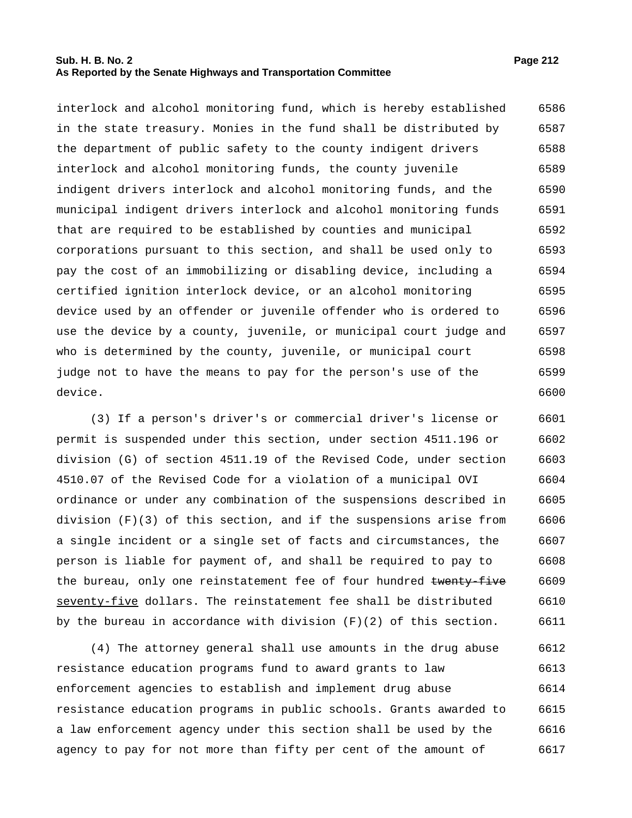# **Sub. H. B. No. 2 Page 212 As Reported by the Senate Highways and Transportation Committee**

interlock and alcohol monitoring fund, which is hereby established in the state treasury. Monies in the fund shall be distributed by the department of public safety to the county indigent drivers interlock and alcohol monitoring funds, the county juvenile indigent drivers interlock and alcohol monitoring funds, and the municipal indigent drivers interlock and alcohol monitoring funds that are required to be established by counties and municipal corporations pursuant to this section, and shall be used only to pay the cost of an immobilizing or disabling device, including a certified ignition interlock device, or an alcohol monitoring device used by an offender or juvenile offender who is ordered to use the device by a county, juvenile, or municipal court judge and who is determined by the county, juvenile, or municipal court judge not to have the means to pay for the person's use of the device. 6586 6587 6588 6589 6590 6591 6592 6593 6594 6595 6596 6597 6598 6599 6600

(3) If a person's driver's or commercial driver's license or permit is suspended under this section, under section 4511.196 or division (G) of section 4511.19 of the Revised Code, under section 4510.07 of the Revised Code for a violation of a municipal OVI ordinance or under any combination of the suspensions described in division  $(F)(3)$  of this section, and if the suspensions arise from a single incident or a single set of facts and circumstances, the person is liable for payment of, and shall be required to pay to the bureau, only one reinstatement fee of four hundred twenty-five seventy-five dollars. The reinstatement fee shall be distributed by the bureau in accordance with division  $(F)(2)$  of this section. 6601 6602 6603 6604 6605 6606 6607 6608 6609 6610 6611

(4) The attorney general shall use amounts in the drug abuse resistance education programs fund to award grants to law enforcement agencies to establish and implement drug abuse resistance education programs in public schools. Grants awarded to a law enforcement agency under this section shall be used by the agency to pay for not more than fifty per cent of the amount of 6612 6613 6614 6615 6616 6617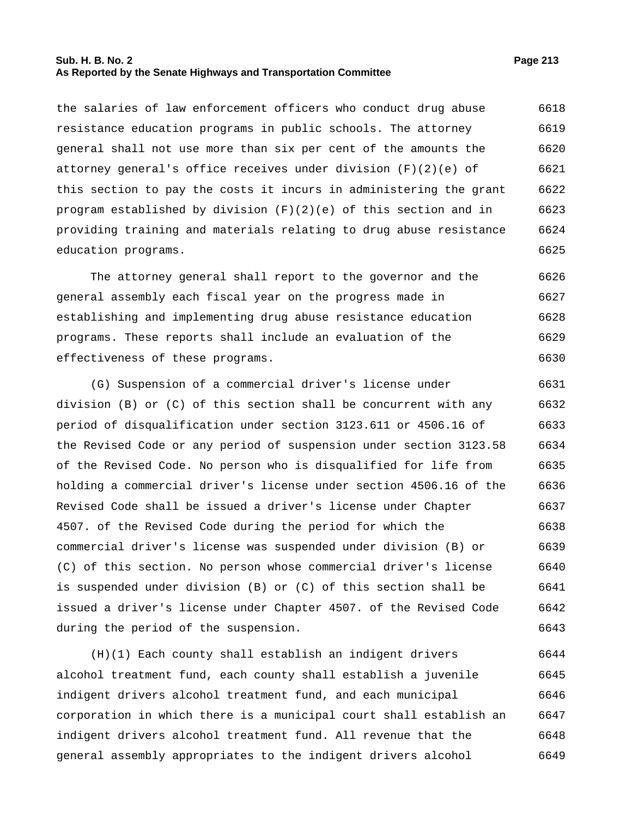### **Sub. H. B. No. 2 Page 213 As Reported by the Senate Highways and Transportation Committee**

the salaries of law enforcement officers who conduct drug abuse resistance education programs in public schools. The attorney general shall not use more than six per cent of the amounts the attorney general's office receives under division (F)(2)(e) of this section to pay the costs it incurs in administering the grant program established by division (F)(2)(e) of this section and in providing training and materials relating to drug abuse resistance education programs. 6618 6619 6620 6621 6622 6623 6624 6625

The attorney general shall report to the governor and the general assembly each fiscal year on the progress made in establishing and implementing drug abuse resistance education programs. These reports shall include an evaluation of the effectiveness of these programs. 6626 6627 6628 6629 6630

(G) Suspension of a commercial driver's license under division (B) or (C) of this section shall be concurrent with any period of disqualification under section 3123.611 or 4506.16 of the Revised Code or any period of suspension under section 3123.58 of the Revised Code. No person who is disqualified for life from holding a commercial driver's license under section 4506.16 of the Revised Code shall be issued a driver's license under Chapter 4507. of the Revised Code during the period for which the commercial driver's license was suspended under division (B) or (C) of this section. No person whose commercial driver's license is suspended under division (B) or (C) of this section shall be issued a driver's license under Chapter 4507. of the Revised Code during the period of the suspension. 6631 6632 6633 6634 6635 6636 6637 6638 6639 6640 6641 6642 6643

(H)(1) Each county shall establish an indigent drivers alcohol treatment fund, each county shall establish a juvenile indigent drivers alcohol treatment fund, and each municipal corporation in which there is a municipal court shall establish an indigent drivers alcohol treatment fund. All revenue that the general assembly appropriates to the indigent drivers alcohol 6644 6645 6646 6647 6648 6649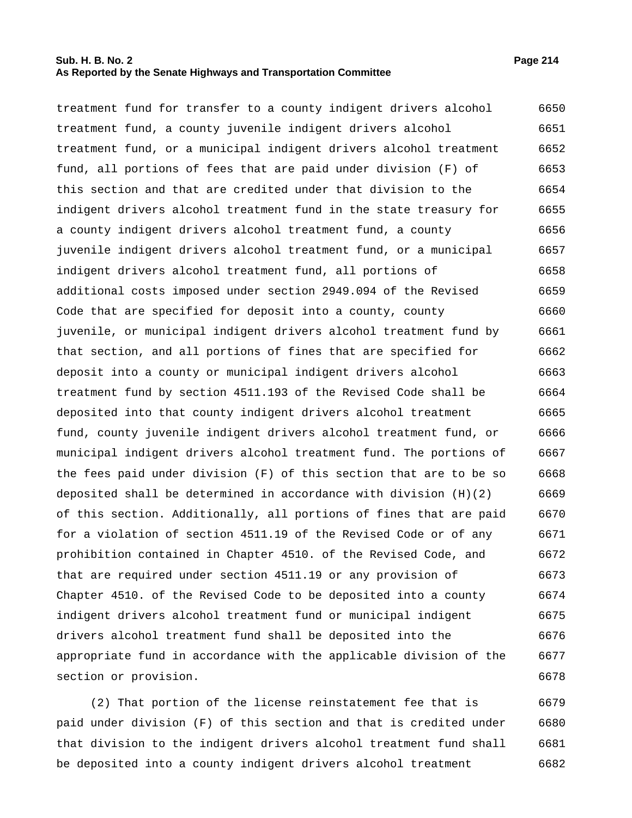# **Sub. H. B. No. 2 Page 214 As Reported by the Senate Highways and Transportation Committee**

treatment fund for transfer to a county indigent drivers alcohol treatment fund, a county juvenile indigent drivers alcohol treatment fund, or a municipal indigent drivers alcohol treatment fund, all portions of fees that are paid under division (F) of this section and that are credited under that division to the indigent drivers alcohol treatment fund in the state treasury for a county indigent drivers alcohol treatment fund, a county juvenile indigent drivers alcohol treatment fund, or a municipal indigent drivers alcohol treatment fund, all portions of additional costs imposed under section 2949.094 of the Revised Code that are specified for deposit into a county, county juvenile, or municipal indigent drivers alcohol treatment fund by that section, and all portions of fines that are specified for deposit into a county or municipal indigent drivers alcohol treatment fund by section 4511.193 of the Revised Code shall be deposited into that county indigent drivers alcohol treatment fund, county juvenile indigent drivers alcohol treatment fund, or municipal indigent drivers alcohol treatment fund. The portions of the fees paid under division (F) of this section that are to be so deposited shall be determined in accordance with division  $(H)(2)$ of this section. Additionally, all portions of fines that are paid for a violation of section 4511.19 of the Revised Code or of any prohibition contained in Chapter 4510. of the Revised Code, and that are required under section 4511.19 or any provision of Chapter 4510. of the Revised Code to be deposited into a county indigent drivers alcohol treatment fund or municipal indigent drivers alcohol treatment fund shall be deposited into the appropriate fund in accordance with the applicable division of the section or provision. 6650 6651 6652 6653 6654 6655 6656 6657 6658 6659 6660 6661 6662 6663 6664 6665 6666 6667 6668 6669 6670 6671 6672 6673 6674 6675 6676 6677 6678

(2) That portion of the license reinstatement fee that is paid under division (F) of this section and that is credited under that division to the indigent drivers alcohol treatment fund shall be deposited into a county indigent drivers alcohol treatment 6679 6680 6681 6682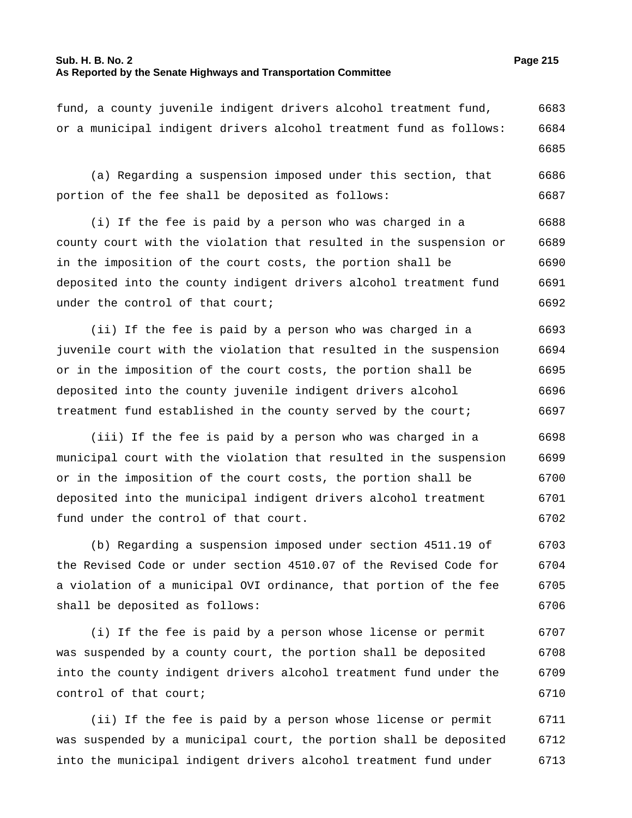### **Sub. H. B. No. 2 Page 215 As Reported by the Senate Highways and Transportation Committee**

6685

fund, a county juvenile indigent drivers alcohol treatment fund, or a municipal indigent drivers alcohol treatment fund as follows: 6683 6684

(a) Regarding a suspension imposed under this section, that portion of the fee shall be deposited as follows: 6686 6687

(i) If the fee is paid by a person who was charged in a county court with the violation that resulted in the suspension or in the imposition of the court costs, the portion shall be deposited into the county indigent drivers alcohol treatment fund under the control of that court; 6688 6689 6690 6691 6692

(ii) If the fee is paid by a person who was charged in a juvenile court with the violation that resulted in the suspension or in the imposition of the court costs, the portion shall be deposited into the county juvenile indigent drivers alcohol treatment fund established in the county served by the court; 6693 6694 6695 6696 6697

(iii) If the fee is paid by a person who was charged in a municipal court with the violation that resulted in the suspension or in the imposition of the court costs, the portion shall be deposited into the municipal indigent drivers alcohol treatment fund under the control of that court. 6698 6699 6700 6701 6702

(b) Regarding a suspension imposed under section 4511.19 of the Revised Code or under section 4510.07 of the Revised Code for a violation of a municipal OVI ordinance, that portion of the fee shall be deposited as follows: 6703 6704 6705 6706

(i) If the fee is paid by a person whose license or permit was suspended by a county court, the portion shall be deposited into the county indigent drivers alcohol treatment fund under the control of that court; 6707 6708 6709 6710

(ii) If the fee is paid by a person whose license or permit was suspended by a municipal court, the portion shall be deposited into the municipal indigent drivers alcohol treatment fund under 6711 6712 6713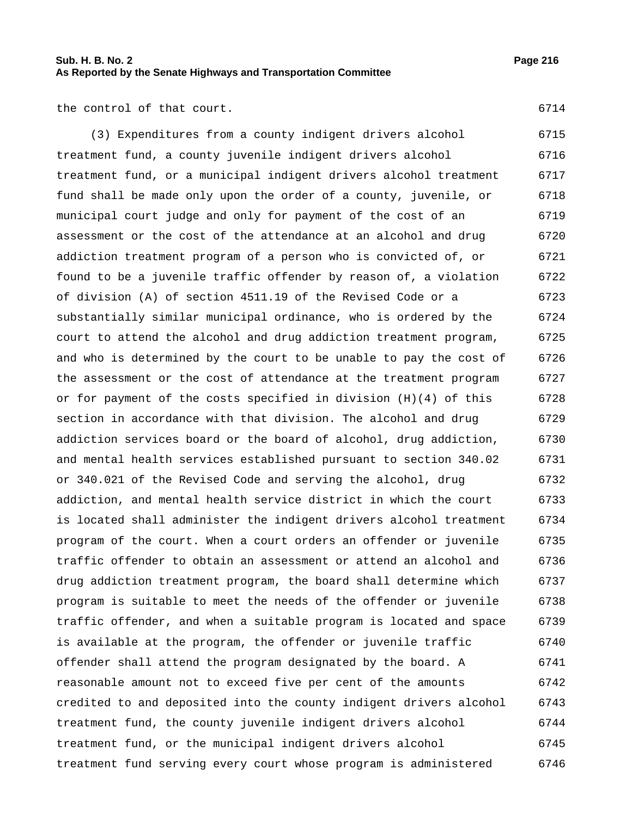the control of that court. 6714

(3) Expenditures from a county indigent drivers alcohol treatment fund, a county juvenile indigent drivers alcohol treatment fund, or a municipal indigent drivers alcohol treatment fund shall be made only upon the order of a county, juvenile, or municipal court judge and only for payment of the cost of an assessment or the cost of the attendance at an alcohol and drug addiction treatment program of a person who is convicted of, or found to be a juvenile traffic offender by reason of, a violation of division (A) of section 4511.19 of the Revised Code or a substantially similar municipal ordinance, who is ordered by the court to attend the alcohol and drug addiction treatment program, and who is determined by the court to be unable to pay the cost of the assessment or the cost of attendance at the treatment program or for payment of the costs specified in division (H)(4) of this section in accordance with that division. The alcohol and drug addiction services board or the board of alcohol, drug addiction, and mental health services established pursuant to section 340.02 or 340.021 of the Revised Code and serving the alcohol, drug addiction, and mental health service district in which the court is located shall administer the indigent drivers alcohol treatment program of the court. When a court orders an offender or juvenile traffic offender to obtain an assessment or attend an alcohol and drug addiction treatment program, the board shall determine which program is suitable to meet the needs of the offender or juvenile traffic offender, and when a suitable program is located and space is available at the program, the offender or juvenile traffic offender shall attend the program designated by the board. A reasonable amount not to exceed five per cent of the amounts credited to and deposited into the county indigent drivers alcohol treatment fund, the county juvenile indigent drivers alcohol treatment fund, or the municipal indigent drivers alcohol treatment fund serving every court whose program is administered 6715 6716 6717 6718 6719 6720 6721 6722 6723 6724 6725 6726 6727 6728 6729 6730 6731 6732 6733 6734 6735 6736 6737 6738 6739 6740 6741 6742 6743 6744 6745 6746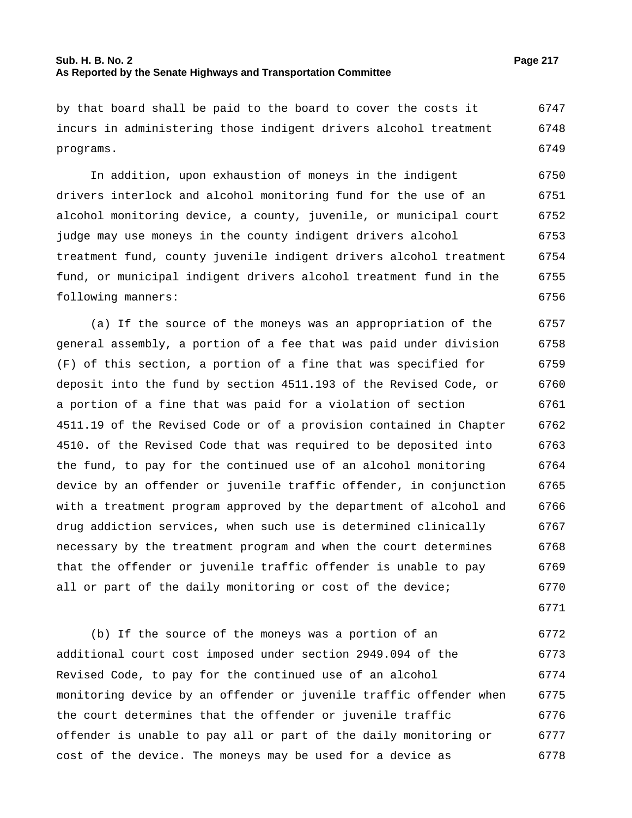## **Sub. H. B. No. 2 Page 217 As Reported by the Senate Highways and Transportation Committee**

by that board shall be paid to the board to cover the costs it incurs in administering those indigent drivers alcohol treatment programs. 6747 6748 6749

In addition, upon exhaustion of moneys in the indigent drivers interlock and alcohol monitoring fund for the use of an alcohol monitoring device, a county, juvenile, or municipal court judge may use moneys in the county indigent drivers alcohol treatment fund, county juvenile indigent drivers alcohol treatment fund, or municipal indigent drivers alcohol treatment fund in the following manners: 6750 6751 6752 6753 6754 6755 6756

(a) If the source of the moneys was an appropriation of the general assembly, a portion of a fee that was paid under division (F) of this section, a portion of a fine that was specified for deposit into the fund by section 4511.193 of the Revised Code, or a portion of a fine that was paid for a violation of section 4511.19 of the Revised Code or of a provision contained in Chapter 4510. of the Revised Code that was required to be deposited into the fund, to pay for the continued use of an alcohol monitoring device by an offender or juvenile traffic offender, in conjunction with a treatment program approved by the department of alcohol and drug addiction services, when such use is determined clinically necessary by the treatment program and when the court determines that the offender or juvenile traffic offender is unable to pay all or part of the daily monitoring or cost of the device; 6757 6758 6759 6760 6761 6762 6763 6764 6765 6766 6767 6768 6769 6770

6771

(b) If the source of the moneys was a portion of an additional court cost imposed under section 2949.094 of the Revised Code, to pay for the continued use of an alcohol monitoring device by an offender or juvenile traffic offender when the court determines that the offender or juvenile traffic offender is unable to pay all or part of the daily monitoring or cost of the device. The moneys may be used for a device as 6772 6773 6774 6775 6776 6777 6778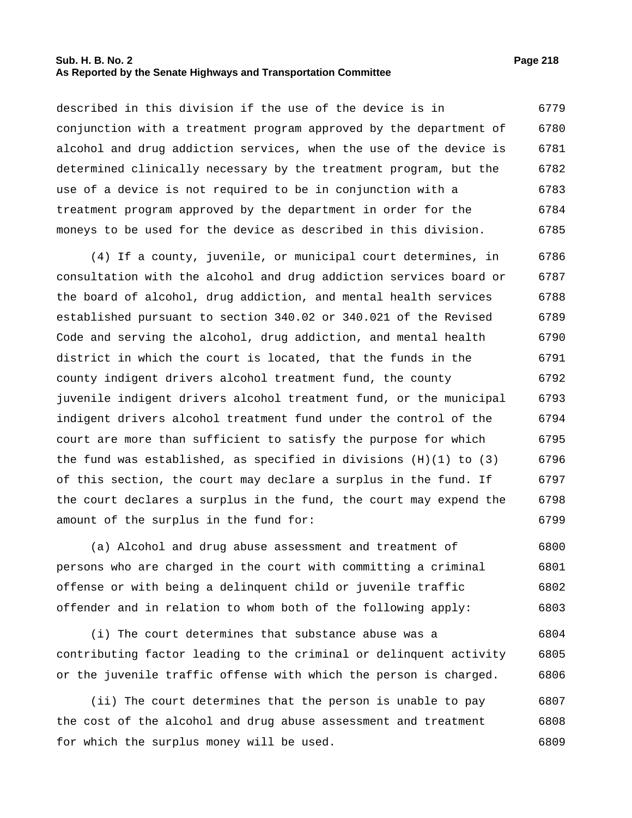## **Sub. H. B. No. 2 Page 218 As Reported by the Senate Highways and Transportation Committee**

described in this division if the use of the device is in conjunction with a treatment program approved by the department of alcohol and drug addiction services, when the use of the device is determined clinically necessary by the treatment program, but the use of a device is not required to be in conjunction with a treatment program approved by the department in order for the moneys to be used for the device as described in this division. 6779 6780 6781 6782 6783 6784 6785

(4) If a county, juvenile, or municipal court determines, in consultation with the alcohol and drug addiction services board or the board of alcohol, drug addiction, and mental health services established pursuant to section 340.02 or 340.021 of the Revised Code and serving the alcohol, drug addiction, and mental health district in which the court is located, that the funds in the county indigent drivers alcohol treatment fund, the county juvenile indigent drivers alcohol treatment fund, or the municipal indigent drivers alcohol treatment fund under the control of the court are more than sufficient to satisfy the purpose for which the fund was established, as specified in divisions (H)(1) to (3) of this section, the court may declare a surplus in the fund. If the court declares a surplus in the fund, the court may expend the amount of the surplus in the fund for: 6786 6787 6788 6789 6790 6791 6792 6793 6794 6795 6796 6797 6798 6799

(a) Alcohol and drug abuse assessment and treatment of persons who are charged in the court with committing a criminal offense or with being a delinquent child or juvenile traffic offender and in relation to whom both of the following apply: 6800 6801 6802 6803

(i) The court determines that substance abuse was a contributing factor leading to the criminal or delinquent activity or the juvenile traffic offense with which the person is charged. 6804 6805 6806

(ii) The court determines that the person is unable to pay the cost of the alcohol and drug abuse assessment and treatment for which the surplus money will be used. 6807 6808 6809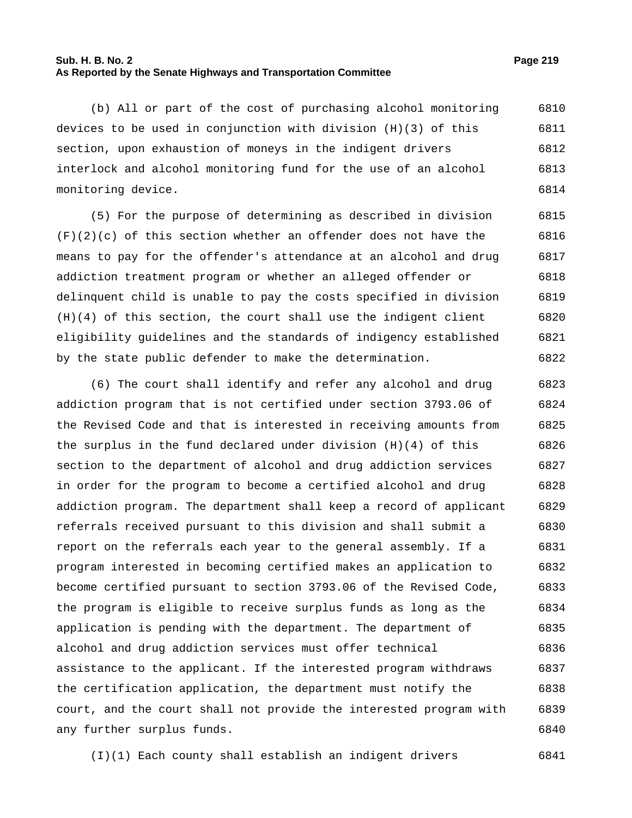#### **Sub. H. B. No. 2 Page 219 As Reported by the Senate Highways and Transportation Committee**

(b) All or part of the cost of purchasing alcohol monitoring devices to be used in conjunction with division (H)(3) of this section, upon exhaustion of moneys in the indigent drivers interlock and alcohol monitoring fund for the use of an alcohol monitoring device. 6810 6811 6812 6813 6814

(5) For the purpose of determining as described in division  $(F)(2)(c)$  of this section whether an offender does not have the means to pay for the offender's attendance at an alcohol and drug addiction treatment program or whether an alleged offender or delinquent child is unable to pay the costs specified in division (H)(4) of this section, the court shall use the indigent client eligibility guidelines and the standards of indigency established by the state public defender to make the determination. 6815 6816 6817 6818 6819 6820 6821 6822

(6) The court shall identify and refer any alcohol and drug addiction program that is not certified under section 3793.06 of the Revised Code and that is interested in receiving amounts from the surplus in the fund declared under division  $(H)(4)$  of this section to the department of alcohol and drug addiction services in order for the program to become a certified alcohol and drug addiction program. The department shall keep a record of applicant referrals received pursuant to this division and shall submit a report on the referrals each year to the general assembly. If a program interested in becoming certified makes an application to become certified pursuant to section 3793.06 of the Revised Code, the program is eligible to receive surplus funds as long as the application is pending with the department. The department of alcohol and drug addiction services must offer technical assistance to the applicant. If the interested program withdraws the certification application, the department must notify the court, and the court shall not provide the interested program with any further surplus funds. 6823 6824 6825 6826 6827 6828 6829 6830 6831 6832 6833 6834 6835 6836 6837 6838 6839 6840

(I)(1) Each county shall establish an indigent drivers 6841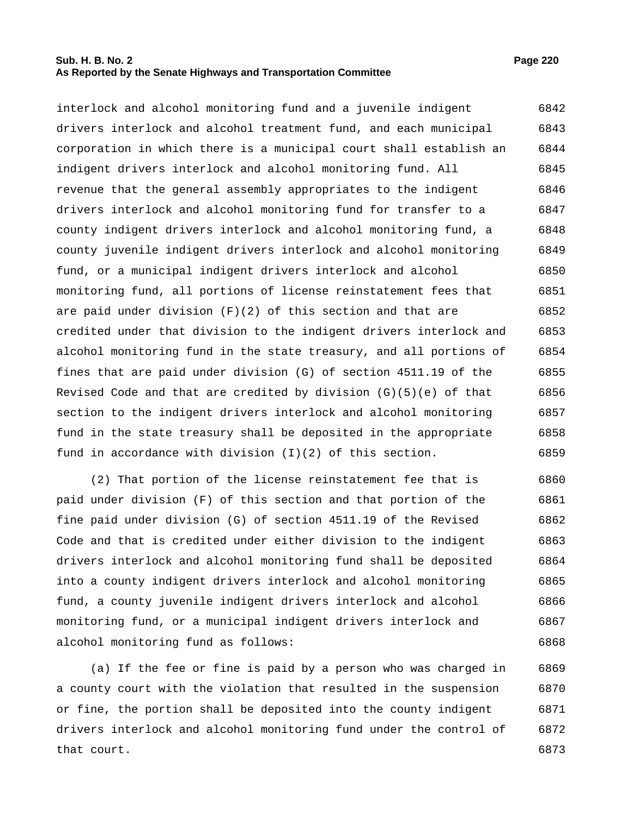## **Sub. H. B. No. 2 Page 220 As Reported by the Senate Highways and Transportation Committee**

interlock and alcohol monitoring fund and a juvenile indigent drivers interlock and alcohol treatment fund, and each municipal corporation in which there is a municipal court shall establish an indigent drivers interlock and alcohol monitoring fund. All revenue that the general assembly appropriates to the indigent drivers interlock and alcohol monitoring fund for transfer to a county indigent drivers interlock and alcohol monitoring fund, a county juvenile indigent drivers interlock and alcohol monitoring fund, or a municipal indigent drivers interlock and alcohol monitoring fund, all portions of license reinstatement fees that are paid under division  $(F)(2)$  of this section and that are credited under that division to the indigent drivers interlock and alcohol monitoring fund in the state treasury, and all portions of fines that are paid under division (G) of section 4511.19 of the Revised Code and that are credited by division  $(G)(5)(e)$  of that section to the indigent drivers interlock and alcohol monitoring fund in the state treasury shall be deposited in the appropriate fund in accordance with division (I)(2) of this section. 6842 6843 6844 6845 6846 6847 6848 6849 6850 6851 6852 6853 6854 6855 6856 6857 6858 6859

(2) That portion of the license reinstatement fee that is paid under division (F) of this section and that portion of the fine paid under division (G) of section 4511.19 of the Revised Code and that is credited under either division to the indigent drivers interlock and alcohol monitoring fund shall be deposited into a county indigent drivers interlock and alcohol monitoring fund, a county juvenile indigent drivers interlock and alcohol monitoring fund, or a municipal indigent drivers interlock and alcohol monitoring fund as follows: 6860 6861 6862 6863 6864 6865 6866 6867 6868

(a) If the fee or fine is paid by a person who was charged in a county court with the violation that resulted in the suspension or fine, the portion shall be deposited into the county indigent drivers interlock and alcohol monitoring fund under the control of that court. 6869 6870 6871 6872 6873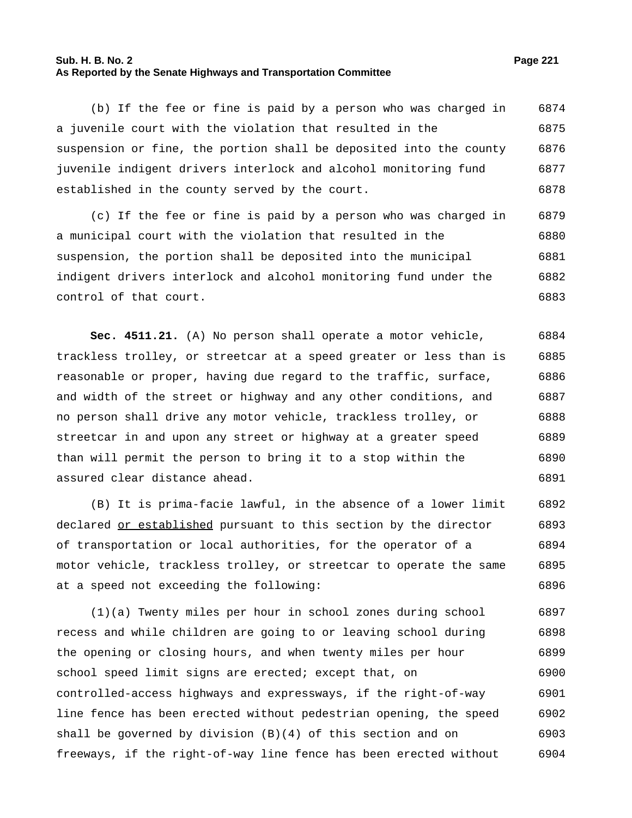#### **Sub. H. B. No. 2 Page 221 As Reported by the Senate Highways and Transportation Committee**

(b) If the fee or fine is paid by a person who was charged in a juvenile court with the violation that resulted in the suspension or fine, the portion shall be deposited into the county juvenile indigent drivers interlock and alcohol monitoring fund established in the county served by the court. 6874 6875 6876 6877 6878

(c) If the fee or fine is paid by a person who was charged in a municipal court with the violation that resulted in the suspension, the portion shall be deposited into the municipal indigent drivers interlock and alcohol monitoring fund under the control of that court. 6879 6880 6881 6882 6883

**Sec. 4511.21.** (A) No person shall operate a motor vehicle, trackless trolley, or streetcar at a speed greater or less than is reasonable or proper, having due regard to the traffic, surface, and width of the street or highway and any other conditions, and no person shall drive any motor vehicle, trackless trolley, or streetcar in and upon any street or highway at a greater speed than will permit the person to bring it to a stop within the assured clear distance ahead. 6884 6885 6886 6887 6888 6889 6890 6891

(B) It is prima-facie lawful, in the absence of a lower limit declared or established pursuant to this section by the director of transportation or local authorities, for the operator of a motor vehicle, trackless trolley, or streetcar to operate the same at a speed not exceeding the following: 6892 6893 6894 6895 6896

(1)(a) Twenty miles per hour in school zones during school recess and while children are going to or leaving school during the opening or closing hours, and when twenty miles per hour school speed limit signs are erected; except that, on controlled-access highways and expressways, if the right-of-way line fence has been erected without pedestrian opening, the speed shall be governed by division (B)(4) of this section and on freeways, if the right-of-way line fence has been erected without 6897 6898 6899 6900 6901 6902 6903 6904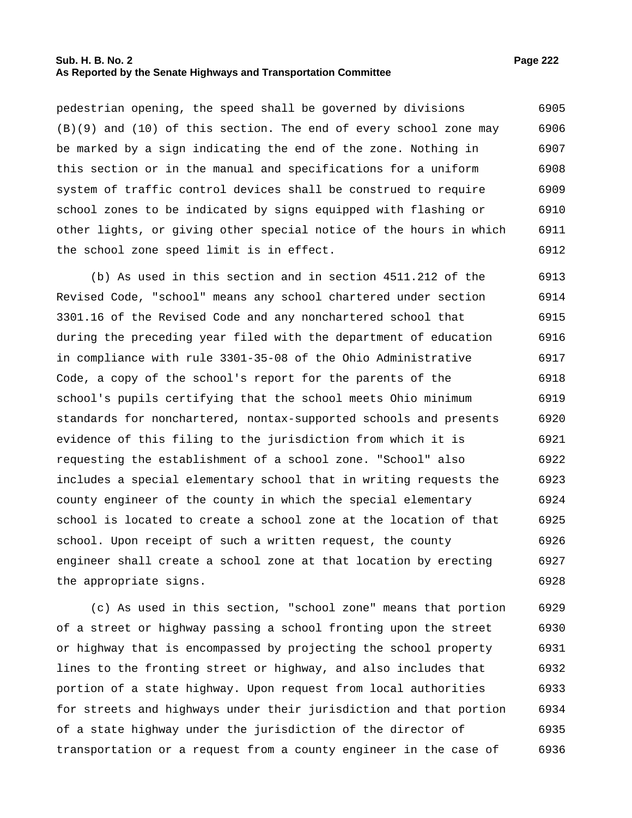## **Sub. H. B. No. 2 Page 222 As Reported by the Senate Highways and Transportation Committee**

pedestrian opening, the speed shall be governed by divisions (B)(9) and (10) of this section. The end of every school zone may be marked by a sign indicating the end of the zone. Nothing in this section or in the manual and specifications for a uniform system of traffic control devices shall be construed to require school zones to be indicated by signs equipped with flashing or other lights, or giving other special notice of the hours in which the school zone speed limit is in effect. 6905 6906 6907 6908 6909 6910 6911 6912

(b) As used in this section and in section 4511.212 of the Revised Code, "school" means any school chartered under section 3301.16 of the Revised Code and any nonchartered school that during the preceding year filed with the department of education in compliance with rule 3301-35-08 of the Ohio Administrative Code, a copy of the school's report for the parents of the school's pupils certifying that the school meets Ohio minimum standards for nonchartered, nontax-supported schools and presents evidence of this filing to the jurisdiction from which it is requesting the establishment of a school zone. "School" also includes a special elementary school that in writing requests the county engineer of the county in which the special elementary school is located to create a school zone at the location of that school. Upon receipt of such a written request, the county engineer shall create a school zone at that location by erecting the appropriate signs. 6913 6914 6915 6916 6917 6918 6919 6920 6921 6922 6923 6924 6925 6926 6927 6928

(c) As used in this section, "school zone" means that portion of a street or highway passing a school fronting upon the street or highway that is encompassed by projecting the school property lines to the fronting street or highway, and also includes that portion of a state highway. Upon request from local authorities for streets and highways under their jurisdiction and that portion of a state highway under the jurisdiction of the director of transportation or a request from a county engineer in the case of 6929 6930 6931 6932 6933 6934 6935 6936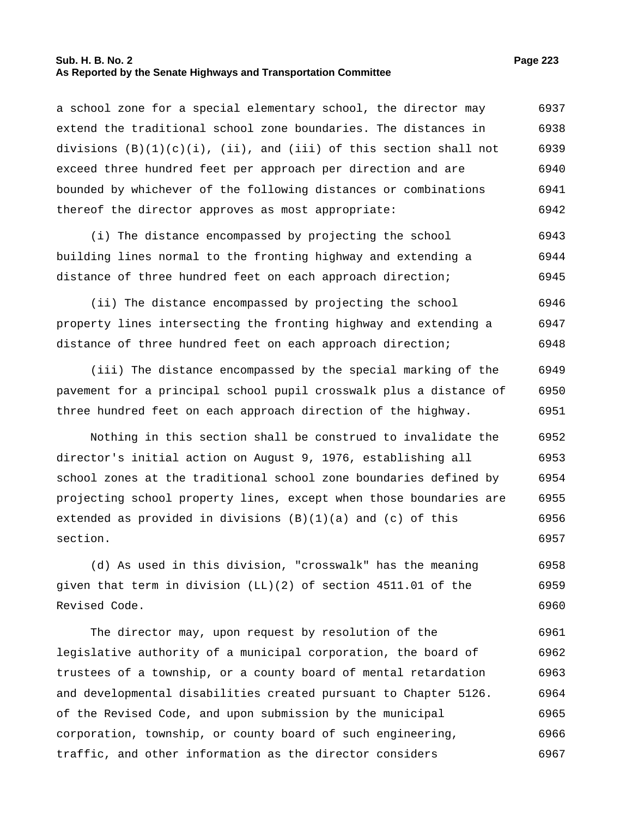#### **Sub. H. B. No. 2 Page 223 As Reported by the Senate Highways and Transportation Committee**

a school zone for a special elementary school, the director may extend the traditional school zone boundaries. The distances in divisions  $(B)(1)(c)(i)$ , (ii), and (iii) of this section shall not exceed three hundred feet per approach per direction and are bounded by whichever of the following distances or combinations thereof the director approves as most appropriate: 6937 6938 6939 6940 6941 6942

(i) The distance encompassed by projecting the school building lines normal to the fronting highway and extending a distance of three hundred feet on each approach direction; 6943 6944 6945

(ii) The distance encompassed by projecting the school property lines intersecting the fronting highway and extending a distance of three hundred feet on each approach direction; 6946 6947 6948

(iii) The distance encompassed by the special marking of the pavement for a principal school pupil crosswalk plus a distance of three hundred feet on each approach direction of the highway. 6949 6950 6951

Nothing in this section shall be construed to invalidate the director's initial action on August 9, 1976, establishing all school zones at the traditional school zone boundaries defined by projecting school property lines, except when those boundaries are extended as provided in divisions  $(B)(1)(a)$  and  $(c)$  of this section. 6952 6953 6954 6955 6956 6957

(d) As used in this division, "crosswalk" has the meaning given that term in division (LL)(2) of section 4511.01 of the Revised Code. 6958 6959 6960

The director may, upon request by resolution of the legislative authority of a municipal corporation, the board of trustees of a township, or a county board of mental retardation and developmental disabilities created pursuant to Chapter 5126. of the Revised Code, and upon submission by the municipal corporation, township, or county board of such engineering, traffic, and other information as the director considers 6961 6962 6963 6964 6965 6966 6967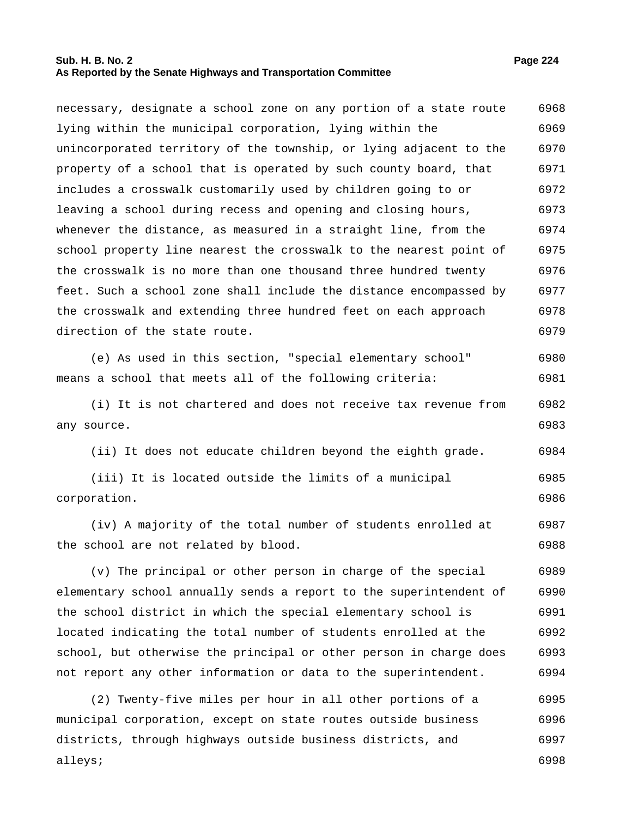## **Sub. H. B. No. 2 Page 224 As Reported by the Senate Highways and Transportation Committee**

necessary, designate a school zone on any portion of a state route lying within the municipal corporation, lying within the unincorporated territory of the township, or lying adjacent to the property of a school that is operated by such county board, that includes a crosswalk customarily used by children going to or leaving a school during recess and opening and closing hours, whenever the distance, as measured in a straight line, from the school property line nearest the crosswalk to the nearest point of the crosswalk is no more than one thousand three hundred twenty feet. Such a school zone shall include the distance encompassed by the crosswalk and extending three hundred feet on each approach direction of the state route. 6968 6969 6970 6971 6972 6973 6974 6975 6976 6977 6978 6979

(e) As used in this section, "special elementary school" means a school that meets all of the following criteria: 6980 6981

(i) It is not chartered and does not receive tax revenue from any source. 6982 6983

(ii) It does not educate children beyond the eighth grade. 6984

(iii) It is located outside the limits of a municipal corporation. 6985 6986

(iv) A majority of the total number of students enrolled at the school are not related by blood. 6987 6988

(v) The principal or other person in charge of the special elementary school annually sends a report to the superintendent of the school district in which the special elementary school is located indicating the total number of students enrolled at the school, but otherwise the principal or other person in charge does not report any other information or data to the superintendent. 6989 6990 6991 6992 6993 6994

(2) Twenty-five miles per hour in all other portions of a municipal corporation, except on state routes outside business districts, through highways outside business districts, and alleys; 6995 6996 6997 6998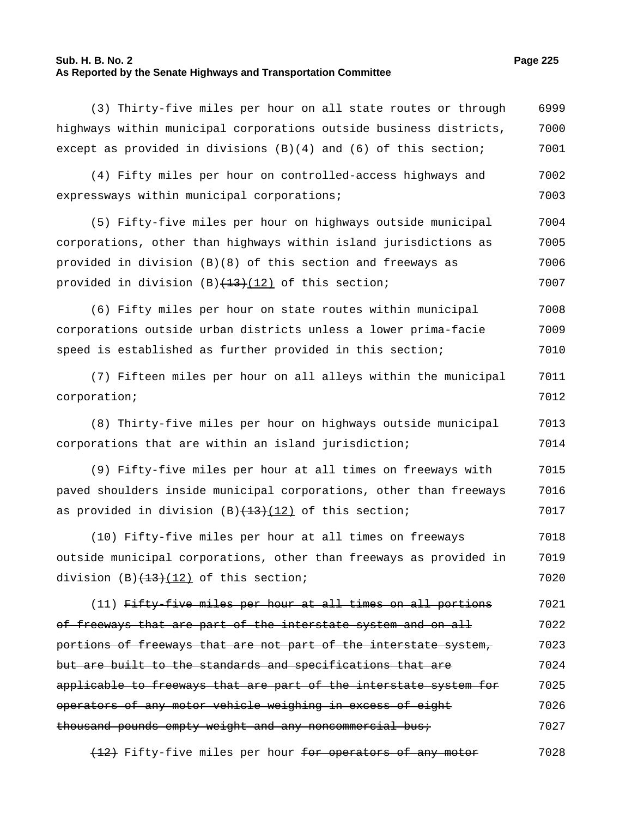# **Sub. H. B. No. 2 Page 225 As Reported by the Senate Highways and Transportation Committee**

| (3) Thirty-five miles per hour on all state routes or through      | 6999 |
|--------------------------------------------------------------------|------|
| highways within municipal corporations outside business districts, | 7000 |
| except as provided in divisions (B)(4) and (6) of this section;    | 7001 |
| (4) Fifty miles per hour on controlled-access highways and         | 7002 |
| expressways within municipal corporations;                         | 7003 |
| (5) Fifty-five miles per hour on highways outside municipal        | 7004 |
| corporations, other than highways within island jurisdictions as   | 7005 |
| provided in division $(B)(8)$ of this section and freeways as      | 7006 |
| provided in division $(B)$ $(13)$ $(12)$ of this section;          | 7007 |
| (6) Fifty miles per hour on state routes within municipal          | 7008 |
| corporations outside urban districts unless a lower prima-facie    | 7009 |
| speed is established as further provided in this section;          | 7010 |
| (7) Fifteen miles per hour on all alleys within the municipal      | 7011 |
| corporation;                                                       | 7012 |
| (8) Thirty-five miles per hour on highways outside municipal       | 7013 |
| corporations that are within an island jurisdiction;               | 7014 |
| (9) Fifty-five miles per hour at all times on freeways with        | 7015 |
| paved shoulders inside municipal corporations, other than freeways | 7016 |
| as provided in division $(B)$ $\frac{13}{12}$ of this section;     | 7017 |
| (10) Fifty-five miles per hour at all times on freeways            | 7018 |
| outside municipal corporations, other than freeways as provided in | 7019 |
| division $(B)$ $(13)$ $(12)$ of this section;                      | 7020 |
| (11) Fifty-five miles per hour at all times on all portions        | 7021 |
| of freeways that are part of the interstate system and on all      | 7022 |
| portions of freeways that are not part of the interstate system,   | 7023 |
| but are built to the standards and specifications that are         | 7024 |
| applicable to freeways that are part of the interstate system for  | 7025 |
| operators of any motor vehicle weighing in excess of eight         | 7026 |
| thousand pounds empty weight and any noncommercial bus;            | 7027 |
|                                                                    |      |

(12) Fifty-five miles per hour for operators of any motor 7028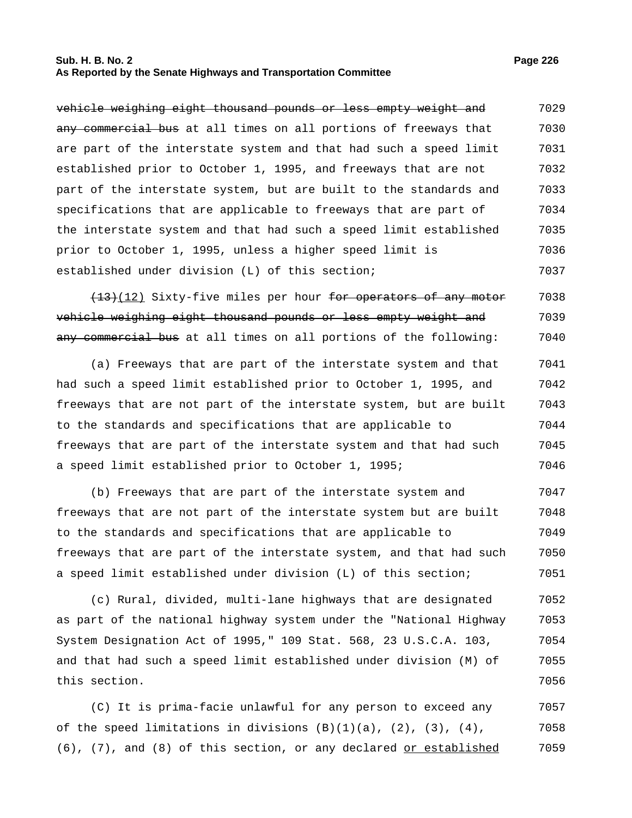## **Sub. H. B. No. 2 Page 226 As Reported by the Senate Highways and Transportation Committee**

| vehicle weighing eight thousand pounds or less empty weight and   | 7029 |
|-------------------------------------------------------------------|------|
| any commercial bus at all times on all portions of freeways that  | 7030 |
| are part of the interstate system and that had such a speed limit | 7031 |
| established prior to October 1, 1995, and freeways that are not   | 7032 |
| part of the interstate system, but are built to the standards and | 7033 |
| specifications that are applicable to freeways that are part of   | 7034 |
| the interstate system and that had such a speed limit established | 7035 |
| prior to October 1, 1995, unless a higher speed limit is          | 7036 |
| established under division (L) of this section;                   | 7037 |

 $(13)(12)$  Sixty-five miles per hour for operators of any motor vehicle weighing eight thousand pounds or less empty weight and any commercial bus at all times on all portions of the following: 7038 7039 7040

(a) Freeways that are part of the interstate system and that had such a speed limit established prior to October 1, 1995, and freeways that are not part of the interstate system, but are built to the standards and specifications that are applicable to freeways that are part of the interstate system and that had such a speed limit established prior to October 1, 1995; 7041 7042 7043 7044 7045 7046

(b) Freeways that are part of the interstate system and freeways that are not part of the interstate system but are built to the standards and specifications that are applicable to freeways that are part of the interstate system, and that had such a speed limit established under division (L) of this section; 7047 7048 7049 7050 7051

(c) Rural, divided, multi-lane highways that are designated as part of the national highway system under the "National Highway System Designation Act of 1995," 109 Stat. 568, 23 U.S.C.A. 103, and that had such a speed limit established under division (M) of this section. 7052 7053 7054 7055 7056

(C) It is prima-facie unlawful for any person to exceed any of the speed limitations in divisions  $(B)(1)(a)$ ,  $(2)$ ,  $(3)$ ,  $(4)$ , (6), (7), and (8) of this section, or any declared or established 7057 7058 7059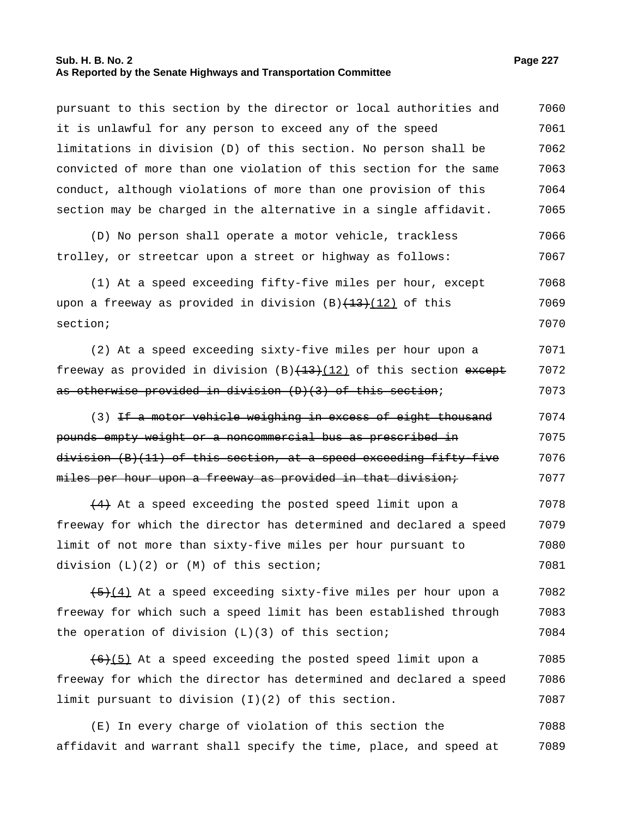## **Sub. H. B. No. 2 Page 227 As Reported by the Senate Highways and Transportation Committee**

pursuant to this section by the director or local authorities and it is unlawful for any person to exceed any of the speed limitations in division (D) of this section. No person shall be convicted of more than one violation of this section for the same conduct, although violations of more than one provision of this section may be charged in the alternative in a single affidavit. 7060 7061 7062 7063 7064 7065

(D) No person shall operate a motor vehicle, trackless trolley, or streetcar upon a street or highway as follows: 7066 7067

(1) At a speed exceeding fifty-five miles per hour, except upon a freeway as provided in division  $(B)(13)(12)$  of this section; 7068 7069 7070

(2) At a speed exceeding sixty-five miles per hour upon a freeway as provided in division  $(B)(13)(12)$  of this section except as otherwise provided in division (D)(3) of this section; 7071 7072 7073

(3) If a motor vehicle weighing in excess of eight thousand pounds empty weight or a noncommercial bus as prescribed in division (B)(11) of this section, at a speed exceeding fifty-five miles per hour upon a freeway as provided in that division; 7074 7075 7076 7077

 $(4)$  At a speed exceeding the posted speed limit upon a freeway for which the director has determined and declared a speed limit of not more than sixty-five miles per hour pursuant to division (L)(2) or (M) of this section; 7078 7079 7080 7081

 $(5)(4)$  At a speed exceeding sixty-five miles per hour upon a freeway for which such a speed limit has been established through the operation of division (L)(3) of this section; 7082 7083 7084

 $(6)(5)$  At a speed exceeding the posted speed limit upon a freeway for which the director has determined and declared a speed limit pursuant to division (I)(2) of this section. 7085 7086 7087

(E) In every charge of violation of this section the affidavit and warrant shall specify the time, place, and speed at 7088 7089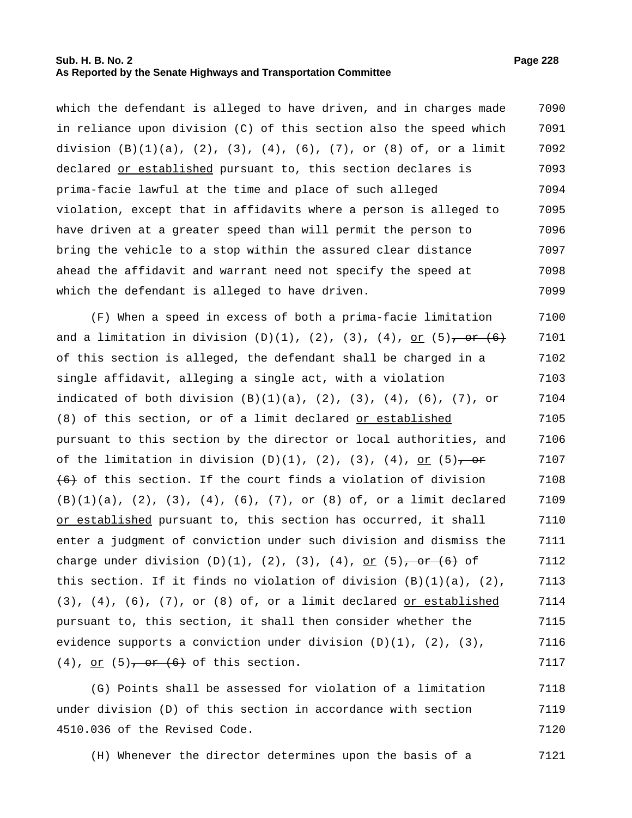## **Sub. H. B. No. 2 Page 228 As Reported by the Senate Highways and Transportation Committee**

which the defendant is alleged to have driven, and in charges made in reliance upon division (C) of this section also the speed which division  $(B)(1)(a)$ ,  $(2)$ ,  $(3)$ ,  $(4)$ ,  $(6)$ ,  $(7)$ , or  $(8)$  of, or a limit declared or established pursuant to, this section declares is prima-facie lawful at the time and place of such alleged violation, except that in affidavits where a person is alleged to have driven at a greater speed than will permit the person to bring the vehicle to a stop within the assured clear distance ahead the affidavit and warrant need not specify the speed at which the defendant is alleged to have driven. 7090 7091 7092 7093 7094 7095 7096 7097 7098 7099

(F) When a speed in excess of both a prima-facie limitation and a limitation in division  $(D)(1)$ ,  $(2)$ ,  $(3)$ ,  $(4)$ ,  $p$   $(p)$ ,  $q$ of this section is alleged, the defendant shall be charged in a single affidavit, alleging a single act, with a violation indicated of both division  $(B)(1)(a)$ ,  $(2)$ ,  $(3)$ ,  $(4)$ ,  $(6)$ ,  $(7)$ , or (8) of this section, or of a limit declared or established pursuant to this section by the director or local authorities, and of the limitation in division  $(D)(1)$ ,  $(2)$ ,  $(3)$ ,  $(4)$ , or  $(5)$ , or  $(6)$  of this section. If the court finds a violation of division  $(B)(1)(a)$ ,  $(2)$ ,  $(3)$ ,  $(4)$ ,  $(6)$ ,  $(7)$ , or  $(8)$  of, or a limit declared or established pursuant to, this section has occurred, it shall enter a judgment of conviction under such division and dismiss the charge under division  $(D)(1)$ ,  $(2)$ ,  $(3)$ ,  $(4)$ ,  $p$   $(p)$ ,  $q$ this section. If it finds no violation of division  $(B)(1)(a)$ ,  $(2)$ ,  $(3)$ ,  $(4)$ ,  $(6)$ ,  $(7)$ , or  $(8)$  of, or a limit declared or established pursuant to, this section, it shall then consider whether the evidence supports a conviction under division (D)(1), (2), (3),  $(4)$ , or  $(5)$ , or  $(6)$  of this section. 7100 7101 7102 7103 7104 7105 7106 7107 7108 7109 7110 7111 7112 7113 7114 7115 7116 7117

(G) Points shall be assessed for violation of a limitation under division (D) of this section in accordance with section 4510.036 of the Revised Code. 7118 7119 7120

(H) Whenever the director determines upon the basis of a 7121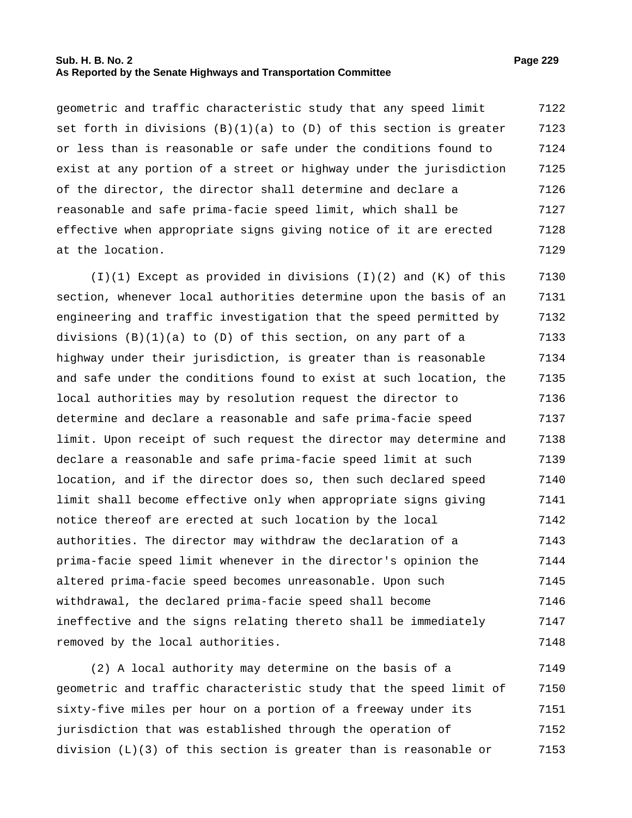## **Sub. H. B. No. 2 Page 229 As Reported by the Senate Highways and Transportation Committee**

geometric and traffic characteristic study that any speed limit set forth in divisions  $(B)(1)(a)$  to  $(D)$  of this section is greater or less than is reasonable or safe under the conditions found to exist at any portion of a street or highway under the jurisdiction of the director, the director shall determine and declare a reasonable and safe prima-facie speed limit, which shall be effective when appropriate signs giving notice of it are erected at the location. 7122 7123 7124 7125 7126 7127 7128 7129

 $(1)(1)$  Except as provided in divisions  $(1)(2)$  and  $(K)$  of this section, whenever local authorities determine upon the basis of an engineering and traffic investigation that the speed permitted by divisions  $(B)(1)(a)$  to  $(D)$  of this section, on any part of a highway under their jurisdiction, is greater than is reasonable and safe under the conditions found to exist at such location, the local authorities may by resolution request the director to determine and declare a reasonable and safe prima-facie speed limit. Upon receipt of such request the director may determine and declare a reasonable and safe prima-facie speed limit at such location, and if the director does so, then such declared speed limit shall become effective only when appropriate signs giving notice thereof are erected at such location by the local authorities. The director may withdraw the declaration of a prima-facie speed limit whenever in the director's opinion the altered prima-facie speed becomes unreasonable. Upon such withdrawal, the declared prima-facie speed shall become ineffective and the signs relating thereto shall be immediately removed by the local authorities. 7130 7131 7132 7133 7134 7135 7136 7137 7138 7139 7140 7141 7142 7143 7144 7145 7146 7147 7148

(2) A local authority may determine on the basis of a geometric and traffic characteristic study that the speed limit of sixty-five miles per hour on a portion of a freeway under its jurisdiction that was established through the operation of division (L)(3) of this section is greater than is reasonable or 7149 7150 7151 7152 7153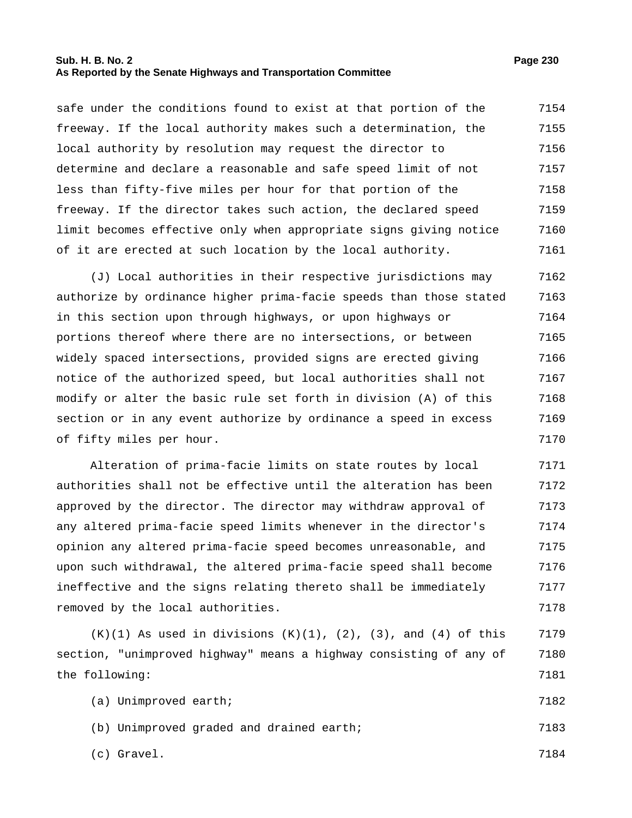#### **Sub. H. B. No. 2 Page 230 As Reported by the Senate Highways and Transportation Committee**

safe under the conditions found to exist at that portion of the freeway. If the local authority makes such a determination, the local authority by resolution may request the director to determine and declare a reasonable and safe speed limit of not less than fifty-five miles per hour for that portion of the freeway. If the director takes such action, the declared speed limit becomes effective only when appropriate signs giving notice of it are erected at such location by the local authority. 7154 7155 7156 7157 7158 7159 7160 7161

(J) Local authorities in their respective jurisdictions may authorize by ordinance higher prima-facie speeds than those stated in this section upon through highways, or upon highways or portions thereof where there are no intersections, or between widely spaced intersections, provided signs are erected giving notice of the authorized speed, but local authorities shall not modify or alter the basic rule set forth in division (A) of this section or in any event authorize by ordinance a speed in excess of fifty miles per hour. 7162 7163 7164 7165 7166 7167 7168 7169 7170

Alteration of prima-facie limits on state routes by local authorities shall not be effective until the alteration has been approved by the director. The director may withdraw approval of any altered prima-facie speed limits whenever in the director's opinion any altered prima-facie speed becomes unreasonable, and upon such withdrawal, the altered prima-facie speed shall become ineffective and the signs relating thereto shall be immediately removed by the local authorities. 7171 7172 7173 7174 7175 7176 7177 7178

 $(K)(1)$  As used in divisions  $(K)(1)$ ,  $(2)$ ,  $(3)$ , and  $(4)$  of this section, "unimproved highway" means a highway consisting of any of the following: 7179 7180 7181

(a) Unimproved earth; 7182

- (b) Unimproved graded and drained earth; 7183
- (c) Gravel. 7184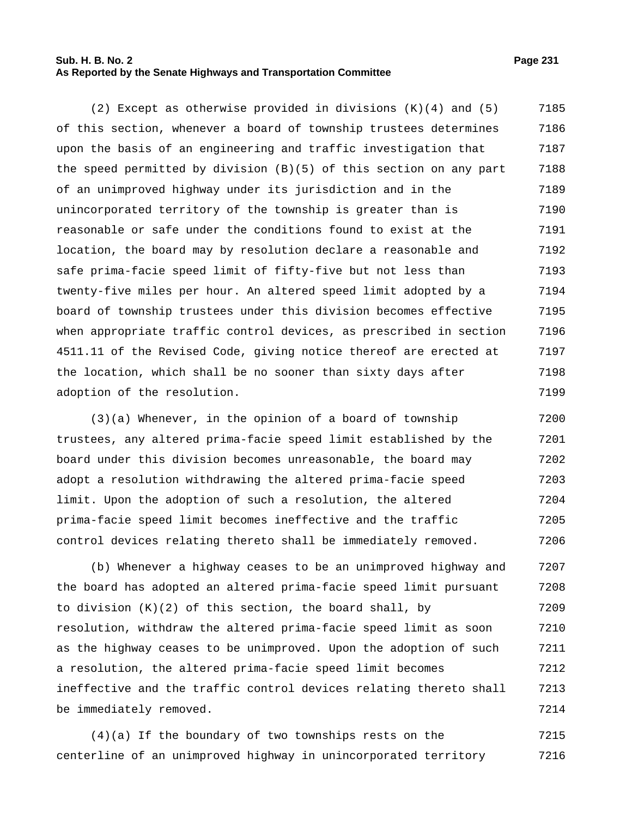## **Sub. H. B. No. 2 Page 231 As Reported by the Senate Highways and Transportation Committee**

(2) Except as otherwise provided in divisions  $(K)(4)$  and  $(5)$ of this section, whenever a board of township trustees determines upon the basis of an engineering and traffic investigation that the speed permitted by division (B)(5) of this section on any part of an unimproved highway under its jurisdiction and in the unincorporated territory of the township is greater than is reasonable or safe under the conditions found to exist at the location, the board may by resolution declare a reasonable and safe prima-facie speed limit of fifty-five but not less than twenty-five miles per hour. An altered speed limit adopted by a board of township trustees under this division becomes effective when appropriate traffic control devices, as prescribed in section 4511.11 of the Revised Code, giving notice thereof are erected at the location, which shall be no sooner than sixty days after adoption of the resolution. 7185 7186 7187 7188 7189 7190 7191 7192 7193 7194 7195 7196 7197 7198 7199

(3)(a) Whenever, in the opinion of a board of township trustees, any altered prima-facie speed limit established by the board under this division becomes unreasonable, the board may adopt a resolution withdrawing the altered prima-facie speed limit. Upon the adoption of such a resolution, the altered prima-facie speed limit becomes ineffective and the traffic control devices relating thereto shall be immediately removed. 7200 7201 7202 7203 7204 7205 7206

(b) Whenever a highway ceases to be an unimproved highway and the board has adopted an altered prima-facie speed limit pursuant to division (K)(2) of this section, the board shall, by resolution, withdraw the altered prima-facie speed limit as soon as the highway ceases to be unimproved. Upon the adoption of such a resolution, the altered prima-facie speed limit becomes ineffective and the traffic control devices relating thereto shall be immediately removed. 7207 7208 7209 7210 7211 7212 7213 7214

(4)(a) If the boundary of two townships rests on the centerline of an unimproved highway in unincorporated territory 7215 7216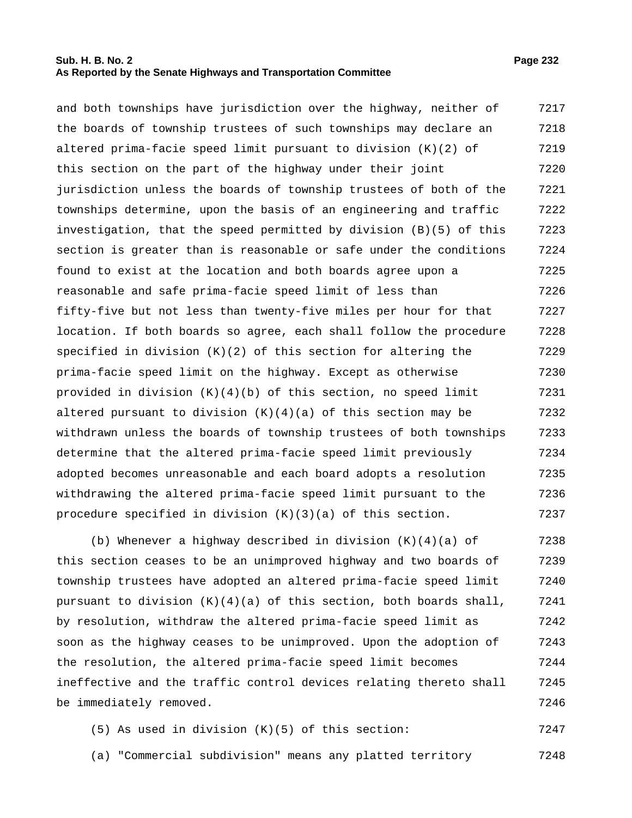## **Sub. H. B. No. 2 Page 232 As Reported by the Senate Highways and Transportation Committee**

and both townships have jurisdiction over the highway, neither of the boards of township trustees of such townships may declare an altered prima-facie speed limit pursuant to division (K)(2) of this section on the part of the highway under their joint jurisdiction unless the boards of township trustees of both of the townships determine, upon the basis of an engineering and traffic investigation, that the speed permitted by division (B)(5) of this section is greater than is reasonable or safe under the conditions found to exist at the location and both boards agree upon a reasonable and safe prima-facie speed limit of less than fifty-five but not less than twenty-five miles per hour for that location. If both boards so agree, each shall follow the procedure specified in division  $(K)(2)$  of this section for altering the prima-facie speed limit on the highway. Except as otherwise provided in division  $(K)(4)(b)$  of this section, no speed limit altered pursuant to division  $(K)(4)(a)$  of this section may be withdrawn unless the boards of township trustees of both townships determine that the altered prima-facie speed limit previously adopted becomes unreasonable and each board adopts a resolution withdrawing the altered prima-facie speed limit pursuant to the procedure specified in division  $(K)(3)(a)$  of this section. 7217 7218 7219 7220 7221 7222 7223 7224 7225 7226 7227 7228 7229 7230 7231 7232 7233 7234 7235 7236 7237

(b) Whenever a highway described in division  $(K)(4)(a)$  of this section ceases to be an unimproved highway and two boards of township trustees have adopted an altered prima-facie speed limit pursuant to division  $(K)(4)(a)$  of this section, both boards shall, by resolution, withdraw the altered prima-facie speed limit as soon as the highway ceases to be unimproved. Upon the adoption of the resolution, the altered prima-facie speed limit becomes ineffective and the traffic control devices relating thereto shall be immediately removed. 7238 7239 7240 7241 7242 7243 7244 7245 7246

- (5) As used in division (K)(5) of this section: 7247
- (a) "Commercial subdivision" means any platted territory 7248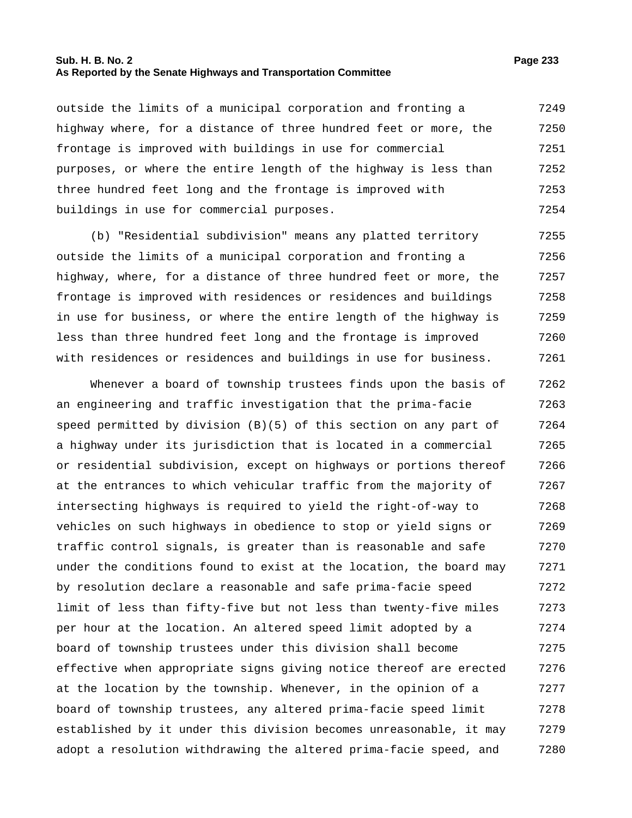## **Sub. H. B. No. 2 Page 233 As Reported by the Senate Highways and Transportation Committee**

outside the limits of a municipal corporation and fronting a highway where, for a distance of three hundred feet or more, the frontage is improved with buildings in use for commercial purposes, or where the entire length of the highway is less than three hundred feet long and the frontage is improved with buildings in use for commercial purposes. 7249 7250 7251 7252 7253 7254

(b) "Residential subdivision" means any platted territory outside the limits of a municipal corporation and fronting a highway, where, for a distance of three hundred feet or more, the frontage is improved with residences or residences and buildings in use for business, or where the entire length of the highway is less than three hundred feet long and the frontage is improved with residences or residences and buildings in use for business. 7255 7256 7257 7258 7259 7260 7261

Whenever a board of township trustees finds upon the basis of an engineering and traffic investigation that the prima-facie speed permitted by division (B)(5) of this section on any part of a highway under its jurisdiction that is located in a commercial or residential subdivision, except on highways or portions thereof at the entrances to which vehicular traffic from the majority of intersecting highways is required to yield the right-of-way to vehicles on such highways in obedience to stop or yield signs or traffic control signals, is greater than is reasonable and safe under the conditions found to exist at the location, the board may by resolution declare a reasonable and safe prima-facie speed limit of less than fifty-five but not less than twenty-five miles per hour at the location. An altered speed limit adopted by a board of township trustees under this division shall become effective when appropriate signs giving notice thereof are erected at the location by the township. Whenever, in the opinion of a board of township trustees, any altered prima-facie speed limit established by it under this division becomes unreasonable, it may adopt a resolution withdrawing the altered prima-facie speed, and 7262 7263 7264 7265 7266 7267 7268 7269 7270 7271 7272 7273 7274 7275 7276 7277 7278 7279 7280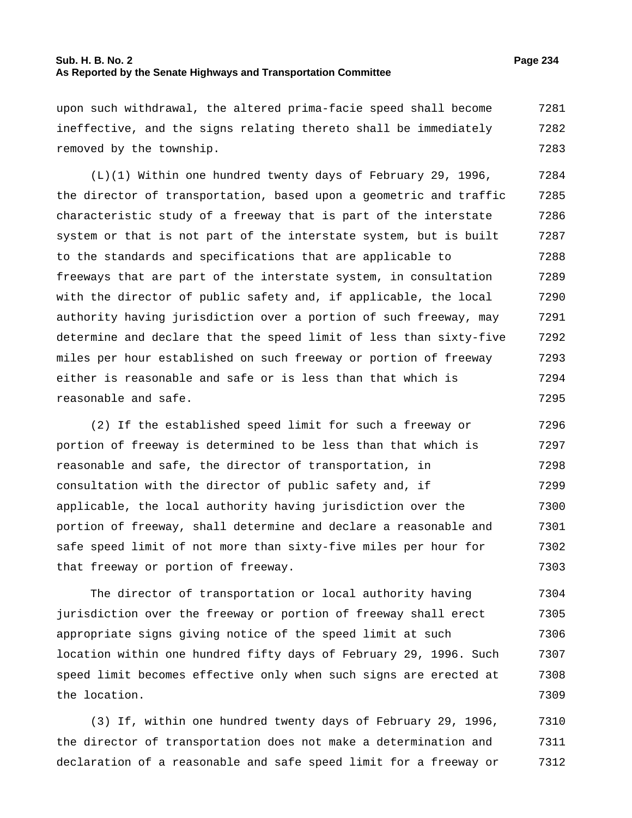## **Sub. H. B. No. 2 Page 234 As Reported by the Senate Highways and Transportation Committee**

upon such withdrawal, the altered prima-facie speed shall become ineffective, and the signs relating thereto shall be immediately removed by the township. 7281 7282 7283

(L)(1) Within one hundred twenty days of February 29, 1996, the director of transportation, based upon a geometric and traffic characteristic study of a freeway that is part of the interstate system or that is not part of the interstate system, but is built to the standards and specifications that are applicable to freeways that are part of the interstate system, in consultation with the director of public safety and, if applicable, the local authority having jurisdiction over a portion of such freeway, may determine and declare that the speed limit of less than sixty-five miles per hour established on such freeway or portion of freeway either is reasonable and safe or is less than that which is reasonable and safe. 7284 7285 7286 7287 7288 7289 7290 7291 7292 7293 7294 7295

(2) If the established speed limit for such a freeway or portion of freeway is determined to be less than that which is reasonable and safe, the director of transportation, in consultation with the director of public safety and, if applicable, the local authority having jurisdiction over the portion of freeway, shall determine and declare a reasonable and safe speed limit of not more than sixty-five miles per hour for that freeway or portion of freeway. 7296 7297 7298 7299 7300 7301 7302 7303

The director of transportation or local authority having jurisdiction over the freeway or portion of freeway shall erect appropriate signs giving notice of the speed limit at such location within one hundred fifty days of February 29, 1996. Such speed limit becomes effective only when such signs are erected at the location. 7304 7305 7306 7307 7308 7309

(3) If, within one hundred twenty days of February 29, 1996, the director of transportation does not make a determination and declaration of a reasonable and safe speed limit for a freeway or 7310 7311 7312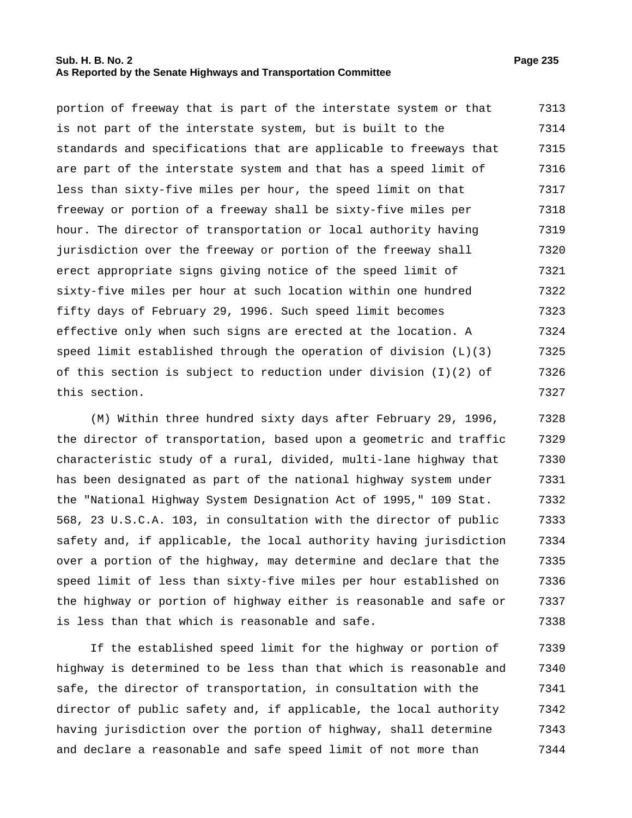## **Sub. H. B. No. 2 Page 235 As Reported by the Senate Highways and Transportation Committee**

portion of freeway that is part of the interstate system or that is not part of the interstate system, but is built to the standards and specifications that are applicable to freeways that are part of the interstate system and that has a speed limit of less than sixty-five miles per hour, the speed limit on that freeway or portion of a freeway shall be sixty-five miles per hour. The director of transportation or local authority having jurisdiction over the freeway or portion of the freeway shall erect appropriate signs giving notice of the speed limit of sixty-five miles per hour at such location within one hundred fifty days of February 29, 1996. Such speed limit becomes effective only when such signs are erected at the location. A speed limit established through the operation of division  $(L)(3)$ of this section is subject to reduction under division (I)(2) of this section. 7313 7314 7315 7316 7317 7318 7319 7320 7321 7322 7323 7324 7325 7326 7327

(M) Within three hundred sixty days after February 29, 1996, the director of transportation, based upon a geometric and traffic characteristic study of a rural, divided, multi-lane highway that has been designated as part of the national highway system under the "National Highway System Designation Act of 1995," 109 Stat. 568, 23 U.S.C.A. 103, in consultation with the director of public safety and, if applicable, the local authority having jurisdiction over a portion of the highway, may determine and declare that the speed limit of less than sixty-five miles per hour established on the highway or portion of highway either is reasonable and safe or is less than that which is reasonable and safe. 7328 7329 7330 7331 7332 7333 7334 7335 7336 7337 7338

If the established speed limit for the highway or portion of highway is determined to be less than that which is reasonable and safe, the director of transportation, in consultation with the director of public safety and, if applicable, the local authority having jurisdiction over the portion of highway, shall determine and declare a reasonable and safe speed limit of not more than 7339 7340 7341 7342 7343 7344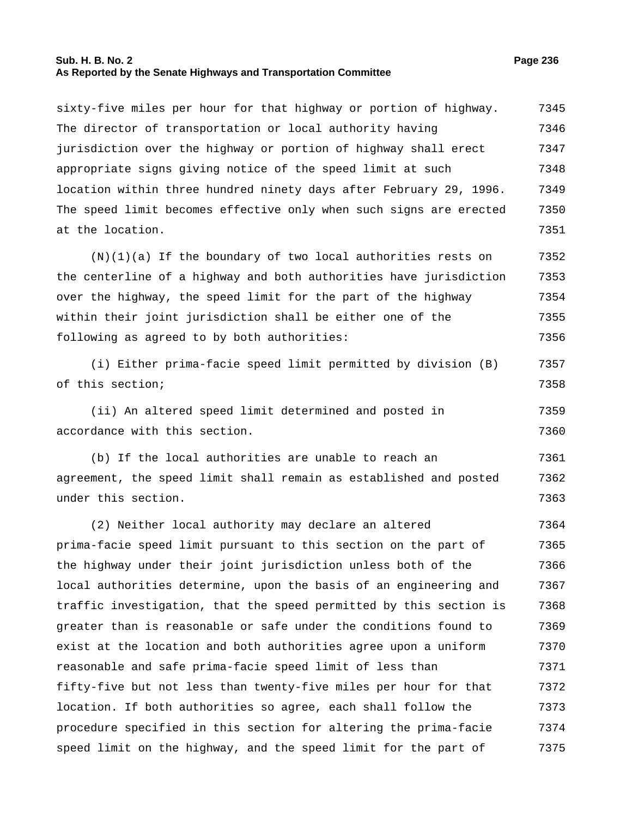#### **Sub. H. B. No. 2 Page 236 As Reported by the Senate Highways and Transportation Committee**

sixty-five miles per hour for that highway or portion of highway. The director of transportation or local authority having jurisdiction over the highway or portion of highway shall erect appropriate signs giving notice of the speed limit at such location within three hundred ninety days after February 29, 1996. The speed limit becomes effective only when such signs are erected at the location. 7345 7346 7347 7348 7349 7350 7351  $(N)(1)(a)$  If the boundary of two local authorities rests on the centerline of a highway and both authorities have jurisdiction over the highway, the speed limit for the part of the highway within their joint jurisdiction shall be either one of the following as agreed to by both authorities: 7352 7353 7354 7355 7356 (i) Either prima-facie speed limit permitted by division (B) of this section; 7357 7358 (ii) An altered speed limit determined and posted in accordance with this section. 7359 7360 (b) If the local authorities are unable to reach an agreement, the speed limit shall remain as established and posted under this section. 7361 7362 7363 (2) Neither local authority may declare an altered prima-facie speed limit pursuant to this section on the part of the highway under their joint jurisdiction unless both of the local authorities determine, upon the basis of an engineering and traffic investigation, that the speed permitted by this section is greater than is reasonable or safe under the conditions found to exist at the location and both authorities agree upon a uniform reasonable and safe prima-facie speed limit of less than fifty-five but not less than twenty-five miles per hour for that location. If both authorities so agree, each shall follow the procedure specified in this section for altering the prima-facie speed limit on the highway, and the speed limit for the part of 7364 7365 7366 7367 7368 7369 7370 7371 7372 7373 7374 7375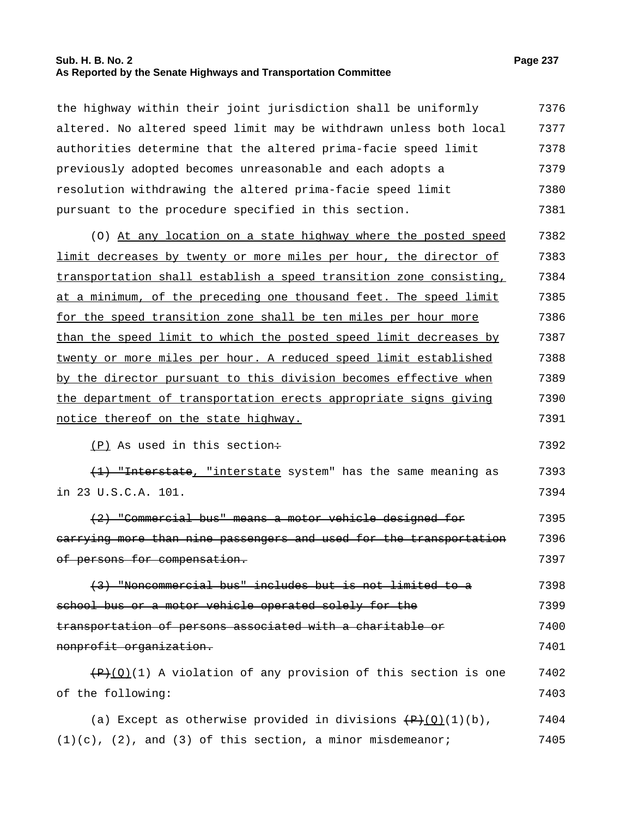# **Sub. H. B. No. 2 Page 237 As Reported by the Senate Highways and Transportation Committee**

| the highway within their joint jurisdiction shall be uniformly                         | 7376 |
|----------------------------------------------------------------------------------------|------|
| altered. No altered speed limit may be withdrawn unless both local                     | 7377 |
| authorities determine that the altered prima-facie speed limit                         | 7378 |
| previously adopted becomes unreasonable and each adopts a                              | 7379 |
| resolution withdrawing the altered prima-facie speed limit                             | 7380 |
| pursuant to the procedure specified in this section.                                   | 7381 |
| (0) At any location on a state highway where the posted speed                          | 7382 |
| limit decreases by twenty or more miles per hour, the director of                      | 7383 |
| transportation shall establish a speed transition zone consisting,                     | 7384 |
| at a minimum, of the preceding one thousand feet. The speed limit                      | 7385 |
| for the speed transition zone shall be ten miles per hour more                         | 7386 |
| than the speed limit to which the posted speed limit decreases by                      | 7387 |
| twenty or more miles per hour. A reduced speed limit established                       | 7388 |
| by the director pursuant to this division becomes effective when                       | 7389 |
| the department of transportation erects appropriate signs giving                       | 7390 |
| notice thereof on the state highway.                                                   | 7391 |
| $(P)$ As used in this section÷                                                         | 7392 |
| (1) "Interstate, "interstate system" has the same meaning as                           | 7393 |
| in 23 U.S.C.A. 101.                                                                    | 7394 |
| (2) "Commercial bus" means a motor vehicle designed for                                | 7395 |
| earrying more than nine passengers and used for the transportation                     | 7396 |
| of persons for compensation.                                                           | 7397 |
| (3) "Noncommercial bus" includes but is not limited to a                               | 7398 |
| school bus or a motor vehicle operated solely for the                                  | 7399 |
| transportation of persons associated with a charitable or                              | 7400 |
| nonprofit organization.                                                                | 7401 |
| $(\mathsf{P} \setminus \{0\})$ (1) A violation of any provision of this section is one | 7402 |
| of the following:                                                                      | 7403 |
| (a) Except as otherwise provided in divisions $(\mathbb{P} \setminus (0)(1)(b))$ ,     | 7404 |
| $(1)(c)$ , $(2)$ , and $(3)$ of this section, a minor misdemeanor;                     | 7405 |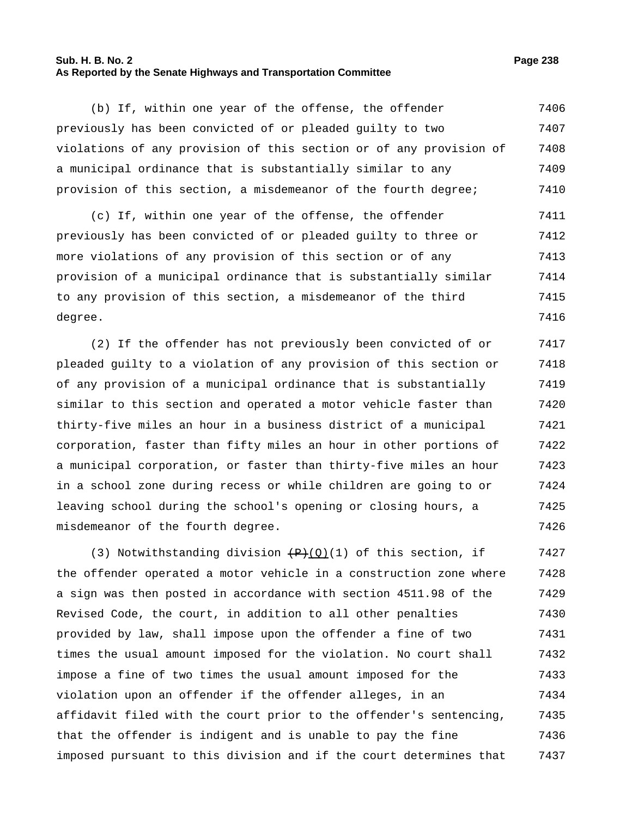#### **Sub. H. B. No. 2 Page 238 As Reported by the Senate Highways and Transportation Committee**

(b) If, within one year of the offense, the offender previously has been convicted of or pleaded guilty to two violations of any provision of this section or of any provision of a municipal ordinance that is substantially similar to any provision of this section, a misdemeanor of the fourth degree; 7406 7407 7408 7409 7410

(c) If, within one year of the offense, the offender previously has been convicted of or pleaded guilty to three or more violations of any provision of this section or of any provision of a municipal ordinance that is substantially similar to any provision of this section, a misdemeanor of the third degree. 7411 7412 7413 7414 7415 7416

(2) If the offender has not previously been convicted of or pleaded guilty to a violation of any provision of this section or of any provision of a municipal ordinance that is substantially similar to this section and operated a motor vehicle faster than thirty-five miles an hour in a business district of a municipal corporation, faster than fifty miles an hour in other portions of a municipal corporation, or faster than thirty-five miles an hour in a school zone during recess or while children are going to or leaving school during the school's opening or closing hours, a misdemeanor of the fourth degree. 7417 7418 7419 7420 7421 7422 7423 7424 7425 7426

(3) Notwithstanding division  $(+)$  (0)(1) of this section, if the offender operated a motor vehicle in a construction zone where a sign was then posted in accordance with section 4511.98 of the Revised Code, the court, in addition to all other penalties provided by law, shall impose upon the offender a fine of two times the usual amount imposed for the violation. No court shall impose a fine of two times the usual amount imposed for the violation upon an offender if the offender alleges, in an affidavit filed with the court prior to the offender's sentencing, that the offender is indigent and is unable to pay the fine imposed pursuant to this division and if the court determines that 7427 7428 7429 7430 7431 7432 7433 7434 7435 7436 7437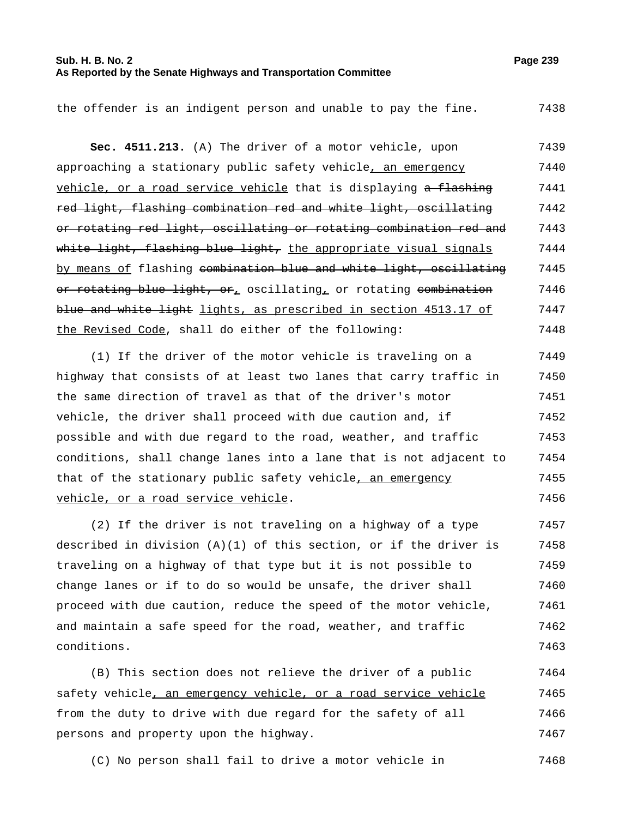## **Sub. H. B. No. 2 Page 239 As Reported by the Senate Highways and Transportation Committee**

the offender is an indigent person and unable to pay the fine. 7438

**Sec. 4511.213.** (A) The driver of a motor vehicle, upon approaching a stationary public safety vehicle, an emergency vehicle, or a road service vehicle that is displaying a flashing red light, flashing combination red and white light, oscillating or rotating red light, oscillating or rotating combination red and white light, flashing blue light, the appropriate visual signals by means of flashing combination blue and white light, oscillating or rotating blue light, or, oscillating, or rotating combination blue and white light lights, as prescribed in section 4513.17 of the Revised Code, shall do either of the following: 7439 7440 7441 7442 7443 7444 7445 7446 7447 7448

(1) If the driver of the motor vehicle is traveling on a highway that consists of at least two lanes that carry traffic in the same direction of travel as that of the driver's motor vehicle, the driver shall proceed with due caution and, if possible and with due regard to the road, weather, and traffic conditions, shall change lanes into a lane that is not adjacent to that of the stationary public safety vehicle, an emergency vehicle, or a road service vehicle. 7449 7450 7451 7452 7453 7454 7455 7456

(2) If the driver is not traveling on a highway of a type described in division (A)(1) of this section, or if the driver is traveling on a highway of that type but it is not possible to change lanes or if to do so would be unsafe, the driver shall proceed with due caution, reduce the speed of the motor vehicle, and maintain a safe speed for the road, weather, and traffic conditions. 7457 7458 7459 7460 7461 7462 7463

(B) This section does not relieve the driver of a public safety vehicle, an emergency vehicle, or a road service vehicle from the duty to drive with due regard for the safety of all persons and property upon the highway. 7464 7465 7466 7467

(C) No person shall fail to drive a motor vehicle in 7468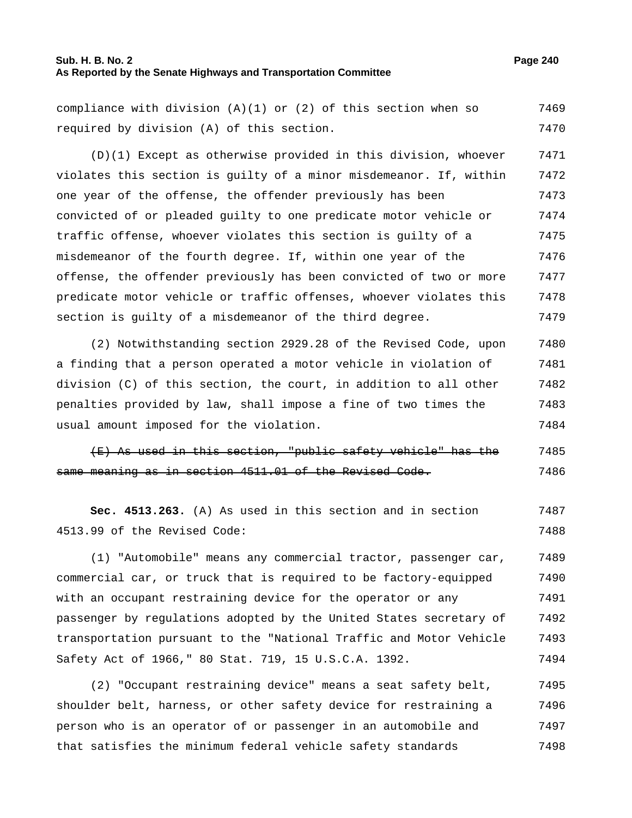## **Sub. H. B. No. 2 Page 240 As Reported by the Senate Highways and Transportation Committee**

compliance with division  $(A)(1)$  or  $(2)$  of this section when so required by division (A) of this section. 7469 7470

(D)(1) Except as otherwise provided in this division, whoever violates this section is guilty of a minor misdemeanor. If, within one year of the offense, the offender previously has been convicted of or pleaded guilty to one predicate motor vehicle or traffic offense, whoever violates this section is guilty of a misdemeanor of the fourth degree. If, within one year of the offense, the offender previously has been convicted of two or more predicate motor vehicle or traffic offenses, whoever violates this section is guilty of a misdemeanor of the third degree. 7471 7472 7473 7474 7475 7476 7477 7478 7479

(2) Notwithstanding section 2929.28 of the Revised Code, upon a finding that a person operated a motor vehicle in violation of division (C) of this section, the court, in addition to all other penalties provided by law, shall impose a fine of two times the usual amount imposed for the violation. 7480 7481 7482 7483 7484

(E) As used in this section, "public safety vehicle" has the same meaning as in section 4511.01 of the Revised Code. 7485 7486

**Sec. 4513.263.** (A) As used in this section and in section 4513.99 of the Revised Code: 7487 7488

(1) "Automobile" means any commercial tractor, passenger car, commercial car, or truck that is required to be factory-equipped with an occupant restraining device for the operator or any passenger by regulations adopted by the United States secretary of transportation pursuant to the "National Traffic and Motor Vehicle Safety Act of 1966," 80 Stat. 719, 15 U.S.C.A. 1392. 7489 7490 7491 7492 7493 7494

(2) "Occupant restraining device" means a seat safety belt, shoulder belt, harness, or other safety device for restraining a person who is an operator of or passenger in an automobile and that satisfies the minimum federal vehicle safety standards 7495 7496 7497 7498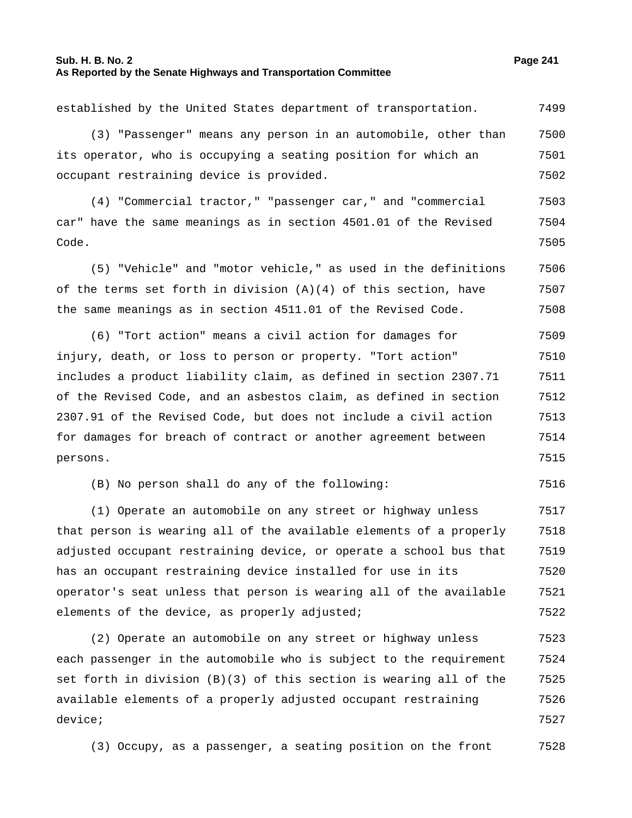## **Sub. H. B. No. 2 Page 241 As Reported by the Senate Highways and Transportation Committee**

established by the United States department of transportation. 7499

(3) "Passenger" means any person in an automobile, other than its operator, who is occupying a seating position for which an occupant restraining device is provided. 7500 7501 7502

(4) "Commercial tractor," "passenger car," and "commercial car" have the same meanings as in section 4501.01 of the Revised Code. 7503 7504 7505

(5) "Vehicle" and "motor vehicle," as used in the definitions of the terms set forth in division  $(A)(4)$  of this section, have the same meanings as in section 4511.01 of the Revised Code. 7506 7507 7508

(6) "Tort action" means a civil action for damages for injury, death, or loss to person or property. "Tort action" includes a product liability claim, as defined in section 2307.71 of the Revised Code, and an asbestos claim, as defined in section 2307.91 of the Revised Code, but does not include a civil action for damages for breach of contract or another agreement between persons. 7509 7510 7511 7512 7513 7514 7515

(B) No person shall do any of the following: 7516

(1) Operate an automobile on any street or highway unless that person is wearing all of the available elements of a properly adjusted occupant restraining device, or operate a school bus that has an occupant restraining device installed for use in its operator's seat unless that person is wearing all of the available elements of the device, as properly adjusted; 7517 7518 7519 7520 7521 7522

(2) Operate an automobile on any street or highway unless each passenger in the automobile who is subject to the requirement set forth in division (B)(3) of this section is wearing all of the available elements of a properly adjusted occupant restraining device; 7523 7524 7525 7526 7527

(3) Occupy, as a passenger, a seating position on the front 7528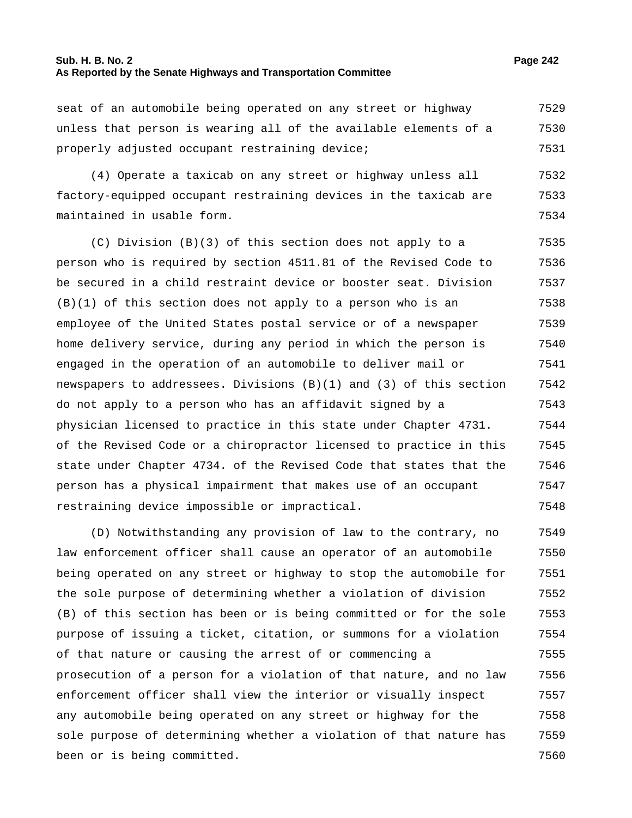## **Sub. H. B. No. 2 Page 242 As Reported by the Senate Highways and Transportation Committee**

seat of an automobile being operated on any street or highway unless that person is wearing all of the available elements of a properly adjusted occupant restraining device; 7529 7530 7531

(4) Operate a taxicab on any street or highway unless all factory-equipped occupant restraining devices in the taxicab are maintained in usable form. 7532 7533 7534

(C) Division (B)(3) of this section does not apply to a person who is required by section 4511.81 of the Revised Code to be secured in a child restraint device or booster seat. Division (B)(1) of this section does not apply to a person who is an employee of the United States postal service or of a newspaper home delivery service, during any period in which the person is engaged in the operation of an automobile to deliver mail or newspapers to addressees. Divisions (B)(1) and (3) of this section do not apply to a person who has an affidavit signed by a physician licensed to practice in this state under Chapter 4731. of the Revised Code or a chiropractor licensed to practice in this state under Chapter 4734. of the Revised Code that states that the person has a physical impairment that makes use of an occupant restraining device impossible or impractical. 7535 7536 7537 7538 7539 7540 7541 7542 7543 7544 7545 7546 7547 7548

(D) Notwithstanding any provision of law to the contrary, no law enforcement officer shall cause an operator of an automobile being operated on any street or highway to stop the automobile for the sole purpose of determining whether a violation of division (B) of this section has been or is being committed or for the sole purpose of issuing a ticket, citation, or summons for a violation of that nature or causing the arrest of or commencing a prosecution of a person for a violation of that nature, and no law enforcement officer shall view the interior or visually inspect any automobile being operated on any street or highway for the sole purpose of determining whether a violation of that nature has been or is being committed. 7549 7550 7551 7552 7553 7554 7555 7556 7557 7558 7559 7560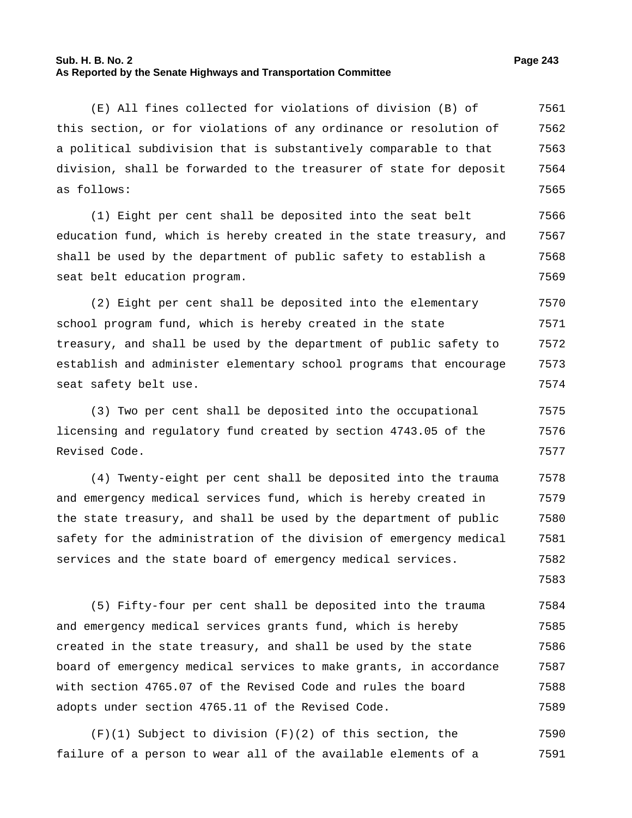## **Sub. H. B. No. 2 Page 243 As Reported by the Senate Highways and Transportation Committee**

7583

(E) All fines collected for violations of division (B) of this section, or for violations of any ordinance or resolution of a political subdivision that is substantively comparable to that division, shall be forwarded to the treasurer of state for deposit as follows: 7561 7562 7563 7564 7565

(1) Eight per cent shall be deposited into the seat belt education fund, which is hereby created in the state treasury, and shall be used by the department of public safety to establish a seat belt education program. 7566 7567 7568 7569

(2) Eight per cent shall be deposited into the elementary school program fund, which is hereby created in the state treasury, and shall be used by the department of public safety to establish and administer elementary school programs that encourage seat safety belt use. 7570 7571 7572 7573 7574

(3) Two per cent shall be deposited into the occupational licensing and regulatory fund created by section 4743.05 of the Revised Code. 7575 7576 7577

(4) Twenty-eight per cent shall be deposited into the trauma and emergency medical services fund, which is hereby created in the state treasury, and shall be used by the department of public safety for the administration of the division of emergency medical services and the state board of emergency medical services. 7578 7579 7580 7581 7582

(5) Fifty-four per cent shall be deposited into the trauma and emergency medical services grants fund, which is hereby created in the state treasury, and shall be used by the state board of emergency medical services to make grants, in accordance with section 4765.07 of the Revised Code and rules the board adopts under section 4765.11 of the Revised Code. 7584 7585 7586 7587 7588 7589

(F)(1) Subject to division (F)(2) of this section, the failure of a person to wear all of the available elements of a 7590 7591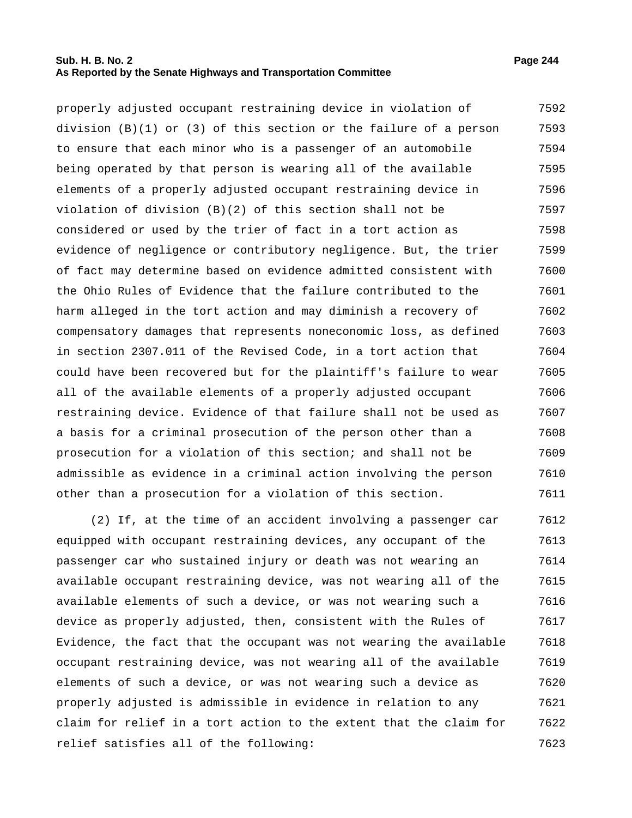## **Sub. H. B. No. 2 Page 244 As Reported by the Senate Highways and Transportation Committee**

properly adjusted occupant restraining device in violation of division  $(B)(1)$  or  $(3)$  of this section or the failure of a person to ensure that each minor who is a passenger of an automobile being operated by that person is wearing all of the available elements of a properly adjusted occupant restraining device in violation of division (B)(2) of this section shall not be considered or used by the trier of fact in a tort action as evidence of negligence or contributory negligence. But, the trier of fact may determine based on evidence admitted consistent with the Ohio Rules of Evidence that the failure contributed to the harm alleged in the tort action and may diminish a recovery of compensatory damages that represents noneconomic loss, as defined in section 2307.011 of the Revised Code, in a tort action that could have been recovered but for the plaintiff's failure to wear all of the available elements of a properly adjusted occupant restraining device. Evidence of that failure shall not be used as a basis for a criminal prosecution of the person other than a prosecution for a violation of this section; and shall not be admissible as evidence in a criminal action involving the person other than a prosecution for a violation of this section. 7592 7593 7594 7595 7596 7597 7598 7599 7600 7601 7602 7603 7604 7605 7606 7607 7608 7609 7610 7611

(2) If, at the time of an accident involving a passenger car equipped with occupant restraining devices, any occupant of the passenger car who sustained injury or death was not wearing an available occupant restraining device, was not wearing all of the available elements of such a device, or was not wearing such a device as properly adjusted, then, consistent with the Rules of Evidence, the fact that the occupant was not wearing the available occupant restraining device, was not wearing all of the available elements of such a device, or was not wearing such a device as properly adjusted is admissible in evidence in relation to any claim for relief in a tort action to the extent that the claim for relief satisfies all of the following: 7612 7613 7614 7615 7616 7617 7618 7619 7620 7621 7622 7623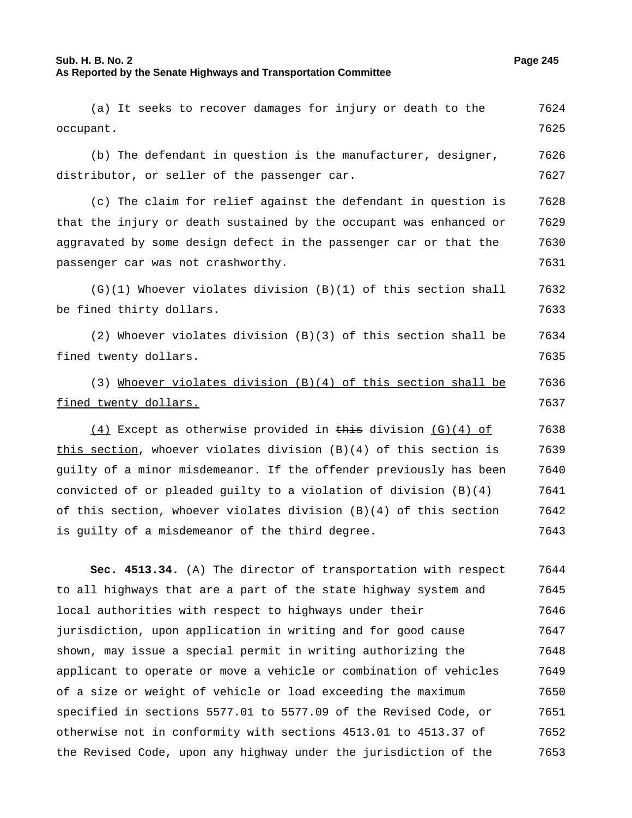## **Sub. H. B. No. 2 Page 245 As Reported by the Senate Highways and Transportation Committee**

| (a) It seeks to recover damages for injury or death to the          | 7624 |
|---------------------------------------------------------------------|------|
| occupant.                                                           | 7625 |
| (b) The defendant in question is the manufacturer, designer,        | 7626 |
| distributor, or seller of the passenger car.                        | 7627 |
| (c) The claim for relief against the defendant in question is       | 7628 |
| that the injury or death sustained by the occupant was enhanced or  | 7629 |
| aggravated by some design defect in the passenger car or that the   | 7630 |
| passenger car was not crashworthy.                                  | 7631 |
| $(G)(1)$ Whoever violates division $(B)(1)$ of this section shall   | 7632 |
| be fined thirty dollars.                                            | 7633 |
| $(2)$ Whoever violates division $(B)(3)$ of this section shall be   | 7634 |
| fined twenty dollars.                                               | 7635 |
| (3) Whoever violates division $(B)(4)$ of this section shall be     | 7636 |
| fined twenty dollars.                                               | 7637 |
| $(4)$ Except as otherwise provided in this division $(G)(4)$ of     | 7638 |
| this section, whoever violates division $(B)(4)$ of this section is | 7639 |
| guilty of a minor misdemeanor. If the offender previously has been  | 7640 |
| convicted of or pleaded guilty to a violation of division $(B)(4)$  | 7641 |
| of this section, whoever violates division $(B)(4)$ of this section | 7642 |
| is guilty of a misdemeanor of the third degree.                     | 7643 |
|                                                                     | 7644 |
| Sec. 4513.34. (A) The director of transportation with respect       |      |
| to all highways that are a part of the state highway system and     | 7645 |
| local authorities with respect to highways under their              | 7646 |
| jurisdiction, upon application in writing and for good cause        | 7647 |
| shown, may issue a special permit in writing authorizing the        | 7648 |
| applicant to operate or move a vehicle or combination of vehicles   | 7649 |
| of a size or weight of vehicle or load exceeding the maximum        | 7650 |
| specified in sections 5577.01 to 5577.09 of the Revised Code, or    | 7651 |
| otherwise not in conformity with sections 4513.01 to 4513.37 of     | 7652 |
| the Revised Code, upon any highway under the jurisdiction of the    | 7653 |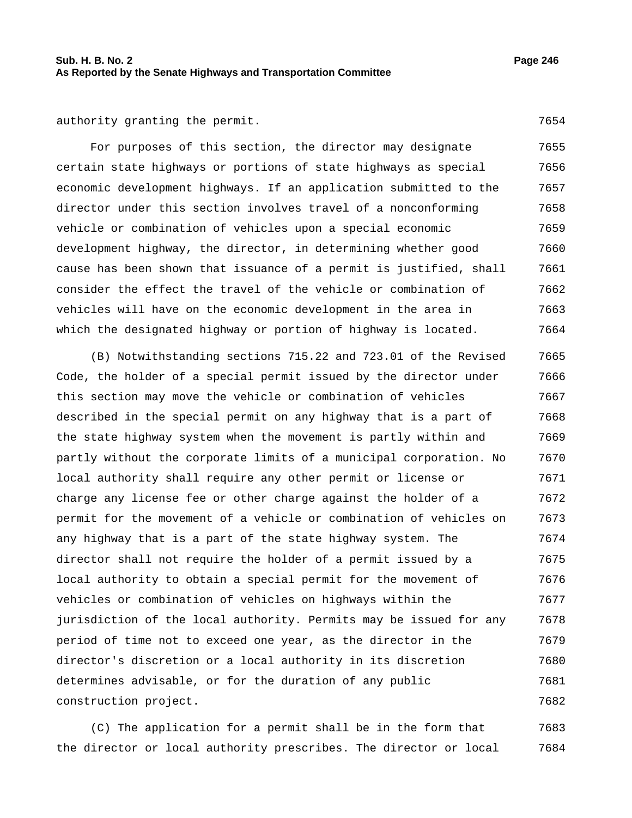authority granting the permit. 7654

For purposes of this section, the director may designate certain state highways or portions of state highways as special economic development highways. If an application submitted to the director under this section involves travel of a nonconforming vehicle or combination of vehicles upon a special economic development highway, the director, in determining whether good cause has been shown that issuance of a permit is justified, shall consider the effect the travel of the vehicle or combination of vehicles will have on the economic development in the area in which the designated highway or portion of highway is located. 7655 7656 7657 7658 7659 7660 7661 7662 7663 7664

(B) Notwithstanding sections 715.22 and 723.01 of the Revised Code, the holder of a special permit issued by the director under this section may move the vehicle or combination of vehicles described in the special permit on any highway that is a part of the state highway system when the movement is partly within and partly without the corporate limits of a municipal corporation. No local authority shall require any other permit or license or charge any license fee or other charge against the holder of a permit for the movement of a vehicle or combination of vehicles on any highway that is a part of the state highway system. The director shall not require the holder of a permit issued by a local authority to obtain a special permit for the movement of vehicles or combination of vehicles on highways within the jurisdiction of the local authority. Permits may be issued for any period of time not to exceed one year, as the director in the director's discretion or a local authority in its discretion determines advisable, or for the duration of any public construction project. 7665 7666 7667 7668 7669 7670 7671 7672 7673 7674 7675 7676 7677 7678 7679 7680 7681 7682

(C) The application for a permit shall be in the form that the director or local authority prescribes. The director or local 7683 7684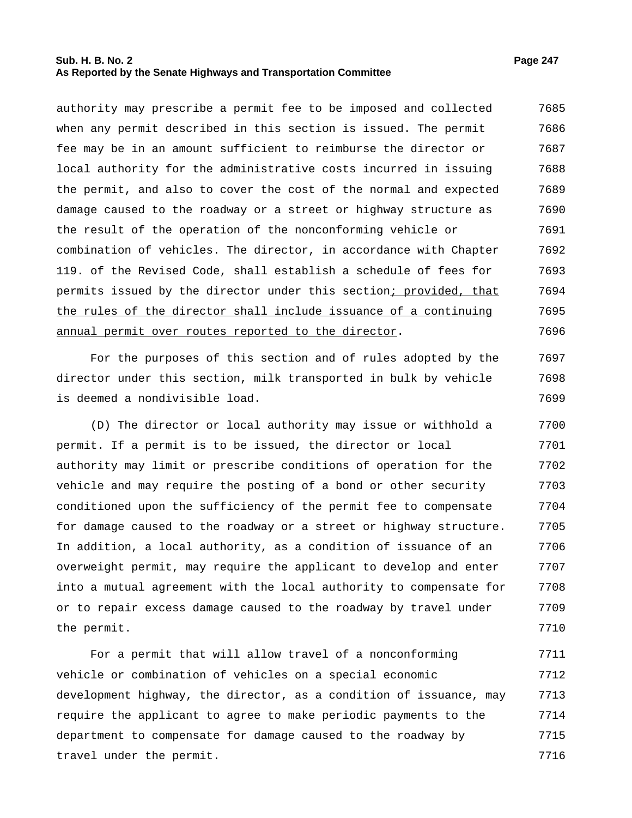## **Sub. H. B. No. 2 Page 247 As Reported by the Senate Highways and Transportation Committee**

authority may prescribe a permit fee to be imposed and collected when any permit described in this section is issued. The permit fee may be in an amount sufficient to reimburse the director or local authority for the administrative costs incurred in issuing the permit, and also to cover the cost of the normal and expected damage caused to the roadway or a street or highway structure as the result of the operation of the nonconforming vehicle or combination of vehicles. The director, in accordance with Chapter 119. of the Revised Code, shall establish a schedule of fees for permits issued by the director under this section; provided, that the rules of the director shall include issuance of a continuing annual permit over routes reported to the director. 7685 7686 7687 7688 7689 7690 7691 7692 7693 7694 7695 7696

For the purposes of this section and of rules adopted by the director under this section, milk transported in bulk by vehicle is deemed a nondivisible load. 7697 7698 7699

(D) The director or local authority may issue or withhold a permit. If a permit is to be issued, the director or local authority may limit or prescribe conditions of operation for the vehicle and may require the posting of a bond or other security conditioned upon the sufficiency of the permit fee to compensate for damage caused to the roadway or a street or highway structure. In addition, a local authority, as a condition of issuance of an overweight permit, may require the applicant to develop and enter into a mutual agreement with the local authority to compensate for or to repair excess damage caused to the roadway by travel under the permit. 7700 7701 7702 7703 7704 7705 7706 7707 7708 7709 7710

For a permit that will allow travel of a nonconforming vehicle or combination of vehicles on a special economic development highway, the director, as a condition of issuance, may require the applicant to agree to make periodic payments to the department to compensate for damage caused to the roadway by travel under the permit. 7711 7712 7713 7714 7715 7716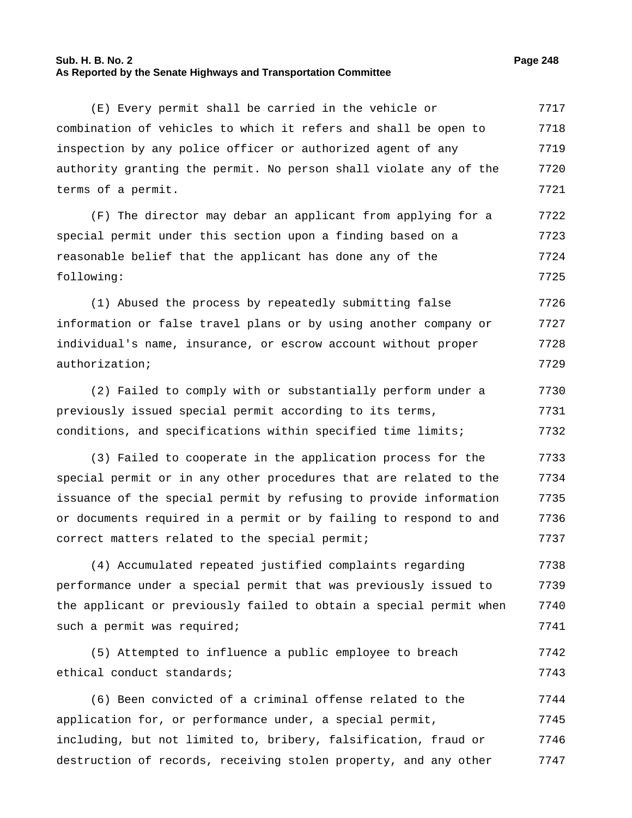#### **Sub. H. B. No. 2 Page 248 As Reported by the Senate Highways and Transportation Committee**

(E) Every permit shall be carried in the vehicle or combination of vehicles to which it refers and shall be open to inspection by any police officer or authorized agent of any authority granting the permit. No person shall violate any of the terms of a permit. 7717 7718 7719 7720 7721

(F) The director may debar an applicant from applying for a special permit under this section upon a finding based on a reasonable belief that the applicant has done any of the following: 7722 7723 7724 7725

(1) Abused the process by repeatedly submitting false information or false travel plans or by using another company or individual's name, insurance, or escrow account without proper authorization; 7726 7727 7728 7729

(2) Failed to comply with or substantially perform under a previously issued special permit according to its terms, conditions, and specifications within specified time limits; 7730 7731 7732

(3) Failed to cooperate in the application process for the special permit or in any other procedures that are related to the issuance of the special permit by refusing to provide information or documents required in a permit or by failing to respond to and correct matters related to the special permit; 7733 7734 7735 7736 7737

(4) Accumulated repeated justified complaints regarding performance under a special permit that was previously issued to the applicant or previously failed to obtain a special permit when such a permit was required; 7738 7739 7740 7741

(5) Attempted to influence a public employee to breach ethical conduct standards; 7742 7743

(6) Been convicted of a criminal offense related to the application for, or performance under, a special permit, including, but not limited to, bribery, falsification, fraud or destruction of records, receiving stolen property, and any other 7744 7745 7746 7747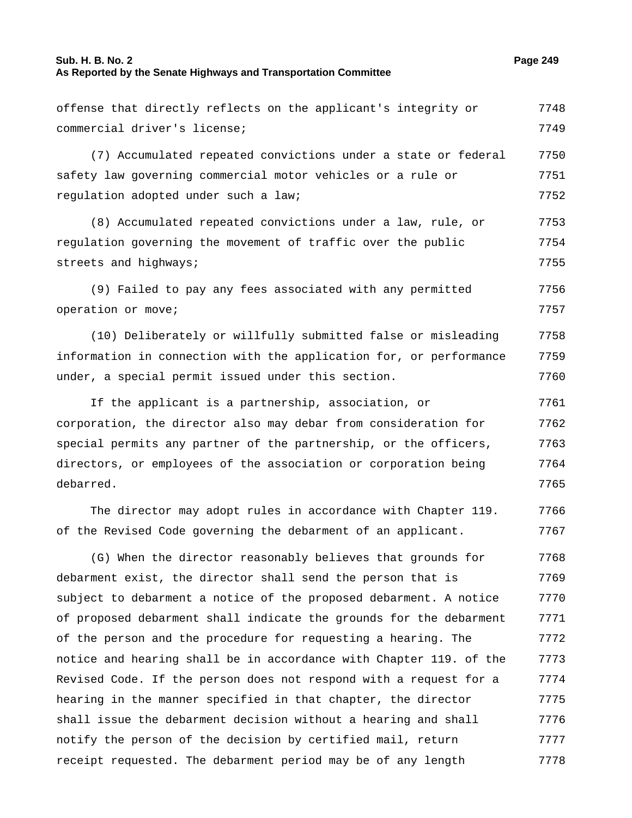# **Sub. H. B. No. 2 Page 249 As Reported by the Senate Highways and Transportation Committee**

| offense that directly reflects on the applicant's integrity or     | 7748 |
|--------------------------------------------------------------------|------|
| commercial driver's license;                                       | 7749 |
| (7) Accumulated repeated convictions under a state or federal      | 7750 |
| safety law governing commercial motor vehicles or a rule or        | 7751 |
| regulation adopted under such a law;                               | 7752 |
| (8) Accumulated repeated convictions under a law, rule, or         | 7753 |
| regulation governing the movement of traffic over the public       | 7754 |
| streets and highways;                                              | 7755 |
| (9) Failed to pay any fees associated with any permitted           | 7756 |
| operation or move;                                                 | 7757 |
| (10) Deliberately or willfully submitted false or misleading       | 7758 |
| information in connection with the application for, or performance | 7759 |
| under, a special permit issued under this section.                 | 7760 |
| If the applicant is a partnership, association, or                 | 7761 |
| corporation, the director also may debar from consideration for    | 7762 |
| special permits any partner of the partnership, or the officers,   | 7763 |
| directors, or employees of the association or corporation being    | 7764 |
| debarred.                                                          | 7765 |
| The director may adopt rules in accordance with Chapter 119.       | 7766 |
| of the Revised Code governing the debarment of an applicant.       | 7767 |
| (G) When the director reasonably believes that grounds for         | 7768 |
| debarment exist, the director shall send the person that is        | 7769 |
| subject to debarment a notice of the proposed debarment. A notice  | 7770 |
| of proposed debarment shall indicate the grounds for the debarment | 7771 |
| of the person and the procedure for requesting a hearing. The      | 7772 |
| notice and hearing shall be in accordance with Chapter 119. of the | 7773 |
| Revised Code. If the person does not respond with a request for a  | 7774 |
| hearing in the manner specified in that chapter, the director      | 7775 |
| shall issue the debarment decision without a hearing and shall     | 7776 |
| notify the person of the decision by certified mail, return        | 7777 |
| receipt requested. The debarment period may be of any length       | 7778 |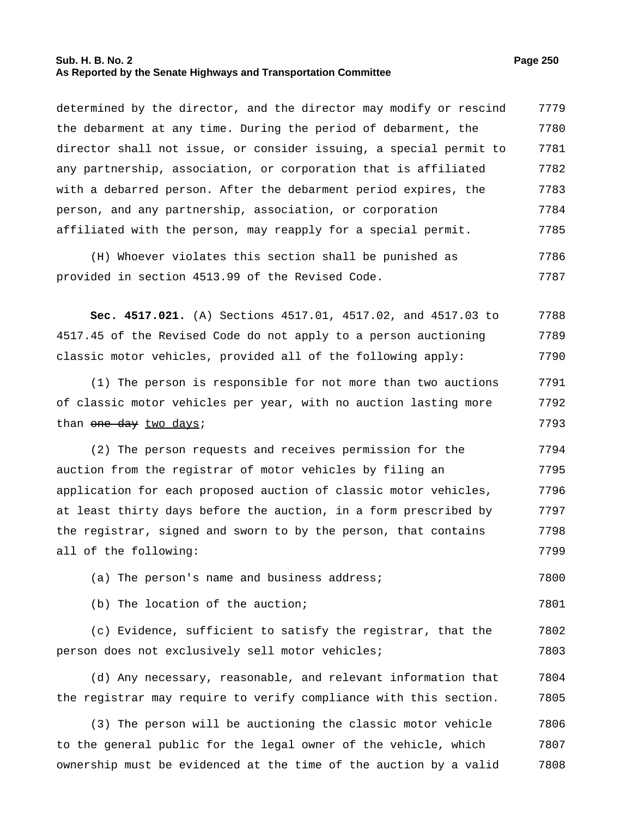#### **Sub. H. B. No. 2 Page 250 As Reported by the Senate Highways and Transportation Committee**

determined by the director, and the director may modify or rescind the debarment at any time. During the period of debarment, the director shall not issue, or consider issuing, a special permit to any partnership, association, or corporation that is affiliated with a debarred person. After the debarment period expires, the person, and any partnership, association, or corporation affiliated with the person, may reapply for a special permit. 7779 7780 7781 7782 7783 7784 7785

(H) Whoever violates this section shall be punished as provided in section 4513.99 of the Revised Code. 7786 7787

**Sec. 4517.021.** (A) Sections 4517.01, 4517.02, and 4517.03 to 4517.45 of the Revised Code do not apply to a person auctioning classic motor vehicles, provided all of the following apply: 7788 7789 7790

(1) The person is responsible for not more than two auctions of classic motor vehicles per year, with no auction lasting more than one day two days; 7791 7792 7793

(2) The person requests and receives permission for the auction from the registrar of motor vehicles by filing an application for each proposed auction of classic motor vehicles, at least thirty days before the auction, in a form prescribed by the registrar, signed and sworn to by the person, that contains all of the following: 7794 7795 7796 7797 7798 7799

(a) The person's name and business address; 7800

(b) The location of the auction; 7801

(c) Evidence, sufficient to satisfy the registrar, that the person does not exclusively sell motor vehicles; 7802 7803

(d) Any necessary, reasonable, and relevant information that the registrar may require to verify compliance with this section. 7804 7805

(3) The person will be auctioning the classic motor vehicle to the general public for the legal owner of the vehicle, which ownership must be evidenced at the time of the auction by a valid 7806 7807 7808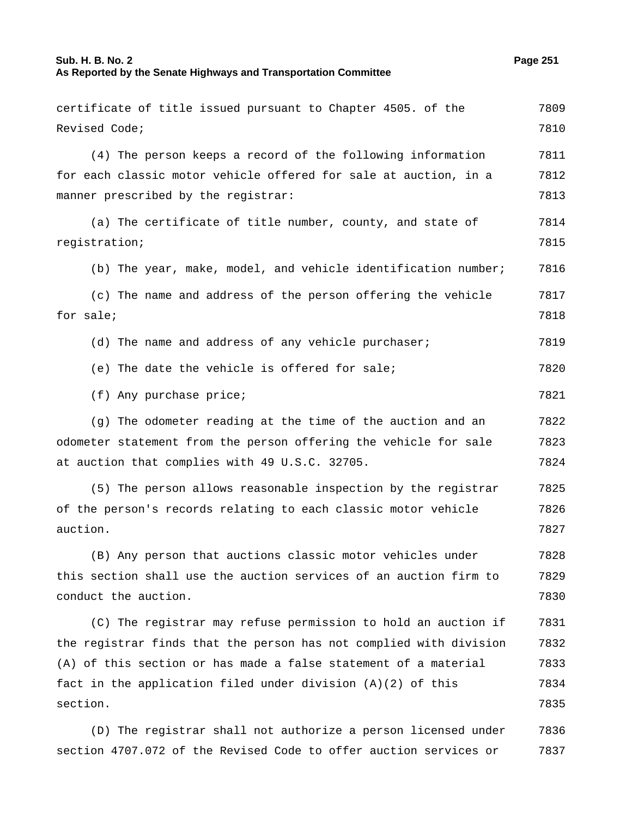## **Sub. H. B. No. 2 Page 251 As Reported by the Senate Highways and Transportation Committee**

certificate of title issued pursuant to Chapter 4505. of the Revised Code; 7809 7810 (4) The person keeps a record of the following information for each classic motor vehicle offered for sale at auction, in a manner prescribed by the registrar: 7811 7812 7813 (a) The certificate of title number, county, and state of registration; 7814 7815 (b) The year, make, model, and vehicle identification number; 7816 (c) The name and address of the person offering the vehicle for sale; 7817 7818 (d) The name and address of any vehicle purchaser; 7819 (e) The date the vehicle is offered for sale; 7820 (f) Any purchase price; 7821 (g) The odometer reading at the time of the auction and an odometer statement from the person offering the vehicle for sale at auction that complies with 49 U.S.C. 32705. 7822 7823 7824 (5) The person allows reasonable inspection by the registrar of the person's records relating to each classic motor vehicle auction. 7825 7826 7827 (B) Any person that auctions classic motor vehicles under this section shall use the auction services of an auction firm to conduct the auction. 7828 7829 7830 (C) The registrar may refuse permission to hold an auction if the registrar finds that the person has not complied with division (A) of this section or has made a false statement of a material fact in the application filed under division (A)(2) of this section. 7831 7832 7833 7834 7835

(D) The registrar shall not authorize a person licensed under section 4707.072 of the Revised Code to offer auction services or 7836 7837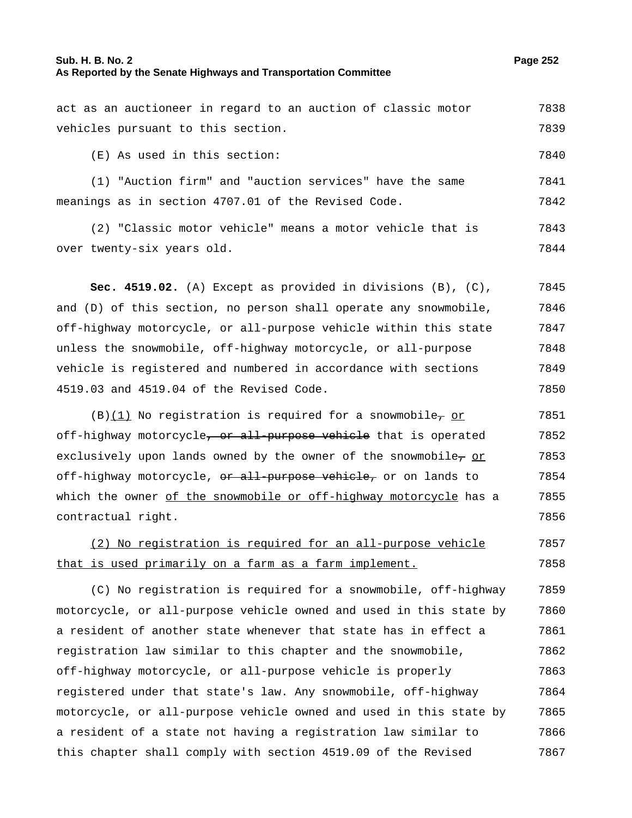## **Sub. H. B. No. 2 Page 252 As Reported by the Senate Highways and Transportation Committee**

act as an auctioneer in regard to an auction of classic motor vehicles pursuant to this section. 7838 7839

(E) As used in this section: 7840

(1) "Auction firm" and "auction services" have the same meanings as in section 4707.01 of the Revised Code. 7841 7842

(2) "Classic motor vehicle" means a motor vehicle that is over twenty-six years old. 7843 7844

**Sec. 4519.02.** (A) Except as provided in divisions (B), (C), and (D) of this section, no person shall operate any snowmobile, off-highway motorcycle, or all-purpose vehicle within this state unless the snowmobile, off-highway motorcycle, or all-purpose vehicle is registered and numbered in accordance with sections 4519.03 and 4519.04 of the Revised Code. 7845 7846 7847 7848 7849 7850

 $(B)(1)$  No registration is required for a snowmobile, or off-highway motorcycle, or all purpose vehicle that is operated exclusively upon lands owned by the owner of the snowmobile,  $p$ off-highway motorcycle, or all-purpose vehicle, or on lands to which the owner of the snowmobile or off-highway motorcycle has a contractual right. 7851 7852 7853 7854 7855 7856

(2) No registration is required for an all-purpose vehicle that is used primarily on a farm as a farm implement. 7857 7858

(C) No registration is required for a snowmobile, off-highway motorcycle, or all-purpose vehicle owned and used in this state by a resident of another state whenever that state has in effect a registration law similar to this chapter and the snowmobile, off-highway motorcycle, or all-purpose vehicle is properly registered under that state's law. Any snowmobile, off-highway motorcycle, or all-purpose vehicle owned and used in this state by a resident of a state not having a registration law similar to this chapter shall comply with section 4519.09 of the Revised 7859 7860 7861 7862 7863 7864 7865 7866 7867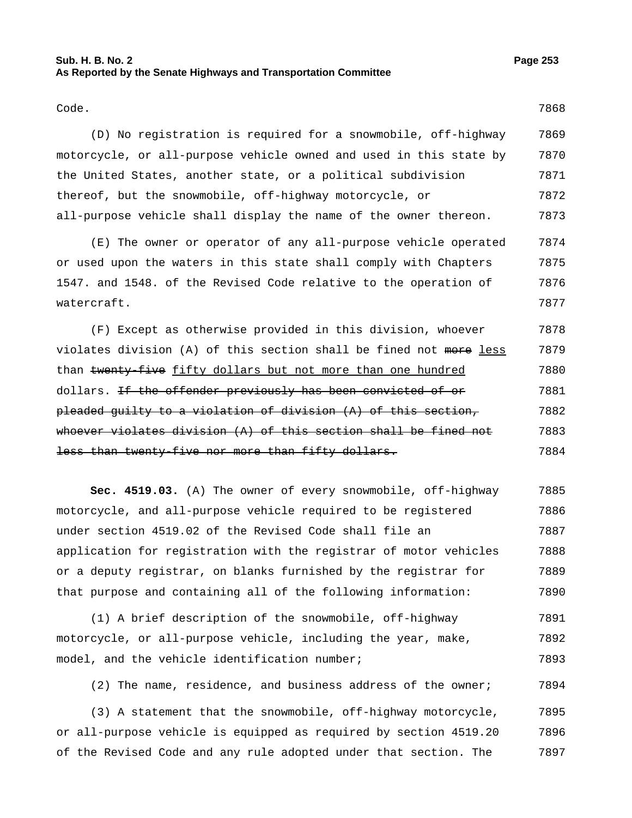# **Sub. H. B. No. 2 Page 253 As Reported by the Senate Highways and Transportation Committee**

Code. 7868

(D) No registration is required for a snowmobile, off-highway motorcycle, or all-purpose vehicle owned and used in this state by the United States, another state, or a political subdivision thereof, but the snowmobile, off-highway motorcycle, or all-purpose vehicle shall display the name of the owner thereon. 7869 7870 7871 7872 7873

(E) The owner or operator of any all-purpose vehicle operated or used upon the waters in this state shall comply with Chapters 1547. and 1548. of the Revised Code relative to the operation of watercraft. 7874 7875 7876 7877

(F) Except as otherwise provided in this division, whoever violates division (A) of this section shall be fined not  $m$ ore less than twenty five fifty dollars but not more than one hundred dollars. If the offender previously has been convicted of or pleaded guilty to a violation of division (A) of this section, whoever violates division (A) of this section shall be fined not less than twenty-five nor more than fifty dollars. 7878 7879 7880 7881 7882 7883 7884

**Sec. 4519.03.** (A) The owner of every snowmobile, off-highway motorcycle, and all-purpose vehicle required to be registered under section 4519.02 of the Revised Code shall file an application for registration with the registrar of motor vehicles or a deputy registrar, on blanks furnished by the registrar for that purpose and containing all of the following information: 7885 7886 7887 7888 7889 7890

(1) A brief description of the snowmobile, off-highway motorcycle, or all-purpose vehicle, including the year, make, model, and the vehicle identification number; 7891 7892 7893

(2) The name, residence, and business address of the owner; 7894

(3) A statement that the snowmobile, off-highway motorcycle, or all-purpose vehicle is equipped as required by section 4519.20 of the Revised Code and any rule adopted under that section. The 7895 7896 7897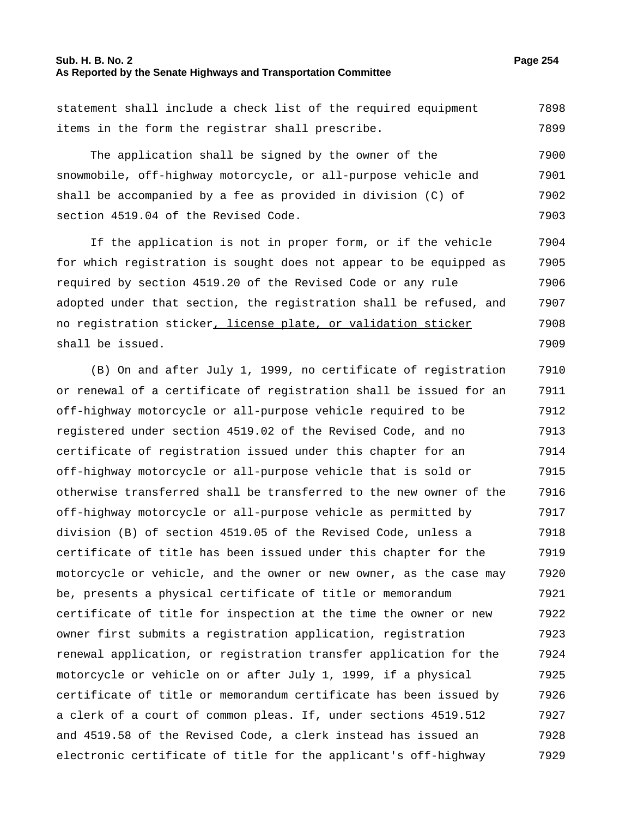# **Sub. H. B. No. 2 Page 254 As Reported by the Senate Highways and Transportation Committee**

statement shall include a check list of the required equipment items in the form the registrar shall prescribe. 7898 7899

The application shall be signed by the owner of the snowmobile, off-highway motorcycle, or all-purpose vehicle and shall be accompanied by a fee as provided in division (C) of section 4519.04 of the Revised Code. 7900 7901 7902 7903

If the application is not in proper form, or if the vehicle for which registration is sought does not appear to be equipped as required by section 4519.20 of the Revised Code or any rule adopted under that section, the registration shall be refused, and no registration sticker, license plate, or validation sticker shall be issued. 7904 7905 7906 7907 7908 7909

(B) On and after July 1, 1999, no certificate of registration or renewal of a certificate of registration shall be issued for an off-highway motorcycle or all-purpose vehicle required to be registered under section 4519.02 of the Revised Code, and no certificate of registration issued under this chapter for an off-highway motorcycle or all-purpose vehicle that is sold or otherwise transferred shall be transferred to the new owner of the off-highway motorcycle or all-purpose vehicle as permitted by division (B) of section 4519.05 of the Revised Code, unless a certificate of title has been issued under this chapter for the motorcycle or vehicle, and the owner or new owner, as the case may be, presents a physical certificate of title or memorandum certificate of title for inspection at the time the owner or new owner first submits a registration application, registration renewal application, or registration transfer application for the motorcycle or vehicle on or after July 1, 1999, if a physical certificate of title or memorandum certificate has been issued by a clerk of a court of common pleas. If, under sections 4519.512 and 4519.58 of the Revised Code, a clerk instead has issued an electronic certificate of title for the applicant's off-highway 7910 7911 7912 7913 7914 7915 7916 7917 7918 7919 7920 7921 7922 7923 7924 7925 7926 7927 7928 7929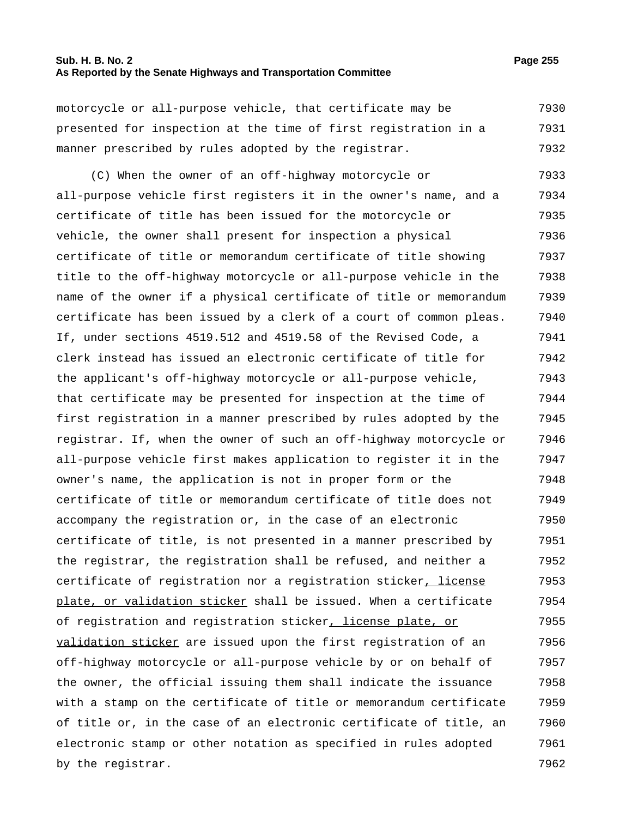# **Sub. H. B. No. 2 Page 255 As Reported by the Senate Highways and Transportation Committee**

motorcycle or all-purpose vehicle, that certificate may be presented for inspection at the time of first registration in a manner prescribed by rules adopted by the registrar. 7930 7931 7932

(C) When the owner of an off-highway motorcycle or all-purpose vehicle first registers it in the owner's name, and a certificate of title has been issued for the motorcycle or vehicle, the owner shall present for inspection a physical certificate of title or memorandum certificate of title showing title to the off-highway motorcycle or all-purpose vehicle in the name of the owner if a physical certificate of title or memorandum certificate has been issued by a clerk of a court of common pleas. If, under sections 4519.512 and 4519.58 of the Revised Code, a clerk instead has issued an electronic certificate of title for the applicant's off-highway motorcycle or all-purpose vehicle, that certificate may be presented for inspection at the time of first registration in a manner prescribed by rules adopted by the registrar. If, when the owner of such an off-highway motorcycle or all-purpose vehicle first makes application to register it in the owner's name, the application is not in proper form or the certificate of title or memorandum certificate of title does not accompany the registration or, in the case of an electronic certificate of title, is not presented in a manner prescribed by the registrar, the registration shall be refused, and neither a certificate of registration nor a registration sticker, license plate, or validation sticker shall be issued. When a certificate of registration and registration sticker, license plate, or validation sticker are issued upon the first registration of an off-highway motorcycle or all-purpose vehicle by or on behalf of the owner, the official issuing them shall indicate the issuance with a stamp on the certificate of title or memorandum certificate of title or, in the case of an electronic certificate of title, an electronic stamp or other notation as specified in rules adopted by the registrar. 7933 7934 7935 7936 7937 7938 7939 7940 7941 7942 7943 7944 7945 7946 7947 7948 7949 7950 7951 7952 7953 7954 7955 7956 7957 7958 7959 7960 7961 7962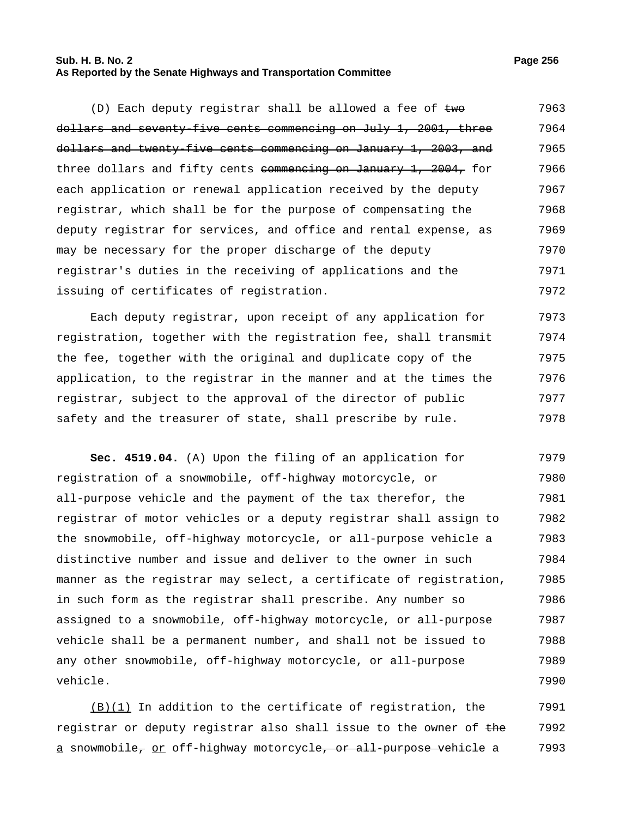# **Sub. H. B. No. 2 Page 256 As Reported by the Senate Highways and Transportation Committee**

(D) Each deputy registrar shall be allowed a fee of  $\epsilon_{\text{w}o}$ dollars and seventy-five cents commencing on July 1, 2001, three dollars and twenty-five cents commencing on January 1, 2003, and three dollars and fifty cents commencing on January 1, 2004, for each application or renewal application received by the deputy registrar, which shall be for the purpose of compensating the deputy registrar for services, and office and rental expense, as may be necessary for the proper discharge of the deputy registrar's duties in the receiving of applications and the issuing of certificates of registration. 7963 7964 7965 7966 7967 7968 7969 7970 7971 7972

Each deputy registrar, upon receipt of any application for registration, together with the registration fee, shall transmit the fee, together with the original and duplicate copy of the application, to the registrar in the manner and at the times the registrar, subject to the approval of the director of public safety and the treasurer of state, shall prescribe by rule. 7973 7974 7975 7976 7977 7978

**Sec. 4519.04.** (A) Upon the filing of an application for registration of a snowmobile, off-highway motorcycle, or all-purpose vehicle and the payment of the tax therefor, the registrar of motor vehicles or a deputy registrar shall assign to the snowmobile, off-highway motorcycle, or all-purpose vehicle a distinctive number and issue and deliver to the owner in such manner as the registrar may select, a certificate of registration, in such form as the registrar shall prescribe. Any number so assigned to a snowmobile, off-highway motorcycle, or all-purpose vehicle shall be a permanent number, and shall not be issued to any other snowmobile, off-highway motorcycle, or all-purpose vehicle. 7979 7980 7981 7982 7983 7984 7985 7986 7987 7988 7989 7990

 $(B)(1)$  In addition to the certificate of registration, the registrar or deputy registrar also shall issue to the owner of the a snowmobile<sub>7</sub> or off-highway motorcycle<del>, or all-purpose vehicle</del> a 7991 7992 7993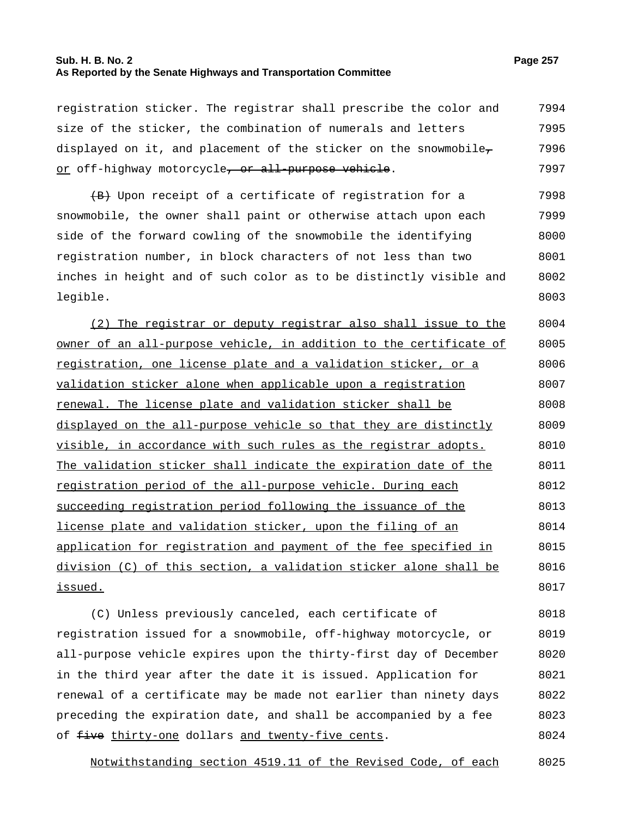# **Sub. H. B. No. 2 Page 257 As Reported by the Senate Highways and Transportation Committee**

registration sticker. The registrar shall prescribe the color and size of the sticker, the combination of numerals and letters displayed on it, and placement of the sticker on the snowmobileor off-highway motorcycle, or all-purpose vehicle. 7994 7995 7996 7997 (B) Upon receipt of a certificate of registration for a snowmobile, the owner shall paint or otherwise attach upon each side of the forward cowling of the snowmobile the identifying registration number, in block characters of not less than two inches in height and of such color as to be distinctly visible and legible. 7998 7999 8000 8001 8002 8003 (2) The registrar or deputy registrar also shall issue to the owner of an all-purpose vehicle, in addition to the certificate of registration, one license plate and a validation sticker, or a validation sticker alone when applicable upon a registration renewal. The license plate and validation sticker shall be displayed on the all-purpose vehicle so that they are distinctly 8004 8005 8006 8007 8008 8009

visible, in accordance with such rules as the registrar adopts. The validation sticker shall indicate the expiration date of the registration period of the all-purpose vehicle. During each succeeding registration period following the issuance of the license plate and validation sticker, upon the filing of an application for registration and payment of the fee specified in division (C) of this section, a validation sticker alone shall be issued. 8010 8011 8012 8013 8014 8015 8016 8017

(C) Unless previously canceled, each certificate of registration issued for a snowmobile, off-highway motorcycle, or all-purpose vehicle expires upon the thirty-first day of December in the third year after the date it is issued. Application for renewal of a certificate may be made not earlier than ninety days preceding the expiration date, and shall be accompanied by a fee of  $f$ ive thirty-one dollars and twenty-five cents. 8018 8019 8020 8021 8022 8023 8024

Notwithstanding section 4519.11 of the Revised Code, of each 8025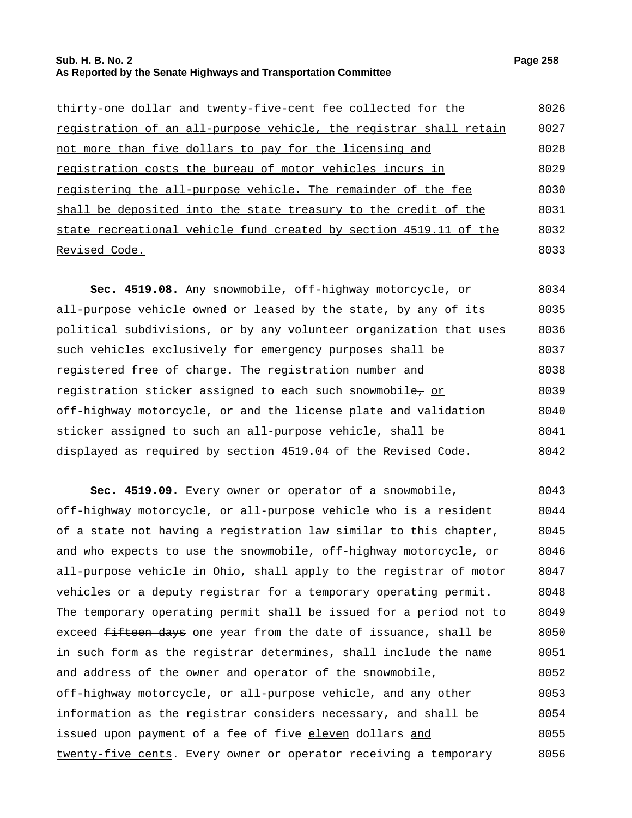# **Sub. H. B. No. 2 Page 258 As Reported by the Senate Highways and Transportation Committee**

| thirty-one dollar and twenty-five-cent fee collected for the       | 8026 |
|--------------------------------------------------------------------|------|
| registration of an all-purpose vehicle, the registrar shall retain | 8027 |
| not more than five dollars to pay for the licensing and            | 8028 |
| registration costs the bureau of motor vehicles incurs in          | 8029 |
| registering the all-purpose vehicle. The remainder of the fee      | 8030 |
| shall be deposited into the state treasury to the credit of the    | 8031 |
| state recreational vehicle fund created by section 4519.11 of the  | 8032 |
| Revised Code.                                                      | 8033 |

**Sec. 4519.08.** Any snowmobile, off-highway motorcycle, or all-purpose vehicle owned or leased by the state, by any of its political subdivisions, or by any volunteer organization that uses such vehicles exclusively for emergency purposes shall be registered free of charge. The registration number and registration sticker assigned to each such snowmobile<sub>7</sub> or off-highway motorcycle,  $\Theta$  and the license plate and validation sticker assigned to such an all-purpose vehicle, shall be displayed as required by section 4519.04 of the Revised Code. 8034 8035 8036 8037 8038 8039 8040 8041 8042

**Sec. 4519.09.** Every owner or operator of a snowmobile, off-highway motorcycle, or all-purpose vehicle who is a resident of a state not having a registration law similar to this chapter, and who expects to use the snowmobile, off-highway motorcycle, or all-purpose vehicle in Ohio, shall apply to the registrar of motor vehicles or a deputy registrar for a temporary operating permit. The temporary operating permit shall be issued for a period not to exceed fifteen days one year from the date of issuance, shall be in such form as the registrar determines, shall include the name and address of the owner and operator of the snowmobile, off-highway motorcycle, or all-purpose vehicle, and any other information as the registrar considers necessary, and shall be issued upon payment of a fee of five eleven dollars and twenty-five cents. Every owner or operator receiving a temporary 8043 8044 8045 8046 8047 8048 8049 8050 8051 8052 8053 8054 8055 8056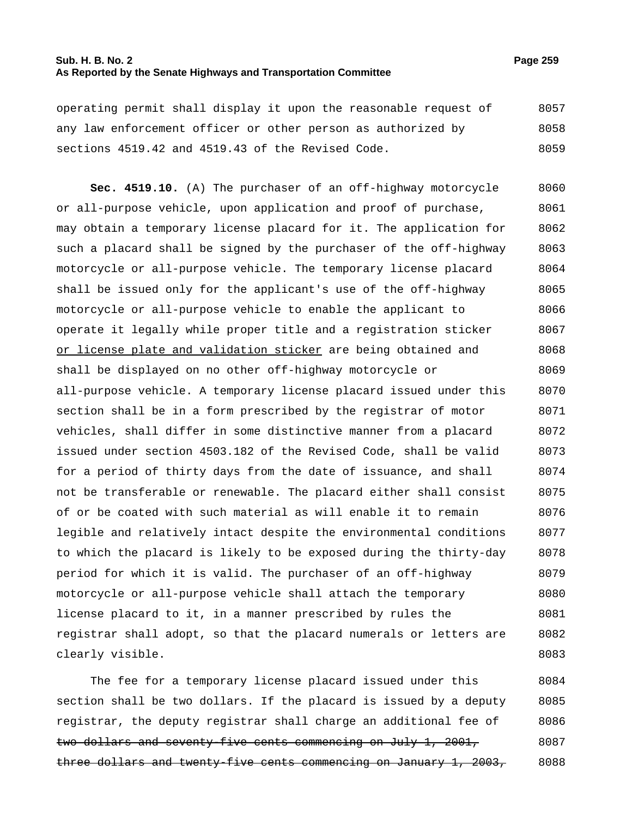# **Sub. H. B. No. 2 Page 259 As Reported by the Senate Highways and Transportation Committee**

operating permit shall display it upon the reasonable request of any law enforcement officer or other person as authorized by sections 4519.42 and 4519.43 of the Revised Code. 8057 8058 8059

**Sec. 4519.10.** (A) The purchaser of an off-highway motorcycle or all-purpose vehicle, upon application and proof of purchase, may obtain a temporary license placard for it. The application for such a placard shall be signed by the purchaser of the off-highway motorcycle or all-purpose vehicle. The temporary license placard shall be issued only for the applicant's use of the off-highway motorcycle or all-purpose vehicle to enable the applicant to operate it legally while proper title and a registration sticker or license plate and validation sticker are being obtained and shall be displayed on no other off-highway motorcycle or all-purpose vehicle. A temporary license placard issued under this section shall be in a form prescribed by the registrar of motor vehicles, shall differ in some distinctive manner from a placard issued under section 4503.182 of the Revised Code, shall be valid for a period of thirty days from the date of issuance, and shall not be transferable or renewable. The placard either shall consist of or be coated with such material as will enable it to remain legible and relatively intact despite the environmental conditions to which the placard is likely to be exposed during the thirty-day period for which it is valid. The purchaser of an off-highway motorcycle or all-purpose vehicle shall attach the temporary license placard to it, in a manner prescribed by rules the registrar shall adopt, so that the placard numerals or letters are clearly visible. 8060 8061 8062 8063 8064 8065 8066 8067 8068 8069 8070 8071 8072 8073 8074 8075 8076 8077 8078 8079 8080 8081 8082 8083

The fee for a temporary license placard issued under this section shall be two dollars. If the placard is issued by a deputy registrar, the deputy registrar shall charge an additional fee of two dollars and seventy-five cents commencing on July 1, 2001, three dollars and twenty-five cents commencing on January 1, 2003, 8084 8085 8086 8087 8088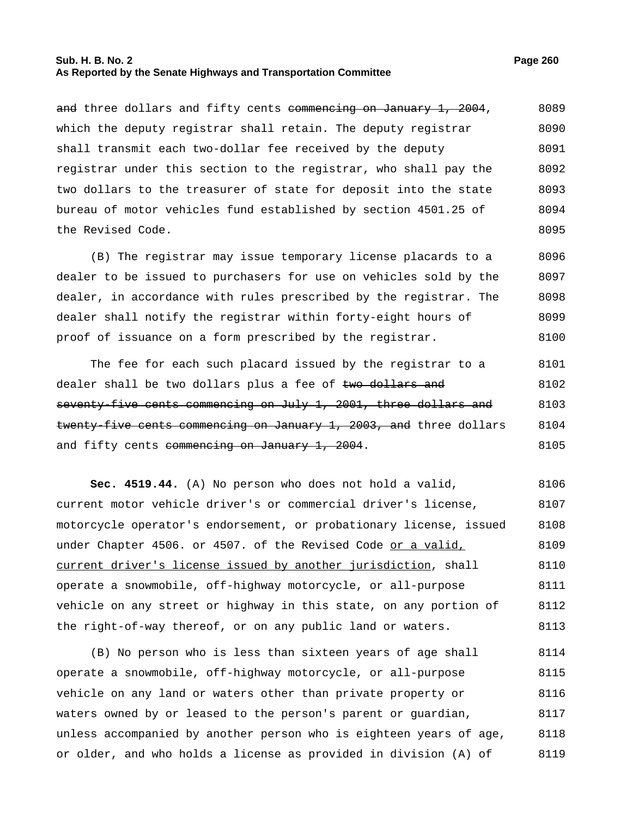# **Sub. H. B. No. 2 Page 260 As Reported by the Senate Highways and Transportation Committee**

the Revised Code.

and three dollars and fifty cents <del>commencing on January 1, 2004</del>, which the deputy registrar shall retain. The deputy registrar shall transmit each two-dollar fee received by the deputy registrar under this section to the registrar, who shall pay the two dollars to the treasurer of state for deposit into the state bureau of motor vehicles fund established by section 4501.25 of 8089 8090 8091 8092 8093 8094

(B) The registrar may issue temporary license placards to a dealer to be issued to purchasers for use on vehicles sold by the dealer, in accordance with rules prescribed by the registrar. The dealer shall notify the registrar within forty-eight hours of proof of issuance on a form prescribed by the registrar. 8096 8097 8098 8099 8100

The fee for each such placard issued by the registrar to a dealer shall be two dollars plus a fee of two dollars and seventy-five cents commencing on July 1, 2001, three dollars and twenty-five cents commencing on January 1, 2003, and three dollars and fifty cents commencing on January 1, 2004. 8101 8102 8103 8104 8105

**Sec. 4519.44.** (A) No person who does not hold a valid, current motor vehicle driver's or commercial driver's license, motorcycle operator's endorsement, or probationary license, issued under Chapter 4506. or 4507. of the Revised Code or a valid, current driver's license issued by another jurisdiction, shall operate a snowmobile, off-highway motorcycle, or all-purpose vehicle on any street or highway in this state, on any portion of the right-of-way thereof, or on any public land or waters. 8106 8107 8108 8109 8110 8111 8112 8113

(B) No person who is less than sixteen years of age shall operate a snowmobile, off-highway motorcycle, or all-purpose vehicle on any land or waters other than private property or waters owned by or leased to the person's parent or guardian, unless accompanied by another person who is eighteen years of age, or older, and who holds a license as provided in division (A) of 8114 8115 8116 8117 8118 8119

8095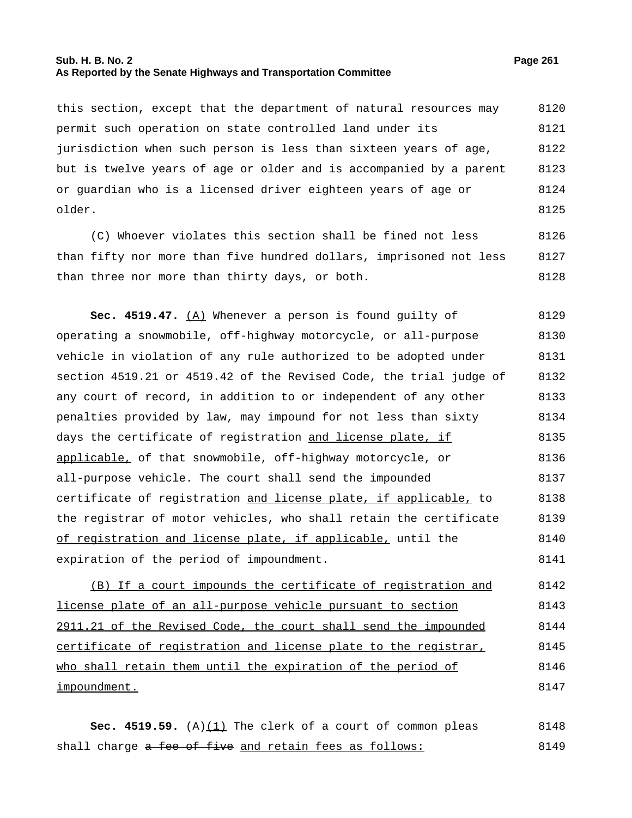# **Sub. H. B. No. 2 Page 261 As Reported by the Senate Highways and Transportation Committee**

this section, except that the department of natural resources may permit such operation on state controlled land under its jurisdiction when such person is less than sixteen years of age, but is twelve years of age or older and is accompanied by a parent or guardian who is a licensed driver eighteen years of age or older. 8120 8121 8122 8123 8124 8125

(C) Whoever violates this section shall be fined not less than fifty nor more than five hundred dollars, imprisoned not less than three nor more than thirty days, or both. 8126 8127 8128

**Sec. 4519.47.** (A) Whenever a person is found guilty of operating a snowmobile, off-highway motorcycle, or all-purpose vehicle in violation of any rule authorized to be adopted under section 4519.21 or 4519.42 of the Revised Code, the trial judge of any court of record, in addition to or independent of any other penalties provided by law, may impound for not less than sixty days the certificate of registration and license plate, if applicable, of that snowmobile, off-highway motorcycle, or all-purpose vehicle. The court shall send the impounded certificate of registration and license plate, if applicable, to the registrar of motor vehicles, who shall retain the certificate of registration and license plate, if applicable, until the expiration of the period of impoundment. 8129 8130 8131 8132 8133 8134 8135 8136 8137 8138 8139 8140 8141

(B) If a court impounds the certificate of registration and license plate of an all-purpose vehicle pursuant to section 2911.21 of the Revised Code, the court shall send the impounded certificate of registration and license plate to the registrar, who shall retain them until the expiration of the period of impoundment. 8142 8143 8144 8145 8146 8147

**Sec. 4519.59.** (A) $(1)$  The clerk of a court of common pleas shall charge a fee of five and retain fees as follows: 8148 8149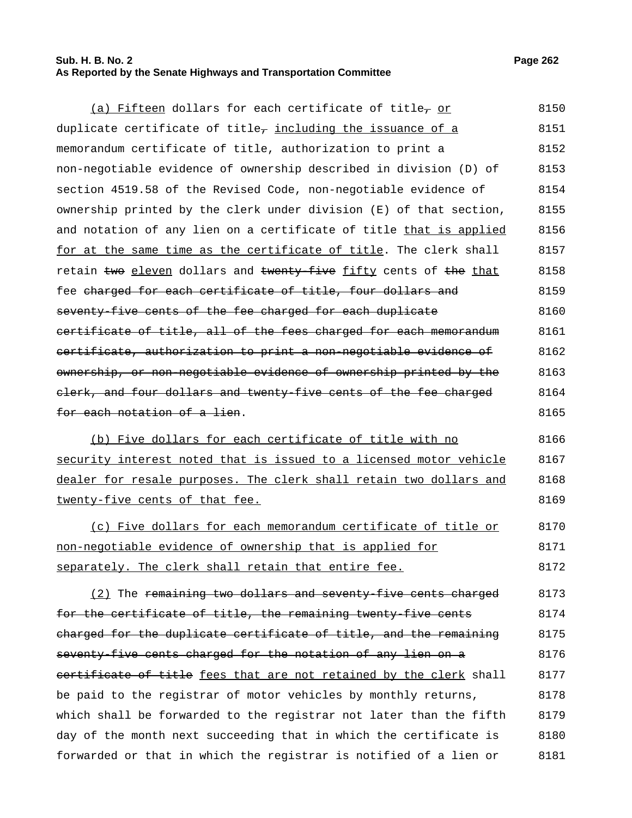# **Sub. H. B. No. 2 Page 262 As Reported by the Senate Highways and Transportation Committee**

(a) Fifteen dollars for each certificate of title<sub>7</sub> or duplicate certificate of title $\tau$  including the issuance of a memorandum certificate of title, authorization to print a non-negotiable evidence of ownership described in division (D) of section 4519.58 of the Revised Code, non-negotiable evidence of ownership printed by the clerk under division (E) of that section, and notation of any lien on a certificate of title that is applied for at the same time as the certificate of title. The clerk shall retain two eleven dollars and twenty-five fifty cents of the that fee charged for each certificate of title, four dollars and seventy-five cents of the fee charged for each duplicate certificate of title, all of the fees charged for each memorandum certificate, authorization to print a non-negotiable evidence of ownership, or non-negotiable evidence of ownership printed by the clerk, and four dollars and twenty-five cents of the fee charged for each notation of a lien. 8150 8151 8152 8153 8154 8155 8156 8157 8158 8159 8160 8161 8162 8163 8164 8165 (b) Five dollars for each certificate of title with no security interest noted that is issued to a licensed motor vehicle dealer for resale purposes. The clerk shall retain two dollars and twenty-five cents of that fee. 8166 8167 8168 8169 (c) Five dollars for each memorandum certificate of title or non-negotiable evidence of ownership that is applied for separately. The clerk shall retain that entire fee. 8170 8171 8172 (2) The remaining two dollars and seventy-five cents charged for the certificate of title, the remaining twenty-five cents charged for the duplicate certificate of title, and the remaining seventy-five cents charged for the notation of any lien on a eertificate of title fees that are not retained by the clerk shall be paid to the registrar of motor vehicles by monthly returns, which shall be forwarded to the registrar not later than the fifth day of the month next succeeding that in which the certificate is forwarded or that in which the registrar is notified of a lien or 8173 8174 8175 8176 8177 8178 8179 8180 8181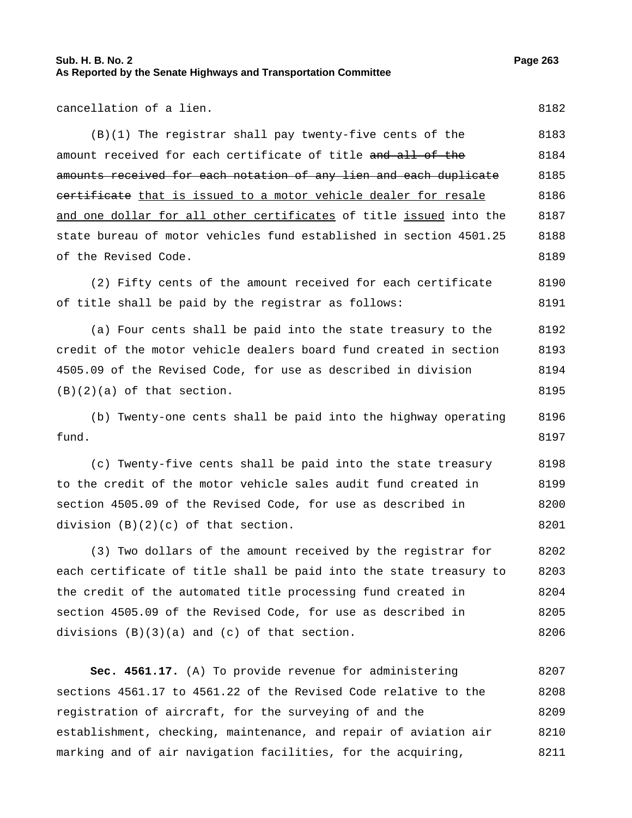# **Sub. H. B. No. 2 Page 263 As Reported by the Senate Highways and Transportation Committee**

cancellation of a lien. 8182

(B)(1) The registrar shall pay twenty-five cents of the amount received for each certificate of title and all of the amounts received for each notation of any lien and each duplicate certificate that is issued to a motor vehicle dealer for resale and one dollar for all other certificates of title issued into the state bureau of motor vehicles fund established in section 4501.25 of the Revised Code. 8183 8184 8185 8186 8187 8188 8189

(2) Fifty cents of the amount received for each certificate of title shall be paid by the registrar as follows: 8190 8191

(a) Four cents shall be paid into the state treasury to the credit of the motor vehicle dealers board fund created in section 4505.09 of the Revised Code, for use as described in division  $(B)(2)(a)$  of that section. 8192 8193 8194 8195

(b) Twenty-one cents shall be paid into the highway operating fund. 8196 8197

(c) Twenty-five cents shall be paid into the state treasury to the credit of the motor vehicle sales audit fund created in section 4505.09 of the Revised Code, for use as described in division (B)(2)(c) of that section. 8198 8199 8200 8201

(3) Two dollars of the amount received by the registrar for each certificate of title shall be paid into the state treasury to the credit of the automated title processing fund created in section 4505.09 of the Revised Code, for use as described in divisions (B)(3)(a) and (c) of that section. 8202 8203 8204 8205 8206

**Sec. 4561.17.** (A) To provide revenue for administering sections 4561.17 to 4561.22 of the Revised Code relative to the registration of aircraft, for the surveying of and the establishment, checking, maintenance, and repair of aviation air marking and of air navigation facilities, for the acquiring, 8207 8208 8209 8210 8211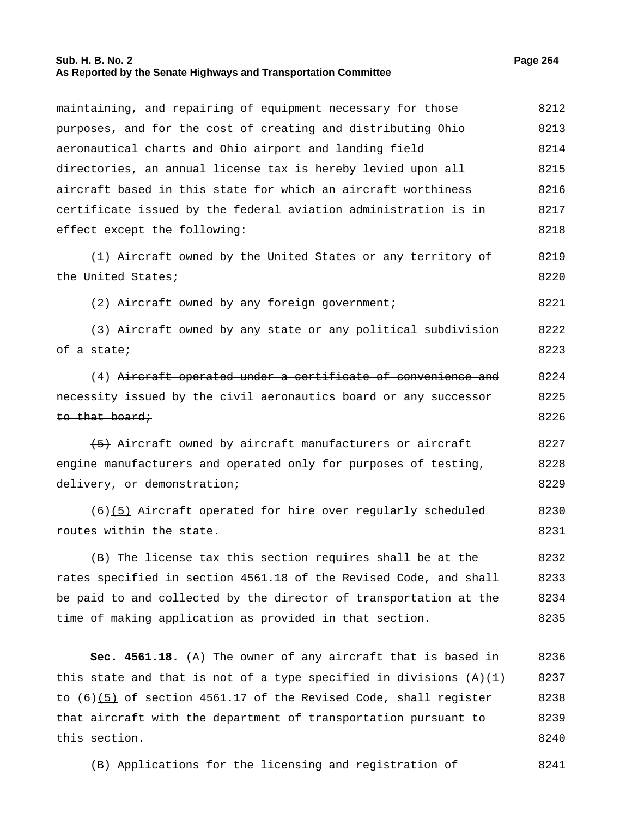# **Sub. H. B. No. 2 Page 264 As Reported by the Senate Highways and Transportation Committee**

| maintaining, and repairing of equipment necessary for those          | 8212 |
|----------------------------------------------------------------------|------|
| purposes, and for the cost of creating and distributing Ohio         | 8213 |
| aeronautical charts and Ohio airport and landing field               | 8214 |
| directories, an annual license tax is hereby levied upon all         | 8215 |
| aircraft based in this state for which an aircraft worthiness        | 8216 |
| certificate issued by the federal aviation administration is in      | 8217 |
| effect except the following:                                         | 8218 |
| (1) Aircraft owned by the United States or any territory of          | 8219 |
| the United States;                                                   | 8220 |
| (2) Aircraft owned by any foreign government;                        | 8221 |
| (3) Aircraft owned by any state or any political subdivision         | 8222 |
| of a state;                                                          | 8223 |
| (4) Aircraft operated under a certificate of convenience and         | 8224 |
| necessity issued by the civil aeronautics board or any successor     | 8225 |
| <del>to that board;</del>                                            | 8226 |
| (5) Aircraft owned by aircraft manufacturers or aircraft             | 8227 |
| engine manufacturers and operated only for purposes of testing,      | 8228 |
| delivery, or demonstration;                                          | 8229 |
| $(6)$ (5) Aircraft operated for hire over regularly scheduled        | 8230 |
| routes within the state.                                             | 8231 |
| (B) The license tax this section requires shall be at the            | 8232 |
| rates specified in section 4561.18 of the Revised Code, and shall    | 8233 |
| be paid to and collected by the director of transportation at the    | 8234 |
| time of making application as provided in that section.              | 8235 |
|                                                                      |      |
| Sec. 4561.18. (A) The owner of any aircraft that is based in         | 8236 |
| this state and that is not of a type specified in divisions $(A)(1)$ | 8237 |
|                                                                      |      |

to  $\left(6\right)\left(5\right)$  of section 4561.17 of the Revised Code, shall register that aircraft with the department of transportation pursuant to this section. 8238 8239 8240

(B) Applications for the licensing and registration of 8241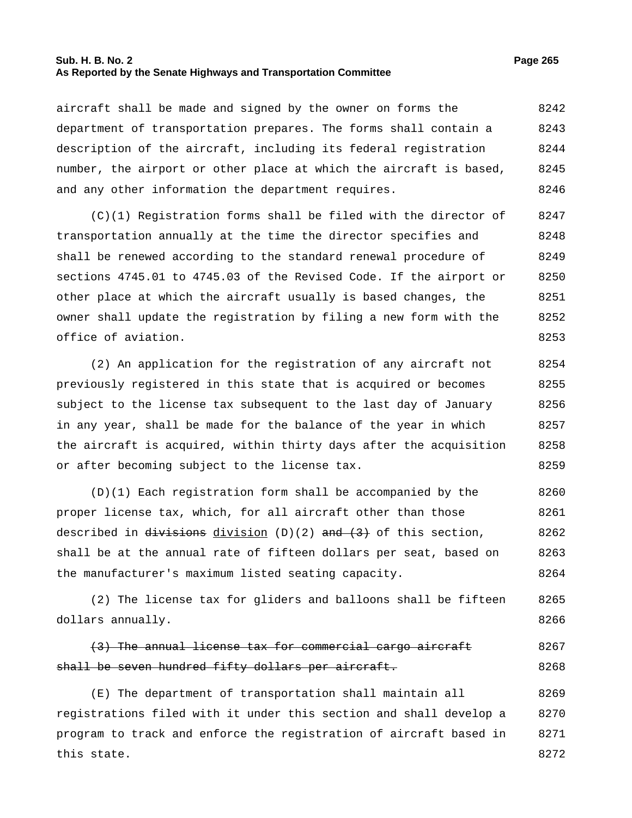# **Sub. H. B. No. 2 Page 265 As Reported by the Senate Highways and Transportation Committee**

aircraft shall be made and signed by the owner on forms the department of transportation prepares. The forms shall contain a description of the aircraft, including its federal registration number, the airport or other place at which the aircraft is based, and any other information the department requires. 8242 8243 8244 8245 8246

(C)(1) Registration forms shall be filed with the director of transportation annually at the time the director specifies and shall be renewed according to the standard renewal procedure of sections 4745.01 to 4745.03 of the Revised Code. If the airport or other place at which the aircraft usually is based changes, the owner shall update the registration by filing a new form with the office of aviation. 8247 8248 8249 8250 8251 8252 8253

(2) An application for the registration of any aircraft not previously registered in this state that is acquired or becomes subject to the license tax subsequent to the last day of January in any year, shall be made for the balance of the year in which the aircraft is acquired, within thirty days after the acquisition or after becoming subject to the license tax. 8254 8255 8256 8257 8258 8259

(D)(1) Each registration form shall be accompanied by the proper license tax, which, for all aircraft other than those described in  $\frac{divisions}{division}$  (D)(2) and  $\frac{3}{4}$  of this section, shall be at the annual rate of fifteen dollars per seat, based on the manufacturer's maximum listed seating capacity. 8260 8261 8262 8263 8264

(2) The license tax for gliders and balloons shall be fifteen dollars annually. 8265 8266

#### (3) The annual license tax for commercial cargo aircraft shall be seven hundred fifty dollars per aircraft. 8267 8268

(E) The department of transportation shall maintain all registrations filed with it under this section and shall develop a program to track and enforce the registration of aircraft based in this state. 8269 8270 8271 8272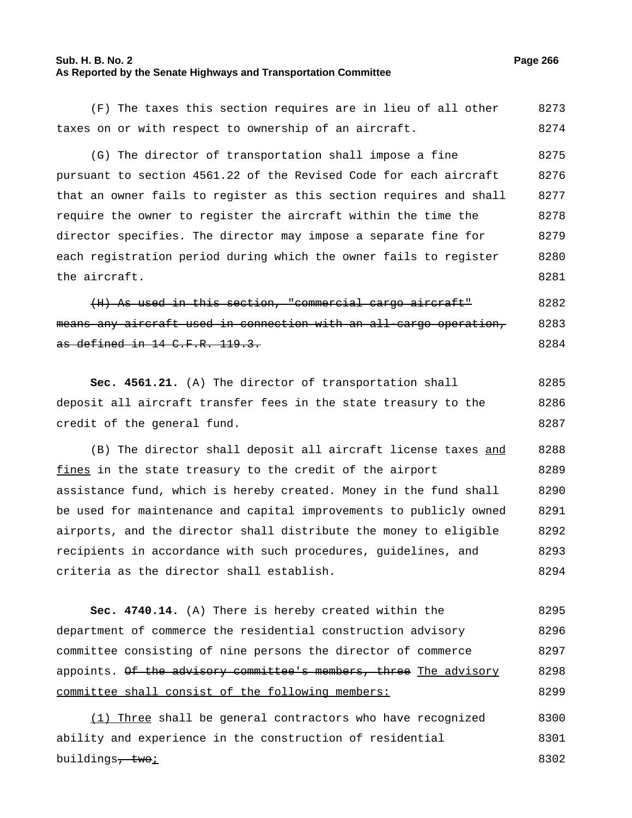# **Sub. H. B. No. 2 Page 266 As Reported by the Senate Highways and Transportation Committee**

(F) The taxes this section requires are in lieu of all other taxes on or with respect to ownership of an aircraft. 8273 8274

(G) The director of transportation shall impose a fine pursuant to section 4561.22 of the Revised Code for each aircraft that an owner fails to register as this section requires and shall require the owner to register the aircraft within the time the director specifies. The director may impose a separate fine for each registration period during which the owner fails to register the aircraft. 8275 8276 8277 8278 8279 8280 8281

(H) As used in this section, "commercial cargo aircraft" means any aircraft used in connection with an all-cargo operation, as defined in 14 C.F.R. 119.3. 8282 8283 8284

**Sec. 4561.21.** (A) The director of transportation shall deposit all aircraft transfer fees in the state treasury to the credit of the general fund. 8285 8286 8287

(B) The director shall deposit all aircraft license taxes and fines in the state treasury to the credit of the airport assistance fund, which is hereby created. Money in the fund shall be used for maintenance and capital improvements to publicly owned airports, and the director shall distribute the money to eligible recipients in accordance with such procedures, guidelines, and criteria as the director shall establish. 8288 8289 8290 8291 8292 8293 8294

**Sec. 4740.14.** (A) There is hereby created within the department of commerce the residential construction advisory committee consisting of nine persons the director of commerce appoints. Of the advisory committee's members, three The advisory committee shall consist of the following members: 8295 8296 8297 8298 8299

(1) Three shall be general contractors who have recognized ability and experience in the construction of residential buildings<del>, two</del>; 8300 8301 8302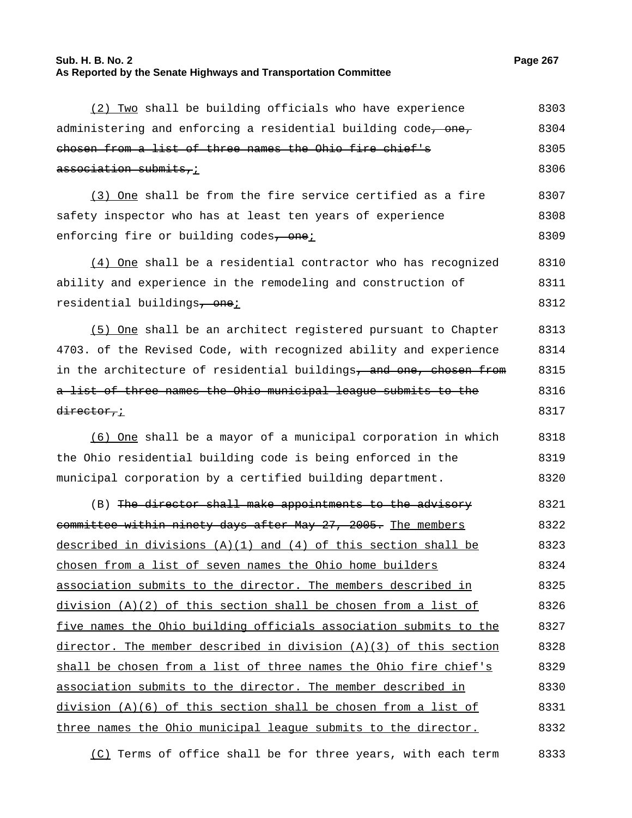# **Sub. H. B. No. 2 Page 267 As Reported by the Senate Highways and Transportation Committee**

| (2) Two shall be building officials who have experience            | 8303 |
|--------------------------------------------------------------------|------|
| administering and enforcing a residential building code, one,      | 8304 |
| chosen from a list of three names the Ohio fire chief's            | 8305 |
| association submits, i                                             | 8306 |
| (3) One shall be from the fire service certified as a fire         | 8307 |
| safety inspector who has at least ten years of experience          | 8308 |
| enforcing fire or building codes-onei                              | 8309 |
| (4) One shall be a residential contractor who has recognized       | 8310 |
| ability and experience in the remodeling and construction of       | 8311 |
| residential buildings <del>, one</del> <i>i</i>                    | 8312 |
| (5) One shall be an architect registered pursuant to Chapter       | 8313 |
| 4703. of the Revised Code, with recognized ability and experience  | 8314 |
| in the architecture of residential buildings, and one, chosen from | 8315 |
| a list of three names the Ohio municipal league submits to the     | 8316 |
| director, i                                                        | 8317 |
| (6) One shall be a mayor of a municipal corporation in which       | 8318 |
| the Ohio residential building code is being enforced in the        | 8319 |
| municipal corporation by a certified building department.          | 8320 |
| (B) The director shall make appointments to the advisory           | 8321 |
| committee within ninety days after May 27, 2005. The members       | 8322 |
| described in divisions $(A)(1)$ and $(4)$ of this section shall be | 8323 |
| chosen from a list of seven names the Ohio home builders           | 8324 |

association submits to the director. The members described in division  $(A)(2)$  of this section shall be chosen from a list of five names the Ohio building officials association submits to the director. The member described in division (A)(3) of this section shall be chosen from a list of three names the Ohio fire chief's association submits to the director. The member described in  $division (A)(6)$  of this section shall be chosen from a list of three names the Ohio municipal league submits to the director. 8325 8326 8327 8328 8329 8330 8331 8332

(C) Terms of office shall be for three years, with each term 8333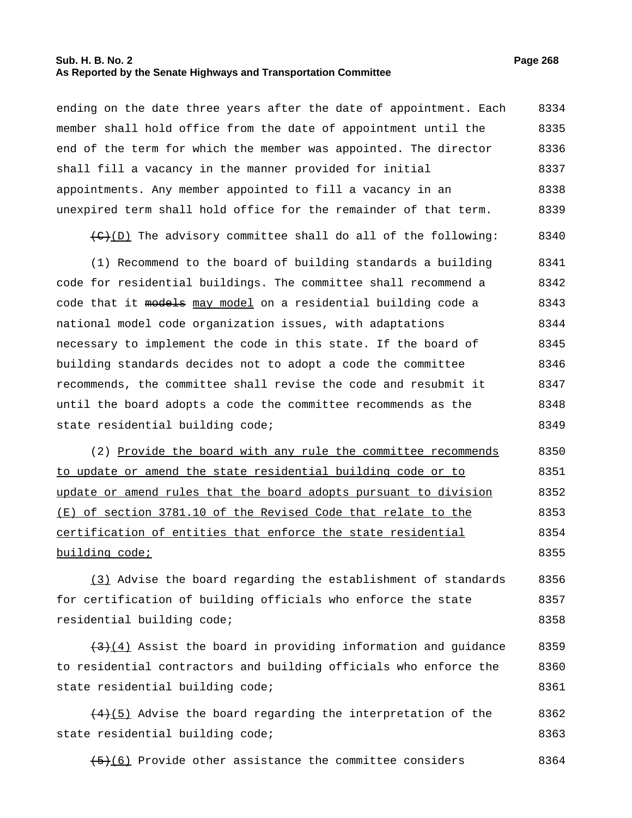# **Sub. H. B. No. 2 Page 268 As Reported by the Senate Highways and Transportation Committee**

ending on the date three years after the date of appointment. Each member shall hold office from the date of appointment until the end of the term for which the member was appointed. The director shall fill a vacancy in the manner provided for initial appointments. Any member appointed to fill a vacancy in an unexpired term shall hold office for the remainder of that term. 8334 8335 8336 8337 8338 8339  $\left(\frac{C}{D}\right)$  The advisory committee shall do all of the following: 8340 (1) Recommend to the board of building standards a building code for residential buildings. The committee shall recommend a code that it models may model on a residential building code a national model code organization issues, with adaptations necessary to implement the code in this state. If the board of building standards decides not to adopt a code the committee recommends, the committee shall revise the code and resubmit it until the board adopts a code the committee recommends as the state residential building code; 8341 8342 8343 8344 8345 8346 8347 8348 8349 (2) Provide the board with any rule the committee recommends to update or amend the state residential building code or to update or amend rules that the board adopts pursuant to division (E) of section 3781.10 of the Revised Code that relate to the certification of entities that enforce the state residential building code; 8350 8351 8352 8353 8354 8355

(3) Advise the board regarding the establishment of standards for certification of building officials who enforce the state residential building code; 8356 8357 8358

 $(3)(4)$  Assist the board in providing information and guidance to residential contractors and building officials who enforce the state residential building code; 8359 8360 8361

 $(4)$ (5) Advise the board regarding the interpretation of the state residential building code; 8362 8363

 $\overline{(5)(6)}$  Provide other assistance the committee considers 8364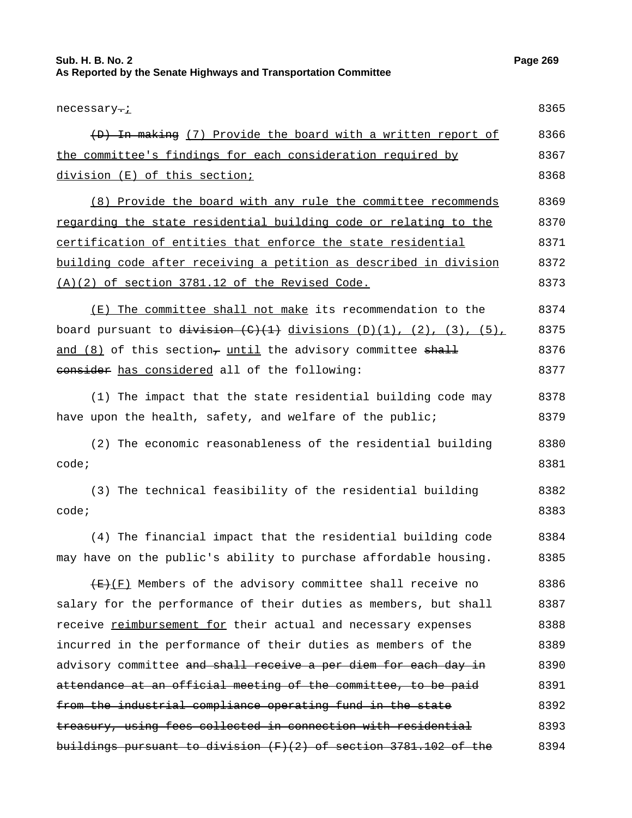| <b>Sub. H. B. No. 2</b>                                         | Page 269 |
|-----------------------------------------------------------------|----------|
| As Reported by the Senate Highways and Transportation Committee |          |

| necessary-i                                                                                          | 8365 |
|------------------------------------------------------------------------------------------------------|------|
| (D) In making (7) Provide the board with a written report of                                         | 8366 |
| the committee's findings for each consideration required by                                          | 8367 |
| division (E) of this section;                                                                        | 8368 |
| (8) Provide the board with any rule the committee recommends                                         | 8369 |
| regarding the state residential building code or relating to the                                     | 8370 |
| certification of entities that enforce the state residential                                         | 8371 |
| building code after receiving a petition as described in division                                    | 8372 |
| (A)(2) of section 3781.12 of the Revised Code.                                                       | 8373 |
| (E) The committee shall not make its recommendation to the                                           | 8374 |
| board pursuant to $\frac{div}{\sin(\theta)}$ (c)(1) $\frac{div}{\sin \theta}$ (D)(1), (2), (3), (5), | 8375 |
| and $(8)$ of this section, until the advisory committee shall                                        | 8376 |
| eonsider has considered all of the following:                                                        | 8377 |
| (1) The impact that the state residential building code may                                          | 8378 |
| have upon the health, safety, and welfare of the public;                                             | 8379 |
| (2) The economic reasonableness of the residential building                                          | 8380 |
| code;                                                                                                | 8381 |
| (3) The technical feasibility of the residential building                                            | 8382 |
| code;                                                                                                | 8383 |
| (4) The financial impact that the residential building code                                          | 8384 |
| may have on the public's ability to purchase affordable housing.                                     | 8385 |
| $\overline{f(x)}$ Members of the advisory committee shall receive no                                 | 8386 |
| salary for the performance of their duties as members, but shall                                     | 8387 |
| receive reimbursement for their actual and necessary expenses                                        | 8388 |
| incurred in the performance of their duties as members of the                                        | 8389 |
| advisory committee and shall receive a per diem for each day in                                      | 8390 |
| attendance at an official meeting of the committee, to be paid                                       | 8391 |
| from the industrial compliance operating fund in the state                                           | 8392 |
| treasury, using fees collected in connection with residential                                        | 8393 |
| buildings pursuant to division $(F)(2)$ of section 3781.102 of the                                   | 8394 |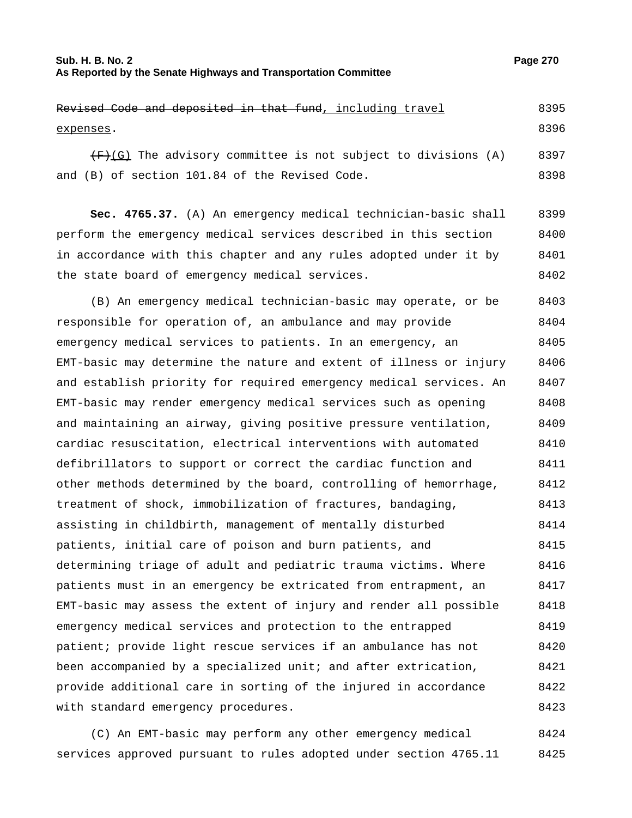# **Sub. H. B. No. 2 Page 270 As Reported by the Senate Highways and Transportation Committee**

|                   |  |  |  | Revised Code and deposited in that fund, including travel | 8395 |
|-------------------|--|--|--|-----------------------------------------------------------|------|
| <u>expenses</u> . |  |  |  |                                                           | 8396 |

 $(F+(G)$  The advisory committee is not subject to divisions (A) and (B) of section 101.84 of the Revised Code. 8397 8398

**Sec. 4765.37.** (A) An emergency medical technician-basic shall perform the emergency medical services described in this section in accordance with this chapter and any rules adopted under it by the state board of emergency medical services. 8399 8400 8401 8402

(B) An emergency medical technician-basic may operate, or be responsible for operation of, an ambulance and may provide emergency medical services to patients. In an emergency, an EMT-basic may determine the nature and extent of illness or injury and establish priority for required emergency medical services. An EMT-basic may render emergency medical services such as opening and maintaining an airway, giving positive pressure ventilation, cardiac resuscitation, electrical interventions with automated defibrillators to support or correct the cardiac function and other methods determined by the board, controlling of hemorrhage, treatment of shock, immobilization of fractures, bandaging, assisting in childbirth, management of mentally disturbed patients, initial care of poison and burn patients, and determining triage of adult and pediatric trauma victims. Where patients must in an emergency be extricated from entrapment, an EMT-basic may assess the extent of injury and render all possible emergency medical services and protection to the entrapped patient; provide light rescue services if an ambulance has not been accompanied by a specialized unit; and after extrication, provide additional care in sorting of the injured in accordance with standard emergency procedures. 8403 8404 8405 8406 8407 8408 8409 8410 8411 8412 8413 8414 8415 8416 8417 8418 8419 8420 8421 8422 8423

(C) An EMT-basic may perform any other emergency medical services approved pursuant to rules adopted under section 4765.11 8424 8425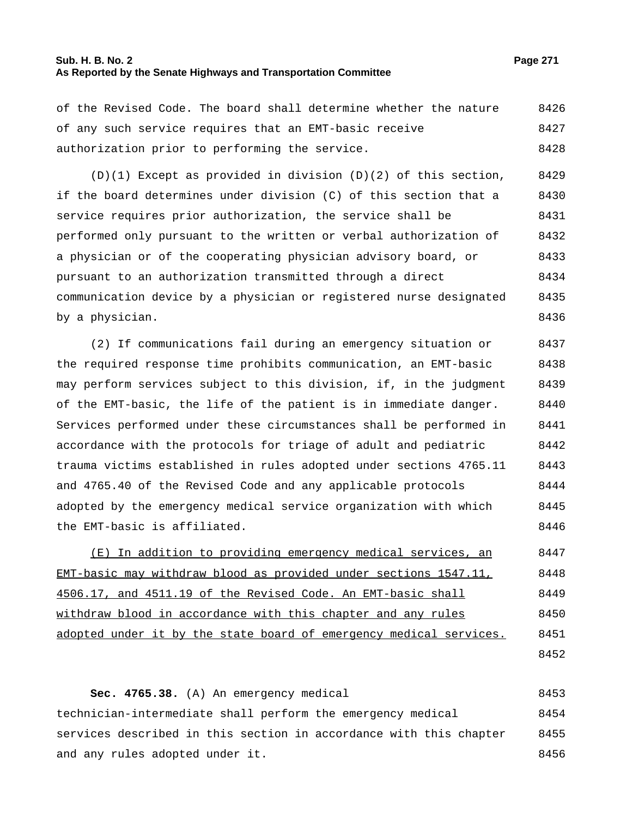#### **Sub. H. B. No. 2 Page 271 As Reported by the Senate Highways and Transportation Committee**

of the Revised Code. The board shall determine whether the nature of any such service requires that an EMT-basic receive authorization prior to performing the service. 8426 8427 8428

(D)(1) Except as provided in division (D)(2) of this section, if the board determines under division (C) of this section that a service requires prior authorization, the service shall be performed only pursuant to the written or verbal authorization of a physician or of the cooperating physician advisory board, or pursuant to an authorization transmitted through a direct communication device by a physician or registered nurse designated by a physician. 8429 8430 8431 8432 8433 8434 8435 8436

(2) If communications fail during an emergency situation or the required response time prohibits communication, an EMT-basic may perform services subject to this division, if, in the judgment of the EMT-basic, the life of the patient is in immediate danger. Services performed under these circumstances shall be performed in accordance with the protocols for triage of adult and pediatric trauma victims established in rules adopted under sections 4765.11 and 4765.40 of the Revised Code and any applicable protocols adopted by the emergency medical service organization with which the EMT-basic is affiliated. 8437 8438 8439 8440 8441 8442 8443 8444 8445 8446

(E) In addition to providing emergency medical services, an EMT-basic may withdraw blood as provided under sections 1547.11, 4506.17, and 4511.19 of the Revised Code. An EMT-basic shall withdraw blood in accordance with this chapter and any rules adopted under it by the state board of emergency medical services. 8447 8448 8449 8450 8451

8452

**Sec. 4765.38.** (A) An emergency medical technician-intermediate shall perform the emergency medical services described in this section in accordance with this chapter and any rules adopted under it. 8453 8454 8455 8456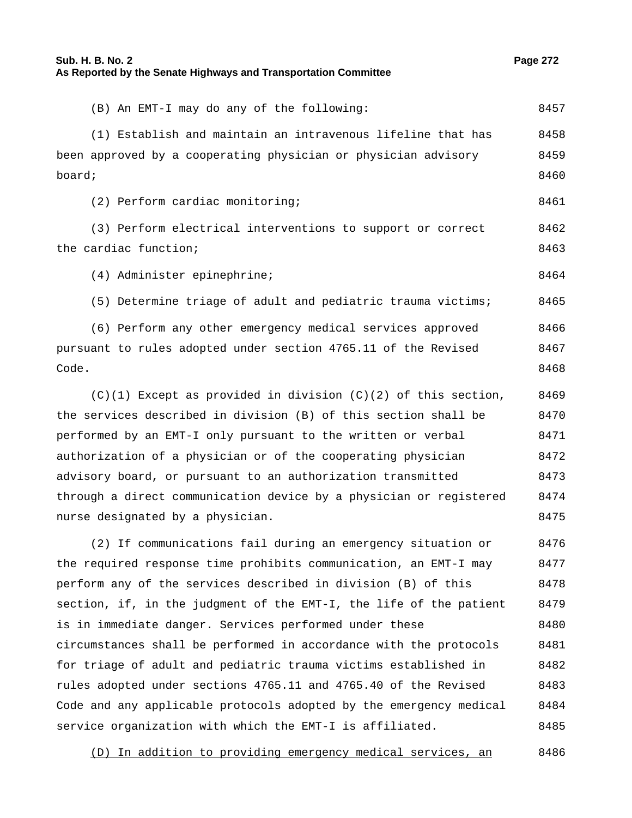| (B) An EMT-I may do any of the following:                          | 8457 |
|--------------------------------------------------------------------|------|
| (1) Establish and maintain an intravenous lifeline that has        | 8458 |
| been approved by a cooperating physician or physician advisory     | 8459 |
| board;                                                             | 8460 |
| (2) Perform cardiac monitoring;                                    | 8461 |
| (3) Perform electrical interventions to support or correct         | 8462 |
| the cardiac function;                                              | 8463 |
| (4) Administer epinephrine;                                        | 8464 |
| (5) Determine triage of adult and pediatric trauma victims;        | 8465 |
| (6) Perform any other emergency medical services approved          | 8466 |
| pursuant to rules adopted under section 4765.11 of the Revised     | 8467 |
| Code.                                                              | 8468 |
| $(C)(1)$ Except as provided in division $(C)(2)$ of this section,  | 8469 |
| the services described in division (B) of this section shall be    | 8470 |
| performed by an EMT-I only pursuant to the written or verbal       | 8471 |
| authorization of a physician or of the cooperating physician       | 8472 |
| advisory board, or pursuant to an authorization transmitted        | 8473 |
| through a direct communication device by a physician or registered | 8474 |
| nurse designated by a physician.                                   | 8475 |
| (2) If communications fail during an emergency situation or        | 8476 |
| the required response time prohibits communication, an EMT-I may   | 8477 |
| perform any of the services described in division (B) of this      | 8478 |
| section, if, in the judgment of the EMT-I, the life of the patient | 8479 |
| is in immediate danger. Services performed under these             | 8480 |
| circumstances shall be performed in accordance with the protocols  | 8481 |
| for triage of adult and pediatric trauma victims established in    | 8482 |
| rules adopted under sections 4765.11 and 4765.40 of the Revised    | 8483 |
| Code and any applicable protocols adopted by the emergency medical | 8484 |
| service organization with which the EMT-I is affiliated.           | 8485 |

(D) In addition to providing emergency medical services, an 8486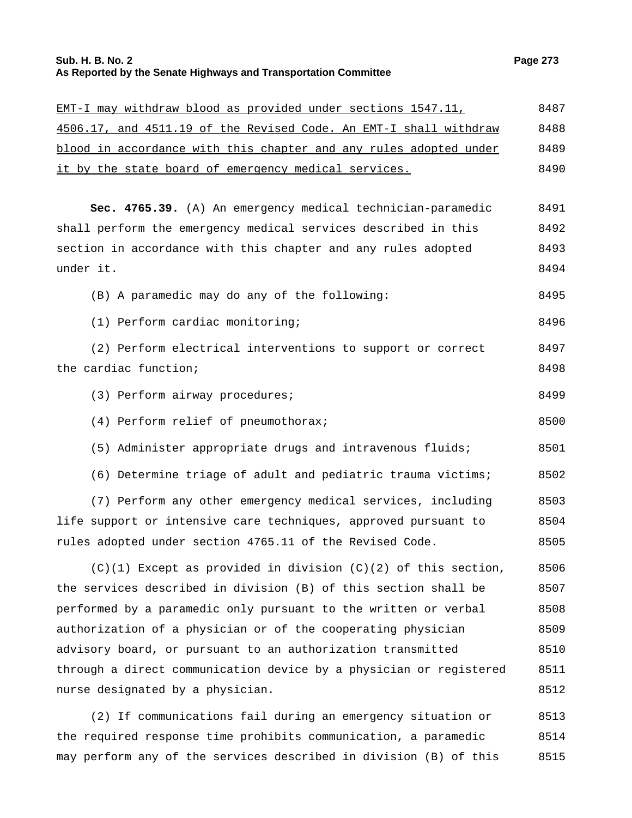# **Sub. H. B. No. 2 Page 273 As Reported by the Senate Highways and Transportation Committee**

| EMT-I may withdraw blood as provided under sections 1547.11,       | 8487 |
|--------------------------------------------------------------------|------|
| 4506.17, and 4511.19 of the Revised Code. An EMT-I shall withdraw  | 8488 |
| blood in accordance with this chapter and any rules adopted under  | 8489 |
| it by the state board of emergency medical services.               | 8490 |
|                                                                    |      |
| Sec. 4765.39. (A) An emergency medical technician-paramedic        | 8491 |
| shall perform the emergency medical services described in this     | 8492 |
| section in accordance with this chapter and any rules adopted      | 8493 |
| under it.                                                          | 8494 |
| (B) A paramedic may do any of the following:                       | 8495 |
| (1) Perform cardiac monitoring;                                    | 8496 |
| (2) Perform electrical interventions to support or correct         | 8497 |
| the cardiac function;                                              | 8498 |
| (3) Perform airway procedures;                                     | 8499 |
| (4) Perform relief of pneumothorax;                                | 8500 |
| (5) Administer appropriate drugs and intravenous fluids;           | 8501 |
| (6) Determine triage of adult and pediatric trauma victims;        | 8502 |
| (7) Perform any other emergency medical services, including        | 8503 |
| life support or intensive care techniques, approved pursuant to    | 8504 |
| rules adopted under section 4765.11 of the Revised Code.           | 8505 |
| $(C)(1)$ Except as provided in division $(C)(2)$ of this section,  | 8506 |
| the services described in division (B) of this section shall be    | 8507 |
| performed by a paramedic only pursuant to the written or verbal    | 8508 |
| authorization of a physician or of the cooperating physician       | 8509 |
| advisory board, or pursuant to an authorization transmitted        | 8510 |
| through a direct communication device by a physician or registered | 8511 |
| nurse designated by a physician.                                   | 8512 |

(2) If communications fail during an emergency situation or the required response time prohibits communication, a paramedic may perform any of the services described in division (B) of this 8513 8514 8515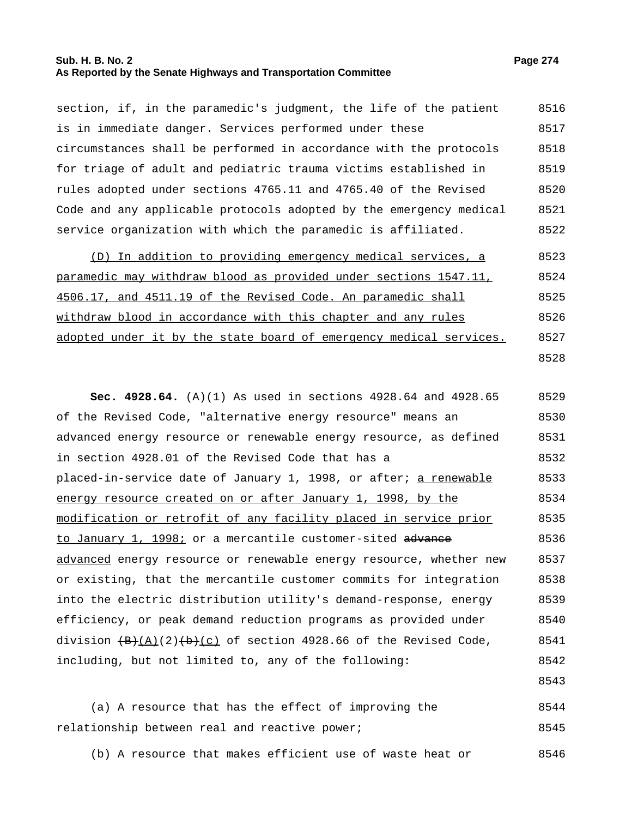# **Sub. H. B. No. 2 Page 274 As Reported by the Senate Highways and Transportation Committee**

section, if, in the paramedic's judgment, the life of the patient is in immediate danger. Services performed under these circumstances shall be performed in accordance with the protocols for triage of adult and pediatric trauma victims established in rules adopted under sections 4765.11 and 4765.40 of the Revised Code and any applicable protocols adopted by the emergency medical service organization with which the paramedic is affiliated. 8516 8517 8518 8519 8520 8521 8522

(D) In addition to providing emergency medical services, a paramedic may withdraw blood as provided under sections 1547.11, 4506.17, and 4511.19 of the Revised Code. An paramedic shall withdraw blood in accordance with this chapter and any rules adopted under it by the state board of emergency medical services. 8523 8524 8525 8526 8527

**Sec. 4928.64.** (A)(1) As used in sections 4928.64 and 4928.65 of the Revised Code, "alternative energy resource" means an advanced energy resource or renewable energy resource, as defined in section 4928.01 of the Revised Code that has a placed-in-service date of January 1, 1998, or after; a renewable energy resource created on or after January 1, 1998, by the modification or retrofit of any facility placed in service prior to January 1, 1998; or a mercantile customer-sited advance advanced energy resource or renewable energy resource, whether new or existing, that the mercantile customer commits for integration into the electric distribution utility's demand-response, energy efficiency, or peak demand reduction programs as provided under division  $\overline{(B)(A)(2)}$  $\overline{(b)(c)}$  of section 4928.66 of the Revised Code, including, but not limited to, any of the following: 8529 8530 8531 8532 8533 8534 8535 8536 8537 8538 8539 8540 8541 8542

8543

(a) A resource that has the effect of improving the relationship between real and reactive power; 8544 8545

(b) A resource that makes efficient use of waste heat or  $8546$ 

8528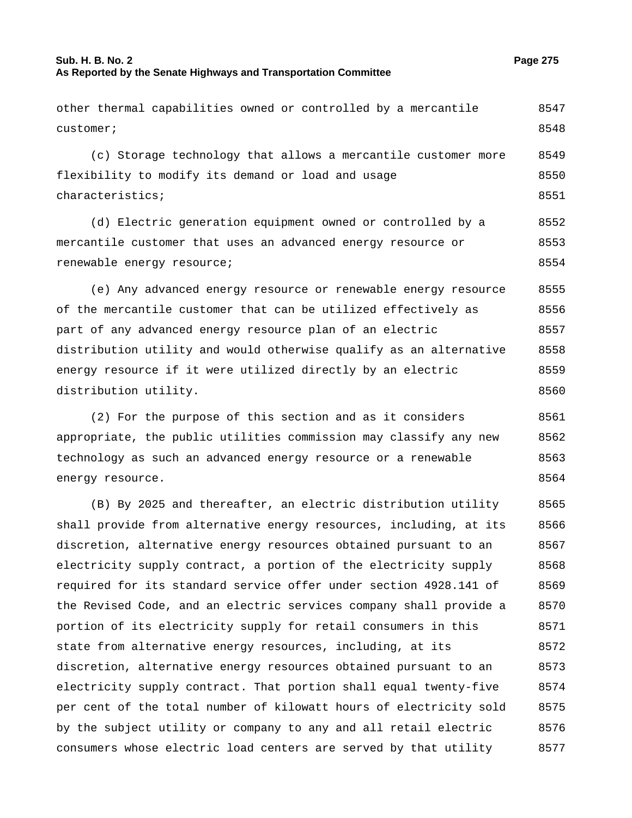# **Sub. H. B. No. 2 Page 275 As Reported by the Senate Highways and Transportation Committee**

other thermal capabilities owned or controlled by a mercantile customer; 8547 8548 (c) Storage technology that allows a mercantile customer more flexibility to modify its demand or load and usage characteristics; 8549 8550 8551 (d) Electric generation equipment owned or controlled by a mercantile customer that uses an advanced energy resource or renewable energy resource; 8552 8553 8554 (e) Any advanced energy resource or renewable energy resource of the mercantile customer that can be utilized effectively as part of any advanced energy resource plan of an electric distribution utility and would otherwise qualify as an alternative energy resource if it were utilized directly by an electric distribution utility. 8555 8556 8557 8558 8559 8560

(2) For the purpose of this section and as it considers appropriate, the public utilities commission may classify any new technology as such an advanced energy resource or a renewable energy resource. 8561 8562 8563 8564

(B) By 2025 and thereafter, an electric distribution utility shall provide from alternative energy resources, including, at its discretion, alternative energy resources obtained pursuant to an electricity supply contract, a portion of the electricity supply required for its standard service offer under section 4928.141 of the Revised Code, and an electric services company shall provide a portion of its electricity supply for retail consumers in this state from alternative energy resources, including, at its discretion, alternative energy resources obtained pursuant to an electricity supply contract. That portion shall equal twenty-five per cent of the total number of kilowatt hours of electricity sold by the subject utility or company to any and all retail electric consumers whose electric load centers are served by that utility 8565 8566 8567 8568 8569 8570 8571 8572 8573 8574 8575 8576 8577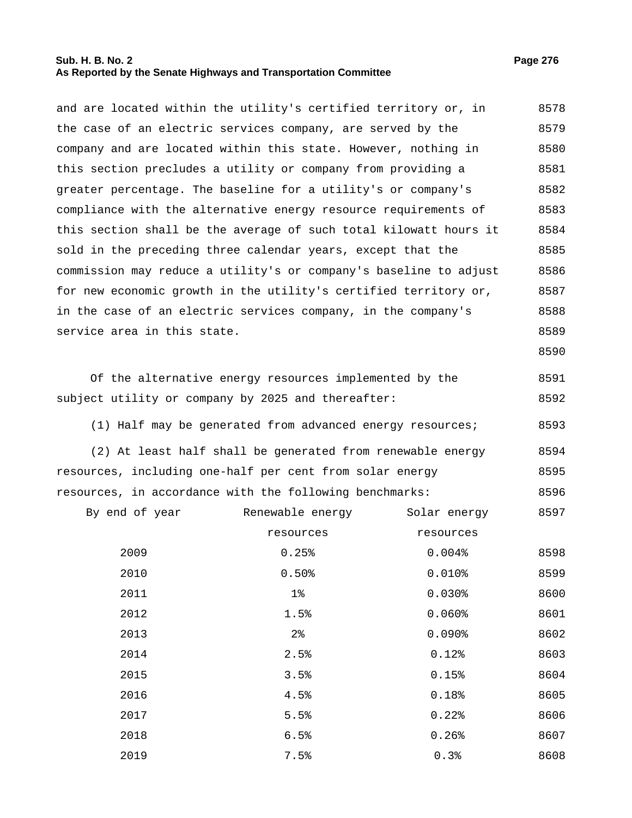# **Sub. H. B. No. 2 Page 276 As Reported by the Senate Highways and Transportation Committee**

and are located within the utility's certified territory or, in the case of an electric services company, are served by the company and are located within this state. However, nothing in this section precludes a utility or company from providing a greater percentage. The baseline for a utility's or company's compliance with the alternative energy resource requirements of this section shall be the average of such total kilowatt hours it sold in the preceding three calendar years, except that the commission may reduce a utility's or company's baseline to adjust for new economic growth in the utility's certified territory or, in the case of an electric services company, in the company's service area in this state. 8578 8579 8580 8581 8582 8583 8584 8585 8586 8587 8588 8589

Of the alternative energy resources implemented by the subject utility or company by 2025 and thereafter: 8591 8592

(1) Half may be generated from advanced energy resources; 8593

(2) At least half shall be generated from renewable energy resources, including one-half per cent from solar energy resources, in accordance with the following benchmarks: 8594 8595 8596

By end of year Renewable energy resources Solar energy resources 8597 2009 0.25% 0.004% 8598 2010 0.50% 0.010% 8599

| 2011 | $1\%$          | 0.030%               | 8600 |
|------|----------------|----------------------|------|
| 2012 | 1.5%           | 0.060%               | 8601 |
| 2013 | 2 <sup>°</sup> | $0.090$ <sup>8</sup> | 8602 |
| 2014 | 2.5%           | $0.12$ %             | 8603 |
| 2015 | 3.5%           | 0.15%                | 8604 |
| 2016 | 4.5%           | 0.18%                | 8605 |
| 2017 | 5.5%           | $0.22$ $%$           | 8606 |
| 2018 | 6.5%           | 0.26%                | 8607 |
| 2019 | 7.5%           | 0.3%                 | 8608 |

8590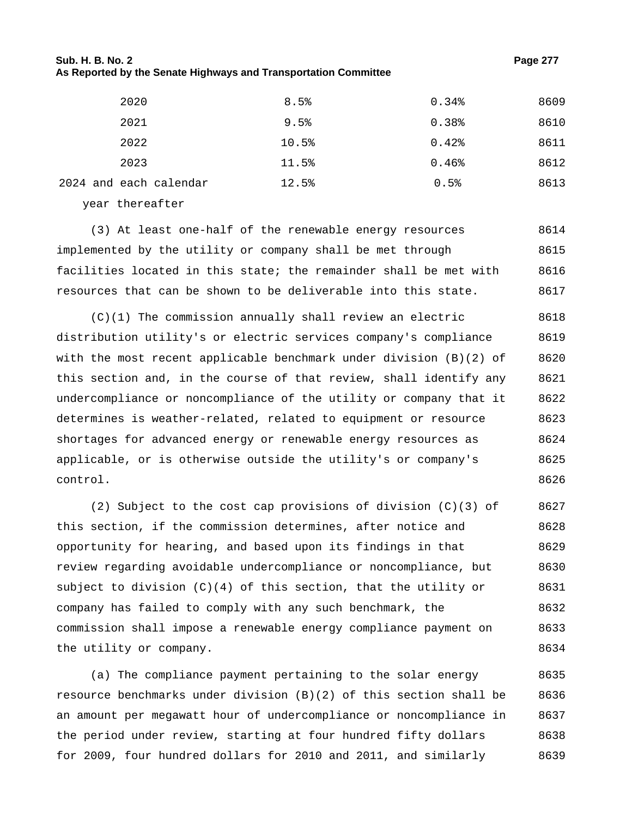| <b>Sub. H. B. No. 2</b>                                         | <b>Page 277</b> |
|-----------------------------------------------------------------|-----------------|
| As Reported by the Senate Highways and Transportation Committee |                 |

| 2020                   | 8.5%  | 0.34% | 8609 |
|------------------------|-------|-------|------|
| 2021                   | 9.5%  | 0.38% | 8610 |
| 2022                   | 10.5% | 0.42% | 8611 |
| 2023                   | 11.5% | 0.46% | 8612 |
| 2024 and each calendar | 12.5% | 0.5%  | 8613 |
|                        |       |       |      |

year thereafter

(3) At least one-half of the renewable energy resources implemented by the utility or company shall be met through facilities located in this state; the remainder shall be met with resources that can be shown to be deliverable into this state. 8614 8615 8616 8617

(C)(1) The commission annually shall review an electric distribution utility's or electric services company's compliance with the most recent applicable benchmark under division (B)(2) of this section and, in the course of that review, shall identify any undercompliance or noncompliance of the utility or company that it determines is weather-related, related to equipment or resource shortages for advanced energy or renewable energy resources as applicable, or is otherwise outside the utility's or company's control. 8618 8619 8620 8621 8622 8623 8624 8625 8626

(2) Subject to the cost cap provisions of division (C)(3) of this section, if the commission determines, after notice and opportunity for hearing, and based upon its findings in that review regarding avoidable undercompliance or noncompliance, but subject to division  $(C)(4)$  of this section, that the utility or company has failed to comply with any such benchmark, the commission shall impose a renewable energy compliance payment on the utility or company. 8627 8628 8629 8630 8631 8632 8633 8634

(a) The compliance payment pertaining to the solar energy resource benchmarks under division (B)(2) of this section shall be an amount per megawatt hour of undercompliance or noncompliance in the period under review, starting at four hundred fifty dollars for 2009, four hundred dollars for 2010 and 2011, and similarly 8635 8636 8637 8638 8639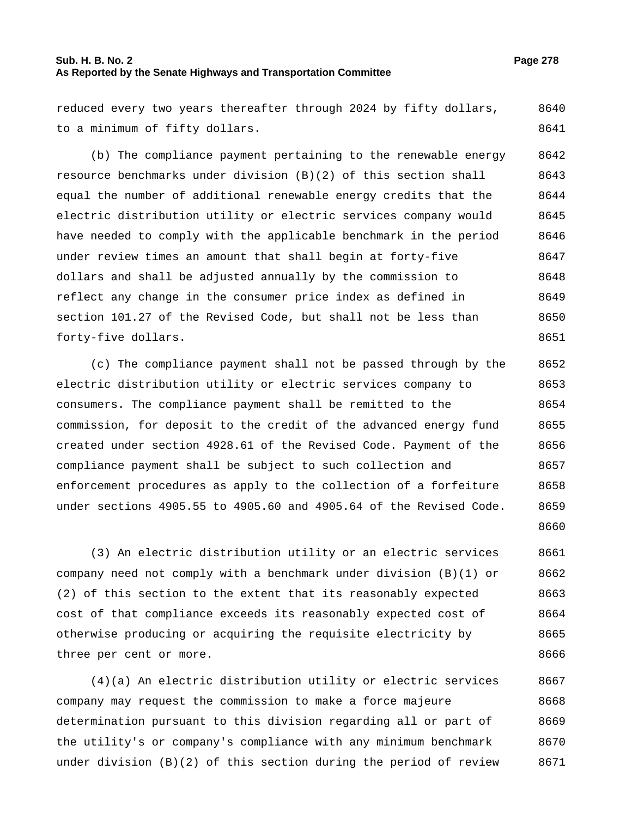# **Sub. H. B. No. 2 Page 278 As Reported by the Senate Highways and Transportation Committee**

reduced every two years thereafter through 2024 by fifty dollars, to a minimum of fifty dollars. 8640 8641

(b) The compliance payment pertaining to the renewable energy resource benchmarks under division (B)(2) of this section shall equal the number of additional renewable energy credits that the electric distribution utility or electric services company would have needed to comply with the applicable benchmark in the period under review times an amount that shall begin at forty-five dollars and shall be adjusted annually by the commission to reflect any change in the consumer price index as defined in section 101.27 of the Revised Code, but shall not be less than forty-five dollars. 8642 8643 8644 8645 8646 8647 8648 8649 8650 8651

(c) The compliance payment shall not be passed through by the electric distribution utility or electric services company to consumers. The compliance payment shall be remitted to the commission, for deposit to the credit of the advanced energy fund created under section 4928.61 of the Revised Code. Payment of the compliance payment shall be subject to such collection and enforcement procedures as apply to the collection of a forfeiture under sections 4905.55 to 4905.60 and 4905.64 of the Revised Code. 8652 8653 8654 8655 8656 8657 8658 8659

8660

(3) An electric distribution utility or an electric services company need not comply with a benchmark under division (B)(1) or (2) of this section to the extent that its reasonably expected cost of that compliance exceeds its reasonably expected cost of otherwise producing or acquiring the requisite electricity by three per cent or more. 8661 8662 8663 8664 8665 8666

(4)(a) An electric distribution utility or electric services company may request the commission to make a force majeure determination pursuant to this division regarding all or part of the utility's or company's compliance with any minimum benchmark under division  $(B)(2)$  of this section during the period of review 8667 8668 8669 8670 8671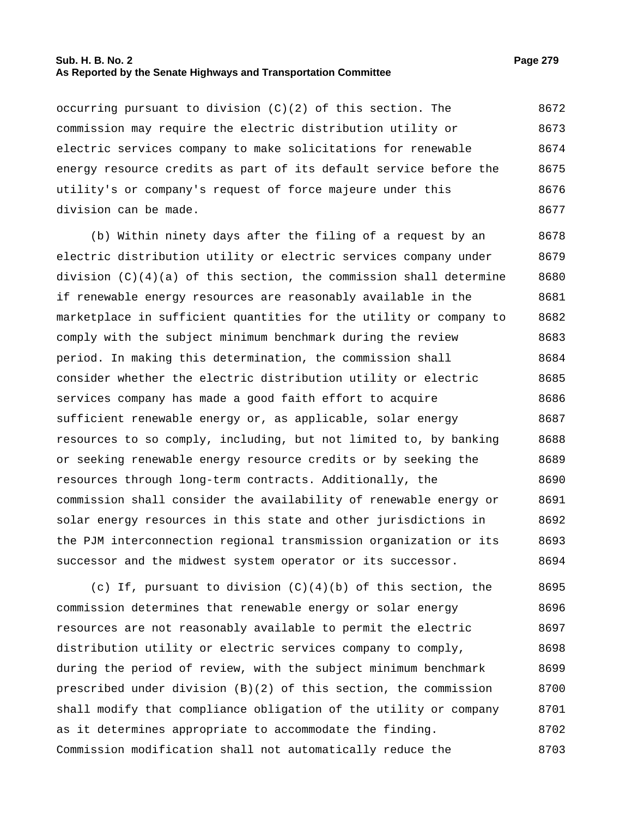#### **Sub. H. B. No. 2 Page 279 As Reported by the Senate Highways and Transportation Committee**

occurring pursuant to division  $(C)(2)$  of this section. The commission may require the electric distribution utility or electric services company to make solicitations for renewable energy resource credits as part of its default service before the utility's or company's request of force majeure under this division can be made. 8672 8673 8674 8675 8676 8677

(b) Within ninety days after the filing of a request by an electric distribution utility or electric services company under division  $(C)(4)(a)$  of this section, the commission shall determine if renewable energy resources are reasonably available in the marketplace in sufficient quantities for the utility or company to comply with the subject minimum benchmark during the review period. In making this determination, the commission shall consider whether the electric distribution utility or electric services company has made a good faith effort to acquire sufficient renewable energy or, as applicable, solar energy resources to so comply, including, but not limited to, by banking or seeking renewable energy resource credits or by seeking the resources through long-term contracts. Additionally, the commission shall consider the availability of renewable energy or solar energy resources in this state and other jurisdictions in the PJM interconnection regional transmission organization or its successor and the midwest system operator or its successor. 8678 8679 8680 8681 8682 8683 8684 8685 8686 8687 8688 8689 8690 8691 8692 8693 8694

(c) If, pursuant to division  $(C)(4)(b)$  of this section, the commission determines that renewable energy or solar energy resources are not reasonably available to permit the electric distribution utility or electric services company to comply, during the period of review, with the subject minimum benchmark prescribed under division (B)(2) of this section, the commission shall modify that compliance obligation of the utility or company as it determines appropriate to accommodate the finding. Commission modification shall not automatically reduce the 8695 8696 8697 8698 8699 8700 8701 8702 8703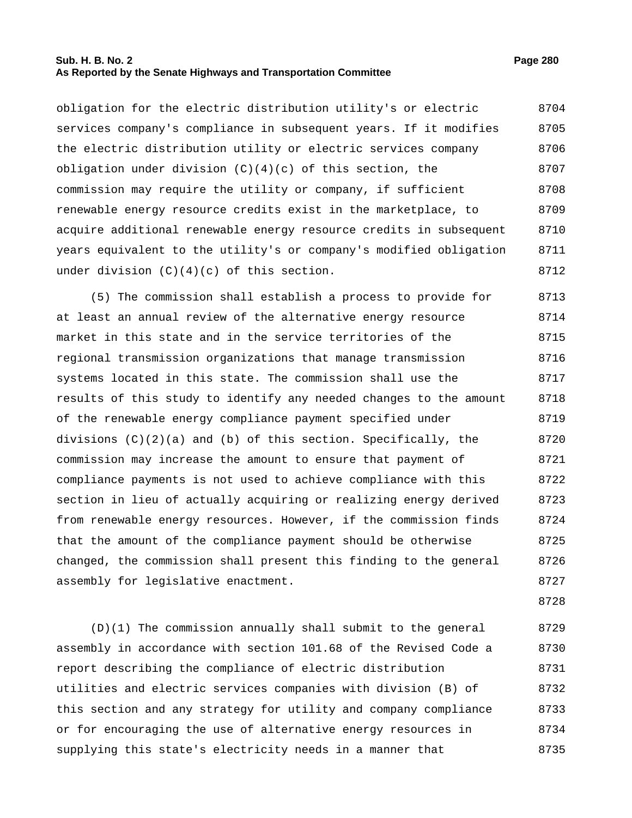# **Sub. H. B. No. 2 Page 280 As Reported by the Senate Highways and Transportation Committee**

obligation for the electric distribution utility's or electric services company's compliance in subsequent years. If it modifies the electric distribution utility or electric services company obligation under division (C)(4)(c) of this section, the commission may require the utility or company, if sufficient renewable energy resource credits exist in the marketplace, to acquire additional renewable energy resource credits in subsequent years equivalent to the utility's or company's modified obligation under division (C)(4)(c) of this section. 8704 8705 8706 8707 8708 8709 8710 8711 8712

(5) The commission shall establish a process to provide for at least an annual review of the alternative energy resource market in this state and in the service territories of the regional transmission organizations that manage transmission systems located in this state. The commission shall use the results of this study to identify any needed changes to the amount of the renewable energy compliance payment specified under divisions  $(C)(2)(a)$  and  $(b)$  of this section. Specifically, the commission may increase the amount to ensure that payment of compliance payments is not used to achieve compliance with this section in lieu of actually acquiring or realizing energy derived from renewable energy resources. However, if the commission finds that the amount of the compliance payment should be otherwise changed, the commission shall present this finding to the general assembly for legislative enactment. 8713 8714 8715 8716 8717 8718 8719 8720 8721 8722 8723 8724 8725 8726 8727

8728

(D)(1) The commission annually shall submit to the general assembly in accordance with section 101.68 of the Revised Code a report describing the compliance of electric distribution utilities and electric services companies with division (B) of this section and any strategy for utility and company compliance or for encouraging the use of alternative energy resources in supplying this state's electricity needs in a manner that 8729 8730 8731 8732 8733 8734 8735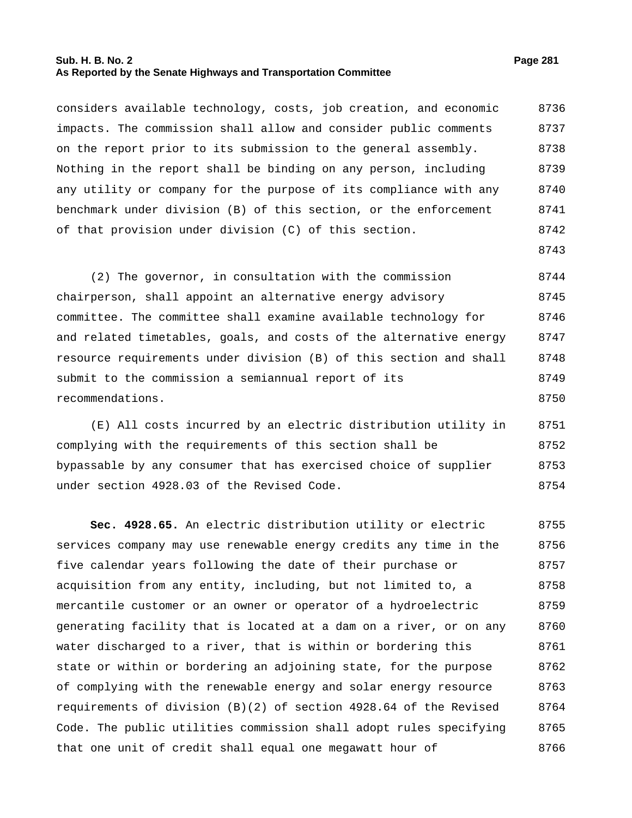# **Sub. H. B. No. 2 Page 281 As Reported by the Senate Highways and Transportation Committee**

8743

considers available technology, costs, job creation, and economic impacts. The commission shall allow and consider public comments on the report prior to its submission to the general assembly. Nothing in the report shall be binding on any person, including any utility or company for the purpose of its compliance with any benchmark under division (B) of this section, or the enforcement of that provision under division (C) of this section. 8736 8737 8738 8739 8740 8741 8742

(2) The governor, in consultation with the commission chairperson, shall appoint an alternative energy advisory committee. The committee shall examine available technology for and related timetables, goals, and costs of the alternative energy resource requirements under division (B) of this section and shall submit to the commission a semiannual report of its recommendations. 8744 8745 8746 8747 8748 8749 8750

(E) All costs incurred by an electric distribution utility in complying with the requirements of this section shall be bypassable by any consumer that has exercised choice of supplier under section 4928.03 of the Revised Code. 8751 8752 8753 8754

**Sec. 4928.65.** An electric distribution utility or electric services company may use renewable energy credits any time in the five calendar years following the date of their purchase or acquisition from any entity, including, but not limited to, a mercantile customer or an owner or operator of a hydroelectric generating facility that is located at a dam on a river, or on any water discharged to a river, that is within or bordering this state or within or bordering an adjoining state, for the purpose of complying with the renewable energy and solar energy resource requirements of division (B)(2) of section 4928.64 of the Revised Code. The public utilities commission shall adopt rules specifying that one unit of credit shall equal one megawatt hour of 8755 8756 8757 8758 8759 8760 8761 8762 8763 8764 8765 8766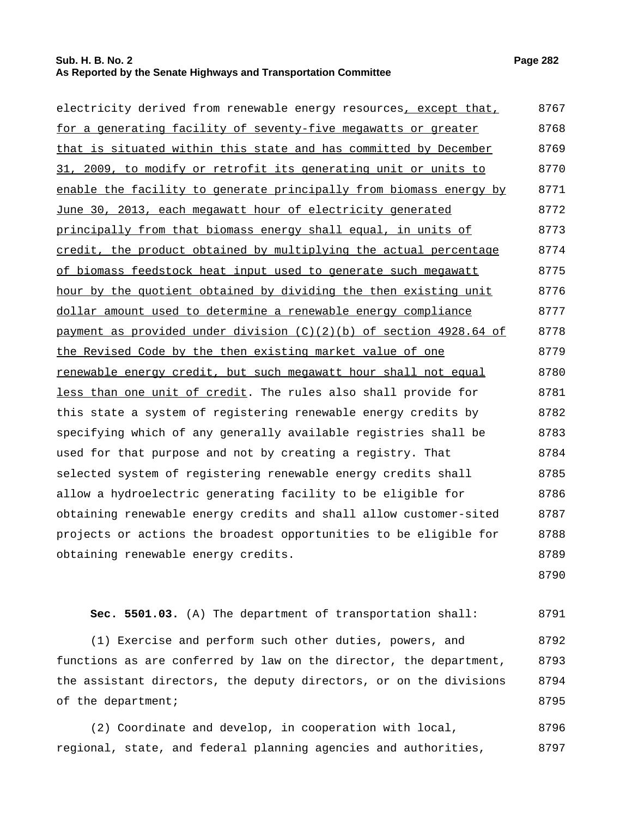# **Sub. H. B. No. 2 Page 282 As Reported by the Senate Highways and Transportation Committee**

| for a generating facility of seventy-five megawatts or greater       | 8768 |
|----------------------------------------------------------------------|------|
| that is situated within this state and has committed by December     | 8769 |
| 31, 2009, to modify or retrofit its generating unit or units to      | 8770 |
| enable the facility to generate principally from biomass energy by   | 8771 |
| June 30, 2013, each megawatt hour of electricity generated           | 8772 |
| principally from that biomass energy shall equal, in units of        | 8773 |
| credit, the product obtained by multiplying the actual percentage    | 8774 |
| of biomass feedstock heat input used to generate such megawatt       | 8775 |
| hour by the quotient obtained by dividing the then existing unit     | 8776 |
| dollar amount used to determine a renewable energy compliance        | 8777 |
| payment as provided under division $(C)(2)(b)$ of section 4928.64 of | 8778 |
| the Revised Code by the then existing market value of one            | 8779 |
| renewable energy credit, but such megawatt hour shall not equal      | 8780 |
| less than one unit of credit. The rules also shall provide for       | 8781 |
| this state a system of registering renewable energy credits by       | 8782 |
| specifying which of any generally available registries shall be      | 8783 |
| used for that purpose and not by creating a registry. That           | 8784 |
| selected system of registering renewable energy credits shall        | 8785 |
| allow a hydroelectric generating facility to be eligible for         | 8786 |
| obtaining renewable energy credits and shall allow customer-sited    | 8787 |
| projects or actions the broadest opportunities to be eligible for    | 8788 |
| obtaining renewable energy credits.                                  | 8789 |
|                                                                      | 8790 |

**Sec. 5501.03.** (A) The department of transportation shall: 8791

(1) Exercise and perform such other duties, powers, and functions as are conferred by law on the director, the department, the assistant directors, the deputy directors, or on the divisions of the department; 8792 8793 8794 8795

(2) Coordinate and develop, in cooperation with local, regional, state, and federal planning agencies and authorities, 8796 8797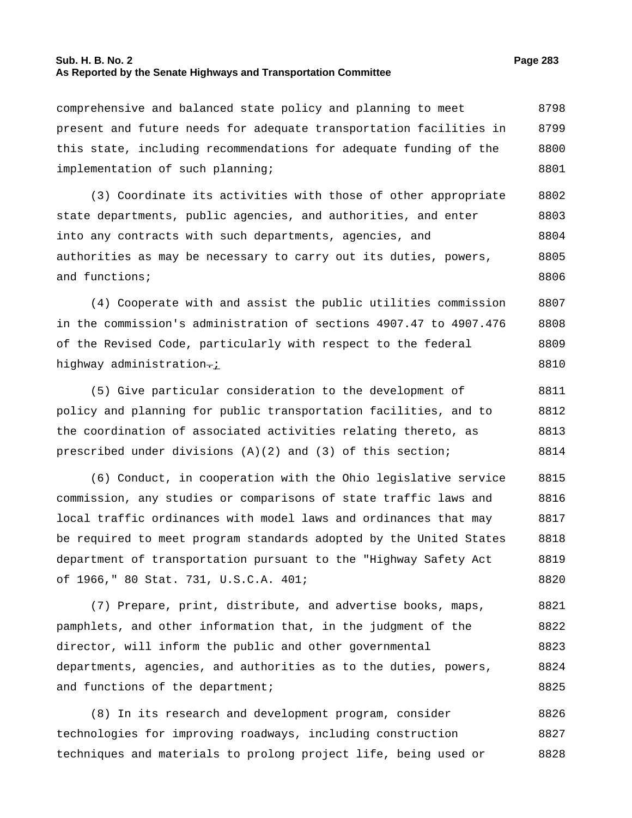# **Sub. H. B. No. 2 Page 283 As Reported by the Senate Highways and Transportation Committee**

comprehensive and balanced state policy and planning to meet 8798

present and future needs for adequate transportation facilities in this state, including recommendations for adequate funding of the implementation of such planning; 8799 8800 8801

(3) Coordinate its activities with those of other appropriate state departments, public agencies, and authorities, and enter into any contracts with such departments, agencies, and authorities as may be necessary to carry out its duties, powers, and functions; 8802 8803 8804 8805 8806

(4) Cooperate with and assist the public utilities commission in the commission's administration of sections 4907.47 to 4907.476 of the Revised Code, particularly with respect to the federal highway administration-; 8807 8808 8809 8810

(5) Give particular consideration to the development of policy and planning for public transportation facilities, and to the coordination of associated activities relating thereto, as prescribed under divisions (A)(2) and (3) of this section; 8811 8812 8813 8814

(6) Conduct, in cooperation with the Ohio legislative service commission, any studies or comparisons of state traffic laws and local traffic ordinances with model laws and ordinances that may be required to meet program standards adopted by the United States department of transportation pursuant to the "Highway Safety Act of 1966," 80 Stat. 731, U.S.C.A. 401; 8815 8816 8817 8818 8819 8820

(7) Prepare, print, distribute, and advertise books, maps, pamphlets, and other information that, in the judgment of the director, will inform the public and other governmental departments, agencies, and authorities as to the duties, powers, and functions of the department; 8821 8822 8823 8824 8825

(8) In its research and development program, consider technologies for improving roadways, including construction techniques and materials to prolong project life, being used or 8826 8827 8828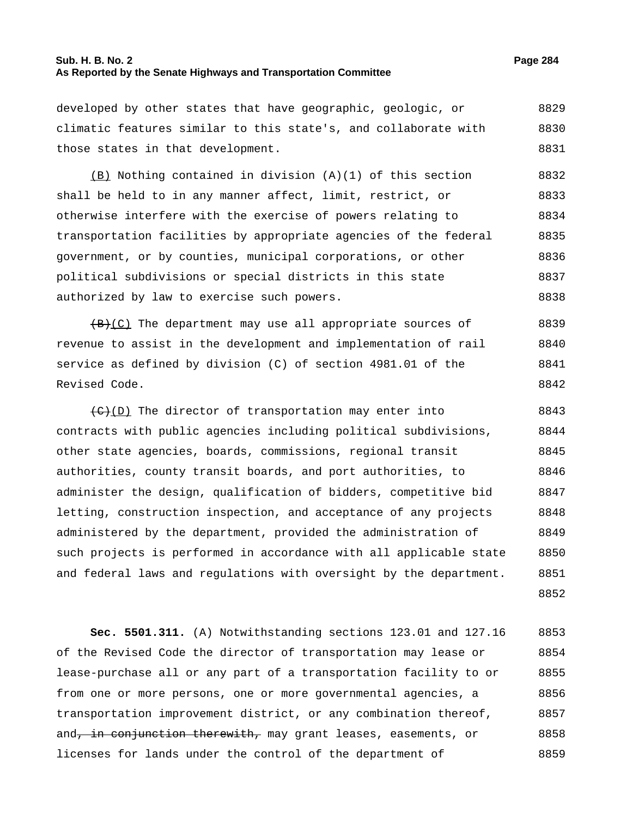# **Sub. H. B. No. 2 Page 284 As Reported by the Senate Highways and Transportation Committee**

developed by other states that have geographic, geologic, or climatic features similar to this state's, and collaborate with those states in that development. 8829 8830 8831

(B) Nothing contained in division (A)(1) of this section shall be held to in any manner affect, limit, restrict, or otherwise interfere with the exercise of powers relating to transportation facilities by appropriate agencies of the federal government, or by counties, municipal corporations, or other political subdivisions or special districts in this state authorized by law to exercise such powers. 8832 8833 8834 8835 8836 8837 8838

 $(H)$ (C) The department may use all appropriate sources of revenue to assist in the development and implementation of rail service as defined by division (C) of section 4981.01 of the Revised Code. 8839 8840 8841 8842

 $\left\{ \left( \epsilon \right)$ (D) The director of transportation may enter into contracts with public agencies including political subdivisions, other state agencies, boards, commissions, regional transit authorities, county transit boards, and port authorities, to administer the design, qualification of bidders, competitive bid letting, construction inspection, and acceptance of any projects administered by the department, provided the administration of such projects is performed in accordance with all applicable state and federal laws and regulations with oversight by the department. 8843 8844 8845 8846 8847 8848 8849 8850 8851

8852

**Sec. 5501.311.** (A) Notwithstanding sections 123.01 and 127.16 of the Revised Code the director of transportation may lease or lease-purchase all or any part of a transportation facility to or from one or more persons, one or more governmental agencies, a transportation improvement district, or any combination thereof, and, in conjunction therewith, may grant leases, easements, or licenses for lands under the control of the department of 8853 8854 8855 8856 8857 8858 8859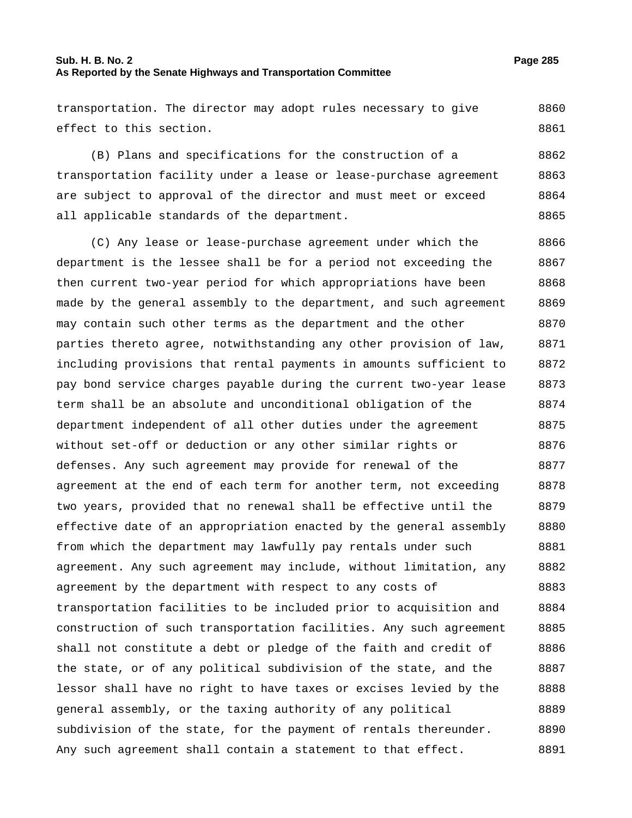# **Sub. H. B. No. 2 Page 285 As Reported by the Senate Highways and Transportation Committee**

transportation. The director may adopt rules necessary to give effect to this section. 8860 8861

(B) Plans and specifications for the construction of a transportation facility under a lease or lease-purchase agreement are subject to approval of the director and must meet or exceed all applicable standards of the department. 8862 8863 8864 8865

(C) Any lease or lease-purchase agreement under which the department is the lessee shall be for a period not exceeding the then current two-year period for which appropriations have been made by the general assembly to the department, and such agreement may contain such other terms as the department and the other parties thereto agree, notwithstanding any other provision of law, including provisions that rental payments in amounts sufficient to pay bond service charges payable during the current two-year lease term shall be an absolute and unconditional obligation of the department independent of all other duties under the agreement without set-off or deduction or any other similar rights or defenses. Any such agreement may provide for renewal of the agreement at the end of each term for another term, not exceeding two years, provided that no renewal shall be effective until the effective date of an appropriation enacted by the general assembly from which the department may lawfully pay rentals under such agreement. Any such agreement may include, without limitation, any agreement by the department with respect to any costs of transportation facilities to be included prior to acquisition and construction of such transportation facilities. Any such agreement shall not constitute a debt or pledge of the faith and credit of the state, or of any political subdivision of the state, and the lessor shall have no right to have taxes or excises levied by the general assembly, or the taxing authority of any political subdivision of the state, for the payment of rentals thereunder. Any such agreement shall contain a statement to that effect. 8866 8867 8868 8869 8870 8871 8872 8873 8874 8875 8876 8877 8878 8879 8880 8881 8882 8883 8884 8885 8886 8887 8888 8889 8890 8891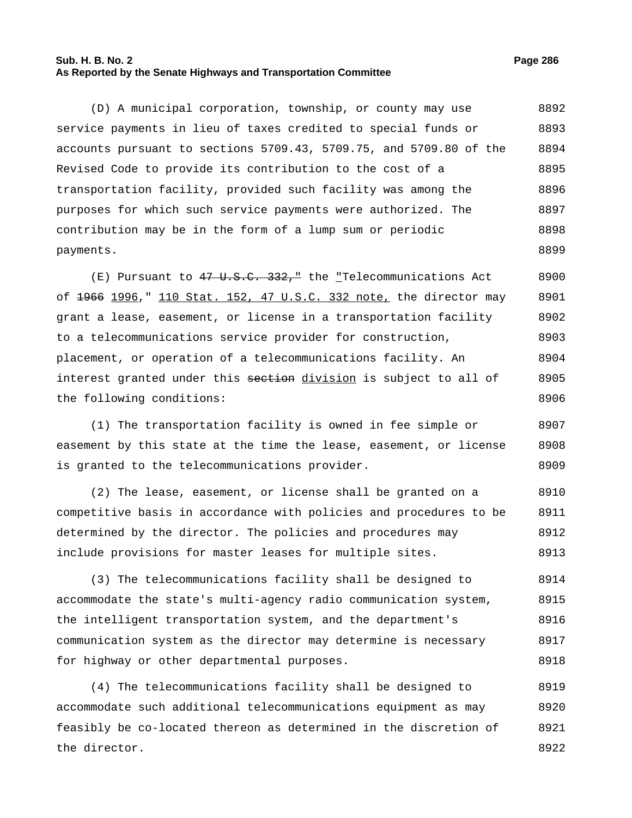# **Sub. H. B. No. 2 Page 286 As Reported by the Senate Highways and Transportation Committee**

(D) A municipal corporation, township, or county may use service payments in lieu of taxes credited to special funds or accounts pursuant to sections 5709.43, 5709.75, and 5709.80 of the Revised Code to provide its contribution to the cost of a transportation facility, provided such facility was among the purposes for which such service payments were authorized. The contribution may be in the form of a lump sum or periodic payments. 8892 8893 8894 8895 8896 8897 8898 8899 (E) Pursuant to 47 U.S.C. 332," the "Telecommunications Act 8900

of  $\frac{1966}{1996}$ , " 110 Stat. 152, 47 U.S.C. 332 note, the director may grant a lease, easement, or license in a transportation facility to a telecommunications service provider for construction, placement, or operation of a telecommunications facility. An interest granted under this seetion division is subject to all of the following conditions: 8901 8902 8903 8904 8905 8906

(1) The transportation facility is owned in fee simple or easement by this state at the time the lease, easement, or license is granted to the telecommunications provider. 8907 8908 8909

(2) The lease, easement, or license shall be granted on a competitive basis in accordance with policies and procedures to be determined by the director. The policies and procedures may include provisions for master leases for multiple sites. 8910 8911 8912 8913

(3) The telecommunications facility shall be designed to accommodate the state's multi-agency radio communication system, the intelligent transportation system, and the department's communication system as the director may determine is necessary for highway or other departmental purposes. 8914 8915 8916 8917 8918

(4) The telecommunications facility shall be designed to accommodate such additional telecommunications equipment as may feasibly be co-located thereon as determined in the discretion of the director. 8919 8920 8921 8922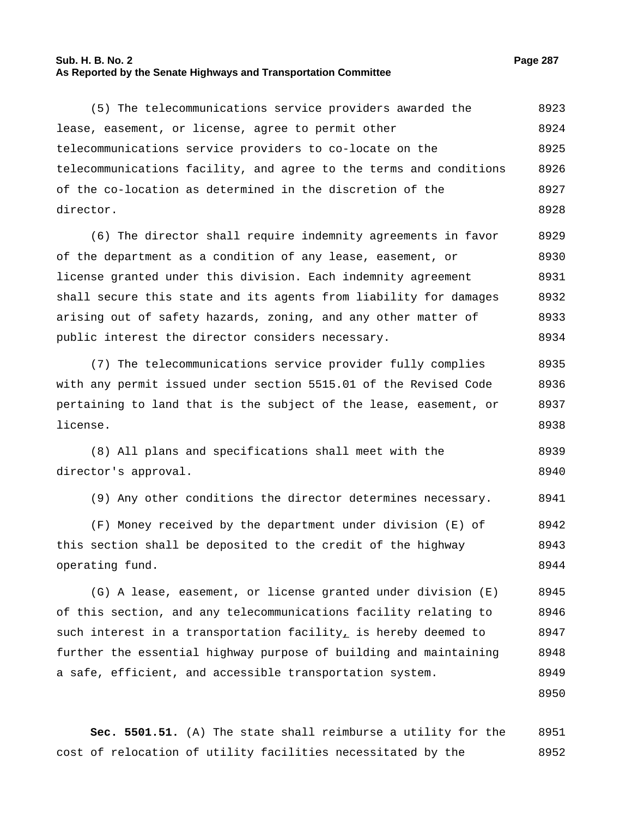# **Sub. H. B. No. 2 Page 287 As Reported by the Senate Highways and Transportation Committee**

(5) The telecommunications service providers awarded the lease, easement, or license, agree to permit other telecommunications service providers to co-locate on the telecommunications facility, and agree to the terms and conditions of the co-location as determined in the discretion of the director. 8923 8924 8925 8926 8927 8928

(6) The director shall require indemnity agreements in favor of the department as a condition of any lease, easement, or license granted under this division. Each indemnity agreement shall secure this state and its agents from liability for damages arising out of safety hazards, zoning, and any other matter of public interest the director considers necessary. 8929 8930 8931 8932 8933 8934

(7) The telecommunications service provider fully complies with any permit issued under section 5515.01 of the Revised Code pertaining to land that is the subject of the lease, easement, or license. 8935 8936 8937 8938

(8) All plans and specifications shall meet with the director's approval. 8939 8940

(9) Any other conditions the director determines necessary. 8941

(F) Money received by the department under division (E) of this section shall be deposited to the credit of the highway operating fund. 8942 8943 8944

(G) A lease, easement, or license granted under division (E) of this section, and any telecommunications facility relating to such interest in a transportation facility, is hereby deemed to further the essential highway purpose of building and maintaining a safe, efficient, and accessible transportation system. 8945 8946 8947 8948 8949

8950

**Sec. 5501.51.** (A) The state shall reimburse a utility for the cost of relocation of utility facilities necessitated by the 8951 8952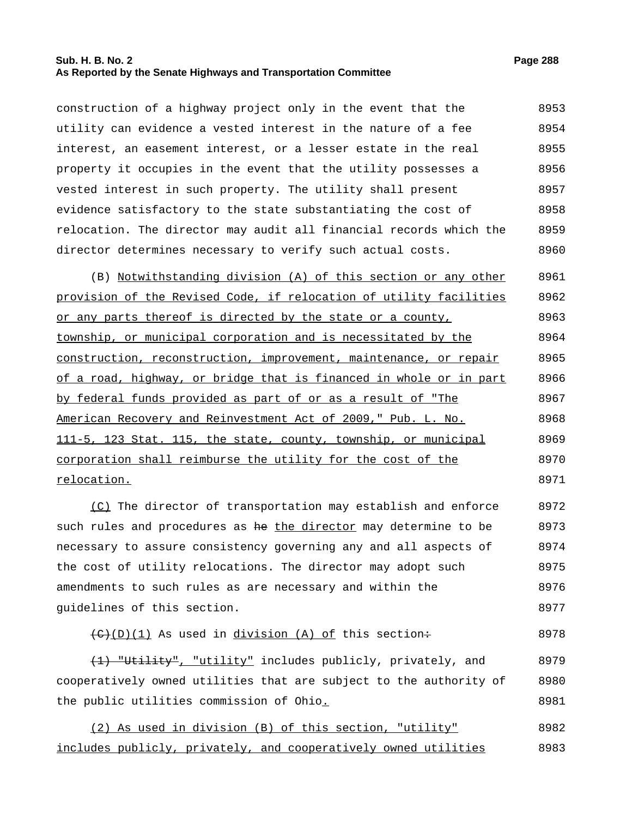# **Sub. H. B. No. 2 Page 288 As Reported by the Senate Highways and Transportation Committee**

construction of a highway project only in the event that the utility can evidence a vested interest in the nature of a fee interest, an easement interest, or a lesser estate in the real property it occupies in the event that the utility possesses a vested interest in such property. The utility shall present evidence satisfactory to the state substantiating the cost of relocation. The director may audit all financial records which the director determines necessary to verify such actual costs. 8953 8954 8955 8956 8957 8958 8959 8960

(B) Notwithstanding division (A) of this section or any other provision of the Revised Code, if relocation of utility facilities or any parts thereof is directed by the state or a county, township, or municipal corporation and is necessitated by the construction, reconstruction, improvement, maintenance, or repair of a road, highway, or bridge that is financed in whole or in part by federal funds provided as part of or as a result of "The American Recovery and Reinvestment Act of 2009," Pub. L. No. 111-5, 123 Stat. 115, the state, county, township, or municipal corporation shall reimburse the utility for the cost of the relocation. 8961 8962 8963 8964 8965 8966 8967 8968 8969 8970 8971

(C) The director of transportation may establish and enforce such rules and procedures as he the director may determine to be necessary to assure consistency governing any and all aspects of the cost of utility relocations. The director may adopt such amendments to such rules as are necessary and within the guidelines of this section. 8972 8973 8974 8975 8976 8977

# (C)(1) As used in division (A) of this section: 8978

(1) "Utility", "utility" includes publicly, privately, and cooperatively owned utilities that are subject to the authority of the public utilities commission of Ohio. 8979 8980 8981

(2) As used in division (B) of this section, "utility" includes publicly, privately, and cooperatively owned utilities 8982 8983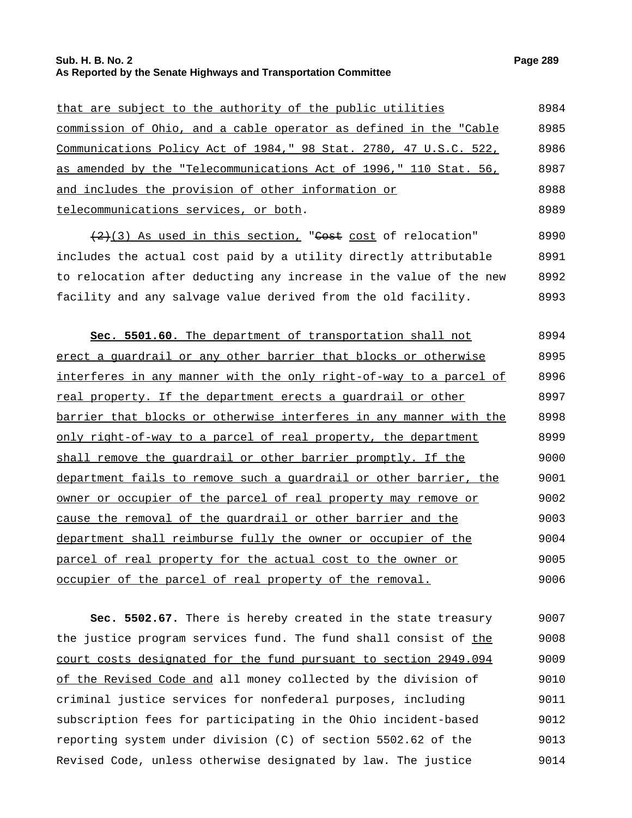## **Sub. H. B. No. 2 Page 289 As Reported by the Senate Highways and Transportation Committee**

| that are subject to the authority of the public utilities         | 8984 |
|-------------------------------------------------------------------|------|
| commission of Ohio, and a cable operator as defined in the "Cable | 8985 |
| Communications Policy Act of 1984," 98 Stat. 2780, 47 U.S.C. 522, | 8986 |
| as amended by the "Telecommunications Act of 1996," 110 Stat. 56, | 8987 |
| and includes the provision of other information or                | 8988 |
| telecommunications services, or both.                             | 8989 |

 $(2)(3)$  As used in this section, "Cost cost of relocation" includes the actual cost paid by a utility directly attributable to relocation after deducting any increase in the value of the new facility and any salvage value derived from the old facility. 8990 8991 8992 8993

| sec. 5501.60. The department of transportation shall not              | 8994 |
|-----------------------------------------------------------------------|------|
| erect a quardrail or any other barrier that blocks or otherwise       | 8995 |
| interferes in any manner with the only right-of-way to a parcel of    | 8996 |
| <u>real property. If the department erects a quardrail or other</u>   | 8997 |
| barrier that blocks or otherwise interferes in any manner with the    | 8998 |
| <u>only right-of-way to a parcel of real property, the department</u> | 8999 |
| shall remove the quardrail or other barrier promptly. If the          | 9000 |
| department fails to remove such a quardrail or other barrier, the     | 9001 |
| owner or occupier of the parcel of real property may remove or        | 9002 |
| cause the removal of the quardrail or other barrier and the           | 9003 |
| <u>department shall reimburse fully the owner or occupier of the</u>  | 9004 |
| parcel of real property for the actual cost to the owner or           | 9005 |
| occupier of the parcel of real property of the removal.               | 9006 |

**Sec. 5502.67.** There is hereby created in the state treasury the justice program services fund. The fund shall consist of the court costs designated for the fund pursuant to section 2949.094 of the Revised Code and all money collected by the division of criminal justice services for nonfederal purposes, including subscription fees for participating in the Ohio incident-based reporting system under division (C) of section 5502.62 of the Revised Code, unless otherwise designated by law. The justice 9007 9008 9009 9010 9011 9012 9013 9014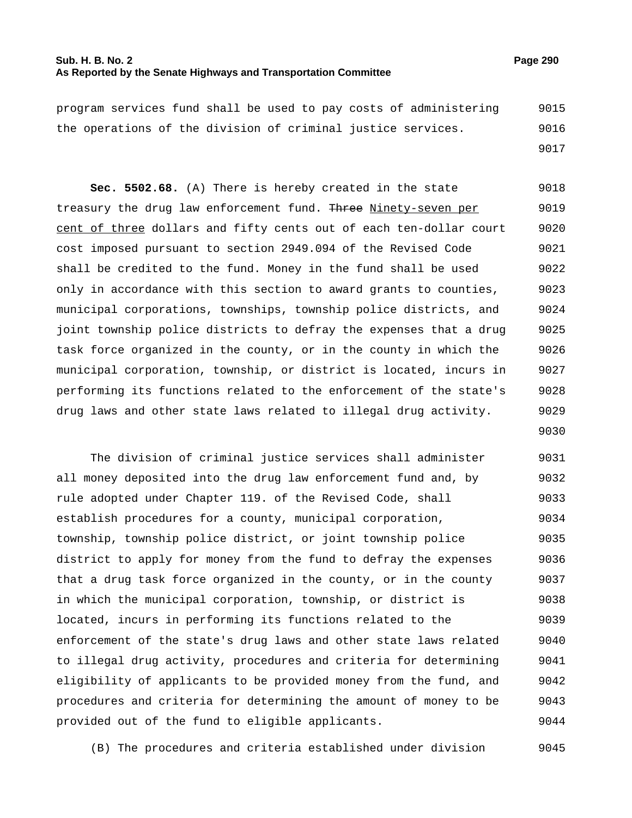### **Sub. H. B. No. 2 Page 290 As Reported by the Senate Highways and Transportation Committee**

program services fund shall be used to pay costs of administering the operations of the division of criminal justice services. 9015 9016 9017

**Sec. 5502.68.** (A) There is hereby created in the state treasury the drug law enforcement fund. Three Ninety-seven per cent of three dollars and fifty cents out of each ten-dollar court cost imposed pursuant to section 2949.094 of the Revised Code shall be credited to the fund. Money in the fund shall be used only in accordance with this section to award grants to counties, municipal corporations, townships, township police districts, and joint township police districts to defray the expenses that a drug task force organized in the county, or in the county in which the municipal corporation, township, or district is located, incurs in performing its functions related to the enforcement of the state's drug laws and other state laws related to illegal drug activity. 9018 9019 9020 9021 9022 9023 9024 9025 9026 9027 9028 9029

9030

The division of criminal justice services shall administer all money deposited into the drug law enforcement fund and, by rule adopted under Chapter 119. of the Revised Code, shall establish procedures for a county, municipal corporation, township, township police district, or joint township police district to apply for money from the fund to defray the expenses that a drug task force organized in the county, or in the county in which the municipal corporation, township, or district is located, incurs in performing its functions related to the enforcement of the state's drug laws and other state laws related to illegal drug activity, procedures and criteria for determining eligibility of applicants to be provided money from the fund, and procedures and criteria for determining the amount of money to be provided out of the fund to eligible applicants. 9031 9032 9033 9034 9035 9036 9037 9038 9039 9040 9041 9042 9043 9044

(B) The procedures and criteria established under division 9045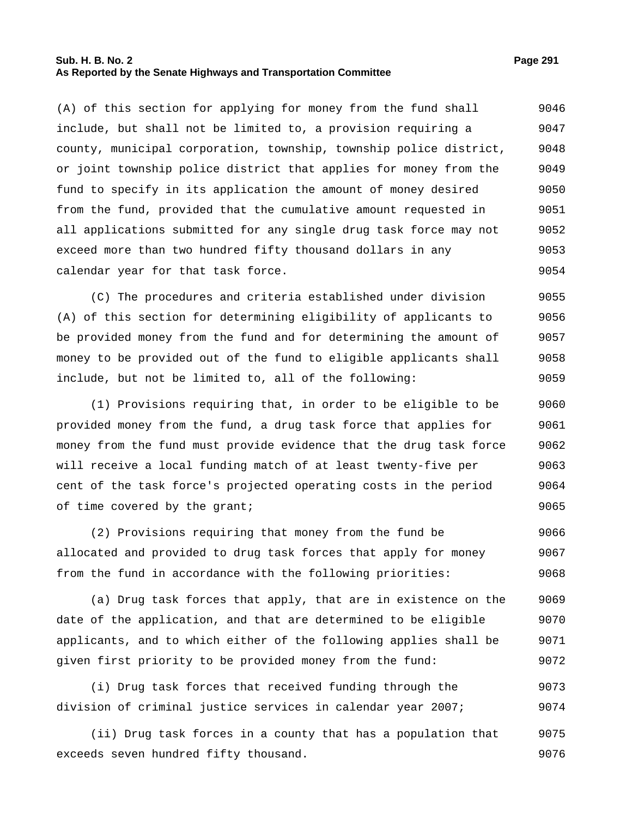### **Sub. H. B. No. 2 Page 291 As Reported by the Senate Highways and Transportation Committee**

(A) of this section for applying for money from the fund shall include, but shall not be limited to, a provision requiring a county, municipal corporation, township, township police district, or joint township police district that applies for money from the fund to specify in its application the amount of money desired from the fund, provided that the cumulative amount requested in all applications submitted for any single drug task force may not exceed more than two hundred fifty thousand dollars in any calendar year for that task force. 9046 9047 9048 9049 9050 9051 9052 9053 9054

(C) The procedures and criteria established under division (A) of this section for determining eligibility of applicants to be provided money from the fund and for determining the amount of money to be provided out of the fund to eligible applicants shall include, but not be limited to, all of the following: 9055 9056 9057 9058 9059

(1) Provisions requiring that, in order to be eligible to be provided money from the fund, a drug task force that applies for money from the fund must provide evidence that the drug task force will receive a local funding match of at least twenty-five per cent of the task force's projected operating costs in the period of time covered by the grant; 9060 9061 9062 9063 9064 9065

(2) Provisions requiring that money from the fund be allocated and provided to drug task forces that apply for money from the fund in accordance with the following priorities: 9066 9067 9068

(a) Drug task forces that apply, that are in existence on the date of the application, and that are determined to be eligible applicants, and to which either of the following applies shall be given first priority to be provided money from the fund: 9069 9070 9071 9072

(i) Drug task forces that received funding through the division of criminal justice services in calendar year 2007; 9073 9074

(ii) Drug task forces in a county that has a population that exceeds seven hundred fifty thousand. 9075 9076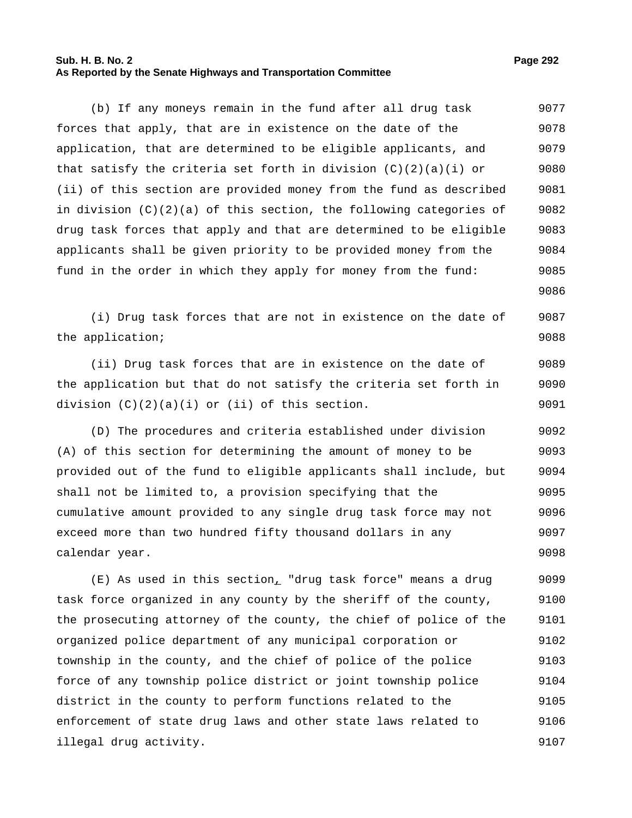# **Sub. H. B. No. 2 Page 292 As Reported by the Senate Highways and Transportation Committee**

(b) If any moneys remain in the fund after all drug task forces that apply, that are in existence on the date of the application, that are determined to be eligible applicants, and that satisfy the criteria set forth in division  $(C)(2)(a)(i)$  or (ii) of this section are provided money from the fund as described in division (C)(2)(a) of this section, the following categories of drug task forces that apply and that are determined to be eligible applicants shall be given priority to be provided money from the fund in the order in which they apply for money from the fund: 9077 9078 9079 9080 9081 9082 9083 9084 9085

(i) Drug task forces that are not in existence on the date of the application; 9087 9088

(ii) Drug task forces that are in existence on the date of the application but that do not satisfy the criteria set forth in division (C)(2)(a)(i) or (ii) of this section. 9089 9090 9091

(D) The procedures and criteria established under division (A) of this section for determining the amount of money to be provided out of the fund to eligible applicants shall include, but shall not be limited to, a provision specifying that the cumulative amount provided to any single drug task force may not exceed more than two hundred fifty thousand dollars in any calendar year. 9092 9093 9094 9095 9096 9097 9098

 $(E)$  As used in this section, "drug task force" means a drug task force organized in any county by the sheriff of the county, the prosecuting attorney of the county, the chief of police of the organized police department of any municipal corporation or township in the county, and the chief of police of the police force of any township police district or joint township police district in the county to perform functions related to the enforcement of state drug laws and other state laws related to illegal drug activity. 9099 9100 9101 9102 9103 9104 9105 9106 9107

9086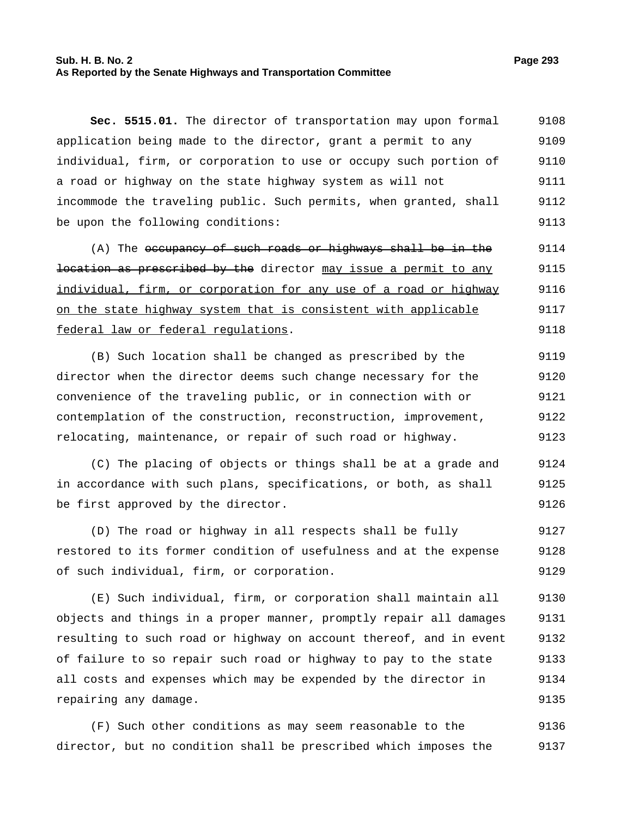### **Sub. H. B. No. 2 Page 293 As Reported by the Senate Highways and Transportation Committee**

**Sec. 5515.01.** The director of transportation may upon formal application being made to the director, grant a permit to any individual, firm, or corporation to use or occupy such portion of a road or highway on the state highway system as will not incommode the traveling public. Such permits, when granted, shall be upon the following conditions: 9108 9109 9110 9111 9112 9113

(A) The occupancy of such roads or highways shall be in the location as prescribed by the director may issue a permit to any individual, firm, or corporation for any use of a road or highway on the state highway system that is consistent with applicable federal law or federal regulations. 9114 9115 9116 9117 9118

(B) Such location shall be changed as prescribed by the director when the director deems such change necessary for the convenience of the traveling public, or in connection with or contemplation of the construction, reconstruction, improvement, relocating, maintenance, or repair of such road or highway. 9119 9120 9121 9122 9123

(C) The placing of objects or things shall be at a grade and in accordance with such plans, specifications, or both, as shall be first approved by the director. 9124 9125 9126

(D) The road or highway in all respects shall be fully restored to its former condition of usefulness and at the expense of such individual, firm, or corporation. 9127 9128 9129

(E) Such individual, firm, or corporation shall maintain all objects and things in a proper manner, promptly repair all damages resulting to such road or highway on account thereof, and in event of failure to so repair such road or highway to pay to the state all costs and expenses which may be expended by the director in repairing any damage. 9130 9131 9132 9133 9134 9135

(F) Such other conditions as may seem reasonable to the director, but no condition shall be prescribed which imposes the 9136 9137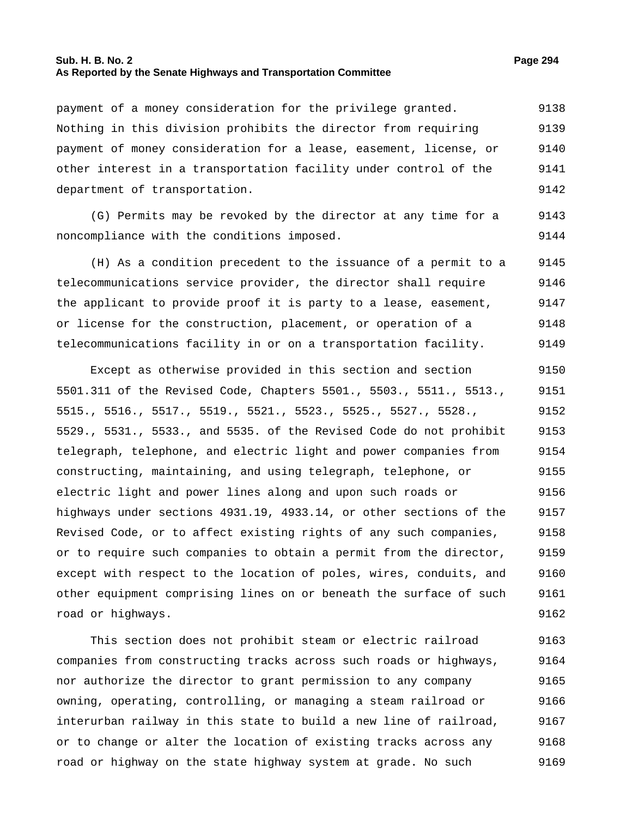### **Sub. H. B. No. 2 Page 294 As Reported by the Senate Highways and Transportation Committee**

payment of a money consideration for the privilege granted. Nothing in this division prohibits the director from requiring payment of money consideration for a lease, easement, license, or other interest in a transportation facility under control of the department of transportation. 9138 9139 9140 9141 9142

(G) Permits may be revoked by the director at any time for a noncompliance with the conditions imposed. 9143 9144

(H) As a condition precedent to the issuance of a permit to a telecommunications service provider, the director shall require the applicant to provide proof it is party to a lease, easement, or license for the construction, placement, or operation of a telecommunications facility in or on a transportation facility. 9145 9146 9147 9148 9149

Except as otherwise provided in this section and section 5501.311 of the Revised Code, Chapters 5501., 5503., 5511., 5513., 5515., 5516., 5517., 5519., 5521., 5523., 5525., 5527., 5528., 5529., 5531., 5533., and 5535. of the Revised Code do not prohibit telegraph, telephone, and electric light and power companies from constructing, maintaining, and using telegraph, telephone, or electric light and power lines along and upon such roads or highways under sections 4931.19, 4933.14, or other sections of the Revised Code, or to affect existing rights of any such companies, or to require such companies to obtain a permit from the director, except with respect to the location of poles, wires, conduits, and other equipment comprising lines on or beneath the surface of such road or highways. 9150 9151 9152 9153 9154 9155 9156 9157 9158 9159 9160 9161 9162

This section does not prohibit steam or electric railroad companies from constructing tracks across such roads or highways, nor authorize the director to grant permission to any company owning, operating, controlling, or managing a steam railroad or interurban railway in this state to build a new line of railroad, or to change or alter the location of existing tracks across any road or highway on the state highway system at grade. No such 9163 9164 9165 9166 9167 9168 9169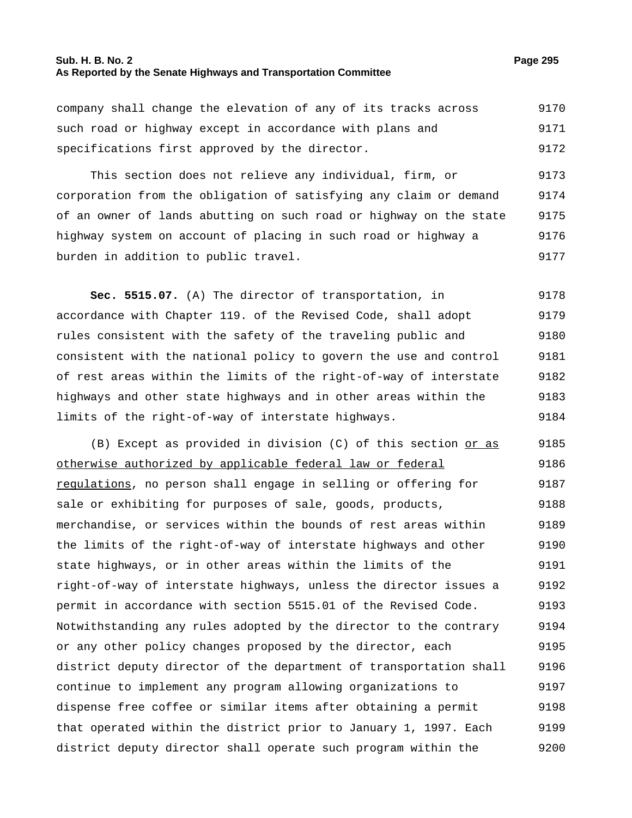### **Sub. H. B. No. 2 Page 295 As Reported by the Senate Highways and Transportation Committee**

company shall change the elevation of any of its tracks across such road or highway except in accordance with plans and specifications first approved by the director. 9170 9171 9172

This section does not relieve any individual, firm, or corporation from the obligation of satisfying any claim or demand of an owner of lands abutting on such road or highway on the state highway system on account of placing in such road or highway a burden in addition to public travel. 9173 9174 9175 9176 9177

**Sec. 5515.07.** (A) The director of transportation, in accordance with Chapter 119. of the Revised Code, shall adopt rules consistent with the safety of the traveling public and consistent with the national policy to govern the use and control of rest areas within the limits of the right-of-way of interstate highways and other state highways and in other areas within the limits of the right-of-way of interstate highways. 9178 9179 9180 9181 9182 9183 9184

(B) Except as provided in division (C) of this section  $or$  as</u> otherwise authorized by applicable federal law or federal regulations, no person shall engage in selling or offering for sale or exhibiting for purposes of sale, goods, products, merchandise, or services within the bounds of rest areas within the limits of the right-of-way of interstate highways and other state highways, or in other areas within the limits of the right-of-way of interstate highways, unless the director issues a permit in accordance with section 5515.01 of the Revised Code. Notwithstanding any rules adopted by the director to the contrary or any other policy changes proposed by the director, each district deputy director of the department of transportation shall continue to implement any program allowing organizations to dispense free coffee or similar items after obtaining a permit that operated within the district prior to January 1, 1997. Each district deputy director shall operate such program within the 9185 9186 9187 9188 9189 9190 9191 9192 9193 9194 9195 9196 9197 9198 9199 9200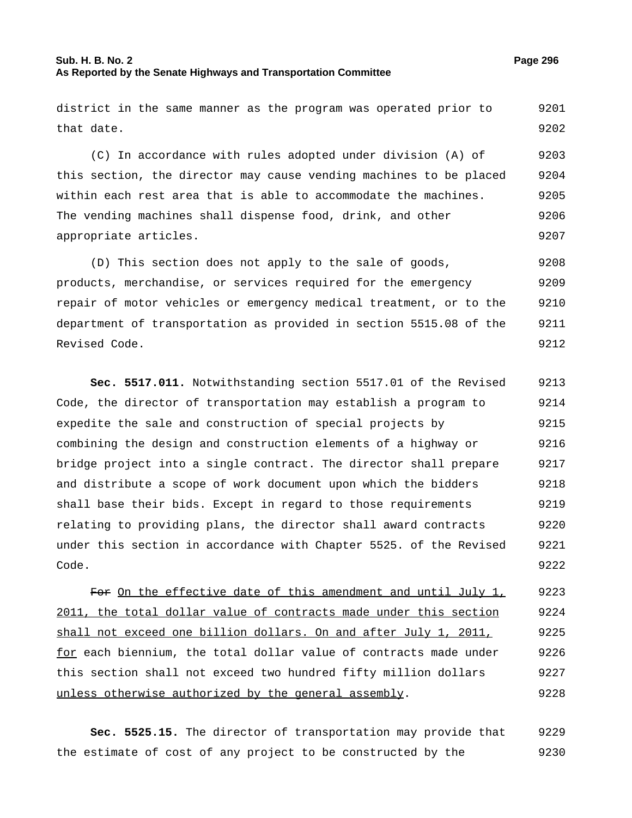### **Sub. H. B. No. 2 Page 296 As Reported by the Senate Highways and Transportation Committee**

district in the same manner as the program was operated prior to that date. 9201 9202 (C) In accordance with rules adopted under division (A) of this section, the director may cause vending machines to be placed within each rest area that is able to accommodate the machines. The vending machines shall dispense food, drink, and other appropriate articles. 9203 9204 9205 9206 9207 (D) This section does not apply to the sale of goods, products, merchandise, or services required for the emergency repair of motor vehicles or emergency medical treatment, or to the department of transportation as provided in section 5515.08 of the 9208 9209 9210 9211

Revised Code. 9212

**Sec. 5517.011.** Notwithstanding section 5517.01 of the Revised Code, the director of transportation may establish a program to expedite the sale and construction of special projects by combining the design and construction elements of a highway or bridge project into a single contract. The director shall prepare and distribute a scope of work document upon which the bidders shall base their bids. Except in regard to those requirements relating to providing plans, the director shall award contracts under this section in accordance with Chapter 5525. of the Revised Code. 9213 9214 9215 9216 9217 9218 9219 9220 9221 9222

For On the effective date of this amendment and until July 1, 2011, the total dollar value of contracts made under this section shall not exceed one billion dollars. On and after July 1, 2011, for each biennium, the total dollar value of contracts made under this section shall not exceed two hundred fifty million dollars unless otherwise authorized by the general assembly. 9223 9224 9225 9226 9227 9228

**Sec. 5525.15.** The director of transportation may provide that the estimate of cost of any project to be constructed by the 9229 9230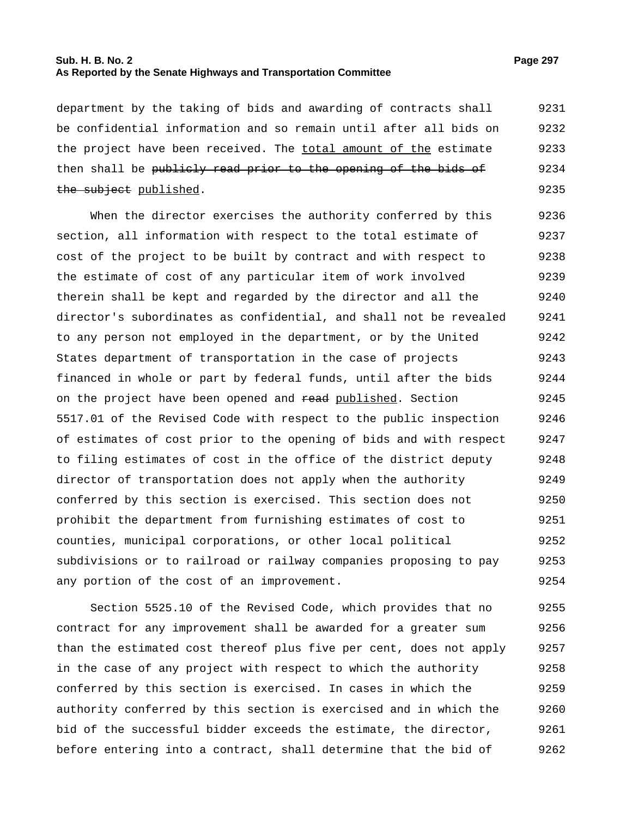### **Sub. H. B. No. 2 Page 297 As Reported by the Senate Highways and Transportation Committee**

department by the taking of bids and awarding of contracts shall be confidential information and so remain until after all bids on the project have been received. The total amount of the estimate then shall be publicly read prior to the opening of the bids of the subject published. 9231 9232 9233 9234 9235

When the director exercises the authority conferred by this section, all information with respect to the total estimate of cost of the project to be built by contract and with respect to the estimate of cost of any particular item of work involved therein shall be kept and regarded by the director and all the director's subordinates as confidential, and shall not be revealed to any person not employed in the department, or by the United States department of transportation in the case of projects financed in whole or part by federal funds, until after the bids on the project have been opened and read published. Section 5517.01 of the Revised Code with respect to the public inspection of estimates of cost prior to the opening of bids and with respect to filing estimates of cost in the office of the district deputy director of transportation does not apply when the authority conferred by this section is exercised. This section does not prohibit the department from furnishing estimates of cost to counties, municipal corporations, or other local political subdivisions or to railroad or railway companies proposing to pay any portion of the cost of an improvement. 9236 9237 9238 9239 9240 9241 9242 9243 9244 9245 9246 9247 9248 9249 9250 9251 9252 9253 9254

Section 5525.10 of the Revised Code, which provides that no contract for any improvement shall be awarded for a greater sum than the estimated cost thereof plus five per cent, does not apply in the case of any project with respect to which the authority conferred by this section is exercised. In cases in which the authority conferred by this section is exercised and in which the bid of the successful bidder exceeds the estimate, the director, before entering into a contract, shall determine that the bid of 9255 9256 9257 9258 9259 9260 9261 9262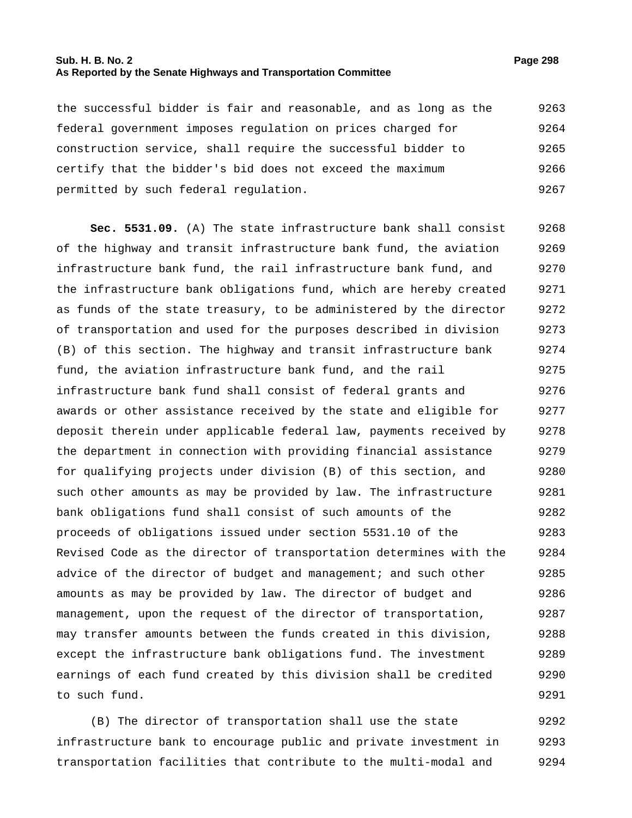### **Sub. H. B. No. 2 Page 298 As Reported by the Senate Highways and Transportation Committee**

the successful bidder is fair and reasonable, and as long as the federal government imposes regulation on prices charged for construction service, shall require the successful bidder to certify that the bidder's bid does not exceed the maximum permitted by such federal regulation. 9263 9264 9265 9266 9267

**Sec. 5531.09.** (A) The state infrastructure bank shall consist of the highway and transit infrastructure bank fund, the aviation infrastructure bank fund, the rail infrastructure bank fund, and the infrastructure bank obligations fund, which are hereby created as funds of the state treasury, to be administered by the director of transportation and used for the purposes described in division (B) of this section. The highway and transit infrastructure bank fund, the aviation infrastructure bank fund, and the rail infrastructure bank fund shall consist of federal grants and awards or other assistance received by the state and eligible for deposit therein under applicable federal law, payments received by the department in connection with providing financial assistance for qualifying projects under division (B) of this section, and such other amounts as may be provided by law. The infrastructure bank obligations fund shall consist of such amounts of the proceeds of obligations issued under section 5531.10 of the Revised Code as the director of transportation determines with the advice of the director of budget and management; and such other amounts as may be provided by law. The director of budget and management, upon the request of the director of transportation, may transfer amounts between the funds created in this division, except the infrastructure bank obligations fund. The investment earnings of each fund created by this division shall be credited to such fund. 9268 9269 9270 9271 9272 9273 9274 9275 9276 9277 9278 9279 9280 9281 9282 9283 9284 9285 9286 9287 9288 9289 9290 9291

(B) The director of transportation shall use the state infrastructure bank to encourage public and private investment in transportation facilities that contribute to the multi-modal and 9292 9293 9294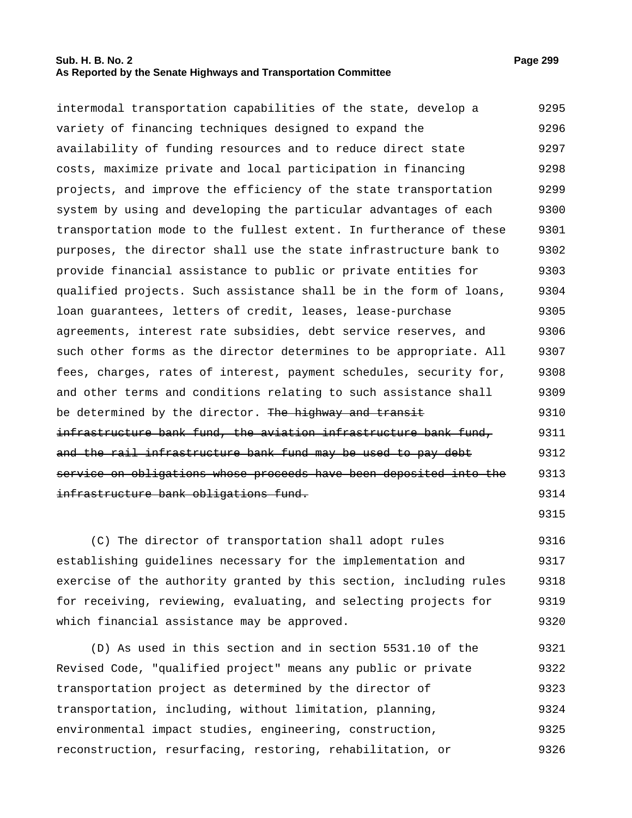### **Sub. H. B. No. 2 Page 299 As Reported by the Senate Highways and Transportation Committee**

intermodal transportation capabilities of the state, develop a variety of financing techniques designed to expand the availability of funding resources and to reduce direct state costs, maximize private and local participation in financing projects, and improve the efficiency of the state transportation system by using and developing the particular advantages of each transportation mode to the fullest extent. In furtherance of these purposes, the director shall use the state infrastructure bank to provide financial assistance to public or private entities for qualified projects. Such assistance shall be in the form of loans, loan guarantees, letters of credit, leases, lease-purchase agreements, interest rate subsidies, debt service reserves, and such other forms as the director determines to be appropriate. All fees, charges, rates of interest, payment schedules, security for, and other terms and conditions relating to such assistance shall be determined by the director. The highway and transit infrastructure bank fund, the aviation infrastructure bank fund, and the rail infrastructure bank fund may be used to pay debt service on obligations whose proceeds have been deposited into the infrastructure bank obligations fund. 9295 9296 9297 9298 9299 9300 9301 9302 9303 9304 9305 9306 9307 9308 9309 9310 9311 9312 9313 9314

9315

(C) The director of transportation shall adopt rules establishing guidelines necessary for the implementation and exercise of the authority granted by this section, including rules for receiving, reviewing, evaluating, and selecting projects for which financial assistance may be approved. 9316 9317 9318 9319 9320

(D) As used in this section and in section 5531.10 of the Revised Code, "qualified project" means any public or private transportation project as determined by the director of transportation, including, without limitation, planning, environmental impact studies, engineering, construction, reconstruction, resurfacing, restoring, rehabilitation, or 9321 9322 9323 9324 9325 9326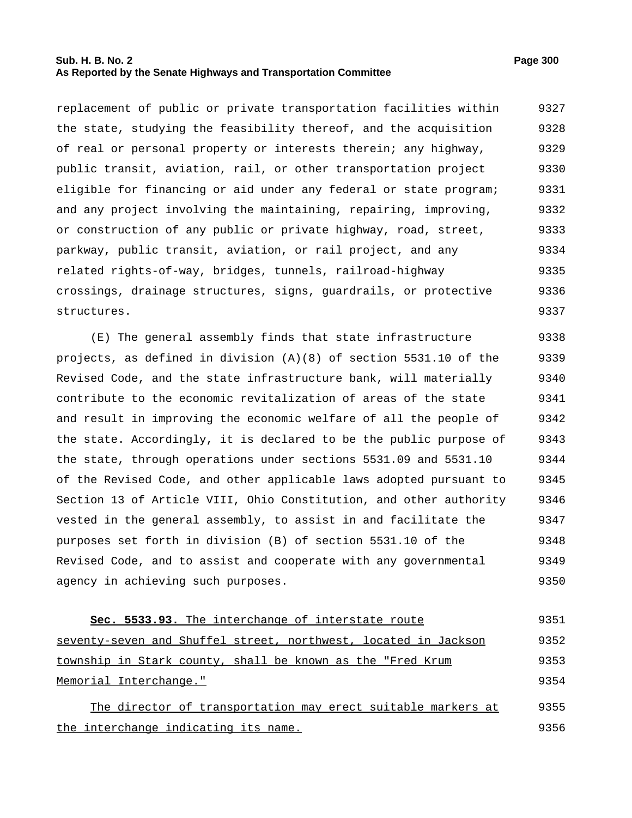### **Sub. H. B. No. 2 Page 300 As Reported by the Senate Highways and Transportation Committee**

replacement of public or private transportation facilities within the state, studying the feasibility thereof, and the acquisition of real or personal property or interests therein; any highway, 9327 9328 9329

public transit, aviation, rail, or other transportation project eligible for financing or aid under any federal or state program; and any project involving the maintaining, repairing, improving, or construction of any public or private highway, road, street, parkway, public transit, aviation, or rail project, and any related rights-of-way, bridges, tunnels, railroad-highway crossings, drainage structures, signs, guardrails, or protective structures. 9330 9331 9332 9333 9334 9335 9336 9337

(E) The general assembly finds that state infrastructure projects, as defined in division (A)(8) of section 5531.10 of the Revised Code, and the state infrastructure bank, will materially contribute to the economic revitalization of areas of the state and result in improving the economic welfare of all the people of the state. Accordingly, it is declared to be the public purpose of the state, through operations under sections 5531.09 and 5531.10 of the Revised Code, and other applicable laws adopted pursuant to Section 13 of Article VIII, Ohio Constitution, and other authority vested in the general assembly, to assist in and facilitate the purposes set forth in division (B) of section 5531.10 of the Revised Code, and to assist and cooperate with any governmental agency in achieving such purposes. 9338 9339 9340 9341 9342 9343 9344 9345 9346 9347 9348 9349 9350

**Sec. 5533.93.** The interchange of interstate route seventy-seven and Shuffel street, northwest, located in Jackson township in Stark county, shall be known as the "Fred Krum Memorial Interchange." 9351 9352 9353 9354

The director of transportation may erect suitable markers at the interchange indicating its name. 9355 9356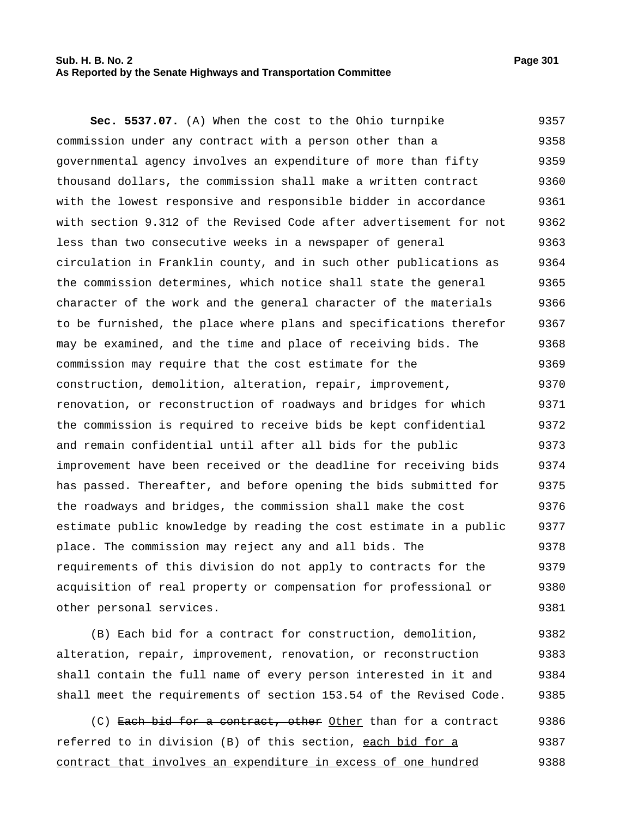**Sec. 5537.07.** (A) When the cost to the Ohio turnpike commission under any contract with a person other than a governmental agency involves an expenditure of more than fifty thousand dollars, the commission shall make a written contract with the lowest responsive and responsible bidder in accordance with section 9.312 of the Revised Code after advertisement for not less than two consecutive weeks in a newspaper of general circulation in Franklin county, and in such other publications as the commission determines, which notice shall state the general character of the work and the general character of the materials to be furnished, the place where plans and specifications therefor may be examined, and the time and place of receiving bids. The commission may require that the cost estimate for the construction, demolition, alteration, repair, improvement, renovation, or reconstruction of roadways and bridges for which the commission is required to receive bids be kept confidential and remain confidential until after all bids for the public improvement have been received or the deadline for receiving bids has passed. Thereafter, and before opening the bids submitted for the roadways and bridges, the commission shall make the cost estimate public knowledge by reading the cost estimate in a public place. The commission may reject any and all bids. The requirements of this division do not apply to contracts for the acquisition of real property or compensation for professional or other personal services. 9357 9358 9359 9360 9361 9362 9363 9364 9365 9366 9367 9368 9369 9370 9371 9372 9373 9374 9375 9376 9377 9378 9379 9380 9381

(B) Each bid for a contract for construction, demolition, alteration, repair, improvement, renovation, or reconstruction shall contain the full name of every person interested in it and shall meet the requirements of section 153.54 of the Revised Code. 9382 9383 9384 9385

(C) Each bid for a contract, other Other than for a contract referred to in division (B) of this section, each bid for a contract that involves an expenditure in excess of one hundred 9386 9387 9388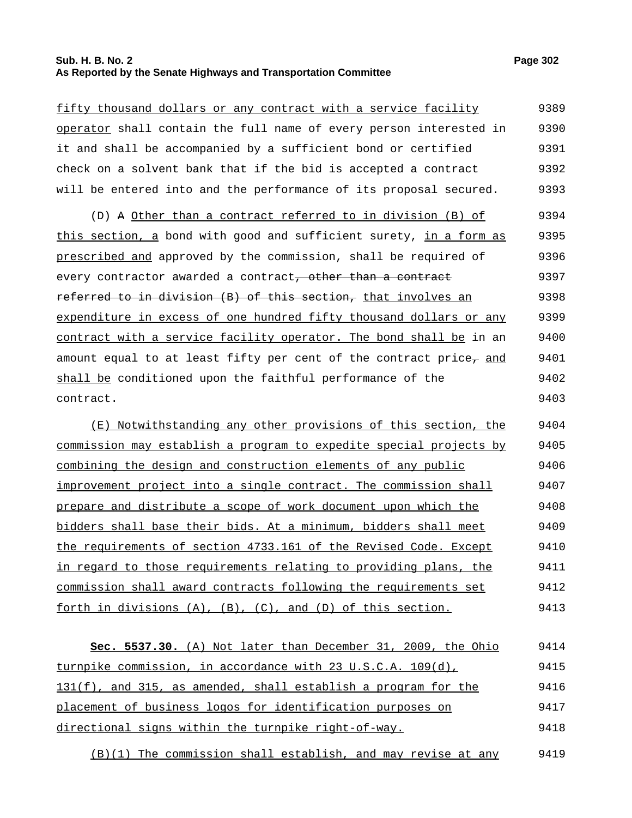### **Sub. H. B. No. 2 Page 302 As Reported by the Senate Highways and Transportation Committee**

9413

| fifty thousand dollars or any contract with a service facility                 | 9389 |
|--------------------------------------------------------------------------------|------|
| operator shall contain the full name of every person interested in             | 9390 |
| it and shall be accompanied by a sufficient bond or certified                  | 9391 |
| check on a solvent bank that if the bid is accepted a contract                 | 9392 |
| will be entered into and the performance of its proposal secured.              | 9393 |
| (D) A Other than a contract referred to in division (B) of                     | 9394 |
| this section, a bond with good and sufficient surety, in a form as             | 9395 |
| prescribed and approved by the commission, shall be required of                | 9396 |
| every contractor awarded a contract, other than a contract                     | 9397 |
| referred to in division (B) of this section, that involves an                  | 9398 |
| expenditure in excess of one hundred fifty thousand dollars or any             | 9399 |
| contract with a service facility operator. The bond shall be in an             | 9400 |
| amount equal to at least fifty per cent of the contract price <sub>7</sub> and | 9401 |
| shall be conditioned upon the faithful performance of the                      | 9402 |
| contract.                                                                      | 9403 |
| (E) Notwithstanding any other provisions of this section, the                  | 9404 |
| commission may establish a program to expedite special projects by             | 9405 |
| combining the design and construction elements of any public                   | 9406 |
| improvement project into a single contract. The commission shall               | 9407 |
| prepare and distribute a scope of work document upon which the                 | 9408 |
| bidders shall base their bids. At a minimum, bidders shall meet                | 9409 |
| the requirements of section 4733.161 of the Revised Code. Except               | 9410 |
| in regard to those requirements relating to providing plans, the               | 9411 |
| commission shall award contracts following the requirements set                | 9412 |

**Sec. 5537.30.** (A) Not later than December 31, 2009, the Ohio turnpike commission, in accordance with 23 U.S.C.A. 109(d), 131(f), and 315, as amended, shall establish a program for the placement of business logos for identification purposes on directional signs within the turnpike right-of-way. 9414 9415 9416 9417 9418

forth in divisions (A), (B), (C), and (D) of this section.

(B)(1) The commission shall establish, and may revise at any 9419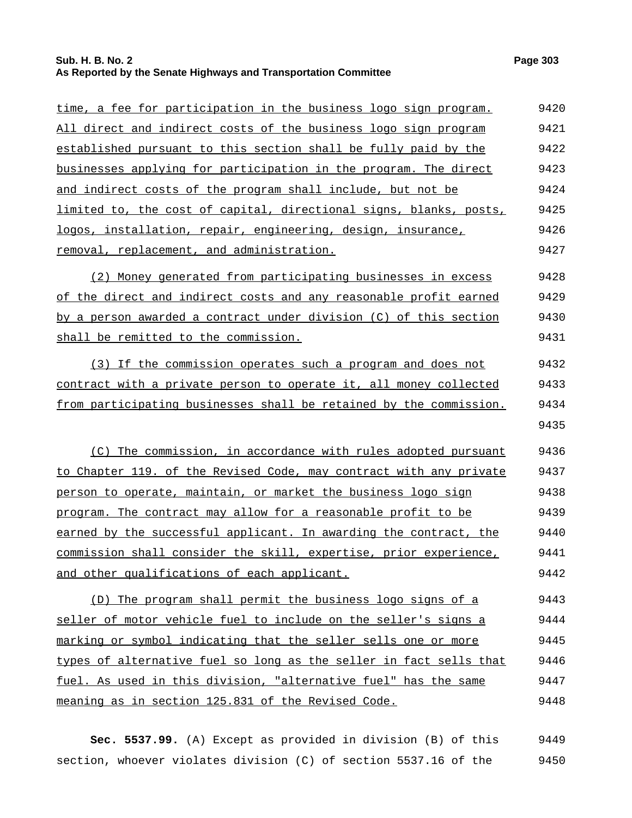# **Sub. H. B. No. 2 Page 303 As Reported by the Senate Highways and Transportation Committee**

| <u>time, a fee for participation in the business logo sign program.</u> | 9420 |
|-------------------------------------------------------------------------|------|
| All direct and indirect costs of the business logo sign program         | 9421 |
| established pursuant to this section shall be fully paid by the         | 9422 |
| businesses applying for participation in the program. The direct        | 9423 |
| and indirect costs of the program shall include, but not be             | 9424 |
| limited to, the cost of capital, directional signs, blanks, posts,      | 9425 |
| logos, installation, repair, engineering, design, insurance,            | 9426 |
| removal, replacement, and administration.                               | 9427 |
| (2) Money generated from participating businesses in excess             | 9428 |
| of the direct and indirect costs and any reasonable profit earned       | 9429 |
| by a person awarded a contract under division (C) of this section       | 9430 |
| shall be remitted to the commission.                                    | 9431 |
| (3) If the commission operates such a program and does not              | 9432 |
| contract with a private person to operate it, all money collected       | 9433 |
| from participating businesses shall be retained by the commission.      | 9434 |
|                                                                         | 9435 |
| (C) The commission, in accordance with rules adopted pursuant           | 9436 |
| to Chapter 119. of the Revised Code, may contract with any private      | 9437 |
| person to operate, maintain, or market the business logo sign           | 9438 |
| program. The contract may allow for a reasonable profit to be           | 9439 |
| earned by the successful applicant. In awarding the contract, the       | 9440 |
| commission shall consider the skill, expertise, prior experience,       | 9441 |
| and other qualifications of each applicant.                             | 9442 |
| (D) The program shall permit the business logo signs of a               | 9443 |
| seller of motor vehicle fuel to include on the seller's signs a         | 9444 |
| marking or symbol indicating that the seller sells one or more          | 9445 |
| types of alternative fuel so long as the seller in fact sells that      | 9446 |
| fuel. As used in this division, "alternative fuel" has the same         | 9447 |
| meaning as in section 125.831 of the Revised Code.                      | 9448 |
|                                                                         |      |

**Sec. 5537.99.** (A) Except as provided in division (B) of this section, whoever violates division (C) of section 5537.16 of the 9449 9450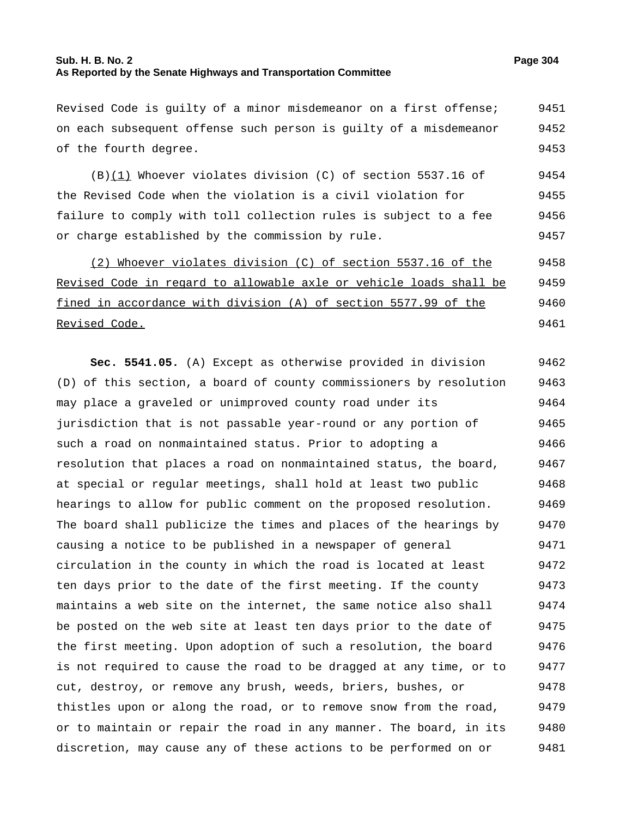### **Sub. H. B. No. 2 Page 304 As Reported by the Senate Highways and Transportation Committee**

Revised Code is guilty of a minor misdemeanor on a first offense; on each subsequent offense such person is guilty of a misdemeanor of the fourth degree. 9451 9452 9453

 $(B)(1)$  Whoever violates division (C) of section 5537.16 of the Revised Code when the violation is a civil violation for failure to comply with toll collection rules is subject to a fee or charge established by the commission by rule. 9454 9455 9456 9457

(2) Whoever violates division (C) of section 5537.16 of the Revised Code in regard to allowable axle or vehicle loads shall be fined in accordance with division (A) of section 5577.99 of the Revised Code. 9458 9459 9460 9461

**Sec. 5541.05.** (A) Except as otherwise provided in division (D) of this section, a board of county commissioners by resolution may place a graveled or unimproved county road under its jurisdiction that is not passable year-round or any portion of such a road on nonmaintained status. Prior to adopting a resolution that places a road on nonmaintained status, the board, at special or regular meetings, shall hold at least two public hearings to allow for public comment on the proposed resolution. The board shall publicize the times and places of the hearings by causing a notice to be published in a newspaper of general circulation in the county in which the road is located at least ten days prior to the date of the first meeting. If the county maintains a web site on the internet, the same notice also shall be posted on the web site at least ten days prior to the date of the first meeting. Upon adoption of such a resolution, the board is not required to cause the road to be dragged at any time, or to cut, destroy, or remove any brush, weeds, briers, bushes, or thistles upon or along the road, or to remove snow from the road, or to maintain or repair the road in any manner. The board, in its discretion, may cause any of these actions to be performed on or 9462 9463 9464 9465 9466 9467 9468 9469 9470 9471 9472 9473 9474 9475 9476 9477 9478 9479 9480 9481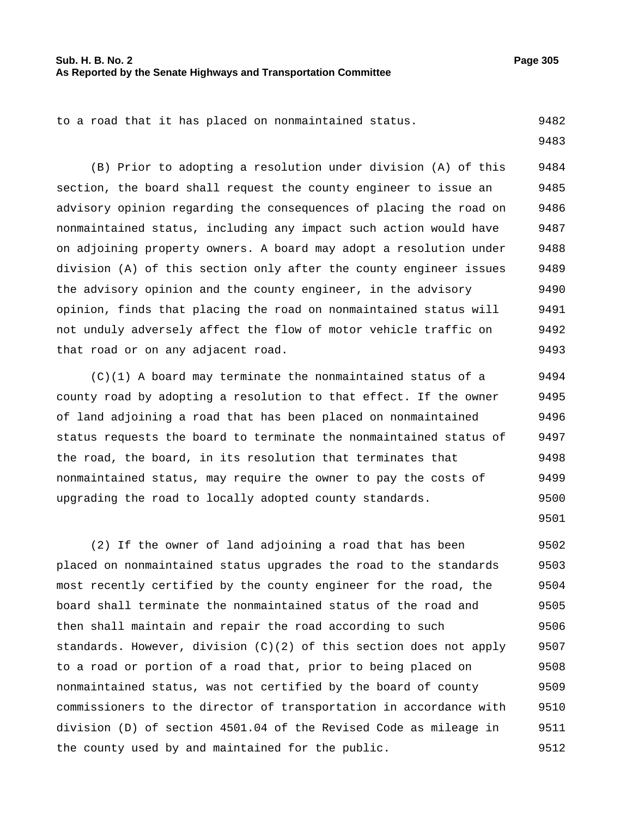to a road that it has placed on nonmaintained status. 9482

9483

(B) Prior to adopting a resolution under division (A) of this section, the board shall request the county engineer to issue an advisory opinion regarding the consequences of placing the road on nonmaintained status, including any impact such action would have on adjoining property owners. A board may adopt a resolution under division (A) of this section only after the county engineer issues the advisory opinion and the county engineer, in the advisory opinion, finds that placing the road on nonmaintained status will not unduly adversely affect the flow of motor vehicle traffic on that road or on any adjacent road. 9484 9485 9486 9487 9488 9489 9490 9491 9492 9493

(C)(1) A board may terminate the nonmaintained status of a county road by adopting a resolution to that effect. If the owner of land adjoining a road that has been placed on nonmaintained status requests the board to terminate the nonmaintained status of the road, the board, in its resolution that terminates that nonmaintained status, may require the owner to pay the costs of upgrading the road to locally adopted county standards. 9494 9495 9496 9497 9498 9499 9500

9501

(2) If the owner of land adjoining a road that has been placed on nonmaintained status upgrades the road to the standards most recently certified by the county engineer for the road, the board shall terminate the nonmaintained status of the road and then shall maintain and repair the road according to such standards. However, division (C)(2) of this section does not apply to a road or portion of a road that, prior to being placed on nonmaintained status, was not certified by the board of county commissioners to the director of transportation in accordance with division (D) of section 4501.04 of the Revised Code as mileage in the county used by and maintained for the public. 9502 9503 9504 9505 9506 9507 9508 9509 9510 9511 9512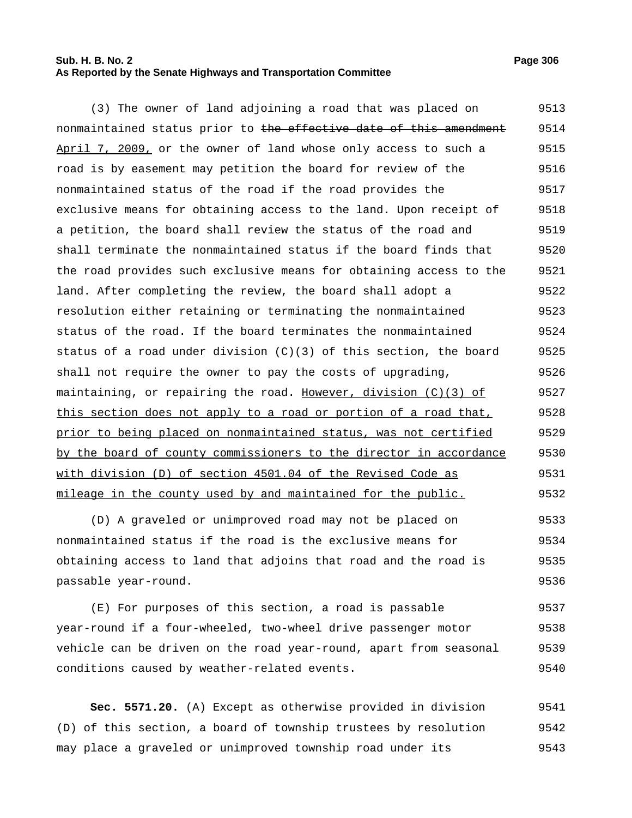### **Sub. H. B. No. 2 Page 306 As Reported by the Senate Highways and Transportation Committee**

(3) The owner of land adjoining a road that was placed on nonmaintained status prior to the effective date of this amendment April 7, 2009, or the owner of land whose only access to such a road is by easement may petition the board for review of the nonmaintained status of the road if the road provides the exclusive means for obtaining access to the land. Upon receipt of a petition, the board shall review the status of the road and shall terminate the nonmaintained status if the board finds that the road provides such exclusive means for obtaining access to the land. After completing the review, the board shall adopt a resolution either retaining or terminating the nonmaintained status of the road. If the board terminates the nonmaintained status of a road under division (C)(3) of this section, the board shall not require the owner to pay the costs of upgrading, maintaining, or repairing the road. However, division  $(C)(3)$  of this section does not apply to a road or portion of a road that, prior to being placed on nonmaintained status, was not certified by the board of county commissioners to the director in accordance with division (D) of section 4501.04 of the Revised Code as mileage in the county used by and maintained for the public. 9513 9514 9515 9516 9517 9518 9519 9520 9521 9522 9523 9524 9525 9526 9527 9528 9529 9530 9531 9532

(D) A graveled or unimproved road may not be placed on nonmaintained status if the road is the exclusive means for obtaining access to land that adjoins that road and the road is passable year-round. 9533 9534 9535 9536

(E) For purposes of this section, a road is passable year-round if a four-wheeled, two-wheel drive passenger motor vehicle can be driven on the road year-round, apart from seasonal conditions caused by weather-related events. 9537 9538 9539 9540

**Sec. 5571.20.** (A) Except as otherwise provided in division (D) of this section, a board of township trustees by resolution may place a graveled or unimproved township road under its 9541 9542 9543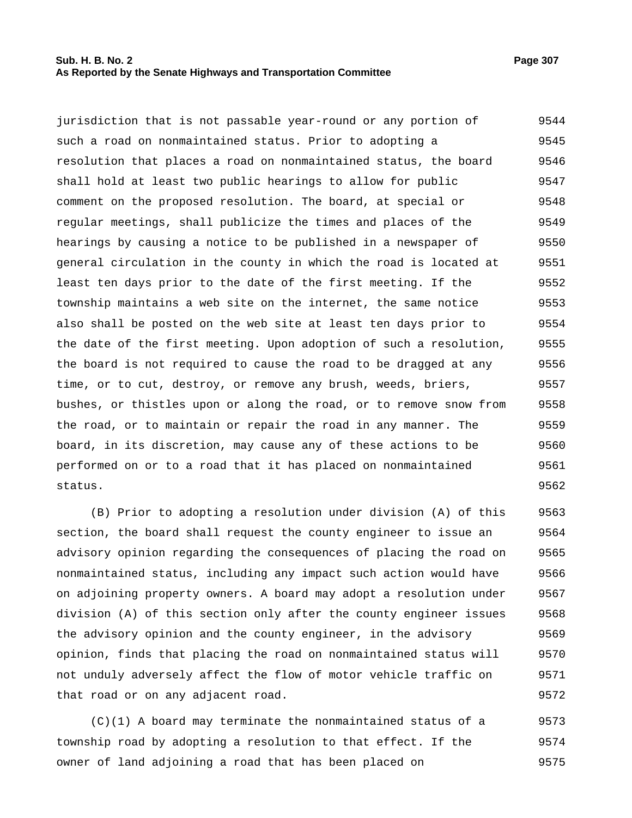jurisdiction that is not passable year-round or any portion of such a road on nonmaintained status. Prior to adopting a resolution that places a road on nonmaintained status, the board shall hold at least two public hearings to allow for public comment on the proposed resolution. The board, at special or regular meetings, shall publicize the times and places of the hearings by causing a notice to be published in a newspaper of general circulation in the county in which the road is located at least ten days prior to the date of the first meeting. If the township maintains a web site on the internet, the same notice also shall be posted on the web site at least ten days prior to the date of the first meeting. Upon adoption of such a resolution, the board is not required to cause the road to be dragged at any time, or to cut, destroy, or remove any brush, weeds, briers, bushes, or thistles upon or along the road, or to remove snow from the road, or to maintain or repair the road in any manner. The board, in its discretion, may cause any of these actions to be performed on or to a road that it has placed on nonmaintained status. 9544 9545 9546 9547 9548 9549 9550 9551 9552 9553 9554 9555 9556 9557 9558 9559 9560 9561 9562

(B) Prior to adopting a resolution under division (A) of this section, the board shall request the county engineer to issue an advisory opinion regarding the consequences of placing the road on nonmaintained status, including any impact such action would have on adjoining property owners. A board may adopt a resolution under division (A) of this section only after the county engineer issues the advisory opinion and the county engineer, in the advisory opinion, finds that placing the road on nonmaintained status will not unduly adversely affect the flow of motor vehicle traffic on that road or on any adjacent road. 9563 9564 9565 9566 9567 9568 9569 9570 9571 9572

(C)(1) A board may terminate the nonmaintained status of a township road by adopting a resolution to that effect. If the owner of land adjoining a road that has been placed on 9573 9574 9575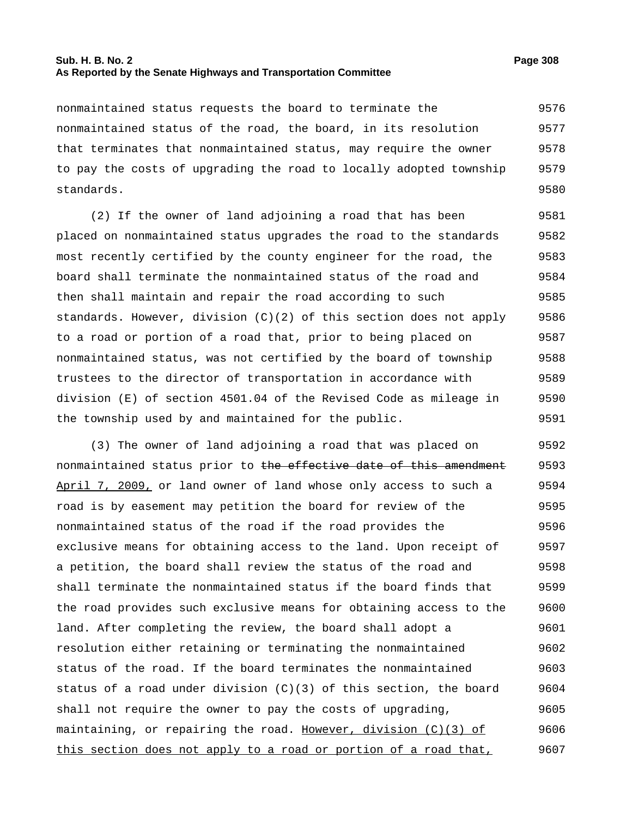### **Sub. H. B. No. 2 Page 308 As Reported by the Senate Highways and Transportation Committee**

nonmaintained status requests the board to terminate the nonmaintained status of the road, the board, in its resolution that terminates that nonmaintained status, may require the owner to pay the costs of upgrading the road to locally adopted township standards. 9576 9577 9578 9579 9580

(2) If the owner of land adjoining a road that has been placed on nonmaintained status upgrades the road to the standards most recently certified by the county engineer for the road, the board shall terminate the nonmaintained status of the road and then shall maintain and repair the road according to such standards. However, division (C)(2) of this section does not apply to a road or portion of a road that, prior to being placed on nonmaintained status, was not certified by the board of township trustees to the director of transportation in accordance with division (E) of section 4501.04 of the Revised Code as mileage in the township used by and maintained for the public. 9581 9582 9583 9584 9585 9586 9587 9588 9589 9590 9591

(3) The owner of land adjoining a road that was placed on nonmaintained status prior to the effective date of this amendment April 7, 2009, or land owner of land whose only access to such a road is by easement may petition the board for review of the nonmaintained status of the road if the road provides the exclusive means for obtaining access to the land. Upon receipt of a petition, the board shall review the status of the road and shall terminate the nonmaintained status if the board finds that the road provides such exclusive means for obtaining access to the land. After completing the review, the board shall adopt a resolution either retaining or terminating the nonmaintained status of the road. If the board terminates the nonmaintained status of a road under division (C)(3) of this section, the board shall not require the owner to pay the costs of upgrading, maintaining, or repairing the road. However, division (C)(3) of this section does not apply to a road or portion of a road that, 9592 9593 9594 9595 9596 9597 9598 9599 9600 9601 9602 9603 9604 9605 9606 9607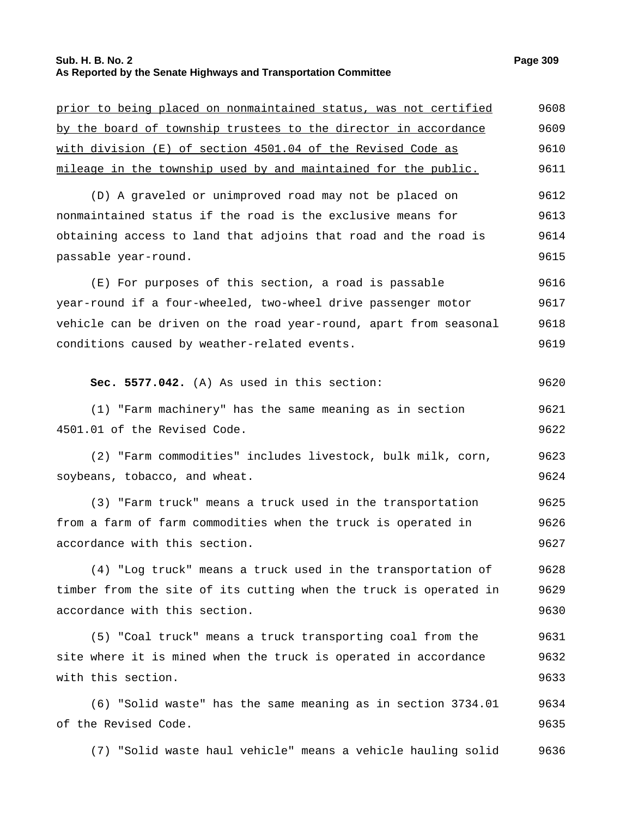# **Sub. H. B. No. 2 Page 309 As Reported by the Senate Highways and Transportation Committee**

| prior to being placed on nonmaintained status, was not certified  | 9608 |
|-------------------------------------------------------------------|------|
| by the board of township trustees to the director in accordance   | 9609 |
| with division (E) of section 4501.04 of the Revised Code as       | 9610 |
| mileage in the township used by and maintained for the public.    | 9611 |
| (D) A graveled or unimproved road may not be placed on            | 9612 |
| nonmaintained status if the road is the exclusive means for       | 9613 |
| obtaining access to land that adjoins that road and the road is   | 9614 |
| passable year-round.                                              | 9615 |
| (E) For purposes of this section, a road is passable              | 9616 |
| year-round if a four-wheeled, two-wheel drive passenger motor     | 9617 |
| vehicle can be driven on the road year-round, apart from seasonal | 9618 |
| conditions caused by weather-related events.                      | 9619 |
|                                                                   |      |
| Sec. 5577.042. (A) As used in this section:                       | 9620 |
| (1) "Farm machinery" has the same meaning as in section           | 9621 |
| 4501.01 of the Revised Code.                                      | 9622 |
| (2) "Farm commodities" includes livestock, bulk milk, corn,       | 9623 |
| soybeans, tobacco, and wheat.                                     | 9624 |
| (3) "Farm truck" means a truck used in the transportation         | 9625 |
| from a farm of farm commodities when the truck is operated in     | 9626 |
| accordance with this section.                                     | 9627 |
| (4) "Log truck" means a truck used in the transportation of       | 9628 |
| timber from the site of its cutting when the truck is operated in | 9629 |
| accordance with this section.                                     | 9630 |
| (5) "Coal truck" means a truck transporting coal from the         | 9631 |
| site where it is mined when the truck is operated in accordance   | 9632 |
| with this section.                                                | 9633 |
| (6) "Solid waste" has the same meaning as in section 3734.01      | 9634 |
| of the Revised Code.                                              | 9635 |
|                                                                   |      |

(7) "Solid waste haul vehicle" means a vehicle hauling solid 9636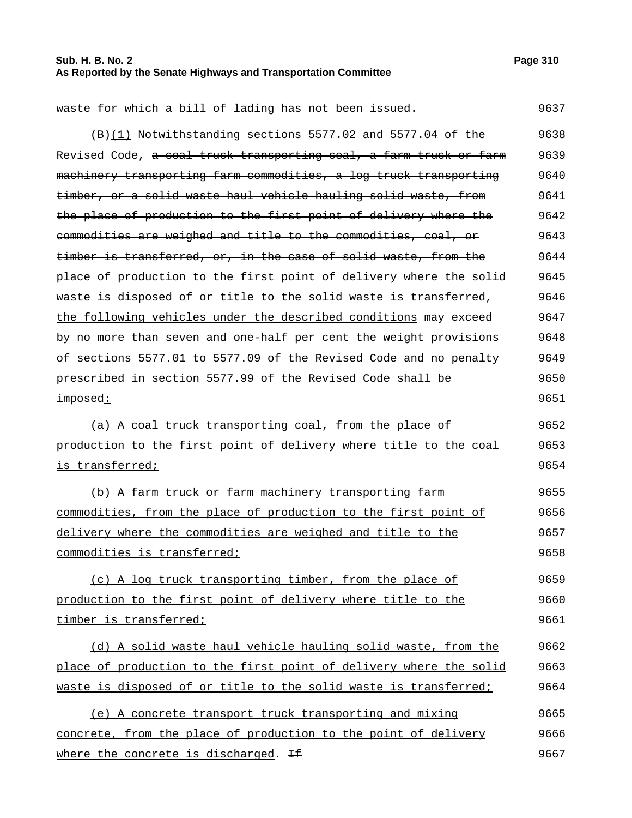# **Sub. H. B. No. 2 Page 310 As Reported by the Senate Highways and Transportation Committee**

waste for which a bill of lading has not been issued. 9637

| $(B)(1)$ Notwithstanding sections 5577.02 and 5577.04 of the       | 9638 |
|--------------------------------------------------------------------|------|
| Revised Code, a coal truck transporting coal, a farm truck or farm | 9639 |
| machinery transporting farm commodities, a log truck transporting  | 9640 |
| timber, or a solid waste haul vehicle hauling solid waste, from    | 9641 |
| the place of production to the first point of delivery where the   | 9642 |
| commodities are weighed and title to the commodities, coal, or     | 9643 |
| timber is transferred, or, in the case of solid waste, from the    | 9644 |
| place of production to the first point of delivery where the solid | 9645 |
| waste is disposed of or title to the solid waste is transferred,   | 9646 |
| the following vehicles under the described conditions may exceed   | 9647 |
| by no more than seven and one-half per cent the weight provisions  | 9648 |
| of sections 5577.01 to 5577.09 of the Revised Code and no penalty  | 9649 |
| prescribed in section 5577.99 of the Revised Code shall be         | 9650 |
| imposed:                                                           | 9651 |
| (a) A coal truck transporting coal, from the place of              | 9652 |
| production to the first point of delivery where title to the coal  | 9653 |
| <u>is transferred;</u>                                             | 9654 |
| (b) A farm truck or farm machinery transporting farm               | 9655 |
| commodities, from the place of production to the first point of    | 9656 |
| delivery where the commodities are weighed and title to the        | 9657 |
| commodities is transferred;                                        | 9658 |
| (c) A log truck transporting timber, from the place of             | 9659 |
| production to the first point of delivery where title to the       | 9660 |
| timber is transferred;                                             | 9661 |
| (d) A solid waste haul vehicle hauling solid waste, from the       | 9662 |
| place of production to the first point of delivery where the solid | 9663 |
| waste is disposed of or title to the solid waste is transferred;   | 9664 |
| (e) A concrete transport truck transporting and mixing             | 9665 |
| concrete, from the place of production to the point of delivery    | 9666 |
| where the concrete is discharged. If                               | 9667 |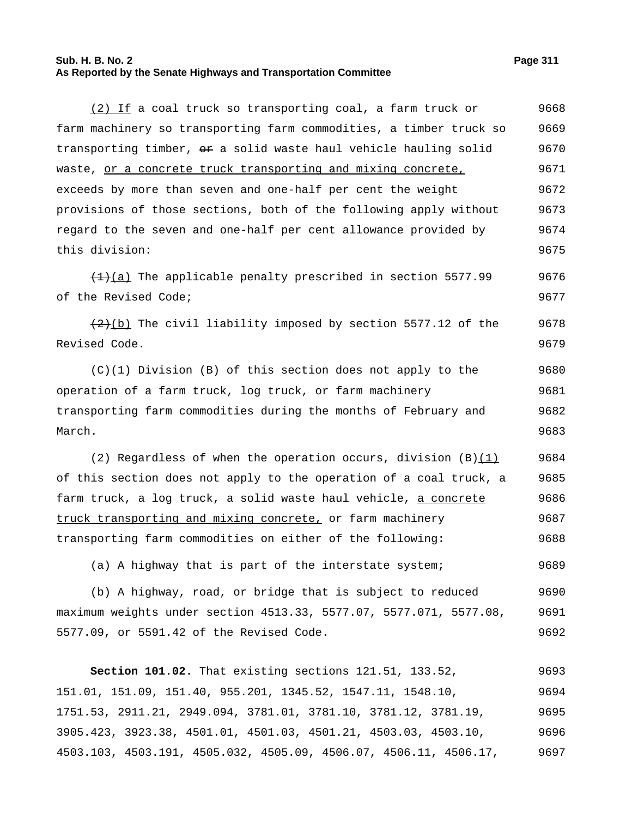# **Sub. H. B. No. 2 Page 311 As Reported by the Senate Highways and Transportation Committee**

| farm machinery so transporting farm commodities, a timber truck so  | 9669 |
|---------------------------------------------------------------------|------|
| transporting timber, or a solid waste haul vehicle hauling solid    | 9670 |
| waste, <u>or a concrete truck transporting and mixing concrete,</u> | 9671 |
| exceeds by more than seven and one-half per cent the weight         | 9672 |
| provisions of those sections, both of the following apply without   | 9673 |
| regard to the seven and one-half per cent allowance provided by     | 9674 |
| this division:                                                      | 9675 |
| $\{+\}$ (a) The applicable penalty prescribed in section 5577.99    | 9676 |
| of the Revised Code;                                                | 9677 |
| $(2)$ (b) The civil liability imposed by section 5577.12 of the     | 9678 |
| Revised Code.                                                       | 9679 |
| $(C)(1)$ Division (B) of this section does not apply to the         | 9680 |
| operation of a farm truck, log truck, or farm machinery             | 9681 |
| transporting farm commodities during the months of February and     | 9682 |
| March.                                                              | 9683 |
| (2) Regardless of when the operation occurs, division $(B)(1)$      | 9684 |
| of this section does not apply to the operation of a coal truck, a  | 9685 |
| farm truck, a log truck, a solid waste haul vehicle, a concrete     | 9686 |
| truck transporting and mixing concrete, or farm machinery           | 9687 |
| transporting farm commodities on either of the following:           | 9688 |
| (a) A highway that is part of the interstate system;                | 9689 |
| (b) A highway, road, or bridge that is subject to reduced           | 9690 |
| maximum weights under section 4513.33, 5577.07, 5577.071, 5577.08,  | 9691 |
| 5577.09, or 5591.42 of the Revised Code.                            | 9692 |
|                                                                     |      |
| <b>Section 101.02.</b> That existing sections 121.51, 133.52,       | 9693 |
| 151.01, 151.09, 151.40, 955.201, 1345.52, 1547.11, 1548.10,         | 9694 |
| 1751.53, 2911.21, 2949.094, 3781.01, 3781.10, 3781.12, 3781.19,     | 9695 |
| 3905.423, 3923.38, 4501.01, 4501.03, 4501.21, 4503.03, 4503.10,     | 9696 |

(2) If a coal truck so transporting coal, a farm truck or

4503.103, 4503.191, 4505.032, 4505.09, 4506.07, 4506.11, 4506.17, 9697

9668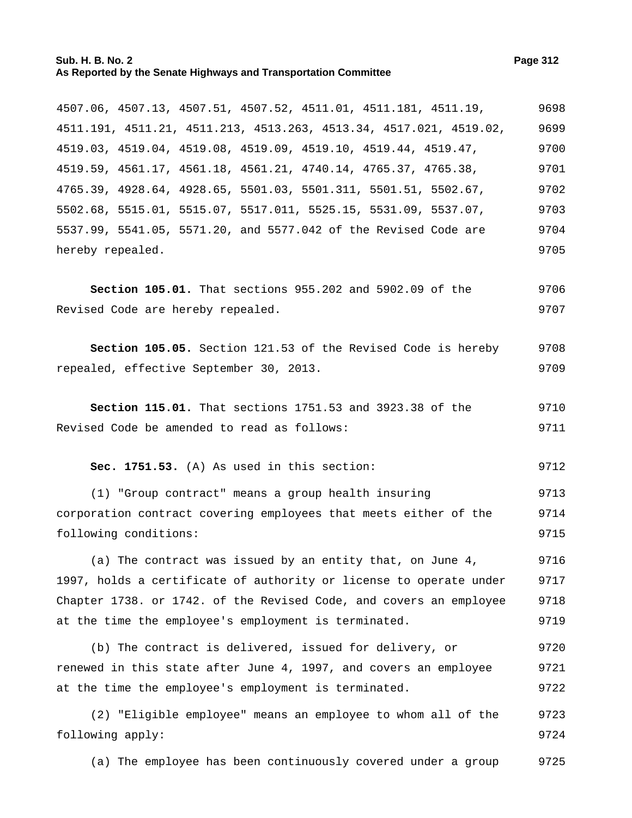4507.06, 4507.13, 4507.51, 4507.52, 4511.01, 4511.181, 4511.19, 4511.191, 4511.21, 4511.213, 4513.263, 4513.34, 4517.021, 4519.02, 4519.03, 4519.04, 4519.08, 4519.09, 4519.10, 4519.44, 4519.47, 4519.59, 4561.17, 4561.18, 4561.21, 4740.14, 4765.37, 4765.38, 4765.39, 4928.64, 4928.65, 5501.03, 5501.311, 5501.51, 5502.67, 5502.68, 5515.01, 5515.07, 5517.011, 5525.15, 5531.09, 5537.07, 5537.99, 5541.05, 5571.20, and 5577.042 of the Revised Code are hereby repealed. 9698 9699 9700 9701 9702 9703 9704 9705

**Section 105.01.** That sections 955.202 and 5902.09 of the Revised Code are hereby repealed. 9706 9707

**Section 105.05.** Section 121.53 of the Revised Code is hereby repealed, effective September 30, 2013. 9708 9709

**Section 115.01.** That sections 1751.53 and 3923.38 of the Revised Code be amended to read as follows: 9710 9711

**Sec. 1751.53.** (A) As used in this section: 9712

(1) "Group contract" means a group health insuring corporation contract covering employees that meets either of the following conditions: 9713 9714 9715

(a) The contract was issued by an entity that, on June 4, 1997, holds a certificate of authority or license to operate under Chapter 1738. or 1742. of the Revised Code, and covers an employee at the time the employee's employment is terminated. 9716 9717 9718 9719

(b) The contract is delivered, issued for delivery, or renewed in this state after June 4, 1997, and covers an employee at the time the employee's employment is terminated. 9720 9721 9722

(2) "Eligible employee" means an employee to whom all of the following apply: 9723 9724

(a) The employee has been continuously covered under a group 9725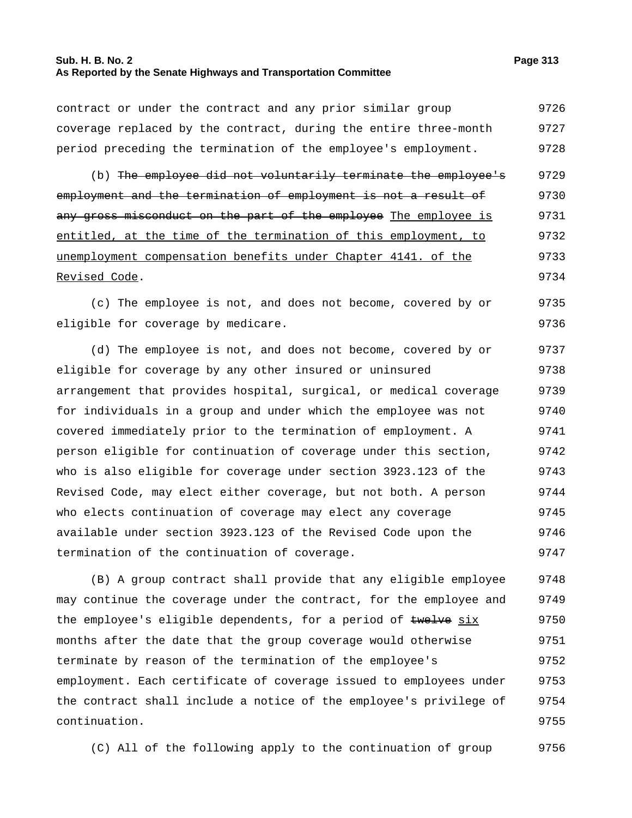### **Sub. H. B. No. 2 Page 313 As Reported by the Senate Highways and Transportation Committee**

termination of the continuation of coverage.

contract or under the contract and any prior similar group

coverage replaced by the contract, during the entire three-month period preceding the termination of the employee's employment. 9727 9728 (b) The employee did not voluntarily terminate the employee's employment and the termination of employment is not a result of any gross misconduct on the part of the employee The employee is entitled, at the time of the termination of this employment, to unemployment compensation benefits under Chapter 4141. of the Revised Code. 9729 9730 9731 9732 9733 9734 (c) The employee is not, and does not become, covered by or eligible for coverage by medicare. 9735 9736 (d) The employee is not, and does not become, covered by or eligible for coverage by any other insured or uninsured arrangement that provides hospital, surgical, or medical coverage for individuals in a group and under which the employee was not covered immediately prior to the termination of employment. A person eligible for continuation of coverage under this section, who is also eligible for coverage under section 3923.123 of the Revised Code, may elect either coverage, but not both. A person who elects continuation of coverage may elect any coverage available under section 3923.123 of the Revised Code upon the 9737 9738 9739 9740 9741 9742 9743 9744 9745 9746

(B) A group contract shall provide that any eligible employee may continue the coverage under the contract, for the employee and the employee's eligible dependents, for a period of twelve six months after the date that the group coverage would otherwise terminate by reason of the termination of the employee's employment. Each certificate of coverage issued to employees under the contract shall include a notice of the employee's privilege of continuation. 9748 9749 9750 9751 9752 9753 9754 9755

(C) All of the following apply to the continuation of group 9756

9726

9747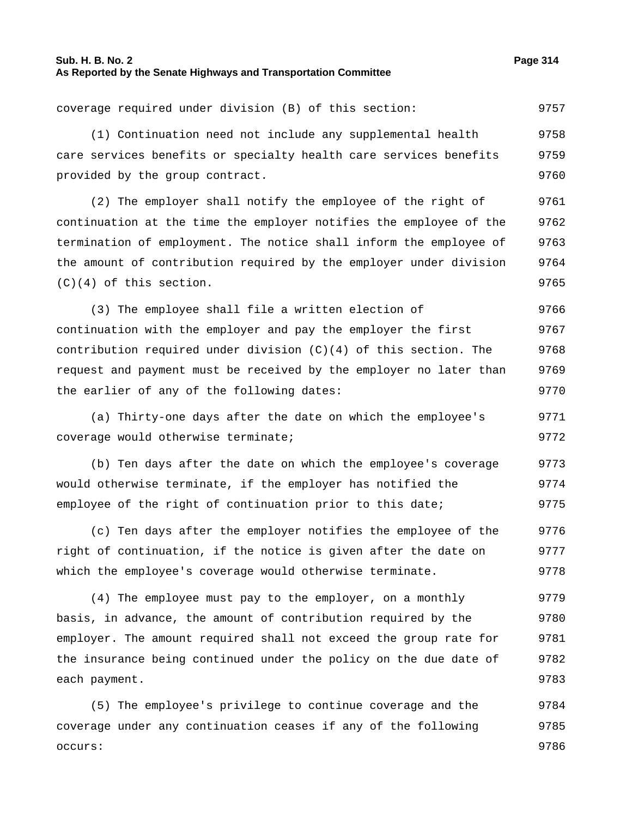### **Sub. H. B. No. 2 Page 314 As Reported by the Senate Highways and Transportation Committee**

coverage required under division (B) of this section: 9757 (1) Continuation need not include any supplemental health care services benefits or specialty health care services benefits provided by the group contract. 9758 9759 9760 (2) The employer shall notify the employee of the right of continuation at the time the employer notifies the employee of the termination of employment. The notice shall inform the employee of the amount of contribution required by the employer under division (C)(4) of this section. 9761 9762 9763 9764 9765 (3) The employee shall file a written election of continuation with the employer and pay the employer the first contribution required under division (C)(4) of this section. The request and payment must be received by the employer no later than the earlier of any of the following dates: 9766 9767 9768 9769 9770 (a) Thirty-one days after the date on which the employee's coverage would otherwise terminate; 9771 9772 (b) Ten days after the date on which the employee's coverage would otherwise terminate, if the employer has notified the employee of the right of continuation prior to this date; 9773 9774 9775 (c) Ten days after the employer notifies the employee of the right of continuation, if the notice is given after the date on which the employee's coverage would otherwise terminate. 9776 9777 9778 (4) The employee must pay to the employer, on a monthly basis, in advance, the amount of contribution required by the employer. The amount required shall not exceed the group rate for the insurance being continued under the policy on the due date of each payment. 9779 9780 9781 9782 9783 (5) The employee's privilege to continue coverage and the coverage under any continuation ceases if any of the following occurs: 9784 9785 9786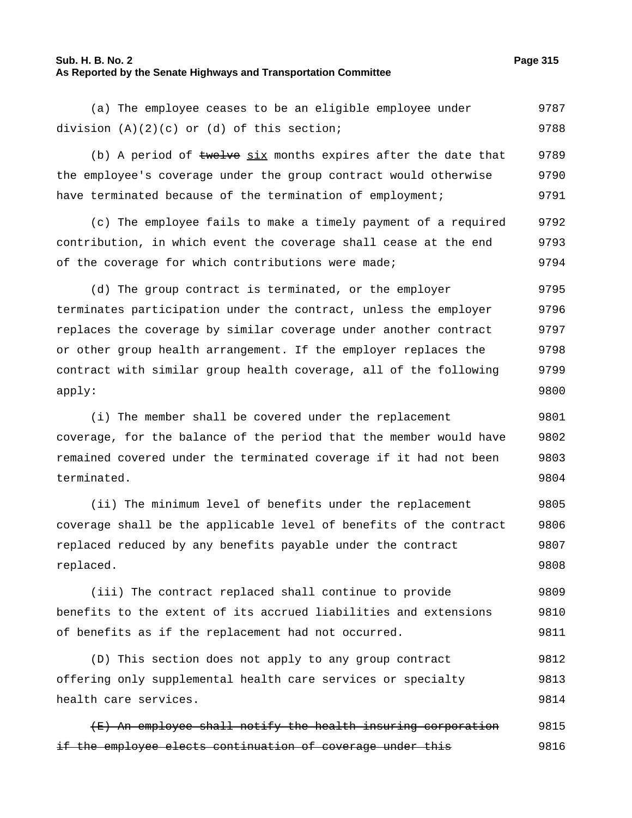### **Sub. H. B. No. 2 Page 315 As Reported by the Senate Highways and Transportation Committee**

(a) The employee ceases to be an eligible employee under division (A)(2)(c) or (d) of this section; 9787 9788

(b) A period of  $t$ welve six months expires after the date that the employee's coverage under the group contract would otherwise have terminated because of the termination of employment; 9789 9790 9791

(c) The employee fails to make a timely payment of a required contribution, in which event the coverage shall cease at the end of the coverage for which contributions were made; 9792 9793 9794

(d) The group contract is terminated, or the employer terminates participation under the contract, unless the employer replaces the coverage by similar coverage under another contract or other group health arrangement. If the employer replaces the contract with similar group health coverage, all of the following apply: 9795 9796 9797 9798 9799 9800

(i) The member shall be covered under the replacement coverage, for the balance of the period that the member would have remained covered under the terminated coverage if it had not been terminated. 9801 9802 9803 9804

(ii) The minimum level of benefits under the replacement coverage shall be the applicable level of benefits of the contract replaced reduced by any benefits payable under the contract replaced. 9805 9806 9807 9808

(iii) The contract replaced shall continue to provide benefits to the extent of its accrued liabilities and extensions of benefits as if the replacement had not occurred. 9809 9810 9811

(D) This section does not apply to any group contract offering only supplemental health care services or specialty health care services. 9812 9813 9814

(E) An employee shall notify the health insuring corporation if the employee elects continuation of coverage under this 9815 9816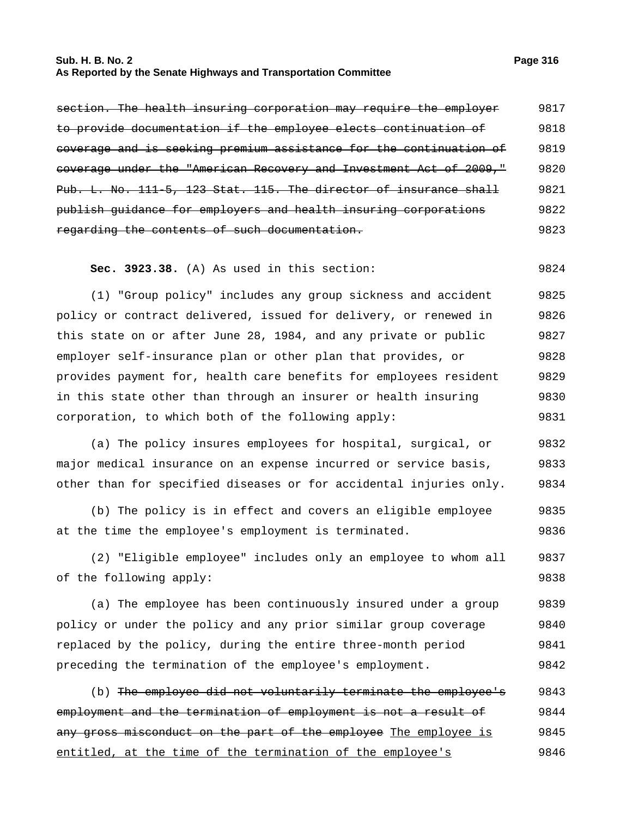### **Sub. H. B. No. 2 Page 316 As Reported by the Senate Highways and Transportation Committee**

| section. The health insuring corporation may require the employer  | 9817 |
|--------------------------------------------------------------------|------|
| to provide documentation if the employee elects continuation of    | 9818 |
| coverage and is seeking premium assistance for the continuation of | 9819 |
| eoverage under the "American Recovery and Investment Act of 2009," | 9820 |
| Pub. L. No. 111-5, 123 Stat. 115. The director of insurance shall  | 9821 |
| publish guidance for employers and health insuring corporations    | 9822 |
| regarding the contents of such documentation.                      | 9823 |

**Sec. 3923.38.** (A) As used in this section: 9824

(1) "Group policy" includes any group sickness and accident policy or contract delivered, issued for delivery, or renewed in this state on or after June 28, 1984, and any private or public employer self-insurance plan or other plan that provides, or provides payment for, health care benefits for employees resident in this state other than through an insurer or health insuring corporation, to which both of the following apply: 9825 9826 9827 9828 9829 9830 9831

(a) The policy insures employees for hospital, surgical, or major medical insurance on an expense incurred or service basis, other than for specified diseases or for accidental injuries only. 9832 9833 9834

(b) The policy is in effect and covers an eligible employee at the time the employee's employment is terminated. 9835 9836

(2) "Eligible employee" includes only an employee to whom all of the following apply: 9837 9838

(a) The employee has been continuously insured under a group policy or under the policy and any prior similar group coverage replaced by the policy, during the entire three-month period preceding the termination of the employee's employment. 9839 9840 9841 9842

(b) The employee did not voluntarily terminate the employee's employment and the termination of employment is not a result of any gross misconduct on the part of the employee The employee is entitled, at the time of the termination of the employee's 9843 9844 9845 9846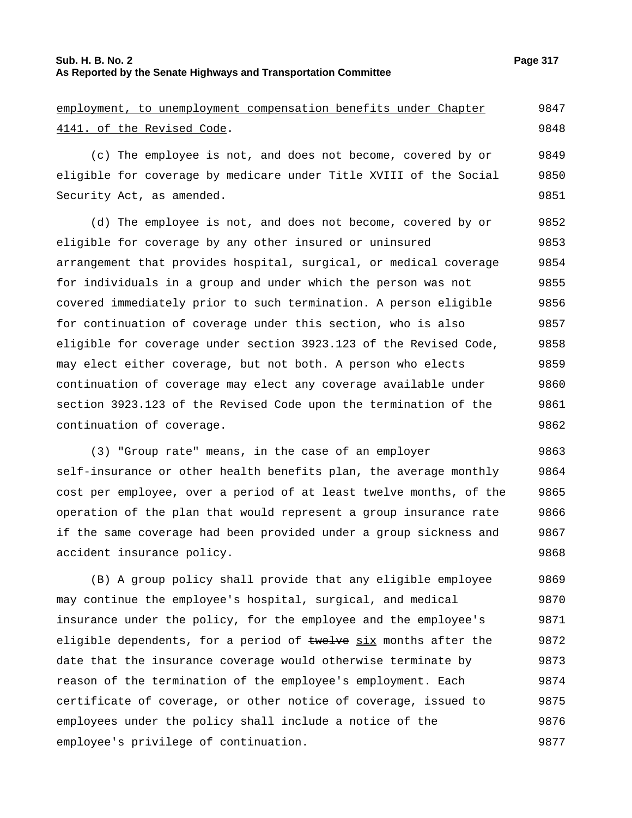# **Sub. H. B. No. 2 Page 317 As Reported by the Senate Highways and Transportation Committee**

| employment, to unemployment compensation benefits under Chapter   | 9847 |
|-------------------------------------------------------------------|------|
| 4141. of the Revised Code.                                        | 9848 |
| (c) The employee is not, and does not become, covered by or       | 9849 |
| eligible for coverage by medicare under Title XVIII of the Social | 9850 |
| Security Act, as amended.                                         | 9851 |
| (d) The employee is not, and does not become, covered by or       | 9852 |
| eligible for coverage by any other insured or uninsured           | 9853 |
| arrangement that provides hospital, surgical, or medical coverage | 9854 |
| for individuals in a group and under which the person was not     | 9855 |
| covered immediately prior to such termination. A person eligible  | 9856 |
| for continuation of coverage under this section, who is also      | 9857 |
| eligible for coverage under section 3923.123 of the Revised Code, | 9858 |
| may elect either coverage, but not both. A person who elects      | 9859 |
| continuation of coverage may elect any coverage available under   | 9860 |
| section 3923.123 of the Revised Code upon the termination of the  | 9861 |
| continuation of coverage.                                         | 9862 |
|                                                                   |      |

(3) "Group rate" means, in the case of an employer self-insurance or other health benefits plan, the average monthly cost per employee, over a period of at least twelve months, of the operation of the plan that would represent a group insurance rate if the same coverage had been provided under a group sickness and accident insurance policy. 9863 9864 9865 9866 9867 9868

(B) A group policy shall provide that any eligible employee may continue the employee's hospital, surgical, and medical insurance under the policy, for the employee and the employee's eligible dependents, for a period of twelve six months after the date that the insurance coverage would otherwise terminate by reason of the termination of the employee's employment. Each certificate of coverage, or other notice of coverage, issued to employees under the policy shall include a notice of the employee's privilege of continuation. 9869 9870 9871 9872 9873 9874 9875 9876 9877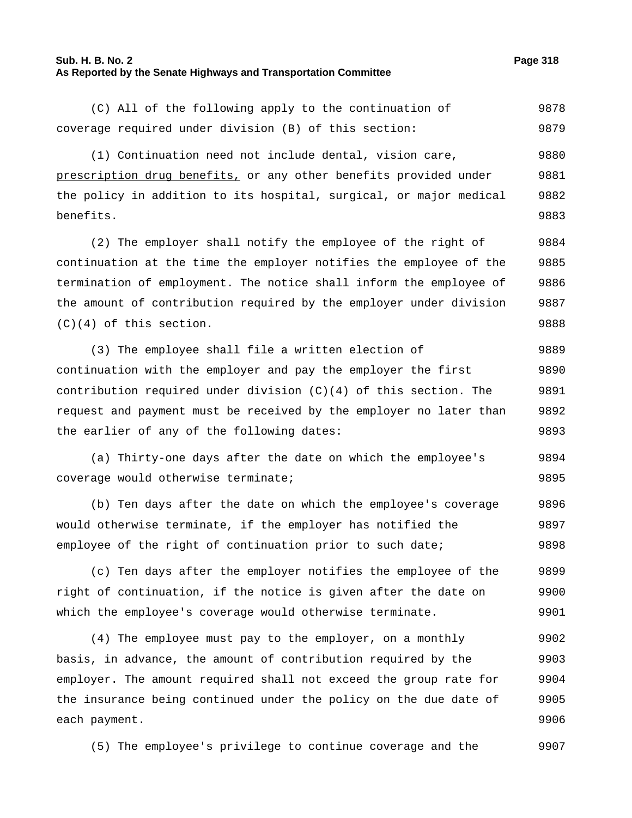### **Sub. H. B. No. 2 Page 318 As Reported by the Senate Highways and Transportation Committee**

(C) All of the following apply to the continuation of coverage required under division (B) of this section: 9878 9879

(1) Continuation need not include dental, vision care, prescription drug benefits, or any other benefits provided under the policy in addition to its hospital, surgical, or major medical benefits. 9880 9881 9882 9883

(2) The employer shall notify the employee of the right of continuation at the time the employer notifies the employee of the termination of employment. The notice shall inform the employee of the amount of contribution required by the employer under division (C)(4) of this section. 9884 9885 9886 9887 9888

(3) The employee shall file a written election of continuation with the employer and pay the employer the first contribution required under division (C)(4) of this section. The request and payment must be received by the employer no later than the earlier of any of the following dates: 9889 9890 9891 9892 9893

(a) Thirty-one days after the date on which the employee's coverage would otherwise terminate; 9894 9895

(b) Ten days after the date on which the employee's coverage would otherwise terminate, if the employer has notified the employee of the right of continuation prior to such date; 9896 9897 9898

(c) Ten days after the employer notifies the employee of the right of continuation, if the notice is given after the date on which the employee's coverage would otherwise terminate. 9899 9900 9901

(4) The employee must pay to the employer, on a monthly basis, in advance, the amount of contribution required by the employer. The amount required shall not exceed the group rate for the insurance being continued under the policy on the due date of each payment. 9902 9903 9904 9905 9906

(5) The employee's privilege to continue coverage and the 9907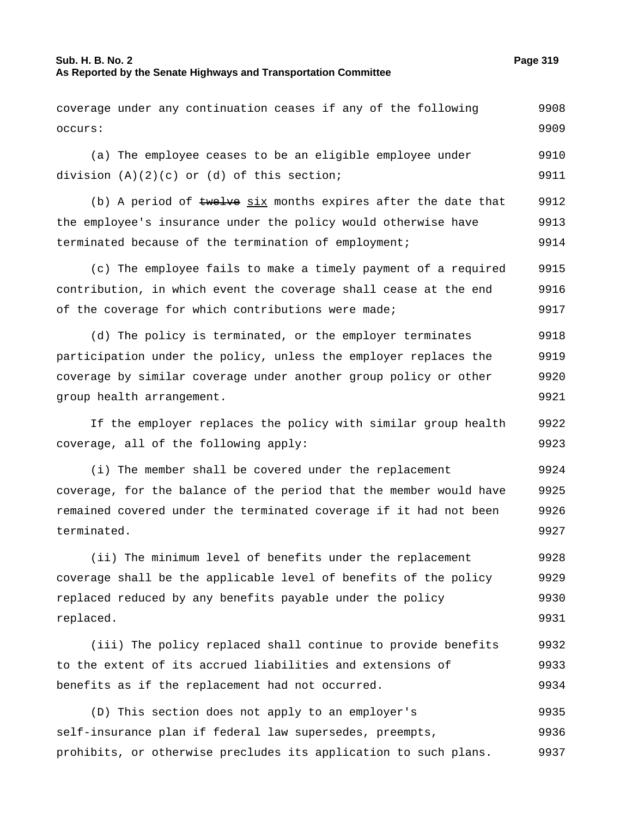### **Sub. H. B. No. 2 Page 319 As Reported by the Senate Highways and Transportation Committee**

coverage under any continuation ceases if any of the following occurs: 9908 9909 (a) The employee ceases to be an eligible employee under division (A)(2)(c) or (d) of this section; 9910 9911 (b) A period of  $t$ welve six months expires after the date that the employee's insurance under the policy would otherwise have terminated because of the termination of employment; 9912 9913 9914 (c) The employee fails to make a timely payment of a required contribution, in which event the coverage shall cease at the end of the coverage for which contributions were made; 9915 9916 9917 (d) The policy is terminated, or the employer terminates participation under the policy, unless the employer replaces the coverage by similar coverage under another group policy or other group health arrangement. 9918 9919 9920 9921 If the employer replaces the policy with similar group health coverage, all of the following apply: 9922 9923 (i) The member shall be covered under the replacement coverage, for the balance of the period that the member would have remained covered under the terminated coverage if it had not been terminated. 9924 9925 9926 9927 (ii) The minimum level of benefits under the replacement coverage shall be the applicable level of benefits of the policy replaced reduced by any benefits payable under the policy replaced. 9928 9929 9930 9931 (iii) The policy replaced shall continue to provide benefits to the extent of its accrued liabilities and extensions of benefits as if the replacement had not occurred. 9932 9933 9934 (D) This section does not apply to an employer's self-insurance plan if federal law supersedes, preempts, prohibits, or otherwise precludes its application to such plans. 9935 9936 9937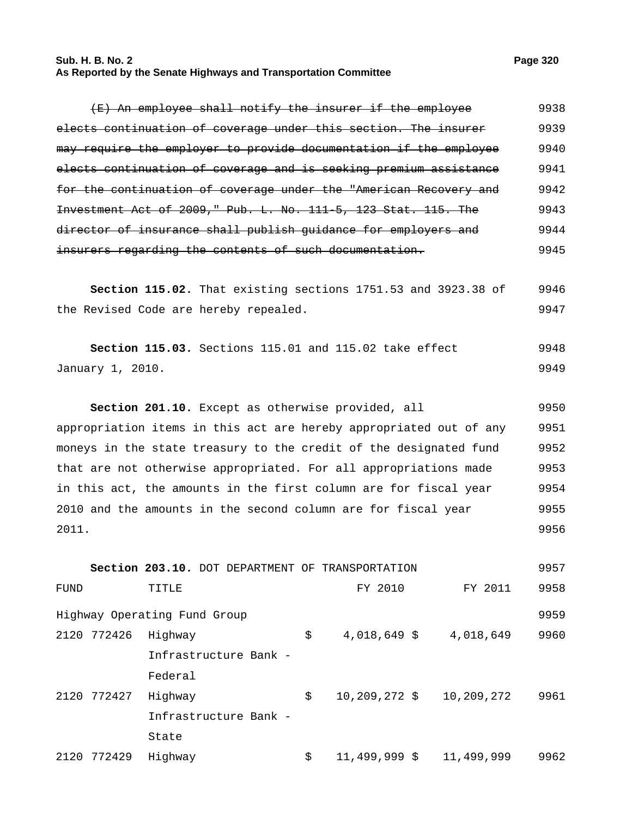### **Sub. H. B. No. 2 Page 320 As Reported by the Senate Highways and Transportation Committee**

|                                                                   | (E) An employee shall notify the insurer if the employee           |    |                 |            | 9938 |  |
|-------------------------------------------------------------------|--------------------------------------------------------------------|----|-----------------|------------|------|--|
|                                                                   | elects continuation of coverage under this section. The insurer    |    |                 |            | 9939 |  |
| may require the employer to provide documentation if the employee |                                                                    |    |                 |            |      |  |
|                                                                   | elects continuation of coverage and is seeking premium assistance  |    |                 |            | 9941 |  |
|                                                                   | for the continuation of coverage under the "American Recovery and  |    |                 |            | 9942 |  |
|                                                                   | Investment Act of 2009," Pub. L. No. 111-5, 123 Stat. 115. The     |    |                 |            | 9943 |  |
|                                                                   | director of insurance shall publish guidance for employers and     |    |                 |            | 9944 |  |
|                                                                   | insurers regarding the contents of such documentation.             |    |                 |            | 9945 |  |
|                                                                   | Section 115.02. That existing sections 1751.53 and 3923.38 of      |    |                 |            | 9946 |  |
|                                                                   | the Revised Code are hereby repealed.                              |    |                 |            | 9947 |  |
|                                                                   | Section 115.03. Sections 115.01 and 115.02 take effect             |    |                 |            | 9948 |  |
| January 1, 2010.                                                  |                                                                    |    |                 |            | 9949 |  |
|                                                                   | Section 201.10. Except as otherwise provided, all                  |    |                 |            | 9950 |  |
|                                                                   | appropriation items in this act are hereby appropriated out of any |    |                 |            | 9951 |  |
|                                                                   | moneys in the state treasury to the credit of the designated fund  |    |                 |            | 9952 |  |
|                                                                   | that are not otherwise appropriated. For all appropriations made   |    |                 |            | 9953 |  |
|                                                                   | in this act, the amounts in the first column are for fiscal year   |    |                 |            | 9954 |  |
|                                                                   | 2010 and the amounts in the second column are for fiscal year      |    |                 |            | 9955 |  |
| 2011.                                                             |                                                                    |    |                 |            | 9956 |  |
|                                                                   | Section 203.10. DOT DEPARTMENT OF TRANSPORTATION                   |    |                 |            | 9957 |  |
| FUND                                                              | TITLE                                                              |    | FY 2010         | FY 2011    | 9958 |  |
|                                                                   | Highway Operating Fund Group                                       |    |                 |            | 9959 |  |
| 2120 772426                                                       | Highway                                                            | \$ | $4,018,649$ \$  | 4,018,649  | 9960 |  |
|                                                                   | Infrastructure Bank -                                              |    |                 |            |      |  |
|                                                                   | Federal                                                            |    |                 |            |      |  |
| 2120 772427                                                       | Highway                                                            | \$ | 10,209,272 \$   | 10,209,272 | 9961 |  |
|                                                                   | Infrastructure Bank -                                              |    |                 |            |      |  |
|                                                                   | State                                                              |    |                 |            |      |  |
| 2120 772429                                                       | Highway                                                            | \$ | $11,499,999$ \$ | 11,499,999 | 9962 |  |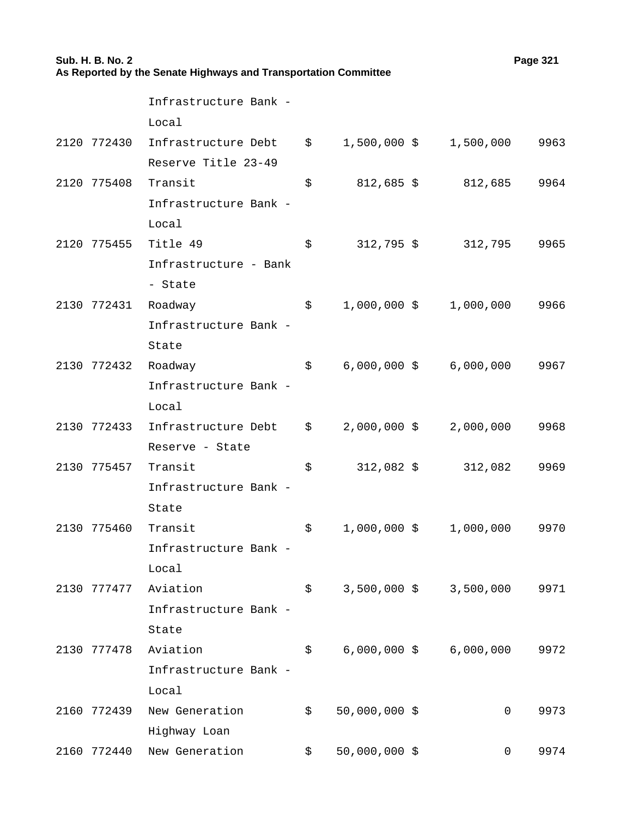| OUD. N. D. IVU. <i>L</i> | As Reported by the Senate Highways and Transportation Committee |                       |                               | raye əz i |
|--------------------------|-----------------------------------------------------------------|-----------------------|-------------------------------|-----------|
|                          | Infrastructure Bank -                                           |                       |                               |           |
|                          | Local                                                           |                       |                               |           |
| 2120 772430              | Infrastructure Debt                                             | \$<br>$1,500,000$ \$  | 1,500,000                     | 9963      |
|                          | Reserve Title 23-49                                             |                       |                               |           |
| 2120 775408              | Transit                                                         | \$<br>$812,685$ \$    | 812,685                       | 9964      |
|                          | Infrastructure Bank -                                           |                       |                               |           |
|                          | Local                                                           |                       |                               |           |
| 2120 775455              | Title 49                                                        | \$<br>$312,795$ \$    | 312,795                       | 9965      |
|                          | Infrastructure - Bank                                           |                       |                               |           |
|                          | - State                                                         |                       |                               |           |
| 2130 772431              | Roadway                                                         | \$<br>$1,000,000$ \$  | 1,000,000                     | 9966      |
|                          | Infrastructure Bank -                                           |                       |                               |           |
|                          | State                                                           |                       |                               |           |
| 2130 772432              | Roadway                                                         | \$<br>$6,000,000$ \$  | 6,000,000                     | 9967      |
|                          | Infrastructure Bank -                                           |                       |                               |           |
|                          | Local                                                           |                       |                               |           |
| 2130 772433              | Infrastructure Debt                                             | \$<br>$2,000,000$ \$  | 2,000,000                     | 9968      |
|                          | Reserve - State                                                 |                       |                               |           |
| 2130 775457              | Transit                                                         | \$<br>$312,082$ \$    | 312,082                       | 9969      |
|                          | Infrastructure Bank -                                           |                       |                               |           |
|                          | State                                                           |                       |                               |           |
| 2130 775460              | Transit                                                         | \$<br>$1,000,000$ \$  | 1,000,000                     | 9970      |
|                          | Infrastructure Bank -                                           |                       |                               |           |
|                          | Local                                                           |                       |                               |           |
| 2130 777477              | Aviation                                                        | \$                    | 3,500,000 \$3,500,000         | 9971      |
|                          | Infrastructure Bank -                                           |                       |                               |           |
|                          | State                                                           |                       |                               |           |
| 2130 777478              | Aviation                                                        | \$                    | $6,000,000 \approx 6,000,000$ | 9972      |
|                          | Infrastructure Bank -                                           |                       |                               |           |
|                          | Local                                                           |                       |                               |           |
| 2160 772439              | New Generation                                                  | \$<br>$50,000,000$ \$ | 0                             | 9973      |
|                          | Highway Loan                                                    |                       |                               |           |
| 2160 772440              | New Generation                                                  | \$<br>$50,000,000$ \$ | 0                             | 9974      |

# **Sub. H. B. No. 2 Page 321**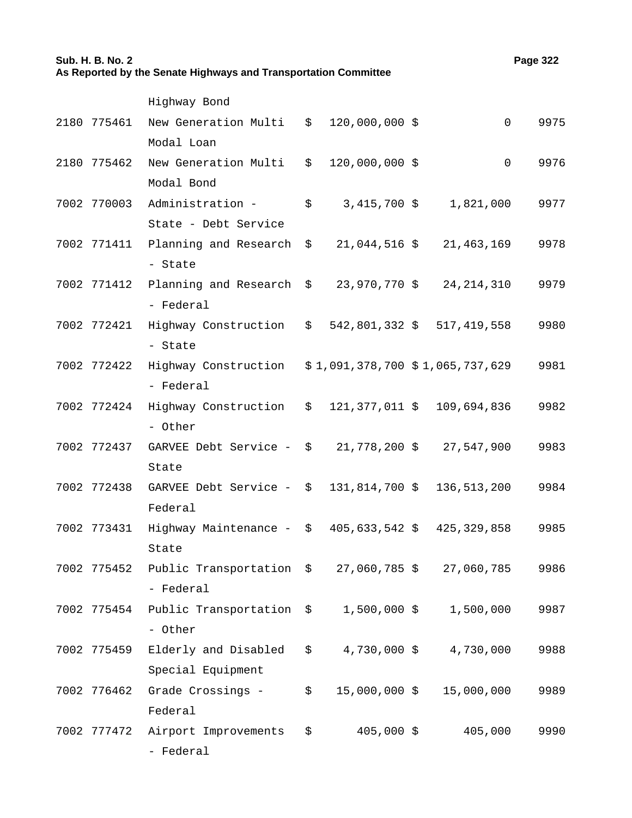| Sub. H. B. No. 2                                                | Page 322 |
|-----------------------------------------------------------------|----------|
| As Reported by the Senate Highways and Transportation Committee |          |

|             | Highway Bond                                                            |                     |                    |                                                 |      |
|-------------|-------------------------------------------------------------------------|---------------------|--------------------|-------------------------------------------------|------|
| 2180 775461 | New Generation Multi                                                    | \$                  | $120,000,000$ \$   | 0                                               | 9975 |
|             | Modal Loan                                                              |                     |                    |                                                 |      |
| 2180 775462 | New Generation Multi                                                    | $\ddot{\mathsf{S}}$ | $120,000,000 \$ \$ | 0                                               | 9976 |
|             | Modal Bond                                                              |                     |                    |                                                 |      |
| 7002 770003 | Administration -                                                        | \$                  | 3,415,700 \$       | 1,821,000                                       | 9977 |
|             | State - Debt Service                                                    |                     |                    |                                                 |      |
| 7002 771411 | Planning and Research                                                   |                     | $$21,044,516$ \$   | 21, 463, 169                                    | 9978 |
|             | - State                                                                 |                     |                    |                                                 |      |
| 7002 771412 | Planning and Research $\frac{1}{5}$ 23,970,770 $\frac{1}{5}$ 24,214,310 |                     |                    |                                                 | 9979 |
|             | - Federal                                                               |                     |                    |                                                 |      |
| 7002 772421 | Highway Construction                                                    |                     | $$542,801,332$ \$  | 517, 419, 558                                   | 9980 |
|             | - State                                                                 |                     |                    |                                                 |      |
| 7002 772422 | Highway Construction \$1,091,378,700 \$1,065,737,629                    |                     |                    |                                                 | 9981 |
|             | - Federal                                                               |                     |                    |                                                 |      |
| 7002 772424 | Highway Construction                                                    |                     | $$121,377,011$ \$  | 109,694,836                                     | 9982 |
|             | - Other                                                                 |                     |                    |                                                 |      |
| 7002 772437 | GARVEE Debt Service - \$ 21,778,200 \$ 27,547,900                       |                     |                    |                                                 | 9983 |
|             | State                                                                   |                     |                    |                                                 |      |
| 7002 772438 | GARVEE Debt Service - \$                                                |                     | 131,814,700 \$     | 136,513,200                                     | 9984 |
|             | Federal                                                                 |                     |                    |                                                 |      |
| 7002 773431 | Highway Maintenance - $\approx$ 405,633,542 \$                          |                     |                    | 425, 329, 858                                   | 9985 |
|             | State                                                                   |                     |                    |                                                 |      |
|             | 7002 775452 Public Transportation \$ 27,060,785 \$ 27,060,785           |                     |                    |                                                 | 9986 |
|             | - Federal                                                               |                     |                    |                                                 |      |
| 7002 775454 | Public Transportation \$                                                |                     | $1,500,000$ \$     | 1,500,000                                       | 9987 |
|             | - Other                                                                 |                     |                    |                                                 |      |
| 7002 775459 | Elderly and Disabled                                                    |                     |                    | $\frac{1}{5}$ 4,730,000 $\frac{1}{5}$ 4,730,000 | 9988 |
|             | Special Equipment                                                       |                     |                    |                                                 |      |
| 7002 776462 | Grade Crossings -                                                       |                     | $\uparrow$         | 15,000,000 \$ 15,000,000                        | 9989 |
|             | Federal                                                                 |                     |                    |                                                 |      |
|             | 7002 777472 Airport Improvements                                        | $\ddot{\mathsf{S}}$ | $405,000$ \$       | 405,000                                         | 9990 |
|             | - Federal                                                               |                     |                    |                                                 |      |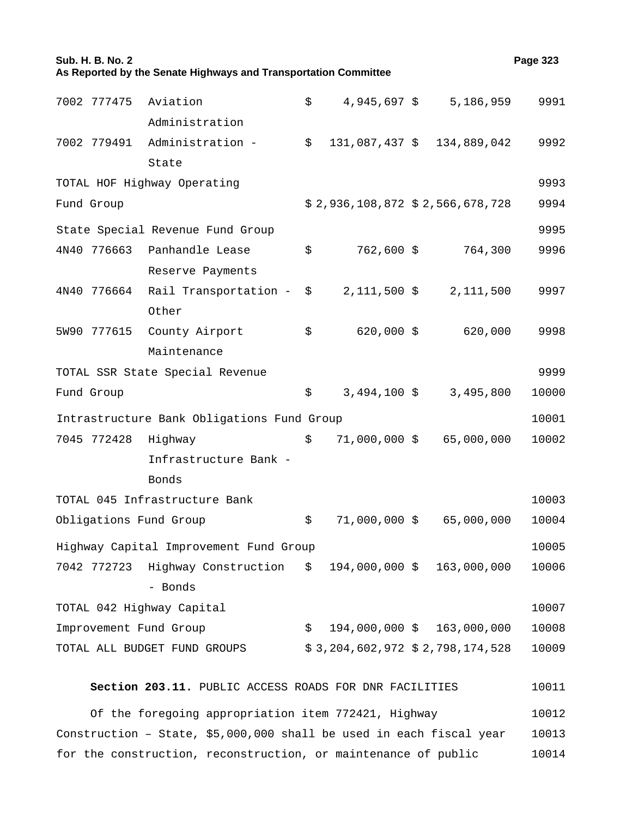# **Sub. H. B. No. 2 Page 323 As Reported by the Senate Highways and Transportation Committee**

| 7002 777475 Aviation                       |                                                                | \$    |            |  | 4,945,697 \$5,186,959                                | 9991  |  |
|--------------------------------------------|----------------------------------------------------------------|-------|------------|--|------------------------------------------------------|-------|--|
|                                            | Administration                                                 |       |            |  |                                                      |       |  |
| 7002 779491                                | Administration -                                               | \$    |            |  | 131,087,437 \$ 134,889,042                           | 9992  |  |
|                                            | State                                                          |       |            |  |                                                      |       |  |
| TOTAL HOF Highway Operating                |                                                                |       |            |  |                                                      | 9993  |  |
| Fund Group                                 |                                                                |       |            |  | \$2,936,108,872 \$2,566,678,728                      | 9994  |  |
| State Special Revenue Fund Group           |                                                                |       |            |  |                                                      | 9995  |  |
|                                            | 4N40 776663 Panhandle Lease                                    | \$    | 762,600 \$ |  | 764,300                                              | 9996  |  |
|                                            | Reserve Payments                                               |       |            |  |                                                      |       |  |
| 4N40 776664                                | Rail Transportation -                                          |       |            |  | $\frac{1}{2}$ , 111, 500 $\frac{1}{2}$ , 2, 111, 500 | 9997  |  |
|                                            | Other                                                          |       |            |  |                                                      |       |  |
|                                            | 5W90 777615 County Airport                                     | \$    | 620,000 \$ |  | 620,000                                              | 9998  |  |
|                                            | Maintenance                                                    |       |            |  |                                                      |       |  |
|                                            | TOTAL SSR State Special Revenue                                |       |            |  |                                                      | 9999  |  |
| Fund Group                                 |                                                                | \$    |            |  | $3,494,100 \approx 3,495,800$                        | 10000 |  |
| Intrastructure Bank Obligations Fund Group |                                                                |       |            |  | 10001                                                |       |  |
| 7045 772428                                | Highway                                                        | \$    |            |  | $71,000,000 \,$ \$ 65,000,000                        | 10002 |  |
|                                            | Infrastructure Bank -                                          |       |            |  |                                                      |       |  |
|                                            | Bonds                                                          |       |            |  |                                                      |       |  |
| TOTAL 045 Infrastructure Bank              |                                                                |       |            |  | 10003                                                |       |  |
| Obligations Fund Group                     |                                                                | \$    |            |  | 71,000,000 \$ 65,000,000                             | 10004 |  |
| Highway Capital Improvement Fund Group     |                                                                |       |            |  |                                                      |       |  |
|                                            | 7042 772723 Highway Construction \$ 194,000,000 \$ 163,000,000 |       |            |  |                                                      | 10006 |  |
|                                            | - Bonds                                                        |       |            |  |                                                      |       |  |
| TOTAL 042 Highway Capital                  |                                                                | 10007 |            |  |                                                      |       |  |
| Improvement Fund Group                     |                                                                |       |            |  | 194,000,000 \$ 163,000,000                           | 10008 |  |
|                                            | TOTAL ALL BUDGET FUND GROUPS                                   |       |            |  | $$3,204,602,972$ $$2,798,174,528$                    | 10009 |  |
|                                            |                                                                |       |            |  |                                                      |       |  |

**Section 203.11.** PUBLIC ACCESS ROADS FOR DNR FACILITIES 10011 Of the foregoing appropriation item 772421, Highway Construction – State, \$5,000,000 shall be used in each fiscal year for the construction, reconstruction, or maintenance of public 10012 10013 10014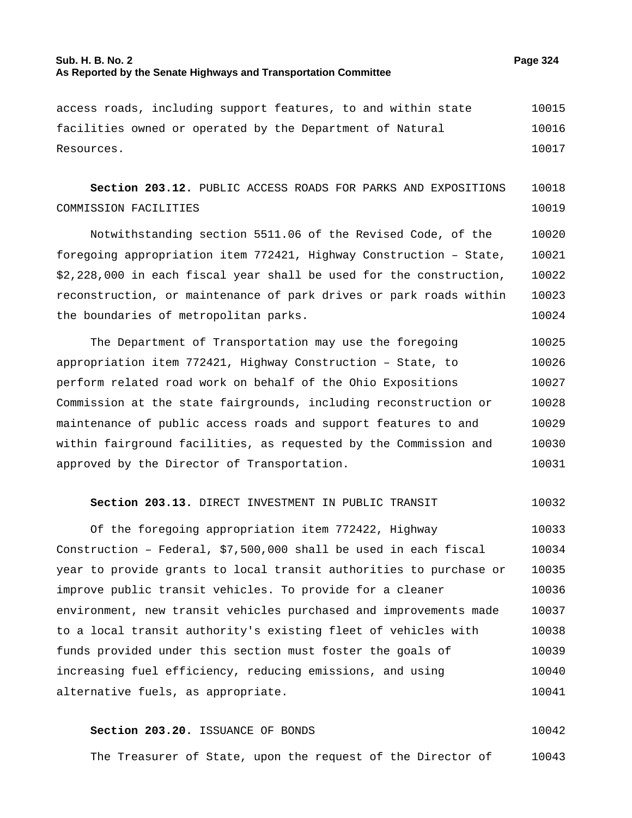### **Sub. H. B. No. 2 Page 324 As Reported by the Senate Highways and Transportation Committee**

access roads, including support features, to and within state facilities owned or operated by the Department of Natural Resources. 10015 10016 10017

**Section 203.12.** PUBLIC ACCESS ROADS FOR PARKS AND EXPOSITIONS COMMISSION FACILITIES 10018 10019

Notwithstanding section 5511.06 of the Revised Code, of the foregoing appropriation item 772421, Highway Construction – State, \$2,228,000 in each fiscal year shall be used for the construction, reconstruction, or maintenance of park drives or park roads within the boundaries of metropolitan parks. 10020 10021 10022 10023 10024

The Department of Transportation may use the foregoing appropriation item 772421, Highway Construction – State, to perform related road work on behalf of the Ohio Expositions Commission at the state fairgrounds, including reconstruction or maintenance of public access roads and support features to and within fairground facilities, as requested by the Commission and approved by the Director of Transportation. 10025 10026 10027 10028 10029 10030 10031

# **Section 203.13.** DIRECT INVESTMENT IN PUBLIC TRANSIT 10032

Of the foregoing appropriation item 772422, Highway Construction – Federal, \$7,500,000 shall be used in each fiscal year to provide grants to local transit authorities to purchase or improve public transit vehicles. To provide for a cleaner environment, new transit vehicles purchased and improvements made to a local transit authority's existing fleet of vehicles with funds provided under this section must foster the goals of increasing fuel efficiency, reducing emissions, and using alternative fuels, as appropriate. 10033 10034 10035 10036 10037 10038 10039 10040 10041

### **Section 203.20.** ISSUANCE OF BONDS 10042

The Treasurer of State, upon the request of the Director of 10043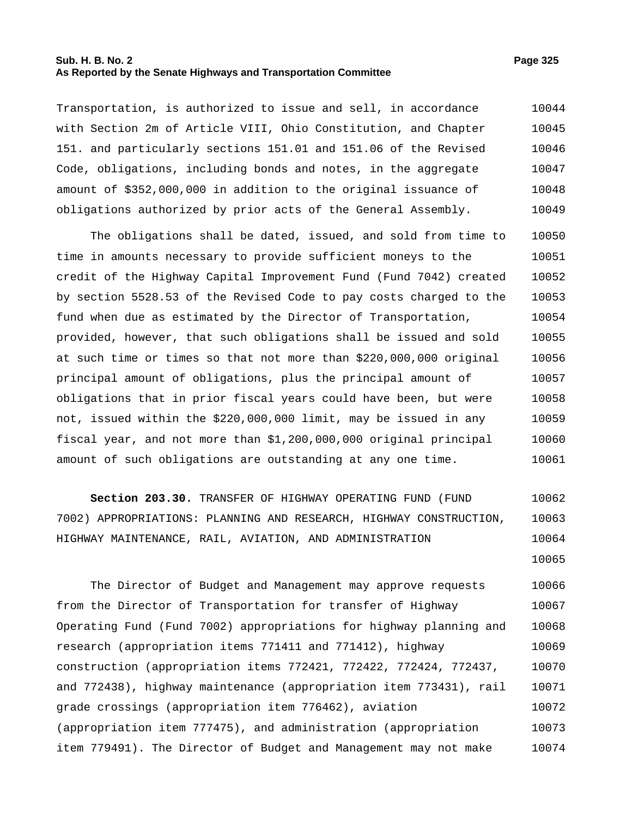#### **Sub. H. B. No. 2 Page 325 As Reported by the Senate Highways and Transportation Committee**

Transportation, is authorized to issue and sell, in accordance with Section 2m of Article VIII, Ohio Constitution, and Chapter 151. and particularly sections 151.01 and 151.06 of the Revised Code, obligations, including bonds and notes, in the aggregate amount of \$352,000,000 in addition to the original issuance of obligations authorized by prior acts of the General Assembly. 10044 10045 10046 10047 10048 10049

The obligations shall be dated, issued, and sold from time to time in amounts necessary to provide sufficient moneys to the credit of the Highway Capital Improvement Fund (Fund 7042) created by section 5528.53 of the Revised Code to pay costs charged to the fund when due as estimated by the Director of Transportation, provided, however, that such obligations shall be issued and sold at such time or times so that not more than \$220,000,000 original principal amount of obligations, plus the principal amount of obligations that in prior fiscal years could have been, but were not, issued within the \$220,000,000 limit, may be issued in any fiscal year, and not more than \$1,200,000,000 original principal amount of such obligations are outstanding at any one time. 10050 10051 10052 10053 10054 10055 10056 10057 10058 10059 10060 10061

**Section 203.30.** TRANSFER OF HIGHWAY OPERATING FUND (FUND 7002) APPROPRIATIONS: PLANNING AND RESEARCH, HIGHWAY CONSTRUCTION, HIGHWAY MAINTENANCE, RAIL, AVIATION, AND ADMINISTRATION 10062 10063 10064

10065

The Director of Budget and Management may approve requests from the Director of Transportation for transfer of Highway Operating Fund (Fund 7002) appropriations for highway planning and research (appropriation items 771411 and 771412), highway construction (appropriation items 772421, 772422, 772424, 772437, and 772438), highway maintenance (appropriation item 773431), rail grade crossings (appropriation item 776462), aviation (appropriation item 777475), and administration (appropriation item 779491). The Director of Budget and Management may not make 10066 10067 10068 10069 10070 10071 10072 10073 10074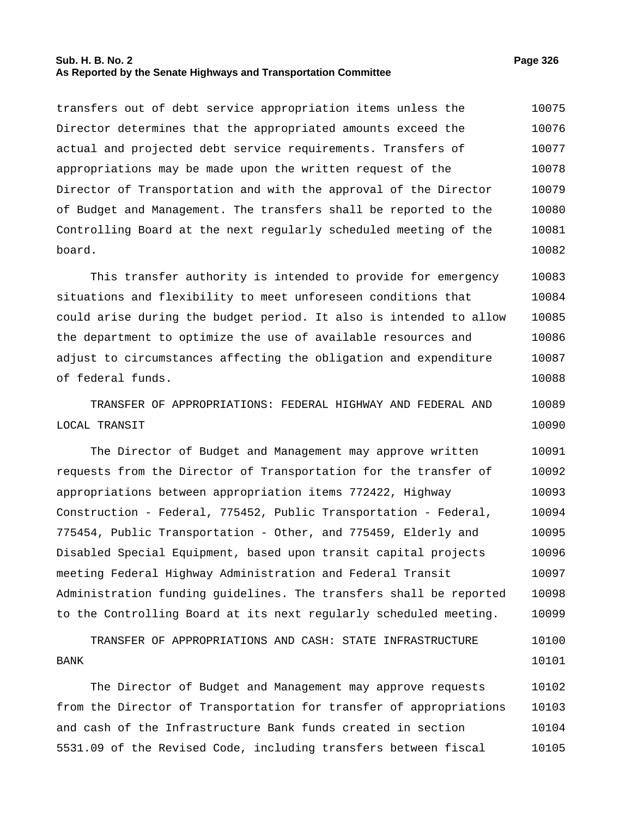# **Sub. H. B. No. 2 Page 326 As Reported by the Senate Highways and Transportation Committee**

transfers out of debt service appropriation items unless the Director determines that the appropriated amounts exceed the actual and projected debt service requirements. Transfers of appropriations may be made upon the written request of the Director of Transportation and with the approval of the Director of Budget and Management. The transfers shall be reported to the Controlling Board at the next regularly scheduled meeting of the board. 10075 10076 10077 10078 10079 10080 10081 10082

This transfer authority is intended to provide for emergency situations and flexibility to meet unforeseen conditions that could arise during the budget period. It also is intended to allow the department to optimize the use of available resources and adjust to circumstances affecting the obligation and expenditure of federal funds. 10083 10084 10085 10086 10087 10088

TRANSFER OF APPROPRIATIONS: FEDERAL HIGHWAY AND FEDERAL AND LOCAL TRANSIT 10089 10090

The Director of Budget and Management may approve written requests from the Director of Transportation for the transfer of appropriations between appropriation items 772422, Highway Construction - Federal, 775452, Public Transportation - Federal, 775454, Public Transportation - Other, and 775459, Elderly and Disabled Special Equipment, based upon transit capital projects meeting Federal Highway Administration and Federal Transit Administration funding guidelines. The transfers shall be reported to the Controlling Board at its next regularly scheduled meeting. 10091 10092 10093 10094 10095 10096 10097 10098 10099

TRANSFER OF APPROPRIATIONS AND CASH: STATE INFRASTRUCTURE BANK 10100 10101

The Director of Budget and Management may approve requests from the Director of Transportation for transfer of appropriations and cash of the Infrastructure Bank funds created in section 5531.09 of the Revised Code, including transfers between fiscal 10102 10103 10104 10105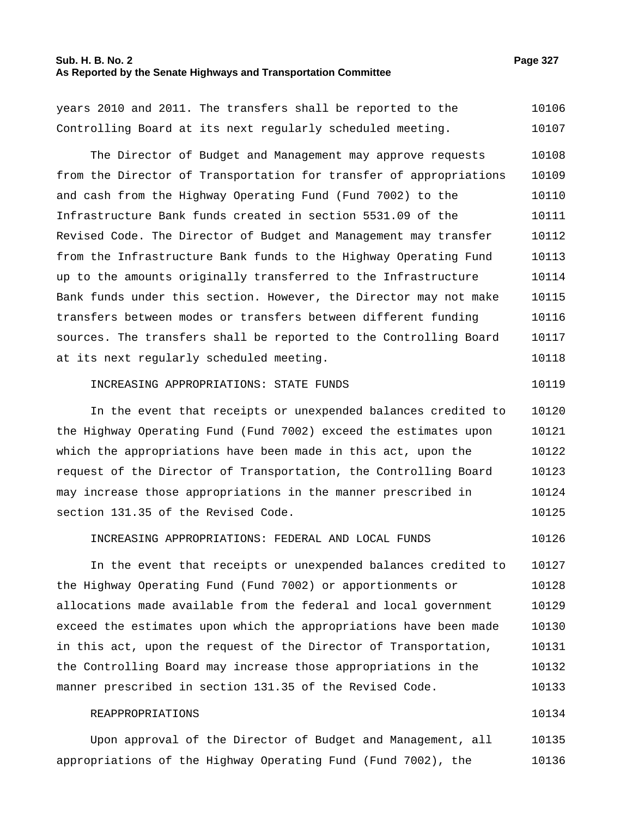#### **Sub. H. B. No. 2 Page 327 As Reported by the Senate Highways and Transportation Committee**

years 2010 and 2011. The transfers shall be reported to the Controlling Board at its next regularly scheduled meeting. 10106 10107

The Director of Budget and Management may approve requests from the Director of Transportation for transfer of appropriations and cash from the Highway Operating Fund (Fund 7002) to the Infrastructure Bank funds created in section 5531.09 of the Revised Code. The Director of Budget and Management may transfer from the Infrastructure Bank funds to the Highway Operating Fund up to the amounts originally transferred to the Infrastructure Bank funds under this section. However, the Director may not make transfers between modes or transfers between different funding sources. The transfers shall be reported to the Controlling Board at its next regularly scheduled meeting. 10108 10109 10110 10111 10112 10113 10114 10115 10116 10117 10118

#### INCREASING APPROPRIATIONS: STATE FUNDS 10119

In the event that receipts or unexpended balances credited to the Highway Operating Fund (Fund 7002) exceed the estimates upon which the appropriations have been made in this act, upon the request of the Director of Transportation, the Controlling Board may increase those appropriations in the manner prescribed in section 131.35 of the Revised Code. 10120 10121 10122 10123 10124 10125

INCREASING APPROPRIATIONS: FEDERAL AND LOCAL FUNDS 10126

In the event that receipts or unexpended balances credited to the Highway Operating Fund (Fund 7002) or apportionments or allocations made available from the federal and local government exceed the estimates upon which the appropriations have been made in this act, upon the request of the Director of Transportation, the Controlling Board may increase those appropriations in the manner prescribed in section 131.35 of the Revised Code. 10127 10128 10129 10130 10131 10132 10133

#### REAPPROPRIATIONS 10134

Upon approval of the Director of Budget and Management, all appropriations of the Highway Operating Fund (Fund 7002), the 10135 10136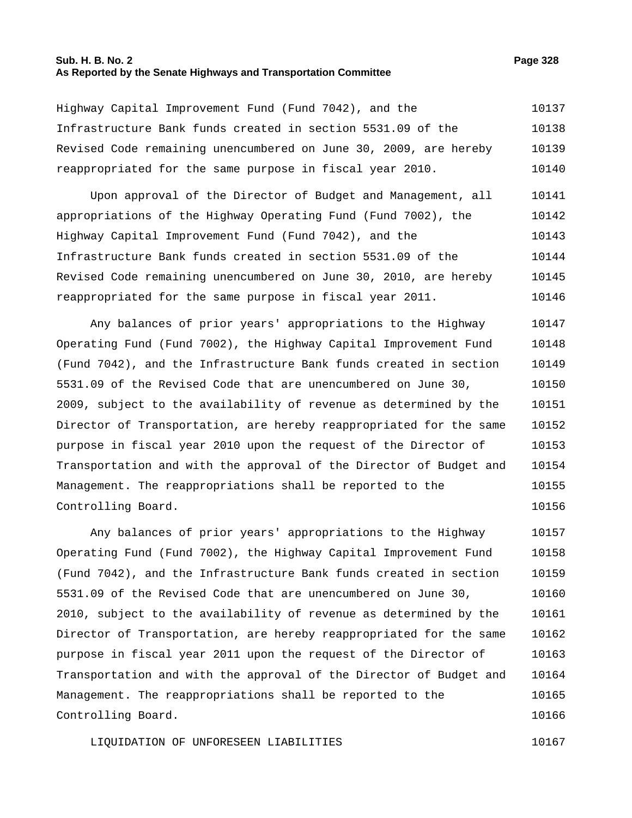#### **Sub. H. B. No. 2 Page 328 As Reported by the Senate Highways and Transportation Committee**

Highway Capital Improvement Fund (Fund 7042), and the Infrastructure Bank funds created in section 5531.09 of the Revised Code remaining unencumbered on June 30, 2009, are hereby reappropriated for the same purpose in fiscal year 2010. 10137 10138 10139 10140

Upon approval of the Director of Budget and Management, all appropriations of the Highway Operating Fund (Fund 7002), the Highway Capital Improvement Fund (Fund 7042), and the Infrastructure Bank funds created in section 5531.09 of the Revised Code remaining unencumbered on June 30, 2010, are hereby reappropriated for the same purpose in fiscal year 2011. 10141 10142 10143 10144 10145 10146

Any balances of prior years' appropriations to the Highway Operating Fund (Fund 7002), the Highway Capital Improvement Fund (Fund 7042), and the Infrastructure Bank funds created in section 5531.09 of the Revised Code that are unencumbered on June 30, 2009, subject to the availability of revenue as determined by the Director of Transportation, are hereby reappropriated for the same purpose in fiscal year 2010 upon the request of the Director of Transportation and with the approval of the Director of Budget and Management. The reappropriations shall be reported to the Controlling Board. 10147 10148 10149 10150 10151 10152 10153 10154 10155 10156

Any balances of prior years' appropriations to the Highway Operating Fund (Fund 7002), the Highway Capital Improvement Fund (Fund 7042), and the Infrastructure Bank funds created in section 5531.09 of the Revised Code that are unencumbered on June 30, 2010, subject to the availability of revenue as determined by the Director of Transportation, are hereby reappropriated for the same purpose in fiscal year 2011 upon the request of the Director of Transportation and with the approval of the Director of Budget and Management. The reappropriations shall be reported to the Controlling Board. 10157 10158 10159 10160 10161 10162 10163 10164 10165 10166

LIQUIDATION OF UNFORESEEN LIABILITIES 10167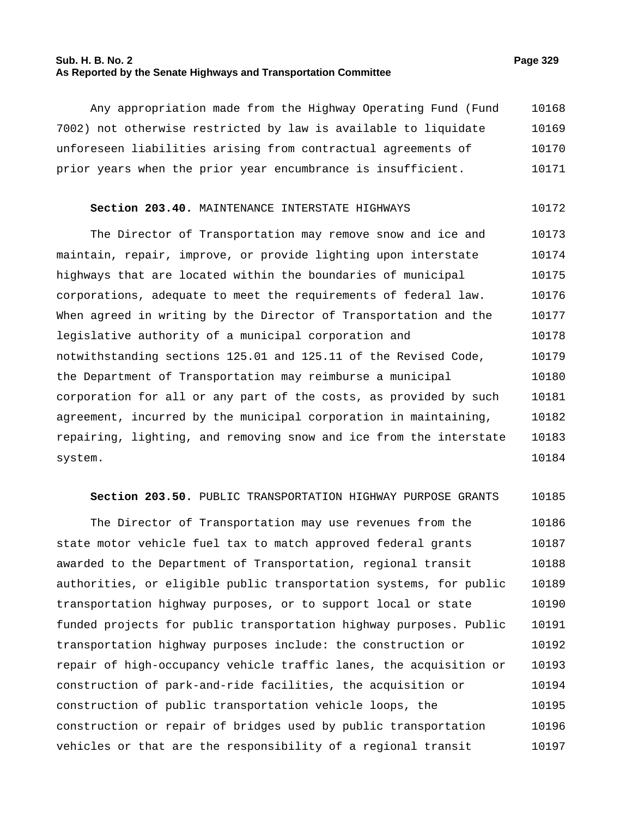#### **Sub. H. B. No. 2 Page 329 As Reported by the Senate Highways and Transportation Committee**

Any appropriation made from the Highway Operating Fund (Fund 7002) not otherwise restricted by law is available to liquidate unforeseen liabilities arising from contractual agreements of prior years when the prior year encumbrance is insufficient. 10168 10169 10170 10171

#### **Section 203.40.** MAINTENANCE INTERSTATE HIGHWAYS 10172

The Director of Transportation may remove snow and ice and maintain, repair, improve, or provide lighting upon interstate highways that are located within the boundaries of municipal corporations, adequate to meet the requirements of federal law. When agreed in writing by the Director of Transportation and the legislative authority of a municipal corporation and notwithstanding sections 125.01 and 125.11 of the Revised Code, the Department of Transportation may reimburse a municipal corporation for all or any part of the costs, as provided by such agreement, incurred by the municipal corporation in maintaining, repairing, lighting, and removing snow and ice from the interstate system. 10173 10174 10175 10176 10177 10178 10179 10180 10181 10182 10183 10184

#### **Section 203.50.** PUBLIC TRANSPORTATION HIGHWAY PURPOSE GRANTS 10185

The Director of Transportation may use revenues from the state motor vehicle fuel tax to match approved federal grants awarded to the Department of Transportation, regional transit authorities, or eligible public transportation systems, for public transportation highway purposes, or to support local or state funded projects for public transportation highway purposes. Public transportation highway purposes include: the construction or repair of high-occupancy vehicle traffic lanes, the acquisition or construction of park-and-ride facilities, the acquisition or construction of public transportation vehicle loops, the construction or repair of bridges used by public transportation vehicles or that are the responsibility of a regional transit 10186 10187 10188 10189 10190 10191 10192 10193 10194 10195 10196 10197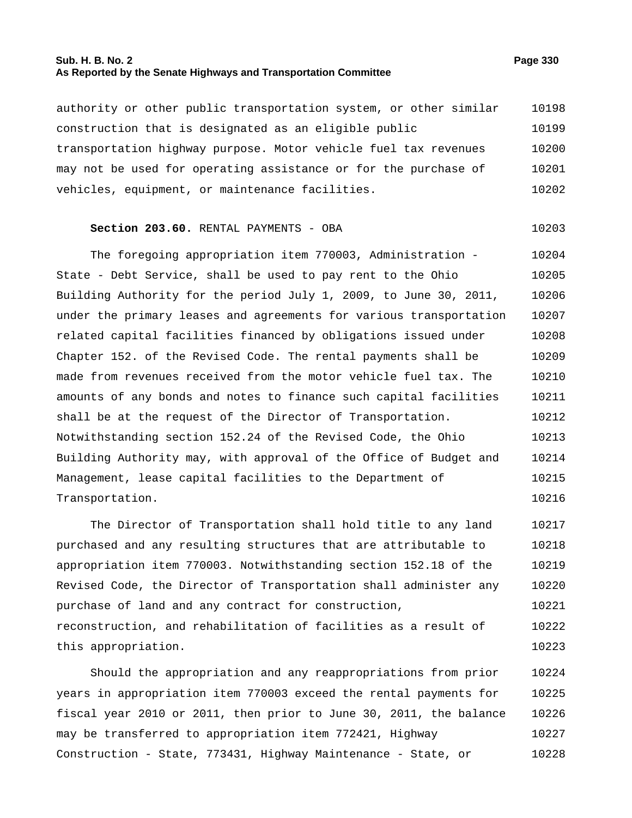#### **Sub. H. B. No. 2 Page 330 As Reported by the Senate Highways and Transportation Committee**

authority or other public transportation system, or other similar construction that is designated as an eligible public transportation highway purpose. Motor vehicle fuel tax revenues may not be used for operating assistance or for the purchase of vehicles, equipment, or maintenance facilities. 10198 10199 10200 10201 10202

# **Section 203.60.** RENTAL PAYMENTS - OBA 10203

The foregoing appropriation item 770003, Administration - State - Debt Service, shall be used to pay rent to the Ohio Building Authority for the period July 1, 2009, to June 30, 2011, under the primary leases and agreements for various transportation related capital facilities financed by obligations issued under Chapter 152. of the Revised Code. The rental payments shall be made from revenues received from the motor vehicle fuel tax. The amounts of any bonds and notes to finance such capital facilities shall be at the request of the Director of Transportation. Notwithstanding section 152.24 of the Revised Code, the Ohio Building Authority may, with approval of the Office of Budget and Management, lease capital facilities to the Department of Transportation. 10204 10205 10206 10207 10208 10209 10210 10211 10212 10213 10214 10215 10216

The Director of Transportation shall hold title to any land purchased and any resulting structures that are attributable to appropriation item 770003. Notwithstanding section 152.18 of the Revised Code, the Director of Transportation shall administer any purchase of land and any contract for construction, reconstruction, and rehabilitation of facilities as a result of this appropriation. 10217 10218 10219 10220 10221 10222 10223

Should the appropriation and any reappropriations from prior years in appropriation item 770003 exceed the rental payments for fiscal year 2010 or 2011, then prior to June 30, 2011, the balance may be transferred to appropriation item 772421, Highway Construction - State, 773431, Highway Maintenance - State, or 10224 10225 10226 10227 10228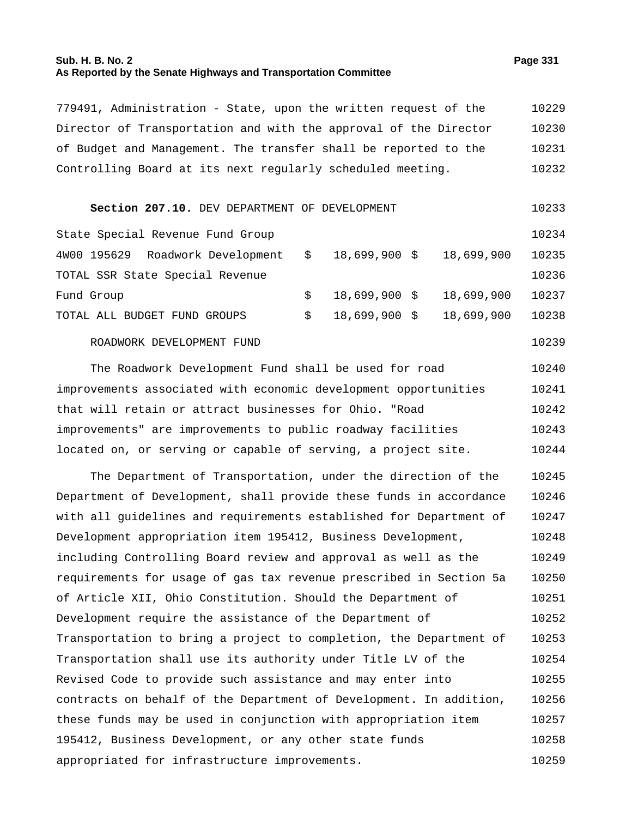# **Sub. H. B. No. 2 Page 331 As Reported by the Senate Highways and Transportation Committee**

appropriated for infrastructure improvements.

779491, Administration - State, upon the written request of the Director of Transportation and with the approval of the Director of Budget and Management. The transfer shall be reported to the Controlling Board at its next regularly scheduled meeting. 10229 10230 10231 10232 **Section 207.10.** DEV DEPARTMENT OF DEVELOPMENT  $10233$ State Special Revenue Fund Group 10234 4W00 195629 Roadwork Development \$ 18,699,900 \$ 18,699,900 10235 TOTAL SSR State Special Revenue 10236 Fund Group 3 3 3 4 5 4 5 4 5 4 5 4 5 5 699,900 \$ 5 6 5 6 6 7 6 7 7 8 6 7 7 8 7 6 7 7 8 7 7 8 7 7 8 7 7 8 7 7 8 7 7 8 7 7 8 7 7 8 7 7 8 7 7 8 7 7 8 7 7 8 7 7 8 7 7 8 7 7 8 7 7 8 7 7 8 7 7 8 7 7 8 7 7 8 7 7 8 7 7 8 7 7 8 7 7 TOTAL ALL BUDGET FUND GROUPS \$ 18,699,900 \$ 18,699,900 10238 ROADWORK DEVELOPMENT FUND 10239 The Roadwork Development Fund shall be used for road improvements associated with economic development opportunities that will retain or attract businesses for Ohio. "Road improvements" are improvements to public roadway facilities located on, or serving or capable of serving, a project site. 10240 10241 10242 10243 10244 The Department of Transportation, under the direction of the Department of Development, shall provide these funds in accordance with all guidelines and requirements established for Department of Development appropriation item 195412, Business Development, including Controlling Board review and approval as well as the requirements for usage of gas tax revenue prescribed in Section 5a of Article XII, Ohio Constitution. Should the Department of Development require the assistance of the Department of Transportation to bring a project to completion, the Department of Transportation shall use its authority under Title LV of the Revised Code to provide such assistance and may enter into contracts on behalf of the Department of Development. In addition, these funds may be used in conjunction with appropriation item 195412, Business Development, or any other state funds 10245 10246 10247 10248 10249 10250 10251 10252 10253 10254 10255 10256 10257 10258

10259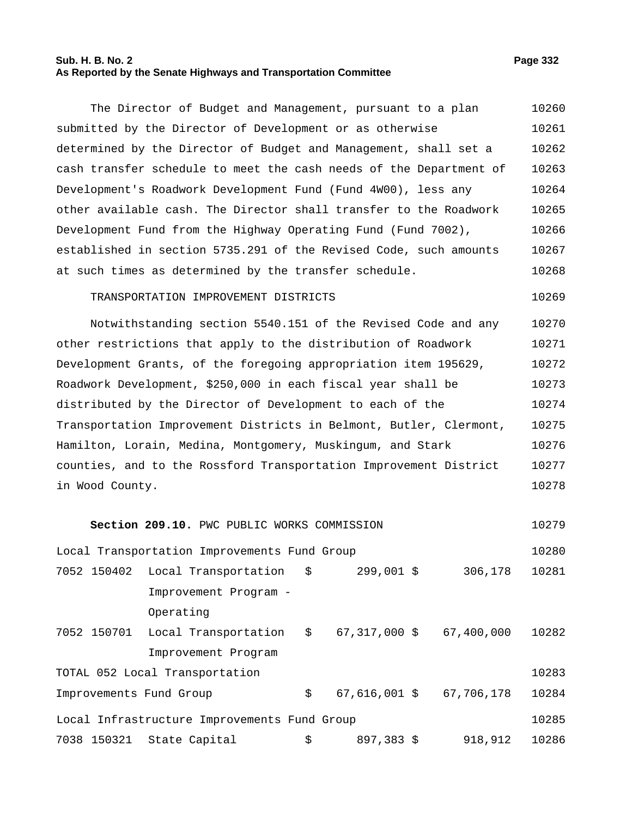#### **Sub. H. B. No. 2 Page 332 As Reported by the Senate Highways and Transportation Committee**

The Director of Budget and Management, pursuant to a plan submitted by the Director of Development or as otherwise determined by the Director of Budget and Management, shall set a cash transfer schedule to meet the cash needs of the Department of Development's Roadwork Development Fund (Fund 4W00), less any other available cash. The Director shall transfer to the Roadwork Development Fund from the Highway Operating Fund (Fund 7002), established in section 5735.291 of the Revised Code, such amounts at such times as determined by the transfer schedule. 10260 10261 10262 10263 10264 10265 10266 10267 10268 TRANSPORTATION IMPROVEMENT DISTRICTS 10269 Notwithstanding section 5540.151 of the Revised Code and any other restrictions that apply to the distribution of Roadwork Development Grants, of the foregoing appropriation item 195629, Roadwork Development, \$250,000 in each fiscal year shall be distributed by the Director of Development to each of the Transportation Improvement Districts in Belmont, Butler, Clermont, Hamilton, Lorain, Medina, Montgomery, Muskingum, and Stark counties, and to the Rossford Transportation Improvement District in Wood County. 10270 10271 10272 10273 10274 10275 10276 10277 10278 **Section 209.10.** PWC PUBLIC WORKS COMMISSION 10279 Local Transportation Improvements Fund Group 10280 7052 150402 Local Transportation \$ 299,001 \$ 306,178 10281 Improvement Program - Operating 7052 150701 Local Transportation \$ 67,317,000 \$ 67,400,000 10282 Improvement Program TOTAL 052 Local Transportation 10283 Improvements Fund Group \$ 67,616,001 \$ 67,706,178 10284 Local Infrastructure Improvements Fund Group 10285 7038 150321 State Capital \$ 897,383 \$ 918,912 10286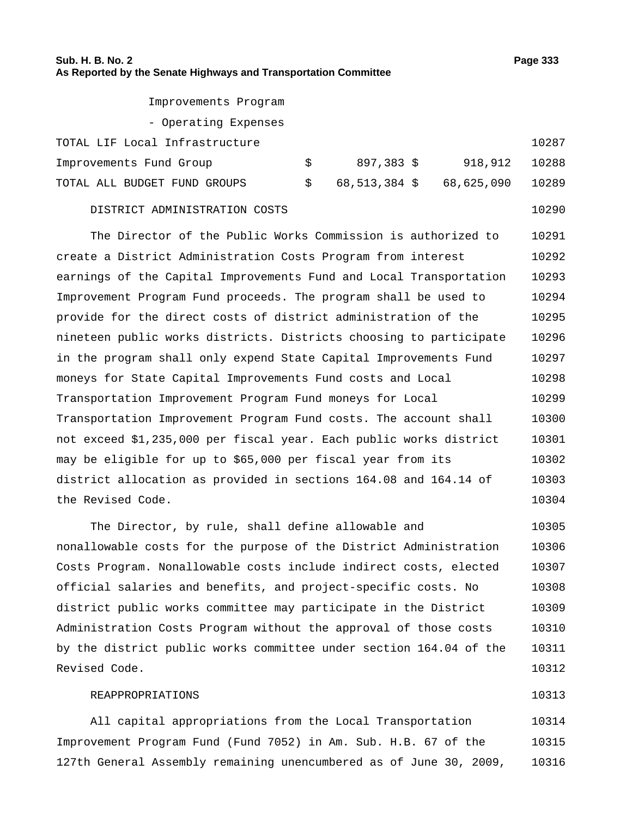| <b>Sub. H. B. No. 2</b>                                         | Page 333 |
|-----------------------------------------------------------------|----------|
| As Reported by the Senate Highways and Transportation Committee |          |

| Improvements Program |  |
|----------------------|--|
|----------------------|--|

#### - Operating Expenses

| TOTAL LIF Local Infrastructure |            |                               | 10287 |
|--------------------------------|------------|-------------------------------|-------|
| Improvements Fund Group        | 897,383 \$ | 918,912 10288                 |       |
| TOTAL ALL BUDGET FUND GROUPS   |            | 68,513,384 \$68,625,090 10289 |       |

#### DISTRICT ADMINISTRATION COSTS 10290

The Director of the Public Works Commission is authorized to create a District Administration Costs Program from interest earnings of the Capital Improvements Fund and Local Transportation Improvement Program Fund proceeds. The program shall be used to provide for the direct costs of district administration of the nineteen public works districts. Districts choosing to participate in the program shall only expend State Capital Improvements Fund moneys for State Capital Improvements Fund costs and Local Transportation Improvement Program Fund moneys for Local Transportation Improvement Program Fund costs. The account shall not exceed \$1,235,000 per fiscal year. Each public works district may be eligible for up to \$65,000 per fiscal year from its district allocation as provided in sections 164.08 and 164.14 of the Revised Code. 10291 10292 10293 10294 10295 10296 10297 10298 10299 10300 10301 10302 10303 10304

The Director, by rule, shall define allowable and nonallowable costs for the purpose of the District Administration Costs Program. Nonallowable costs include indirect costs, elected official salaries and benefits, and project-specific costs. No district public works committee may participate in the District Administration Costs Program without the approval of those costs by the district public works committee under section 164.04 of the Revised Code. 10305 10306 10307 10308 10309 10310 10311 10312

# REAPPROPRIATIONS 10313

All capital appropriations from the Local Transportation Improvement Program Fund (Fund 7052) in Am. Sub. H.B. 67 of the 127th General Assembly remaining unencumbered as of June 30, 2009, 10314 10315 10316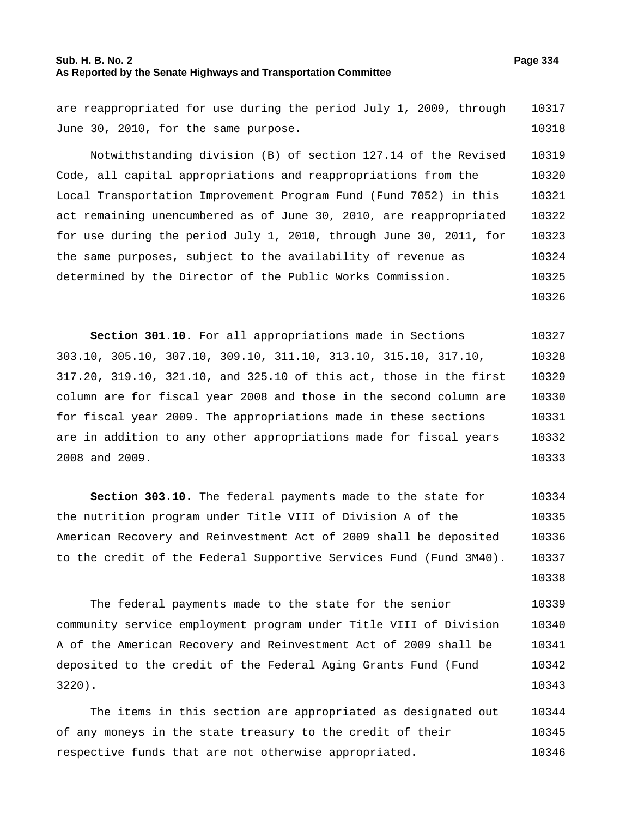#### **Sub. H. B. No. 2 Page 334 As Reported by the Senate Highways and Transportation Committee**

are reappropriated for use during the period July 1, 2009, through June 30, 2010, for the same purpose. 10317 10318 Notwithstanding division (B) of section 127.14 of the Revised Code, all capital appropriations and reappropriations from the Local Transportation Improvement Program Fund (Fund 7052) in this act remaining unencumbered as of June 30, 2010, are reappropriated for use during the period July 1, 2010, through June 30, 2011, for the same purposes, subject to the availability of revenue as determined by the Director of the Public Works Commission. 10319 10320 10321 10322 10323 10324 10325 10326

**Section 301.10.** For all appropriations made in Sections 303.10, 305.10, 307.10, 309.10, 311.10, 313.10, 315.10, 317.10, 317.20, 319.10, 321.10, and 325.10 of this act, those in the first column are for fiscal year 2008 and those in the second column are for fiscal year 2009. The appropriations made in these sections are in addition to any other appropriations made for fiscal years 2008 and 2009. 10327 10328 10329 10330 10331 10332 10333

**Section 303.10.** The federal payments made to the state for the nutrition program under Title VIII of Division A of the American Recovery and Reinvestment Act of 2009 shall be deposited to the credit of the Federal Supportive Services Fund (Fund 3M40). 10334 10335 10336 10337

10338

The federal payments made to the state for the senior community service employment program under Title VIII of Division A of the American Recovery and Reinvestment Act of 2009 shall be deposited to the credit of the Federal Aging Grants Fund (Fund 3220). 10339 10340 10341 10342 10343

The items in this section are appropriated as designated out of any moneys in the state treasury to the credit of their respective funds that are not otherwise appropriated. 10344 10345 10346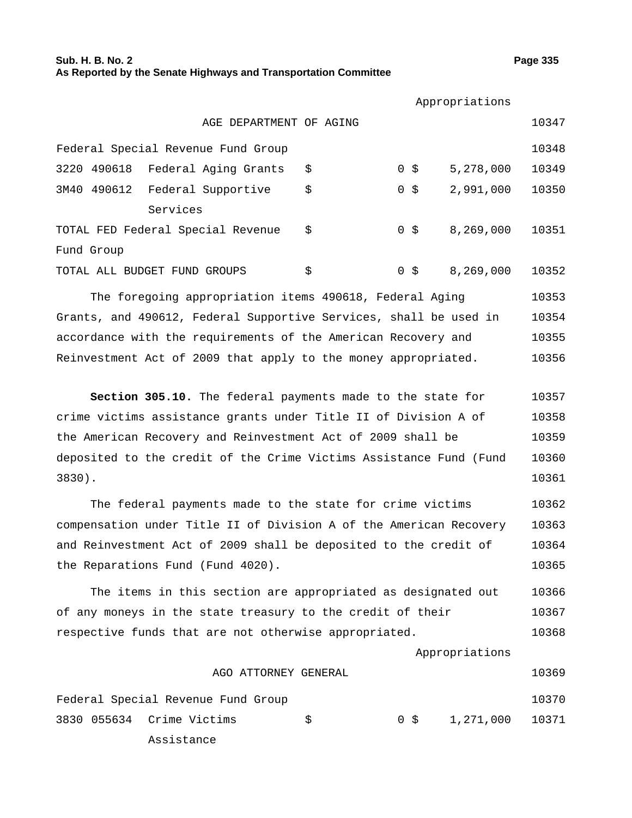# **Sub. H. B. No. 2 Page 335 As Reported by the Senate Highways and Transportation Committee**

|            |                              |                                                         |    |                |                | Appropriations |       |
|------------|------------------------------|---------------------------------------------------------|----|----------------|----------------|----------------|-------|
|            |                              | AGE DEPARTMENT OF AGING                                 |    |                |                |                | 10347 |
|            |                              | Federal Special Revenue Fund Group                      |    |                |                |                | 10348 |
|            |                              | 3220 490618 Federal Aging Grants                        | \$ | 0 \$           |                | 5,278,000      | 10349 |
|            |                              | 3M40 490612 Federal Supportive                          | \$ | 0 <sup>5</sup> |                | 2,991,000      | 10350 |
|            | Services                     |                                                         |    |                |                |                |       |
|            |                              | TOTAL FED Federal Special Revenue                       | \$ | 0 \$           |                | 8,269,000      | 10351 |
| Fund Group |                              |                                                         |    |                |                |                |       |
|            | TOTAL ALL BUDGET FUND GROUPS |                                                         | \$ |                | 0 <sup>5</sup> | 8,269,000      | 10352 |
|            |                              | The foregoing appropriation items 490618, Federal Aging |    |                |                |                | 10353 |

Grants, and 490612, Federal Supportive Services, shall be used in accordance with the requirements of the American Recovery and Reinvestment Act of 2009 that apply to the money appropriated. 10354 10355 10356

**Section 305.10.** The federal payments made to the state for crime victims assistance grants under Title II of Division A of the American Recovery and Reinvestment Act of 2009 shall be deposited to the credit of the Crime Victims Assistance Fund (Fund 3830). 10357 10358 10359 10360 10361

The federal payments made to the state for crime victims compensation under Title II of Division A of the American Recovery and Reinvestment Act of 2009 shall be deposited to the credit of the Reparations Fund (Fund 4020). 10362 10363 10364 10365

The items in this section are appropriated as designated out of any moneys in the state treasury to the credit of their respective funds that are not otherwise appropriated. 10366 10367 10368

Appropriations

|                                    | AGO ATTORNEY GENERAL |     |                      | 10369 |
|------------------------------------|----------------------|-----|----------------------|-------|
| Federal Special Revenue Fund Group |                      |     |                      | 10370 |
| 3830 055634 Crime Victims          |                      | S – | 0 \$ 1,271,000 10371 |       |
| Assistance                         |                      |     |                      |       |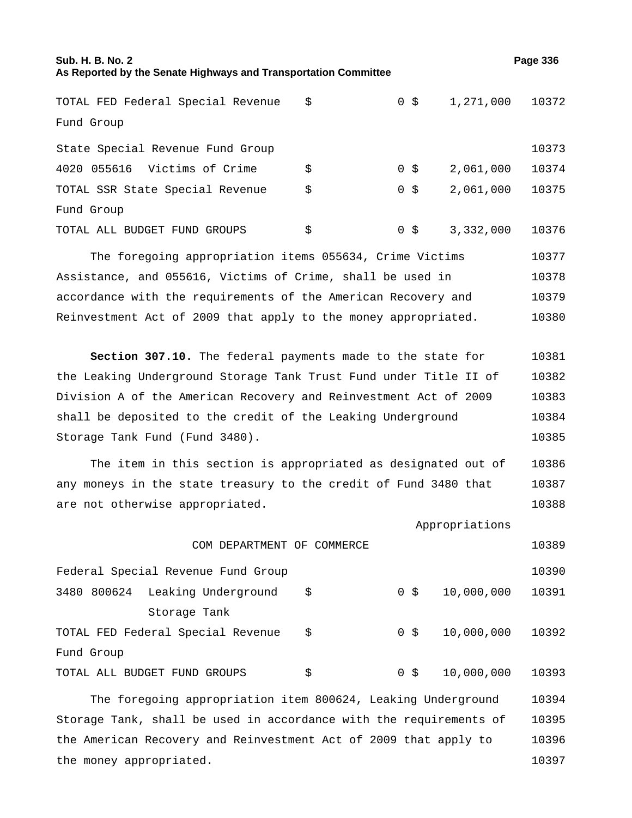| <b>Sub. H. B. No. 2</b><br>As Reported by the Senate Highways and Transportation Committee |    |                |                | Page 336 |
|--------------------------------------------------------------------------------------------|----|----------------|----------------|----------|
| TOTAL FED Federal Special Revenue                                                          | \$ | 0 \$           | 1,271,000      | 10372    |
| Fund Group                                                                                 |    |                |                |          |
| State Special Revenue Fund Group                                                           |    |                |                | 10373    |
| 4020 055616 Victims of Crime                                                               | \$ | 0 <sup>5</sup> | 2,061,000      | 10374    |
| TOTAL SSR State Special Revenue                                                            | \$ | $0$ \$         | 2,061,000      | 10375    |
| Fund Group                                                                                 |    |                |                |          |
| TOTAL ALL BUDGET FUND GROUPS                                                               | \$ | $0 \quad $$    | 3,332,000      | 10376    |
| The foregoing appropriation items 055634, Crime Victims                                    |    |                |                | 10377    |
| Assistance, and 055616, Victims of Crime, shall be used in                                 |    |                |                | 10378    |
| accordance with the requirements of the American Recovery and                              |    |                |                | 10379    |
| Reinvestment Act of 2009 that apply to the money appropriated.                             |    |                |                | 10380    |
| Section 307.10. The federal payments made to the state for                                 |    |                |                | 10381    |
| the Leaking Underground Storage Tank Trust Fund under Title II of                          |    |                |                | 10382    |
| Division A of the American Recovery and Reinvestment Act of 2009                           |    |                |                | 10383    |
| shall be deposited to the credit of the Leaking Underground                                |    |                |                | 10384    |
| Storage Tank Fund (Fund 3480).                                                             |    |                |                | 10385    |
| The item in this section is appropriated as designated out of                              |    |                |                | 10386    |
| any moneys in the state treasury to the credit of Fund 3480 that                           |    |                |                | 10387    |
| are not otherwise appropriated.                                                            |    |                |                | 10388    |
|                                                                                            |    |                | Appropriations |          |
| COM DEPARTMENT OF COMMERCE                                                                 |    |                |                | 10389    |
| Federal Special Revenue Fund Group                                                         |    |                |                | 10390    |
| 3480 800624<br>Leaking Underground                                                         | \$ | $0$ \$         | 10,000,000     | 10391    |
| Storage Tank                                                                               |    |                |                |          |

TOTAL FED Federal Special Revenue Fund Group  $0 \,$ \$ 10,000,000 10392 TOTAL ALL BUDGET FUND GROUPS \$ 0 \$ 10,000,000 10393

The foregoing appropriation item 800624, Leaking Underground Storage Tank, shall be used in accordance with the requirements of the American Recovery and Reinvestment Act of 2009 that apply to the money appropriated. 10394 10395 10396 10397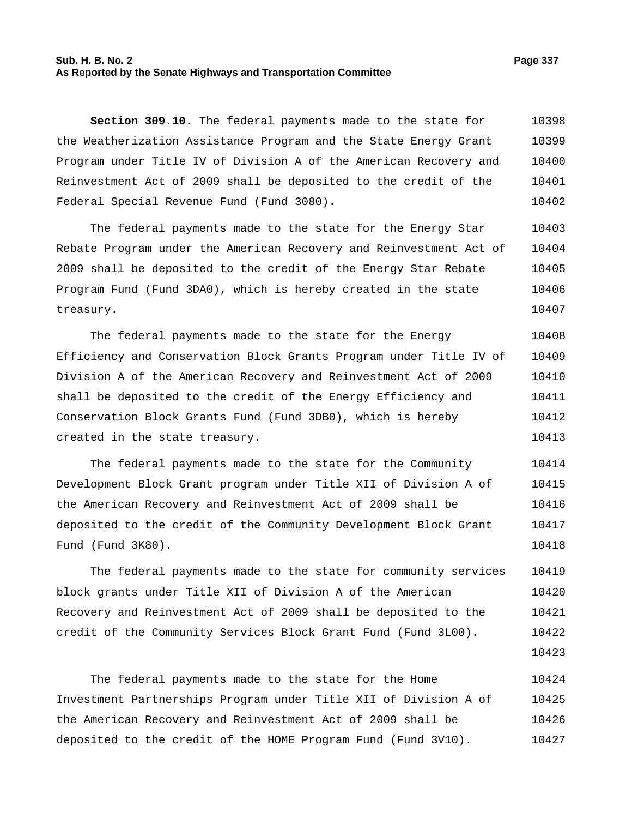#### **Sub. H. B. No. 2 Page 337 As Reported by the Senate Highways and Transportation Committee**

**Section 309.10.** The federal payments made to the state for the Weatherization Assistance Program and the State Energy Grant Program under Title IV of Division A of the American Recovery and Reinvestment Act of 2009 shall be deposited to the credit of the Federal Special Revenue Fund (Fund 3080). 10398 10399 10400 10401 10402

The federal payments made to the state for the Energy Star Rebate Program under the American Recovery and Reinvestment Act of 2009 shall be deposited to the credit of the Energy Star Rebate Program Fund (Fund 3DA0), which is hereby created in the state treasury. 10403 10404 10405 10406 10407

The federal payments made to the state for the Energy Efficiency and Conservation Block Grants Program under Title IV of Division A of the American Recovery and Reinvestment Act of 2009 shall be deposited to the credit of the Energy Efficiency and Conservation Block Grants Fund (Fund 3DB0), which is hereby created in the state treasury. 10408 10409 10410 10411 10412 10413

The federal payments made to the state for the Community Development Block Grant program under Title XII of Division A of the American Recovery and Reinvestment Act of 2009 shall be deposited to the credit of the Community Development Block Grant Fund (Fund 3K80). 10414 10415 10416 10417 10418

The federal payments made to the state for community services block grants under Title XII of Division A of the American Recovery and Reinvestment Act of 2009 shall be deposited to the credit of the Community Services Block Grant Fund (Fund 3L00). 10419 10420 10421 10422

The federal payments made to the state for the Home Investment Partnerships Program under Title XII of Division A of the American Recovery and Reinvestment Act of 2009 shall be deposited to the credit of the HOME Program Fund (Fund 3V10). 10424 10425 10426 10427

10423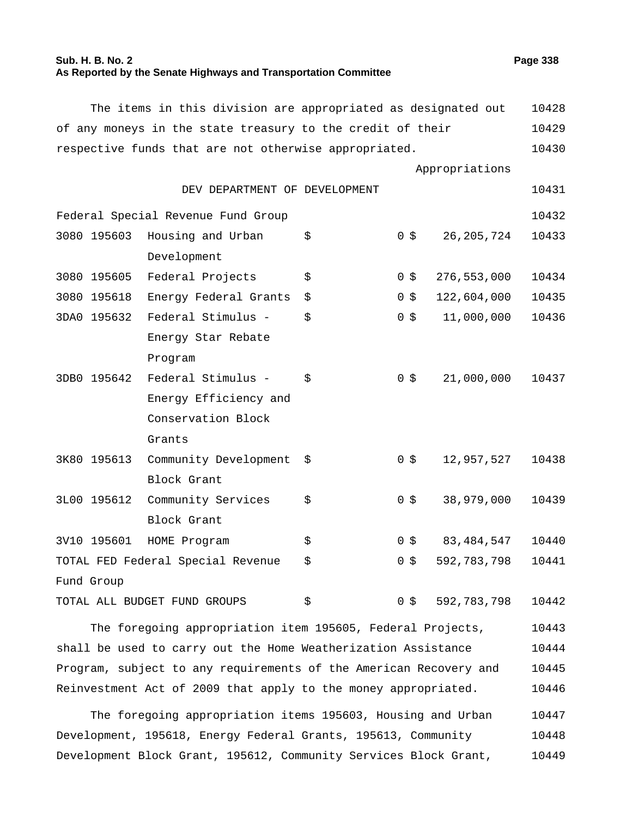#### **Sub. H. B. No. 2 Page 338 As Reported by the Senate Highways and Transportation Committee**

The items in this division are appropriated as designated out of any moneys in the state treasury to the credit of their respective funds that are not otherwise appropriated. 10428 10429 10430 Appropriations DEV DEPARTMENT OF DEVELOPMENT 70431 Federal Special Revenue Fund Group 10432 3080 195603 Housing and Urban Development  $\uparrow$  \$ 0  $\uparrow$  26,205,724 10433 3080 195605 Federal Projects \$ 0 \$ 276,553,000 10434 3080 195618 Energy Federal Grants \$ 0 \$ 122,604,000 10435 3DA0 195632 Federal Stimulus - Energy Star Rebate Program  $$ 0 \t{5} 11,000,000 10436$ 3DB0 195642 Federal Stimulus - Energy Efficiency and Conservation Block Grants  $$ 0 \t{5} 21,000,000 10437$ 3K80 195613 Community Development Block Grant  $\uparrow$  \$ 0  $\uparrow$  12,957,527 10438 3L00 195612 Community Services Block Grant \$ 0 \$ 38,979,000 10439 3V10 195601 HOME Program \$ 0 \$ 83,484,547 10440 TOTAL FED Federal Special Revenue Fund Group  $$ 0 \$ 592,783,798 10441$ TOTAL ALL BUDGET FUND GROUPS \$ 0 \$ 592,783,798 10442

The foregoing appropriation item 195605, Federal Projects, shall be used to carry out the Home Weatherization Assistance Program, subject to any requirements of the American Recovery and Reinvestment Act of 2009 that apply to the money appropriated. 10443 10444 10445 10446

The foregoing appropriation items 195603, Housing and Urban Development, 195618, Energy Federal Grants, 195613, Community Development Block Grant, 195612, Community Services Block Grant, 10447 10448 10449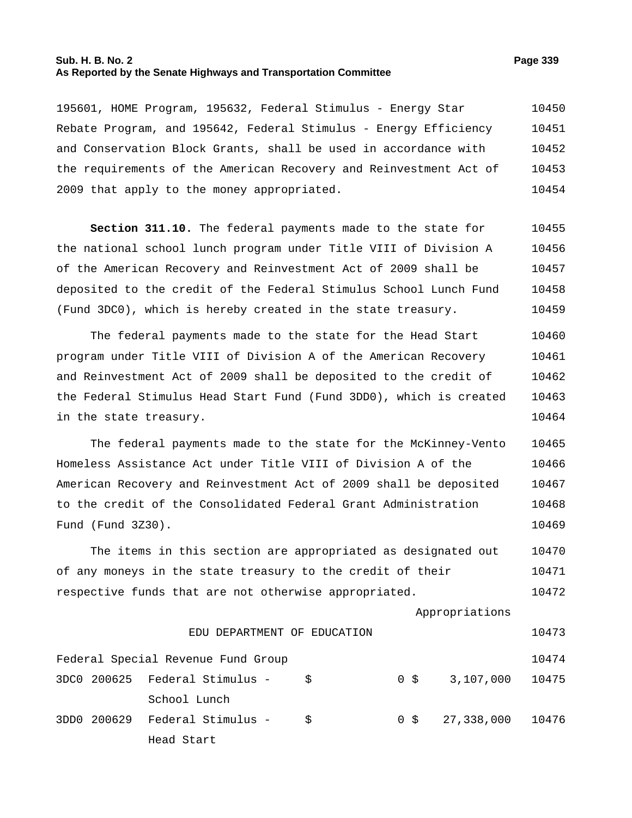# **Sub. H. B. No. 2 Page 339 As Reported by the Senate Highways and Transportation Committee**

195601, HOME Program, 195632, Federal Stimulus - Energy Star Rebate Program, and 195642, Federal Stimulus - Energy Efficiency and Conservation Block Grants, shall be used in accordance with the requirements of the American Recovery and Reinvestment Act of 2009 that apply to the money appropriated. 10450 10451 10452 10453 10454

**Section 311.10.** The federal payments made to the state for the national school lunch program under Title VIII of Division A of the American Recovery and Reinvestment Act of 2009 shall be deposited to the credit of the Federal Stimulus School Lunch Fund (Fund 3DC0), which is hereby created in the state treasury. 10455 10456 10457 10458 10459

The federal payments made to the state for the Head Start program under Title VIII of Division A of the American Recovery and Reinvestment Act of 2009 shall be deposited to the credit of the Federal Stimulus Head Start Fund (Fund 3DD0), which is created in the state treasury. 10460 10461 10462 10463 10464

The federal payments made to the state for the McKinney-Vento Homeless Assistance Act under Title VIII of Division A of the American Recovery and Reinvestment Act of 2009 shall be deposited to the credit of the Consolidated Federal Grant Administration Fund (Fund 3Z30). 10465 10466 10467 10468 10469

The items in this section are appropriated as designated out of any moneys in the state treasury to the credit of their respective funds that are not otherwise appropriated. 10470 10471 10472

Appropriations

# EDU DEPARTMENT OF EDUCATION 10473 Federal Special Revenue Fund Group 10474 3DC0 200625 Federal Stimulus - School Lunch  $\uparrow$  \$ 0  $\uparrow$  3,107,000 10475 3DD0 200629 Federal Stimulus - Head Start  $$ 0 \t$ 27,338,000 10476$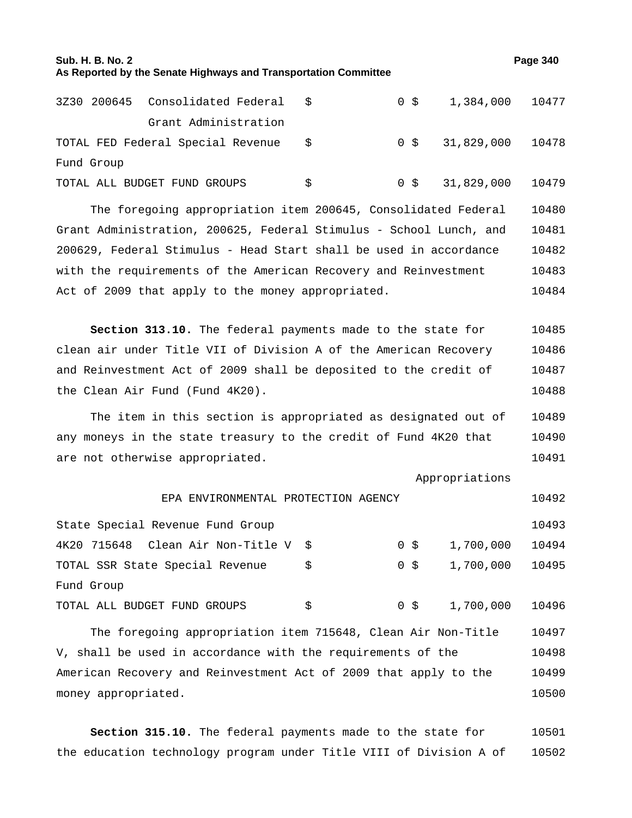| <b>Sub. H. B. No. 2</b><br>As Reported by the Senate Highways and Transportation Committee | <b>Page 340</b> |
|--------------------------------------------------------------------------------------------|-----------------|
| Consolidated Federal<br>3Z30 200645<br>\$<br>$0$ \$<br>1,384,000                           | 10477           |
| Grant Administration                                                                       |                 |
| TOTAL FED Federal Special Revenue<br>31,829,000<br>\$<br>0 \$                              | 10478           |
| Fund Group                                                                                 |                 |
| \$<br>0 <sup>5</sup><br>31,829,000<br>TOTAL ALL BUDGET FUND GROUPS                         | 10479           |
| The foregoing appropriation item 200645, Consolidated Federal                              | 10480           |
| Grant Administration, 200625, Federal Stimulus - School Lunch, and                         | 10481           |
| 200629, Federal Stimulus - Head Start shall be used in accordance                          | 10482           |
| with the requirements of the American Recovery and Reinvestment                            | 10483           |
| Act of 2009 that apply to the money appropriated.                                          | 10484           |
|                                                                                            |                 |
| Section 313.10. The federal payments made to the state for                                 | 10485           |
| clean air under Title VII of Division A of the American Recovery                           | 10486           |
| and Reinvestment Act of 2009 shall be deposited to the credit of                           | 10487           |
| the Clean Air Fund (Fund 4K20).                                                            | 10488           |
| The item in this section is appropriated as designated out of                              | 10489           |
| any moneys in the state treasury to the credit of Fund 4K20 that                           | 10490           |
| are not otherwise appropriated.                                                            | 10491           |
| Appropriations                                                                             |                 |
| EPA ENVIRONMENTAL PROTECTION AGENCY                                                        | 10492           |
| State Special Revenue Fund Group                                                           | 10493           |
| Clean Air Non-Title V<br>$0$ \$<br>1,700,000<br>4K20 715648<br>\$                          | 10494           |
| \$<br>$0$ \$<br>1,700,000<br>TOTAL SSR State Special Revenue                               | 10495           |
| Fund Group                                                                                 |                 |
| $0 \quad $$<br>1,700,000<br>\$<br>TOTAL ALL BUDGET FUND GROUPS                             | 10496           |
| The foregoing appropriation item 715648, Clean Air Non-Title                               | 10497           |
| V, shall be used in accordance with the requirements of the                                | 10498           |
| American Recovery and Reinvestment Act of 2009 that apply to the                           | 10499           |
| money appropriated.                                                                        | 10500           |

**Section 315.10.** The federal payments made to the state for the education technology program under Title VIII of Division A of 10501 10502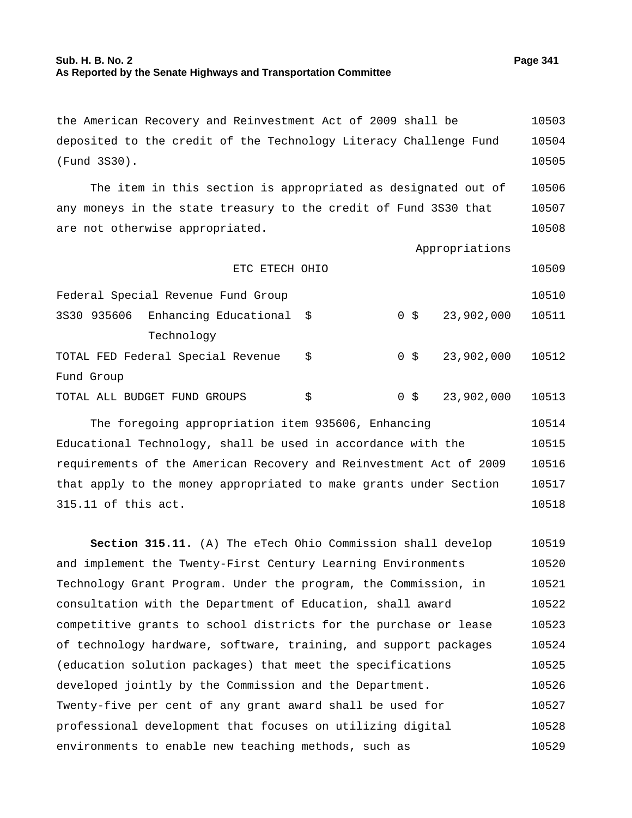# **Sub. H. B. No. 2 Page 341 As Reported by the Senate Highways and Transportation Committee**

|              | the American Recovery and Reinvestment Act of 2009 shall be       |                      |                | 10503 |
|--------------|-------------------------------------------------------------------|----------------------|----------------|-------|
|              | deposited to the credit of the Technology Literacy Challenge Fund |                      |                | 10504 |
| (Fund 3S30). |                                                                   |                      |                | 10505 |
|              | The item in this section is appropriated as designated out of     |                      |                | 10506 |
|              | any moneys in the state treasury to the credit of Fund 3S30 that  |                      |                | 10507 |
|              | are not otherwise appropriated.                                   |                      |                | 10508 |
|              |                                                                   |                      | Appropriations |       |
|              | ETC ETECH OHIO                                                    |                      |                | 10509 |
|              | Federal Special Revenue Fund Group                                |                      |                | 10510 |
|              | 3S30 935606 Enhancing Educational \$                              | 0 <sup>5</sup>       | 23,902,000     | 10511 |
|              | Technology                                                        |                      |                |       |
|              | TOTAL FED Federal Special Revenue                                 | \$<br>0 <sup>5</sup> | 23,902,000     | 10512 |
| Fund Group   |                                                                   |                      |                |       |
|              | TOTAL ALL BUDGET FUND GROUPS                                      | \$<br>0 \$           | 23,902,000     | 10513 |
|              |                                                                   |                      |                |       |

The foregoing appropriation item 935606, Enhancing Educational Technology, shall be used in accordance with the requirements of the American Recovery and Reinvestment Act of 2009 that apply to the money appropriated to make grants under Section 315.11 of this act. 10514 10515 10516 10517 10518

**Section 315.11.** (A) The eTech Ohio Commission shall develop and implement the Twenty-First Century Learning Environments Technology Grant Program. Under the program, the Commission, in consultation with the Department of Education, shall award competitive grants to school districts for the purchase or lease of technology hardware, software, training, and support packages (education solution packages) that meet the specifications developed jointly by the Commission and the Department. Twenty-five per cent of any grant award shall be used for professional development that focuses on utilizing digital environments to enable new teaching methods, such as 10519 10520 10521 10522 10523 10524 10525 10526 10527 10528 10529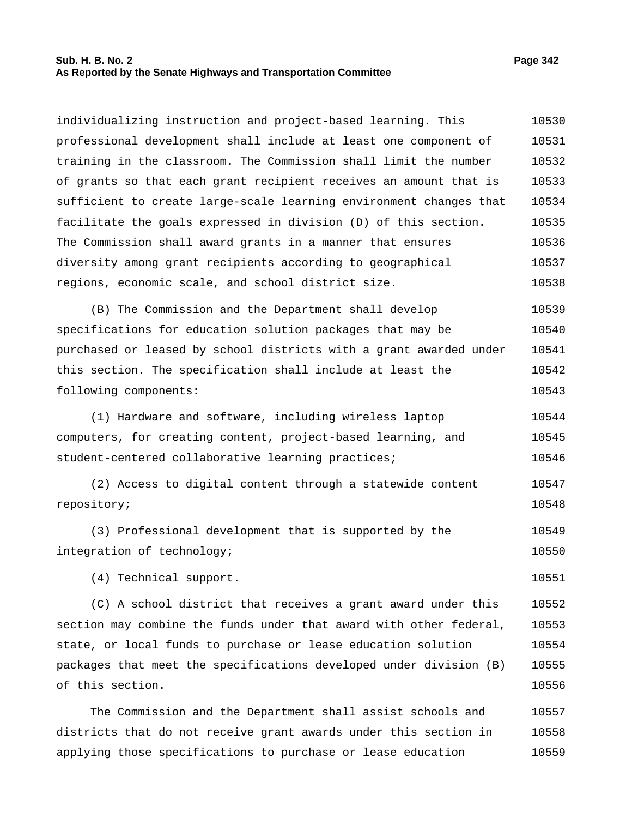#### **Sub. H. B. No. 2 Page 342 As Reported by the Senate Highways and Transportation Committee**

individualizing instruction and project-based learning. This professional development shall include at least one component of training in the classroom. The Commission shall limit the number of grants so that each grant recipient receives an amount that is sufficient to create large-scale learning environment changes that facilitate the goals expressed in division (D) of this section. The Commission shall award grants in a manner that ensures diversity among grant recipients according to geographical regions, economic scale, and school district size. 10530 10531 10532 10533 10534 10535 10536 10537 10538

(B) The Commission and the Department shall develop specifications for education solution packages that may be purchased or leased by school districts with a grant awarded under this section. The specification shall include at least the following components: 10539 10540 10541 10542 10543

(1) Hardware and software, including wireless laptop computers, for creating content, project-based learning, and student-centered collaborative learning practices; 10544 10545 10546

```
(2) Access to digital content through a statewide content
repository;
                                                                       10547
                                                                       10548
```
(3) Professional development that is supported by the integration of technology; 10549 10550

(4) Technical support. 10551

(C) A school district that receives a grant award under this section may combine the funds under that award with other federal, state, or local funds to purchase or lease education solution packages that meet the specifications developed under division (B) of this section. 10552 10553 10554 10555 10556

The Commission and the Department shall assist schools and districts that do not receive grant awards under this section in applying those specifications to purchase or lease education 10557 10558 10559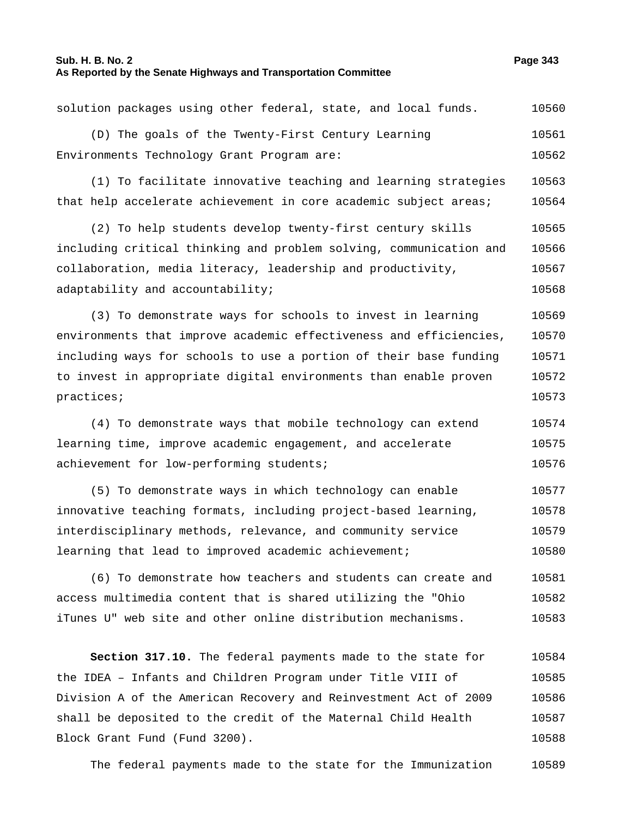### **Sub. H. B. No. 2 Page 343 As Reported by the Senate Highways and Transportation Committee**

solution packages using other federal, state, and local funds.  $10560$ 

(D) The goals of the Twenty-First Century Learning Environments Technology Grant Program are: 10561 10562

(1) To facilitate innovative teaching and learning strategies that help accelerate achievement in core academic subject areas; 10563 10564

(2) To help students develop twenty-first century skills including critical thinking and problem solving, communication and collaboration, media literacy, leadership and productivity, adaptability and accountability; 10565 10566 10567 10568

(3) To demonstrate ways for schools to invest in learning environments that improve academic effectiveness and efficiencies, including ways for schools to use a portion of their base funding to invest in appropriate digital environments than enable proven practices; 10569 10570 10571 10572 10573

(4) To demonstrate ways that mobile technology can extend learning time, improve academic engagement, and accelerate achievement for low-performing students; 10574 10575 10576

(5) To demonstrate ways in which technology can enable innovative teaching formats, including project-based learning, interdisciplinary methods, relevance, and community service learning that lead to improved academic achievement; 10577 10578 10579 10580

(6) To demonstrate how teachers and students can create and access multimedia content that is shared utilizing the "Ohio iTunes U" web site and other online distribution mechanisms. 10581 10582 10583

**Section 317.10.** The federal payments made to the state for the IDEA – Infants and Children Program under Title VIII of Division A of the American Recovery and Reinvestment Act of 2009 shall be deposited to the credit of the Maternal Child Health Block Grant Fund (Fund 3200). 10584 10585 10586 10587 10588

The federal payments made to the state for the Immunization 10589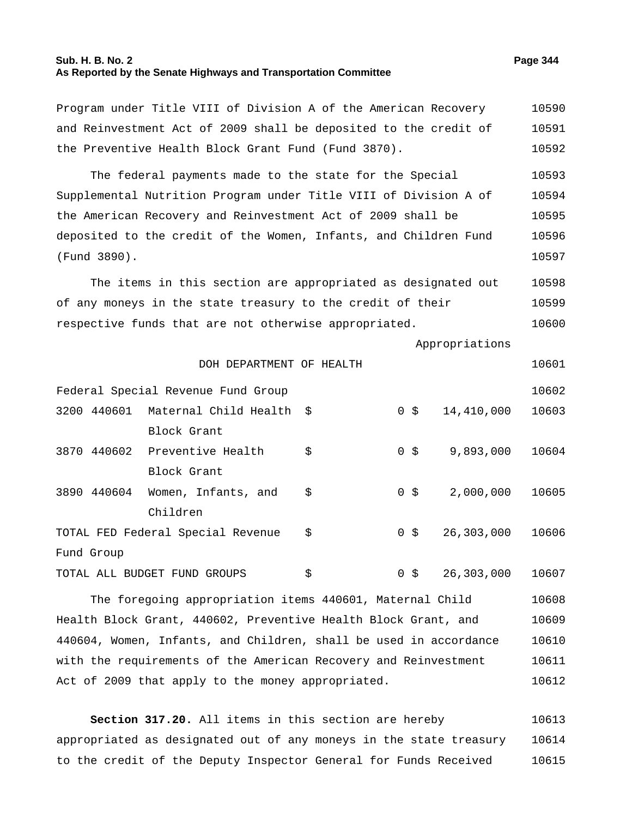#### **Sub. H. B. No. 2 Page 344 As Reported by the Senate Highways and Transportation Committee**

Program under Title VIII of Division A of the American Recovery and Reinvestment Act of 2009 shall be deposited to the credit of the Preventive Health Block Grant Fund (Fund 3870). 10590 10591 10592 The federal payments made to the state for the Special Supplemental Nutrition Program under Title VIII of Division A of the American Recovery and Reinvestment Act of 2009 shall be deposited to the credit of the Women, Infants, and Children Fund (Fund 3890). 10593 10594 10595 10596 10597 The items in this section are appropriated as designated out of any moneys in the state treasury to the credit of their respective funds that are not otherwise appropriated. 10598 10599 10600 Appropriations DOH DEPARTMENT OF HEALTH 10601 Federal Special Revenue Fund Group 10602 3200 440601 Maternal Child Health Block Grant  $\sin 0^\circ$   $\sin 14,410,000$  10603 3870 440602 Preventive Health Block Grant  $$ 0 \t$ 9,893,000 10604$ 3890 440604 Women, Infants, and Children  $\uparrow$  \$ 0  $\uparrow$  2,000,000 10605 TOTAL FED Federal Special Revenue Fund Group  $$ 0 \t$ 26,303,000 10606$ TOTAL ALL BUDGET FUND GROUPS \$ 0 \$ 26,303,000 10607

The foregoing appropriation items 440601, Maternal Child Health Block Grant, 440602, Preventive Health Block Grant, and 440604, Women, Infants, and Children, shall be used in accordance with the requirements of the American Recovery and Reinvestment Act of 2009 that apply to the money appropriated. 10608 10609 10610 10611 10612

**Section 317.20.** All items in this section are hereby appropriated as designated out of any moneys in the state treasury to the credit of the Deputy Inspector General for Funds Received 10613 10614 10615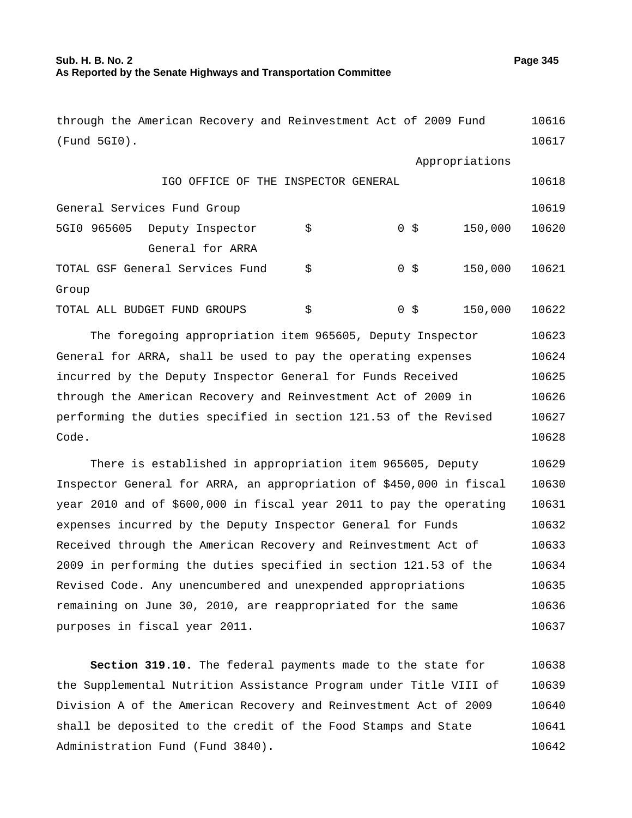# **Sub. H. B. No. 2 Page 345 As Reported by the Senate Highways and Transportation Committee**

through the American Recovery and Reinvestment Act of 2009 Fund (Fund 5GI0). 10616 10617 Appropriations IGO OFFICE OF THE INSPECTOR GENERAL 10618 General Services Fund Group 10619 5GI0 965605 Deputy Inspector General for ARRA  $$ 0 \t$ 150,000 10620$ TOTAL GSF General Services Fund Group  $$ 0 \t$ 150,000 10621$ TOTAL ALL BUDGET FUND GROUPS  $\begin{array}{ccc} \xi & 0 & \xi & 150,000 & 10622 \end{array}$ 

The foregoing appropriation item 965605, Deputy Inspector General for ARRA, shall be used to pay the operating expenses incurred by the Deputy Inspector General for Funds Received through the American Recovery and Reinvestment Act of 2009 in performing the duties specified in section 121.53 of the Revised Code. 10623 10624 10625 10626 10627 10628

There is established in appropriation item 965605, Deputy Inspector General for ARRA, an appropriation of \$450,000 in fiscal year 2010 and of \$600,000 in fiscal year 2011 to pay the operating expenses incurred by the Deputy Inspector General for Funds Received through the American Recovery and Reinvestment Act of 2009 in performing the duties specified in section 121.53 of the Revised Code. Any unencumbered and unexpended appropriations remaining on June 30, 2010, are reappropriated for the same purposes in fiscal year 2011. 10629 10630 10631 10632 10633 10634 10635 10636 10637

**Section 319.10.** The federal payments made to the state for the Supplemental Nutrition Assistance Program under Title VIII of Division A of the American Recovery and Reinvestment Act of 2009 shall be deposited to the credit of the Food Stamps and State Administration Fund (Fund 3840). 10638 10639 10640 10641 10642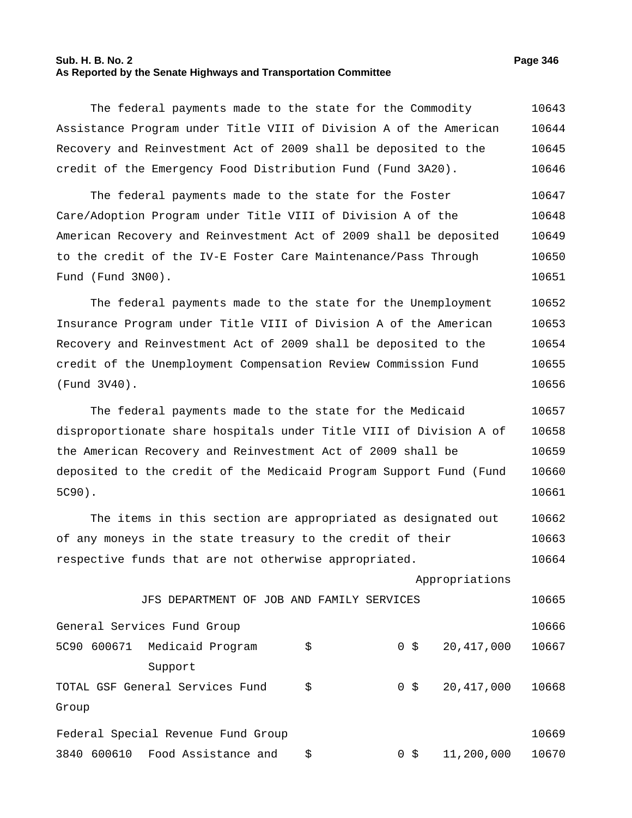#### **Sub. H. B. No. 2 Page 346 As Reported by the Senate Highways and Transportation Committee**

The federal payments made to the state for the Commodity Assistance Program under Title VIII of Division A of the American Recovery and Reinvestment Act of 2009 shall be deposited to the credit of the Emergency Food Distribution Fund (Fund 3A20). 10643 10644 10645 10646

The federal payments made to the state for the Foster Care/Adoption Program under Title VIII of Division A of the American Recovery and Reinvestment Act of 2009 shall be deposited to the credit of the IV-E Foster Care Maintenance/Pass Through Fund (Fund 3N00). 10647 10648 10649 10650 10651

The federal payments made to the state for the Unemployment Insurance Program under Title VIII of Division A of the American Recovery and Reinvestment Act of 2009 shall be deposited to the credit of the Unemployment Compensation Review Commission Fund (Fund 3V40). 10652 10653 10654 10655 10656

The federal payments made to the state for the Medicaid disproportionate share hospitals under Title VIII of Division A of the American Recovery and Reinvestment Act of 2009 shall be deposited to the credit of the Medicaid Program Support Fund (Fund 5C90). 10657 10658 10659 10660 10661

The items in this section are appropriated as designated out of any moneys in the state treasury to the credit of their respective funds that are not otherwise appropriated. 10662 10663 10664

Appropriations

|                             | JFS DEPARTMENT OF JOB AND FAMILY SERVICES |            |            | 10665 |
|-----------------------------|-------------------------------------------|------------|------------|-------|
| General Services Fund Group |                                           |            |            | 10666 |
| 5C90 600671                 | Medicaid Program                          | \$<br>0 \$ | 20,417,000 | 10667 |
|                             | Support                                   |            |            |       |
|                             | TOTAL GSF General Services Fund           | \$<br>0 \$ | 20,417,000 | 10668 |
| Group                       |                                           |            |            |       |
|                             | Federal Special Revenue Fund Group        |            |            | 10669 |
| 3840<br>600610              | Food Assistance and                       | 0 \$       | 11,200,000 | 10670 |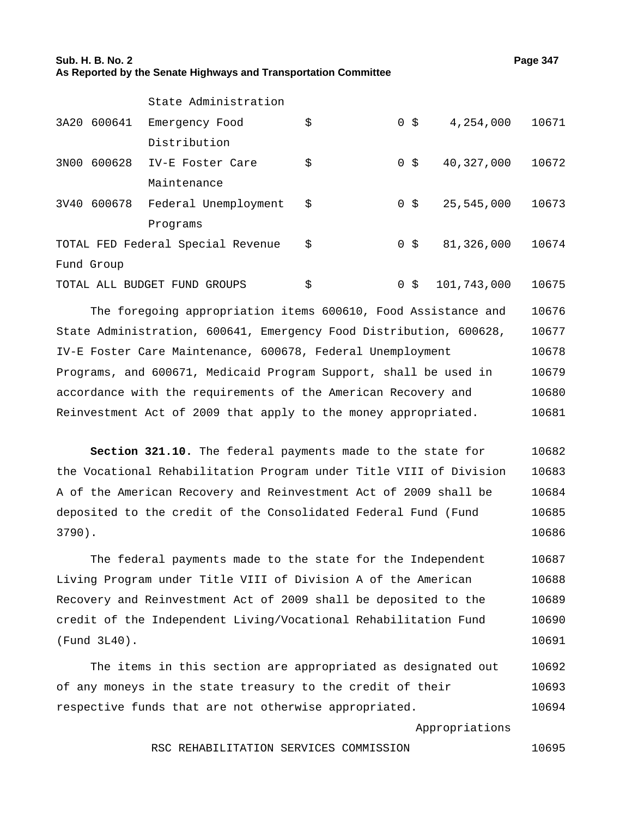| Sub. H. B. No. 2 | As Reported by the Senate Highways and Transportation Committee    |                      |             | Page 347 |
|------------------|--------------------------------------------------------------------|----------------------|-------------|----------|
|                  | State Administration                                               |                      |             |          |
| 3A20 600641      | Emergency Food                                                     | \$<br>0 \$           | 4,254,000   | 10671    |
|                  | Distribution                                                       |                      |             |          |
| 3N00 600628      | IV-E Foster Care                                                   | \$<br>0 \$           | 40,327,000  | 10672    |
|                  | Maintenance                                                        |                      |             |          |
| 3V40 600678      | Federal Unemployment                                               | \$<br>0 <sup>5</sup> | 25,545,000  | 10673    |
|                  | Programs                                                           |                      |             |          |
|                  | TOTAL FED Federal Special Revenue                                  | \$<br>0 <sup>5</sup> | 81,326,000  | 10674    |
| Fund Group       |                                                                    |                      |             |          |
|                  | TOTAL ALL BUDGET FUND GROUPS                                       | \$<br>0 \$           | 101,743,000 | 10675    |
|                  | The foregoing appropriation items 600610, Food Assistance and      |                      |             | 10676    |
|                  | State Administration, 600641, Emergency Food Distribution, 600628, |                      |             | 10677    |
|                  | IV-E Foster Care Maintenance, 600678, Federal Unemployment         |                      |             | 10678    |
|                  | Programs, and 600671, Medicaid Program Support, shall be used in   |                      |             | 10679    |
|                  | accordance with the requirements of the American Recovery and      |                      |             | 10680    |
|                  | Reinvestment Act of 2009 that apply to the money appropriated.     |                      |             | 10681    |
|                  |                                                                    |                      |             |          |
|                  | Section 321.10. The federal payments made to the state for         |                      |             | 10682    |
|                  | the Vocational Rehabilitation Program under Title VIII of Division |                      |             | 10683    |

A of the American Recovery and Reinvestment Act of 2009 shall be deposited to the credit of the Consolidated Federal Fund (Fund 3790). 10684 10685 10686

The federal payments made to the state for the Independent Living Program under Title VIII of Division A of the American Recovery and Reinvestment Act of 2009 shall be deposited to the credit of the Independent Living/Vocational Rehabilitation Fund (Fund 3L40). 10687 10688 10689 10690 10691

The items in this section are appropriated as designated out of any moneys in the state treasury to the credit of their respective funds that are not otherwise appropriated. 10692 10693 10694

Appropriations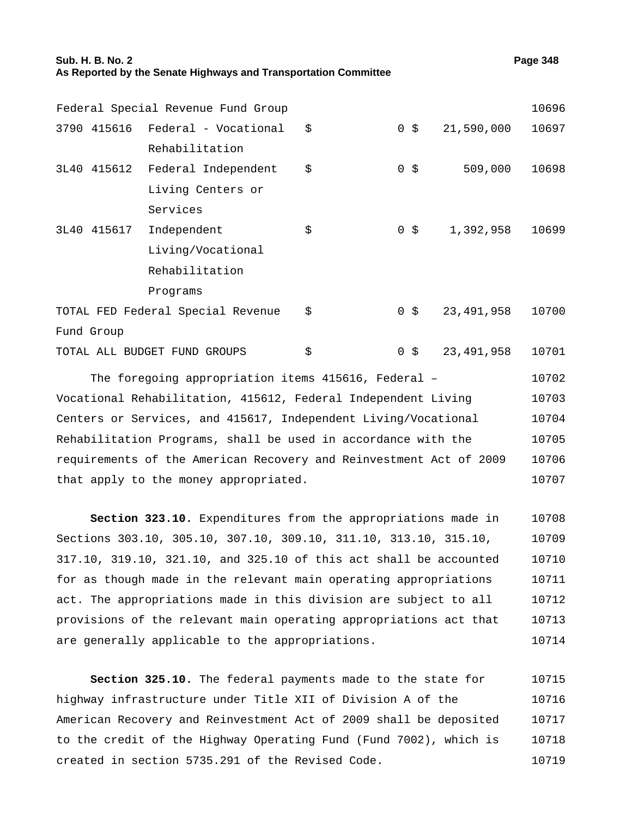|             | As Reported by the Senate Highways and Transportation Committee |                   |            |       |
|-------------|-----------------------------------------------------------------|-------------------|------------|-------|
|             | Federal Special Revenue Fund Group                              |                   |            | 10696 |
|             | 3790 415616 Federal - Vocational                                | \$<br>$0 \quad $$ | 21,590,000 | 10697 |
|             | Rehabilitation                                                  |                   |            |       |
|             | 3L40 415612 Federal Independent                                 | \$<br>$0 \quad $$ | 509,000    | 10698 |
|             | Living Centers or                                               |                   |            |       |
|             | Services                                                        |                   |            |       |
| 3L40 415617 | Independent                                                     | \$<br>$0 \quad $$ | 1,392,958  | 10699 |
|             | Living/Vocational                                               |                   |            |       |
|             | Rehabilitation                                                  |                   |            |       |
|             | Programs                                                        |                   |            |       |
|             | TOTAL FED Federal Special Revenue                               | \$<br>$0 \quad $$ | 23,491,958 | 10700 |
| Fund Group  |                                                                 |                   |            |       |
|             | TOTAL ALL BUDGET FUND GROUPS                                    | \$<br>0 \$        | 23,491,958 | 10701 |
|             |                                                                 |                   |            |       |

**Sub. H. B. No. 2 Page 348**

The foregoing appropriation items 415616, Federal – Vocational Rehabilitation, 415612, Federal Independent Living Centers or Services, and 415617, Independent Living/Vocational Rehabilitation Programs, shall be used in accordance with the requirements of the American Recovery and Reinvestment Act of 2009 that apply to the money appropriated. 10702 10703 10704 10705 10706 10707

**Section 323.10.** Expenditures from the appropriations made in Sections 303.10, 305.10, 307.10, 309.10, 311.10, 313.10, 315.10, 317.10, 319.10, 321.10, and 325.10 of this act shall be accounted for as though made in the relevant main operating appropriations act. The appropriations made in this division are subject to all provisions of the relevant main operating appropriations act that are generally applicable to the appropriations. 10708 10709 10710 10711 10712 10713 10714

**Section 325.10.** The federal payments made to the state for highway infrastructure under Title XII of Division A of the American Recovery and Reinvestment Act of 2009 shall be deposited to the credit of the Highway Operating Fund (Fund 7002), which is created in section 5735.291 of the Revised Code. 10715 10716 10717 10718 10719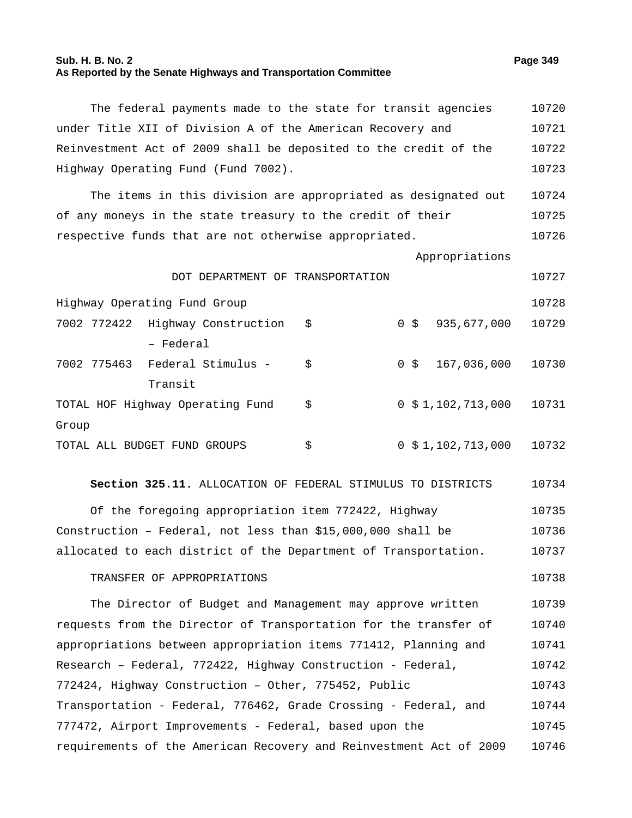#### **Sub. H. B. No. 2 Page 349 As Reported by the Senate Highways and Transportation Committee**

The federal payments made to the state for transit agencies under Title XII of Division A of the American Recovery and Reinvestment Act of 2009 shall be deposited to the credit of the Highway Operating Fund (Fund 7002). 10720 10721 10722 10723

The items in this division are appropriated as designated out of any moneys in the state treasury to the credit of their respective funds that are not otherwise appropriated. 10724 10725 10726

Appropriations

|             | DOT DEPARTMENT OF TRANSPORTATION |    |      |                         | 10727 |
|-------------|----------------------------------|----|------|-------------------------|-------|
|             | Highway Operating Fund Group     |    |      |                         | 10728 |
| 7002 772422 | Highway Construction             | \$ | 0 \$ | 935,677,000             | 10729 |
|             | - Federal                        |    |      |                         |       |
| 7002 775463 | Federal Stimulus -               | \$ | 0 \$ | 167,036,000             | 10730 |
|             | Transit                          |    |      |                         |       |
|             | TOTAL HOF Highway Operating Fund | \$ |      | $0$ \$ 1,102,713,000    | 10731 |
| Group       |                                  |    |      |                         |       |
|             | TOTAL ALL BUDGET FUND<br>GROUPS  | \$ |      | $0$ \$ 1, 102, 713, 000 | 10732 |

**Section 325.11.** ALLOCATION OF FEDERAL STIMULUS TO DISTRICTS 10734 Of the foregoing appropriation item 772422, Highway Construction – Federal, not less than \$15,000,000 shall be allocated to each district of the Department of Transportation. 10735 10736 10737

#### TRANSFER OF APPROPRIATIONS **10738**

The Director of Budget and Management may approve written requests from the Director of Transportation for the transfer of appropriations between appropriation items 771412, Planning and Research – Federal, 772422, Highway Construction - Federal, 772424, Highway Construction – Other, 775452, Public Transportation - Federal, 776462, Grade Crossing - Federal, and 777472, Airport Improvements - Federal, based upon the requirements of the American Recovery and Reinvestment Act of 2009 10739 10740 10741 10742 10743 10744 10745 10746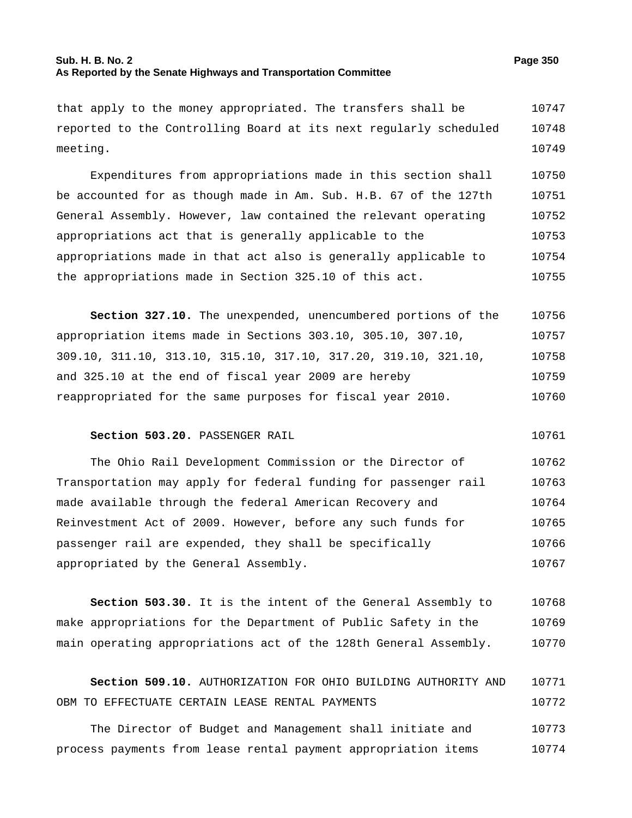#### **Sub. H. B. No. 2 Page 350 As Reported by the Senate Highways and Transportation Committee**

that apply to the money appropriated. The transfers shall be reported to the Controlling Board at its next regularly scheduled meeting. 10747 10748 10749 Expenditures from appropriations made in this section shall be accounted for as though made in Am. Sub. H.B. 67 of the 127th General Assembly. However, law contained the relevant operating appropriations act that is generally applicable to the appropriations made in that act also is generally applicable to the appropriations made in Section 325.10 of this act. 10750 10751 10752 10753 10754 10755 **Section 327.10.** The unexpended, unencumbered portions of the 10756

appropriation items made in Sections 303.10, 305.10, 307.10, 309.10, 311.10, 313.10, 315.10, 317.10, 317.20, 319.10, 321.10, and 325.10 at the end of fiscal year 2009 are hereby reappropriated for the same purposes for fiscal year 2010. 10757 10758 10759 10760

#### **Section 503.20.** PASSENGER RAIL 10761

The Ohio Rail Development Commission or the Director of Transportation may apply for federal funding for passenger rail made available through the federal American Recovery and Reinvestment Act of 2009. However, before any such funds for passenger rail are expended, they shall be specifically appropriated by the General Assembly. 10762 10763 10764 10765 10766 10767

**Section 503.30.** It is the intent of the General Assembly to make appropriations for the Department of Public Safety in the main operating appropriations act of the 128th General Assembly. 10768 10769 10770

**Section 509.10.** AUTHORIZATION FOR OHIO BUILDING AUTHORITY AND OBM TO EFFECTUATE CERTAIN LEASE RENTAL PAYMENTS 10771 10772

The Director of Budget and Management shall initiate and process payments from lease rental payment appropriation items 10773 10774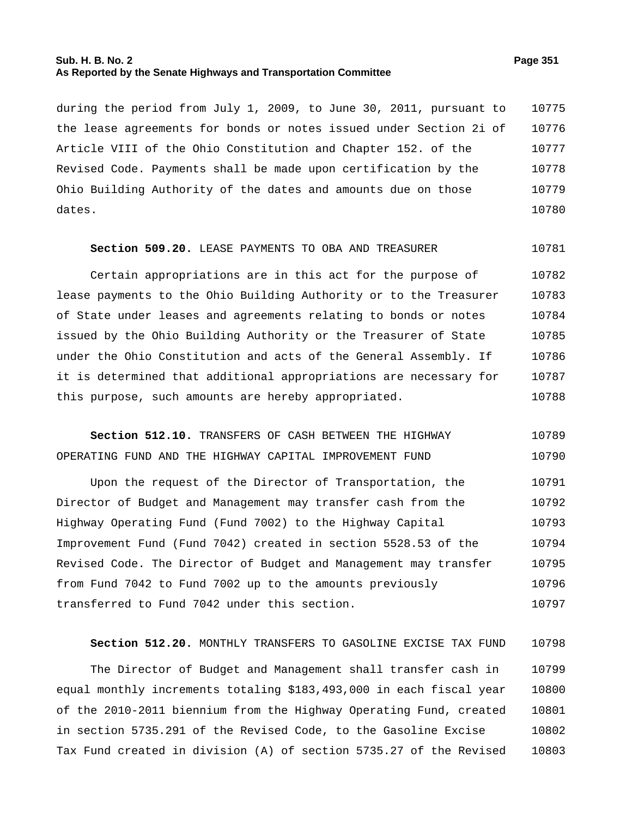#### **Sub. H. B. No. 2 Page 351 As Reported by the Senate Highways and Transportation Committee**

during the period from July 1, 2009, to June 30, 2011, pursuant to the lease agreements for bonds or notes issued under Section 2i of Article VIII of the Ohio Constitution and Chapter 152. of the Revised Code. Payments shall be made upon certification by the Ohio Building Authority of the dates and amounts due on those dates. 10775 10776 10777 10778 10779 10780

#### **Section 509.20.** LEASE PAYMENTS TO OBA AND TREASURER 10781

Certain appropriations are in this act for the purpose of lease payments to the Ohio Building Authority or to the Treasurer of State under leases and agreements relating to bonds or notes issued by the Ohio Building Authority or the Treasurer of State under the Ohio Constitution and acts of the General Assembly. If it is determined that additional appropriations are necessary for this purpose, such amounts are hereby appropriated. 10782 10783 10784 10785 10786 10787 10788

**Section 512.10.** TRANSFERS OF CASH BETWEEN THE HIGHWAY OPERATING FUND AND THE HIGHWAY CAPITAL IMPROVEMENT FUND 10789 10790

Upon the request of the Director of Transportation, the Director of Budget and Management may transfer cash from the Highway Operating Fund (Fund 7002) to the Highway Capital Improvement Fund (Fund 7042) created in section 5528.53 of the Revised Code. The Director of Budget and Management may transfer from Fund 7042 to Fund 7002 up to the amounts previously transferred to Fund 7042 under this section. 10791 10792 10793 10794 10795 10796 10797

#### **Section 512.20.** MONTHLY TRANSFERS TO GASOLINE EXCISE TAX FUND 10798

The Director of Budget and Management shall transfer cash in equal monthly increments totaling \$183,493,000 in each fiscal year of the 2010-2011 biennium from the Highway Operating Fund, created in section 5735.291 of the Revised Code, to the Gasoline Excise Tax Fund created in division (A) of section 5735.27 of the Revised 10799 10800 10801 10802 10803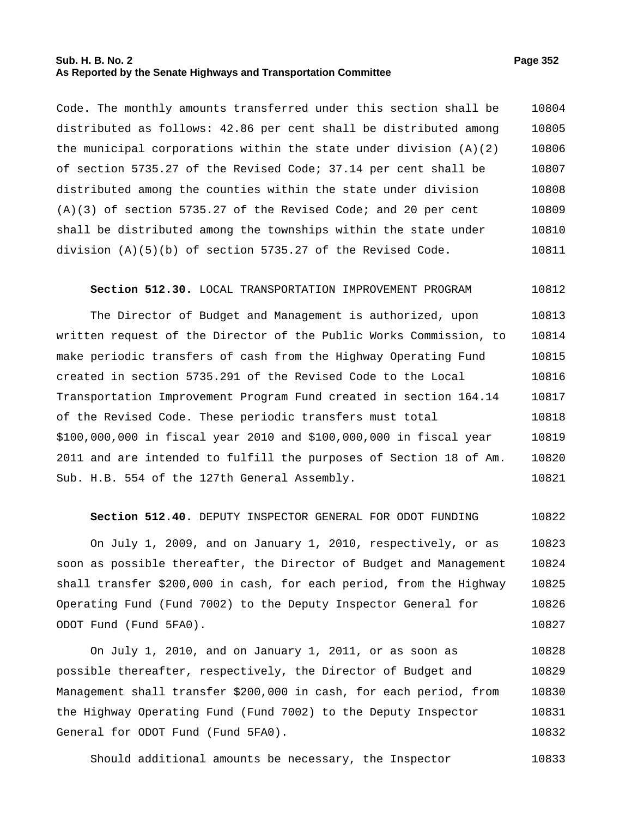#### **Sub. H. B. No. 2 Page 352 As Reported by the Senate Highways and Transportation Committee**

Code. The monthly amounts transferred under this section shall be distributed as follows: 42.86 per cent shall be distributed among the municipal corporations within the state under division  $(A)(2)$ of section 5735.27 of the Revised Code; 37.14 per cent shall be distributed among the counties within the state under division (A)(3) of section 5735.27 of the Revised Code; and 20 per cent 10804 10805 10806 10807 10808 10809

shall be distributed among the townships within the state under division (A)(5)(b) of section 5735.27 of the Revised Code. 10810 10811

#### **Section 512.30.** LOCAL TRANSPORTATION IMPROVEMENT PROGRAM 10812

The Director of Budget and Management is authorized, upon written request of the Director of the Public Works Commission, to make periodic transfers of cash from the Highway Operating Fund created in section 5735.291 of the Revised Code to the Local Transportation Improvement Program Fund created in section 164.14 of the Revised Code. These periodic transfers must total \$100,000,000 in fiscal year 2010 and \$100,000,000 in fiscal year 2011 and are intended to fulfill the purposes of Section 18 of Am. Sub. H.B. 554 of the 127th General Assembly. 10813 10814 10815 10816 10817 10818 10819 10820 10821

#### **Section 512.40.** DEPUTY INSPECTOR GENERAL FOR ODOT FUNDING 10822

On July 1, 2009, and on January 1, 2010, respectively, or as soon as possible thereafter, the Director of Budget and Management shall transfer \$200,000 in cash, for each period, from the Highway Operating Fund (Fund 7002) to the Deputy Inspector General for ODOT Fund (Fund 5FA0). 10823 10824 10825 10826 10827

On July 1, 2010, and on January 1, 2011, or as soon as possible thereafter, respectively, the Director of Budget and Management shall transfer \$200,000 in cash, for each period, from the Highway Operating Fund (Fund 7002) to the Deputy Inspector General for ODOT Fund (Fund 5FA0). 10828 10829 10830 10831 10832

Should additional amounts be necessary, the Inspector 10833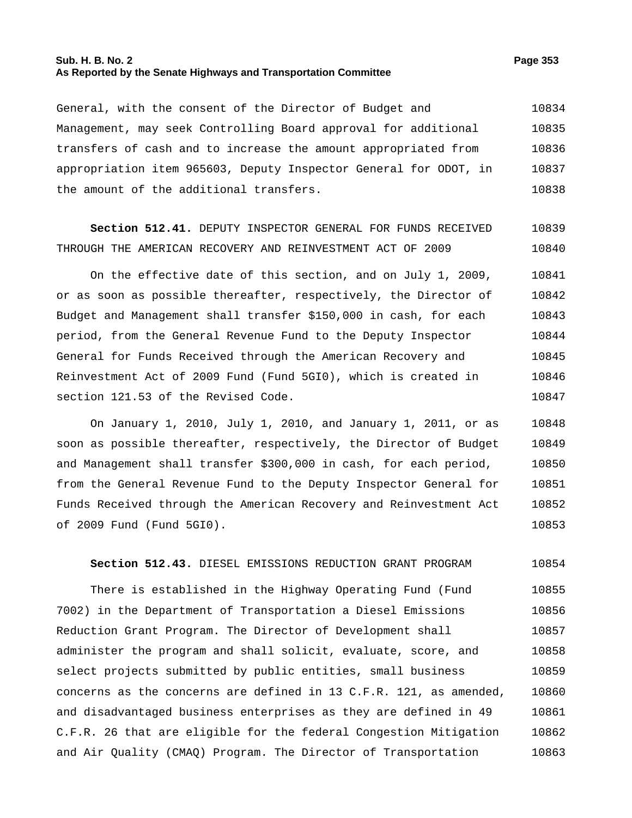# **Sub. H. B. No. 2 Page 353 As Reported by the Senate Highways and Transportation Committee**

General, with the consent of the Director of Budget and Management, may seek Controlling Board approval for additional transfers of cash and to increase the amount appropriated from appropriation item 965603, Deputy Inspector General for ODOT, in the amount of the additional transfers. 10834 10835 10836 10837 10838

**Section 512.41.** DEPUTY INSPECTOR GENERAL FOR FUNDS RECEIVED THROUGH THE AMERICAN RECOVERY AND REINVESTMENT ACT OF 2009 10839 10840

On the effective date of this section, and on July 1, 2009, or as soon as possible thereafter, respectively, the Director of Budget and Management shall transfer \$150,000 in cash, for each period, from the General Revenue Fund to the Deputy Inspector General for Funds Received through the American Recovery and Reinvestment Act of 2009 Fund (Fund 5GI0), which is created in section 121.53 of the Revised Code. 10841 10842 10843 10844 10845 10846 10847

On January 1, 2010, July 1, 2010, and January 1, 2011, or as soon as possible thereafter, respectively, the Director of Budget and Management shall transfer \$300,000 in cash, for each period, from the General Revenue Fund to the Deputy Inspector General for Funds Received through the American Recovery and Reinvestment Act of 2009 Fund (Fund 5GI0). 10848 10849 10850 10851 10852 10853

**Section 512.43.** DIESEL EMISSIONS REDUCTION GRANT PROGRAM 10854

There is established in the Highway Operating Fund (Fund 7002) in the Department of Transportation a Diesel Emissions Reduction Grant Program. The Director of Development shall administer the program and shall solicit, evaluate, score, and select projects submitted by public entities, small business concerns as the concerns are defined in 13 C.F.R. 121, as amended, and disadvantaged business enterprises as they are defined in 49 C.F.R. 26 that are eligible for the federal Congestion Mitigation and Air Quality (CMAQ) Program. The Director of Transportation 10855 10856 10857 10858 10859 10860 10861 10862 10863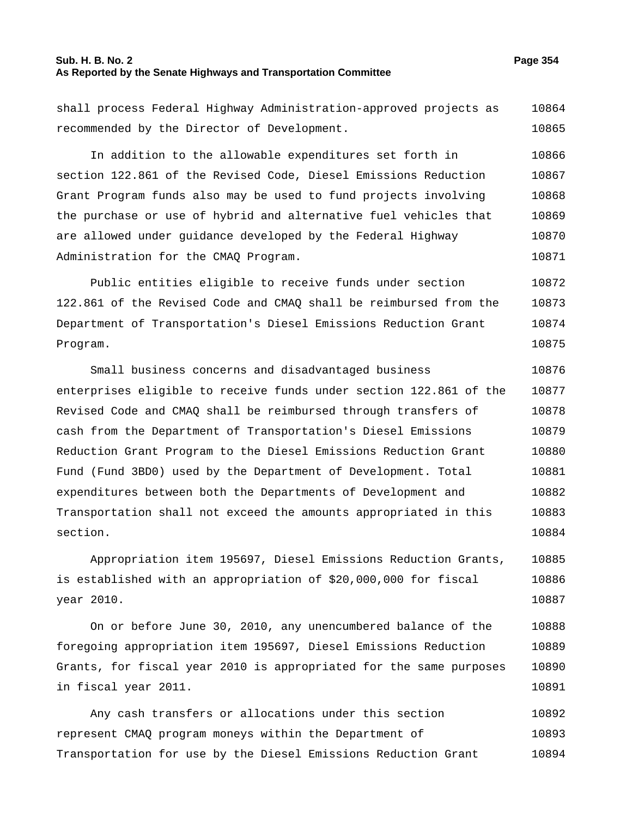#### **Sub. H. B. No. 2 Page 354 As Reported by the Senate Highways and Transportation Committee**

shall process Federal Highway Administration-approved projects as recommended by the Director of Development. 10864 10865

In addition to the allowable expenditures set forth in section 122.861 of the Revised Code, Diesel Emissions Reduction Grant Program funds also may be used to fund projects involving the purchase or use of hybrid and alternative fuel vehicles that are allowed under guidance developed by the Federal Highway Administration for the CMAQ Program. 10866 10867 10868 10869 10870 10871

Public entities eligible to receive funds under section 122.861 of the Revised Code and CMAQ shall be reimbursed from the Department of Transportation's Diesel Emissions Reduction Grant Program. 10872 10873 10874 10875

Small business concerns and disadvantaged business enterprises eligible to receive funds under section 122.861 of the Revised Code and CMAQ shall be reimbursed through transfers of cash from the Department of Transportation's Diesel Emissions Reduction Grant Program to the Diesel Emissions Reduction Grant Fund (Fund 3BD0) used by the Department of Development. Total expenditures between both the Departments of Development and Transportation shall not exceed the amounts appropriated in this section. 10876 10877 10878 10879 10880 10881 10882 10883 10884

Appropriation item 195697, Diesel Emissions Reduction Grants, is established with an appropriation of \$20,000,000 for fiscal year 2010. 10885 10886 10887

On or before June 30, 2010, any unencumbered balance of the foregoing appropriation item 195697, Diesel Emissions Reduction Grants, for fiscal year 2010 is appropriated for the same purposes in fiscal year 2011. 10888 10889 10890 10891

Any cash transfers or allocations under this section represent CMAQ program moneys within the Department of Transportation for use by the Diesel Emissions Reduction Grant 10892 10893 10894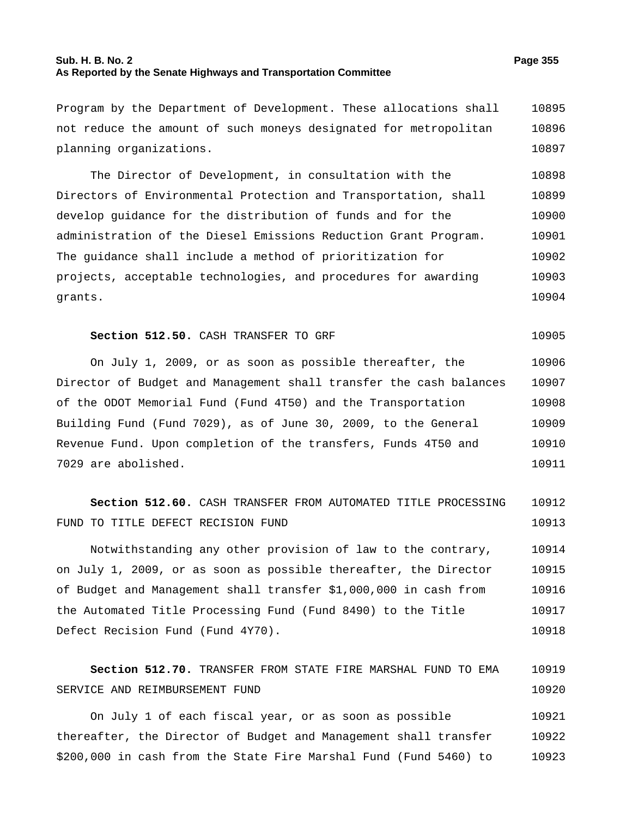#### **Sub. H. B. No. 2 Page 355 As Reported by the Senate Highways and Transportation Committee**

Program by the Department of Development. These allocations shall not reduce the amount of such moneys designated for metropolitan planning organizations. 10895 10896 10897 The Director of Development, in consultation with the Directors of Environmental Protection and Transportation, shall develop guidance for the distribution of funds and for the administration of the Diesel Emissions Reduction Grant Program. The guidance shall include a method of prioritization for projects, acceptable technologies, and procedures for awarding grants. 10898 10899 10900 10901 10902 10903 10904

**Section 512.50.** CASH TRANSFER TO GRF 10905

On July 1, 2009, or as soon as possible thereafter, the Director of Budget and Management shall transfer the cash balances of the ODOT Memorial Fund (Fund 4T50) and the Transportation Building Fund (Fund 7029), as of June 30, 2009, to the General Revenue Fund. Upon completion of the transfers, Funds 4T50 and 7029 are abolished. 10906 10907 10908 10909 10910 10911

**Section 512.60.** CASH TRANSFER FROM AUTOMATED TITLE PROCESSING FUND TO TITLE DEFECT RECISION FUND 10912 10913

Notwithstanding any other provision of law to the contrary, on July 1, 2009, or as soon as possible thereafter, the Director of Budget and Management shall transfer \$1,000,000 in cash from the Automated Title Processing Fund (Fund 8490) to the Title Defect Recision Fund (Fund 4Y70). 10914 10915 10916 10917 10918

**Section 512.70.** TRANSFER FROM STATE FIRE MARSHAL FUND TO EMA SERVICE AND REIMBURSEMENT FUND 10919 10920

On July 1 of each fiscal year, or as soon as possible thereafter, the Director of Budget and Management shall transfer \$200,000 in cash from the State Fire Marshal Fund (Fund 5460) to 10921 10922 10923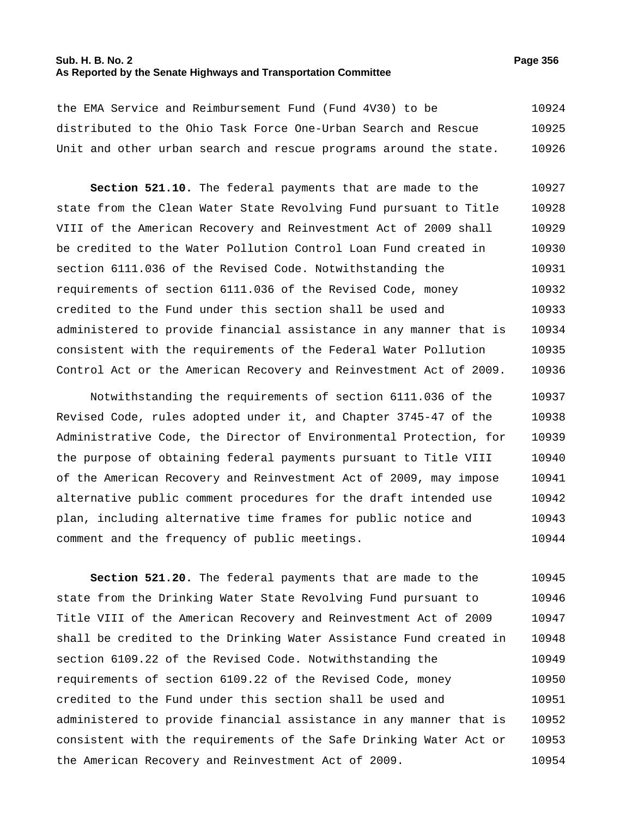#### **Sub. H. B. No. 2 Page 356 As Reported by the Senate Highways and Transportation Committee**

the EMA Service and Reimbursement Fund (Fund 4V30) to be distributed to the Ohio Task Force One-Urban Search and Rescue 10924 10925

Unit and other urban search and rescue programs around the state.

**Section 521.10.** The federal payments that are made to the state from the Clean Water State Revolving Fund pursuant to Title VIII of the American Recovery and Reinvestment Act of 2009 shall be credited to the Water Pollution Control Loan Fund created in section 6111.036 of the Revised Code. Notwithstanding the requirements of section 6111.036 of the Revised Code, money credited to the Fund under this section shall be used and administered to provide financial assistance in any manner that is consistent with the requirements of the Federal Water Pollution Control Act or the American Recovery and Reinvestment Act of 2009. 10927 10928 10929 10930 10931 10932 10933 10934 10935 10936

Notwithstanding the requirements of section 6111.036 of the Revised Code, rules adopted under it, and Chapter 3745-47 of the Administrative Code, the Director of Environmental Protection, for the purpose of obtaining federal payments pursuant to Title VIII of the American Recovery and Reinvestment Act of 2009, may impose alternative public comment procedures for the draft intended use plan, including alternative time frames for public notice and comment and the frequency of public meetings. 10937 10938 10939 10940 10941 10942 10943 10944

**Section 521.20.** The federal payments that are made to the state from the Drinking Water State Revolving Fund pursuant to Title VIII of the American Recovery and Reinvestment Act of 2009 shall be credited to the Drinking Water Assistance Fund created in section 6109.22 of the Revised Code. Notwithstanding the requirements of section 6109.22 of the Revised Code, money credited to the Fund under this section shall be used and administered to provide financial assistance in any manner that is consistent with the requirements of the Safe Drinking Water Act or the American Recovery and Reinvestment Act of 2009. 10945 10946 10947 10948 10949 10950 10951 10952 10953 10954

10926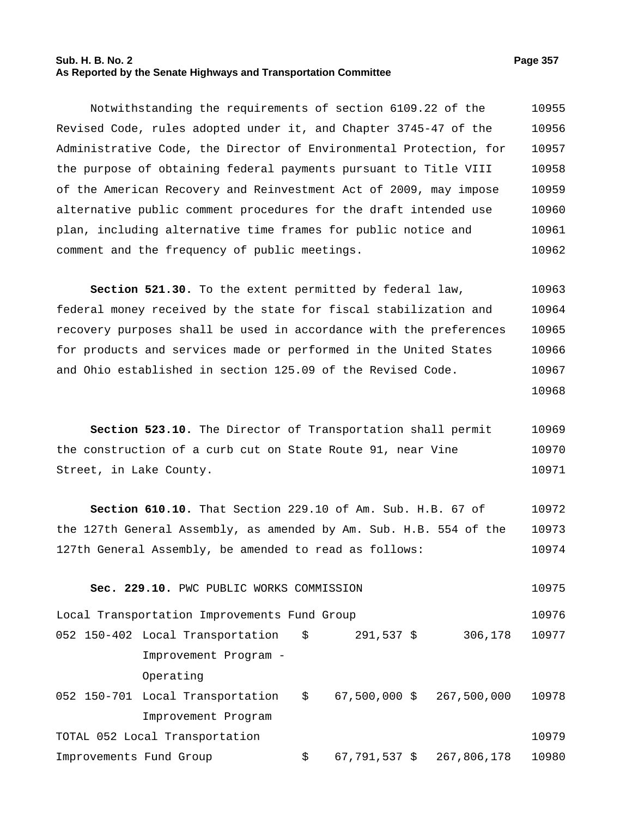#### **Sub. H. B. No. 2 Page 357 As Reported by the Senate Highways and Transportation Committee**

Notwithstanding the requirements of section 6109.22 of the Revised Code, rules adopted under it, and Chapter 3745-47 of the Administrative Code, the Director of Environmental Protection, for the purpose of obtaining federal payments pursuant to Title VIII of the American Recovery and Reinvestment Act of 2009, may impose alternative public comment procedures for the draft intended use plan, including alternative time frames for public notice and comment and the frequency of public meetings. 10955 10956 10957 10958 10959 10960 10961 10962

**Section 521.30.** To the extent permitted by federal law, federal money received by the state for fiscal stabilization and recovery purposes shall be used in accordance with the preferences for products and services made or performed in the United States and Ohio established in section 125.09 of the Revised Code. 10963 10964 10965 10966 10967 10968

**Section 523.10.** The Director of Transportation shall permit the construction of a curb cut on State Route 91, near Vine Street, in Lake County. 10969 10970 10971

**Section 610.10.** That Section 229.10 of Am. Sub. H.B. 67 of the 127th General Assembly, as amended by Am. Sub. H.B. 554 of the 127th General Assembly, be amended to read as follows: 10972 10973 10974

**Sec. 229.10.** PWC PUBLIC WORKS COMMISSION 10975 Local Transportation Improvements Fund Group 10976 052 150-402 Local Transportation Improvement Program - Operating \$ 291,537 \$ 306,178 10977 052 150-701 Local Transportation Improvement Program \$ 67,500,000 \$ 267,500,000 10978

TOTAL 052 Local Transportation 10979 Improvements Fund Group \$ 67,791,537 \$ 267,806,178 10980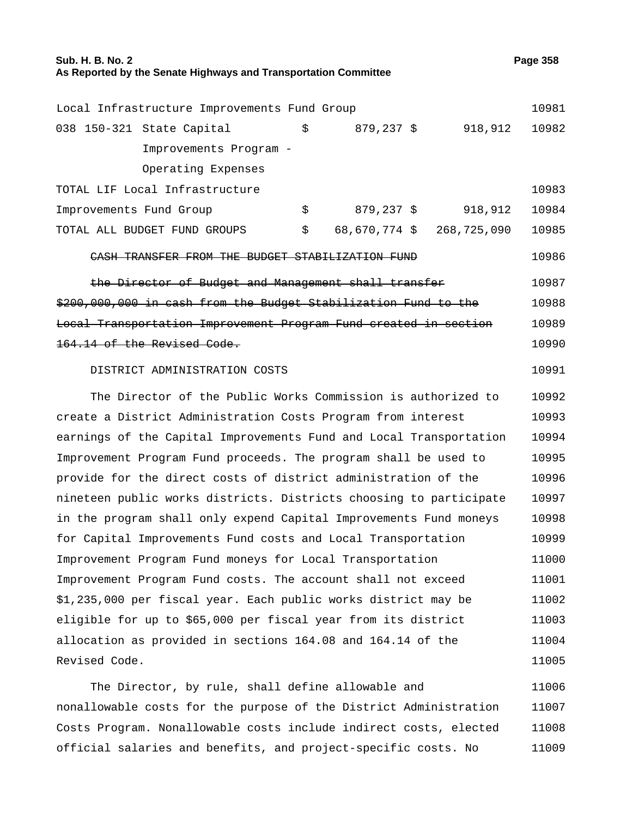| <b>Sub. H. B. No. 2</b><br>Page 358<br>As Reported by the Senate Highways and Transportation Committee |       |  |  |  |
|--------------------------------------------------------------------------------------------------------|-------|--|--|--|
| Local Infrastructure Improvements Fund Group                                                           |       |  |  |  |
| 038 150-321 State Capital<br>879,237 \$<br>918,912<br>\$                                               | 10982 |  |  |  |
| Improvements Program -                                                                                 |       |  |  |  |
| Operating Expenses                                                                                     |       |  |  |  |
| TOTAL LIF Local Infrastructure                                                                         | 10983 |  |  |  |
| $879,237$ \$<br>Improvements Fund Group<br>918,912<br>\$                                               | 10984 |  |  |  |
| 68,670,774 \$ 268,725,090<br>TOTAL ALL BUDGET FUND GROUPS<br>\$                                        | 10985 |  |  |  |
| CASH TRANSFER FROM THE BUDGET STABILIZATION FUND                                                       | 10986 |  |  |  |
| the Director of Budget and Management shall transfer                                                   |       |  |  |  |
| \$200,000,000 in cash from the Budget Stabilization Fund to the                                        |       |  |  |  |
| <u>Local Transportation Improvement Program Fund created in section</u>                                |       |  |  |  |
| 164.14 of the Revised Code.                                                                            |       |  |  |  |
| DISTRICT ADMINISTRATION COSTS                                                                          |       |  |  |  |
| The Director of the Public Works Commission is authorized to                                           |       |  |  |  |
| create a District Administration Costs Program from interest                                           |       |  |  |  |
| earnings of the Capital Improvements Fund and Local Transportation                                     |       |  |  |  |
| Improvement Program Fund proceeds. The program shall be used to                                        |       |  |  |  |
| provide for the direct costs of district administration of the                                         |       |  |  |  |
| nineteen public works districts. Districts choosing to participate                                     |       |  |  |  |
| in the program shall only expend Capital Improvements Fund moneys                                      |       |  |  |  |
| for Capital Improvements Fund costs and Local Transportation                                           |       |  |  |  |
| Improvement Program Fund moneys for Local Transportation                                               |       |  |  |  |
| Improvement Program Fund costs. The account shall not exceed                                           |       |  |  |  |
| \$1,235,000 per fiscal year. Each public works district may be                                         |       |  |  |  |
| eligible for up to \$65,000 per fiscal year from its district                                          |       |  |  |  |
| allocation as provided in sections 164.08 and 164.14 of the                                            |       |  |  |  |
| Revised Code.                                                                                          |       |  |  |  |
| The Director, by rule, shall define allowable and                                                      | 11006 |  |  |  |
| nonallowable costs for the purpose of the District Administration                                      |       |  |  |  |
| Costs Program. Nonallowable costs include indirect costs, elected                                      |       |  |  |  |
| official salaries and benefits, and project-specific costs. No<br>11009                                |       |  |  |  |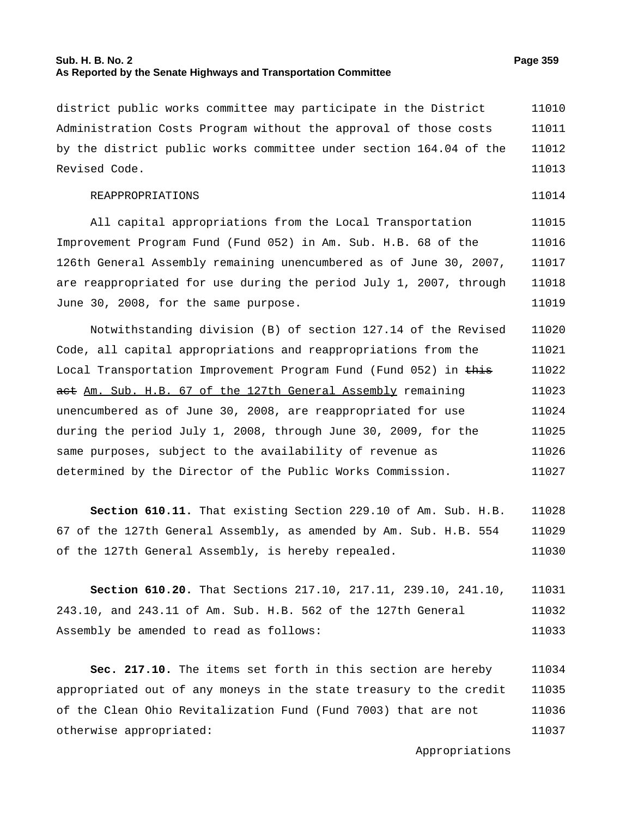# **Sub. H. B. No. 2 Page 359 As Reported by the Senate Highways and Transportation Committee**

district public works committee may participate in the District Administration Costs Program without the approval of those costs by the district public works committee under section 164.04 of the Revised Code. 11010 11011 11012 11013 REAPPROPRIATIONS 11014 All capital appropriations from the Local Transportation Improvement Program Fund (Fund 052) in Am. Sub. H.B. 68 of the 126th General Assembly remaining unencumbered as of June 30, 2007, are reappropriated for use during the period July 1, 2007, through June 30, 2008, for the same purpose. 11015 11016 11017 11018 11019 Notwithstanding division (B) of section 127.14 of the Revised 11020

Code, all capital appropriations and reappropriations from the Local Transportation Improvement Program Fund (Fund 052) in this act Am. Sub. H.B. 67 of the 127th General Assembly remaining unencumbered as of June 30, 2008, are reappropriated for use during the period July 1, 2008, through June 30, 2009, for the same purposes, subject to the availability of revenue as determined by the Director of the Public Works Commission. 11021 11022 11023 11024 11025 11026 11027

**Section 610.11.** That existing Section 229.10 of Am. Sub. H.B. 67 of the 127th General Assembly, as amended by Am. Sub. H.B. 554 of the 127th General Assembly, is hereby repealed. 11028 11029 11030

**Section 610.20.** That Sections 217.10, 217.11, 239.10, 241.10, 243.10, and 243.11 of Am. Sub. H.B. 562 of the 127th General Assembly be amended to read as follows: 11031 11032 11033

**Sec. 217.10.** The items set forth in this section are hereby appropriated out of any moneys in the state treasury to the credit of the Clean Ohio Revitalization Fund (Fund 7003) that are not otherwise appropriated: 11034 11035 11036 11037

Appropriations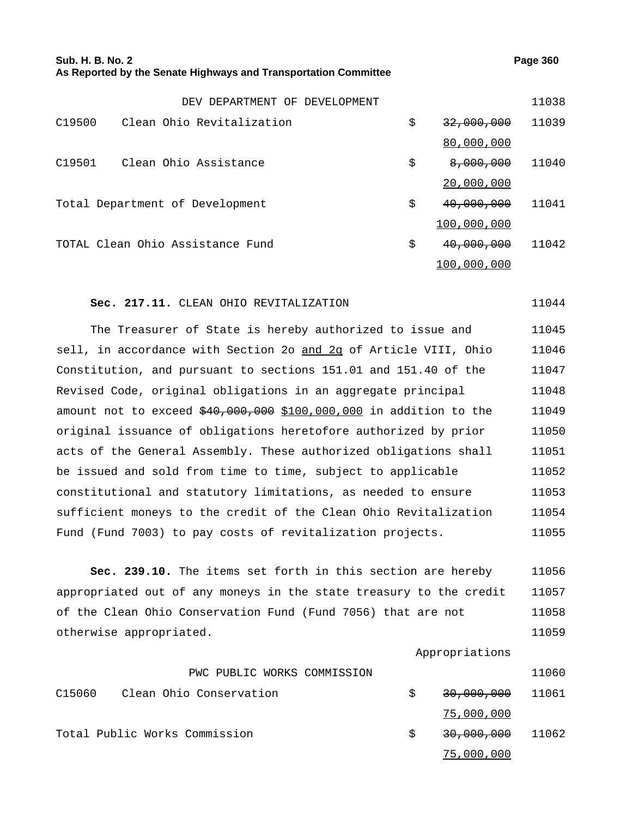| Sub. H. B. No. 2<br>As Reported by the Senate Highways and Transportation Committee |                                  |    |             | Page 360 |
|-------------------------------------------------------------------------------------|----------------------------------|----|-------------|----------|
|                                                                                     | DEV DEPARTMENT OF DEVELOPMENT    |    |             | 11038    |
| C19500                                                                              | Clean Ohio Revitalization        | \$ | 32,000,000  | 11039    |
|                                                                                     |                                  |    | 80,000,000  |          |
| C19501                                                                              | Clean Ohio Assistance            | \$ | 8,000,000   | 11040    |
|                                                                                     |                                  |    | 20,000,000  |          |
|                                                                                     | Total Department of Development  | \$ | 40,000,000  | 11041    |
|                                                                                     |                                  |    | 100,000,000 |          |
|                                                                                     | TOTAL Clean Ohio Assistance Fund | \$ | 40,000,000  | 11042    |
|                                                                                     |                                  |    | 100,000,000 |          |

# **Sec. 217.11.** CLEAN OHIO REVITALIZATION 11044

The Treasurer of State is hereby authorized to issue and sell, in accordance with Section 2o and 2q of Article VIII, Ohio Constitution, and pursuant to sections 151.01 and 151.40 of the Revised Code, original obligations in an aggregate principal amount not to exceed  $$40,000,000$  \$100,000,000 in addition to the original issuance of obligations heretofore authorized by prior acts of the General Assembly. These authorized obligations shall be issued and sold from time to time, subject to applicable constitutional and statutory limitations, as needed to ensure sufficient moneys to the credit of the Clean Ohio Revitalization Fund (Fund 7003) to pay costs of revitalization projects. 11045 11046 11047 11048 11049 11050 11051 11052 11053 11054 11055

**Sec. 239.10.** The items set forth in this section are hereby appropriated out of any moneys in the state treasury to the credit of the Clean Ohio Conservation Fund (Fund 7056) that are not otherwise appropriated. 11056 11057 11058 11059

#### Appropriations

# PWC PUBLIC WORKS COMMISSION 11060 C15060 Clean Ohio Conservation \$ 30,000,000 75,000,000 11061 Total Public Works Commission  $\zeta = 30,000,000$ 75,000,000 11062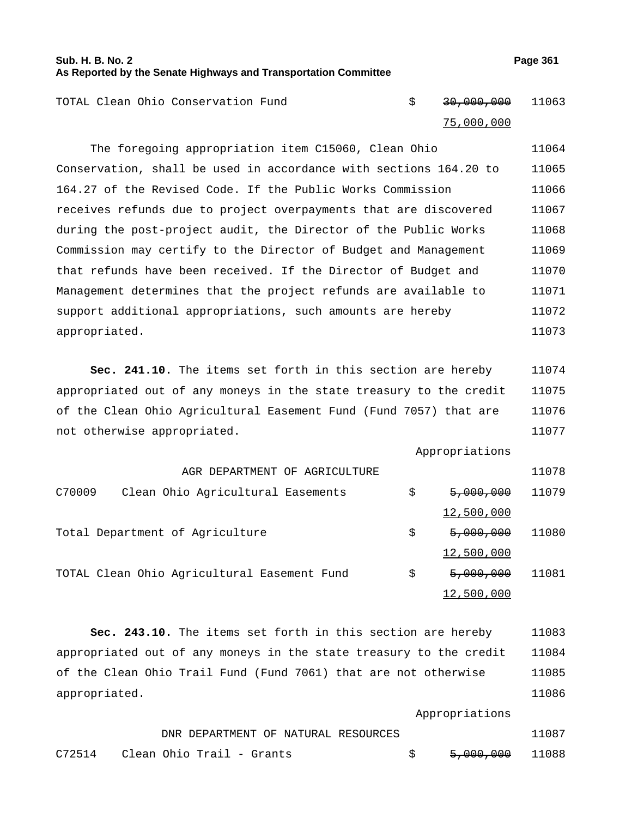| Sub. H. B. No. 2                                                | Page 361 |
|-----------------------------------------------------------------|----------|
| As Reported by the Senate Highways and Transportation Committee |          |

|  | TOTAL Clean Ohio Conservation Fund |  | <del>30,000,000</del> | 11063 |
|--|------------------------------------|--|-----------------------|-------|
|  |                                    |  | 75,000,000            |       |

The foregoing appropriation item C15060, Clean Ohio Conservation, shall be used in accordance with sections 164.20 to 164.27 of the Revised Code. If the Public Works Commission receives refunds due to project overpayments that are discovered during the post-project audit, the Director of the Public Works Commission may certify to the Director of Budget and Management that refunds have been received. If the Director of Budget and Management determines that the project refunds are available to support additional appropriations, such amounts are hereby appropriated. 11064 11065 11066 11067 11068 11069 11070 11071 11072 11073

**Sec. 241.10.** The items set forth in this section are hereby appropriated out of any moneys in the state treasury to the credit of the Clean Ohio Agricultural Easement Fund (Fund 7057) that are not otherwise appropriated. 11074 11075 11076 11077

Appropriations

|        | AGR DEPARTMENT OF AGRICULTURE               |    |                      | 11078 |
|--------|---------------------------------------------|----|----------------------|-------|
| C70009 | Clean Ohio Agricultural Easements           | \$ | <del>5,000,000</del> | 11079 |
|        |                                             |    | 12,500,000           |       |
|        | Total Department of Agriculture             | \$ | <del>5,000,000</del> | 11080 |
|        |                                             |    | 12,500,000           |       |
|        | TOTAL Clean Ohio Agricultural Easement Fund | \$ | <del>5,000,000</del> | 11081 |
|        |                                             |    | 12,500,000           |       |

**Sec. 243.10.** The items set forth in this section are hereby appropriated out of any moneys in the state treasury to the credit of the Clean Ohio Trail Fund (Fund 7061) that are not otherwise appropriated. 11083 11084 11085 11086

Appropriations

DNR DEPARTMENT OF NATURAL RESOURCES 11087  $C72514$  Clean Ohio Trail - Grants  $\sim$  \$  $5,000,000$  11088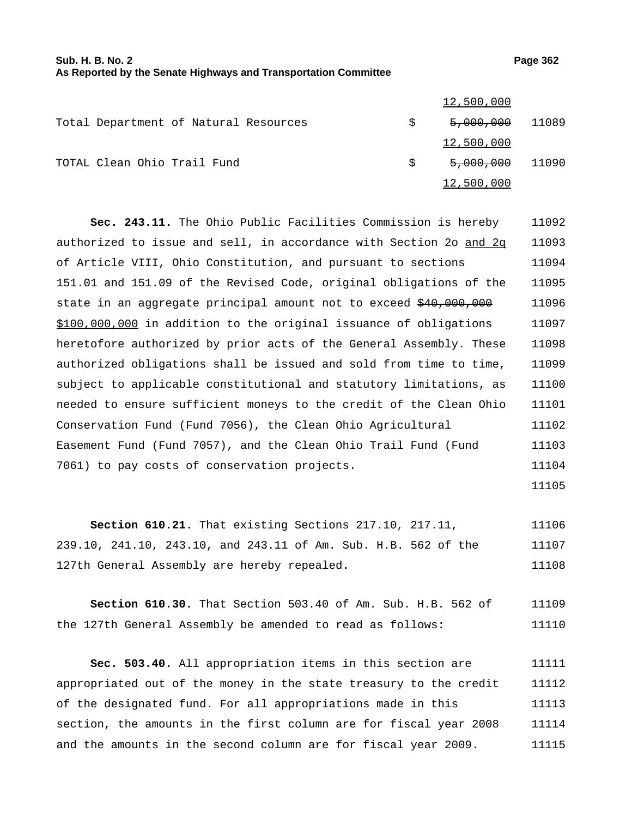| Sub. H. B. No. 2                                                | Page 362 |
|-----------------------------------------------------------------|----------|
| As Reported by the Senate Highways and Transportation Committee |          |

11105

|                                       |     | 12,500,000                 |  |
|---------------------------------------|-----|----------------------------|--|
| Total Department of Natural Resources | S – | <del>5,000,000</del> 11089 |  |
|                                       |     | 12,500,000                 |  |
| TOTAL Clean Ohio Trail Fund           | S.  | <del>5,000,000</del> 11090 |  |
|                                       |     | 12,500,000                 |  |

**Sec. 243.11.** The Ohio Public Facilities Commission is hereby authorized to issue and sell, in accordance with Section 2o and 2q of Article VIII, Ohio Constitution, and pursuant to sections 151.01 and 151.09 of the Revised Code, original obligations of the state in an aggregate principal amount not to exceed \$40,000,000 \$100,000,000 in addition to the original issuance of obligations heretofore authorized by prior acts of the General Assembly. These authorized obligations shall be issued and sold from time to time, subject to applicable constitutional and statutory limitations, as needed to ensure sufficient moneys to the credit of the Clean Ohio Conservation Fund (Fund 7056), the Clean Ohio Agricultural Easement Fund (Fund 7057), and the Clean Ohio Trail Fund (Fund 7061) to pay costs of conservation projects. 11092 11093 11094 11095 11096 11097 11098 11099 11100 11101 11102 11103 11104

**Section 610.21.** That existing Sections 217.10, 217.11, 239.10, 241.10, 243.10, and 243.11 of Am. Sub. H.B. 562 of the 127th General Assembly are hereby repealed. 11106 11107 11108

**Section 610.30.** That Section 503.40 of Am. Sub. H.B. 562 of the 127th General Assembly be amended to read as follows: 11109 11110

**Sec. 503.40.** All appropriation items in this section are appropriated out of the money in the state treasury to the credit of the designated fund. For all appropriations made in this section, the amounts in the first column are for fiscal year 2008 and the amounts in the second column are for fiscal year 2009. 11111 11112 11113 11114 11115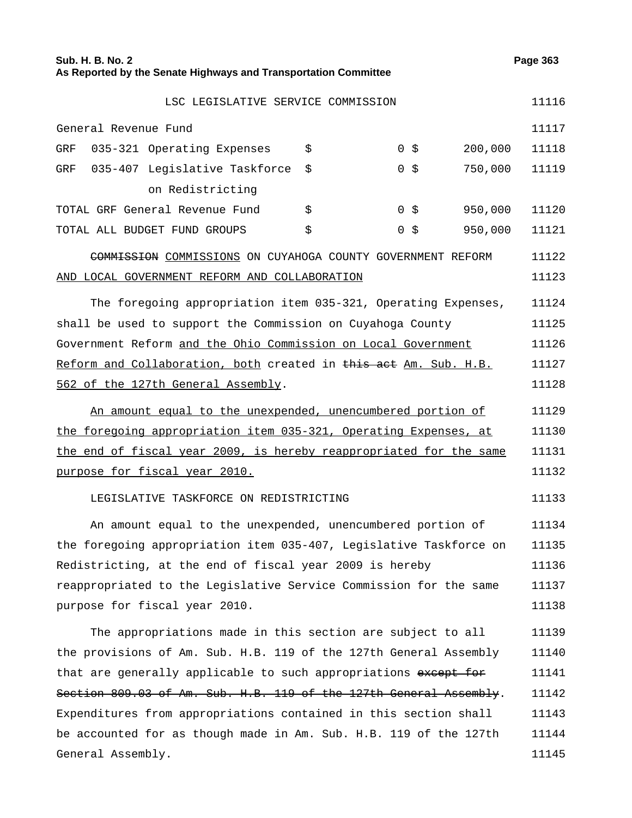| <b>Sub. H. B. No. 2</b><br>As Reported by the Senate Highways and Transportation Committee |                      |         | Page 363 |  |
|--------------------------------------------------------------------------------------------|----------------------|---------|----------|--|
| LSC LEGISLATIVE SERVICE COMMISSION                                                         |                      |         | 11116    |  |
| General Revenue Fund                                                                       |                      |         | 11117    |  |
| \$<br>035-321 Operating Expenses<br>GRF                                                    | 0 \$                 | 200,000 | 11118    |  |
| 035-407 Legislative Taskforce<br>\$<br>GRF                                                 | 0 <sup>5</sup>       | 750,000 | 11119    |  |
| on Redistricting                                                                           |                      |         |          |  |
| TOTAL GRF General Revenue Fund<br>\$                                                       | $0$ \$               | 950,000 | 11120    |  |
| \$<br>TOTAL ALL BUDGET FUND GROUPS                                                         | \$<br>$\overline{0}$ | 950,000 | 11121    |  |
| COMMISSION COMMISSIONS ON CUYAHOGA COUNTY GOVERNMENT REFORM                                |                      |         | 11122    |  |
| AND LOCAL GOVERNMENT REFORM AND COLLABORATION                                              |                      |         | 11123    |  |
| The foregoing appropriation item 035-321, Operating Expenses,                              |                      |         | 11124    |  |
| shall be used to support the Commission on Cuyahoga County                                 |                      |         | 11125    |  |
| Government Reform and the Ohio Commission on Local Government                              |                      |         | 11126    |  |
| Reform and Collaboration, both created in this act Am. Sub. H.B.                           |                      |         | 11127    |  |
| 562 of the 127th General Assembly.                                                         |                      |         | 11128    |  |
| An amount equal to the unexpended, unencumbered portion of                                 |                      |         | 11129    |  |
| the foregoing appropriation item 035-321, Operating Expenses, at                           |                      |         |          |  |
| the end of fiscal year 2009, is hereby reappropriated for the same                         |                      |         |          |  |
| purpose for fiscal year 2010.                                                              |                      |         | 11132    |  |
| LEGISLATIVE TASKFORCE ON REDISTRICTING                                                     |                      |         | 11133    |  |
| An amount equal to the unexpended, unencumbered portion of                                 |                      |         | 11134    |  |
| the foregoing appropriation item 035-407, Legislative Taskforce on                         |                      |         | 11135    |  |
| Redistricting, at the end of fiscal year 2009 is hereby                                    |                      |         | 11136    |  |
| reappropriated to the Legislative Service Commission for the same                          |                      |         |          |  |
| purpose for fiscal year 2010.                                                              |                      |         | 11138    |  |
| The appropriations made in this section are subject to all                                 |                      |         | 11139    |  |
| the provisions of Am. Sub. H.B. 119 of the 127th General Assembly                          |                      |         |          |  |
| that are generally applicable to such appropriations except for                            |                      |         |          |  |
| Section 809.03 of Am. Sub. H.B. 119 of the 127th General Assembly.                         |                      |         |          |  |
| Expenditures from appropriations contained in this section shall                           |                      |         |          |  |
| be accounted for as though made in Am. Sub. H.B. 119 of the 127th<br>11144                 |                      |         |          |  |
| General Assembly.<br>11145                                                                 |                      |         |          |  |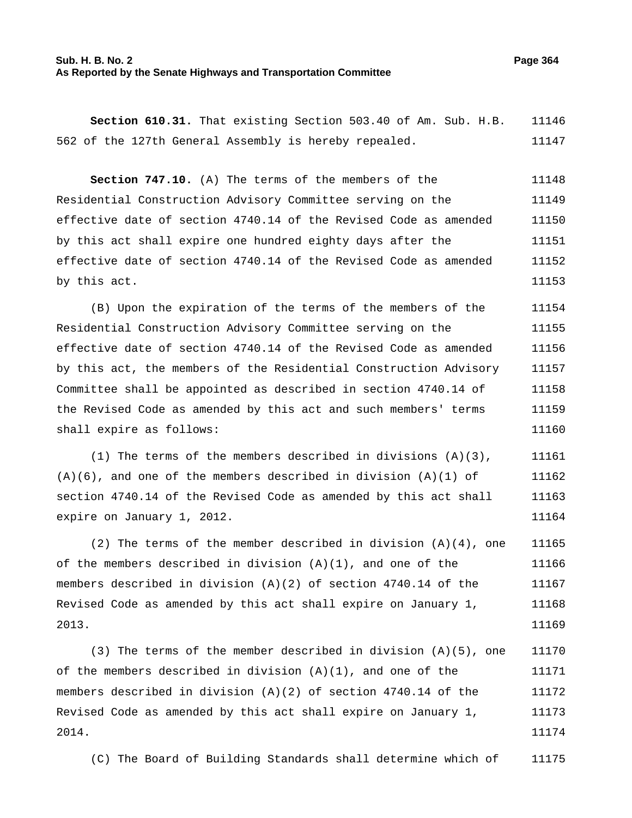## **Sub. H. B. No. 2 Page 364 As Reported by the Senate Highways and Transportation Committee**

**Section 610.31.** That existing Section 503.40 of Am. Sub. H.B. 562 of the 127th General Assembly is hereby repealed. 11146 11147

**Section 747.10.** (A) The terms of the members of the Residential Construction Advisory Committee serving on the effective date of section 4740.14 of the Revised Code as amended by this act shall expire one hundred eighty days after the effective date of section 4740.14 of the Revised Code as amended by this act. 11148 11149 11150 11151 11152 11153

(B) Upon the expiration of the terms of the members of the Residential Construction Advisory Committee serving on the effective date of section 4740.14 of the Revised Code as amended by this act, the members of the Residential Construction Advisory Committee shall be appointed as described in section 4740.14 of the Revised Code as amended by this act and such members' terms shall expire as follows: 11154 11155 11156 11157 11158 11159 11160

(1) The terms of the members described in divisions (A)(3),  $(A)(6)$ , and one of the members described in division  $(A)(1)$  of section 4740.14 of the Revised Code as amended by this act shall expire on January 1, 2012. 11161 11162 11163 11164

(2) The terms of the member described in division  $(A)(4)$ , one of the members described in division (A)(1), and one of the members described in division (A)(2) of section 4740.14 of the Revised Code as amended by this act shall expire on January 1, 2013. 11165 11166 11167 11168 11169

(3) The terms of the member described in division  $(A)(5)$ , one of the members described in division (A)(1), and one of the members described in division (A)(2) of section 4740.14 of the Revised Code as amended by this act shall expire on January 1, 2014. 11170 11171 11172 11173 11174

(C) The Board of Building Standards shall determine which of 11175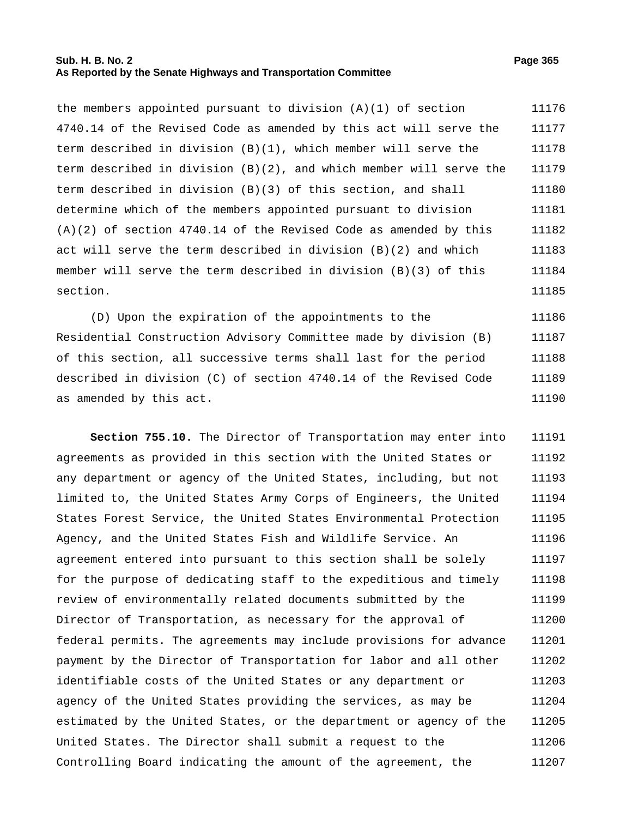## **Sub. H. B. No. 2 Page 365 As Reported by the Senate Highways and Transportation Committee**

the members appointed pursuant to division  $(A)(1)$  of section 4740.14 of the Revised Code as amended by this act will serve the term described in division (B)(1), which member will serve the term described in division (B)(2), and which member will serve the term described in division (B)(3) of this section, and shall 11176 11177 11178 11179 11180

determine which of the members appointed pursuant to division (A)(2) of section 4740.14 of the Revised Code as amended by this act will serve the term described in division (B)(2) and which member will serve the term described in division (B)(3) of this section. 11181 11182 11183 11184 11185

(D) Upon the expiration of the appointments to the Residential Construction Advisory Committee made by division (B) of this section, all successive terms shall last for the period described in division (C) of section 4740.14 of the Revised Code as amended by this act. 11186 11187 11188 11189 11190

**Section 755.10.** The Director of Transportation may enter into agreements as provided in this section with the United States or any department or agency of the United States, including, but not limited to, the United States Army Corps of Engineers, the United States Forest Service, the United States Environmental Protection Agency, and the United States Fish and Wildlife Service. An agreement entered into pursuant to this section shall be solely for the purpose of dedicating staff to the expeditious and timely review of environmentally related documents submitted by the Director of Transportation, as necessary for the approval of federal permits. The agreements may include provisions for advance payment by the Director of Transportation for labor and all other identifiable costs of the United States or any department or agency of the United States providing the services, as may be estimated by the United States, or the department or agency of the United States. The Director shall submit a request to the Controlling Board indicating the amount of the agreement, the 11191 11192 11193 11194 11195 11196 11197 11198 11199 11200 11201 11202 11203 11204 11205 11206 11207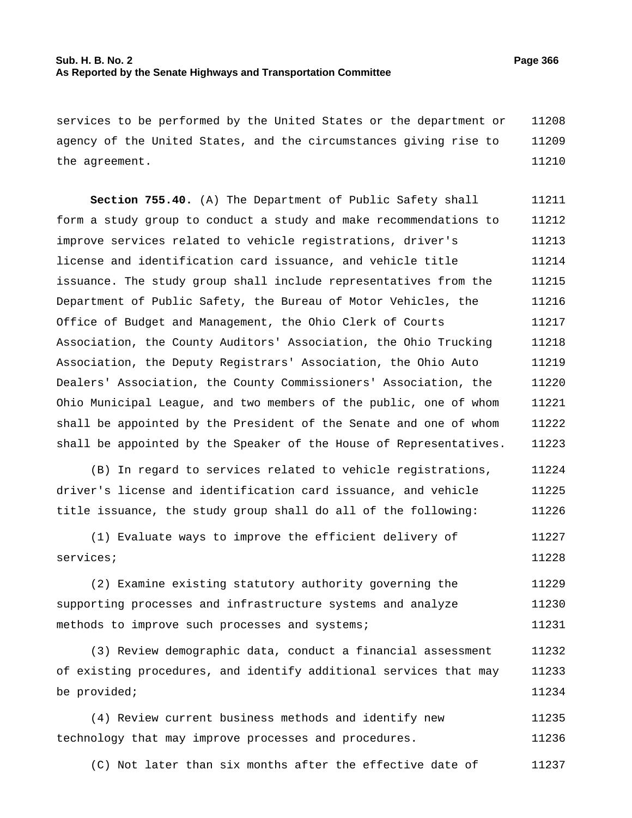services to be performed by the United States or the department or agency of the United States, and the circumstances giving rise to the agreement. 11208 11209 11210

**Section 755.40.** (A) The Department of Public Safety shall form a study group to conduct a study and make recommendations to improve services related to vehicle registrations, driver's license and identification card issuance, and vehicle title issuance. The study group shall include representatives from the Department of Public Safety, the Bureau of Motor Vehicles, the Office of Budget and Management, the Ohio Clerk of Courts Association, the County Auditors' Association, the Ohio Trucking Association, the Deputy Registrars' Association, the Ohio Auto Dealers' Association, the County Commissioners' Association, the Ohio Municipal League, and two members of the public, one of whom shall be appointed by the President of the Senate and one of whom shall be appointed by the Speaker of the House of Representatives. 11211 11212 11213 11214 11215 11216 11217 11218 11219 11220 11221 11222 11223

(B) In regard to services related to vehicle registrations, driver's license and identification card issuance, and vehicle title issuance, the study group shall do all of the following: 11224 11225 11226

(1) Evaluate ways to improve the efficient delivery of services; 11227 11228

(2) Examine existing statutory authority governing the supporting processes and infrastructure systems and analyze methods to improve such processes and systems; 11229 11230 11231

(3) Review demographic data, conduct a financial assessment of existing procedures, and identify additional services that may be provided; 11232 11233 11234

(4) Review current business methods and identify new technology that may improve processes and procedures. 11235 11236

 $(C)$  Not later than six months after the effective date of  $11237$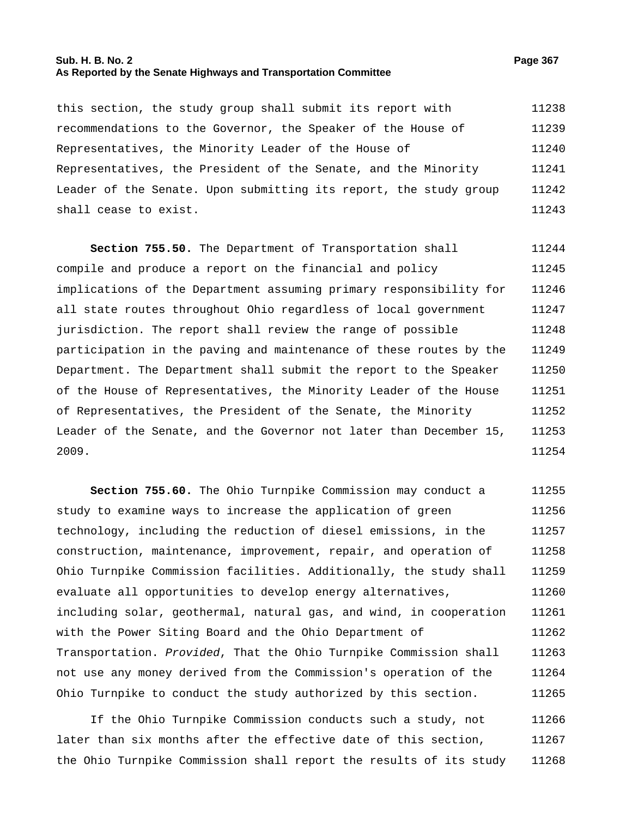# **Sub. H. B. No. 2 Page 367 As Reported by the Senate Highways and Transportation Committee**

this section, the study group shall submit its report with recommendations to the Governor, the Speaker of the House of Representatives, the Minority Leader of the House of Representatives, the President of the Senate, and the Minority Leader of the Senate. Upon submitting its report, the study group shall cease to exist. 11238 11239 11240 11241 11242 11243

**Section 755.50.** The Department of Transportation shall compile and produce a report on the financial and policy implications of the Department assuming primary responsibility for all state routes throughout Ohio regardless of local government jurisdiction. The report shall review the range of possible participation in the paving and maintenance of these routes by the Department. The Department shall submit the report to the Speaker of the House of Representatives, the Minority Leader of the House of Representatives, the President of the Senate, the Minority Leader of the Senate, and the Governor not later than December 15, 2009. 11244 11245 11246 11247 11248 11249 11250 11251 11252 11253 11254

**Section 755.60.** The Ohio Turnpike Commission may conduct a study to examine ways to increase the application of green technology, including the reduction of diesel emissions, in the construction, maintenance, improvement, repair, and operation of Ohio Turnpike Commission facilities. Additionally, the study shall evaluate all opportunities to develop energy alternatives, including solar, geothermal, natural gas, and wind, in cooperation with the Power Siting Board and the Ohio Department of Transportation. Provided, That the Ohio Turnpike Commission shall not use any money derived from the Commission's operation of the Ohio Turnpike to conduct the study authorized by this section. 11255 11256 11257 11258 11259 11260 11261 11262 11263 11264 11265

If the Ohio Turnpike Commission conducts such a study, not later than six months after the effective date of this section, the Ohio Turnpike Commission shall report the results of its study 11266 11267 11268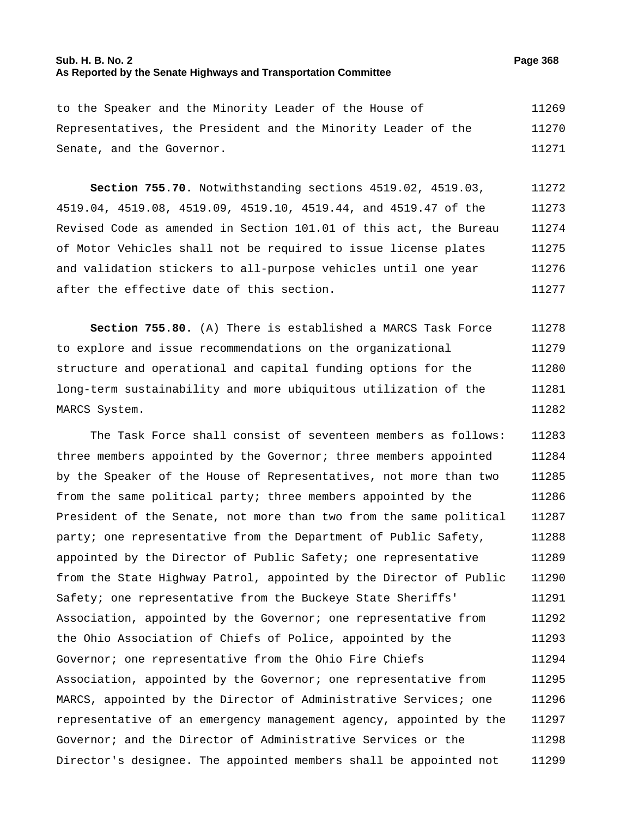# **Sub. H. B. No. 2 Page 368 As Reported by the Senate Highways and Transportation Committee**

to the Speaker and the Minority Leader of the House of Representatives, the President and the Minority Leader of the Senate, and the Governor. 11269 11270 11271

**Section 755.70.** Notwithstanding sections 4519.02, 4519.03, 4519.04, 4519.08, 4519.09, 4519.10, 4519.44, and 4519.47 of the Revised Code as amended in Section 101.01 of this act, the Bureau of Motor Vehicles shall not be required to issue license plates and validation stickers to all-purpose vehicles until one year after the effective date of this section. 11272 11273 11274 11275 11276 11277

**Section 755.80.** (A) There is established a MARCS Task Force to explore and issue recommendations on the organizational structure and operational and capital funding options for the long-term sustainability and more ubiquitous utilization of the MARCS System. 11278 11279 11280 11281 11282

The Task Force shall consist of seventeen members as follows: three members appointed by the Governor; three members appointed by the Speaker of the House of Representatives, not more than two from the same political party; three members appointed by the President of the Senate, not more than two from the same political party; one representative from the Department of Public Safety, appointed by the Director of Public Safety; one representative from the State Highway Patrol, appointed by the Director of Public Safety; one representative from the Buckeye State Sheriffs' Association, appointed by the Governor; one representative from the Ohio Association of Chiefs of Police, appointed by the Governor; one representative from the Ohio Fire Chiefs Association, appointed by the Governor; one representative from MARCS, appointed by the Director of Administrative Services; one representative of an emergency management agency, appointed by the Governor; and the Director of Administrative Services or the Director's designee. The appointed members shall be appointed not 11283 11284 11285 11286 11287 11288 11289 11290 11291 11292 11293 11294 11295 11296 11297 11298 11299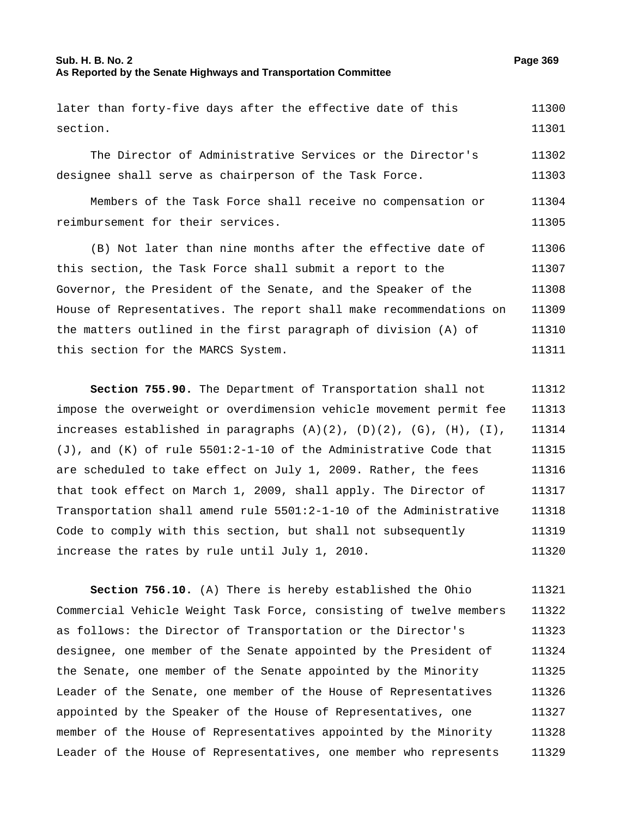# **Sub. H. B. No. 2 Page 369 As Reported by the Senate Highways and Transportation Committee**

later than forty-five days after the effective date of this section. 11300 11301 The Director of Administrative Services or the Director's designee shall serve as chairperson of the Task Force. 11302 11303 Members of the Task Force shall receive no compensation or reimbursement for their services. 11304 11305 (B) Not later than nine months after the effective date of this section, the Task Force shall submit a report to the Governor, the President of the Senate, and the Speaker of the House of Representatives. The report shall make recommendations on the matters outlined in the first paragraph of division (A) of this section for the MARCS System. 11306 11307 11308 11309 11310 11311

**Section 755.90.** The Department of Transportation shall not impose the overweight or overdimension vehicle movement permit fee increases established in paragraphs  $(A)(2)$ ,  $(D)(2)$ ,  $(G)$ ,  $(H)$ ,  $(I)$ , (J), and (K) of rule 5501:2-1-10 of the Administrative Code that are scheduled to take effect on July 1, 2009. Rather, the fees that took effect on March 1, 2009, shall apply. The Director of Transportation shall amend rule 5501:2-1-10 of the Administrative Code to comply with this section, but shall not subsequently increase the rates by rule until July 1, 2010. 11312 11313 11314 11315 11316 11317 11318 11319 11320

**Section 756.10.** (A) There is hereby established the Ohio Commercial Vehicle Weight Task Force, consisting of twelve members as follows: the Director of Transportation or the Director's designee, one member of the Senate appointed by the President of the Senate, one member of the Senate appointed by the Minority Leader of the Senate, one member of the House of Representatives appointed by the Speaker of the House of Representatives, one member of the House of Representatives appointed by the Minority Leader of the House of Representatives, one member who represents 11321 11322 11323 11324 11325 11326 11327 11328 11329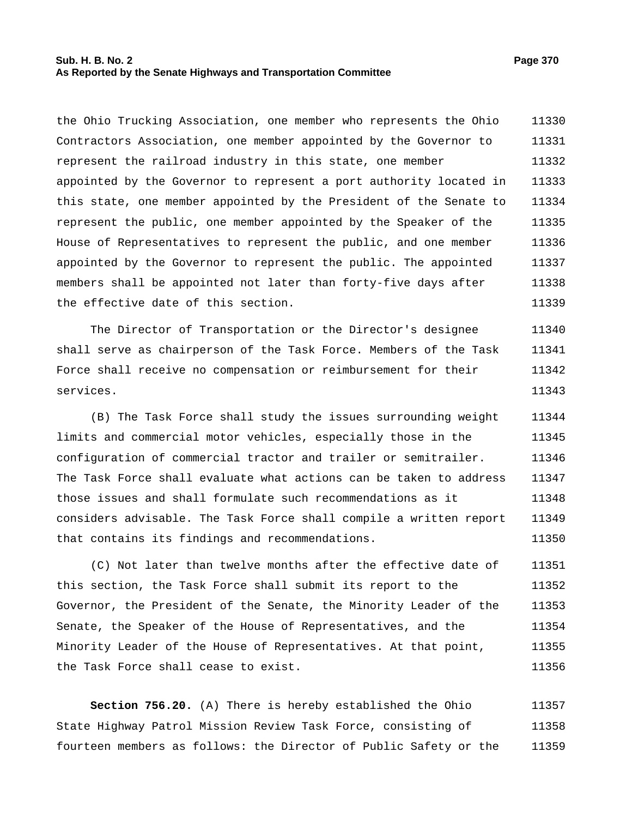## **Sub. H. B. No. 2 Page 370 As Reported by the Senate Highways and Transportation Committee**

the Ohio Trucking Association, one member who represents the Ohio Contractors Association, one member appointed by the Governor to represent the railroad industry in this state, one member appointed by the Governor to represent a port authority located in this state, one member appointed by the President of the Senate to represent the public, one member appointed by the Speaker of the House of Representatives to represent the public, and one member appointed by the Governor to represent the public. The appointed members shall be appointed not later than forty-five days after the effective date of this section. 11330 11331 11332 11333 11334 11335 11336 11337 11338 11339

The Director of Transportation or the Director's designee shall serve as chairperson of the Task Force. Members of the Task Force shall receive no compensation or reimbursement for their services. 11340 11341 11342 11343

(B) The Task Force shall study the issues surrounding weight limits and commercial motor vehicles, especially those in the configuration of commercial tractor and trailer or semitrailer. The Task Force shall evaluate what actions can be taken to address those issues and shall formulate such recommendations as it considers advisable. The Task Force shall compile a written report that contains its findings and recommendations. 11344 11345 11346 11347 11348 11349 11350

(C) Not later than twelve months after the effective date of this section, the Task Force shall submit its report to the Governor, the President of the Senate, the Minority Leader of the Senate, the Speaker of the House of Representatives, and the Minority Leader of the House of Representatives. At that point, the Task Force shall cease to exist. 11351 11352 11353 11354 11355 11356

**Section 756.20.** (A) There is hereby established the Ohio State Highway Patrol Mission Review Task Force, consisting of fourteen members as follows: the Director of Public Safety or the 11357 11358 11359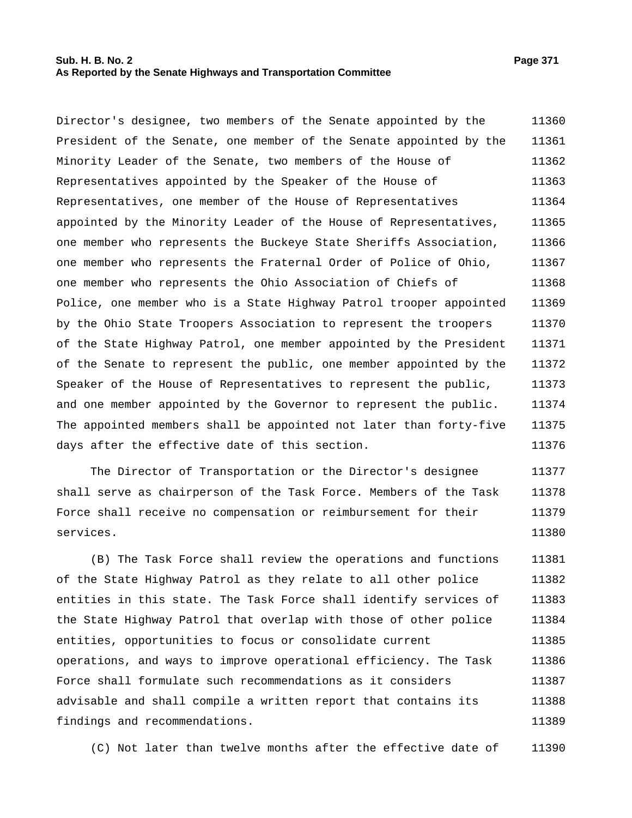Director's designee, two members of the Senate appointed by the President of the Senate, one member of the Senate appointed by the Minority Leader of the Senate, two members of the House of Representatives appointed by the Speaker of the House of Representatives, one member of the House of Representatives appointed by the Minority Leader of the House of Representatives, one member who represents the Buckeye State Sheriffs Association, one member who represents the Fraternal Order of Police of Ohio, one member who represents the Ohio Association of Chiefs of Police, one member who is a State Highway Patrol trooper appointed by the Ohio State Troopers Association to represent the troopers of the State Highway Patrol, one member appointed by the President of the Senate to represent the public, one member appointed by the Speaker of the House of Representatives to represent the public, and one member appointed by the Governor to represent the public. The appointed members shall be appointed not later than forty-five days after the effective date of this section. 11360 11361 11362 11363 11364 11365 11366 11367 11368 11369 11370 11371 11372 11373 11374 11375 11376

The Director of Transportation or the Director's designee shall serve as chairperson of the Task Force. Members of the Task Force shall receive no compensation or reimbursement for their services. 11377 11378 11379 11380

(B) The Task Force shall review the operations and functions of the State Highway Patrol as they relate to all other police entities in this state. The Task Force shall identify services of the State Highway Patrol that overlap with those of other police entities, opportunities to focus or consolidate current operations, and ways to improve operational efficiency. The Task Force shall formulate such recommendations as it considers advisable and shall compile a written report that contains its findings and recommendations. 11381 11382 11383 11384 11385 11386 11387 11388 11389

(C) Not later than twelve months after the effective date of 11390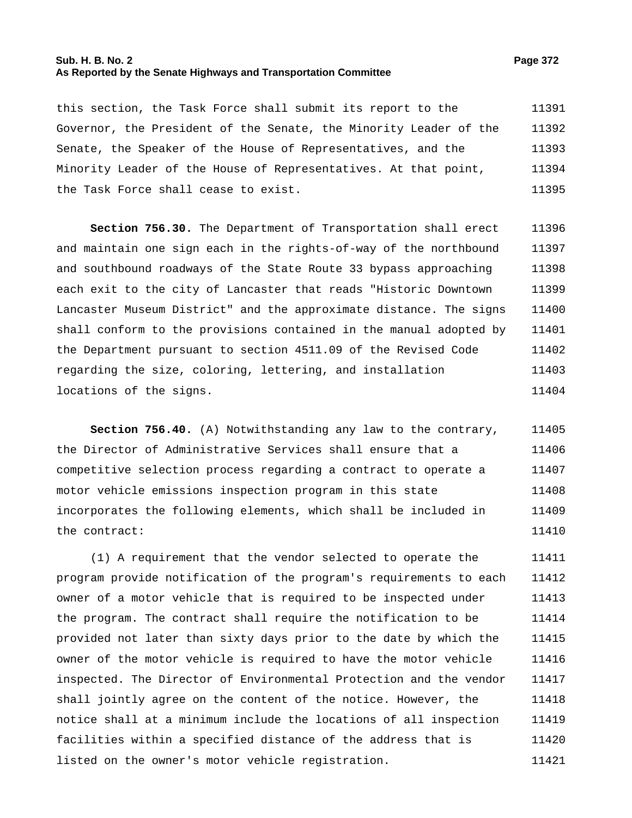# **Sub. H. B. No. 2 Page 372 As Reported by the Senate Highways and Transportation Committee**

this section, the Task Force shall submit its report to the Governor, the President of the Senate, the Minority Leader of the Senate, the Speaker of the House of Representatives, and the Minority Leader of the House of Representatives. At that point, the Task Force shall cease to exist. 11391 11392 11393 11394 11395

**Section 756.30.** The Department of Transportation shall erect and maintain one sign each in the rights-of-way of the northbound and southbound roadways of the State Route 33 bypass approaching each exit to the city of Lancaster that reads "Historic Downtown Lancaster Museum District" and the approximate distance. The signs shall conform to the provisions contained in the manual adopted by the Department pursuant to section 4511.09 of the Revised Code regarding the size, coloring, lettering, and installation locations of the signs. 11396 11397 11398 11399 11400 11401 11402 11403 11404

**Section 756.40.** (A) Notwithstanding any law to the contrary, the Director of Administrative Services shall ensure that a competitive selection process regarding a contract to operate a motor vehicle emissions inspection program in this state incorporates the following elements, which shall be included in the contract: 11405 11406 11407 11408 11409 11410

(1) A requirement that the vendor selected to operate the program provide notification of the program's requirements to each owner of a motor vehicle that is required to be inspected under the program. The contract shall require the notification to be provided not later than sixty days prior to the date by which the owner of the motor vehicle is required to have the motor vehicle inspected. The Director of Environmental Protection and the vendor shall jointly agree on the content of the notice. However, the notice shall at a minimum include the locations of all inspection facilities within a specified distance of the address that is listed on the owner's motor vehicle registration. 11411 11412 11413 11414 11415 11416 11417 11418 11419 11420 11421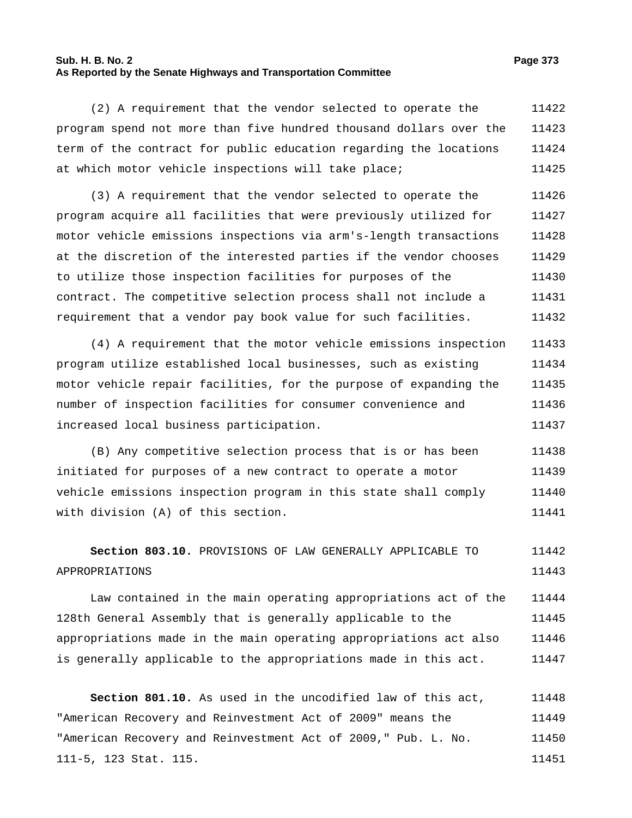## **Sub. H. B. No. 2 Page 373 As Reported by the Senate Highways and Transportation Committee**

(2) A requirement that the vendor selected to operate the program spend not more than five hundred thousand dollars over the term of the contract for public education regarding the locations at which motor vehicle inspections will take place; 11422 11423 11424 11425

(3) A requirement that the vendor selected to operate the program acquire all facilities that were previously utilized for motor vehicle emissions inspections via arm's-length transactions at the discretion of the interested parties if the vendor chooses to utilize those inspection facilities for purposes of the contract. The competitive selection process shall not include a requirement that a vendor pay book value for such facilities. 11426 11427 11428 11429 11430 11431 11432

(4) A requirement that the motor vehicle emissions inspection program utilize established local businesses, such as existing motor vehicle repair facilities, for the purpose of expanding the number of inspection facilities for consumer convenience and increased local business participation. 11433 11434 11435 11436 11437

(B) Any competitive selection process that is or has been initiated for purposes of a new contract to operate a motor vehicle emissions inspection program in this state shall comply with division (A) of this section. 11438 11439 11440 11441

**Section 803.10.** PROVISIONS OF LAW GENERALLY APPLICABLE TO APPROPRIATIONS 11442 11443

Law contained in the main operating appropriations act of the 128th General Assembly that is generally applicable to the appropriations made in the main operating appropriations act also is generally applicable to the appropriations made in this act. 11444 11445 11446 11447

**Section 801.10.** As used in the uncodified law of this act, "American Recovery and Reinvestment Act of 2009" means the "American Recovery and Reinvestment Act of 2009," Pub. L. No. 111-5, 123 Stat. 115. 11448 11449 11450 11451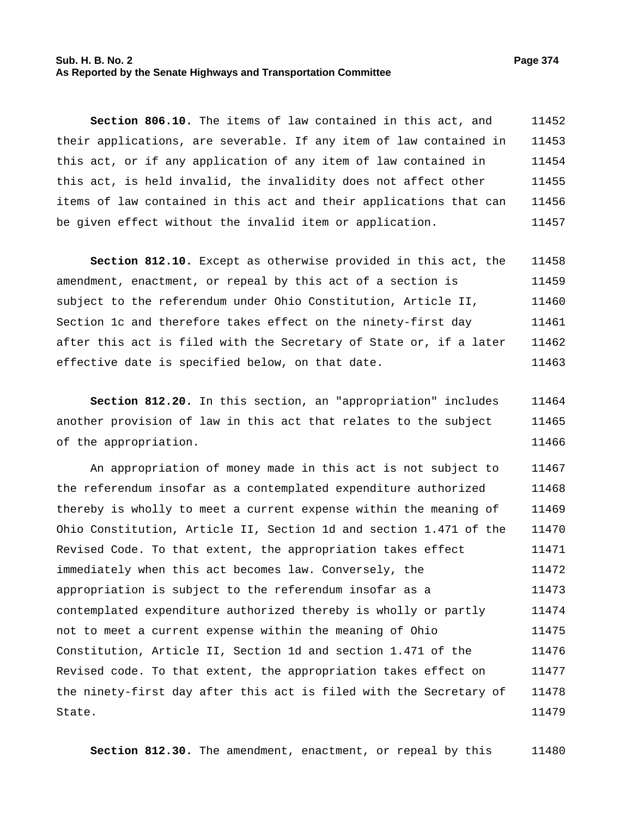## **Sub. H. B. No. 2 Page 374 As Reported by the Senate Highways and Transportation Committee**

**Section 806.10.** The items of law contained in this act, and their applications, are severable. If any item of law contained in this act, or if any application of any item of law contained in this act, is held invalid, the invalidity does not affect other items of law contained in this act and their applications that can be given effect without the invalid item or application. 11452 11453 11454 11455 11456 11457

**Section 812.10.** Except as otherwise provided in this act, the amendment, enactment, or repeal by this act of a section is subject to the referendum under Ohio Constitution, Article II, Section 1c and therefore takes effect on the ninety-first day after this act is filed with the Secretary of State or, if a later effective date is specified below, on that date. 11458 11459 11460 11461 11462 11463

**Section 812.20.** In this section, an "appropriation" includes another provision of law in this act that relates to the subject of the appropriation. 11464 11465 11466

An appropriation of money made in this act is not subject to the referendum insofar as a contemplated expenditure authorized thereby is wholly to meet a current expense within the meaning of Ohio Constitution, Article II, Section 1d and section 1.471 of the Revised Code. To that extent, the appropriation takes effect immediately when this act becomes law. Conversely, the appropriation is subject to the referendum insofar as a contemplated expenditure authorized thereby is wholly or partly not to meet a current expense within the meaning of Ohio Constitution, Article II, Section 1d and section 1.471 of the Revised code. To that extent, the appropriation takes effect on the ninety-first day after this act is filed with the Secretary of State. 11467 11468 11469 11470 11471 11472 11473 11474 11475 11476 11477 11478 11479

**Section 812.30.** The amendment, enactment, or repeal by this 11480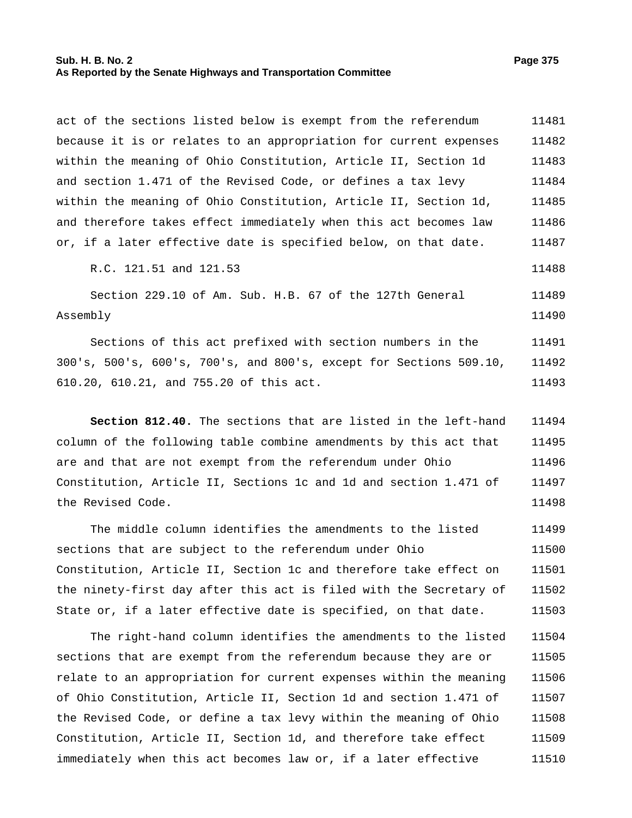act of the sections listed below is exempt from the referendum because it is or relates to an appropriation for current expenses within the meaning of Ohio Constitution, Article II, Section 1d and section 1.471 of the Revised Code, or defines a tax levy within the meaning of Ohio Constitution, Article II, Section 1d, and therefore takes effect immediately when this act becomes law or, if a later effective date is specified below, on that date. 11481 11482 11483 11484 11485 11486 11487

R.C. 121.51 and 121.53 11488

Section 229.10 of Am. Sub. H.B. 67 of the 127th General Assembly 11489 11490

Sections of this act prefixed with section numbers in the 300's, 500's, 600's, 700's, and 800's, except for Sections 509.10, 610.20, 610.21, and 755.20 of this act. 11491 11492 11493

**Section 812.40.** The sections that are listed in the left-hand column of the following table combine amendments by this act that are and that are not exempt from the referendum under Ohio Constitution, Article II, Sections 1c and 1d and section 1.471 of the Revised Code. 11494 11495 11496 11497 11498

The middle column identifies the amendments to the listed sections that are subject to the referendum under Ohio Constitution, Article II, Section 1c and therefore take effect on the ninety-first day after this act is filed with the Secretary of State or, if a later effective date is specified, on that date. 11499 11500 11501 11502 11503

The right-hand column identifies the amendments to the listed sections that are exempt from the referendum because they are or relate to an appropriation for current expenses within the meaning of Ohio Constitution, Article II, Section 1d and section 1.471 of the Revised Code, or define a tax levy within the meaning of Ohio Constitution, Article II, Section 1d, and therefore take effect immediately when this act becomes law or, if a later effective 11504 11505 11506 11507 11508 11509 11510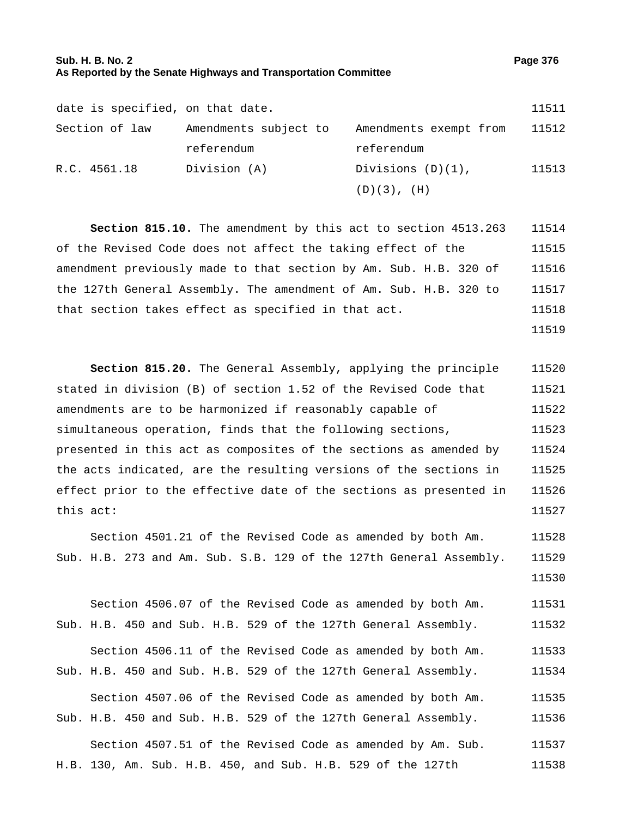## **Sub. H. B. No. 2 Page 376 As Reported by the Senate Highways and Transportation Committee**

date is specified, on that date. 11511 Section of law Amendments subject to Amendments exempt from referendum referendum 11512 R.C. 4561.18 Division (A) Divisions (D)(1), (D)(3), (H) 11513

**Section 815.10.** The amendment by this act to section 4513.263 of the Revised Code does not affect the taking effect of the amendment previously made to that section by Am. Sub. H.B. 320 of the 127th General Assembly. The amendment of Am. Sub. H.B. 320 to that section takes effect as specified in that act. 11514 11515 11516 11517 11518

11519

**Section 815.20.** The General Assembly, applying the principle stated in division (B) of section 1.52 of the Revised Code that amendments are to be harmonized if reasonably capable of simultaneous operation, finds that the following sections, presented in this act as composites of the sections as amended by the acts indicated, are the resulting versions of the sections in effect prior to the effective date of the sections as presented in this act: 11520 11521 11522 11523 11524 11525 11526 11527

Section 4501.21 of the Revised Code as amended by both Am. Sub. H.B. 273 and Am. Sub. S.B. 129 of the 127th General Assembly. 11528 11529

11530

Section 4506.07 of the Revised Code as amended by both Am. Sub. H.B. 450 and Sub. H.B. 529 of the 127th General Assembly. 11531 11532

Section 4506.11 of the Revised Code as amended by both Am. Sub. H.B. 450 and Sub. H.B. 529 of the 127th General Assembly. 11533 11534

Section 4507.06 of the Revised Code as amended by both Am. Sub. H.B. 450 and Sub. H.B. 529 of the 127th General Assembly. 11535 11536

Section 4507.51 of the Revised Code as amended by Am. Sub. H.B. 130, Am. Sub. H.B. 450, and Sub. H.B. 529 of the 127th 11537 11538